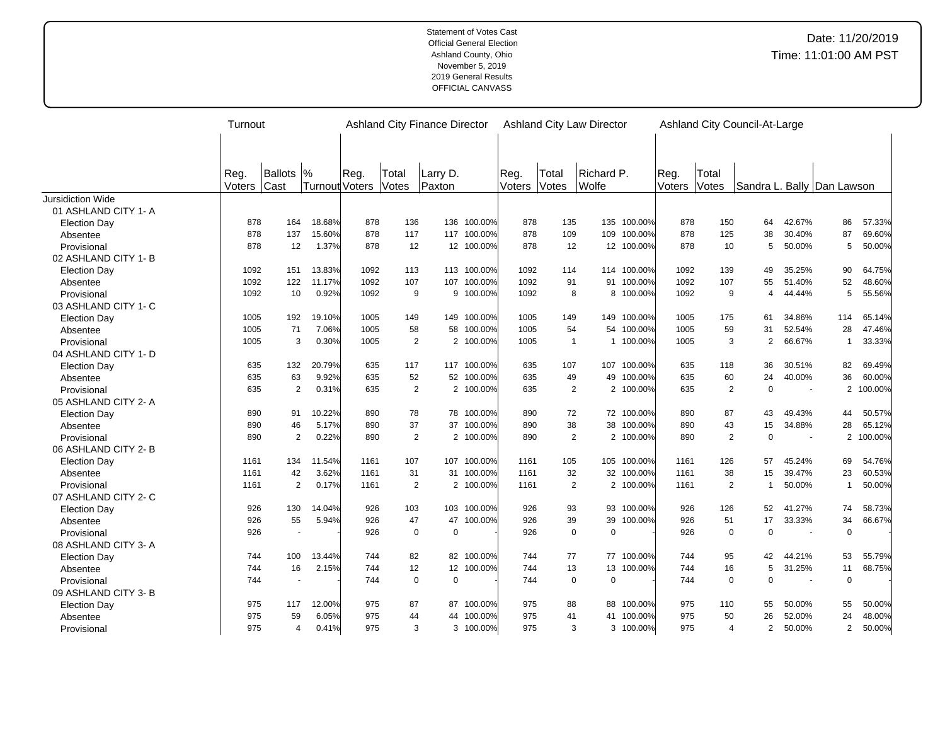|                          | Turnout |                |         |        |                | <b>Ashland City Finance Director</b> |             |        |                | <b>Ashland City Law Director</b> |             | Ashland City Council-At-Large |                |                            |                          |                |           |
|--------------------------|---------|----------------|---------|--------|----------------|--------------------------------------|-------------|--------|----------------|----------------------------------|-------------|-------------------------------|----------------|----------------------------|--------------------------|----------------|-----------|
|                          |         |                |         |        |                |                                      |             |        |                |                                  |             |                               |                |                            |                          |                |           |
|                          |         |                |         |        |                |                                      |             |        |                |                                  |             |                               |                |                            |                          |                |           |
|                          | Reg.    | <b>Ballots</b> | $\%$    | Reg.   | Total          | Larry D.                             |             | Reg.   | Total          | Richard P.                       |             | Reg.                          | Total          |                            |                          |                |           |
|                          | Voters  | Cast           | Turnout | Voters | Votes          | Paxton                               |             | Voters | Votes          | Wolfe                            |             | Voters                        | Votes          | Sandra L. Bally Dan Lawson |                          |                |           |
| <b>Jursidiction Wide</b> |         |                |         |        |                |                                      |             |        |                |                                  |             |                               |                |                            |                          |                |           |
| 01 ASHLAND CITY 1- A     |         |                |         |        |                |                                      |             |        |                |                                  |             |                               |                |                            |                          |                |           |
| <b>Election Day</b>      | 878     | 164            | 18.68%  | 878    | 136            | 136                                  | 100.00%     | 878    | 135            | 135                              | 100.00%     | 878                           | 150            | 64                         | 42.67%                   | 86             | 57.33%    |
| Absentee                 | 878     | 137            | 15.60%  | 878    | 117            | 117                                  | 100.00%     | 878    | 109            | 109                              | 100.00%     | 878                           | 125            | 38                         | 30.40%                   | 87             | 69.60%    |
| Provisional              | 878     | 12             | 1.37%   | 878    | 12             | 12 <sup>2</sup>                      | 100.00%     | 878    | 12             | 12                               | 100.00%     | 878                           | 10             | 5                          | 50.00%                   | 5              | 50.00%    |
| 02 ASHLAND CITY 1-B      |         |                |         |        |                |                                      |             |        |                |                                  |             |                               |                |                            |                          |                |           |
| <b>Election Day</b>      | 1092    | 151            | 13.83%  | 1092   | 113            |                                      | 113 100.00% | 1092   | 114            |                                  | 114 100.00% | 1092                          | 139            | 49                         | 35.25%                   | 90             | 64.75%    |
| Absentee                 | 1092    | 122            | 11.17%  | 1092   | 107            | 107                                  | 100.00%     | 1092   | 91             | 91                               | 100.00%     | 1092                          | 107            | 55                         | 51.40%                   | 52             | 48.60%    |
| Provisional              | 1092    | 10             | 0.92%   | 1092   | 9              | 9                                    | 100.00%     | 1092   | 8              |                                  | 8 100.00%   | 1092                          | 9              | 4                          | 44.44%                   | 5              | 55.56%    |
| 03 ASHLAND CITY 1- C     |         |                |         |        |                |                                      |             |        |                |                                  |             |                               |                |                            |                          |                |           |
| <b>Election Day</b>      | 1005    | 192            | 19.10%  | 1005   | 149            | 149                                  | 100.00%     | 1005   | 149            | 149                              | 100.00%     | 1005                          | 175            | 61                         | 34.86%                   | 114            | 65.14%    |
| Absentee                 | 1005    | 71             | 7.06%   | 1005   | 58             | 58                                   | 100.00%     | 1005   | 54             | 54                               | 100.00%     | 1005                          | 59             | 31                         | 52.54%                   | 28             | 47.46%    |
| Provisional              | 1005    | 3              | 0.30%   | 1005   | 2              |                                      | 2 100.00%   | 1005   | $\overline{1}$ |                                  | 1 100.00%   | 1005                          | 3              | $\overline{2}$             | 66.67%                   | $\overline{1}$ | 33.33%    |
| 04 ASHLAND CITY 1- D     |         |                |         |        |                |                                      |             |        |                |                                  |             |                               |                |                            |                          |                |           |
| <b>Election Day</b>      | 635     | 132            | 20.79%  | 635    | 117            |                                      | 117 100.00% | 635    | 107            | 107                              | 100.00%     | 635                           | 118            | 36                         | 30.51%                   | 82             | 69.49%    |
| Absentee                 | 635     | 63             | 9.92%   | 635    | 52             | 52                                   | 100.00%     | 635    | 49             | 49                               | 100.00%     | 635                           | 60             | 24                         | 40.00%                   | 36             | 60.00%    |
| Provisional              | 635     | 2              | 0.31%   | 635    | 2              |                                      | 2 100.00%   | 635    | $\overline{2}$ |                                  | 2 100.00%   | 635                           | $\overline{2}$ | $\mathbf 0$                | $\overline{\phantom{a}}$ |                | 2 100.00% |
| 05 ASHLAND CITY 2- A     |         |                |         |        |                |                                      |             |        |                |                                  |             |                               |                |                            |                          |                |           |
| <b>Election Day</b>      | 890     | 91             | 10.22%  | 890    | 78             |                                      | 78 100.00%  | 890    | 72             |                                  | 72 100.00%  | 890                           | 87             | 43                         | 49.43%                   | 44             | 50.57%    |
| Absentee                 | 890     | 46             | 5.17%   | 890    | 37             | 37                                   | 100.00%     | 890    | 38             | 38                               | 100.00%     | 890                           | 43             | 15                         | 34.88%                   | 28             | 65.12%    |
| Provisional              | 890     | $\overline{2}$ | 0.22%   | 890    | 2              |                                      | 2 100.00%   | 890    | $\overline{2}$ |                                  | 2 100.00%   | 890                           | 2              | $\mathbf 0$                |                          |                | 2 100.00% |
| 06 ASHLAND CITY 2-B      |         |                |         |        |                |                                      |             |        |                |                                  |             |                               |                |                            |                          |                |           |
| <b>Election Day</b>      | 1161    | 134            | 11.54%  | 1161   | 107            | 107                                  | 100.00%     | 1161   | 105            | 105                              | 100.00%     | 1161                          | 126            | 57                         | 45.24%                   | 69             | 54.76%    |
| Absentee                 | 1161    | 42             | 3.62%   | 1161   | 31             | 31                                   | 100.00%     | 1161   | 32             | 32                               | 100.00%     | 1161                          | 38             | 15                         | 39.47%                   | 23             | 60.53%    |
| Provisional              | 1161    | 2              | 0.17%   | 1161   | $\overline{2}$ |                                      | 2 100.00%   | 1161   | $\overline{2}$ |                                  | 2 100.00%   | 1161                          | $\overline{2}$ | $\mathbf 1$                | 50.00%                   | $\overline{1}$ | 50.00%    |
| 07 ASHLAND CITY 2-C      |         |                |         |        |                |                                      |             |        |                |                                  |             |                               |                |                            |                          |                |           |
| <b>Election Day</b>      | 926     | 130            | 14.04%  | 926    | 103            | 103                                  | 100.00%     | 926    | 93             |                                  | 93 100.00%  | 926                           | 126            | 52                         | 41.27%                   | 74             | 58.73%    |
| Absentee                 | 926     | 55             | 5.94%   | 926    | 47             | 47                                   | 100.00%     | 926    | 39             | 39                               | 100.00%     | 926                           | 51             | 17                         | 33.33%                   | 34             | 66.67%    |
| Provisional              | 926     |                |         | 926    | $\overline{0}$ | $\mathbf 0$                          |             | 926    | $\mathbf 0$    | $\mathbf 0$                      |             | 926                           | $\mathbf 0$    | $\Omega$                   |                          | $\mathbf 0$    |           |
| 08 ASHLAND CITY 3-A      |         |                |         |        |                |                                      |             |        |                |                                  |             |                               |                |                            |                          |                |           |
| <b>Election Day</b>      | 744     | 100            | 13.44%  | 744    | 82             |                                      | 82 100.00%  | 744    | 77             |                                  | 77 100.00%  | 744                           | 95             | 42                         | 44.21%                   | 53             | 55.79%    |
| Absentee                 | 744     | 16             | 2.15%   | 744    | 12             |                                      | 12 100.00%  | 744    | 13             | 13                               | 100.00%     | 744                           | 16             | 5                          | 31.25%                   | 11             | 68.75%    |
| Provisional              | 744     | ٠              |         | 744    | $\mathbf 0$    | $\mathsf 0$                          |             | 744    | 0              | 0                                |             | 744                           | $\mathbf 0$    | $\Omega$                   |                          | $\mathbf 0$    |           |
| 09 ASHLAND CITY 3-B      |         |                |         |        |                |                                      |             |        |                |                                  |             |                               |                |                            |                          |                |           |
| <b>Election Day</b>      | 975     | 117            | 12.00%  | 975    | 87             |                                      | 87 100.00%  | 975    | 88             | 88                               | 100.00%     | 975                           | 110            | 55                         | 50.00%                   | 55             | 50.00%    |
| Absentee                 | 975     | 59             | 6.05%   | 975    | 44             | 44                                   | 100.00%     | 975    | 41             | 41                               | 100.00%     | 975                           | 50             | 26                         | 52.00%                   | 24             | 48.00%    |
| Provisional              | 975     | 4              | 0.41%   | 975    | 3              |                                      | 3 100.00%   | 975    | 3              |                                  | 3 100.00%   | 975                           | $\overline{4}$ | $\overline{2}$             | 50.00%                   | $\overline{2}$ | 50.00%    |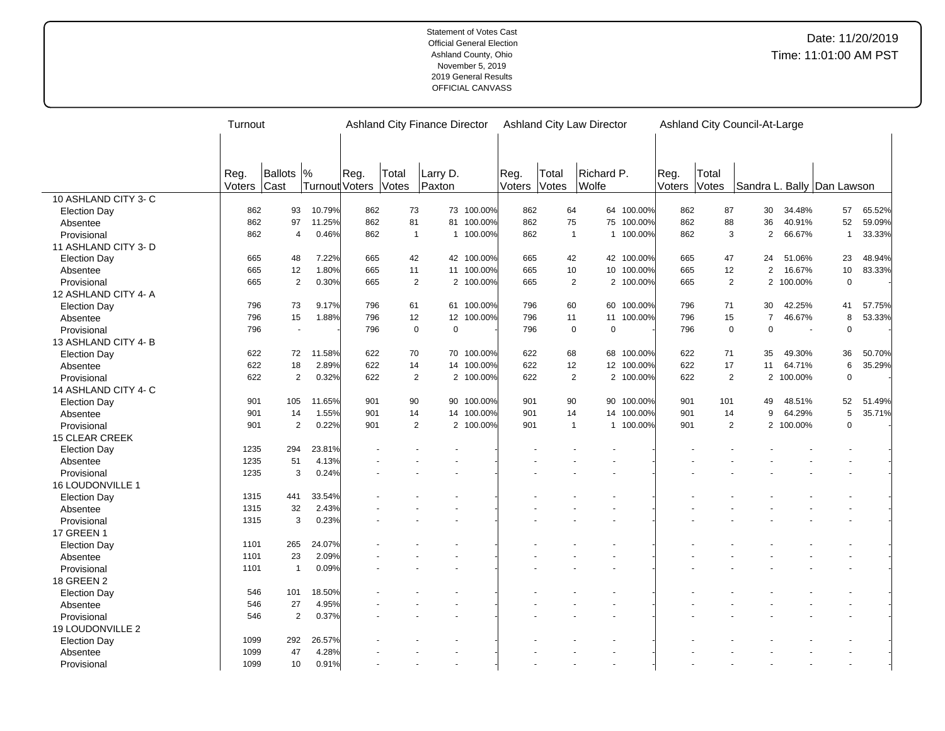|                         | Turnout |                |                |      |                | Ashland City Finance Director |            |        |       |              | Ashland City Law Director |            |        |                | Ashland City Council-At-Large<br>Sandra L. Bally Dan Lawson<br>30<br>34.48%<br>57<br>36<br>40.91%<br>52<br>$\overline{2}$<br>66.67%<br>$\mathbf{1}$<br>24<br>23<br>51.06%<br>$\overline{2}$<br>16.67%<br>10<br>2 100.00%<br>$\mathbf 0$<br>42.25%<br>30<br>41<br>$\overline{7}$<br>8<br>46.67%<br>$\mathbf 0$<br>$\Omega$<br>$\sim$<br>35<br>49.30%<br>36<br>$\,6\,$<br>11<br>64.71%<br>2 100.00%<br>$\mathbf 0$<br>49<br>48.51%<br>52<br>5<br>64.29%<br>9<br>2 100.00%<br>$\Omega$ |  |        |
|-------------------------|---------|----------------|----------------|------|----------------|-------------------------------|------------|--------|-------|--------------|---------------------------|------------|--------|----------------|-------------------------------------------------------------------------------------------------------------------------------------------------------------------------------------------------------------------------------------------------------------------------------------------------------------------------------------------------------------------------------------------------------------------------------------------------------------------------------------|--|--------|
|                         |         |                |                |      |                |                               |            |        |       |              |                           |            |        |                |                                                                                                                                                                                                                                                                                                                                                                                                                                                                                     |  |        |
|                         |         |                |                |      |                |                               |            |        |       |              |                           |            |        |                |                                                                                                                                                                                                                                                                                                                                                                                                                                                                                     |  |        |
|                         |         |                |                |      |                |                               |            |        |       |              |                           |            |        |                |                                                                                                                                                                                                                                                                                                                                                                                                                                                                                     |  |        |
|                         | Reg.    | Ballots  %     |                | Reg. | Total          | Larry D.                      |            | Reg.   | Total |              | Richard P.                |            | Reg.   | Total          |                                                                                                                                                                                                                                                                                                                                                                                                                                                                                     |  |        |
|                         | Voters  | Cast           | Turnout Voters |      | Votes          | Paxton                        |            | Voters | Votes |              | Wolfe                     |            | Voters | Votes          |                                                                                                                                                                                                                                                                                                                                                                                                                                                                                     |  |        |
| 10 ASHLAND CITY 3- C    |         |                |                |      |                |                               |            |        |       |              |                           |            |        |                |                                                                                                                                                                                                                                                                                                                                                                                                                                                                                     |  |        |
| <b>Election Day</b>     | 862     | 93             | 10.79%         | 862  | 73             |                               | 73 100.00% | 862    |       | 64           |                           | 64 100.00% | 862    | 87             |                                                                                                                                                                                                                                                                                                                                                                                                                                                                                     |  | 65.52% |
| Absentee                | 862     | 97             | 11.25%         | 862  | 81             |                               | 81 100.00% | 862    |       | 75           |                           | 75 100.00% | 862    | 88             |                                                                                                                                                                                                                                                                                                                                                                                                                                                                                     |  | 59.09% |
| Provisional             | 862     | $\overline{4}$ | 0.46%          | 862  | $\overline{1}$ | $\mathbf{1}$                  | 100.00%    | 862    |       | $\mathbf{1}$ |                           | 1 100.00%  | 862    | 3              |                                                                                                                                                                                                                                                                                                                                                                                                                                                                                     |  | 33.33% |
| 11 ASHLAND CITY 3-D     |         |                |                |      |                |                               |            |        |       |              |                           |            |        |                |                                                                                                                                                                                                                                                                                                                                                                                                                                                                                     |  |        |
| <b>Election Day</b>     | 665     | 48             | 7.22%          | 665  | 42             |                               | 42 100.00% | 665    |       | 42           |                           | 42 100.00% | 665    | 47             |                                                                                                                                                                                                                                                                                                                                                                                                                                                                                     |  | 48.94% |
| Absentee                | 665     | 12             | 1.80%          | 665  | 11             |                               | 11 100.00% | 665    |       | 10           |                           | 10 100.00% | 665    | 12             |                                                                                                                                                                                                                                                                                                                                                                                                                                                                                     |  | 83.33% |
| Provisional             | 665     | $\overline{2}$ | 0.30%          | 665  | 2              |                               | 2 100.00%  | 665    |       | 2            |                           | 2 100.00%  | 665    | 2              |                                                                                                                                                                                                                                                                                                                                                                                                                                                                                     |  |        |
| 12 ASHLAND CITY 4- A    |         |                |                |      |                |                               |            |        |       |              |                           |            |        |                |                                                                                                                                                                                                                                                                                                                                                                                                                                                                                     |  |        |
| <b>Election Day</b>     | 796     | 73             | 9.17%          | 796  | 61             |                               | 61 100.00% | 796    |       | 60           |                           | 60 100.00% | 796    | 71             |                                                                                                                                                                                                                                                                                                                                                                                                                                                                                     |  | 57.75% |
| Absentee                | 796     | 15             | 1.88%          | 796  | 12             | 12 <sup>°</sup>               | 100.00%    | 796    |       | 11           |                           | 11 100.00% | 796    | 15             |                                                                                                                                                                                                                                                                                                                                                                                                                                                                                     |  | 53.33% |
| Provisional             | 796     | $\sim$         |                | 796  | $\mathbf 0$    | $\mathbf 0$                   |            | 796    |       | $\mathbf 0$  | $\Omega$                  |            | 796    | $\mathbf 0$    |                                                                                                                                                                                                                                                                                                                                                                                                                                                                                     |  |        |
| 13 ASHLAND CITY 4-B     |         |                |                |      |                |                               |            |        |       |              |                           |            |        |                |                                                                                                                                                                                                                                                                                                                                                                                                                                                                                     |  |        |
| <b>Election Day</b>     | 622     | 72             | 11.58%         | 622  | 70             |                               | 70 100.00% | 622    |       | 68           |                           | 68 100.00% | 622    | 71             |                                                                                                                                                                                                                                                                                                                                                                                                                                                                                     |  | 50.70% |
| Absentee                | 622     | 18             | 2.89%          | 622  | 14             |                               | 14 100.00% | 622    |       | 12           |                           | 12 100.00% | 622    | 17             |                                                                                                                                                                                                                                                                                                                                                                                                                                                                                     |  | 35.29% |
| Provisional             | 622     | $\overline{2}$ | 0.32%          | 622  |                | $\overline{2}$                | 2 100.00%  | 622    |       | 2            |                           | 2 100.00%  | 622    | $\overline{2}$ |                                                                                                                                                                                                                                                                                                                                                                                                                                                                                     |  |        |
| 14 ASHLAND CITY 4- C    |         |                |                |      |                |                               |            |        |       |              |                           |            |        |                |                                                                                                                                                                                                                                                                                                                                                                                                                                                                                     |  |        |
| <b>Election Day</b>     | 901     | 105            | 11.65%         | 901  | 90             |                               | 90 100.00% | 901    |       | 90           |                           | 90 100.00% | 901    | 101            |                                                                                                                                                                                                                                                                                                                                                                                                                                                                                     |  | 51.49% |
| Absentee                | 901     | 14             | 1.55%          | 901  | 14             |                               | 14 100.00% | 901    |       | 14           |                           | 14 100.00% | 901    | 14             |                                                                                                                                                                                                                                                                                                                                                                                                                                                                                     |  | 35.71% |
| Provisional             | 901     | 2              | 0.22%          | 901  |                | $\overline{2}$                | 2 100.00%  | 901    |       | $\mathbf{1}$ |                           | 1 100.00%  | 901    | 2              |                                                                                                                                                                                                                                                                                                                                                                                                                                                                                     |  |        |
| 15 CLEAR CREEK          |         |                |                |      |                |                               |            |        |       |              |                           |            |        |                |                                                                                                                                                                                                                                                                                                                                                                                                                                                                                     |  |        |
| <b>Election Day</b>     | 1235    | 294            | 23.81%         |      |                |                               |            |        |       |              |                           |            |        |                |                                                                                                                                                                                                                                                                                                                                                                                                                                                                                     |  |        |
| Absentee                | 1235    | 51             | 4.13%          |      |                |                               |            |        |       |              |                           |            |        |                |                                                                                                                                                                                                                                                                                                                                                                                                                                                                                     |  |        |
| Provisional             | 1235    | $\mathsf 3$    | 0.24%          |      |                |                               |            |        |       |              |                           |            |        |                |                                                                                                                                                                                                                                                                                                                                                                                                                                                                                     |  |        |
| <b>16 LOUDONVILLE 1</b> |         |                |                |      |                |                               |            |        |       |              |                           |            |        |                |                                                                                                                                                                                                                                                                                                                                                                                                                                                                                     |  |        |
| <b>Election Day</b>     | 1315    | 441            | 33.54%         |      |                |                               |            |        |       |              |                           |            |        |                |                                                                                                                                                                                                                                                                                                                                                                                                                                                                                     |  |        |
|                         | 1315    | 32             | 2.43%          |      |                |                               |            |        |       |              |                           |            |        |                |                                                                                                                                                                                                                                                                                                                                                                                                                                                                                     |  |        |
| Absentee                | 1315    | 3              | 0.23%          |      |                |                               |            |        |       |              |                           |            |        |                |                                                                                                                                                                                                                                                                                                                                                                                                                                                                                     |  |        |
| Provisional             |         |                |                |      |                |                               |            |        |       |              |                           |            |        |                |                                                                                                                                                                                                                                                                                                                                                                                                                                                                                     |  |        |
| <b>17 GREEN 1</b>       |         |                |                |      |                |                               |            |        |       |              |                           |            |        |                |                                                                                                                                                                                                                                                                                                                                                                                                                                                                                     |  |        |
| <b>Election Day</b>     | 1101    | 265            | 24.07%         |      |                |                               |            |        |       |              |                           |            |        |                |                                                                                                                                                                                                                                                                                                                                                                                                                                                                                     |  |        |
| Absentee                | 1101    | 23             | 2.09%          |      |                |                               |            |        |       |              |                           |            |        |                |                                                                                                                                                                                                                                                                                                                                                                                                                                                                                     |  |        |
| Provisional             | 1101    | $\mathbf{1}$   | 0.09%          |      |                |                               |            |        |       |              |                           |            |        |                |                                                                                                                                                                                                                                                                                                                                                                                                                                                                                     |  |        |
| 18 GREEN 2              |         |                |                |      |                |                               |            |        |       |              |                           |            |        |                |                                                                                                                                                                                                                                                                                                                                                                                                                                                                                     |  |        |
| <b>Election Day</b>     | 546     | 101            | 18.50%         |      |                |                               |            |        |       |              |                           |            |        |                |                                                                                                                                                                                                                                                                                                                                                                                                                                                                                     |  |        |
| Absentee                | 546     | 27             | 4.95%          |      |                |                               |            |        |       |              |                           |            |        |                |                                                                                                                                                                                                                                                                                                                                                                                                                                                                                     |  |        |
| Provisional             | 546     | 2              | 0.37%          |      |                |                               |            |        |       |              |                           |            |        |                |                                                                                                                                                                                                                                                                                                                                                                                                                                                                                     |  |        |
| 19 LOUDONVILLE 2        |         |                |                |      |                |                               |            |        |       |              |                           |            |        |                |                                                                                                                                                                                                                                                                                                                                                                                                                                                                                     |  |        |
| <b>Election Day</b>     | 1099    | 292            | 26.57%         |      |                |                               |            |        |       |              |                           |            |        |                |                                                                                                                                                                                                                                                                                                                                                                                                                                                                                     |  |        |
| Absentee                | 1099    | 47             | 4.28%          |      |                |                               |            |        |       |              |                           |            |        |                |                                                                                                                                                                                                                                                                                                                                                                                                                                                                                     |  |        |
| Provisional             | 1099    | 10             | 0.91%          |      |                |                               |            |        |       |              |                           |            |        |                |                                                                                                                                                                                                                                                                                                                                                                                                                                                                                     |  |        |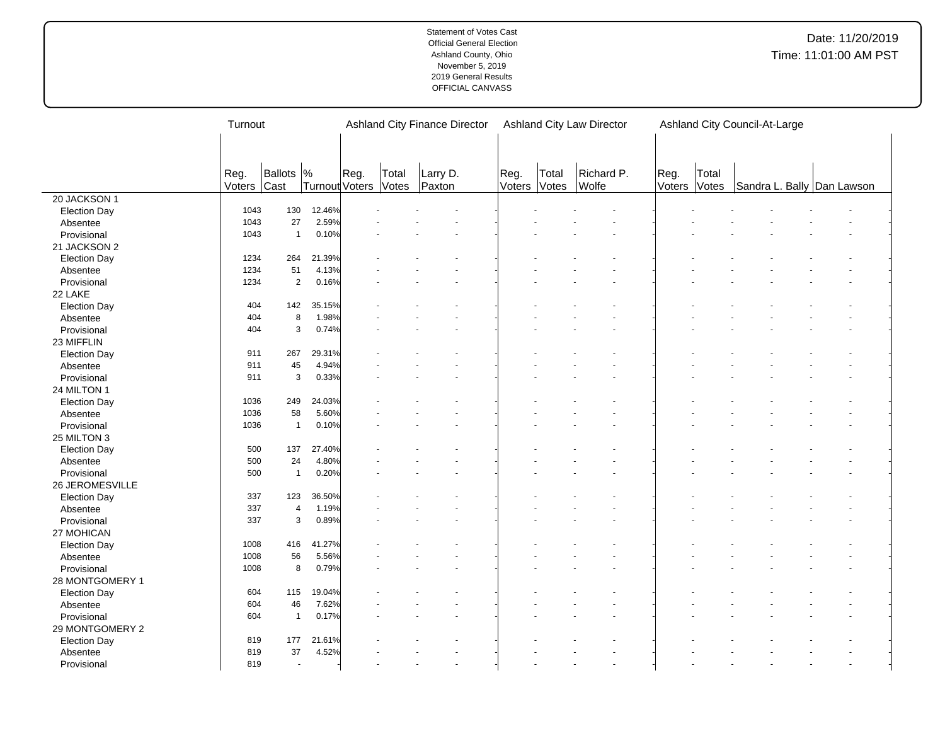|                     | Turnout |                          |                |      | <b>Ashland City Finance Director</b><br><b>Ashland City Law Director</b><br>Ashland City Council-At-Large |          |                |       |            |        |       |  |                            |  |
|---------------------|---------|--------------------------|----------------|------|-----------------------------------------------------------------------------------------------------------|----------|----------------|-------|------------|--------|-------|--|----------------------------|--|
|                     |         |                          |                |      |                                                                                                           |          |                |       |            |        |       |  |                            |  |
|                     |         |                          |                |      |                                                                                                           |          |                |       |            |        |       |  |                            |  |
|                     | Reg.    | Ballots                  | $\frac{9}{6}$  | Reg. | Total                                                                                                     | Larry D. |                | Total | Richard P. | Reg.   | Total |  |                            |  |
|                     | Voters  | Cast                     | Turnout Voters |      | Votes                                                                                                     | Paxton   | Reg.<br>Voters | Votes | Wolfe      | Voters | Votes |  | Sandra L. Bally Dan Lawson |  |
| 20 JACKSON 1        |         |                          |                |      |                                                                                                           |          |                |       |            |        |       |  |                            |  |
| <b>Election Day</b> | 1043    | 130                      | 12.46%         |      |                                                                                                           |          |                |       |            |        |       |  |                            |  |
| Absentee            | 1043    | 27                       | 2.59%          |      |                                                                                                           |          |                |       |            |        |       |  |                            |  |
| Provisional         | 1043    | $\mathbf{1}$             | 0.10%          |      |                                                                                                           |          |                |       |            |        |       |  |                            |  |
| 21 JACKSON 2        |         |                          |                |      |                                                                                                           |          |                |       |            |        |       |  |                            |  |
| <b>Election Day</b> | 1234    | 264                      | 21.39%         |      |                                                                                                           |          |                |       |            |        |       |  |                            |  |
| Absentee            | 1234    | 51                       | 4.13%          |      |                                                                                                           |          |                |       |            |        |       |  |                            |  |
| Provisional         | 1234    | $\overline{2}$           | 0.16%          |      |                                                                                                           |          |                |       |            |        |       |  |                            |  |
| 22 LAKE             |         |                          |                |      |                                                                                                           |          |                |       |            |        |       |  |                            |  |
| <b>Election Day</b> | 404     | 142                      | 35.15%         |      |                                                                                                           |          |                |       |            |        |       |  |                            |  |
| Absentee            | 404     | 8                        | 1.98%          |      |                                                                                                           |          |                |       |            |        |       |  |                            |  |
| Provisional         | 404     | 3                        | 0.74%          |      |                                                                                                           |          |                |       |            |        |       |  |                            |  |
| 23 MIFFLIN          |         |                          |                |      |                                                                                                           |          |                |       |            |        |       |  |                            |  |
| <b>Election Day</b> | 911     | 267                      | 29.31%         |      |                                                                                                           |          |                |       |            |        |       |  |                            |  |
| Absentee            | 911     | 45                       | 4.94%          |      |                                                                                                           |          |                |       |            |        |       |  |                            |  |
| Provisional         | 911     | 3                        | 0.33%          |      |                                                                                                           |          |                |       |            |        |       |  |                            |  |
| 24 MILTON 1         |         |                          |                |      |                                                                                                           |          |                |       |            |        |       |  |                            |  |
| <b>Election Day</b> | 1036    | 249                      | 24.03%         |      |                                                                                                           |          |                |       |            |        |       |  |                            |  |
| Absentee            | 1036    | 58                       | 5.60%          |      |                                                                                                           |          |                |       |            |        |       |  |                            |  |
| Provisional         | 1036    | $\mathbf{1}$             | 0.10%          |      |                                                                                                           |          |                |       |            |        |       |  |                            |  |
| 25 MILTON 3         |         |                          |                |      |                                                                                                           |          |                |       |            |        |       |  |                            |  |
| <b>Election Day</b> | 500     | 137                      | 27.40%         |      |                                                                                                           |          |                |       |            |        |       |  |                            |  |
| Absentee            | 500     | 24                       | 4.80%          |      |                                                                                                           |          |                |       |            |        |       |  |                            |  |
| Provisional         | 500     | $\mathbf{1}$             | 0.20%          |      |                                                                                                           |          |                |       |            |        |       |  |                            |  |
| 26 JEROMESVILLE     |         |                          |                |      |                                                                                                           |          |                |       |            |        |       |  |                            |  |
| <b>Election Day</b> | 337     | 123                      | 36.50%         |      |                                                                                                           |          |                |       |            |        |       |  |                            |  |
| Absentee            | 337     | $\overline{4}$           | 1.19%          |      |                                                                                                           |          |                |       |            |        |       |  |                            |  |
| Provisional         | 337     | 3                        | 0.89%          |      |                                                                                                           |          |                |       |            |        |       |  |                            |  |
| 27 MOHICAN          |         |                          |                |      |                                                                                                           |          |                |       |            |        |       |  |                            |  |
| <b>Election Day</b> | 1008    | 416                      | 41.27%         |      |                                                                                                           |          |                |       |            |        |       |  |                            |  |
| Absentee            | 1008    | 56                       | 5.56%          |      |                                                                                                           |          |                |       |            |        |       |  |                            |  |
| Provisional         | 1008    | 8                        | 0.79%          |      |                                                                                                           |          |                |       |            |        |       |  |                            |  |
| 28 MONTGOMERY 1     |         |                          |                |      |                                                                                                           |          |                |       |            |        |       |  |                            |  |
| <b>Election Day</b> | 604     | 115                      | 19.04%         |      |                                                                                                           |          |                |       |            |        |       |  |                            |  |
| Absentee            | 604     | 46                       | 7.62%          |      |                                                                                                           |          |                |       |            |        |       |  |                            |  |
| Provisional         | 604     | $\mathbf{1}$             | 0.17%          |      |                                                                                                           |          |                |       |            |        |       |  |                            |  |
| 29 MONTGOMERY 2     |         |                          |                |      |                                                                                                           |          |                |       |            |        |       |  |                            |  |
| <b>Election Day</b> | 819     | 177                      | 21.61%         |      |                                                                                                           |          |                |       |            |        |       |  |                            |  |
| Absentee            | 819     | 37                       | 4.52%          |      |                                                                                                           |          |                |       |            |        |       |  |                            |  |
| Provisional         | 819     | $\overline{\phantom{a}}$ |                |      |                                                                                                           |          |                |       |            |        |       |  |                            |  |
|                     |         |                          |                |      |                                                                                                           |          |                |       |            |        |       |  |                            |  |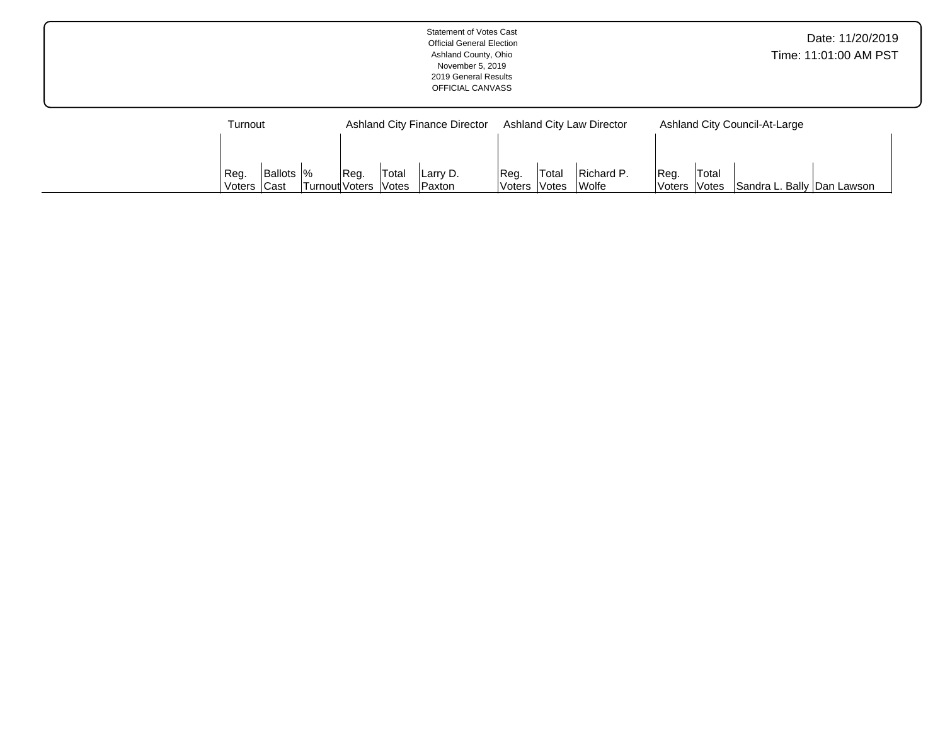|                    | <b>Statement of Votes Cast</b><br><b>Official General Election</b><br>Ashland County, Ohio<br>November 5, 2019<br>2019 General Results<br>OFFICIAL CANVASS |                                  | Date: 11/20/2019<br>Time: 11:01:00 AM PST |  |
|--------------------|------------------------------------------------------------------------------------------------------------------------------------------------------------|----------------------------------|-------------------------------------------|--|
| Turnout            | Ashland City Finance Director                                                                                                                              | <b>Ashland City Law Director</b> | Ashland City Council-At-Large             |  |
| Ballots  %<br>Reg. | Total<br>Reg.<br>Reg.<br> Larry D.                                                                                                                         | Total<br>Richard P.              | Total<br>Reg.                             |  |

Voters

Votes

Wolfe

Voters

Votes Sandra L. Bally Dan Lawson

Voters

Cast

Turnout

Voters

Votes

Paxton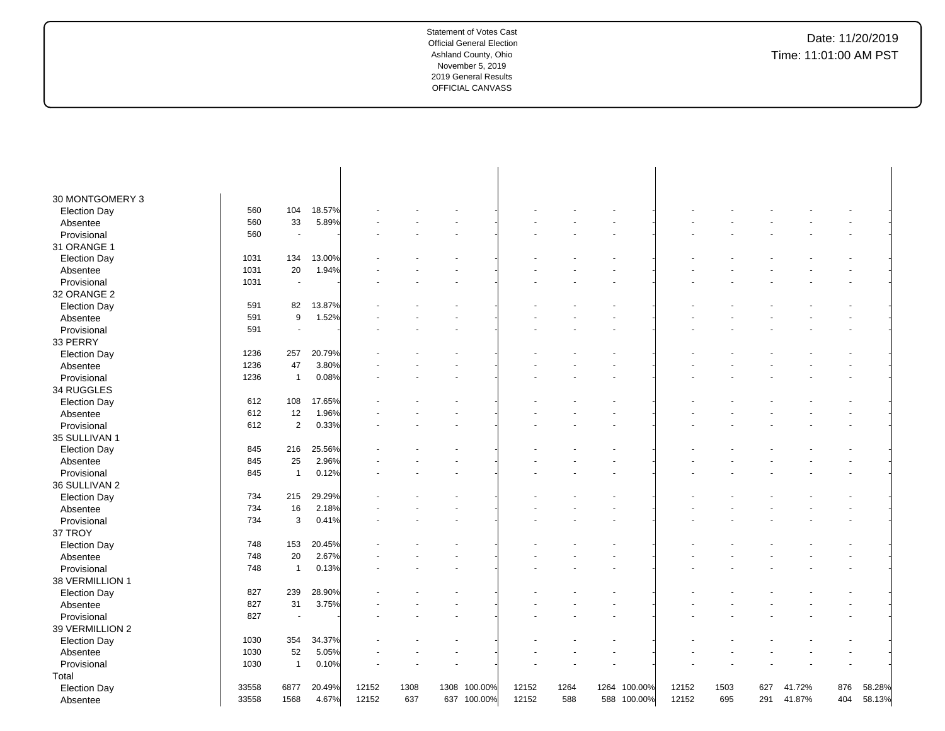| 30 MONTGOMERY 3     |       |                |        |       |      |      |             |       |      |             |         |       |      |     |        |     |        |
|---------------------|-------|----------------|--------|-------|------|------|-------------|-------|------|-------------|---------|-------|------|-----|--------|-----|--------|
| <b>Election Day</b> | 560   | 104            | 18.57% |       |      |      |             |       |      |             |         |       |      |     |        |     |        |
| Absentee            | 560   | 33             | 5.89%  |       |      |      |             |       |      |             |         |       |      |     |        |     |        |
| Provisional         | 560   | $\sim$         |        |       |      |      |             |       |      |             |         |       |      |     |        |     |        |
| 31 ORANGE 1         |       |                |        |       |      |      |             |       |      |             |         |       |      |     |        |     |        |
| <b>Election Day</b> | 1031  | 134            | 13.00% |       |      |      |             |       |      |             |         |       |      |     |        |     |        |
| Absentee            | 1031  | 20             | 1.94%  |       |      |      |             |       |      |             |         |       |      |     |        |     |        |
| Provisional         | 1031  | $\blacksquare$ |        |       |      |      |             |       |      |             |         |       |      |     |        |     |        |
| 32 ORANGE 2         |       |                |        |       |      |      |             |       |      |             |         |       |      |     |        |     |        |
| <b>Election Day</b> | 591   | 82             | 13.87% |       |      |      |             |       |      |             |         |       |      |     |        |     |        |
| Absentee            | 591   | 9              | 1.52%  |       |      |      |             |       |      |             |         |       |      |     |        |     |        |
| Provisional         | 591   | $\sim$         |        |       |      |      |             |       |      |             |         |       |      |     |        |     |        |
| 33 PERRY            |       |                |        |       |      |      |             |       |      |             |         |       |      |     |        |     |        |
| <b>Election Day</b> | 1236  | 257            | 20.79% |       |      |      |             |       |      |             |         |       |      |     |        |     |        |
| Absentee            | 1236  | 47             | 3.80%  |       |      |      |             |       |      |             |         |       |      |     |        |     |        |
| Provisional         | 1236  | $\overline{1}$ | 0.08%  |       |      |      |             |       |      |             |         |       |      |     |        |     |        |
| 34 RUGGLES          |       |                |        |       |      |      |             |       |      |             |         |       |      |     |        |     |        |
| <b>Election Day</b> | 612   | 108            | 17.65% |       |      |      |             |       |      |             |         |       |      |     |        |     |        |
| Absentee            | 612   | 12             | 1.96%  |       |      |      |             |       |      |             |         |       |      |     |        |     |        |
| Provisional         | 612   | $\overline{2}$ | 0.33%  |       |      |      |             |       |      |             |         |       |      |     |        |     |        |
| 35 SULLIVAN 1       |       |                |        |       |      |      |             |       |      |             |         |       |      |     |        |     |        |
| <b>Election Day</b> | 845   | 216            | 25.56% |       |      |      |             |       |      |             |         |       |      |     |        |     |        |
| Absentee            | 845   | 25             | 2.96%  |       |      |      |             |       |      |             |         |       |      |     |        |     |        |
| Provisional         | 845   | $\overline{1}$ | 0.12%  |       |      |      |             |       |      |             |         |       |      |     |        |     |        |
| 36 SULLIVAN 2       |       |                |        |       |      |      |             |       |      |             |         |       |      |     |        |     |        |
| <b>Election Day</b> | 734   | 215            | 29.29% |       |      |      |             |       |      |             |         |       |      |     |        |     |        |
| Absentee            | 734   | 16             | 2.18%  |       |      |      |             |       |      |             |         |       |      |     |        |     |        |
| Provisional         | 734   | 3              | 0.41%  |       |      |      |             |       |      |             |         |       |      |     |        |     |        |
| 37 TROY             |       |                |        |       |      |      |             |       |      |             |         |       |      |     |        |     |        |
| <b>Election Day</b> | 748   | 153            | 20.45% |       |      |      |             |       |      |             |         |       |      |     |        |     |        |
| Absentee            | 748   | 20             | 2.67%  |       |      |      |             |       |      |             |         |       |      |     |        |     |        |
| Provisional         | 748   | $\overline{1}$ | 0.13%  |       |      |      |             |       |      |             |         |       |      |     |        |     |        |
| 38 VERMILLION 1     |       |                |        |       |      |      |             |       |      |             |         |       |      |     |        |     |        |
| <b>Election Day</b> | 827   | 239            | 28.90% |       |      |      |             |       |      |             |         |       |      |     |        |     |        |
| Absentee            | 827   | 31             | 3.75%  |       |      |      |             |       |      |             |         |       |      |     |        |     |        |
| Provisional         | 827   | $\blacksquare$ |        |       |      |      |             |       |      |             |         |       |      |     |        |     |        |
| 39 VERMILLION 2     |       |                |        |       |      |      |             |       |      |             |         |       |      |     |        |     |        |
| <b>Election Day</b> | 1030  | 354            | 34.37% |       |      |      |             |       |      |             |         |       |      |     |        |     |        |
| Absentee            | 1030  | 52             | 5.05%  |       |      |      |             |       |      |             |         |       |      |     |        |     |        |
| Provisional         | 1030  | $\overline{1}$ | 0.10%  |       |      |      |             |       |      |             |         |       |      |     |        |     |        |
| Total               |       |                |        |       |      |      |             |       |      |             |         |       |      |     |        |     |        |
| <b>Election Day</b> | 33558 | 6877           | 20.49% | 12152 | 1308 | 1308 | 100.00%     | 12152 | 1264 | 1264        | 100.00% | 12152 | 1503 | 627 | 41.72% | 876 | 58.28% |
| Absentee            | 33558 | 1568           | 4.67%  | 12152 | 637  |      | 637 100.00% | 12152 | 588  | 588 100.00% |         | 12152 | 695  | 291 | 41.87% | 404 | 58.13% |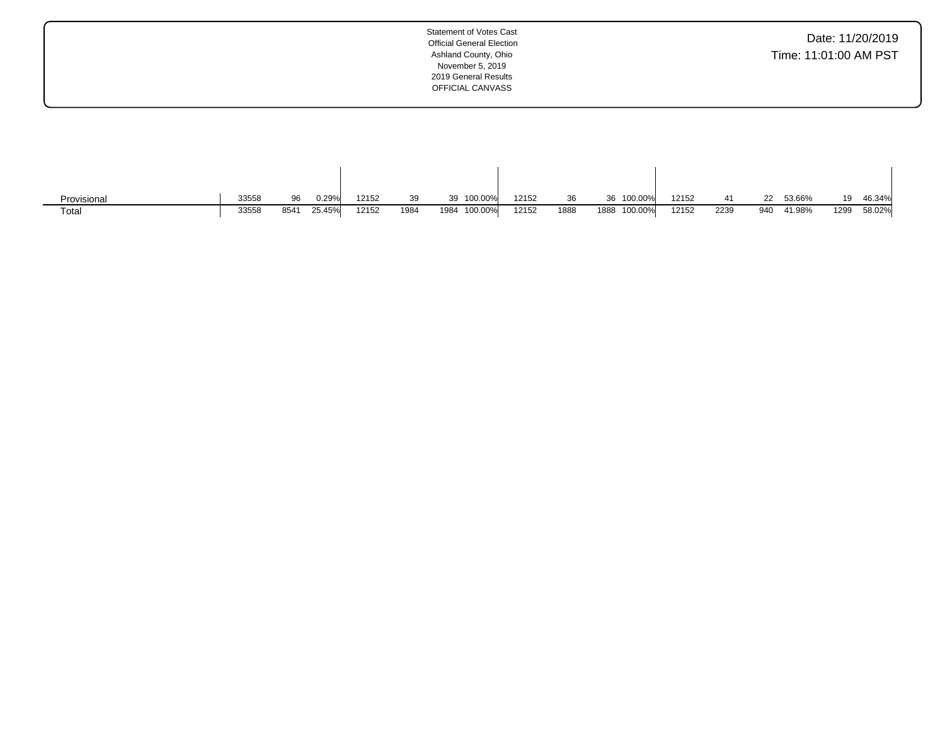| Date: 11/20/2019      |  |  |
|-----------------------|--|--|
| Time: 11:01:00 AM PST |  |  |

| Provisional | 33558 | 96   | 0.29%  | 12152 | 39   | 39 100.00%   | 12152 | 36   | 36 100.00%      | 12152 |      |     | 53.66% | 19   | 46.34% |
|-------------|-------|------|--------|-------|------|--------------|-------|------|-----------------|-------|------|-----|--------|------|--------|
| Total       | 33558 | 8541 | 25.45% | 12152 | 1984 | 1984 100.00% | 12152 | 1888 | 100.00%<br>1888 | 12152 | 2239 | 940 | 41.98% | 1299 | 58.02% |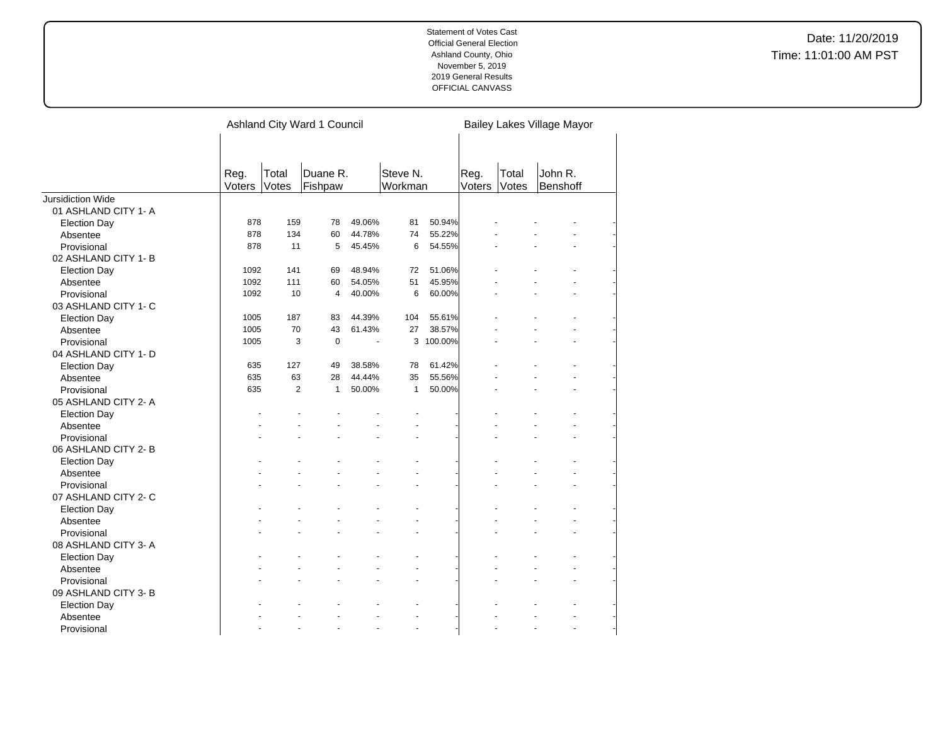|                          |                |                | Ashland City Ward 1 Council |        |                     |           | Bailey Lakes Village Mayor |                |                     |  |
|--------------------------|----------------|----------------|-----------------------------|--------|---------------------|-----------|----------------------------|----------------|---------------------|--|
|                          | Reg.<br>Voters | Total<br>Votes | Duane R.<br>Fishpaw         |        | Steve N.<br>Workman |           | Reg.<br>Voters             | Total<br>Votes | John R.<br>Benshoff |  |
| <b>Jursidiction Wide</b> |                |                |                             |        |                     |           |                            |                |                     |  |
| 01 ASHLAND CITY 1-A      |                |                |                             |        |                     |           |                            |                |                     |  |
| <b>Election Day</b>      | 878            | 159            | 78                          | 49.06% | 81                  | 50.94%    |                            |                |                     |  |
| Absentee                 | 878            | 134            | 60                          | 44.78% | 74                  | 55.22%    |                            |                |                     |  |
| Provisional              | 878            | 11             | 5                           | 45.45% | 6                   | 54.55%    |                            |                |                     |  |
| 02 ASHLAND CITY 1-B      |                |                |                             |        |                     |           |                            |                |                     |  |
| <b>Election Day</b>      | 1092           | 141            | 69                          | 48.94% | 72                  | 51.06%    |                            |                |                     |  |
| Absentee                 | 1092           | 111            | 60                          | 54.05% | 51                  | 45.95%    |                            |                |                     |  |
| Provisional              | 1092           | 10             | $\overline{4}$              | 40.00% | 6                   | 60.00%    |                            |                |                     |  |
| 03 ASHLAND CITY 1- C     |                |                |                             |        |                     |           |                            |                |                     |  |
| <b>Election Day</b>      | 1005           | 187            | 83                          | 44.39% | 104                 | 55.61%    |                            |                |                     |  |
| Absentee                 | 1005           | 70             | 43                          | 61.43% | 27                  | 38.57%    |                            |                |                     |  |
| Provisional              | 1005           | 3              | $\mathbf 0$                 | ÷,     |                     | 3 100.00% |                            |                |                     |  |
| 04 ASHLAND CITY 1- D     |                |                |                             |        |                     |           |                            |                |                     |  |
| <b>Election Day</b>      | 635            | 127            | 49                          | 38.58% | 78                  | 61.42%    |                            |                |                     |  |
| Absentee                 | 635            | 63             | 28                          | 44.44% | 35                  | 55.56%    |                            |                |                     |  |
| Provisional              | 635            | $\overline{2}$ | $\mathbf{1}$                | 50.00% | $\mathbf{1}$        | 50.00%    |                            |                |                     |  |
| 05 ASHLAND CITY 2-A      |                |                |                             |        |                     |           |                            |                |                     |  |
| <b>Election Day</b>      |                |                |                             |        |                     |           |                            |                |                     |  |
| Absentee                 |                |                |                             |        |                     |           |                            |                |                     |  |
| Provisional              |                |                |                             |        |                     |           |                            |                |                     |  |
| 06 ASHLAND CITY 2-B      |                |                |                             |        |                     |           |                            |                |                     |  |
| <b>Election Day</b>      |                |                |                             |        |                     |           |                            |                |                     |  |
| Absentee                 |                |                |                             |        |                     |           |                            |                |                     |  |
| Provisional              |                |                |                             |        |                     |           |                            |                |                     |  |
| 07 ASHLAND CITY 2- C     |                |                |                             |        |                     |           |                            |                |                     |  |
| <b>Election Day</b>      |                |                |                             |        |                     |           |                            |                |                     |  |
| Absentee                 |                |                |                             |        |                     |           |                            |                |                     |  |
| Provisional              |                |                |                             |        |                     |           |                            |                |                     |  |
| 08 ASHLAND CITY 3-A      |                |                |                             |        |                     |           |                            |                |                     |  |
| <b>Election Day</b>      |                |                |                             |        |                     |           |                            |                |                     |  |
| Absentee                 |                |                |                             |        |                     |           |                            |                |                     |  |
| Provisional              |                |                |                             |        |                     |           |                            |                |                     |  |
| 09 ASHLAND CITY 3-B      |                |                |                             |        |                     |           |                            |                |                     |  |
| <b>Election Day</b>      |                |                |                             |        |                     |           |                            |                |                     |  |
| Absentee                 |                |                |                             |        |                     |           |                            |                |                     |  |
| Provisional              |                |                |                             |        |                     |           |                            |                |                     |  |
|                          |                |                |                             |        |                     |           |                            |                |                     |  |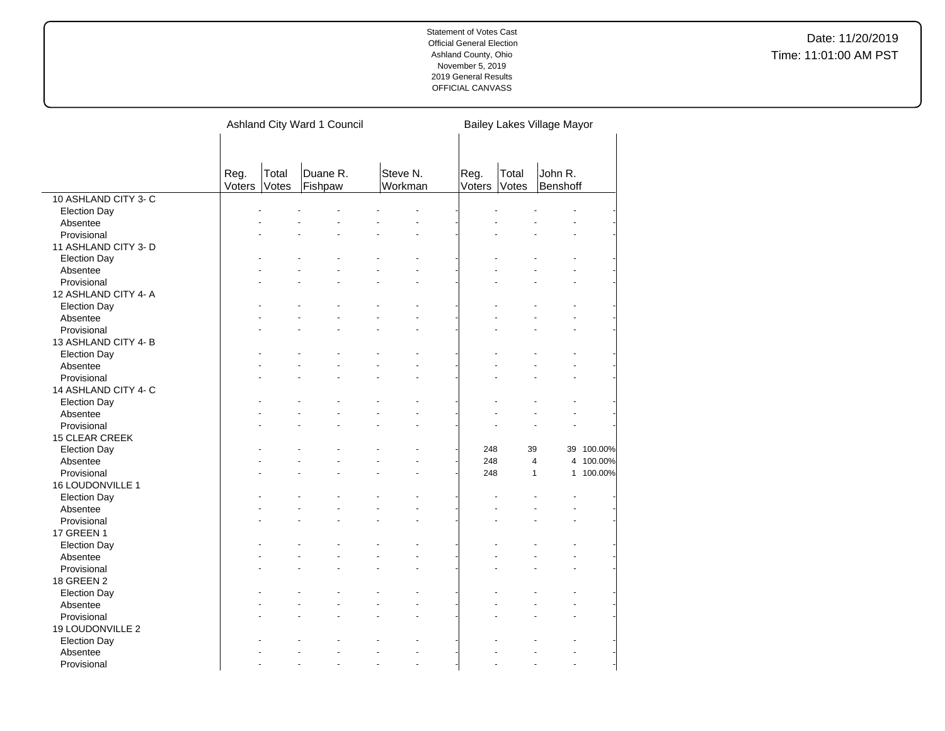|                      |                |                | Ashland City Ward 1 Council |                      | Bailey Lakes Village Mayor |                |                         |            |
|----------------------|----------------|----------------|-----------------------------|----------------------|----------------------------|----------------|-------------------------|------------|
|                      | Reg.<br>Voters | Total<br>Votes | Duane R.<br>Fishpaw         | Steve N.<br>Workman  | Reg.<br>Voters             | Total<br>Votes | John R.<br>Benshoff     |            |
| 10 ASHLAND CITY 3- C |                |                |                             |                      |                            |                |                         |            |
| <b>Election Day</b>  |                |                |                             |                      |                            |                |                         |            |
| Absentee             |                |                |                             |                      |                            |                |                         |            |
| Provisional          |                |                |                             |                      |                            |                |                         |            |
| 11 ASHLAND CITY 3- D |                |                |                             |                      |                            |                |                         |            |
| <b>Election Day</b>  |                |                |                             |                      |                            |                |                         |            |
| Absentee             |                |                |                             |                      |                            |                |                         |            |
| Provisional          |                |                |                             |                      |                            |                |                         |            |
| 12 ASHLAND CITY 4- A |                |                |                             |                      |                            |                |                         |            |
| <b>Election Day</b>  |                |                |                             |                      |                            |                |                         |            |
| Absentee             |                |                |                             |                      |                            |                |                         |            |
| Provisional          |                |                |                             |                      |                            |                |                         |            |
| 13 ASHLAND CITY 4-B  |                |                |                             |                      |                            |                |                         |            |
| <b>Election Day</b>  |                |                |                             |                      |                            |                |                         |            |
| Absentee             |                |                |                             |                      |                            |                |                         |            |
| Provisional          |                |                |                             |                      |                            |                |                         |            |
| 14 ASHLAND CITY 4- C |                |                |                             |                      |                            |                |                         |            |
|                      |                |                |                             |                      |                            |                |                         |            |
| <b>Election Day</b>  |                |                |                             |                      |                            |                |                         |            |
| Absentee             |                |                |                             |                      |                            |                |                         |            |
| Provisional          |                |                |                             |                      |                            |                |                         |            |
| 15 CLEAR CREEK       |                |                |                             |                      |                            |                |                         |            |
| <b>Election Day</b>  |                |                |                             |                      |                            | 248            | 39                      | 39 100.00% |
| Absentee             |                |                |                             |                      |                            | 248            | $\overline{\mathbf{4}}$ | 4 100.00%  |
| Provisional          |                |                |                             |                      |                            | 248            | $\mathbf{1}$            | 1 100.00%  |
| 16 LOUDONVILLE 1     |                |                |                             |                      |                            |                |                         |            |
| <b>Election Day</b>  |                |                |                             |                      |                            |                |                         |            |
| Absentee             |                |                |                             |                      |                            |                |                         |            |
| Provisional          |                |                |                             |                      |                            |                |                         |            |
| 17 GREEN 1           |                |                |                             |                      |                            |                |                         |            |
| <b>Election Day</b>  |                |                |                             |                      |                            |                |                         |            |
| Absentee             |                |                |                             |                      |                            |                |                         |            |
| Provisional          |                |                |                             |                      |                            |                |                         |            |
| <b>18 GREEN 2</b>    |                |                |                             |                      |                            |                |                         |            |
| <b>Election Day</b>  |                |                |                             |                      |                            |                |                         |            |
| Absentee             |                |                |                             |                      |                            |                |                         |            |
| Provisional          |                |                |                             |                      |                            |                |                         |            |
| 19 LOUDONVILLE 2     |                |                |                             |                      |                            |                |                         |            |
| <b>Election Day</b>  |                |                |                             |                      |                            |                |                         |            |
| Absentee             |                |                |                             |                      |                            |                |                         |            |
| Provisional          |                |                | ÷                           | $\overline{a}$<br>÷. |                            |                | $\overline{a}$<br>÷     |            |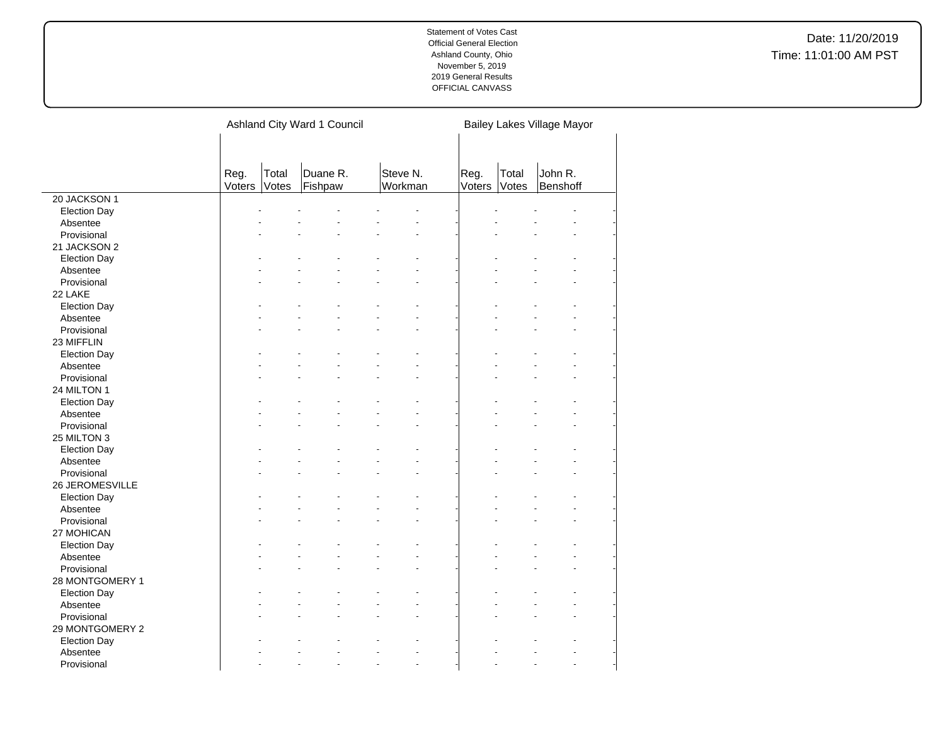Date: 11/20/2019 Time: 11:01:00 AM PST

|                     |                |                | Ashland City Ward 1 Council |                     |                |                | Bailey Lakes Village Mayor |  |
|---------------------|----------------|----------------|-----------------------------|---------------------|----------------|----------------|----------------------------|--|
|                     |                |                |                             |                     |                |                |                            |  |
|                     | Reg.<br>Voters | Total<br>Votes | Duane R.<br>Fishpaw         | Steve N.<br>Workman | Reg.<br>Voters | Total<br>Votes | John R.<br>Benshoff        |  |
| 20 JACKSON 1        |                |                |                             |                     |                |                |                            |  |
| <b>Election Day</b> |                |                |                             |                     |                |                |                            |  |
| Absentee            |                |                |                             |                     |                |                |                            |  |
| Provisional         |                |                |                             |                     |                |                |                            |  |
| 21 JACKSON 2        |                |                |                             |                     |                |                |                            |  |
| <b>Election Day</b> |                |                |                             |                     |                |                |                            |  |
| Absentee            |                |                |                             |                     |                |                |                            |  |
| Provisional         |                |                |                             |                     |                |                |                            |  |
| 22 LAKE             |                |                |                             |                     |                |                |                            |  |
| <b>Election Day</b> |                |                |                             |                     |                |                |                            |  |
| Absentee            |                |                |                             |                     |                |                |                            |  |
| Provisional         |                |                |                             |                     |                |                |                            |  |
| 23 MIFFLIN          |                |                |                             |                     |                |                |                            |  |
| <b>Election Day</b> |                |                |                             |                     |                |                |                            |  |
| Absentee            |                |                |                             |                     |                |                |                            |  |
| Provisional         |                |                |                             |                     |                |                |                            |  |
| 24 MILTON 1         |                |                |                             |                     |                |                |                            |  |
| <b>Election Day</b> |                |                |                             |                     |                |                |                            |  |
| Absentee            |                |                |                             |                     |                |                |                            |  |
| Provisional         |                |                |                             |                     |                |                |                            |  |
| 25 MILTON 3         |                |                |                             |                     |                |                |                            |  |
| <b>Election Day</b> |                |                |                             |                     |                |                |                            |  |
| Absentee            |                |                |                             |                     |                |                |                            |  |
| Provisional         |                |                |                             |                     |                |                |                            |  |
| 26 JEROMESVILLE     |                |                |                             |                     |                |                |                            |  |
| <b>Election Day</b> |                |                |                             |                     |                |                |                            |  |
| Absentee            |                |                |                             |                     |                |                |                            |  |
| Provisional         |                |                |                             |                     |                |                |                            |  |
| 27 MOHICAN          |                |                |                             |                     |                |                |                            |  |
| <b>Election Day</b> |                |                |                             |                     |                |                |                            |  |
| Absentee            |                |                |                             |                     |                |                |                            |  |
| Provisional         |                |                |                             |                     |                |                |                            |  |
| 28 MONTGOMERY 1     |                |                |                             |                     |                |                |                            |  |
| <b>Election Day</b> |                |                |                             |                     |                |                |                            |  |
| Absentee            |                |                |                             |                     |                |                |                            |  |
| Provisional         |                |                |                             |                     |                |                |                            |  |
| 29 MONTGOMERY 2     |                |                |                             |                     |                |                |                            |  |
| <b>Election Day</b> |                |                |                             |                     |                |                |                            |  |
| Absentee            |                |                |                             |                     |                |                |                            |  |
| Provisional         |                |                |                             |                     |                |                |                            |  |

 $\overline{a}$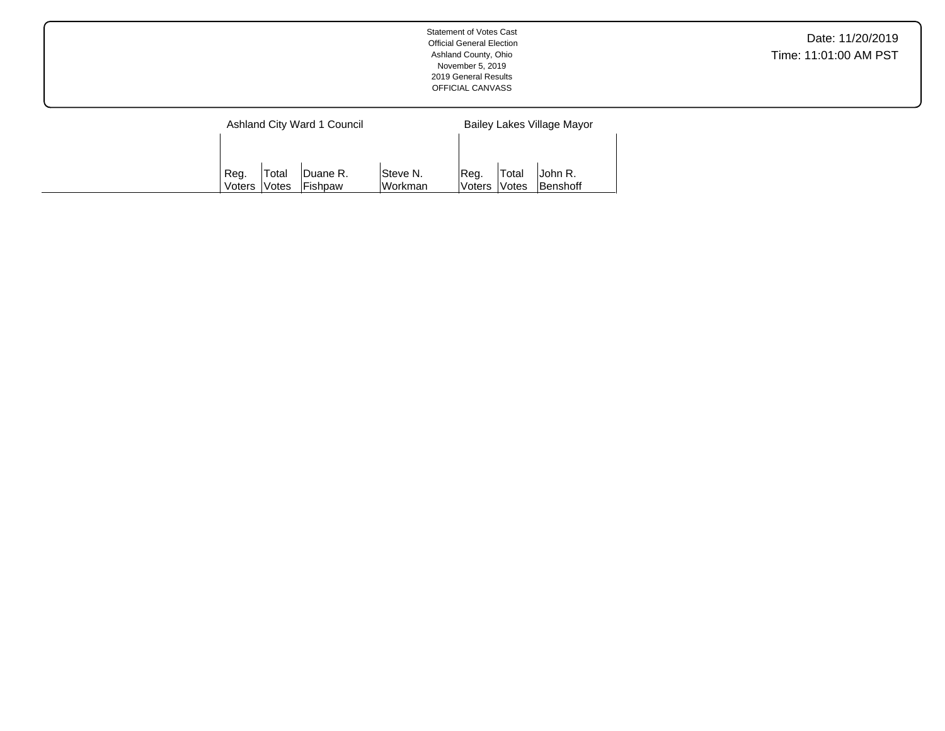|                |                               | Ashland City Ward 1 Council |                       |                 |                        | Bailey Lakes Village Mayor |
|----------------|-------------------------------|-----------------------------|-----------------------|-----------------|------------------------|----------------------------|
|                |                               |                             |                       |                 |                        |                            |
| Reg.<br>Voters | 'Total<br><i><b>Notes</b></i> | Duane R.<br><b>Fishpaw</b>  | lSteve N.<br>lWorkman | Reg.<br>lVoters | 'Total<br><b>Votes</b> | John R.<br>Benshoff        |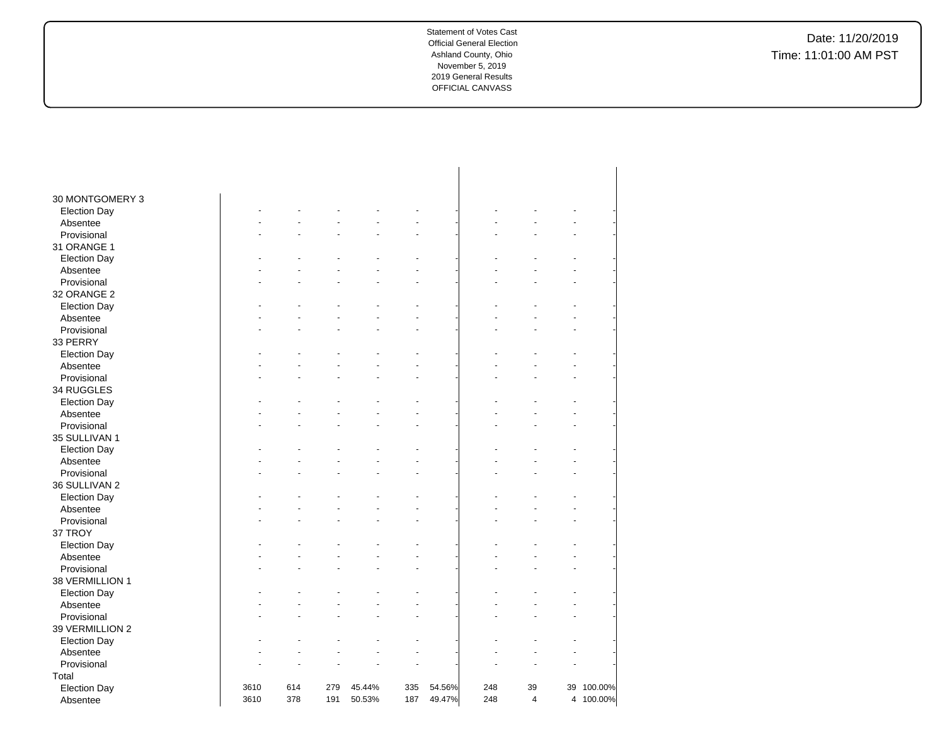| 30 MONTGOMERY 3     |      |     |     |        |     |        |     |                |            |
|---------------------|------|-----|-----|--------|-----|--------|-----|----------------|------------|
| <b>Election Day</b> |      |     |     |        |     |        |     |                |            |
| Absentee            |      |     |     |        |     |        |     |                |            |
| Provisional         |      |     |     |        |     |        |     |                |            |
| 31 ORANGE 1         |      |     |     |        |     |        |     |                |            |
| <b>Election Day</b> |      |     |     |        |     |        |     |                |            |
| Absentee            |      |     |     |        |     |        |     |                |            |
| Provisional         |      |     |     |        |     |        |     |                |            |
| 32 ORANGE 2         |      |     |     |        |     |        |     |                |            |
| <b>Election Day</b> |      |     |     |        |     |        |     |                |            |
| Absentee            |      |     |     |        |     |        |     |                |            |
| Provisional         |      |     |     |        |     |        |     |                |            |
| 33 PERRY            |      |     |     |        |     |        |     |                |            |
| <b>Election Day</b> |      |     |     |        |     |        |     |                |            |
| Absentee            |      |     |     |        |     |        |     |                |            |
| Provisional         |      |     |     |        |     |        |     |                |            |
| 34 RUGGLES          |      |     |     |        |     |        |     |                |            |
| <b>Election Day</b> |      |     |     |        |     |        |     |                |            |
| Absentee            |      |     |     |        |     |        |     |                |            |
| Provisional         |      |     |     |        |     |        |     |                |            |
| 35 SULLIVAN 1       |      |     |     |        |     |        |     |                |            |
| <b>Election Day</b> |      |     |     |        |     |        |     |                |            |
| Absentee            |      |     |     |        |     |        |     |                |            |
| Provisional         |      |     |     |        |     |        |     |                |            |
| 36 SULLIVAN 2       |      |     |     |        |     |        |     |                |            |
| <b>Election Day</b> |      |     |     |        |     |        |     |                |            |
| Absentee            |      |     |     |        |     |        |     |                |            |
| Provisional         |      |     |     |        |     |        |     |                |            |
| 37 TROY             |      |     |     |        |     |        |     |                |            |
| <b>Election Day</b> |      |     |     |        |     |        |     |                |            |
| Absentee            |      |     |     |        |     |        |     |                |            |
| Provisional         |      |     |     |        |     |        |     |                |            |
| 38 VERMILLION 1     |      |     |     |        |     |        |     |                |            |
| <b>Election Day</b> |      |     |     |        |     |        |     |                |            |
| Absentee            |      |     |     |        |     |        |     |                |            |
| Provisional         |      |     |     |        |     |        |     |                |            |
| 39 VERMILLION 2     |      |     |     |        |     |        |     |                |            |
| <b>Election Day</b> |      |     |     |        |     |        |     |                |            |
| Absentee            |      |     |     |        |     |        |     |                |            |
| Provisional         |      |     |     |        |     |        |     |                |            |
| Total               |      |     |     |        |     |        |     |                |            |
| <b>Election Day</b> | 3610 | 614 | 279 | 45.44% | 335 | 54.56% | 248 | 39             | 39 100.00% |
| Absentee            | 3610 | 378 | 191 | 50.53% | 187 | 49.47% | 248 | $\overline{4}$ | 4 100.00%  |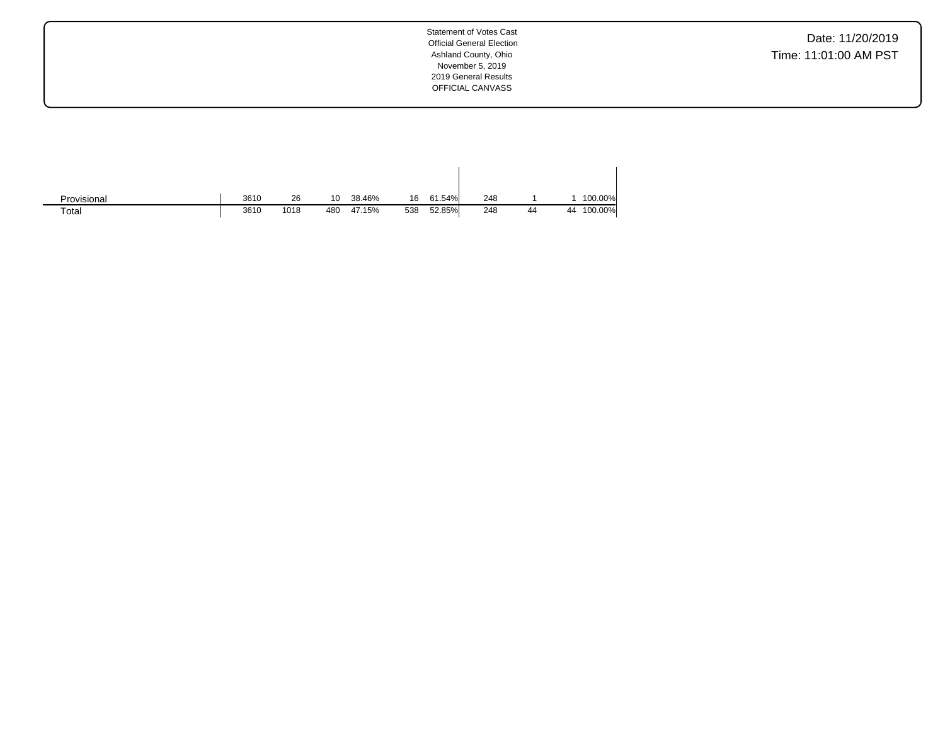| Provisional | 3610 | 26   | 10  | 38.46% | 16  | 61.54% | 248 |    |    | 100.00% |
|-------------|------|------|-----|--------|-----|--------|-----|----|----|---------|
| Total       | 3610 | 1018 | 480 | 47.15% | 538 | 52.85% | 248 | 44 | 44 | 100.00% |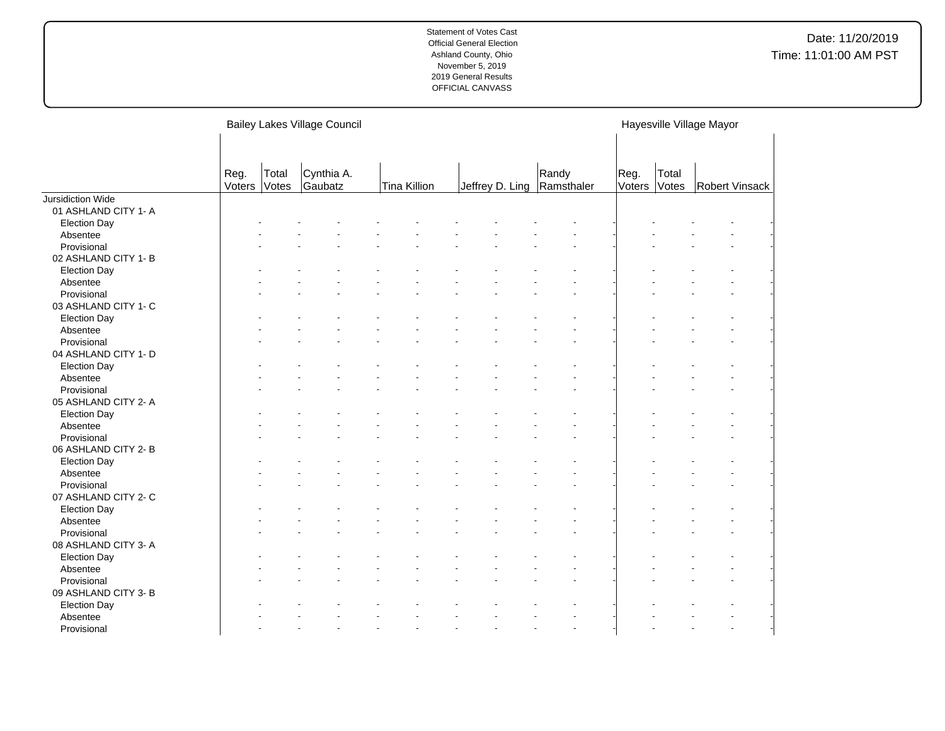|                      |                |                | <b>Bailey Lakes Village Council</b> |                     |  |                 |                     |                |                | Hayesville Village Mayor |  |
|----------------------|----------------|----------------|-------------------------------------|---------------------|--|-----------------|---------------------|----------------|----------------|--------------------------|--|
|                      |                |                |                                     |                     |  |                 |                     |                |                |                          |  |
|                      |                |                |                                     |                     |  |                 |                     |                |                |                          |  |
|                      | Reg.<br>Voters | Total<br>Votes | Cynthia A.<br>Gaubatz               | <b>Tina Killion</b> |  | Jeffrey D. Ling | Randy<br>Ramsthaler | Reg.<br>Voters | Total<br>Votes | Robert Vinsack           |  |
| Jursidiction Wide    |                |                |                                     |                     |  |                 |                     |                |                |                          |  |
| 01 ASHLAND CITY 1- A |                |                |                                     |                     |  |                 |                     |                |                |                          |  |
| <b>Election Day</b>  |                |                |                                     |                     |  |                 |                     |                |                |                          |  |
| Absentee             |                |                |                                     |                     |  |                 |                     |                |                |                          |  |
| Provisional          |                |                |                                     |                     |  |                 |                     |                |                |                          |  |
| 02 ASHLAND CITY 1-B  |                |                |                                     |                     |  |                 |                     |                |                |                          |  |
| <b>Election Day</b>  |                |                |                                     |                     |  |                 |                     |                |                |                          |  |
| Absentee             |                |                |                                     |                     |  |                 |                     |                |                |                          |  |
| Provisional          |                |                |                                     |                     |  |                 |                     |                |                |                          |  |
| 03 ASHLAND CITY 1- C |                |                |                                     |                     |  |                 |                     |                |                |                          |  |
| <b>Election Day</b>  |                |                |                                     |                     |  |                 |                     |                |                |                          |  |
| Absentee             |                |                |                                     |                     |  |                 |                     |                |                |                          |  |
| Provisional          |                |                |                                     |                     |  |                 |                     |                |                |                          |  |
| 04 ASHLAND CITY 1- D |                |                |                                     |                     |  |                 |                     |                |                |                          |  |
| <b>Election Day</b>  |                |                |                                     |                     |  |                 |                     |                |                |                          |  |
| Absentee             |                |                |                                     |                     |  |                 |                     |                |                |                          |  |
| Provisional          |                |                |                                     |                     |  |                 |                     |                |                |                          |  |
| 05 ASHLAND CITY 2- A |                |                |                                     |                     |  |                 |                     |                |                |                          |  |
| <b>Election Day</b>  |                |                |                                     |                     |  |                 |                     |                |                |                          |  |
| Absentee             |                |                |                                     |                     |  |                 |                     |                |                |                          |  |
| Provisional          |                |                |                                     |                     |  |                 |                     |                |                |                          |  |
| 06 ASHLAND CITY 2-B  |                |                |                                     |                     |  |                 |                     |                |                |                          |  |
| <b>Election Day</b>  |                |                |                                     |                     |  |                 |                     |                |                |                          |  |
| Absentee             |                |                |                                     |                     |  |                 |                     |                |                |                          |  |
| Provisional          |                |                |                                     |                     |  |                 |                     |                |                |                          |  |
| 07 ASHLAND CITY 2- C |                |                |                                     |                     |  |                 |                     |                |                |                          |  |
| <b>Election Day</b>  |                |                |                                     |                     |  |                 |                     |                |                |                          |  |
| Absentee             |                |                |                                     |                     |  |                 |                     |                |                |                          |  |
| Provisional          |                |                |                                     |                     |  |                 |                     |                |                |                          |  |
| 08 ASHLAND CITY 3-A  |                |                |                                     |                     |  |                 |                     |                |                |                          |  |
| <b>Election Day</b>  |                |                |                                     |                     |  |                 |                     |                |                |                          |  |
| Absentee             |                |                |                                     |                     |  |                 |                     |                |                |                          |  |
| Provisional          |                |                |                                     |                     |  |                 |                     |                |                |                          |  |
| 09 ASHLAND CITY 3- B |                |                |                                     |                     |  |                 |                     |                |                |                          |  |
| <b>Election Day</b>  |                |                |                                     |                     |  |                 |                     |                |                |                          |  |
| Absentee             |                |                |                                     |                     |  |                 |                     |                |                |                          |  |
| Provisional          |                |                |                                     |                     |  |                 |                     |                |                |                          |  |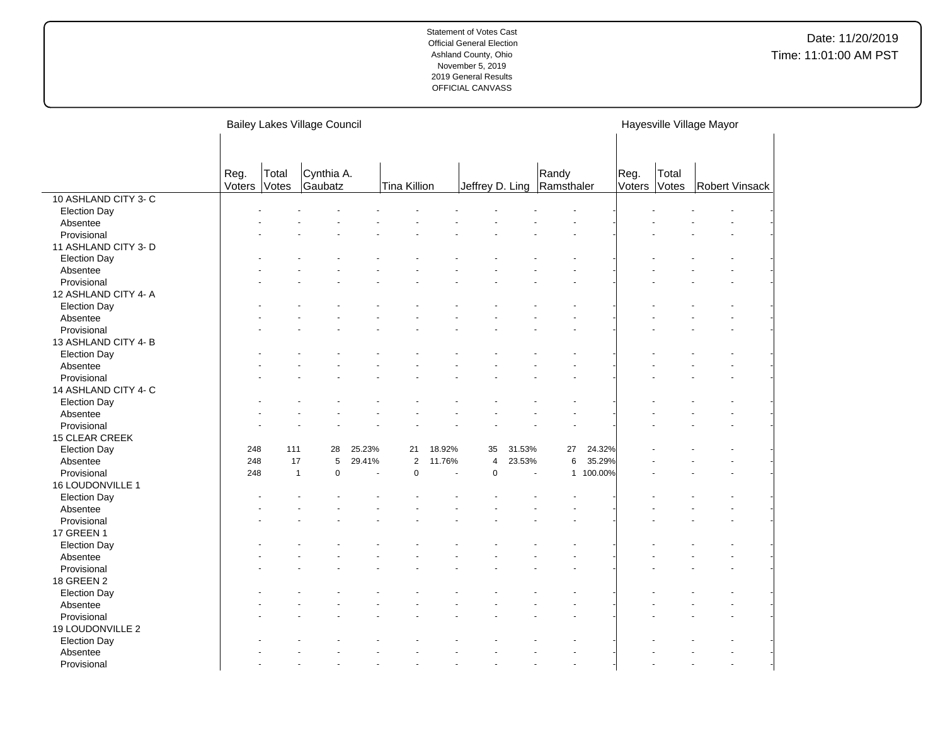|                       |        |              | <b>Bailey Lakes Village Council</b> |        |                |        |                 |        |            |           |        |       | Hayesville Village Mayor |                       |
|-----------------------|--------|--------------|-------------------------------------|--------|----------------|--------|-----------------|--------|------------|-----------|--------|-------|--------------------------|-----------------------|
|                       |        |              |                                     |        |                |        |                 |        |            |           |        |       |                          |                       |
|                       |        |              |                                     |        |                |        |                 |        |            |           |        |       |                          |                       |
|                       | Reg.   | Total        | Cynthia A.                          |        |                |        |                 |        | Randy      |           | Reg.   | Total |                          |                       |
|                       | Voters | Votes        | Gaubatz                             |        | Tina Killion   |        | Jeffrey D. Ling |        | Ramsthaler |           | Voters | Votes |                          | <b>Robert Vinsack</b> |
| 10 ASHLAND CITY 3-C   |        |              |                                     |        |                |        |                 |        |            |           |        |       |                          |                       |
| <b>Election Day</b>   |        |              |                                     |        |                |        |                 |        |            |           |        |       |                          |                       |
| Absentee              |        |              |                                     |        |                |        |                 |        |            |           |        |       |                          |                       |
| Provisional           |        |              |                                     |        |                |        |                 |        |            |           |        |       |                          |                       |
| 11 ASHLAND CITY 3- D  |        |              |                                     |        |                |        |                 |        |            |           |        |       |                          |                       |
| <b>Election Day</b>   |        |              |                                     |        |                |        |                 |        |            |           |        |       |                          |                       |
| Absentee              |        |              |                                     |        |                |        |                 |        |            |           |        |       |                          |                       |
| Provisional           |        |              |                                     |        |                |        |                 |        |            |           |        |       |                          |                       |
| 12 ASHLAND CITY 4- A  |        |              |                                     |        |                |        |                 |        |            |           |        |       |                          |                       |
| <b>Election Day</b>   |        |              |                                     |        |                |        |                 |        |            |           |        |       |                          |                       |
| Absentee              |        |              |                                     |        |                |        |                 |        |            |           |        |       |                          |                       |
| Provisional           |        |              |                                     |        |                |        |                 |        |            |           |        |       |                          |                       |
| 13 ASHLAND CITY 4-B   |        |              |                                     |        |                |        |                 |        |            |           |        |       |                          |                       |
| <b>Election Day</b>   |        |              |                                     |        |                |        |                 |        |            |           |        |       |                          |                       |
| Absentee              |        |              |                                     |        |                |        |                 |        |            |           |        |       |                          |                       |
| Provisional           |        |              |                                     |        |                |        |                 |        |            |           |        |       |                          |                       |
| 14 ASHLAND CITY 4- C  |        |              |                                     |        |                |        |                 |        |            |           |        |       |                          |                       |
| <b>Election Day</b>   |        |              |                                     |        |                |        |                 |        |            |           |        |       |                          |                       |
| Absentee              |        |              |                                     |        |                |        |                 |        |            |           |        |       |                          |                       |
| Provisional           |        |              |                                     |        |                |        |                 |        |            |           |        |       |                          |                       |
| <b>15 CLEAR CREEK</b> |        |              |                                     |        |                |        |                 |        |            |           |        |       |                          |                       |
| <b>Election Day</b>   | 248    | 111          | 28                                  | 25.23% | 21             | 18.92% | 35              | 31.53% | 27         | 24.32%    |        |       |                          |                       |
| Absentee              | 248    | 17           | 5                                   | 29.41% | $\overline{2}$ | 11.76% | 4               | 23.53% | 6          | 35.29%    |        |       |                          |                       |
| Provisional           | 248    | $\mathbf{1}$ | $\pmb{0}$                           |        | $\pmb{0}$      |        | $\pmb{0}$       |        |            | 1 100.00% |        |       |                          |                       |
| 16 LOUDONVILLE 1      |        |              |                                     |        |                |        |                 |        |            |           |        |       |                          |                       |
| <b>Election Day</b>   |        |              |                                     |        |                |        |                 |        |            |           |        |       |                          |                       |
| Absentee              |        |              |                                     |        |                |        |                 |        |            |           |        |       |                          |                       |
| Provisional           |        |              |                                     |        |                |        |                 |        |            |           |        |       |                          |                       |
| <b>17 GREEN 1</b>     |        |              |                                     |        |                |        |                 |        |            |           |        |       |                          |                       |
| <b>Election Day</b>   |        |              |                                     |        |                |        |                 |        |            |           |        |       |                          |                       |
| Absentee              |        |              |                                     |        |                |        |                 |        |            |           |        |       |                          |                       |
| Provisional           |        |              |                                     |        |                |        |                 |        |            |           |        |       |                          |                       |
| 18 GREEN 2            |        |              |                                     |        |                |        |                 |        |            |           |        |       |                          |                       |
|                       |        |              |                                     |        |                |        |                 |        |            |           |        |       |                          |                       |
| <b>Election Day</b>   |        |              |                                     |        |                |        |                 |        |            |           |        |       |                          |                       |
| Absentee              |        |              |                                     |        |                |        |                 |        |            |           |        |       |                          |                       |
| Provisional           |        |              |                                     |        |                |        |                 |        |            |           |        |       |                          |                       |
| 19 LOUDONVILLE 2      |        |              |                                     |        |                |        |                 |        |            |           |        |       |                          |                       |
| <b>Election Day</b>   |        |              |                                     |        |                |        |                 |        |            |           |        |       |                          |                       |
| Absentee              |        |              |                                     |        |                |        |                 |        |            |           |        |       |                          |                       |
| Provisional           |        |              |                                     |        |                |        |                 |        |            |           |        |       |                          |                       |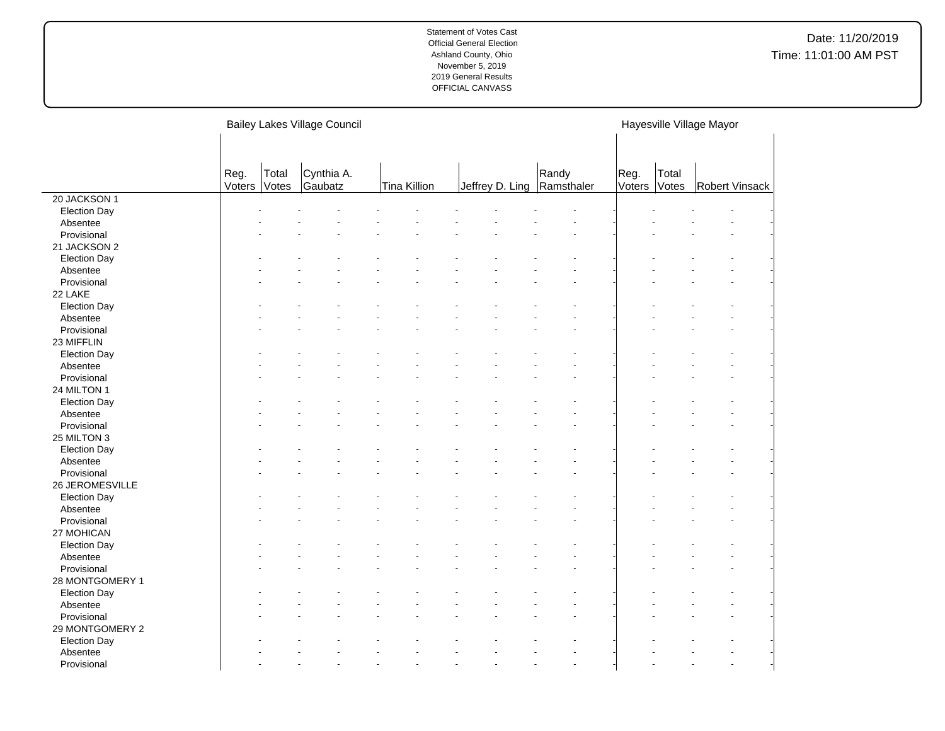|                     |        |       | <b>Bailey Lakes Village Council</b> |              |                            |       |        |       | Hayesville Village Mayor |
|---------------------|--------|-------|-------------------------------------|--------------|----------------------------|-------|--------|-------|--------------------------|
|                     |        |       |                                     |              |                            |       |        |       |                          |
|                     |        |       |                                     |              |                            |       |        |       |                          |
|                     | Reg.   | Total | Cynthia A.                          |              |                            | Randy | Reg.   | Total |                          |
|                     | Voters | Votes | Gaubatz                             | Tina Killion | Jeffrey D. Ling Ramsthaler |       | Voters | Votes | Robert Vinsack           |
| 20 JACKSON 1        |        |       |                                     |              |                            |       |        |       |                          |
| <b>Election Day</b> |        |       |                                     |              |                            |       |        |       |                          |
| Absentee            |        |       |                                     |              |                            |       |        |       |                          |
| Provisional         |        |       |                                     |              |                            |       |        |       |                          |
| 21 JACKSON 2        |        |       |                                     |              |                            |       |        |       |                          |
| <b>Election Day</b> |        |       |                                     |              |                            |       |        |       |                          |
| Absentee            |        |       |                                     |              |                            |       |        |       |                          |
| Provisional         |        |       |                                     |              |                            |       |        |       |                          |
| 22 LAKE             |        |       |                                     |              |                            |       |        |       |                          |
| <b>Election Day</b> |        |       |                                     |              |                            |       |        |       |                          |
| Absentee            |        |       |                                     |              |                            |       |        |       |                          |
| Provisional         |        |       |                                     |              |                            |       |        |       |                          |
| 23 MIFFLIN          |        |       |                                     |              |                            |       |        |       |                          |
| <b>Election Day</b> |        |       |                                     |              |                            |       |        |       |                          |
| Absentee            |        |       |                                     |              |                            |       |        |       |                          |
| Provisional         |        |       |                                     |              |                            |       |        |       |                          |
| 24 MILTON 1         |        |       |                                     |              |                            |       |        |       |                          |
| <b>Election Day</b> |        |       |                                     |              |                            |       |        |       |                          |
| Absentee            |        |       |                                     |              |                            |       |        |       |                          |
| Provisional         |        |       |                                     |              |                            |       |        |       |                          |
| 25 MILTON 3         |        |       |                                     |              |                            |       |        |       |                          |
| <b>Election Day</b> |        |       |                                     |              |                            |       |        |       |                          |
| Absentee            |        |       |                                     |              |                            |       |        |       |                          |
| Provisional         |        |       |                                     |              |                            |       |        |       |                          |
| 26 JEROMESVILLE     |        |       |                                     |              |                            |       |        |       |                          |
| <b>Election Day</b> |        |       |                                     |              |                            |       |        |       |                          |
| Absentee            |        |       |                                     |              |                            |       |        |       |                          |
| Provisional         |        |       |                                     |              |                            |       |        |       |                          |
| 27 MOHICAN          |        |       |                                     |              |                            |       |        |       |                          |
| <b>Election Day</b> |        |       |                                     |              |                            |       |        |       |                          |
| Absentee            |        |       |                                     |              |                            |       |        |       |                          |
| Provisional         |        |       |                                     |              |                            |       |        |       |                          |
| 28 MONTGOMERY 1     |        |       |                                     |              |                            |       |        |       |                          |
| <b>Election Day</b> |        |       |                                     |              |                            |       |        |       |                          |
| Absentee            |        |       |                                     |              |                            |       |        |       |                          |
| Provisional         |        |       |                                     |              |                            |       |        |       |                          |
| 29 MONTGOMERY 2     |        |       |                                     |              |                            |       |        |       |                          |
| <b>Election Day</b> |        |       |                                     |              |                            |       |        |       |                          |
| Absentee            |        |       |                                     |              |                            |       |        |       |                          |
| Provisional         |        |       |                                     |              |                            |       |        |       |                          |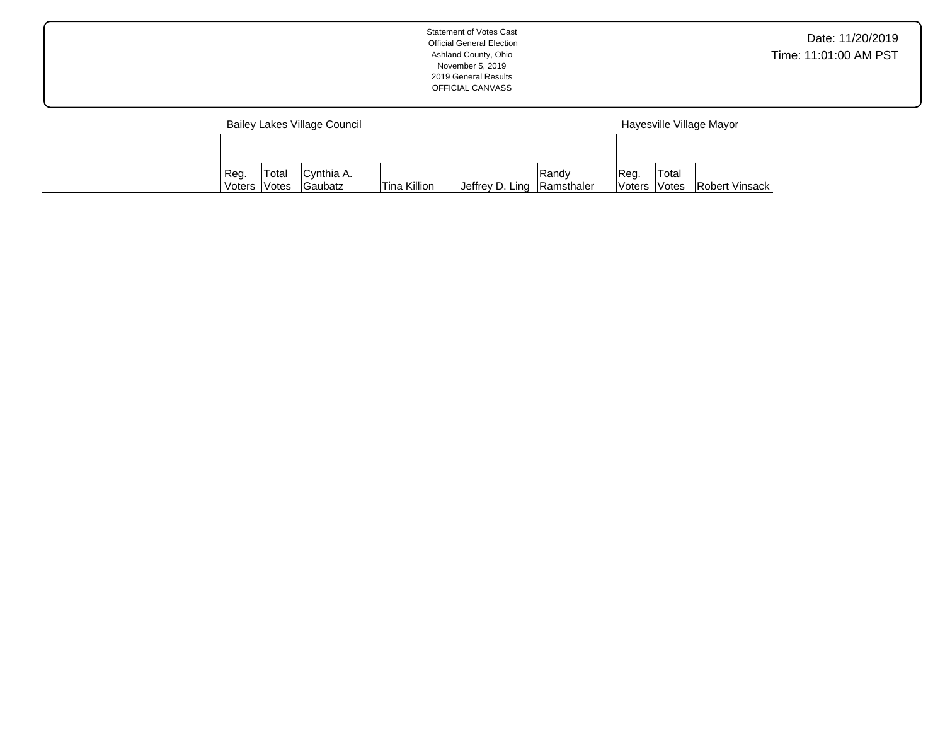|        |                     | Bailey Lakes Village Council |               |                 |            |        |       | Hayesville Village Mayor |
|--------|---------------------|------------------------------|---------------|-----------------|------------|--------|-------|--------------------------|
|        |                     |                              |               |                 |            |        |       |                          |
| Reg.   | Total               | Cynthia A.                   |               |                 | Randv      | Reg.   | Total |                          |
| Voters | <i><b>Notes</b></i> | Gaubatz                      | 'Tina Killion | Jeffrey D. Ling | Ramsthaler | Voters | Votes | Robert Vinsack           |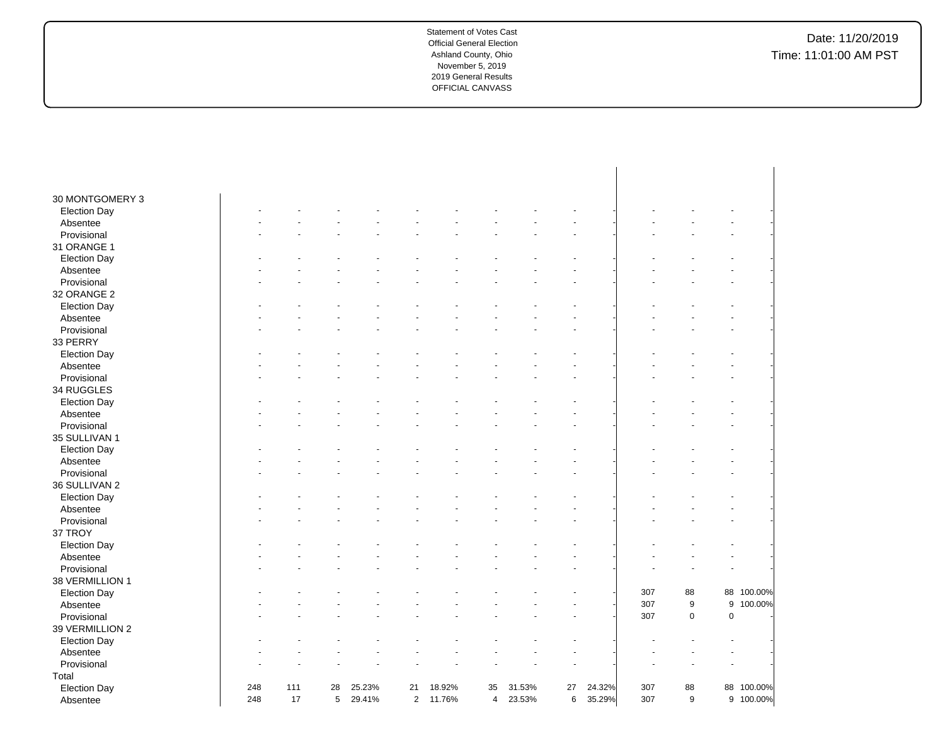| 30 MONTGOMERY 3         |     |     |    |        |                |        |                |        |    |        |     |                  |           |            |
|-------------------------|-----|-----|----|--------|----------------|--------|----------------|--------|----|--------|-----|------------------|-----------|------------|
| <b>Election Day</b>     |     |     |    |        |                |        |                |        |    |        |     |                  |           |            |
| Absentee                |     |     |    |        |                |        |                |        |    |        |     |                  |           |            |
| Provisional             |     |     |    |        |                |        |                |        |    |        |     |                  |           |            |
| 31 ORANGE 1             |     |     |    |        |                |        |                |        |    |        |     |                  |           |            |
|                         |     |     |    |        |                |        |                |        |    |        |     |                  |           |            |
| <b>Election Day</b>     |     |     |    |        |                |        |                |        |    |        |     |                  |           |            |
| Absentee<br>Provisional |     |     |    |        |                |        |                |        |    |        |     |                  |           |            |
|                         |     |     |    |        |                |        |                |        |    |        |     |                  |           |            |
| 32 ORANGE 2             |     |     |    |        |                |        |                |        |    |        |     |                  |           |            |
| <b>Election Day</b>     |     |     |    |        |                |        |                |        |    |        |     |                  |           |            |
| Absentee                |     |     |    |        |                |        |                |        |    |        |     |                  |           |            |
| Provisional             |     |     |    |        |                |        |                |        |    |        |     |                  |           |            |
| 33 PERRY                |     |     |    |        |                |        |                |        |    |        |     |                  |           |            |
| <b>Election Day</b>     |     |     |    |        |                |        |                |        |    |        |     |                  |           |            |
| Absentee                |     |     |    |        |                |        |                |        |    |        |     |                  |           |            |
| Provisional             |     |     |    |        |                |        |                |        |    |        |     |                  |           |            |
| 34 RUGGLES              |     |     |    |        |                |        |                |        |    |        |     |                  |           |            |
| <b>Election Day</b>     |     |     |    |        |                |        |                |        |    |        |     |                  |           |            |
| Absentee                |     |     |    |        |                |        |                |        |    |        |     |                  |           |            |
| Provisional             |     |     |    |        |                |        |                |        |    |        |     |                  |           |            |
| 35 SULLIVAN 1           |     |     |    |        |                |        |                |        |    |        |     |                  |           |            |
| <b>Election Day</b>     |     |     |    |        |                |        |                |        |    |        |     |                  |           |            |
| Absentee                |     |     |    |        |                |        |                |        |    |        |     |                  |           |            |
| Provisional             |     |     |    |        |                |        |                |        |    |        |     |                  |           |            |
| 36 SULLIVAN 2           |     |     |    |        |                |        |                |        |    |        |     |                  |           |            |
| <b>Election Day</b>     |     |     |    |        |                |        |                |        |    |        |     |                  |           |            |
| Absentee                |     |     |    |        |                |        |                |        |    |        |     |                  |           |            |
| Provisional             |     |     |    |        |                |        |                |        |    |        |     |                  |           |            |
| 37 TROY                 |     |     |    |        |                |        |                |        |    |        |     |                  |           |            |
| <b>Election Day</b>     |     |     |    |        |                |        |                |        |    |        |     |                  |           |            |
| Absentee                |     |     |    |        |                |        |                |        |    |        |     |                  |           |            |
| Provisional             |     |     |    |        |                |        |                |        |    |        |     |                  |           |            |
| 38 VERMILLION 1         |     |     |    |        |                |        |                |        |    |        |     |                  |           |            |
| <b>Election Day</b>     |     |     |    |        |                |        |                |        |    |        | 307 | 88               |           | 88 100.00% |
| Absentee                |     |     |    |        |                |        |                |        |    |        | 307 | $\boldsymbol{9}$ | 9         | 100.00%    |
| Provisional             |     |     |    |        |                |        |                |        |    |        | 307 | 0                | $\pmb{0}$ |            |
| 39 VERMILLION 2         |     |     |    |        |                |        |                |        |    |        |     |                  |           |            |
| <b>Election Day</b>     |     |     |    |        |                |        |                |        |    |        |     |                  |           |            |
| Absentee                |     |     |    |        |                |        |                |        |    |        |     |                  |           |            |
| Provisional             |     |     |    |        |                |        |                |        |    |        |     |                  |           |            |
| Total                   |     |     |    |        |                |        |                |        |    |        |     |                  |           |            |
| <b>Election Day</b>     | 248 | 111 | 28 | 25.23% | 21             | 18.92% | 35             | 31.53% | 27 | 24.32% | 307 | 88               |           | 88 100.00% |
| Absentee                | 248 | 17  | 5  | 29.41% | $\overline{2}$ | 11.76% | $\overline{4}$ | 23.53% | 6  | 35.29% | 307 | 9                |           | 9 100.00%  |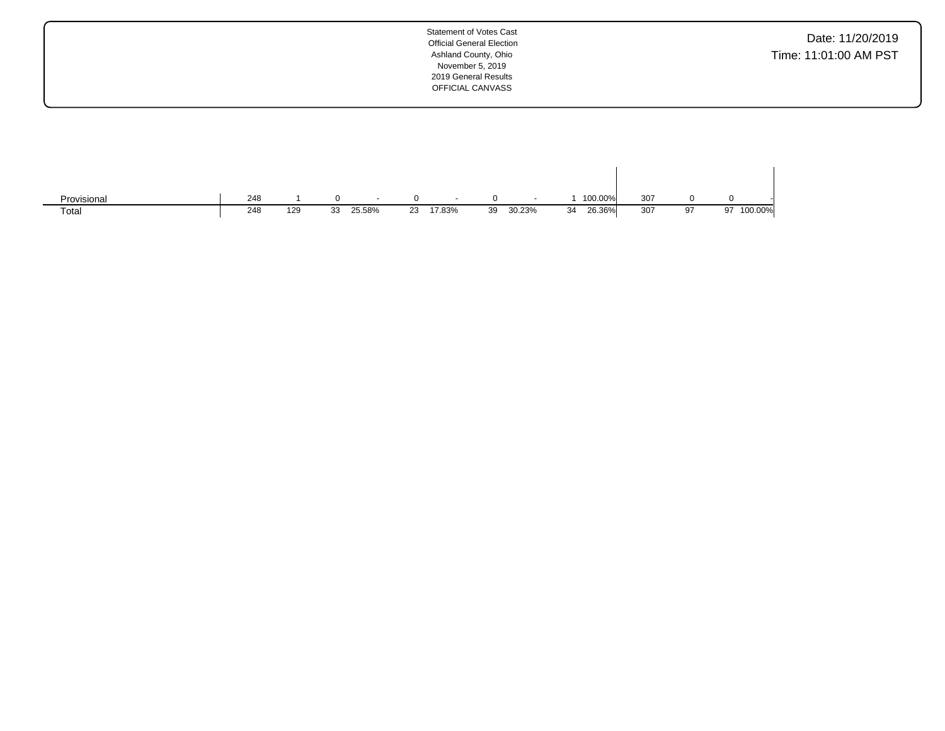| Provisional | 248 |     |    | $\overline{\phantom{a}}$ |    |        |    | $\sim$ |    | 100.00% | 307 |    |               |  |
|-------------|-----|-----|----|--------------------------|----|--------|----|--------|----|---------|-----|----|---------------|--|
| Total       | 248 | 129 | 33 | 25.58%                   | 23 | 17.83% | 39 | 30.23% | 34 | 26.36%  | 307 | 97 | 100.00%<br>97 |  |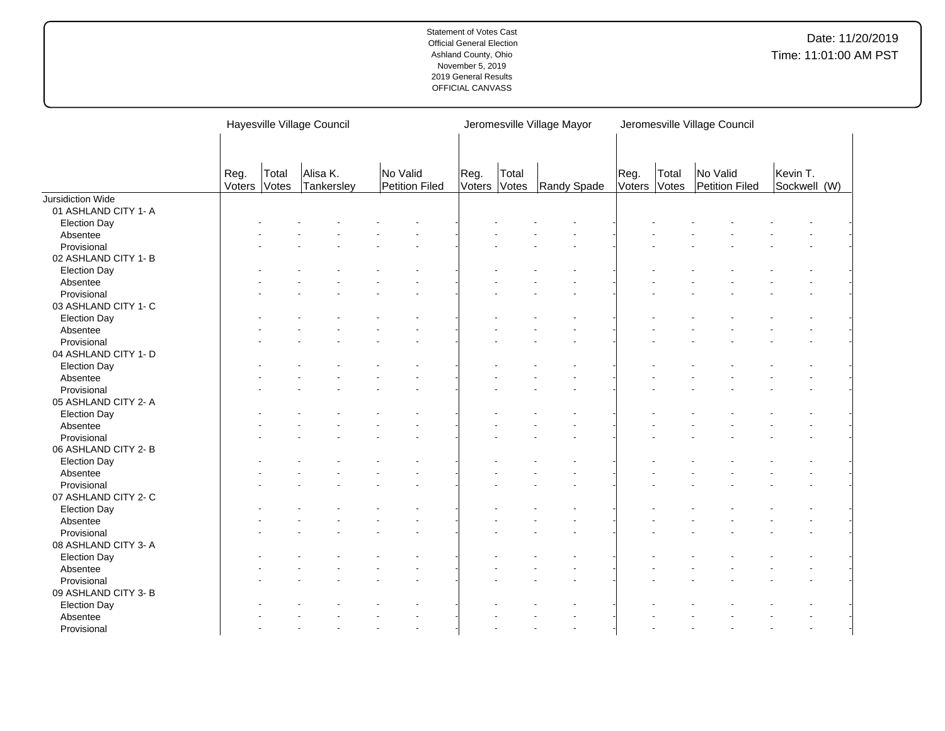|                      |                |                | Hayesville Village Council |                            |      |                       | Jeromesville Village Mayor |                |                | Jeromesville Village Council |                          |  |
|----------------------|----------------|----------------|----------------------------|----------------------------|------|-----------------------|----------------------------|----------------|----------------|------------------------------|--------------------------|--|
|                      | Reg.<br>Voters | Total<br>Votes | Alisa K.<br>Tankersley     | No Valid<br>Petition Filed | Reg. | Total<br>Voters Votes | Randy Spade                | Reg.<br>Voters | Total<br>Votes | No Valid<br>Petition Filed   | Kevin T.<br>Sockwell (W) |  |
| Jursidiction Wide    |                |                |                            |                            |      |                       |                            |                |                |                              |                          |  |
| 01 ASHLAND CITY 1- A |                |                |                            |                            |      |                       |                            |                |                |                              |                          |  |
| <b>Election Day</b>  |                |                |                            |                            |      |                       |                            |                |                |                              |                          |  |
| Absentee             |                |                |                            |                            |      |                       |                            |                |                |                              |                          |  |
| Provisional          |                |                |                            |                            |      |                       |                            |                |                |                              |                          |  |
| 02 ASHLAND CITY 1- B |                |                |                            |                            |      |                       |                            |                |                |                              |                          |  |
| <b>Election Day</b>  |                |                |                            |                            |      |                       |                            |                |                |                              |                          |  |
| Absentee             |                |                |                            |                            |      |                       |                            |                |                |                              |                          |  |
| Provisional          |                |                |                            |                            |      |                       |                            |                |                |                              |                          |  |
| 03 ASHLAND CITY 1- C |                |                |                            |                            |      |                       |                            |                |                |                              |                          |  |
| <b>Election Day</b>  |                |                |                            |                            |      |                       |                            |                |                |                              |                          |  |
| Absentee             |                |                |                            |                            |      |                       |                            |                |                |                              |                          |  |
| Provisional          |                |                |                            |                            |      |                       |                            |                |                |                              |                          |  |
| 04 ASHLAND CITY 1- D |                |                |                            |                            |      |                       |                            |                |                |                              |                          |  |
| <b>Election Day</b>  |                |                |                            |                            |      |                       |                            |                |                |                              |                          |  |
| Absentee             |                |                |                            |                            |      |                       |                            |                |                |                              |                          |  |
| Provisional          |                |                |                            |                            |      |                       |                            |                |                |                              |                          |  |
| 05 ASHLAND CITY 2- A |                |                |                            |                            |      |                       |                            |                |                |                              |                          |  |
| <b>Election Day</b>  |                |                |                            |                            |      |                       |                            |                |                |                              |                          |  |
| Absentee             |                |                |                            |                            |      |                       |                            |                |                |                              |                          |  |
| Provisional          |                |                |                            |                            |      |                       |                            |                |                |                              |                          |  |
| 06 ASHLAND CITY 2- B |                |                |                            |                            |      |                       |                            |                |                |                              |                          |  |
| <b>Election Day</b>  |                |                |                            |                            |      |                       |                            |                |                |                              |                          |  |
| Absentee             |                |                |                            |                            |      |                       |                            |                |                |                              |                          |  |
| Provisional          |                |                |                            |                            |      |                       |                            |                |                |                              |                          |  |
| 07 ASHLAND CITY 2- C |                |                |                            |                            |      |                       |                            |                |                |                              |                          |  |
| <b>Election Day</b>  |                |                |                            |                            |      |                       |                            |                |                |                              |                          |  |
| Absentee             |                |                |                            |                            |      |                       |                            |                |                |                              |                          |  |
| Provisional          |                |                |                            |                            |      |                       |                            |                |                |                              |                          |  |
| 08 ASHLAND CITY 3- A |                |                |                            |                            |      |                       |                            |                |                |                              |                          |  |
| <b>Election Day</b>  |                |                |                            |                            |      |                       |                            |                |                |                              |                          |  |
| Absentee             |                |                |                            |                            |      |                       |                            |                |                |                              |                          |  |
| Provisional          |                |                |                            |                            |      |                       |                            |                |                |                              |                          |  |
| 09 ASHLAND CITY 3- B |                |                |                            |                            |      |                       |                            |                |                |                              |                          |  |
| <b>Election Day</b>  |                |                |                            |                            |      |                       |                            |                |                |                              |                          |  |
| Absentee             |                |                |                            |                            |      |                       |                            |                |                |                              |                          |  |
| Provisional          |                |                |                            |                            |      |                       |                            |                |                |                              |                          |  |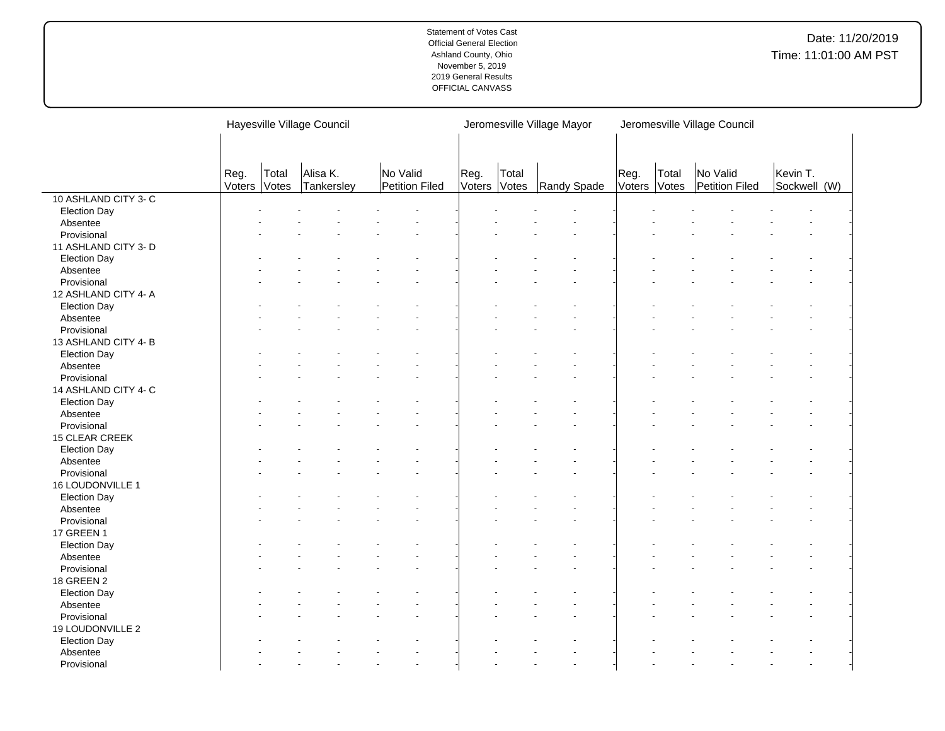|                      |                |                | Hayesville Village Council |                            |      |                       | Jeromesville Village Mayor |                |                | Jeromesville Village Council |                          |  |
|----------------------|----------------|----------------|----------------------------|----------------------------|------|-----------------------|----------------------------|----------------|----------------|------------------------------|--------------------------|--|
|                      |                |                |                            |                            |      |                       |                            |                |                |                              |                          |  |
|                      | Reg.<br>Voters | Total<br>Votes | Alisa K.<br>Tankersley     | No Valid<br>Petition Filed | Reg. | Total<br>Voters Votes | Randy Spade                | Reg.<br>Voters | Total<br>Votes | No Valid<br>Petition Filed   | Kevin T.<br>Sockwell (W) |  |
| 10 ASHLAND CITY 3-C  |                |                |                            |                            |      |                       |                            |                |                |                              |                          |  |
| <b>Election Day</b>  |                |                |                            |                            |      |                       |                            |                |                |                              |                          |  |
| Absentee             |                |                |                            |                            |      |                       |                            |                |                |                              |                          |  |
| Provisional          |                |                |                            |                            |      |                       |                            |                |                |                              |                          |  |
| 11 ASHLAND CITY 3- D |                |                |                            |                            |      |                       |                            |                |                |                              |                          |  |
| <b>Election Day</b>  |                |                |                            |                            |      |                       |                            |                |                |                              |                          |  |
| Absentee             |                |                |                            |                            |      |                       |                            |                |                |                              |                          |  |
| Provisional          |                |                |                            |                            |      |                       |                            |                |                |                              |                          |  |
| 12 ASHLAND CITY 4- A |                |                |                            |                            |      |                       |                            |                |                |                              |                          |  |
| <b>Election Day</b>  |                |                |                            |                            |      |                       |                            |                |                |                              |                          |  |
| Absentee             |                |                |                            |                            |      |                       |                            |                |                |                              |                          |  |
| Provisional          |                |                |                            |                            |      |                       |                            |                |                |                              |                          |  |
| 13 ASHLAND CITY 4-B  |                |                |                            |                            |      |                       |                            |                |                |                              |                          |  |
| <b>Election Day</b>  |                |                |                            |                            |      |                       |                            |                |                |                              |                          |  |
| Absentee             |                |                |                            |                            |      |                       |                            |                |                |                              |                          |  |
| Provisional          |                |                |                            |                            |      |                       |                            |                |                |                              |                          |  |
| 14 ASHLAND CITY 4- C |                |                |                            |                            |      |                       |                            |                |                |                              |                          |  |
| <b>Election Day</b>  |                |                |                            |                            |      |                       |                            |                |                |                              |                          |  |
| Absentee             |                |                |                            |                            |      |                       |                            |                |                |                              |                          |  |
| Provisional          |                |                |                            |                            |      |                       |                            |                |                |                              |                          |  |
| 15 CLEAR CREEK       |                |                |                            |                            |      |                       |                            |                |                |                              |                          |  |
| <b>Election Day</b>  |                |                |                            |                            |      |                       |                            |                |                |                              |                          |  |
| Absentee             |                |                |                            |                            |      |                       |                            |                |                |                              |                          |  |
| Provisional          |                |                |                            |                            |      |                       |                            |                |                |                              |                          |  |
| 16 LOUDONVILLE 1     |                |                |                            |                            |      |                       |                            |                |                |                              |                          |  |
| <b>Election Day</b>  |                |                |                            |                            |      |                       |                            |                |                |                              |                          |  |
| Absentee             |                |                |                            |                            |      |                       |                            |                |                |                              |                          |  |
| Provisional          |                |                |                            |                            |      |                       |                            |                |                |                              |                          |  |
| 17 GREEN 1           |                |                |                            |                            |      |                       |                            |                |                |                              |                          |  |
| <b>Election Day</b>  |                |                |                            |                            |      |                       |                            |                |                |                              |                          |  |
| Absentee             |                |                |                            |                            |      |                       |                            |                |                |                              |                          |  |
| Provisional          |                |                |                            |                            |      |                       |                            |                |                |                              |                          |  |
| 18 GREEN 2           |                |                |                            |                            |      |                       |                            |                |                |                              |                          |  |
| <b>Election Day</b>  |                |                |                            |                            |      |                       |                            |                |                |                              |                          |  |
| Absentee             |                |                |                            |                            |      |                       |                            |                |                |                              |                          |  |
| Provisional          |                |                |                            |                            |      |                       |                            |                |                |                              |                          |  |
| 19 LOUDONVILLE 2     |                |                |                            |                            |      |                       |                            |                |                |                              |                          |  |
| <b>Election Day</b>  |                |                |                            |                            |      |                       |                            |                |                |                              |                          |  |
| Absentee             |                |                |                            |                            |      |                       |                            |                |                |                              |                          |  |
| Provisional          |                |                |                            |                            |      |                       |                            |                |                |                              |                          |  |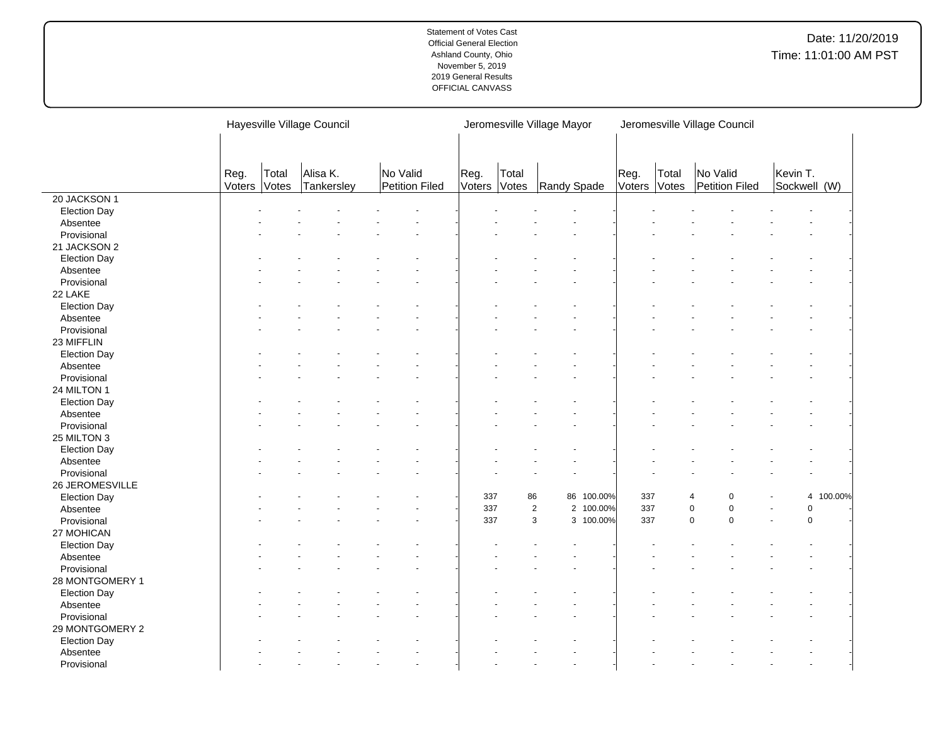|                     |                |                | Hayesville Village Council |                            |      |                       | Jeromesville Village Mayor  |                |                | Jeromesville Village Council |          |              |
|---------------------|----------------|----------------|----------------------------|----------------------------|------|-----------------------|-----------------------------|----------------|----------------|------------------------------|----------|--------------|
|                     |                |                |                            |                            |      |                       |                             |                |                |                              |          |              |
|                     | Reg.<br>Voters | Total<br>Votes | Alisa K.<br>Tankersley     | No Valid<br>Petition Filed | Reg. | Total<br>Voters Votes | Randy Spade                 | Reg.<br>Voters | Total<br>Votes | No Valid<br>Petition Filed   | Kevin T. | Sockwell (W) |
| 20 JACKSON 1        |                |                |                            |                            |      |                       |                             |                |                |                              |          |              |
| <b>Election Day</b> |                |                |                            |                            |      |                       |                             |                |                |                              |          |              |
| Absentee            |                |                |                            |                            |      |                       |                             |                |                |                              |          |              |
| Provisional         |                |                |                            |                            |      |                       |                             |                |                |                              |          |              |
| 21 JACKSON 2        |                |                |                            |                            |      |                       |                             |                |                |                              |          |              |
| <b>Election Day</b> |                |                |                            |                            |      |                       |                             |                |                |                              |          |              |
| Absentee            |                |                |                            |                            |      |                       |                             |                |                |                              |          |              |
| Provisional         |                |                |                            |                            |      |                       |                             |                |                |                              |          |              |
| 22 LAKE             |                |                |                            |                            |      |                       |                             |                |                |                              |          |              |
| <b>Election Day</b> |                |                |                            |                            |      |                       |                             |                |                |                              |          |              |
| Absentee            |                |                |                            |                            |      |                       |                             |                |                |                              |          |              |
| Provisional         |                |                |                            |                            |      |                       |                             |                |                |                              |          |              |
| 23 MIFFLIN          |                |                |                            |                            |      |                       |                             |                |                |                              |          |              |
| <b>Election Day</b> |                |                |                            |                            |      |                       |                             |                |                |                              |          |              |
| Absentee            |                |                |                            |                            |      |                       |                             |                |                |                              |          |              |
| Provisional         |                |                |                            |                            |      |                       |                             |                |                |                              |          |              |
| 24 MILTON 1         |                |                |                            |                            |      |                       |                             |                |                |                              |          |              |
| <b>Election Day</b> |                |                |                            |                            |      |                       |                             |                |                |                              |          |              |
| Absentee            |                |                |                            |                            |      |                       |                             |                |                |                              |          |              |
| Provisional         |                |                |                            |                            |      |                       |                             |                |                |                              |          |              |
| 25 MILTON 3         |                |                |                            |                            |      |                       |                             |                |                |                              |          |              |
| <b>Election Day</b> |                |                |                            |                            |      |                       |                             |                |                |                              |          |              |
| Absentee            |                |                |                            |                            |      |                       |                             |                |                |                              |          |              |
| Provisional         |                |                |                            |                            |      |                       |                             |                |                |                              |          |              |
| 26 JEROMESVILLE     |                |                |                            |                            |      |                       |                             |                |                |                              |          |              |
| <b>Election Day</b> |                |                |                            |                            | 337  | 86                    | 86 100.00%                  | 337            |                | $\overline{4}$<br>$\Omega$   |          | 4 100.00%    |
| Absentee            |                |                |                            |                            | 337  |                       | $\overline{2}$<br>2 100.00% | 337            |                | $\pmb{0}$<br>$\pmb{0}$       |          | $\mathsf 0$  |
| Provisional         |                |                |                            |                            | 337  |                       | 3<br>3 100.00%              | 337            |                | $\mathbf 0$<br>$\mathbf 0$   |          | 0            |
| 27 MOHICAN          |                |                |                            |                            |      |                       |                             |                |                |                              |          |              |
| <b>Election Day</b> |                |                |                            |                            |      |                       |                             |                |                |                              |          |              |
| Absentee            |                |                |                            |                            |      |                       |                             |                |                |                              |          |              |
| Provisional         |                |                |                            |                            |      |                       |                             |                |                |                              |          |              |
| 28 MONTGOMERY 1     |                |                |                            |                            |      |                       |                             |                |                |                              |          |              |
| <b>Election Day</b> |                |                |                            |                            |      |                       |                             |                |                |                              |          |              |
| Absentee            |                |                |                            |                            |      |                       |                             |                |                |                              |          |              |
| Provisional         |                |                |                            |                            |      |                       |                             |                |                |                              |          |              |
| 29 MONTGOMERY 2     |                |                |                            |                            |      |                       |                             |                |                |                              |          |              |
| <b>Election Day</b> |                |                |                            |                            |      |                       |                             |                |                |                              |          |              |
| Absentee            |                |                |                            |                            |      |                       |                             |                |                |                              |          |              |
| Provisional         |                |                |                            |                            |      |                       |                             |                |                |                              |          |              |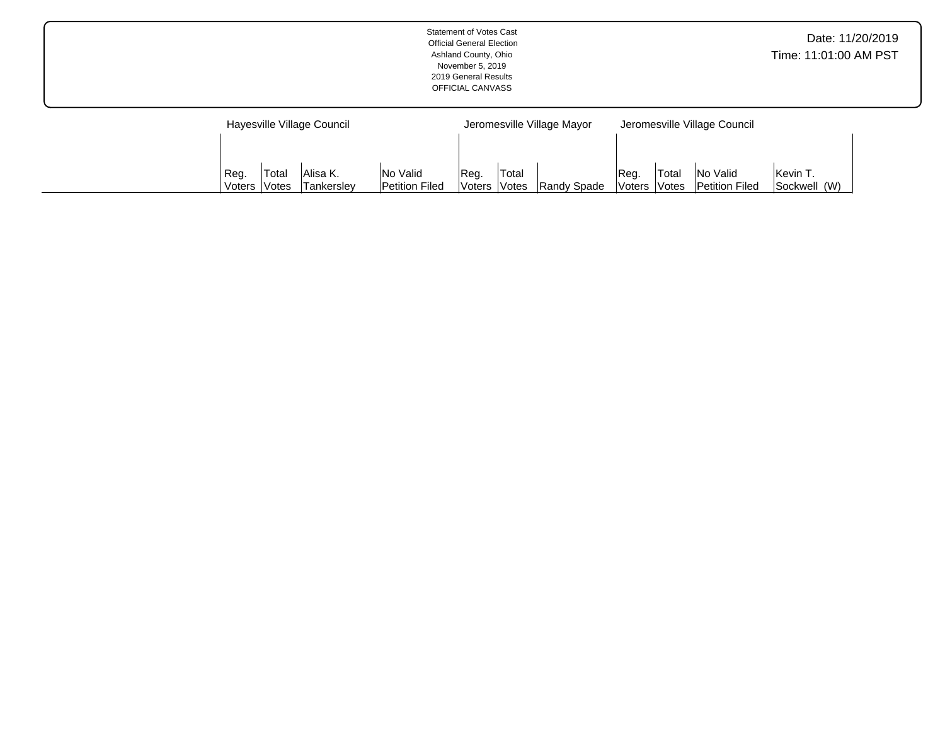|                            | <b>Statement of Votes Cast</b><br><b>Official General Election</b><br>Ashland County, Ohio<br>November 5, 2019<br>2019 General Results<br>OFFICIAL CANVASS |                              | Date: 11/20/2019<br>Time: 11:01:00 AM PST |
|----------------------------|------------------------------------------------------------------------------------------------------------------------------------------------------------|------------------------------|-------------------------------------------|
| Hayesville Village Council | Jeromesville Village Mayor                                                                                                                                 | Jeromesville Village Council |                                           |

Reg. Voters Total

Votes | Randy Spade

Reg. Voters Total Votes No Valid Petition Filed Kevin T. Sockwell (W)

Reg. Voters Total Votes Alisa K. Tankersley No Valid Petition Filed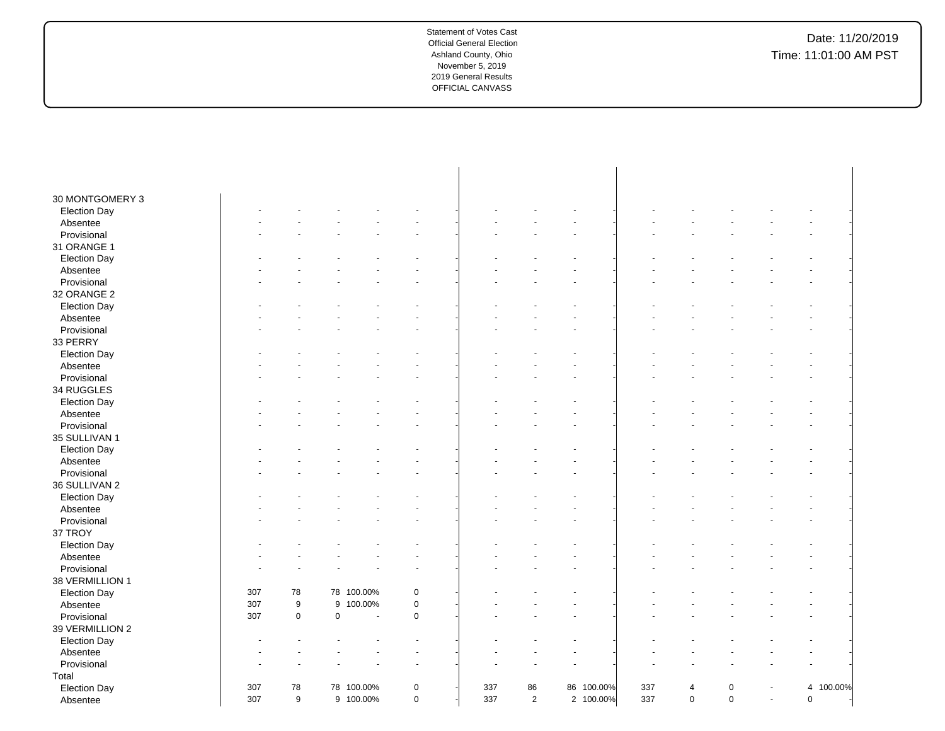| 30 MONTGOMERY 3     |     |                  |   |            |             |     |                |            |     |                |             |        |             |           |  |
|---------------------|-----|------------------|---|------------|-------------|-----|----------------|------------|-----|----------------|-------------|--------|-------------|-----------|--|
| <b>Election Day</b> |     |                  |   |            |             |     |                |            |     |                |             |        |             |           |  |
| Absentee            |     |                  |   |            |             |     |                |            |     |                |             |        |             |           |  |
| Provisional         |     |                  |   |            |             |     |                |            |     |                |             |        |             |           |  |
| 31 ORANGE 1         |     |                  |   |            |             |     |                |            |     |                |             |        |             |           |  |
| <b>Election Day</b> |     |                  |   |            |             |     |                |            |     |                |             |        |             |           |  |
| Absentee            |     |                  |   |            |             |     |                |            |     |                |             |        |             |           |  |
| Provisional         |     |                  |   |            |             |     |                |            |     |                |             |        |             |           |  |
| 32 ORANGE 2         |     |                  |   |            |             |     |                |            |     |                |             |        |             |           |  |
| <b>Election Day</b> |     |                  |   |            |             |     |                |            |     |                |             |        |             |           |  |
| Absentee            |     |                  |   |            |             |     |                |            |     |                |             |        |             |           |  |
| Provisional         |     |                  |   |            |             |     |                |            |     |                |             |        |             |           |  |
| 33 PERRY            |     |                  |   |            |             |     |                |            |     |                |             |        |             |           |  |
| <b>Election Day</b> |     |                  |   |            |             |     |                |            |     |                |             |        |             |           |  |
| Absentee            |     |                  |   |            |             |     |                |            |     |                |             |        |             |           |  |
| Provisional         |     |                  |   |            |             |     |                |            |     |                |             |        |             |           |  |
| 34 RUGGLES          |     |                  |   |            |             |     |                |            |     |                |             |        |             |           |  |
| <b>Election Day</b> |     |                  |   |            |             |     |                |            |     |                |             |        |             |           |  |
| Absentee            |     |                  |   |            |             |     |                |            |     |                |             |        |             |           |  |
| Provisional         |     |                  |   |            |             |     |                |            |     |                |             |        |             |           |  |
| 35 SULLIVAN 1       |     |                  |   |            |             |     |                |            |     |                |             |        |             |           |  |
| <b>Election Day</b> |     |                  |   |            |             |     |                |            |     |                |             |        |             |           |  |
| Absentee            |     |                  |   |            |             |     |                |            |     |                |             |        |             |           |  |
| Provisional         |     |                  |   |            |             |     |                |            |     |                |             |        |             |           |  |
| 36 SULLIVAN 2       |     |                  |   |            |             |     |                |            |     |                |             |        |             |           |  |
| <b>Election Day</b> |     |                  |   |            |             |     |                |            |     |                |             |        |             |           |  |
| Absentee            |     |                  |   |            |             |     |                |            |     |                |             |        |             |           |  |
| Provisional         |     |                  |   |            |             |     |                |            |     |                |             |        |             |           |  |
| 37 TROY             |     |                  |   |            |             |     |                |            |     |                |             |        |             |           |  |
| <b>Election Day</b> |     |                  |   |            |             |     |                |            |     |                |             |        |             |           |  |
| Absentee            |     |                  |   |            |             |     |                |            |     |                |             |        |             |           |  |
| Provisional         |     |                  |   |            |             |     |                |            |     |                |             |        |             |           |  |
| 38 VERMILLION 1     |     |                  |   |            |             |     |                |            |     |                |             |        |             |           |  |
| <b>Election Day</b> | 307 | 78               |   | 78 100.00% | 0           |     |                |            |     |                |             |        |             |           |  |
| Absentee            | 307 | $\boldsymbol{9}$ | 9 | 100.00%    | $\pmb{0}$   |     |                |            |     |                |             |        |             |           |  |
| Provisional         | 307 | $\mathbf 0$      | 0 | ÷,         | $\mathbf 0$ |     |                |            |     |                |             |        |             |           |  |
| 39 VERMILLION 2     |     |                  |   |            |             |     |                |            |     |                |             |        |             |           |  |
| <b>Election Day</b> |     |                  |   |            |             |     |                |            |     |                |             |        |             |           |  |
| Absentee            |     |                  |   |            |             |     |                |            |     |                |             |        |             |           |  |
| Provisional         |     |                  |   |            |             |     |                |            |     |                |             |        |             |           |  |
| Total               |     |                  |   |            |             |     |                |            |     |                |             |        |             |           |  |
| <b>Election Day</b> | 307 | 78               |   | 78 100.00% | $\pmb{0}$   | 337 | 86             | 86 100.00% | 337 | $\overline{4}$ | $\mathbf 0$ |        |             | 4 100.00% |  |
| Absentee            | 307 | 9                |   | 9 100.00%  | $\mathsf 0$ | 337 | $\overline{2}$ | 2 100.00%  | 337 | $\mathbf 0$    | $\mathbf 0$ | $\sim$ | $\mathbf 0$ |           |  |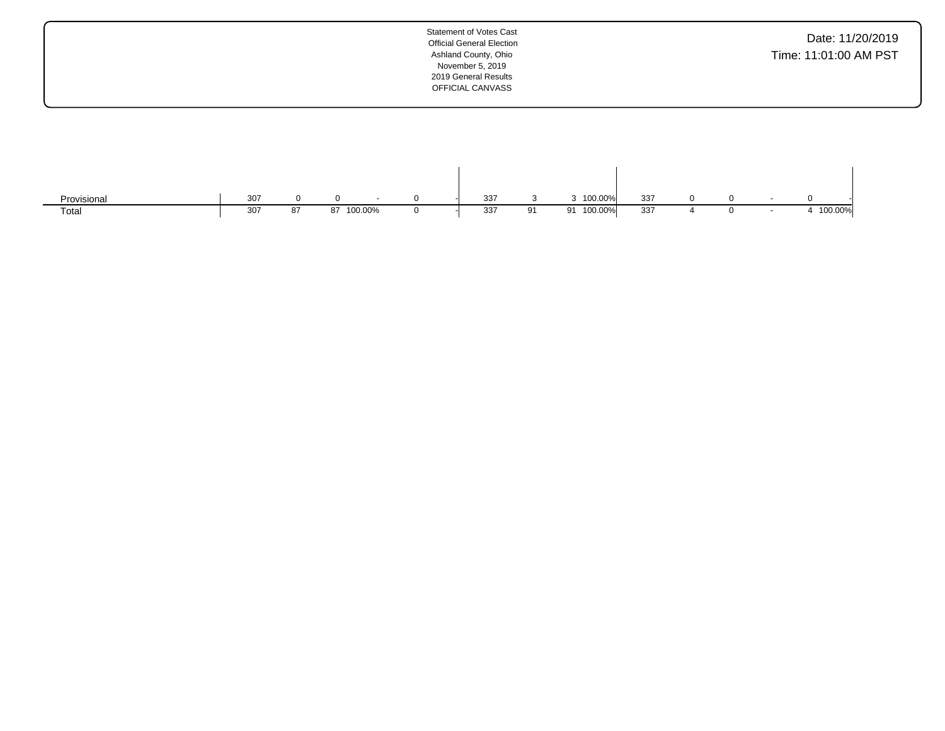| <b>Statement of Votes Cast</b><br><b>Official General Election</b><br>Ashland County, Ohio<br>November 5, 2019<br>2019 General Results<br>OFFICIAL CANVASS | Date: 11/20/2019<br>Time: 11:01:00 AM PST |
|------------------------------------------------------------------------------------------------------------------------------------------------------------|-------------------------------------------|
|                                                                                                                                                            |                                           |

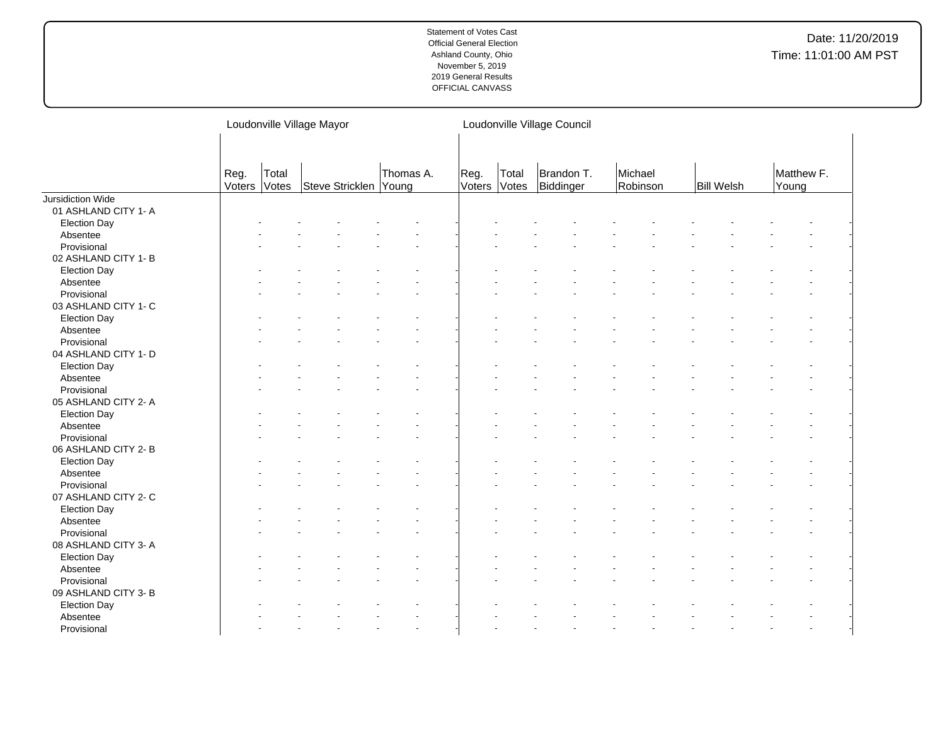|                      |                |                | Loudonville Village Mayor |           | Loudonville Village Council |       |                         |                     |                   |                     |  |  |  |
|----------------------|----------------|----------------|---------------------------|-----------|-----------------------------|-------|-------------------------|---------------------|-------------------|---------------------|--|--|--|
|                      | Reg.<br>Voters | Total<br>Votes | Steve Stricklen Young     | Thomas A. | Reg.<br>Voters Votes        | Total | Brandon T.<br>Biddinger | Michael<br>Robinson | <b>Bill Welsh</b> | Matthew F.<br>Young |  |  |  |
| Jursidiction Wide    |                |                |                           |           |                             |       |                         |                     |                   |                     |  |  |  |
| 01 ASHLAND CITY 1- A |                |                |                           |           |                             |       |                         |                     |                   |                     |  |  |  |
| <b>Election Day</b>  |                |                |                           |           |                             |       |                         |                     |                   |                     |  |  |  |
| Absentee             |                |                |                           |           |                             |       |                         |                     |                   |                     |  |  |  |
| Provisional          |                |                |                           |           |                             |       |                         |                     |                   |                     |  |  |  |
| 02 ASHLAND CITY 1- B |                |                |                           |           |                             |       |                         |                     |                   |                     |  |  |  |
| <b>Election Day</b>  |                |                |                           |           |                             |       |                         |                     |                   |                     |  |  |  |
| Absentee             |                |                |                           |           |                             |       |                         |                     |                   |                     |  |  |  |
| Provisional          |                |                |                           |           |                             |       |                         |                     |                   |                     |  |  |  |
| 03 ASHLAND CITY 1- C |                |                |                           |           |                             |       |                         |                     |                   |                     |  |  |  |
| <b>Election Day</b>  |                |                |                           |           |                             |       |                         |                     |                   |                     |  |  |  |
| Absentee             |                |                |                           |           |                             |       |                         |                     |                   |                     |  |  |  |
| Provisional          |                |                |                           |           |                             |       |                         |                     |                   |                     |  |  |  |
| 04 ASHLAND CITY 1- D |                |                |                           |           |                             |       |                         |                     |                   |                     |  |  |  |
| <b>Election Day</b>  |                |                |                           |           |                             |       |                         |                     |                   |                     |  |  |  |
| Absentee             |                |                |                           |           |                             |       |                         |                     |                   |                     |  |  |  |
| Provisional          |                |                |                           |           |                             |       |                         |                     |                   |                     |  |  |  |
| 05 ASHLAND CITY 2- A |                |                |                           |           |                             |       |                         |                     |                   |                     |  |  |  |
| <b>Election Day</b>  |                |                |                           |           |                             |       |                         |                     |                   |                     |  |  |  |
| Absentee             |                |                |                           |           |                             |       |                         |                     |                   |                     |  |  |  |
| Provisional          |                |                |                           |           |                             |       |                         |                     |                   |                     |  |  |  |
| 06 ASHLAND CITY 2-B  |                |                |                           |           |                             |       |                         |                     |                   |                     |  |  |  |
| <b>Election Day</b>  |                |                |                           |           |                             |       |                         |                     |                   |                     |  |  |  |
| Absentee             |                |                |                           |           |                             |       |                         |                     |                   |                     |  |  |  |
| Provisional          |                |                |                           |           |                             |       |                         |                     |                   |                     |  |  |  |
| 07 ASHLAND CITY 2- C |                |                |                           |           |                             |       |                         |                     |                   |                     |  |  |  |
| <b>Election Day</b>  |                |                |                           |           |                             |       |                         |                     |                   |                     |  |  |  |
| Absentee             |                |                |                           |           |                             |       |                         |                     |                   |                     |  |  |  |
| Provisional          |                |                |                           |           |                             |       |                         |                     |                   |                     |  |  |  |
| 08 ASHLAND CITY 3- A |                |                |                           |           |                             |       |                         |                     |                   |                     |  |  |  |
| <b>Election Day</b>  |                |                |                           |           |                             |       |                         |                     |                   |                     |  |  |  |
| Absentee             |                |                |                           |           |                             |       |                         |                     |                   |                     |  |  |  |
| Provisional          |                |                |                           |           |                             |       |                         |                     |                   |                     |  |  |  |
| 09 ASHLAND CITY 3- B |                |                |                           |           |                             |       |                         |                     |                   |                     |  |  |  |
| <b>Election Day</b>  |                |                |                           |           |                             |       |                         |                     |                   |                     |  |  |  |
| Absentee             |                |                |                           |           |                             |       |                         |                     |                   |                     |  |  |  |
| Provisional          |                |                |                           |           |                             |       |                         |                     |                   |                     |  |  |  |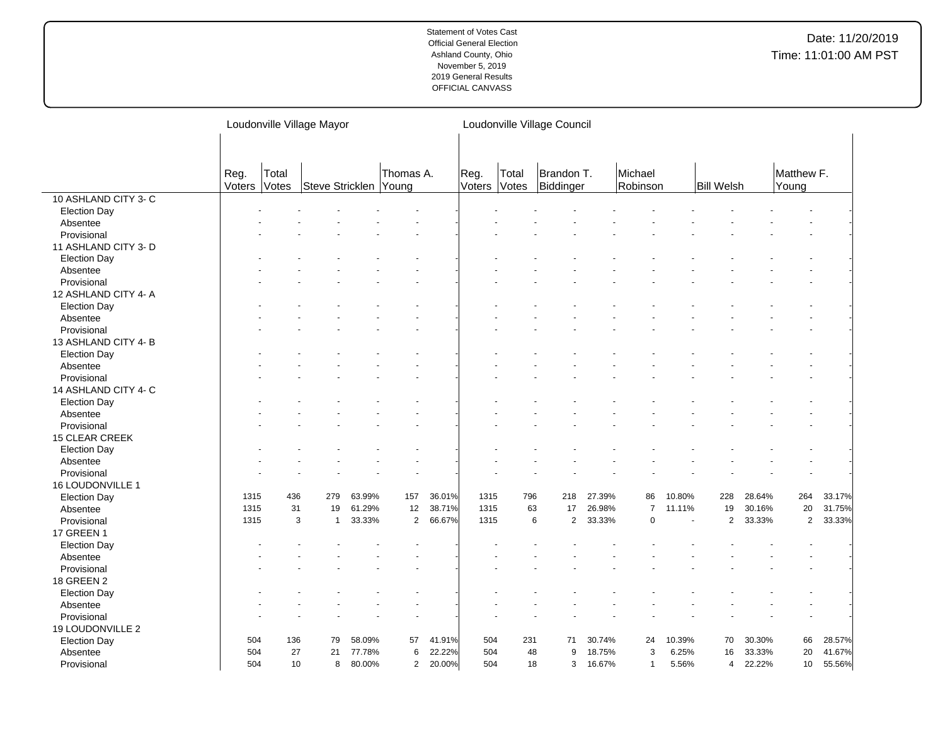|                      | Loudonville Village Mayor |                |                   |                       |                |        |                | Loudonville Village Council |                         |        |                     |        |                   |        |                     |        |  |
|----------------------|---------------------------|----------------|-------------------|-----------------------|----------------|--------|----------------|-----------------------------|-------------------------|--------|---------------------|--------|-------------------|--------|---------------------|--------|--|
|                      |                           |                |                   |                       |                |        |                |                             |                         |        |                     |        |                   |        |                     |        |  |
|                      | Reg.<br>Voters            | Total<br>Votes |                   | Steve Stricklen Young | Thomas A.      |        | Reg.<br>Voters | Total<br>Votes              | Brandon T.<br>Biddinger |        | Michael<br>Robinson |        | <b>Bill Welsh</b> |        | Matthew F.<br>Young |        |  |
| 10 ASHLAND CITY 3- C |                           |                |                   |                       |                |        |                |                             |                         |        |                     |        |                   |        |                     |        |  |
| <b>Election Day</b>  |                           |                |                   |                       |                |        |                |                             |                         |        |                     |        |                   |        |                     |        |  |
| Absentee             |                           |                |                   |                       |                |        |                |                             |                         |        |                     |        |                   |        |                     |        |  |
| Provisional          |                           |                |                   |                       |                |        |                |                             |                         |        |                     |        |                   |        |                     |        |  |
| 11 ASHLAND CITY 3- D |                           |                |                   |                       |                |        |                |                             |                         |        |                     |        |                   |        |                     |        |  |
| <b>Election Day</b>  |                           |                |                   |                       |                |        |                |                             |                         |        |                     |        |                   |        |                     |        |  |
| Absentee             |                           |                |                   |                       |                |        |                |                             |                         |        |                     |        |                   |        |                     |        |  |
| Provisional          |                           |                |                   |                       |                |        |                |                             |                         |        |                     |        |                   |        |                     |        |  |
| 12 ASHLAND CITY 4- A |                           |                |                   |                       |                |        |                |                             |                         |        |                     |        |                   |        |                     |        |  |
| <b>Election Day</b>  |                           |                |                   |                       |                |        |                |                             |                         |        |                     |        |                   |        |                     |        |  |
| Absentee             |                           |                |                   |                       |                |        |                |                             |                         |        |                     |        |                   |        |                     |        |  |
| Provisional          |                           |                |                   |                       |                |        |                |                             |                         |        |                     |        |                   |        |                     |        |  |
| 13 ASHLAND CITY 4-B  |                           |                |                   |                       |                |        |                |                             |                         |        |                     |        |                   |        |                     |        |  |
| <b>Election Day</b>  |                           |                |                   |                       |                |        |                |                             |                         |        |                     |        |                   |        |                     |        |  |
| Absentee             |                           |                |                   |                       |                |        |                |                             |                         |        |                     |        |                   |        |                     |        |  |
| Provisional          |                           |                |                   |                       |                |        |                |                             |                         |        |                     |        |                   |        |                     |        |  |
| 14 ASHLAND CITY 4- C |                           |                |                   |                       |                |        |                |                             |                         |        |                     |        |                   |        |                     |        |  |
| <b>Election Day</b>  |                           |                |                   |                       |                |        |                |                             |                         |        |                     |        |                   |        |                     |        |  |
| Absentee             |                           |                |                   |                       |                |        |                |                             |                         |        |                     |        |                   |        |                     |        |  |
| Provisional          |                           |                |                   |                       |                |        |                |                             |                         |        |                     |        |                   |        |                     |        |  |
|                      |                           |                |                   |                       |                |        |                |                             |                         |        |                     |        |                   |        |                     |        |  |
| 15 CLEAR CREEK       |                           |                |                   |                       |                |        |                |                             |                         |        |                     |        |                   |        |                     |        |  |
| <b>Election Day</b>  |                           |                |                   |                       |                |        |                |                             |                         |        |                     |        |                   |        |                     |        |  |
| Absentee             |                           |                |                   |                       |                |        |                |                             |                         |        |                     |        |                   |        |                     |        |  |
| Provisional          |                           |                |                   |                       |                |        |                |                             |                         |        |                     |        |                   |        |                     |        |  |
| 16 LOUDONVILLE 1     |                           |                |                   |                       |                |        |                |                             |                         |        |                     |        |                   |        |                     |        |  |
| <b>Election Day</b>  | 1315                      | 436            | 279               | 63.99%                | 157            | 36.01% | 1315           | 796                         | 218                     | 27.39% | 86                  | 10.80% | 228               | 28.64% | 264                 | 33.17% |  |
| Absentee             | 1315                      | 31             | 19                | 61.29%                | 12             | 38.71% | 1315           | 63                          | 17                      | 26.98% | $\overline{7}$      | 11.11% | 19                | 30.16% | 20                  | 31.75% |  |
| Provisional          | 1315                      |                | 3<br>$\mathbf{1}$ | 33.33%                | $\overline{2}$ | 66.67% | 1315           |                             | 6<br>$\overline{2}$     | 33.33% | 0                   | $\sim$ | $\overline{2}$    | 33.33% | $\overline{2}$      | 33.33% |  |
| <b>17 GREEN 1</b>    |                           |                |                   |                       |                |        |                |                             |                         |        |                     |        |                   |        |                     |        |  |
| <b>Election Day</b>  |                           |                |                   |                       |                |        |                |                             |                         |        |                     |        |                   |        |                     |        |  |
| Absentee             |                           |                |                   |                       |                |        |                |                             |                         |        |                     |        |                   |        |                     |        |  |
| Provisional          |                           |                |                   |                       |                |        |                |                             |                         |        |                     |        |                   |        |                     |        |  |
| 18 GREEN 2           |                           |                |                   |                       |                |        |                |                             |                         |        |                     |        |                   |        |                     |        |  |
| <b>Election Day</b>  |                           |                |                   |                       |                |        |                |                             |                         |        |                     |        |                   |        |                     |        |  |
| Absentee             |                           |                |                   |                       |                |        |                |                             |                         |        |                     |        |                   |        |                     |        |  |
| Provisional          |                           |                |                   |                       |                |        |                |                             |                         |        |                     |        |                   |        |                     |        |  |
| 19 LOUDONVILLE 2     |                           |                |                   |                       |                |        |                |                             |                         |        |                     |        |                   |        |                     |        |  |
| <b>Election Day</b>  | 504                       | 136            | 79                | 58.09%                | 57             | 41.91% | 504            | 231                         | 71                      | 30.74% | 24                  | 10.39% | 70                | 30.30% | 66                  | 28.57% |  |
| Absentee             | 504                       | 27             | 21                | 77.78%                | 6              | 22.22% | 504            | 48                          | 9                       | 18.75% | 3                   | 6.25%  | 16                | 33.33% | 20                  | 41.67% |  |
| Provisional          | 504                       | 10             | 8                 | 80.00%                | $\overline{c}$ | 20.00% | 504            | 18                          | 3                       | 16.67% | $\mathbf{1}$        | 5.56%  | 4                 | 22.22% | 10                  | 55.56% |  |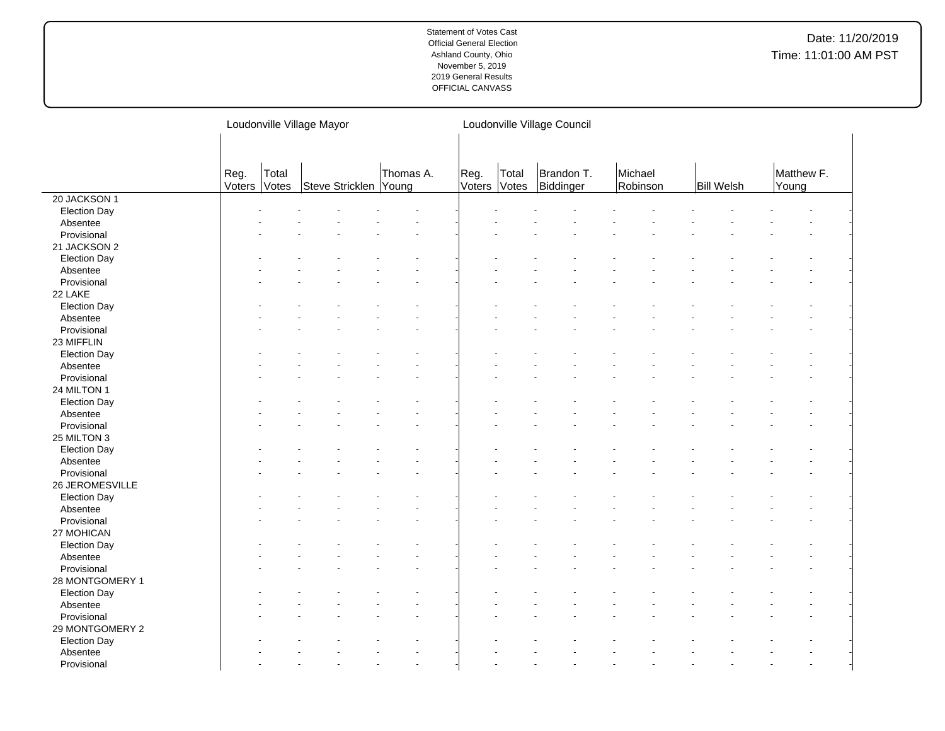|                         |                |                | Loudonville Village Mayor |           | Loudonville Village Council |                |                         |                     |                   |                     |  |  |  |  |
|-------------------------|----------------|----------------|---------------------------|-----------|-----------------------------|----------------|-------------------------|---------------------|-------------------|---------------------|--|--|--|--|
|                         |                |                |                           |           |                             |                |                         |                     |                   |                     |  |  |  |  |
|                         | Reg.<br>Voters | Total<br>Votes | Steve Stricklen Young     | Thomas A. | Reg.<br>Voters              | Total<br>Votes | Brandon T.<br>Biddinger | Michael<br>Robinson | <b>Bill Welsh</b> | Matthew F.<br>Young |  |  |  |  |
| 20 JACKSON 1            |                |                |                           |           |                             |                |                         |                     |                   |                     |  |  |  |  |
| Election Day            |                |                |                           |           |                             |                |                         |                     |                   |                     |  |  |  |  |
| Absentee                |                |                |                           |           |                             |                |                         |                     |                   |                     |  |  |  |  |
| Provisional             |                |                |                           |           |                             |                |                         |                     |                   |                     |  |  |  |  |
| 21 JACKSON 2            |                |                |                           |           |                             |                |                         |                     |                   |                     |  |  |  |  |
| <b>Election Day</b>     |                |                |                           |           |                             |                |                         |                     |                   |                     |  |  |  |  |
| Absentee                |                |                |                           |           |                             |                |                         |                     |                   |                     |  |  |  |  |
| Provisional             |                |                |                           |           |                             |                |                         |                     |                   |                     |  |  |  |  |
| 22 LAKE                 |                |                |                           |           |                             |                |                         |                     |                   |                     |  |  |  |  |
| <b>Election Day</b>     |                |                |                           |           |                             |                |                         |                     |                   |                     |  |  |  |  |
| Absentee                |                |                |                           |           |                             |                |                         |                     |                   |                     |  |  |  |  |
| Provisional             |                |                |                           |           |                             |                |                         |                     |                   |                     |  |  |  |  |
| 23 MIFFLIN              |                |                |                           |           |                             |                |                         |                     |                   |                     |  |  |  |  |
| <b>Election Day</b>     |                |                |                           |           |                             |                |                         |                     |                   |                     |  |  |  |  |
| Absentee                |                |                |                           |           |                             |                |                         |                     |                   |                     |  |  |  |  |
| Provisional             |                |                |                           |           |                             |                |                         |                     |                   |                     |  |  |  |  |
| 24 MILTON 1             |                |                |                           |           |                             |                |                         |                     |                   |                     |  |  |  |  |
| <b>Election Day</b>     |                |                |                           |           |                             |                |                         |                     |                   |                     |  |  |  |  |
| Absentee                |                |                |                           |           |                             |                |                         |                     |                   |                     |  |  |  |  |
| Provisional             |                |                |                           |           |                             |                |                         |                     |                   |                     |  |  |  |  |
| 25 MILTON 3             |                |                |                           |           |                             |                |                         |                     |                   |                     |  |  |  |  |
| <b>Election Day</b>     |                |                |                           |           |                             |                |                         |                     |                   |                     |  |  |  |  |
| Absentee                |                |                |                           |           |                             |                |                         |                     |                   |                     |  |  |  |  |
| Provisional             |                |                |                           |           |                             |                |                         |                     |                   |                     |  |  |  |  |
| 26 JEROMESVILLE         |                |                |                           |           |                             |                |                         |                     |                   |                     |  |  |  |  |
| <b>Election Day</b>     |                |                |                           |           |                             |                |                         |                     |                   |                     |  |  |  |  |
|                         |                |                |                           |           |                             |                |                         |                     |                   |                     |  |  |  |  |
| Absentee<br>Provisional |                |                |                           |           |                             |                |                         |                     |                   |                     |  |  |  |  |
| 27 MOHICAN              |                |                |                           |           |                             |                |                         |                     |                   |                     |  |  |  |  |
|                         |                |                |                           |           |                             |                |                         |                     |                   |                     |  |  |  |  |
| <b>Election Day</b>     |                |                |                           |           |                             |                |                         |                     |                   |                     |  |  |  |  |
| Absentee                |                |                |                           |           |                             |                |                         |                     |                   |                     |  |  |  |  |
| Provisional             |                |                |                           |           |                             |                |                         |                     |                   |                     |  |  |  |  |
| 28 MONTGOMERY 1         |                |                |                           |           |                             |                |                         |                     |                   |                     |  |  |  |  |
| <b>Election Day</b>     |                |                |                           |           |                             |                |                         |                     |                   |                     |  |  |  |  |
| Absentee                |                |                |                           |           |                             |                |                         |                     |                   |                     |  |  |  |  |
| Provisional             |                |                |                           |           |                             |                |                         |                     |                   |                     |  |  |  |  |
| 29 MONTGOMERY 2         |                |                |                           |           |                             |                |                         |                     |                   |                     |  |  |  |  |
| <b>Election Day</b>     |                |                |                           |           |                             |                |                         |                     |                   |                     |  |  |  |  |
| Absentee                |                |                |                           |           |                             |                |                         |                     |                   |                     |  |  |  |  |
| Provisional             |                |                |                           |           |                             |                |                         |                     |                   |                     |  |  |  |  |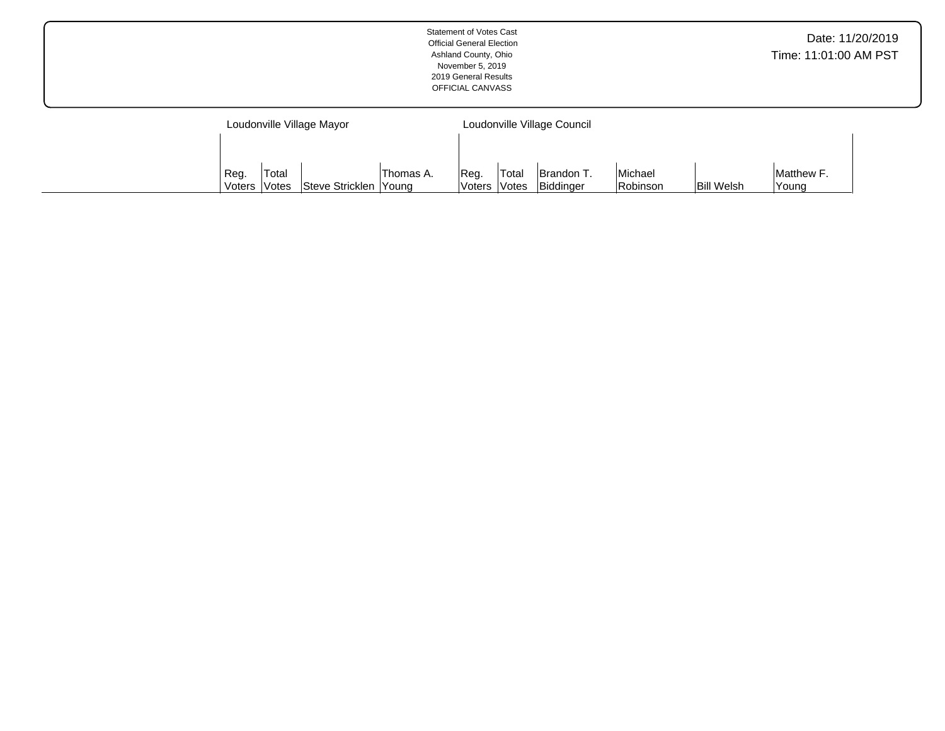|                           | Statement of Votes Cast<br><b>Official General Election</b><br>Ashland County, Ohio<br>November 5, 2019<br>2019 General Results<br>OFFICIAL CANVASS | Date: 11/20/2019<br>Time: 11:01:00 AM PST |  |
|---------------------------|-----------------------------------------------------------------------------------------------------------------------------------------------------|-------------------------------------------|--|
| Loudonville Village Mayor | Loudonville Village Council                                                                                                                         |                                           |  |

Reg. Voters Total Votes Brandon T. Biddinger

Michael

Robinson | Bill Welsh

Matthew F. Young

Thomas A. Young

Reg. Voters Total

Votes Steve Stricklen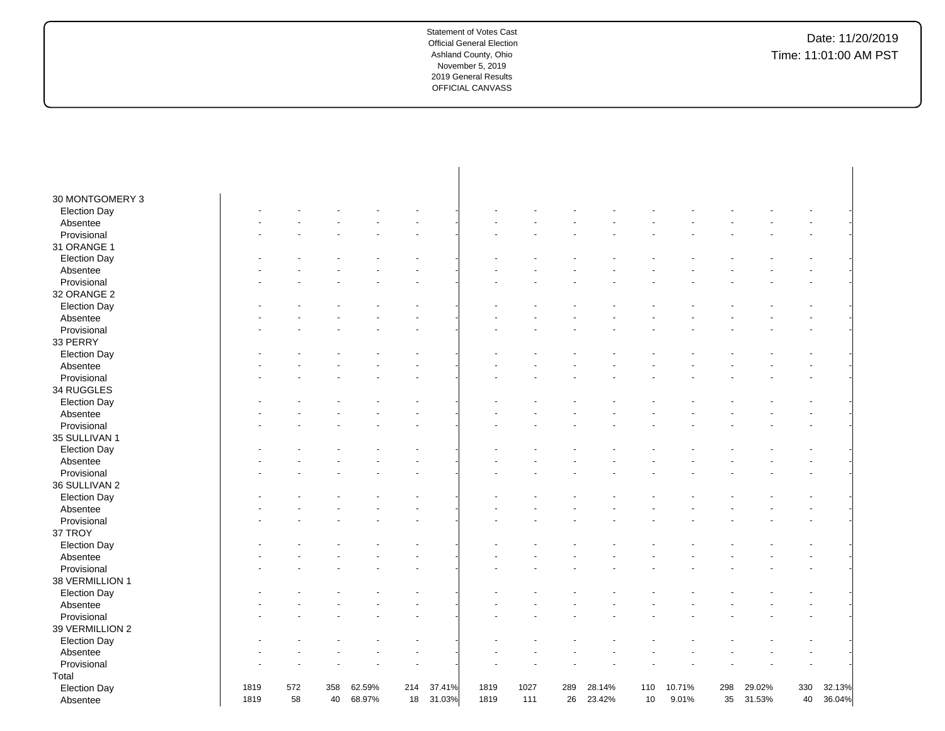| 30 MONTGOMERY 3     |      |     |     |        |     |        |      |      |     |        |     |        |     |        |     |        |
|---------------------|------|-----|-----|--------|-----|--------|------|------|-----|--------|-----|--------|-----|--------|-----|--------|
| <b>Election Day</b> |      |     |     |        |     |        |      |      |     |        |     |        |     |        |     |        |
| Absentee            |      |     |     |        |     |        |      |      |     |        |     |        |     |        |     |        |
| Provisional         |      |     |     |        |     |        |      |      |     |        |     |        |     |        |     |        |
| 31 ORANGE 1         |      |     |     |        |     |        |      |      |     |        |     |        |     |        |     |        |
| <b>Election Day</b> |      |     |     |        |     |        |      |      |     |        |     |        |     |        |     |        |
| Absentee            |      |     |     |        |     |        |      |      |     |        |     |        |     |        |     |        |
| Provisional         |      |     |     |        |     |        |      |      |     |        |     |        |     |        |     |        |
| 32 ORANGE 2         |      |     |     |        |     |        |      |      |     |        |     |        |     |        |     |        |
| <b>Election Day</b> |      |     |     |        |     |        |      |      |     |        |     |        |     |        |     |        |
| Absentee            |      |     |     |        |     |        |      |      |     |        |     |        |     |        |     |        |
| Provisional         |      |     |     |        |     |        |      |      |     |        |     |        |     |        |     |        |
| 33 PERRY            |      |     |     |        |     |        |      |      |     |        |     |        |     |        |     |        |
| <b>Election Day</b> |      |     |     |        |     |        |      |      |     |        |     |        |     |        |     |        |
| Absentee            |      |     |     |        |     |        |      |      |     |        |     |        |     |        |     |        |
| Provisional         |      |     |     |        |     |        |      |      |     |        |     |        |     |        |     |        |
| 34 RUGGLES          |      |     |     |        |     |        |      |      |     |        |     |        |     |        |     |        |
| <b>Election Day</b> |      |     |     |        |     |        |      |      |     |        |     |        |     |        |     |        |
| Absentee            |      |     |     |        |     |        |      |      |     |        |     |        |     |        |     |        |
| Provisional         |      |     |     |        |     |        |      |      |     |        |     |        |     |        |     |        |
| 35 SULLIVAN 1       |      |     |     |        |     |        |      |      |     |        |     |        |     |        |     |        |
| <b>Election Day</b> |      |     |     |        |     |        |      |      |     |        |     |        |     |        |     |        |
| Absentee            |      |     |     |        |     |        |      |      |     |        |     |        |     |        |     |        |
| Provisional         |      |     |     |        |     |        |      |      |     |        |     |        |     |        |     |        |
| 36 SULLIVAN 2       |      |     |     |        |     |        |      |      |     |        |     |        |     |        |     |        |
| <b>Election Day</b> |      |     |     |        |     |        |      |      |     |        |     |        |     |        |     |        |
| Absentee            |      |     |     |        |     |        |      |      |     |        |     |        |     |        |     |        |
| Provisional         |      |     |     |        |     |        |      |      |     |        |     |        |     |        |     |        |
| 37 TROY             |      |     |     |        |     |        |      |      |     |        |     |        |     |        |     |        |
| <b>Election Day</b> |      |     |     |        |     |        |      |      |     |        |     |        |     |        |     |        |
| Absentee            |      |     |     |        |     |        |      |      |     |        |     |        |     |        |     |        |
| Provisional         |      |     |     |        |     |        |      |      |     |        |     |        |     |        |     |        |
| 38 VERMILLION 1     |      |     |     |        |     |        |      |      |     |        |     |        |     |        |     |        |
| <b>Election Day</b> |      |     |     |        |     |        |      |      |     |        |     |        |     |        |     |        |
| Absentee            |      |     |     |        |     |        |      |      |     |        |     |        |     |        |     |        |
| Provisional         |      |     |     |        |     |        |      |      |     |        |     |        |     |        |     |        |
| 39 VERMILLION 2     |      |     |     |        |     |        |      |      |     |        |     |        |     |        |     |        |
| <b>Election Day</b> |      |     |     |        |     |        |      |      |     |        |     |        |     |        |     |        |
| Absentee            |      |     |     |        |     |        |      |      |     |        |     |        |     |        |     |        |
| Provisional         |      |     |     |        |     |        |      |      |     |        |     |        |     |        |     |        |
| Total               |      |     |     |        |     |        |      |      |     |        |     |        |     |        |     |        |
| <b>Election Day</b> | 1819 | 572 | 358 | 62.59% | 214 | 37.41% | 1819 | 1027 | 289 | 28.14% | 110 | 10.71% | 298 | 29.02% | 330 | 32.13% |
| Absentee            | 1819 | 58  | 40  | 68.97% | 18  | 31.03% | 1819 | 111  | 26  | 23.42% | 10  | 9.01%  | 35  | 31.53% | 40  | 36.04% |
|                     |      |     |     |        |     |        |      |      |     |        |     |        |     |        |     |        |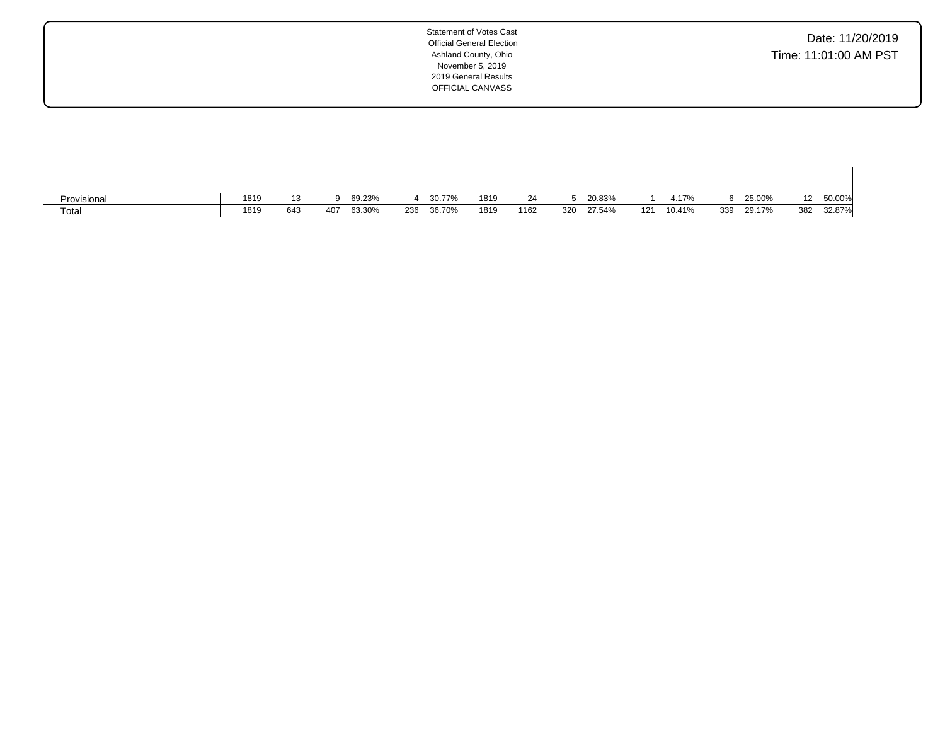| Date: 11/20/2019      |  |  |
|-----------------------|--|--|
| Time: 11:01:00 AM PST |  |  |

| Provisional | 1819 | 13  | $\Omega$ | 69.23% |     | 30.77% | 1819 | 24   |     | 20.83% |     | 1.17%  |     | 25.00% | 12  | 50.00% |
|-------------|------|-----|----------|--------|-----|--------|------|------|-----|--------|-----|--------|-----|--------|-----|--------|
| Total       | 1819 | 643 | 407      | 63.30% | 236 | 36.70% | 1819 | 1162 | 320 | 27.54% | 121 | 10.41% | 339 | 29.17% | 382 | 32.87% |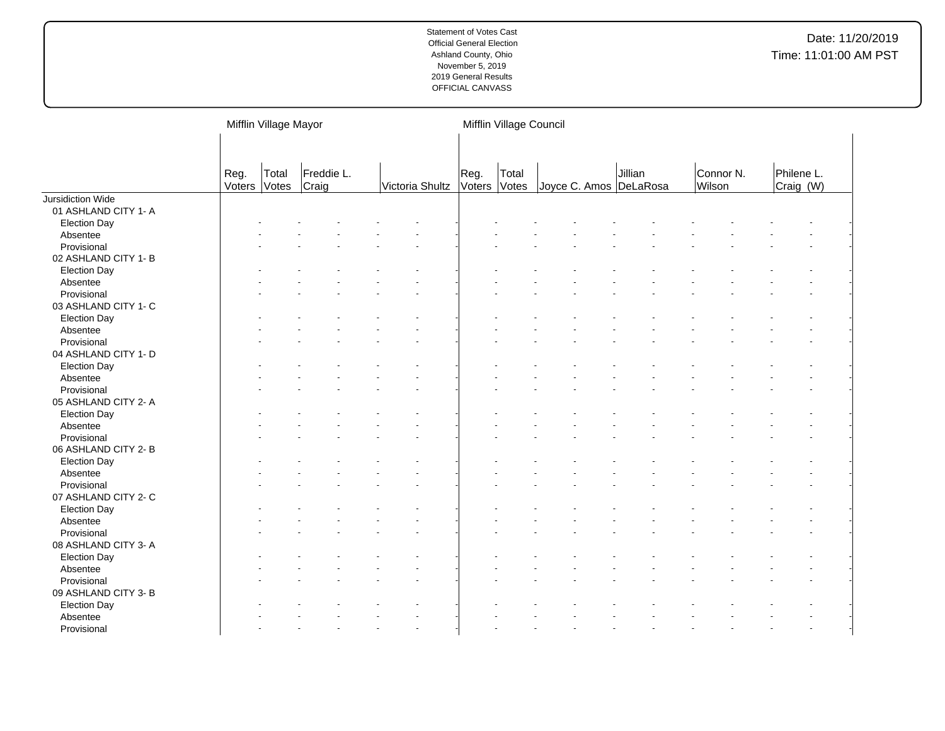|                                     |                | Mifflin Village Mayor |                     |                 |                | Mifflin Village Council |                        |         |                     |                         |  |  |  |  |  |
|-------------------------------------|----------------|-----------------------|---------------------|-----------------|----------------|-------------------------|------------------------|---------|---------------------|-------------------------|--|--|--|--|--|
|                                     | Reg.<br>Voters | Total<br>Votes        | Freddie L.<br>Craig | Victoria Shultz | Reg.<br>Voters | Total<br>Votes          | Joyce C. Amos DeLaRosa | Jillian | Connor N.<br>Wilson | Philene L.<br>Craig (W) |  |  |  |  |  |
| Jursidiction Wide                   |                |                       |                     |                 |                |                         |                        |         |                     |                         |  |  |  |  |  |
| 01 ASHLAND CITY 1- A                |                |                       |                     |                 |                |                         |                        |         |                     |                         |  |  |  |  |  |
| <b>Election Day</b>                 |                |                       |                     |                 |                |                         |                        |         |                     |                         |  |  |  |  |  |
| Absentee                            |                |                       |                     |                 |                |                         |                        |         |                     |                         |  |  |  |  |  |
| Provisional                         |                |                       |                     |                 |                |                         |                        |         |                     |                         |  |  |  |  |  |
| 02 ASHLAND CITY 1- B                |                |                       |                     |                 |                |                         |                        |         |                     |                         |  |  |  |  |  |
| <b>Election Day</b>                 |                |                       |                     |                 |                |                         |                        |         |                     |                         |  |  |  |  |  |
| Absentee                            |                |                       |                     |                 |                |                         |                        |         |                     |                         |  |  |  |  |  |
| Provisional                         |                |                       |                     |                 |                |                         |                        |         |                     |                         |  |  |  |  |  |
| 03 ASHLAND CITY 1- C                |                |                       |                     |                 |                |                         |                        |         |                     |                         |  |  |  |  |  |
| <b>Election Day</b>                 |                |                       |                     |                 |                |                         |                        |         |                     |                         |  |  |  |  |  |
| Absentee                            |                |                       |                     |                 |                |                         |                        |         |                     |                         |  |  |  |  |  |
| Provisional                         |                |                       |                     |                 |                |                         |                        |         |                     |                         |  |  |  |  |  |
| 04 ASHLAND CITY 1- D                |                |                       |                     |                 |                |                         |                        |         |                     |                         |  |  |  |  |  |
| <b>Election Day</b>                 |                |                       |                     |                 |                |                         |                        |         |                     |                         |  |  |  |  |  |
| Absentee                            |                |                       |                     |                 |                |                         |                        |         |                     |                         |  |  |  |  |  |
| Provisional                         |                |                       |                     |                 |                |                         |                        |         |                     |                         |  |  |  |  |  |
| 05 ASHLAND CITY 2- A                |                |                       |                     |                 |                |                         |                        |         |                     |                         |  |  |  |  |  |
| <b>Election Day</b>                 |                |                       |                     |                 |                |                         |                        |         |                     |                         |  |  |  |  |  |
| Absentee                            |                |                       |                     |                 |                |                         |                        |         |                     |                         |  |  |  |  |  |
| Provisional                         |                |                       |                     |                 |                |                         |                        |         |                     |                         |  |  |  |  |  |
| 06 ASHLAND CITY 2-B                 |                |                       |                     |                 |                |                         |                        |         |                     |                         |  |  |  |  |  |
| <b>Election Day</b>                 |                |                       |                     |                 |                |                         |                        |         |                     |                         |  |  |  |  |  |
| Absentee                            |                |                       |                     |                 |                |                         |                        |         |                     |                         |  |  |  |  |  |
| Provisional                         |                |                       |                     |                 |                |                         |                        |         |                     |                         |  |  |  |  |  |
| 07 ASHLAND CITY 2- C                |                |                       |                     |                 |                |                         |                        |         |                     |                         |  |  |  |  |  |
| <b>Election Day</b>                 |                |                       |                     |                 |                |                         |                        |         |                     |                         |  |  |  |  |  |
| Absentee                            |                |                       |                     |                 |                |                         |                        |         |                     |                         |  |  |  |  |  |
| Provisional                         |                |                       |                     |                 |                |                         |                        |         |                     |                         |  |  |  |  |  |
| 08 ASHLAND CITY 3- A                |                |                       |                     |                 |                |                         |                        |         |                     |                         |  |  |  |  |  |
| <b>Election Day</b>                 |                |                       |                     |                 |                |                         |                        |         |                     |                         |  |  |  |  |  |
| Absentee                            |                |                       |                     |                 |                |                         |                        |         |                     |                         |  |  |  |  |  |
|                                     |                |                       |                     |                 |                |                         |                        |         |                     |                         |  |  |  |  |  |
| Provisional<br>09 ASHLAND CITY 3- B |                |                       |                     |                 |                |                         |                        |         |                     |                         |  |  |  |  |  |
|                                     |                |                       |                     |                 |                |                         |                        |         |                     |                         |  |  |  |  |  |
| <b>Election Day</b>                 |                |                       |                     |                 |                |                         |                        |         |                     |                         |  |  |  |  |  |
| Absentee                            |                |                       |                     |                 |                |                         |                        |         |                     |                         |  |  |  |  |  |
| Provisional                         |                |                       |                     |                 |                |                         |                        |         |                     |                         |  |  |  |  |  |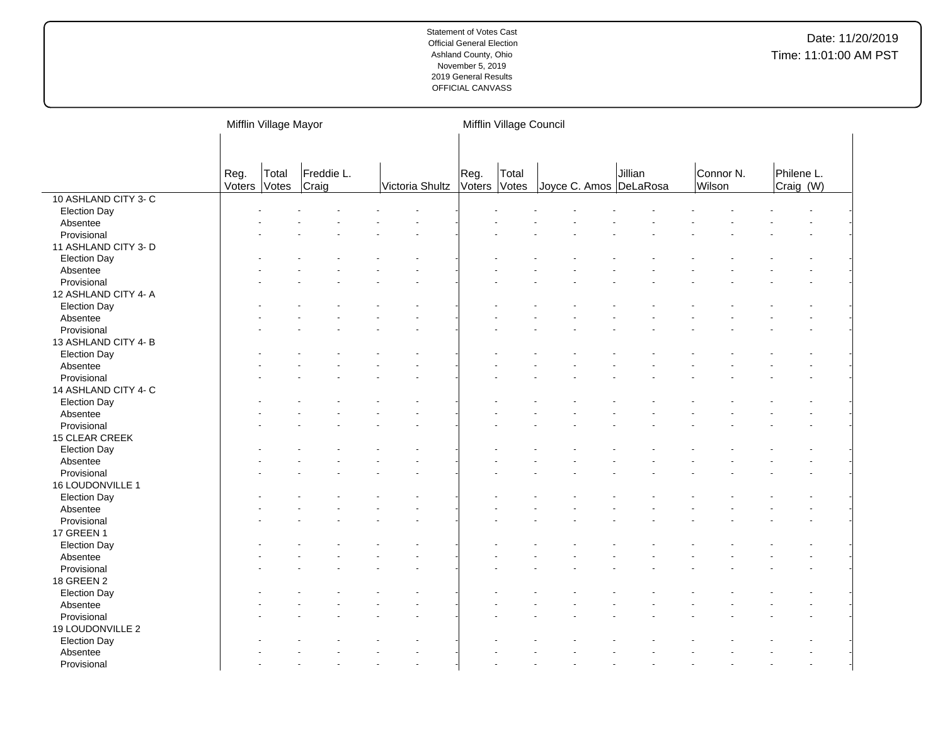|                      |                | Mifflin Village Mayor |                     |                 |  | Mifflin Village Council |       |                        |         |                     |                         |  |  |  |  |
|----------------------|----------------|-----------------------|---------------------|-----------------|--|-------------------------|-------|------------------------|---------|---------------------|-------------------------|--|--|--|--|
|                      | Reg.<br>Voters | Total<br>Votes        | Freddie L.<br>Craig | Victoria Shultz |  | Reg.<br>Voters Votes    | Total | Joyce C. Amos DeLaRosa | Jillian | Connor N.<br>Wilson | Philene L.<br>Craig (W) |  |  |  |  |
| 10 ASHLAND CITY 3-C  |                |                       |                     |                 |  |                         |       |                        |         |                     |                         |  |  |  |  |
| <b>Election Day</b>  |                |                       |                     |                 |  |                         |       |                        |         |                     |                         |  |  |  |  |
| Absentee             |                |                       |                     |                 |  |                         |       |                        |         |                     |                         |  |  |  |  |
| Provisional          |                |                       |                     |                 |  |                         |       |                        |         |                     |                         |  |  |  |  |
| 11 ASHLAND CITY 3- D |                |                       |                     |                 |  |                         |       |                        |         |                     |                         |  |  |  |  |
| <b>Election Day</b>  |                |                       |                     |                 |  |                         |       |                        |         |                     |                         |  |  |  |  |
| Absentee             |                |                       |                     |                 |  |                         |       |                        |         |                     |                         |  |  |  |  |
| Provisional          |                |                       |                     |                 |  |                         |       |                        |         |                     |                         |  |  |  |  |
| 12 ASHLAND CITY 4- A |                |                       |                     |                 |  |                         |       |                        |         |                     |                         |  |  |  |  |
| <b>Election Day</b>  |                |                       |                     |                 |  |                         |       |                        |         |                     |                         |  |  |  |  |
| Absentee             |                |                       |                     |                 |  |                         |       |                        |         |                     |                         |  |  |  |  |
| Provisional          |                |                       |                     |                 |  |                         |       |                        |         |                     |                         |  |  |  |  |
| 13 ASHLAND CITY 4-B  |                |                       |                     |                 |  |                         |       |                        |         |                     |                         |  |  |  |  |
| <b>Election Day</b>  |                |                       |                     |                 |  |                         |       |                        |         |                     |                         |  |  |  |  |
| Absentee             |                |                       |                     |                 |  |                         |       |                        |         |                     |                         |  |  |  |  |
| Provisional          |                |                       |                     |                 |  |                         |       |                        |         |                     |                         |  |  |  |  |
| 14 ASHLAND CITY 4- C |                |                       |                     |                 |  |                         |       |                        |         |                     |                         |  |  |  |  |
| <b>Election Day</b>  |                |                       |                     |                 |  |                         |       |                        |         |                     |                         |  |  |  |  |
| Absentee             |                |                       |                     |                 |  |                         |       |                        |         |                     |                         |  |  |  |  |
| Provisional          |                |                       |                     |                 |  |                         |       |                        |         |                     |                         |  |  |  |  |
| 15 CLEAR CREEK       |                |                       |                     |                 |  |                         |       |                        |         |                     |                         |  |  |  |  |
| <b>Election Day</b>  |                |                       |                     |                 |  |                         |       |                        |         |                     |                         |  |  |  |  |
| Absentee             |                |                       |                     |                 |  |                         |       |                        |         |                     |                         |  |  |  |  |
| Provisional          |                |                       |                     |                 |  |                         |       |                        |         |                     |                         |  |  |  |  |
| 16 LOUDONVILLE 1     |                |                       |                     |                 |  |                         |       |                        |         |                     |                         |  |  |  |  |
|                      |                |                       |                     |                 |  |                         |       |                        |         |                     |                         |  |  |  |  |
| <b>Election Day</b>  |                |                       |                     |                 |  |                         |       |                        |         |                     |                         |  |  |  |  |
| Absentee             |                |                       |                     |                 |  |                         |       |                        |         |                     |                         |  |  |  |  |
| Provisional          |                |                       |                     |                 |  |                         |       |                        |         |                     |                         |  |  |  |  |
| <b>17 GREEN 1</b>    |                |                       |                     |                 |  |                         |       |                        |         |                     |                         |  |  |  |  |
| <b>Election Day</b>  |                |                       |                     |                 |  |                         |       |                        |         |                     |                         |  |  |  |  |
| Absentee             |                |                       |                     |                 |  |                         |       |                        |         |                     |                         |  |  |  |  |
| Provisional          |                |                       |                     |                 |  |                         |       |                        |         |                     |                         |  |  |  |  |
| <b>18 GREEN 2</b>    |                |                       |                     |                 |  |                         |       |                        |         |                     |                         |  |  |  |  |
| <b>Election Day</b>  |                |                       |                     |                 |  |                         |       |                        |         |                     |                         |  |  |  |  |
| Absentee             |                |                       |                     |                 |  |                         |       |                        |         |                     |                         |  |  |  |  |
| Provisional          |                |                       |                     |                 |  |                         |       |                        |         |                     |                         |  |  |  |  |
| 19 LOUDONVILLE 2     |                |                       |                     |                 |  |                         |       |                        |         |                     |                         |  |  |  |  |
| <b>Election Day</b>  |                |                       |                     |                 |  |                         |       |                        |         |                     |                         |  |  |  |  |
| Absentee             |                |                       |                     |                 |  |                         |       |                        |         |                     |                         |  |  |  |  |
| Provisional          |                |                       |                     |                 |  |                         |       |                        |         |                     |                         |  |  |  |  |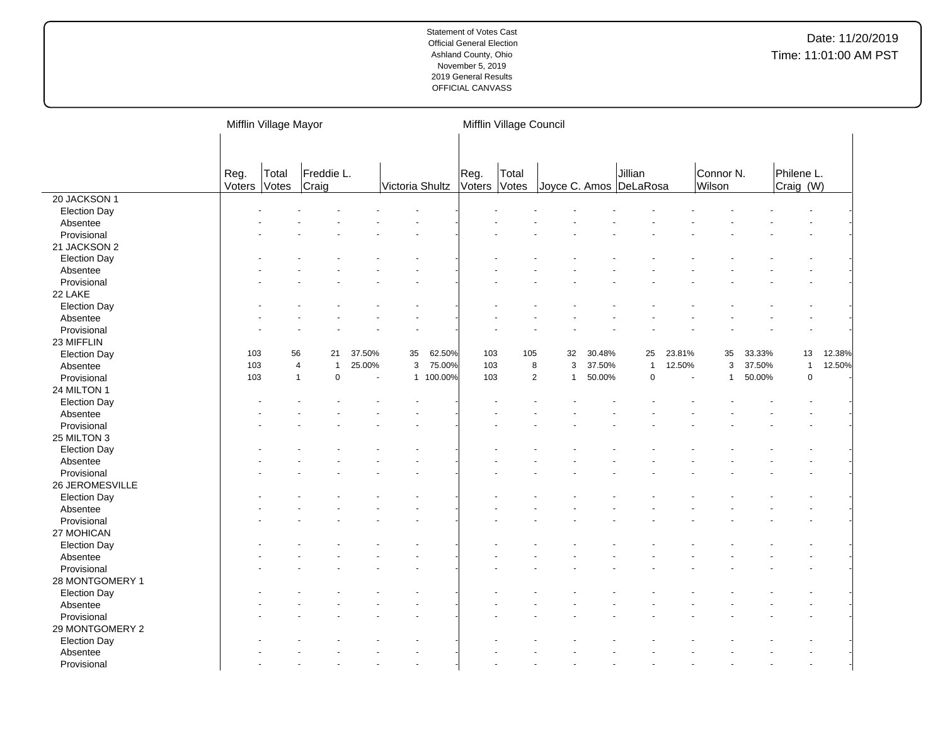|                     |                | Mifflin Village Mayor |                                  |                |                 |           | Mifflin Village Council |                |                        |        |                |                |                     |        |                         |        |
|---------------------|----------------|-----------------------|----------------------------------|----------------|-----------------|-----------|-------------------------|----------------|------------------------|--------|----------------|----------------|---------------------|--------|-------------------------|--------|
|                     |                |                       |                                  |                |                 |           |                         |                |                        |        |                |                |                     |        |                         |        |
|                     | Reg.<br>Voters | Total<br>Votes        | Freddie L.<br>Craig              |                | Victoria Shultz |           | Reg.<br>Voters          | Total<br>Votes | Joyce C. Amos DeLaRosa |        | Jillian        |                | Connor N.<br>Wilson |        | Philene L.<br>Craig (W) |        |
| 20 JACKSON 1        |                |                       |                                  |                |                 |           |                         |                |                        |        |                |                |                     |        |                         |        |
| <b>Election Day</b> |                |                       |                                  |                |                 |           |                         |                |                        |        |                |                |                     |        |                         |        |
| Absentee            |                |                       |                                  |                |                 |           |                         |                |                        |        |                |                |                     |        |                         |        |
| Provisional         |                |                       |                                  |                |                 |           |                         |                |                        |        |                |                |                     |        |                         |        |
| 21 JACKSON 2        |                |                       |                                  |                |                 |           |                         |                |                        |        |                |                |                     |        |                         |        |
| <b>Election Day</b> |                |                       |                                  |                |                 |           |                         |                |                        |        |                |                |                     |        |                         |        |
| Absentee            |                |                       |                                  |                |                 |           |                         |                |                        |        |                |                |                     |        |                         |        |
| Provisional         |                |                       |                                  |                |                 |           |                         |                |                        |        |                |                |                     |        |                         |        |
| 22 LAKE             |                |                       |                                  |                |                 |           |                         |                |                        |        |                |                |                     |        |                         |        |
| <b>Election Day</b> |                |                       |                                  |                |                 |           |                         |                |                        |        |                |                |                     |        |                         |        |
| Absentee            |                |                       |                                  |                |                 |           |                         |                |                        |        |                |                |                     |        |                         |        |
| Provisional         |                |                       |                                  |                |                 |           |                         |                |                        |        |                |                |                     |        |                         |        |
| 23 MIFFLIN          |                |                       |                                  |                |                 |           |                         |                |                        |        |                |                |                     |        |                         |        |
| <b>Election Day</b> | 103            | 56                    | 21                               | 37.50%         | 35              | 62.50%    | 103                     | 105            | 32                     | 30.48% | 25             | 23.81%         | 35                  | 33.33% | 13                      | 12.38% |
| Absentee            | 103            |                       | $\overline{4}$<br>$\overline{1}$ | 25.00%         | $\mathsf 3$     | 75.00%    | 103                     | 8              | 3                      | 37.50% | $\overline{1}$ | 12.50%         | $\mathsf 3$         | 37.50% | $\mathbf{1}$            | 12.50% |
| Provisional         | 103            | $\overline{1}$        | $\mathbf 0$                      | $\blacksquare$ |                 | 1 100.00% | 103                     | $\overline{2}$ | $\mathbf{1}$           | 50.00% | $\mathbf 0$    | $\blacksquare$ | $\mathbf{1}$        | 50.00% | $\pmb{0}$               |        |
| 24 MILTON 1         |                |                       |                                  |                |                 |           |                         |                |                        |        |                |                |                     |        |                         |        |
| <b>Election Day</b> |                |                       |                                  |                |                 |           |                         |                |                        |        |                |                |                     |        |                         |        |
| Absentee            |                |                       |                                  |                |                 |           |                         |                |                        |        |                |                |                     |        |                         |        |
| Provisional         |                |                       |                                  |                |                 |           |                         |                |                        |        |                |                |                     |        |                         |        |
| 25 MILTON 3         |                |                       |                                  |                |                 |           |                         |                |                        |        |                |                |                     |        |                         |        |
| <b>Election Day</b> |                |                       |                                  |                |                 |           |                         |                |                        |        |                |                |                     |        |                         |        |
| Absentee            |                |                       |                                  |                |                 |           |                         |                |                        |        |                |                |                     |        |                         |        |
| Provisional         |                |                       |                                  |                |                 |           |                         |                |                        |        |                |                |                     |        |                         |        |
| 26 JEROMESVILLE     |                |                       |                                  |                |                 |           |                         |                |                        |        |                |                |                     |        |                         |        |
| <b>Election Day</b> |                |                       |                                  |                |                 |           |                         |                |                        |        |                |                |                     |        |                         |        |
| Absentee            |                |                       |                                  |                |                 |           |                         |                |                        |        |                |                |                     |        |                         |        |
| Provisional         |                |                       |                                  |                |                 |           |                         |                |                        |        |                |                |                     |        |                         |        |
| 27 MOHICAN          |                |                       |                                  |                |                 |           |                         |                |                        |        |                |                |                     |        |                         |        |
| <b>Election Day</b> |                |                       |                                  |                |                 |           |                         |                |                        |        |                |                |                     |        |                         |        |
| Absentee            |                |                       |                                  |                |                 |           |                         |                |                        |        |                |                |                     |        |                         |        |
| Provisional         |                |                       |                                  |                |                 |           |                         |                |                        |        |                |                |                     |        |                         |        |
| 28 MONTGOMERY 1     |                |                       |                                  |                |                 |           |                         |                |                        |        |                |                |                     |        |                         |        |
| <b>Election Day</b> |                |                       |                                  |                |                 |           |                         |                |                        |        |                |                |                     |        |                         |        |
| Absentee            |                |                       |                                  |                |                 |           |                         |                |                        |        |                |                |                     |        |                         |        |
| Provisional         |                |                       |                                  |                |                 |           |                         |                |                        |        |                |                |                     |        |                         |        |
| 29 MONTGOMERY 2     |                |                       |                                  |                |                 |           |                         |                |                        |        |                |                |                     |        |                         |        |
| <b>Election Day</b> |                |                       |                                  |                |                 |           |                         |                |                        |        |                |                |                     |        |                         |        |
| Absentee            |                |                       |                                  |                |                 |           |                         |                |                        |        |                |                |                     |        |                         |        |
| Provisional         |                |                       |                                  |                |                 |           |                         |                |                        |        |                |                |                     |        |                         |        |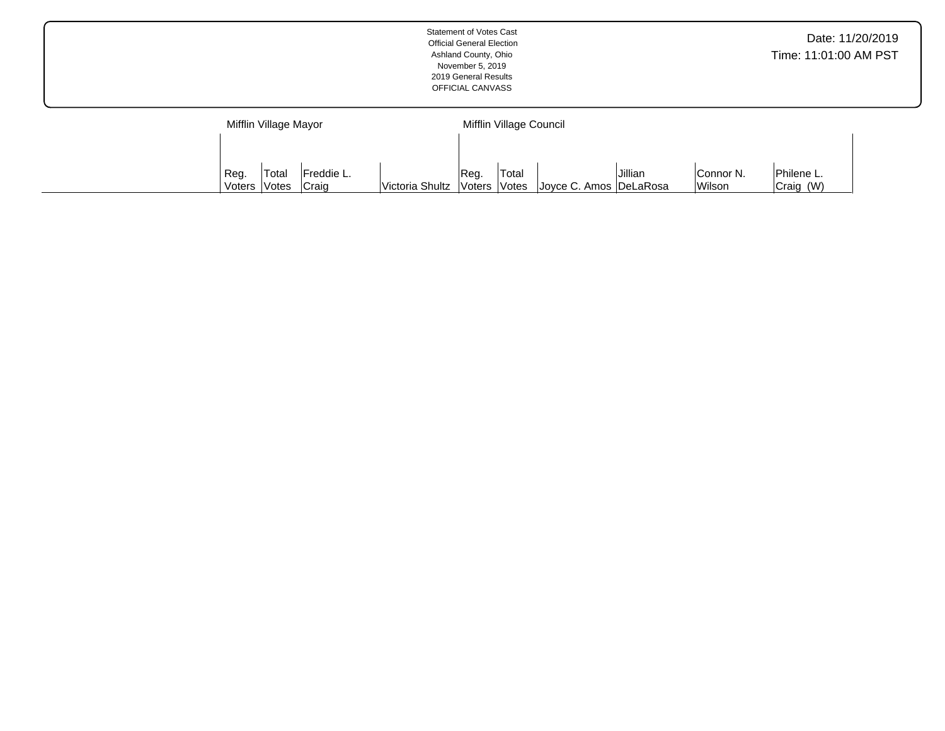|                                                                                                                                                                                                                              | <b>Statement of Votes Cast</b><br><b>Official General Election</b><br>Ashland County, Ohio<br>November 5, 2019<br>2019 General Results<br>OFFICIAL CANVASS |  |  |  |  |  |  |  |  |  |  |  |
|------------------------------------------------------------------------------------------------------------------------------------------------------------------------------------------------------------------------------|------------------------------------------------------------------------------------------------------------------------------------------------------------|--|--|--|--|--|--|--|--|--|--|--|
| Mifflin Village Council<br>Mifflin Village Mayor<br>Jillian<br>Total<br>Reg.<br>Total<br>Freddie L.<br>Reg.<br>Connor N.<br>Wilson<br>Victoria Shultz   Voters   Votes<br>Joyce C. Amos DeLaRosa<br>Craig<br>Voters<br>Votes |                                                                                                                                                            |  |  |  |  |  |  |  |  |  |  |  |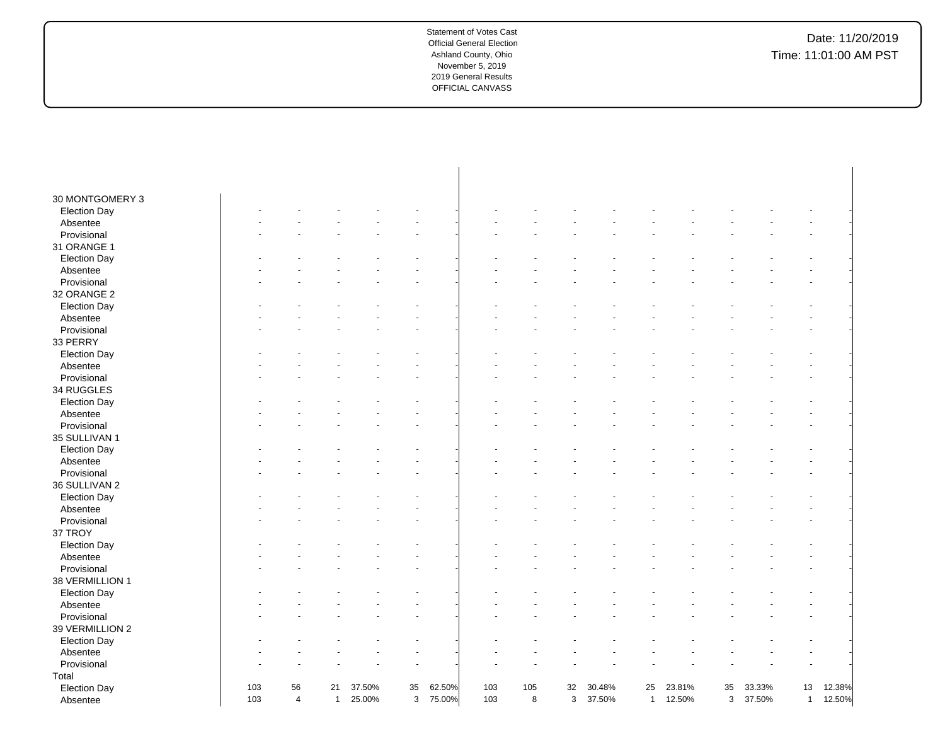| 30 MONTGOMERY 3     |     |                |              |        |    |        |     |     |    |        |                |        |    |        |              |        |
|---------------------|-----|----------------|--------------|--------|----|--------|-----|-----|----|--------|----------------|--------|----|--------|--------------|--------|
| <b>Election Day</b> |     |                |              |        |    |        |     |     |    |        |                |        |    |        |              |        |
| Absentee            |     |                |              |        |    |        |     |     |    |        |                |        |    |        |              |        |
| Provisional         |     |                |              |        |    |        |     |     |    |        |                |        |    |        |              |        |
| 31 ORANGE 1         |     |                |              |        |    |        |     |     |    |        |                |        |    |        |              |        |
| <b>Election Day</b> |     |                |              |        |    |        |     |     |    |        |                |        |    |        |              |        |
| Absentee            |     |                |              |        |    |        |     |     |    |        |                |        |    |        |              |        |
| Provisional         |     |                |              |        |    |        |     |     |    |        |                |        |    |        |              |        |
| 32 ORANGE 2         |     |                |              |        |    |        |     |     |    |        |                |        |    |        |              |        |
| <b>Election Day</b> |     |                |              |        |    |        |     |     |    |        |                |        |    |        |              |        |
| Absentee            |     |                |              |        |    |        |     |     |    |        |                |        |    |        |              |        |
| Provisional         |     |                |              |        |    |        |     |     |    |        |                |        |    |        |              |        |
| 33 PERRY            |     |                |              |        |    |        |     |     |    |        |                |        |    |        |              |        |
| <b>Election Day</b> |     |                |              |        |    |        |     |     |    |        |                |        |    |        |              |        |
| Absentee            |     |                |              |        |    |        |     |     |    |        |                |        |    |        |              |        |
| Provisional         |     |                |              |        |    |        |     |     |    |        |                |        |    |        |              |        |
| 34 RUGGLES          |     |                |              |        |    |        |     |     |    |        |                |        |    |        |              |        |
| <b>Election Day</b> |     |                |              |        |    |        |     |     |    |        |                |        |    |        |              |        |
| Absentee            |     |                |              |        |    |        |     |     |    |        |                |        |    |        |              |        |
| Provisional         |     |                |              |        |    |        |     |     |    |        |                |        |    |        |              |        |
| 35 SULLIVAN 1       |     |                |              |        |    |        |     |     |    |        |                |        |    |        |              |        |
| <b>Election Day</b> |     |                |              |        |    |        |     |     |    |        |                |        |    |        |              |        |
| Absentee            |     |                |              |        |    |        |     |     |    |        |                |        |    |        |              |        |
| Provisional         |     |                |              |        |    |        |     |     |    |        |                |        |    |        |              |        |
| 36 SULLIVAN 2       |     |                |              |        |    |        |     |     |    |        |                |        |    |        |              |        |
| <b>Election Day</b> |     |                |              |        |    |        |     |     |    |        |                |        |    |        |              |        |
| Absentee            |     |                |              |        |    |        |     |     |    |        |                |        |    |        |              |        |
| Provisional         |     |                |              |        |    |        |     |     |    |        |                |        |    |        |              |        |
| 37 TROY             |     |                |              |        |    |        |     |     |    |        |                |        |    |        |              |        |
| <b>Election Day</b> |     |                |              |        |    |        |     |     |    |        |                |        |    |        |              |        |
| Absentee            |     |                |              |        |    |        |     |     |    |        |                |        |    |        |              |        |
| Provisional         |     |                |              |        |    |        |     |     |    |        |                |        |    |        |              |        |
| 38 VERMILLION 1     |     |                |              |        |    |        |     |     |    |        |                |        |    |        |              |        |
| <b>Election Day</b> |     |                |              |        |    |        |     |     |    |        |                |        |    |        |              |        |
| Absentee            |     |                |              |        |    |        |     |     |    |        |                |        |    |        |              |        |
| Provisional         |     |                |              |        |    |        |     |     |    |        |                |        |    |        |              |        |
| 39 VERMILLION 2     |     |                |              |        |    |        |     |     |    |        |                |        |    |        |              |        |
| <b>Election Day</b> |     |                |              |        |    |        |     |     |    |        |                |        |    |        |              |        |
| Absentee            |     |                |              |        |    |        |     |     |    |        |                |        |    |        |              |        |
| Provisional         |     |                |              |        |    |        |     |     |    |        |                |        |    |        |              |        |
| Total               |     |                |              |        |    |        |     |     |    |        |                |        |    |        |              |        |
| <b>Election Day</b> | 103 | 56             | 21           | 37.50% | 35 | 62.50% | 103 | 105 | 32 | 30.48% | 25             | 23.81% | 35 | 33.33% | 13           | 12.38% |
| Absentee            | 103 | $\overline{4}$ | $\mathbf{1}$ | 25.00% | 3  | 75.00% | 103 | 8   | 3  | 37.50% | $\overline{1}$ | 12.50% | 3  | 37.50% | $\mathbf{1}$ | 12.50% |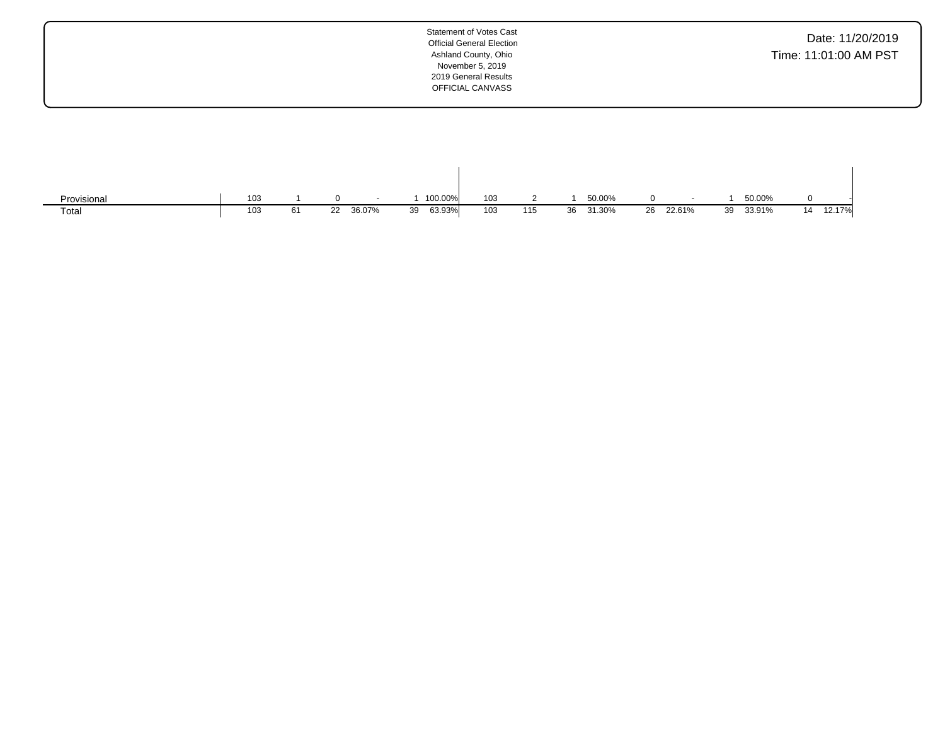| Date: 11/20/2019      |
|-----------------------|
| Time: 11:01:00 AM PST |

| Provisional | 103 |    |    |        |    | 100.00% | 103 |     |    | 50.00% |           |    | 50.00% |    |        |
|-------------|-----|----|----|--------|----|---------|-----|-----|----|--------|-----------|----|--------|----|--------|
| Total       | 103 | 61 | 22 | 36.07% | 39 | 63.93%  | 103 | 115 | 36 | 31.30% | 26 22.61% | 39 | 33.91% | 14 | 12.17% |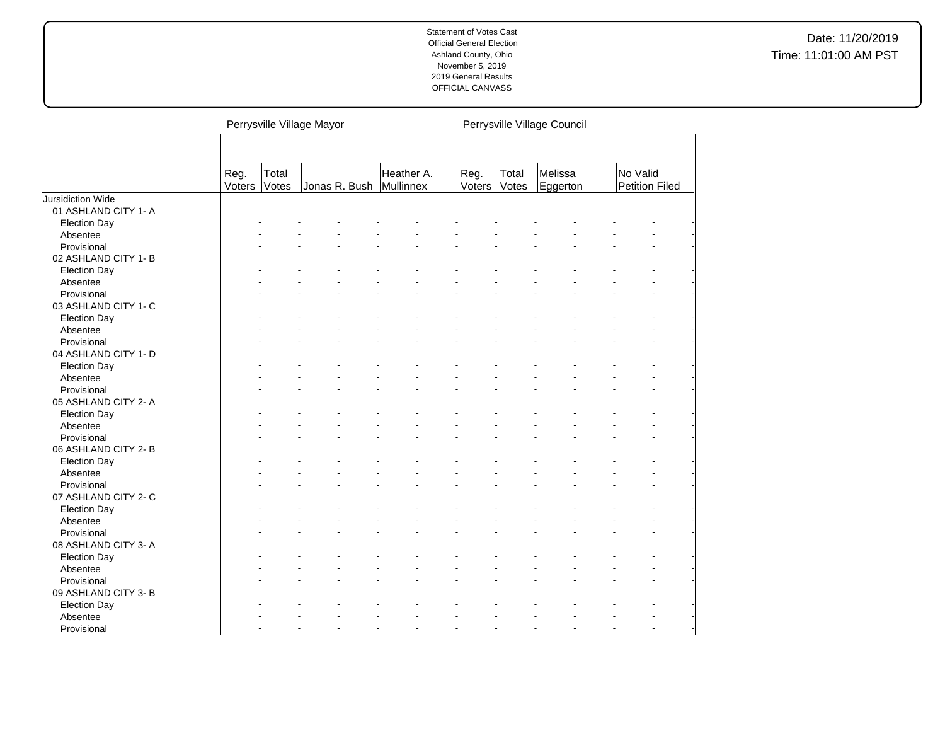|                      |                |                       | Perrysville Village Mayor |            | Perrysville Village Council |                |                     |                                   |  |  |  |
|----------------------|----------------|-----------------------|---------------------------|------------|-----------------------------|----------------|---------------------|-----------------------------------|--|--|--|
|                      | Reg.<br>Voters | Total<br><b>Votes</b> | Jonas R. Bush Mullinnex   | Heather A. | Reg.<br>Voters              | Total<br>Votes | Melissa<br>Eggerton | No Valid<br><b>Petition Filed</b> |  |  |  |
| Jursidiction Wide    |                |                       |                           |            |                             |                |                     |                                   |  |  |  |
| 01 ASHLAND CITY 1- A |                |                       |                           |            |                             |                |                     |                                   |  |  |  |
| <b>Election Day</b>  |                |                       |                           |            |                             |                |                     |                                   |  |  |  |
| Absentee             |                |                       |                           |            |                             |                |                     |                                   |  |  |  |
| Provisional          |                |                       |                           |            |                             |                |                     |                                   |  |  |  |
| 02 ASHLAND CITY 1-B  |                |                       |                           |            |                             |                |                     |                                   |  |  |  |
| <b>Election Day</b>  |                |                       |                           |            |                             |                |                     |                                   |  |  |  |
| Absentee             |                |                       |                           |            |                             |                |                     |                                   |  |  |  |
| Provisional          |                |                       |                           |            |                             |                |                     |                                   |  |  |  |
| 03 ASHLAND CITY 1- C |                |                       |                           |            |                             |                |                     |                                   |  |  |  |
| <b>Election Day</b>  |                |                       |                           |            |                             |                |                     |                                   |  |  |  |
| Absentee             |                |                       |                           |            |                             |                |                     |                                   |  |  |  |
| Provisional          |                |                       |                           |            |                             |                |                     |                                   |  |  |  |
| 04 ASHLAND CITY 1- D |                |                       |                           |            |                             |                |                     |                                   |  |  |  |
| <b>Election Day</b>  |                |                       |                           |            |                             |                |                     |                                   |  |  |  |
| Absentee             |                |                       |                           |            |                             |                |                     |                                   |  |  |  |
| Provisional          |                |                       |                           |            |                             |                |                     |                                   |  |  |  |
| 05 ASHLAND CITY 2- A |                |                       |                           |            |                             |                |                     |                                   |  |  |  |
| <b>Election Day</b>  |                |                       |                           |            |                             |                |                     |                                   |  |  |  |
| Absentee             |                |                       |                           |            |                             |                |                     |                                   |  |  |  |
| Provisional          |                |                       |                           |            |                             |                |                     |                                   |  |  |  |
| 06 ASHLAND CITY 2-B  |                |                       |                           |            |                             |                |                     |                                   |  |  |  |
| <b>Election Day</b>  |                |                       |                           |            |                             |                |                     |                                   |  |  |  |
| Absentee             |                |                       |                           |            |                             |                |                     |                                   |  |  |  |
| Provisional          |                |                       |                           |            |                             |                |                     |                                   |  |  |  |
| 07 ASHLAND CITY 2- C |                |                       |                           |            |                             |                |                     |                                   |  |  |  |
| <b>Election Day</b>  |                |                       |                           |            |                             |                |                     |                                   |  |  |  |
| Absentee             |                |                       |                           |            |                             |                |                     |                                   |  |  |  |
| Provisional          |                |                       |                           |            |                             |                |                     |                                   |  |  |  |
| 08 ASHLAND CITY 3-A  |                |                       |                           |            |                             |                |                     |                                   |  |  |  |
|                      |                |                       |                           |            |                             |                |                     |                                   |  |  |  |
| <b>Election Day</b>  |                |                       |                           |            |                             |                |                     |                                   |  |  |  |
| Absentee             |                |                       |                           |            |                             |                |                     |                                   |  |  |  |
| Provisional          |                |                       |                           |            |                             |                |                     |                                   |  |  |  |
| 09 ASHLAND CITY 3-B  |                |                       |                           |            |                             |                |                     |                                   |  |  |  |
| <b>Election Day</b>  |                |                       |                           |            |                             |                |                     |                                   |  |  |  |
| Absentee             |                |                       |                           |            |                             |                |                     |                                   |  |  |  |
| Provisional          |                |                       |                           |            |                             |                |                     |                                   |  |  |  |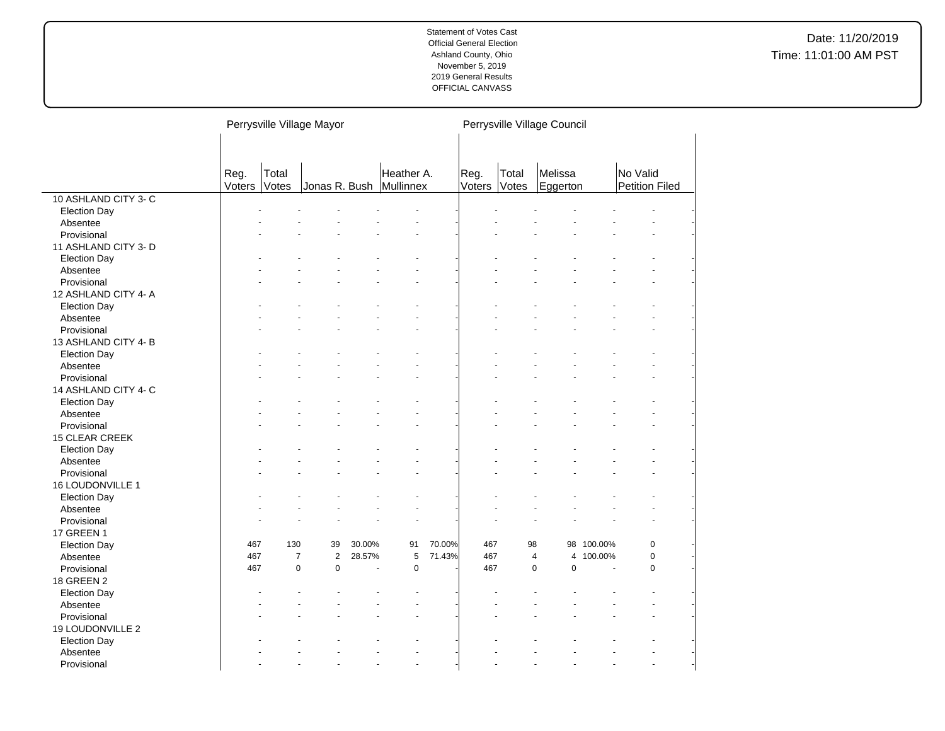|                       |                |                | Perrysville Village Mayor        |        |                                       |        |                |                | Perrysville Village Council      |            |                                   |  |
|-----------------------|----------------|----------------|----------------------------------|--------|---------------------------------------|--------|----------------|----------------|----------------------------------|------------|-----------------------------------|--|
|                       |                |                |                                  |        |                                       |        |                |                |                                  |            |                                   |  |
|                       | Reg.<br>Voters | Total<br>Votes |                                  |        | Heather A.<br>Jonas R. Bush Mullinnex |        | Reg.<br>Voters | Total<br>Votes | Melissa<br>Eggerton              |            | No Valid<br><b>Petition Filed</b> |  |
| 10 ASHLAND CITY 3- C  |                |                |                                  |        |                                       |        |                |                |                                  |            |                                   |  |
| <b>Election Day</b>   |                |                |                                  |        |                                       |        |                |                |                                  |            |                                   |  |
| Absentee              |                |                |                                  |        |                                       |        |                |                |                                  |            |                                   |  |
| Provisional           |                |                |                                  |        |                                       |        |                |                |                                  |            |                                   |  |
| 11 ASHLAND CITY 3-D   |                |                |                                  |        |                                       |        |                |                |                                  |            |                                   |  |
| <b>Election Day</b>   |                |                |                                  |        |                                       |        |                |                |                                  |            |                                   |  |
| Absentee              |                |                |                                  |        |                                       |        |                |                |                                  |            |                                   |  |
| Provisional           |                |                |                                  |        |                                       |        |                |                |                                  |            |                                   |  |
| 12 ASHLAND CITY 4-A   |                |                |                                  |        |                                       |        |                |                |                                  |            |                                   |  |
| <b>Election Day</b>   |                |                |                                  |        |                                       |        |                |                |                                  |            |                                   |  |
| Absentee              |                |                |                                  |        |                                       |        |                |                |                                  |            |                                   |  |
| Provisional           |                |                |                                  |        |                                       |        |                |                |                                  |            |                                   |  |
| 13 ASHLAND CITY 4-B   |                |                |                                  |        |                                       |        |                |                |                                  |            |                                   |  |
| <b>Election Day</b>   |                |                |                                  |        |                                       |        |                |                |                                  |            |                                   |  |
| Absentee              |                |                |                                  |        |                                       |        |                |                |                                  |            |                                   |  |
| Provisional           |                |                |                                  |        |                                       |        |                |                |                                  |            |                                   |  |
| 14 ASHLAND CITY 4- C  |                |                |                                  |        |                                       |        |                |                |                                  |            |                                   |  |
| <b>Election Day</b>   |                |                |                                  |        |                                       |        |                |                |                                  |            |                                   |  |
| Absentee              |                |                |                                  |        |                                       |        |                |                |                                  |            |                                   |  |
| Provisional           |                |                |                                  |        |                                       |        |                |                |                                  |            |                                   |  |
| <b>15 CLEAR CREEK</b> |                |                |                                  |        |                                       |        |                |                |                                  |            |                                   |  |
| <b>Election Day</b>   |                |                |                                  |        |                                       |        |                |                |                                  |            |                                   |  |
| Absentee              |                |                |                                  |        |                                       |        |                |                |                                  |            |                                   |  |
| Provisional           |                |                |                                  |        |                                       |        |                |                |                                  |            |                                   |  |
| 16 LOUDONVILLE 1      |                |                |                                  |        |                                       |        |                |                |                                  |            |                                   |  |
| <b>Election Day</b>   |                |                |                                  |        |                                       |        |                |                |                                  |            |                                   |  |
| Absentee              |                |                |                                  |        |                                       |        |                |                |                                  |            |                                   |  |
| Provisional           |                |                |                                  |        |                                       |        |                |                |                                  |            | $\ddot{\phantom{1}}$              |  |
| 17 GREEN 1            |                |                |                                  |        |                                       |        |                |                |                                  |            |                                   |  |
| <b>Election Day</b>   | 467            | 130            | 39                               | 30.00% | 91                                    | 70.00% | 467            | 98             |                                  | 98 100.00% | 0                                 |  |
| Absentee              | 467            |                | $\overline{2}$<br>$\overline{7}$ | 28.57% | 5                                     | 71.43% | 467            |                | $\overline{4}$<br>$\overline{4}$ | 100.00%    | $\pmb{0}$                         |  |
| Provisional           | 467            |                | $\pmb{0}$<br>$\pmb{0}$           |        | $\pmb{0}$                             |        | 467            |                | $\pmb{0}$<br>$\pmb{0}$           |            | $\mathbf 0$                       |  |
| <b>18 GREEN 2</b>     |                |                |                                  |        |                                       |        |                |                |                                  |            |                                   |  |
| <b>Election Day</b>   |                |                |                                  |        |                                       |        |                |                |                                  |            |                                   |  |
| Absentee              |                |                |                                  |        |                                       |        |                |                |                                  |            |                                   |  |
| Provisional           |                |                |                                  |        |                                       |        |                |                |                                  |            |                                   |  |
| 19 LOUDONVILLE 2      |                |                |                                  |        |                                       |        |                |                |                                  |            |                                   |  |
| <b>Election Day</b>   |                |                |                                  |        |                                       |        |                |                |                                  |            |                                   |  |
| Absentee              |                |                |                                  |        |                                       |        |                |                |                                  |            |                                   |  |
| Provisional           |                |                |                                  |        | ÷.                                    |        |                |                |                                  |            | $\overline{a}$                    |  |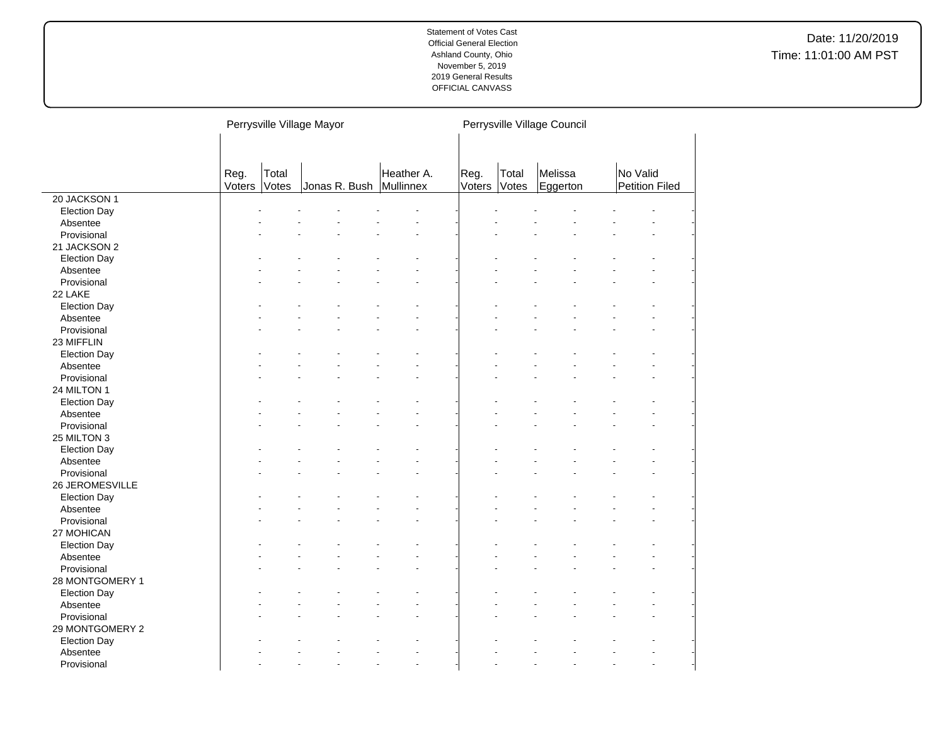|                     |                |                | Perrysville Village Mayor |            | Perrysville Village Council |                |                     |                                   |  |  |  |
|---------------------|----------------|----------------|---------------------------|------------|-----------------------------|----------------|---------------------|-----------------------------------|--|--|--|
|                     | Reg.<br>Voters | Total<br>Votes | Jonas R. Bush Mullinnex   | Heather A. | Reg.<br>Voters              | Total<br>Votes | Melissa<br>Eggerton | No Valid<br><b>Petition Filed</b> |  |  |  |
| 20 JACKSON 1        |                |                |                           |            |                             |                |                     |                                   |  |  |  |
| <b>Election Day</b> |                |                |                           |            |                             |                |                     |                                   |  |  |  |
| Absentee            |                |                |                           |            |                             |                |                     |                                   |  |  |  |
| Provisional         |                |                |                           |            |                             |                |                     |                                   |  |  |  |
| 21 JACKSON 2        |                |                |                           |            |                             |                |                     |                                   |  |  |  |
| <b>Election Day</b> |                |                |                           |            |                             |                |                     |                                   |  |  |  |
| Absentee            |                |                |                           |            |                             |                |                     |                                   |  |  |  |
| Provisional         |                |                |                           |            |                             |                |                     |                                   |  |  |  |
| 22 LAKE             |                |                |                           |            |                             |                |                     |                                   |  |  |  |
| <b>Election Day</b> |                |                |                           |            |                             |                |                     |                                   |  |  |  |
| Absentee            |                |                |                           |            |                             |                |                     |                                   |  |  |  |
| Provisional         |                |                |                           |            |                             |                |                     |                                   |  |  |  |
| 23 MIFFLIN          |                |                |                           |            |                             |                |                     |                                   |  |  |  |
| <b>Election Day</b> |                |                |                           |            |                             |                |                     |                                   |  |  |  |
| Absentee            |                |                |                           |            |                             |                |                     |                                   |  |  |  |
| Provisional         |                |                |                           |            |                             |                |                     |                                   |  |  |  |
| 24 MILTON 1         |                |                |                           |            |                             |                |                     |                                   |  |  |  |
| <b>Election Day</b> |                |                |                           |            |                             |                |                     |                                   |  |  |  |
| Absentee            |                |                |                           |            |                             |                |                     |                                   |  |  |  |
| Provisional         |                |                |                           |            |                             |                |                     |                                   |  |  |  |
| 25 MILTON 3         |                |                |                           |            |                             |                |                     |                                   |  |  |  |
| <b>Election Day</b> |                |                |                           |            |                             |                |                     |                                   |  |  |  |
| Absentee            |                |                |                           |            |                             |                |                     |                                   |  |  |  |
| Provisional         |                |                |                           |            |                             |                |                     |                                   |  |  |  |
| 26 JEROMESVILLE     |                |                |                           |            |                             |                |                     |                                   |  |  |  |
| <b>Election Day</b> |                |                |                           |            |                             |                |                     |                                   |  |  |  |
| Absentee            |                |                |                           |            |                             |                |                     |                                   |  |  |  |
| Provisional         |                |                |                           |            |                             |                |                     |                                   |  |  |  |
| 27 MOHICAN          |                |                |                           |            |                             |                |                     |                                   |  |  |  |
| <b>Election Day</b> |                |                |                           |            |                             |                |                     |                                   |  |  |  |
| Absentee            |                |                |                           |            |                             |                |                     |                                   |  |  |  |
| Provisional         |                |                |                           |            |                             |                |                     |                                   |  |  |  |
| 28 MONTGOMERY 1     |                |                |                           |            |                             |                |                     |                                   |  |  |  |
| <b>Election Day</b> |                |                |                           |            |                             |                |                     |                                   |  |  |  |
| Absentee            |                |                |                           |            |                             |                |                     |                                   |  |  |  |
| Provisional         |                |                |                           |            |                             |                |                     |                                   |  |  |  |
| 29 MONTGOMERY 2     |                |                |                           |            |                             |                |                     |                                   |  |  |  |
| <b>Election Day</b> |                |                |                           |            |                             |                |                     |                                   |  |  |  |
| Absentee            |                |                |                           |            |                             |                |                     |                                   |  |  |  |
| Provisional         |                |                |                           |            |                             |                |                     |                                   |  |  |  |

 $\overline{a}$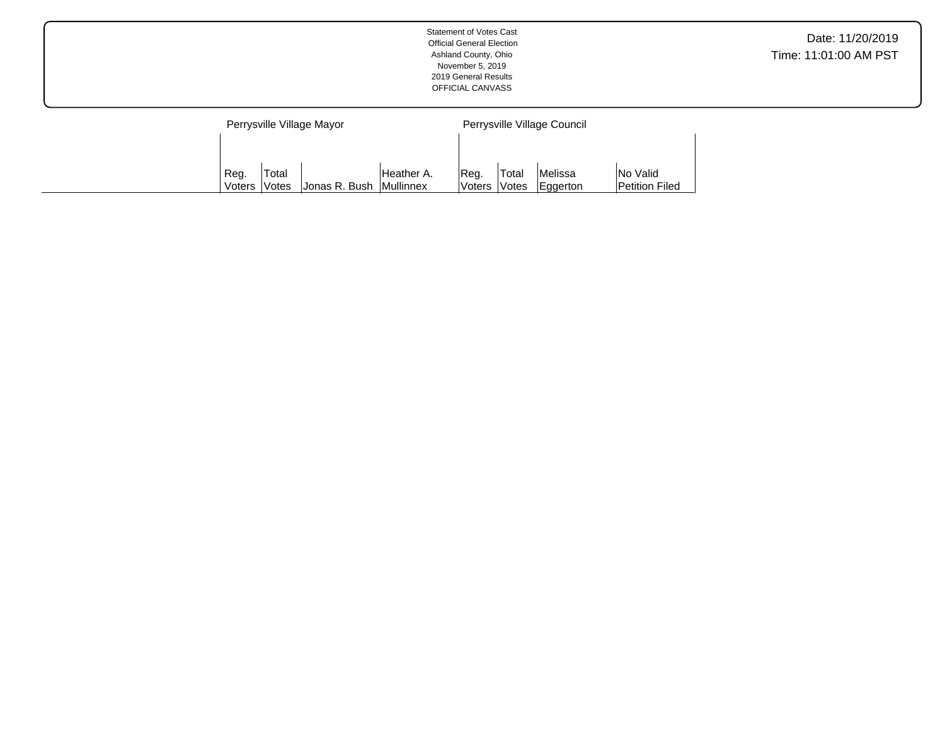|                           | <b>Statement of Votes Cast</b><br><b>Official General Election</b><br>Ashland County, Ohio<br>November 5, 2019<br>2019 General Results<br>OFFICIAL CANVASS | Date: 11/20/2019<br>Time: 11:01:00 AM PST |
|---------------------------|------------------------------------------------------------------------------------------------------------------------------------------------------------|-------------------------------------------|
| Perrysville Village Mayor | Perrysville Village Council                                                                                                                                |                                           |

Reg. Voters Total Votes Melissa Eggerton No Valid Petition Filed

Heather A. Mullinnex

Reg. Voters Total

Votes Jonas R. Bush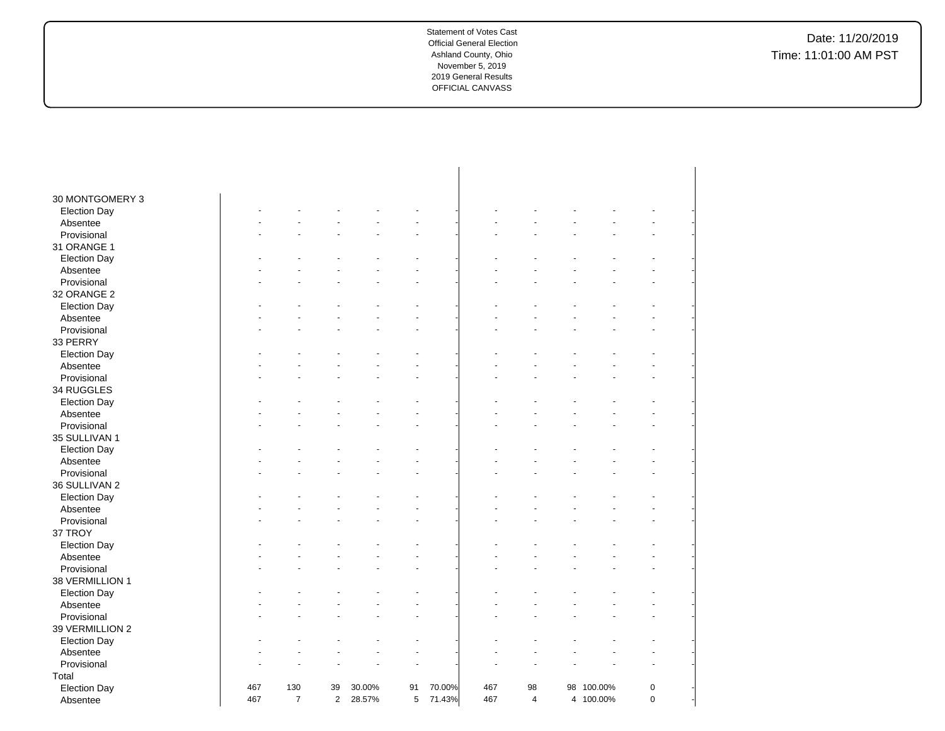| 30 MONTGOMERY 3     |     |                |                |        |    |        |     |                |            |             |  |
|---------------------|-----|----------------|----------------|--------|----|--------|-----|----------------|------------|-------------|--|
| <b>Election Day</b> |     |                |                |        |    |        |     |                |            |             |  |
| Absentee            |     |                |                |        |    |        |     |                |            |             |  |
| Provisional         |     |                |                |        |    |        |     |                |            |             |  |
| 31 ORANGE 1         |     |                |                |        |    |        |     |                |            |             |  |
| <b>Election Day</b> |     |                |                |        |    |        |     |                |            |             |  |
| Absentee            |     |                |                |        |    |        |     |                |            |             |  |
| Provisional         |     |                |                |        |    |        |     |                |            |             |  |
| 32 ORANGE 2         |     |                |                |        |    |        |     |                |            |             |  |
| <b>Election Day</b> |     |                |                |        |    |        |     |                |            |             |  |
| Absentee            |     |                |                |        |    |        |     |                |            |             |  |
| Provisional         |     |                |                |        |    |        |     |                |            |             |  |
| 33 PERRY            |     |                |                |        |    |        |     |                |            |             |  |
| <b>Election Day</b> |     |                |                |        |    |        |     |                |            |             |  |
| Absentee            |     |                |                |        |    |        |     |                |            |             |  |
| Provisional         |     |                |                |        |    |        |     |                |            |             |  |
| 34 RUGGLES          |     |                |                |        |    |        |     |                |            |             |  |
| <b>Election Day</b> |     |                |                |        |    |        |     |                |            |             |  |
| Absentee            |     |                |                |        |    |        |     |                |            |             |  |
| Provisional         |     |                |                |        |    |        |     |                |            |             |  |
| 35 SULLIVAN 1       |     |                |                |        |    |        |     |                |            |             |  |
| <b>Election Day</b> |     |                |                |        |    |        |     |                |            |             |  |
| Absentee            |     |                |                |        |    |        |     |                |            |             |  |
| Provisional         |     |                |                |        |    |        |     |                |            |             |  |
| 36 SULLIVAN 2       |     |                |                |        |    |        |     |                |            |             |  |
| <b>Election Day</b> |     |                |                |        |    |        |     |                |            |             |  |
| Absentee            |     |                |                |        |    |        |     |                |            |             |  |
| Provisional         |     |                |                |        |    |        |     |                |            |             |  |
| 37 TROY             |     |                |                |        |    |        |     |                |            |             |  |
| <b>Election Day</b> |     |                |                |        |    |        |     |                |            |             |  |
| Absentee            |     |                |                |        |    |        |     |                |            |             |  |
| Provisional         |     |                |                |        |    |        |     |                |            |             |  |
| 38 VERMILLION 1     |     |                |                |        |    |        |     |                |            |             |  |
| <b>Election Day</b> |     |                |                |        |    |        |     |                |            |             |  |
| Absentee            |     |                |                |        |    |        |     |                |            |             |  |
| Provisional         |     |                |                |        |    |        |     |                |            |             |  |
| 39 VERMILLION 2     |     |                |                |        |    |        |     |                |            |             |  |
| <b>Election Day</b> |     |                |                |        |    |        |     |                |            |             |  |
| Absentee            |     |                |                |        |    |        |     |                |            |             |  |
| Provisional         |     |                |                |        |    |        |     |                |            |             |  |
| Total               |     |                |                |        |    |        |     |                |            |             |  |
| <b>Election Day</b> | 467 | 130            | 39             | 30.00% | 91 | 70.00% | 467 | 98             | 98 100.00% | $\mathsf 0$ |  |
| Absentee            | 467 | $\overline{7}$ | $\overline{2}$ | 28.57% | 5  | 71.43% | 467 | $\overline{4}$ | 4 100.00%  | $\mathsf 0$ |  |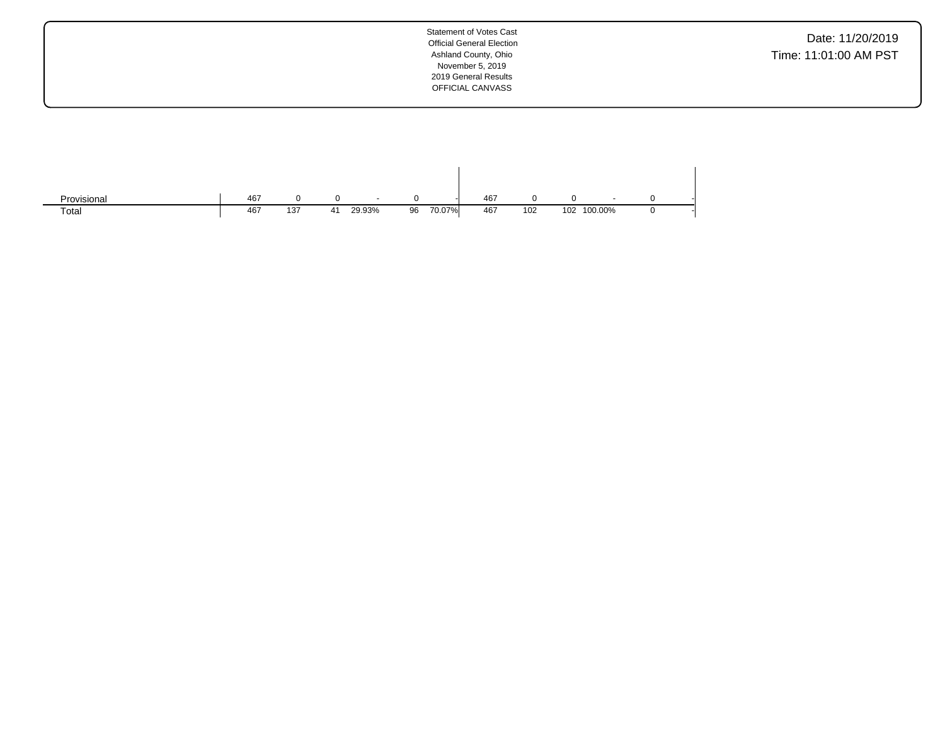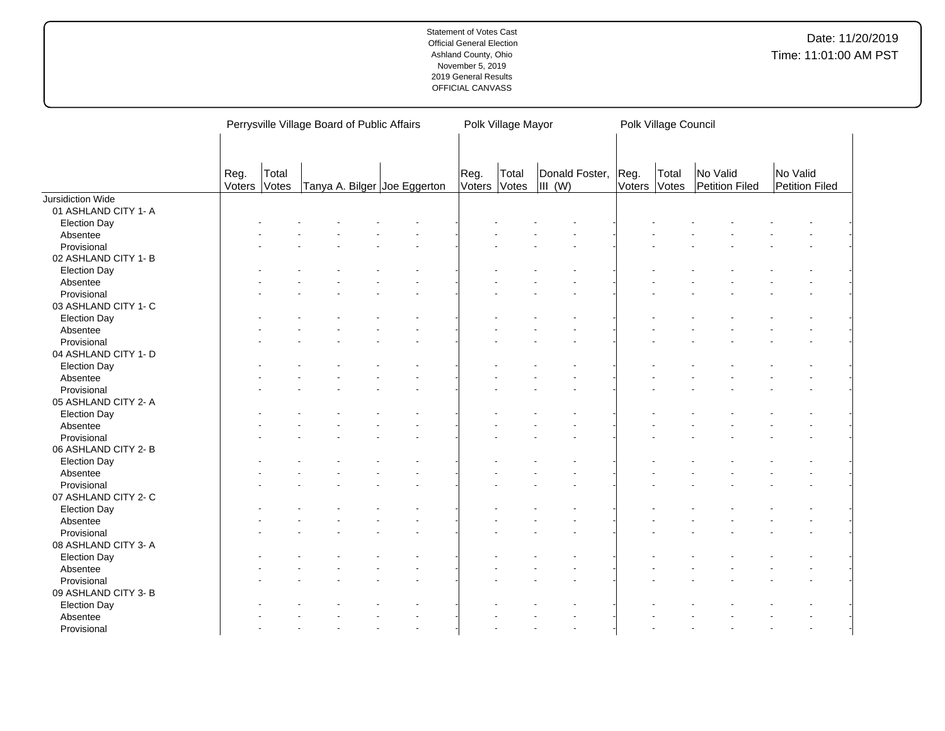|                      |                |                |  | Perrysville Village Board of Public Affairs | Polk Village Mayor   |       |                          |                | Polk Village Council |                            |                            |  |
|----------------------|----------------|----------------|--|---------------------------------------------|----------------------|-------|--------------------------|----------------|----------------------|----------------------------|----------------------------|--|
|                      |                |                |  |                                             |                      |       |                          |                |                      |                            |                            |  |
|                      | Reg.<br>Voters | Total<br>Votes |  | Tanya A. Bilger Joe Eggerton                | Reg.<br>Voters Votes | Total | Donald Foster,<br>III(W) | Reg.<br>Voters | Total<br>Votes       | No Valid<br>Petition Filed | No Valid<br>Petition Filed |  |
| Jursidiction Wide    |                |                |  |                                             |                      |       |                          |                |                      |                            |                            |  |
| 01 ASHLAND CITY 1- A |                |                |  |                                             |                      |       |                          |                |                      |                            |                            |  |
| <b>Election Day</b>  |                |                |  |                                             |                      |       |                          |                |                      |                            |                            |  |
| Absentee             |                |                |  |                                             |                      |       |                          |                |                      |                            |                            |  |
| Provisional          |                |                |  |                                             |                      |       |                          |                |                      |                            |                            |  |
| 02 ASHLAND CITY 1- B |                |                |  |                                             |                      |       |                          |                |                      |                            |                            |  |
| <b>Election Day</b>  |                |                |  |                                             |                      |       |                          |                |                      |                            |                            |  |
| Absentee             |                |                |  |                                             |                      |       |                          |                |                      |                            |                            |  |
| Provisional          |                |                |  |                                             |                      |       |                          |                |                      |                            |                            |  |
| 03 ASHLAND CITY 1-C  |                |                |  |                                             |                      |       |                          |                |                      |                            |                            |  |
| <b>Election Day</b>  |                |                |  |                                             |                      |       |                          |                |                      |                            |                            |  |
| Absentee             |                |                |  |                                             |                      |       |                          |                |                      |                            |                            |  |
| Provisional          |                |                |  |                                             |                      |       |                          |                |                      |                            |                            |  |
| 04 ASHLAND CITY 1- D |                |                |  |                                             |                      |       |                          |                |                      |                            |                            |  |
| <b>Election Day</b>  |                |                |  |                                             |                      |       |                          |                |                      |                            |                            |  |
| Absentee             |                |                |  |                                             |                      |       |                          |                |                      |                            |                            |  |
| Provisional          |                |                |  |                                             |                      |       |                          |                |                      |                            |                            |  |
| 05 ASHLAND CITY 2- A |                |                |  |                                             |                      |       |                          |                |                      |                            |                            |  |
| <b>Election Day</b>  |                |                |  |                                             |                      |       |                          |                |                      |                            |                            |  |
| Absentee             |                |                |  |                                             |                      |       |                          |                |                      |                            |                            |  |
| Provisional          |                |                |  |                                             |                      |       |                          |                |                      |                            |                            |  |
| 06 ASHLAND CITY 2- B |                |                |  |                                             |                      |       |                          |                |                      |                            |                            |  |
| <b>Election Day</b>  |                |                |  |                                             |                      |       |                          |                |                      |                            |                            |  |
| Absentee             |                |                |  |                                             |                      |       |                          |                |                      |                            |                            |  |
| Provisional          |                |                |  |                                             |                      |       |                          |                |                      |                            |                            |  |
| 07 ASHLAND CITY 2-C  |                |                |  |                                             |                      |       |                          |                |                      |                            |                            |  |
| <b>Election Day</b>  |                |                |  |                                             |                      |       |                          |                |                      |                            |                            |  |
| Absentee             |                |                |  |                                             |                      |       |                          |                |                      |                            |                            |  |
| Provisional          |                |                |  |                                             |                      |       |                          |                |                      |                            |                            |  |
| 08 ASHLAND CITY 3-A  |                |                |  |                                             |                      |       |                          |                |                      |                            |                            |  |
| <b>Election Day</b>  |                |                |  |                                             |                      |       |                          |                |                      |                            |                            |  |
| Absentee             |                |                |  |                                             |                      |       |                          |                |                      |                            |                            |  |
| Provisional          |                |                |  |                                             |                      |       |                          |                |                      |                            |                            |  |
| 09 ASHLAND CITY 3- B |                |                |  |                                             |                      |       |                          |                |                      |                            |                            |  |
| <b>Election Day</b>  |                |                |  |                                             |                      |       |                          |                |                      |                            |                            |  |
| Absentee             |                |                |  |                                             |                      |       |                          |                |                      |                            |                            |  |
| Provisional          |                |                |  |                                             |                      |       |                          |                |                      |                            |                            |  |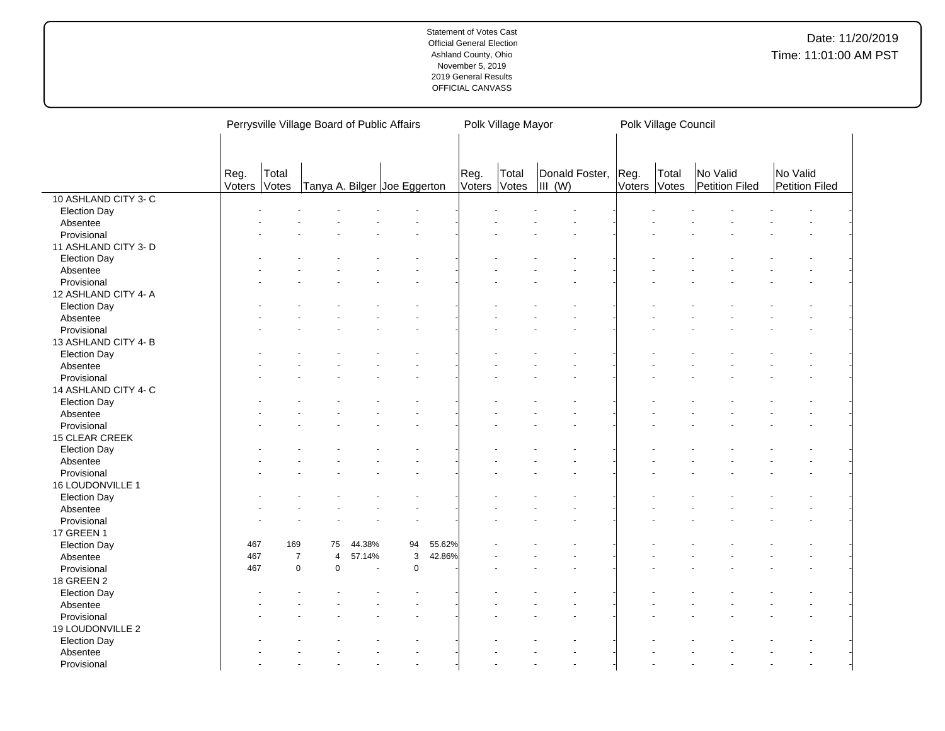|                      | Perrysville Village Board of Public Affairs   |                |                |        |             |        |                      | Polk Village Mayor |                               |              |       | Polk Village Council       |  |                            |  |  |
|----------------------|-----------------------------------------------|----------------|----------------|--------|-------------|--------|----------------------|--------------------|-------------------------------|--------------|-------|----------------------------|--|----------------------------|--|--|
|                      |                                               |                |                |        |             |        |                      |                    |                               |              |       |                            |  |                            |  |  |
|                      | Reg.<br>Total<br>Tanya A. Bilger Joe Eggerton |                |                |        |             |        |                      |                    |                               |              |       |                            |  |                            |  |  |
|                      | Voters                                        | Votes          |                |        |             |        | Reg.<br>Voters Votes | Total              | Donald Foster, Reg.<br>III(W) | Voters Votes | Total | No Valid<br>Petition Filed |  | No Valid<br>Petition Filed |  |  |
| 10 ASHLAND CITY 3- C |                                               |                |                |        |             |        |                      |                    |                               |              |       |                            |  |                            |  |  |
| <b>Election Day</b>  |                                               |                |                |        |             |        |                      |                    |                               |              |       |                            |  |                            |  |  |
| Absentee             |                                               |                |                |        |             |        |                      |                    |                               |              |       |                            |  |                            |  |  |
| Provisional          |                                               |                |                |        |             |        |                      |                    |                               |              |       |                            |  |                            |  |  |
| 11 ASHLAND CITY 3- D |                                               |                |                |        |             |        |                      |                    |                               |              |       |                            |  |                            |  |  |
| <b>Election Day</b>  |                                               |                |                |        |             |        |                      |                    |                               |              |       |                            |  |                            |  |  |
| Absentee             |                                               |                |                |        |             |        |                      |                    |                               |              |       |                            |  |                            |  |  |
| Provisional          |                                               |                |                |        |             |        |                      |                    |                               |              |       |                            |  |                            |  |  |
| 12 ASHLAND CITY 4- A |                                               |                |                |        |             |        |                      |                    |                               |              |       |                            |  |                            |  |  |
| <b>Election Day</b>  |                                               |                |                |        |             |        |                      |                    |                               |              |       |                            |  |                            |  |  |
| Absentee             |                                               |                |                |        |             |        |                      |                    |                               |              |       |                            |  |                            |  |  |
| Provisional          |                                               |                |                |        |             |        |                      |                    |                               |              |       |                            |  |                            |  |  |
|                      |                                               |                |                |        |             |        |                      |                    |                               |              |       |                            |  |                            |  |  |
| 13 ASHLAND CITY 4-B  |                                               |                |                |        |             |        |                      |                    |                               |              |       |                            |  |                            |  |  |
| <b>Election Day</b>  |                                               |                |                |        |             |        |                      |                    |                               |              |       |                            |  |                            |  |  |
| Absentee             |                                               |                |                |        |             |        |                      |                    |                               |              |       |                            |  |                            |  |  |
| Provisional          |                                               |                |                |        |             |        |                      |                    |                               |              |       |                            |  |                            |  |  |
| 14 ASHLAND CITY 4- C |                                               |                |                |        |             |        |                      |                    |                               |              |       |                            |  |                            |  |  |
| <b>Election Day</b>  |                                               |                |                |        |             |        |                      |                    |                               |              |       |                            |  |                            |  |  |
| Absentee             |                                               |                |                |        |             |        |                      |                    |                               |              |       |                            |  |                            |  |  |
| Provisional          |                                               |                |                |        |             |        |                      |                    |                               |              |       |                            |  |                            |  |  |
| 15 CLEAR CREEK       |                                               |                |                |        |             |        |                      |                    |                               |              |       |                            |  |                            |  |  |
| <b>Election Day</b>  |                                               |                |                |        |             |        |                      |                    |                               |              |       |                            |  |                            |  |  |
| Absentee             |                                               |                |                |        |             |        |                      |                    |                               |              |       |                            |  |                            |  |  |
| Provisional          |                                               |                |                |        |             |        |                      |                    |                               |              |       |                            |  |                            |  |  |
| 16 LOUDONVILLE 1     |                                               |                |                |        |             |        |                      |                    |                               |              |       |                            |  |                            |  |  |
| <b>Election Day</b>  |                                               |                |                |        |             |        |                      |                    |                               |              |       |                            |  |                            |  |  |
| Absentee             |                                               |                |                |        |             |        |                      |                    |                               |              |       |                            |  |                            |  |  |
| Provisional          |                                               |                |                |        |             |        |                      |                    |                               |              |       |                            |  |                            |  |  |
| 17 GREEN 1           |                                               |                |                |        |             |        |                      |                    |                               |              |       |                            |  |                            |  |  |
| <b>Election Day</b>  | 467                                           | 169            | 75             | 44.38% | 94          | 55.62% |                      |                    |                               |              |       |                            |  |                            |  |  |
| Absentee             | 467                                           | $\overline{7}$ | $\overline{4}$ | 57.14% | 3           | 42.86% |                      |                    |                               |              |       |                            |  |                            |  |  |
| Provisional          | 467                                           | $\mathbf 0$    | $\mathbf 0$    |        | $\mathbf 0$ |        |                      |                    |                               |              |       |                            |  |                            |  |  |
| <b>18 GREEN 2</b>    |                                               |                |                |        |             |        |                      |                    |                               |              |       |                            |  |                            |  |  |
| <b>Election Day</b>  |                                               |                |                |        |             |        |                      |                    |                               |              |       |                            |  |                            |  |  |
|                      |                                               |                |                |        |             |        |                      |                    |                               |              |       |                            |  |                            |  |  |
| Absentee             |                                               |                |                |        |             |        |                      |                    |                               |              |       |                            |  |                            |  |  |
| Provisional          |                                               |                |                |        |             |        |                      |                    |                               |              |       |                            |  |                            |  |  |
| 19 LOUDONVILLE 2     |                                               |                |                |        |             |        |                      |                    |                               |              |       |                            |  |                            |  |  |
| <b>Election Day</b>  |                                               |                |                |        |             |        |                      |                    |                               |              |       |                            |  |                            |  |  |
| Absentee             |                                               |                |                |        |             |        |                      |                    |                               |              |       |                            |  |                            |  |  |
| Provisional          |                                               |                |                |        |             |        |                      |                    |                               |              |       |                            |  |                            |  |  |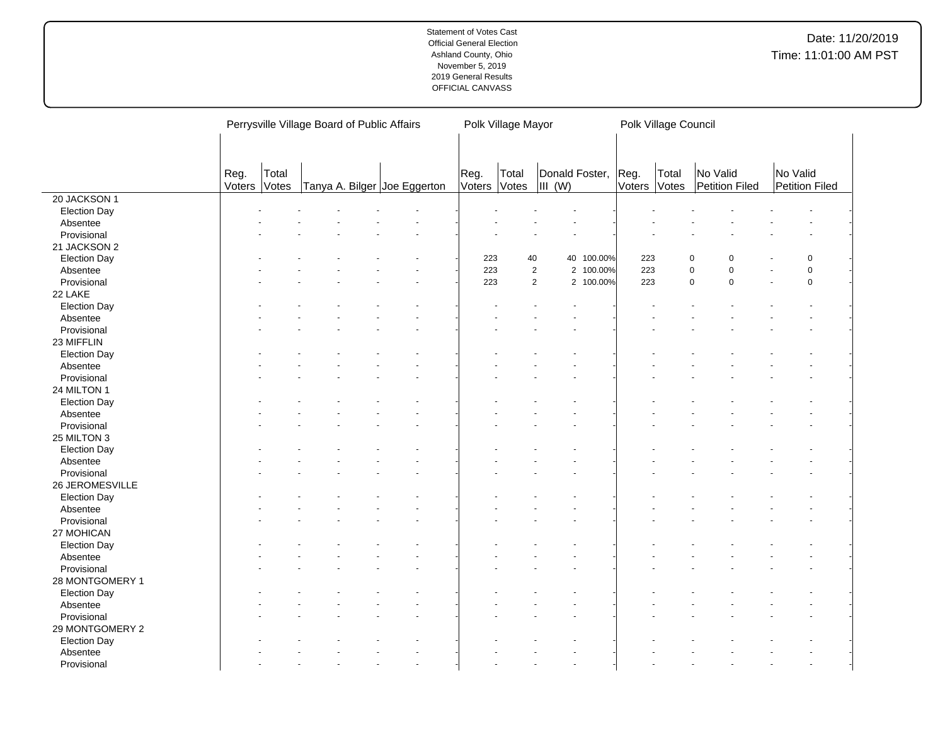|                     | Perrysville Village Board of Public Affairs |       |  |  |  |                              | Polk Village Mayor |       |                     |            |              | Polk Village Council |                  |           |                |                |  |
|---------------------|---------------------------------------------|-------|--|--|--|------------------------------|--------------------|-------|---------------------|------------|--------------|----------------------|------------------|-----------|----------------|----------------|--|
|                     |                                             |       |  |  |  |                              |                    |       |                     |            |              |                      |                  |           |                |                |  |
|                     |                                             |       |  |  |  |                              |                    |       |                     |            |              |                      |                  |           |                |                |  |
|                     | Reg.                                        | Total |  |  |  |                              | Reg.               | Total | Donald Foster,      |            | Reg.         | Total                | No Valid         |           | No Valid       |                |  |
|                     | Voters                                      | Votes |  |  |  | Tanya A. Bilger Joe Eggerton | Voters             | Votes | $\parallel$ III (W) |            | Voters Votes |                      | Petition Filed   |           | Petition Filed |                |  |
| 20 JACKSON 1        |                                             |       |  |  |  |                              |                    |       |                     |            |              |                      |                  |           |                |                |  |
| <b>Election Day</b> |                                             |       |  |  |  |                              |                    |       |                     |            |              |                      |                  |           |                |                |  |
| Absentee            |                                             |       |  |  |  |                              |                    |       |                     |            |              |                      |                  |           |                |                |  |
| Provisional         |                                             |       |  |  |  |                              |                    |       |                     |            |              |                      |                  |           |                |                |  |
| 21 JACKSON 2        |                                             |       |  |  |  |                              |                    |       |                     |            |              |                      |                  |           |                |                |  |
| <b>Election Day</b> |                                             |       |  |  |  |                              | 223                | 40    |                     | 40 100.00% | 223          |                      | 0<br>$\Omega$    |           |                | $\overline{0}$ |  |
| Absentee            |                                             |       |  |  |  |                              | 223                |       | $\sqrt{2}$          | 2 100.00%  | 223          |                      | 0<br>$\mathbf 0$ |           |                | $\pmb{0}$      |  |
| Provisional         |                                             |       |  |  |  |                              | 223                |       | $\overline{2}$      | 2 100.00%  | 223          |                      | $\pmb{0}$        | $\pmb{0}$ |                | $\mathbf 0$    |  |
| 22 LAKE             |                                             |       |  |  |  |                              |                    |       |                     |            |              |                      |                  |           |                |                |  |
| <b>Election Day</b> |                                             |       |  |  |  |                              |                    |       |                     |            |              |                      |                  |           |                |                |  |
| Absentee            |                                             |       |  |  |  |                              |                    |       |                     |            |              |                      |                  |           |                |                |  |
| Provisional         |                                             |       |  |  |  |                              |                    |       |                     |            |              |                      |                  |           |                |                |  |
| 23 MIFFLIN          |                                             |       |  |  |  |                              |                    |       |                     |            |              |                      |                  |           |                |                |  |
| <b>Election Day</b> |                                             |       |  |  |  |                              |                    |       |                     |            |              |                      |                  |           |                |                |  |
| Absentee            |                                             |       |  |  |  |                              |                    |       |                     |            |              |                      |                  |           |                |                |  |
| Provisional         |                                             |       |  |  |  |                              |                    |       |                     |            |              |                      |                  |           |                |                |  |
| 24 MILTON 1         |                                             |       |  |  |  |                              |                    |       |                     |            |              |                      |                  |           |                |                |  |
| <b>Election Day</b> |                                             |       |  |  |  |                              |                    |       |                     |            |              |                      |                  |           |                |                |  |
| Absentee            |                                             |       |  |  |  |                              |                    |       |                     |            |              |                      |                  |           |                |                |  |
| Provisional         |                                             |       |  |  |  |                              |                    |       |                     |            |              |                      |                  |           |                |                |  |
| 25 MILTON 3         |                                             |       |  |  |  |                              |                    |       |                     |            |              |                      |                  |           |                |                |  |
| <b>Election Day</b> |                                             |       |  |  |  |                              |                    |       |                     |            |              |                      |                  |           |                |                |  |
| Absentee            |                                             |       |  |  |  |                              |                    |       |                     |            |              |                      |                  |           |                |                |  |
| Provisional         |                                             |       |  |  |  |                              |                    |       |                     |            |              |                      |                  |           |                |                |  |
| 26 JEROMESVILLE     |                                             |       |  |  |  |                              |                    |       |                     |            |              |                      |                  |           |                |                |  |
| <b>Election Day</b> |                                             |       |  |  |  |                              |                    |       |                     |            |              |                      |                  |           |                |                |  |
| Absentee            |                                             |       |  |  |  |                              |                    |       |                     |            |              |                      |                  |           |                |                |  |
| Provisional         |                                             |       |  |  |  |                              |                    |       |                     |            |              |                      |                  |           |                |                |  |
| 27 MOHICAN          |                                             |       |  |  |  |                              |                    |       |                     |            |              |                      |                  |           |                |                |  |
| <b>Election Day</b> |                                             |       |  |  |  |                              |                    |       |                     |            |              |                      |                  |           |                |                |  |
| Absentee            |                                             |       |  |  |  |                              |                    |       |                     |            |              |                      |                  |           |                |                |  |
| Provisional         |                                             |       |  |  |  |                              |                    |       |                     |            |              |                      |                  |           |                |                |  |
| 28 MONTGOMERY 1     |                                             |       |  |  |  |                              |                    |       |                     |            |              |                      |                  |           |                |                |  |
| <b>Election Day</b> |                                             |       |  |  |  |                              |                    |       |                     |            |              |                      |                  |           |                |                |  |
| Absentee            |                                             |       |  |  |  |                              |                    |       |                     |            |              |                      |                  |           |                |                |  |
| Provisional         |                                             |       |  |  |  |                              |                    |       |                     |            |              |                      |                  |           |                |                |  |
| 29 MONTGOMERY 2     |                                             |       |  |  |  |                              |                    |       |                     |            |              |                      |                  |           |                |                |  |
| <b>Election Day</b> |                                             |       |  |  |  |                              |                    |       |                     |            |              |                      |                  |           |                |                |  |
| Absentee            |                                             |       |  |  |  |                              |                    |       |                     |            |              |                      |                  |           |                |                |  |
| Provisional         |                                             |       |  |  |  |                              |                    |       |                     |            |              |                      |                  |           |                |                |  |

 $\overline{a}$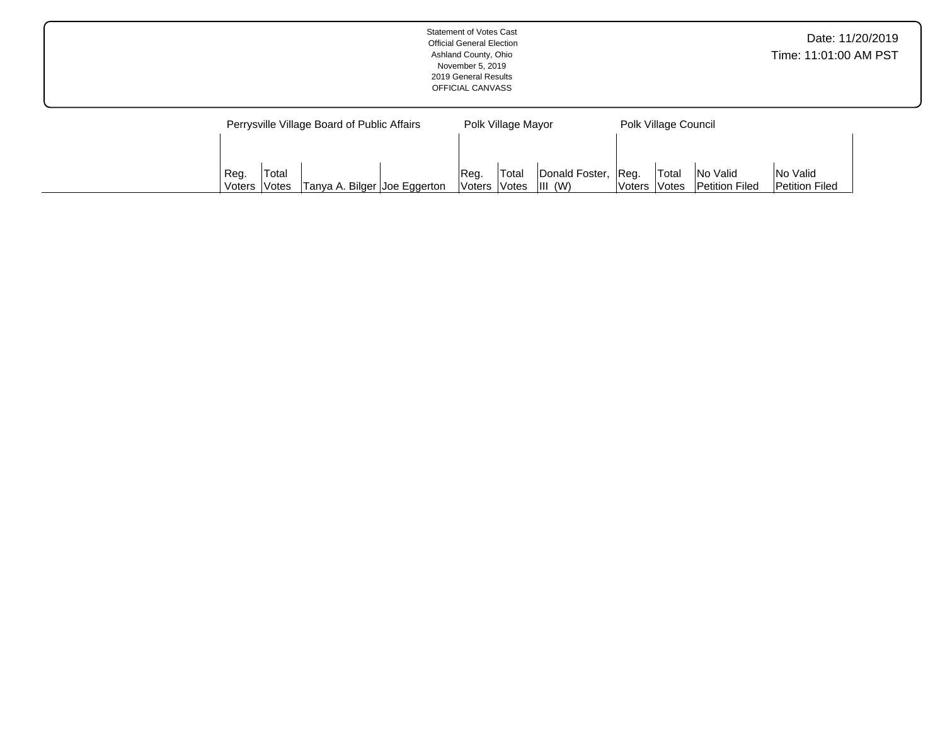|                                             | <b>Statement of Votes Cast</b><br><b>Official General Election</b><br>Ashland County, Ohio<br>November 5, 2019<br>2019 General Results<br>OFFICIAL CANVASS |                      | Date: 11/20/2019<br>Time: 11:01:00 AM PST |  |
|---------------------------------------------|------------------------------------------------------------------------------------------------------------------------------------------------------------|----------------------|-------------------------------------------|--|
| Perrysville Village Board of Public Affairs | Polk Village Mayor                                                                                                                                         | Polk Village Council |                                           |  |

Reg. Voters Total Votes Donald Foster, III (W)

Reg. Voters Total Votes No Valid Petition Filed No Valid Petition Filed

Reg. Voters Total

Votes | Tanya A. Bilger | Joe Eggerton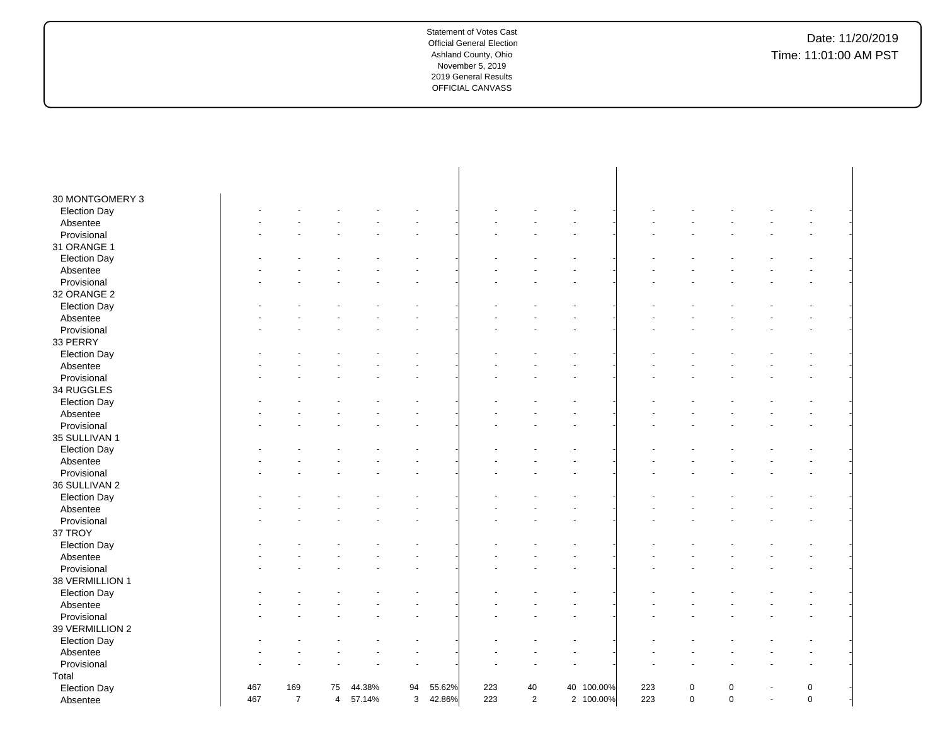| 30 MONTGOMERY 3     |     |                |                |        |              |        |     |                |            |     |                |                |                |             |  |
|---------------------|-----|----------------|----------------|--------|--------------|--------|-----|----------------|------------|-----|----------------|----------------|----------------|-------------|--|
| <b>Election Day</b> |     |                |                |        |              |        |     |                |            |     |                |                |                |             |  |
| Absentee            |     |                |                |        |              |        |     |                |            |     |                |                |                |             |  |
| Provisional         |     |                |                |        |              |        |     |                |            |     |                |                |                |             |  |
| 31 ORANGE 1         |     |                |                |        |              |        |     |                |            |     |                |                |                |             |  |
| <b>Election Day</b> |     |                |                |        |              |        |     |                |            |     |                |                |                |             |  |
| Absentee            |     |                |                |        |              |        |     |                |            |     |                |                |                |             |  |
| Provisional         |     |                |                |        |              |        |     |                |            |     |                |                |                |             |  |
| 32 ORANGE 2         |     |                |                |        |              |        |     |                |            |     |                |                |                |             |  |
| <b>Election Day</b> |     |                |                |        |              |        |     |                |            |     |                |                |                |             |  |
| Absentee            |     |                |                |        |              |        |     |                |            |     |                |                |                |             |  |
| Provisional         |     |                |                |        |              |        |     |                |            |     |                |                |                |             |  |
| 33 PERRY            |     |                |                |        |              |        |     |                |            |     |                |                |                |             |  |
| <b>Election Day</b> |     |                |                |        |              |        |     |                |            |     |                |                |                |             |  |
| Absentee            |     |                |                |        |              |        |     |                |            |     |                |                |                |             |  |
| Provisional         |     |                |                |        |              |        |     |                |            |     |                |                |                |             |  |
| 34 RUGGLES          |     |                |                |        |              |        |     |                |            |     |                |                |                |             |  |
| <b>Election Day</b> |     |                |                |        |              |        |     |                |            |     |                |                |                |             |  |
| Absentee            |     |                |                |        |              |        |     |                |            |     |                |                |                |             |  |
| Provisional         |     |                |                |        |              |        |     |                |            |     |                |                |                |             |  |
| 35 SULLIVAN 1       |     |                |                |        |              |        |     |                |            |     |                |                |                |             |  |
| <b>Election Day</b> |     |                |                |        |              |        |     |                |            |     |                |                |                |             |  |
| Absentee            |     |                |                |        |              |        |     |                |            |     |                |                |                |             |  |
| Provisional         |     |                |                |        |              |        |     |                |            |     |                |                |                |             |  |
| 36 SULLIVAN 2       |     |                |                |        |              |        |     |                |            |     |                |                |                |             |  |
| <b>Election Day</b> |     |                |                |        |              |        |     |                |            |     |                |                |                |             |  |
| Absentee            |     |                |                |        |              |        |     |                |            |     |                |                |                |             |  |
| Provisional         |     |                |                |        |              |        |     |                |            |     |                |                |                |             |  |
| 37 TROY             |     |                |                |        |              |        |     |                |            |     |                |                |                |             |  |
| <b>Election Day</b> |     |                |                |        |              |        |     |                |            |     |                |                |                |             |  |
| Absentee            |     |                |                |        |              |        |     |                |            |     |                |                |                |             |  |
| Provisional         |     |                |                |        |              |        |     |                |            |     |                |                |                |             |  |
| 38 VERMILLION 1     |     |                |                |        |              |        |     |                |            |     |                |                |                |             |  |
| <b>Election Day</b> |     |                |                |        |              |        |     |                |            |     |                |                |                |             |  |
| Absentee            |     |                |                |        |              |        |     |                |            |     |                |                |                |             |  |
| Provisional         |     |                |                |        |              |        |     |                |            |     |                |                |                |             |  |
| 39 VERMILLION 2     |     |                |                |        |              |        |     |                |            |     |                |                |                |             |  |
| <b>Election Day</b> |     |                |                |        |              |        |     |                |            |     |                |                |                |             |  |
| Absentee            |     |                |                |        |              |        |     |                |            |     |                |                |                |             |  |
| Provisional         |     |                |                |        |              |        |     |                |            |     |                |                |                |             |  |
| Total               |     |                |                |        |              |        |     |                |            |     |                |                |                |             |  |
| <b>Election Day</b> | 467 | 169            | 75             | 44.38% | 94           | 55.62% | 223 | $40\,$         | 40 100.00% | 223 | $\mathsf 0$    | $\pmb{0}$      |                | $\mathsf 0$ |  |
| Absentee            | 467 | $\overline{7}$ | $\overline{4}$ | 57.14% | $\mathbf{3}$ | 42.86% | 223 | $\overline{2}$ | 2 100.00%  | 223 | $\overline{0}$ | $\overline{0}$ | $\blacksquare$ | $\mathbf 0$ |  |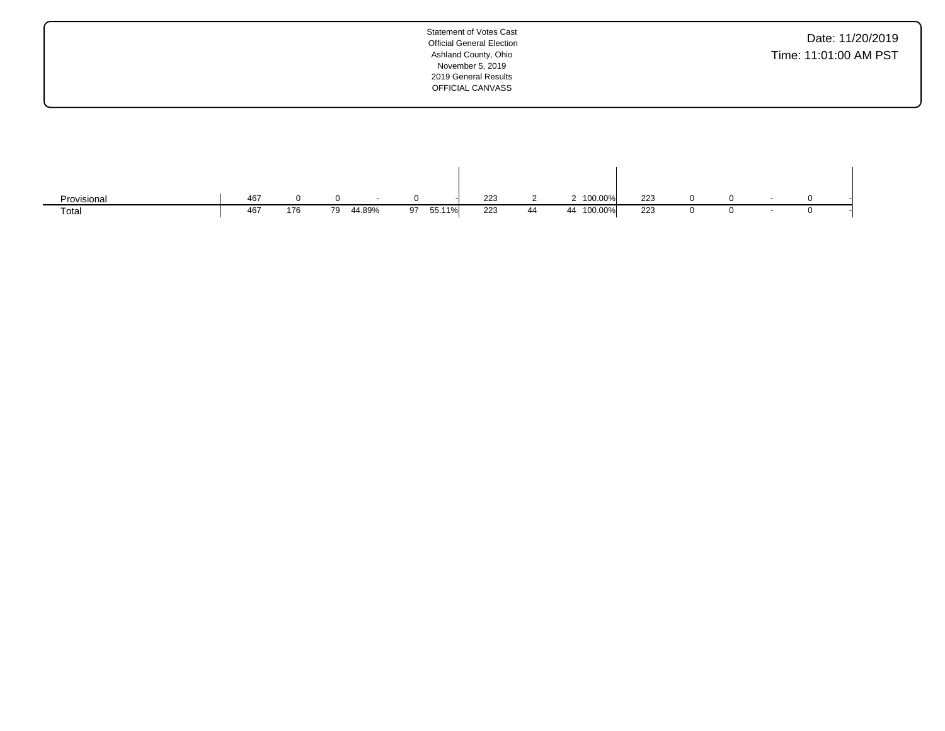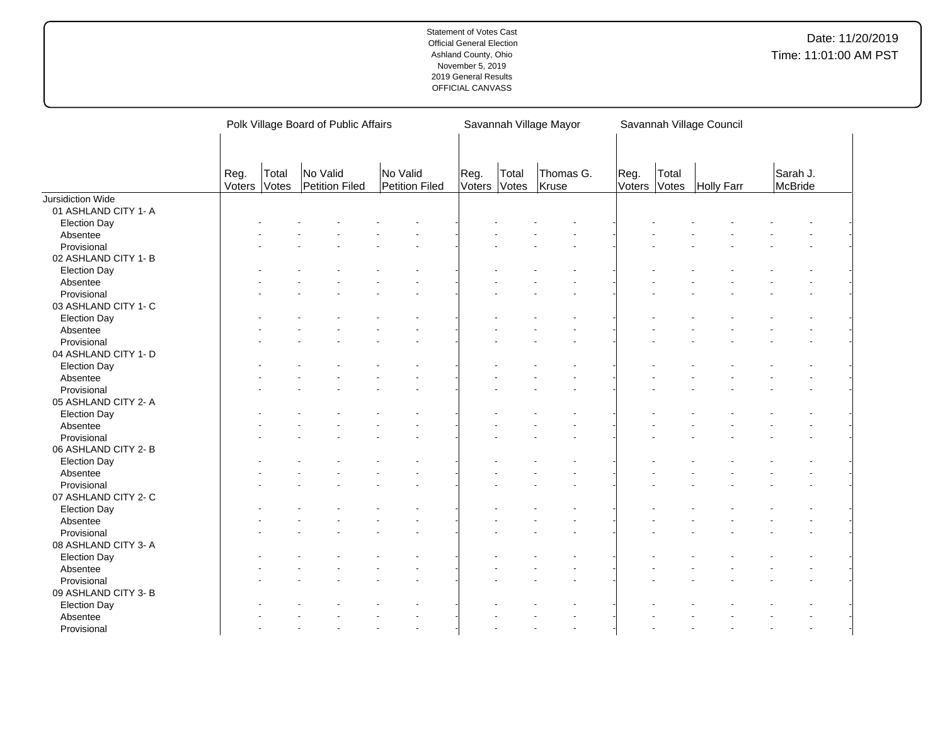|                      |                |                | Polk Village Board of Public Affairs |                            |      |                       | Savannah Village Mayor | Savannah Village Council |                |                   |                     |  |
|----------------------|----------------|----------------|--------------------------------------|----------------------------|------|-----------------------|------------------------|--------------------------|----------------|-------------------|---------------------|--|
|                      | Reg.<br>Voters | Total<br>Votes | No Valid<br>Petition Filed           | No Valid<br>Petition Filed | Reg. | Total<br>Voters Votes | Thomas G.<br>Kruse     | Reg.<br>Voters           | Total<br>Votes | <b>Holly Farr</b> | Sarah J.<br>McBride |  |
| Jursidiction Wide    |                |                |                                      |                            |      |                       |                        |                          |                |                   |                     |  |
| 01 ASHLAND CITY 1- A |                |                |                                      |                            |      |                       |                        |                          |                |                   |                     |  |
| <b>Election Day</b>  |                |                |                                      |                            |      |                       |                        |                          |                |                   |                     |  |
| Absentee             |                |                |                                      |                            |      |                       |                        |                          |                |                   |                     |  |
| Provisional          |                |                |                                      |                            |      |                       |                        |                          |                |                   |                     |  |
| 02 ASHLAND CITY 1- B |                |                |                                      |                            |      |                       |                        |                          |                |                   |                     |  |
| <b>Election Day</b>  |                |                |                                      |                            |      |                       |                        |                          |                |                   |                     |  |
| Absentee             |                |                |                                      |                            |      |                       |                        |                          |                |                   |                     |  |
| Provisional          |                |                |                                      |                            |      |                       |                        |                          |                |                   |                     |  |
| 03 ASHLAND CITY 1- C |                |                |                                      |                            |      |                       |                        |                          |                |                   |                     |  |
| <b>Election Day</b>  |                |                |                                      |                            |      |                       |                        |                          |                |                   |                     |  |
| Absentee             |                |                |                                      |                            |      |                       |                        |                          |                |                   |                     |  |
| Provisional          |                |                |                                      |                            |      |                       |                        |                          |                |                   |                     |  |
| 04 ASHLAND CITY 1- D |                |                |                                      |                            |      |                       |                        |                          |                |                   |                     |  |
| <b>Election Day</b>  |                |                |                                      |                            |      |                       |                        |                          |                |                   |                     |  |
| Absentee             |                |                |                                      |                            |      |                       |                        |                          |                |                   |                     |  |
| Provisional          |                |                |                                      |                            |      |                       |                        |                          |                |                   |                     |  |
| 05 ASHLAND CITY 2- A |                |                |                                      |                            |      |                       |                        |                          |                |                   |                     |  |
| <b>Election Day</b>  |                |                |                                      |                            |      |                       |                        |                          |                |                   |                     |  |
| Absentee             |                |                |                                      |                            |      |                       |                        |                          |                |                   |                     |  |
| Provisional          |                |                |                                      |                            |      |                       |                        |                          |                |                   |                     |  |
| 06 ASHLAND CITY 2- B |                |                |                                      |                            |      |                       |                        |                          |                |                   |                     |  |
| <b>Election Day</b>  |                |                |                                      |                            |      |                       |                        |                          |                |                   |                     |  |
| Absentee             |                |                |                                      |                            |      |                       |                        |                          |                |                   |                     |  |
| Provisional          |                |                |                                      |                            |      |                       |                        |                          |                |                   |                     |  |
| 07 ASHLAND CITY 2- C |                |                |                                      |                            |      |                       |                        |                          |                |                   |                     |  |
| <b>Election Day</b>  |                |                |                                      |                            |      |                       |                        |                          |                |                   |                     |  |
| Absentee             |                |                |                                      |                            |      |                       |                        |                          |                |                   |                     |  |
| Provisional          |                |                |                                      |                            |      |                       |                        |                          |                |                   |                     |  |
| 08 ASHLAND CITY 3- A |                |                |                                      |                            |      |                       |                        |                          |                |                   |                     |  |
| <b>Election Day</b>  |                |                |                                      |                            |      |                       |                        |                          |                |                   |                     |  |
| Absentee             |                |                |                                      |                            |      |                       |                        |                          |                |                   |                     |  |
| Provisional          |                |                |                                      |                            |      |                       |                        |                          |                |                   |                     |  |
| 09 ASHLAND CITY 3- B |                |                |                                      |                            |      |                       |                        |                          |                |                   |                     |  |
| <b>Election Day</b>  |                |                |                                      |                            |      |                       |                        |                          |                |                   |                     |  |
| Absentee             |                |                |                                      |                            |      |                       |                        |                          |                |                   |                     |  |
| Provisional          |                |                |                                      | $\overline{a}$             |      |                       |                        |                          |                |                   |                     |  |
|                      |                |                |                                      |                            |      |                       |                        |                          |                |                   |                     |  |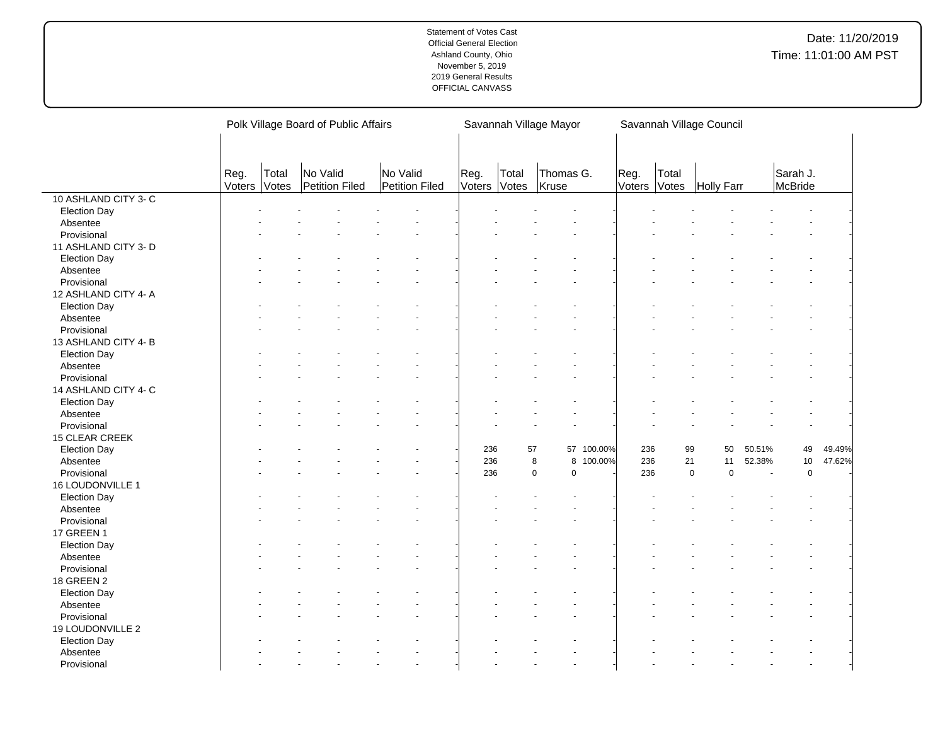|                      |                |                | Polk Village Board of Public Affairs |                            |                |                | Savannah Village Mayor     | Savannah Village Council |                |                            |        |                     |        |
|----------------------|----------------|----------------|--------------------------------------|----------------------------|----------------|----------------|----------------------------|--------------------------|----------------|----------------------------|--------|---------------------|--------|
|                      | Reg.<br>Voters | Total<br>Votes | No Valid<br>Petition Filed           | No Valid<br>Petition Filed | Reg.<br>Voters | Total<br>Votes | Thomas G.<br>Kruse         | Reg.<br>Voters           | Total<br>Votes | Holly Farr                 |        | Sarah J.<br>McBride |        |
| 10 ASHLAND CITY 3-C  |                |                |                                      |                            |                |                |                            |                          |                |                            |        |                     |        |
| <b>Election Day</b>  |                |                |                                      |                            |                |                |                            |                          |                |                            |        |                     |        |
| Absentee             |                |                |                                      |                            |                |                |                            |                          |                |                            |        |                     |        |
| Provisional          |                |                |                                      |                            |                |                |                            |                          |                |                            |        |                     |        |
| 11 ASHLAND CITY 3- D |                |                |                                      |                            |                |                |                            |                          |                |                            |        |                     |        |
| <b>Election Day</b>  |                |                |                                      |                            |                |                |                            |                          |                |                            |        |                     |        |
| Absentee             |                |                |                                      |                            |                |                |                            |                          |                |                            |        |                     |        |
| Provisional          |                |                |                                      |                            |                |                |                            |                          |                |                            |        |                     |        |
| 12 ASHLAND CITY 4- A |                |                |                                      |                            |                |                |                            |                          |                |                            |        |                     |        |
| <b>Election Day</b>  |                |                |                                      |                            |                |                |                            |                          |                |                            |        |                     |        |
| Absentee             |                |                |                                      |                            |                |                |                            |                          |                |                            |        |                     |        |
| Provisional          |                |                |                                      |                            |                |                |                            |                          |                |                            |        |                     |        |
| 13 ASHLAND CITY 4-B  |                |                |                                      |                            |                |                |                            |                          |                |                            |        |                     |        |
| <b>Election Day</b>  |                |                |                                      |                            |                |                |                            |                          |                |                            |        |                     |        |
| Absentee             |                |                |                                      |                            |                |                |                            |                          |                |                            |        |                     |        |
| Provisional          |                |                |                                      |                            |                |                |                            |                          |                |                            |        |                     |        |
| 14 ASHLAND CITY 4- C |                |                |                                      |                            |                |                |                            |                          |                |                            |        |                     |        |
| <b>Election Day</b>  |                |                |                                      |                            |                |                |                            |                          |                |                            |        |                     |        |
| Absentee             |                |                |                                      |                            |                |                |                            |                          |                |                            |        |                     |        |
| Provisional          |                |                |                                      |                            |                |                |                            |                          |                |                            |        |                     |        |
|                      |                |                |                                      |                            |                |                |                            |                          |                |                            |        |                     |        |
| 15 CLEAR CREEK       |                |                |                                      |                            | 236            | 57             | 57 100.00%                 | 236                      | 99             | 50                         | 50.51% | 49                  | 49.49% |
| <b>Election Day</b>  |                |                |                                      |                            | 236            |                | 8<br>8 100.00%             | 236                      | 21             | 11                         | 52.38% | 10                  | 47.62% |
| Absentee             |                |                |                                      |                            | 236            |                | $\mathbf 0$<br>$\mathbf 0$ | 236                      |                | $\mathbf 0$<br>$\mathbf 0$ | $\sim$ | $\mathbf 0$         |        |
| Provisional          |                |                |                                      |                            |                |                |                            |                          |                |                            |        |                     |        |
| 16 LOUDONVILLE 1     |                |                |                                      |                            |                |                |                            |                          |                |                            |        |                     |        |
| <b>Election Day</b>  |                |                |                                      |                            |                |                |                            |                          |                |                            |        |                     |        |
| Absentee             |                |                |                                      |                            |                |                |                            |                          |                |                            |        |                     |        |
| Provisional          |                |                |                                      |                            |                |                |                            |                          |                |                            |        |                     |        |
| 17 GREEN 1           |                |                |                                      |                            |                |                |                            |                          |                |                            |        |                     |        |
| <b>Election Day</b>  |                |                |                                      |                            |                |                |                            |                          |                |                            |        |                     |        |
| Absentee             |                |                |                                      |                            |                |                |                            |                          |                |                            |        |                     |        |
| Provisional          |                |                |                                      |                            |                |                |                            |                          |                |                            |        |                     |        |
| <b>18 GREEN 2</b>    |                |                |                                      |                            |                |                |                            |                          |                |                            |        |                     |        |
| <b>Election Day</b>  |                |                |                                      |                            |                |                |                            |                          |                |                            |        |                     |        |
| Absentee             |                |                |                                      |                            |                |                |                            |                          |                |                            |        |                     |        |
| Provisional          |                |                |                                      |                            |                |                |                            |                          |                |                            |        |                     |        |
| 19 LOUDONVILLE 2     |                |                |                                      |                            |                |                |                            |                          |                |                            |        |                     |        |
| <b>Election Day</b>  |                |                |                                      |                            |                |                |                            |                          |                |                            |        |                     |        |
| Absentee             |                |                |                                      |                            |                |                |                            |                          |                |                            |        |                     |        |
| Provisional          |                |                |                                      |                            |                |                |                            |                          |                |                            |        |                     |        |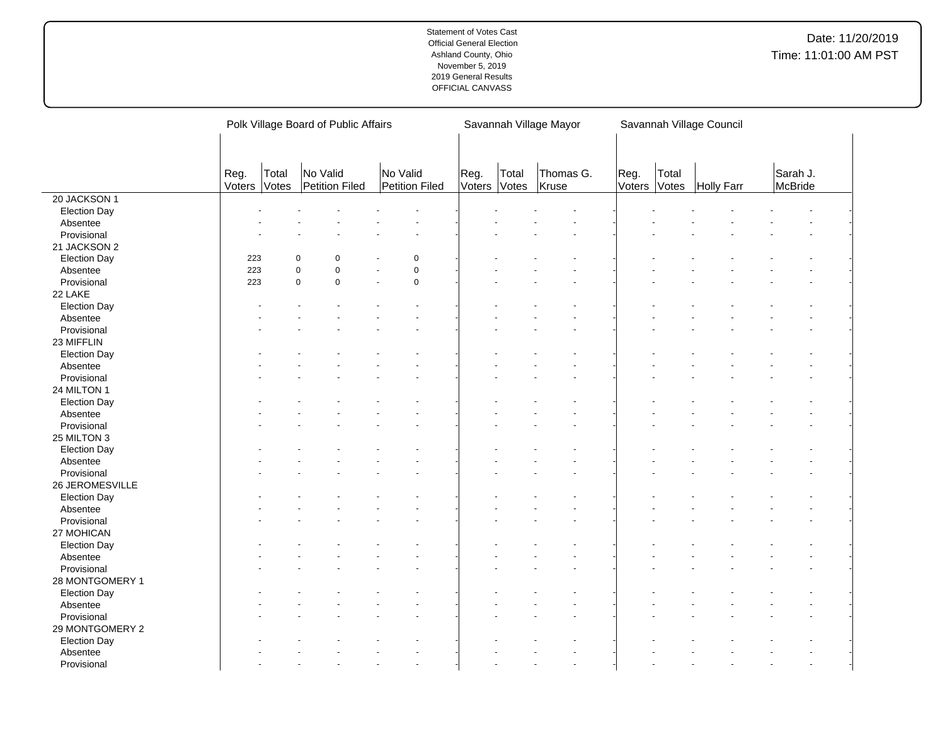|                     |                |                | Polk Village Board of Public Affairs |                                     |                |                | Savannah Village Mayor | Savannah Village Council |                |            |                     |  |  |
|---------------------|----------------|----------------|--------------------------------------|-------------------------------------|----------------|----------------|------------------------|--------------------------|----------------|------------|---------------------|--|--|
|                     | Reg.<br>Voters | Total<br>Votes | No Valid<br>Petition Filed           | No Valid<br>Petition Filed          | Reg.<br>Voters | Total<br>Votes | Thomas G.<br>Kruse     | Reg.<br>Voters           | Total<br>Votes | Holly Farr | Sarah J.<br>McBride |  |  |
| 20 JACKSON 1        |                |                |                                      |                                     |                |                |                        |                          |                |            |                     |  |  |
| <b>Election Day</b> |                |                |                                      |                                     |                |                |                        |                          |                |            |                     |  |  |
| Absentee            |                |                |                                      |                                     |                |                |                        |                          |                |            |                     |  |  |
| Provisional         |                |                |                                      |                                     |                |                |                        |                          |                |            |                     |  |  |
| 21 JACKSON 2        |                |                |                                      |                                     |                |                |                        |                          |                |            |                     |  |  |
| <b>Election Day</b> | 223            |                | 0<br>$\Omega$                        | $\mathbf 0$                         |                |                |                        |                          |                |            |                     |  |  |
| Absentee            | 223            |                | $\mathbf 0$<br>0                     | $\pmb{0}$                           |                |                |                        |                          |                |            |                     |  |  |
| Provisional         | 223            |                | $\mathbf 0$<br>0                     | $\mathbf 0$<br>$\ddot{\phantom{1}}$ |                |                |                        |                          |                |            |                     |  |  |
| 22 LAKE             |                |                |                                      |                                     |                |                |                        |                          |                |            |                     |  |  |
| <b>Election Day</b> |                |                |                                      |                                     |                |                |                        |                          |                |            |                     |  |  |
| Absentee            |                |                |                                      |                                     |                |                |                        |                          |                |            |                     |  |  |
| Provisional         |                |                |                                      |                                     |                |                |                        |                          |                |            |                     |  |  |
| 23 MIFFLIN          |                |                |                                      |                                     |                |                |                        |                          |                |            |                     |  |  |
| <b>Election Day</b> |                |                |                                      |                                     |                |                |                        |                          |                |            |                     |  |  |
| Absentee            |                |                |                                      |                                     |                |                |                        |                          |                |            |                     |  |  |
| Provisional         |                |                |                                      |                                     |                |                |                        |                          |                |            |                     |  |  |
| 24 MILTON 1         |                |                |                                      |                                     |                |                |                        |                          |                |            |                     |  |  |
| <b>Election Day</b> |                |                |                                      |                                     |                |                |                        |                          |                |            |                     |  |  |
| Absentee            |                |                |                                      |                                     |                |                |                        |                          |                |            |                     |  |  |
| Provisional         |                |                |                                      |                                     |                |                |                        |                          |                |            |                     |  |  |
| 25 MILTON 3         |                |                |                                      |                                     |                |                |                        |                          |                |            |                     |  |  |
| <b>Election Day</b> |                |                |                                      |                                     |                |                |                        |                          |                |            |                     |  |  |
| Absentee            |                |                |                                      |                                     |                |                |                        |                          |                |            |                     |  |  |
| Provisional         |                |                |                                      |                                     |                |                |                        |                          |                |            |                     |  |  |
| 26 JEROMESVILLE     |                |                |                                      |                                     |                |                |                        |                          |                |            |                     |  |  |
| <b>Election Day</b> |                |                |                                      |                                     |                |                |                        |                          |                |            |                     |  |  |
| Absentee            |                |                |                                      |                                     |                |                |                        |                          |                |            |                     |  |  |
| Provisional         |                |                |                                      |                                     |                |                |                        |                          |                |            |                     |  |  |
| 27 MOHICAN          |                |                |                                      |                                     |                |                |                        |                          |                |            |                     |  |  |
|                     |                |                |                                      |                                     |                |                |                        |                          |                |            |                     |  |  |
| <b>Election Day</b> |                |                |                                      |                                     |                |                |                        |                          |                |            |                     |  |  |
| Absentee            |                |                |                                      |                                     |                |                |                        |                          |                |            |                     |  |  |
| Provisional         |                |                |                                      |                                     |                |                |                        |                          |                |            |                     |  |  |
| 28 MONTGOMERY 1     |                |                |                                      |                                     |                |                |                        |                          |                |            |                     |  |  |
| <b>Election Day</b> |                |                |                                      |                                     |                |                |                        |                          |                |            |                     |  |  |
| Absentee            |                |                |                                      |                                     |                |                |                        |                          |                |            |                     |  |  |
| Provisional         |                |                |                                      |                                     |                |                |                        |                          |                |            |                     |  |  |
| 29 MONTGOMERY 2     |                |                |                                      |                                     |                |                |                        |                          |                |            |                     |  |  |
| <b>Election Day</b> |                |                |                                      |                                     |                |                |                        |                          |                |            |                     |  |  |
| Absentee            |                |                |                                      |                                     |                |                |                        |                          |                |            |                     |  |  |
| Provisional         |                |                |                                      |                                     |                |                |                        |                          |                |            |                     |  |  |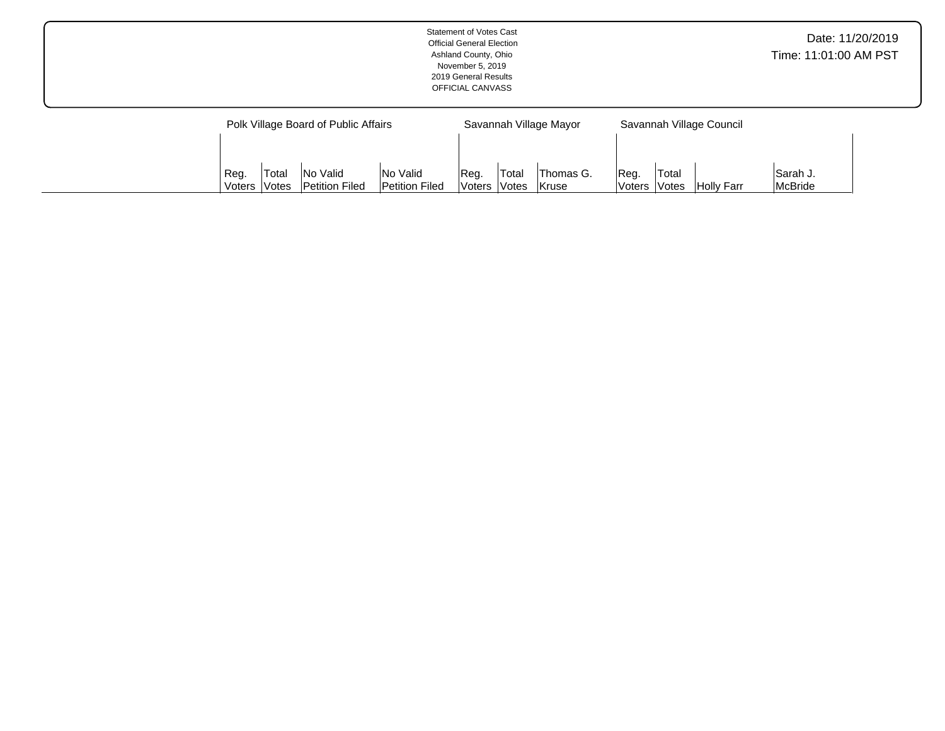|  |                                      | <b>Statement of Votes Cast</b><br><b>Official General Election</b><br>Ashland County, Ohio<br>November 5, 2019<br>2019 General Results<br>OFFICIAL CANVASS |                          | Date: 11/20/2019<br>Time: 11:01:00 AM PST |  |
|--|--------------------------------------|------------------------------------------------------------------------------------------------------------------------------------------------------------|--------------------------|-------------------------------------------|--|
|  | Polk Village Board of Public Affairs | Savannah Village Mayor                                                                                                                                     | Savannah Village Council |                                           |  |

Reg. Voters Total Votes Thomas G. Kruse

Reg. Voters Total

Votes Holly Farr

Sarah J. McBride

Reg. Voters Total Votes No Valid Petition Filed No Valid Petition Filed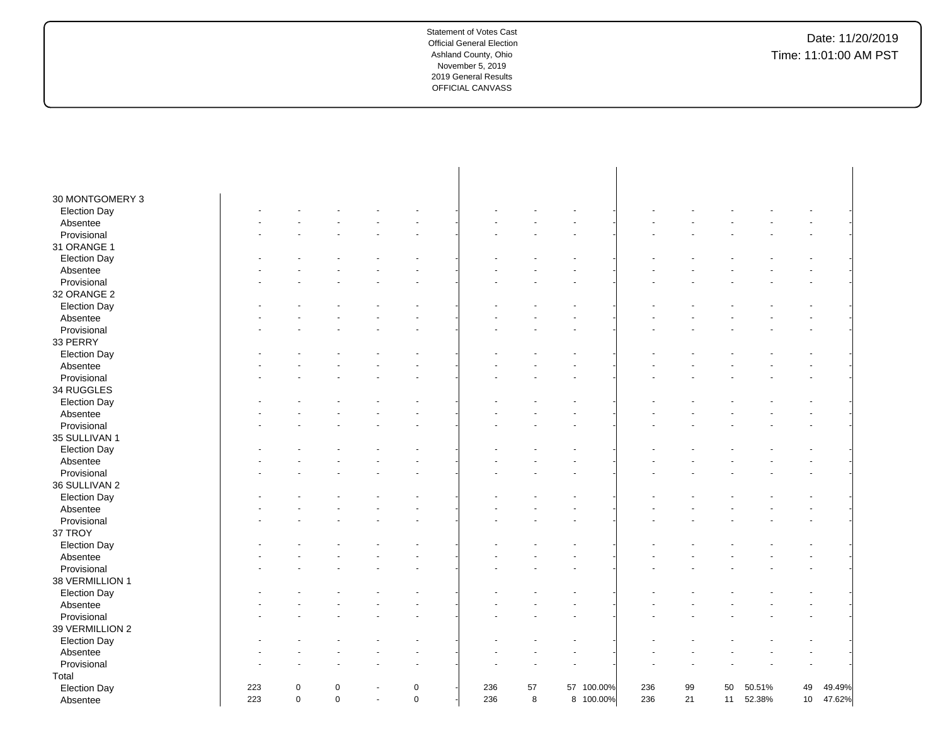| 30 MONTGOMERY 3     |     |             |             |             |     |    |            |     |    |    |        |    |        |
|---------------------|-----|-------------|-------------|-------------|-----|----|------------|-----|----|----|--------|----|--------|
| <b>Election Day</b> |     |             |             |             |     |    |            |     |    |    |        |    |        |
| Absentee            |     |             |             |             |     |    |            |     |    |    |        |    |        |
| Provisional         |     |             |             |             |     |    |            |     |    |    |        |    |        |
| 31 ORANGE 1         |     |             |             |             |     |    |            |     |    |    |        |    |        |
| <b>Election Day</b> |     |             |             |             |     |    |            |     |    |    |        |    |        |
| Absentee            |     |             |             |             |     |    |            |     |    |    |        |    |        |
| Provisional         |     |             |             |             |     |    |            |     |    |    |        |    |        |
| 32 ORANGE 2         |     |             |             |             |     |    |            |     |    |    |        |    |        |
| <b>Election Day</b> |     |             |             |             |     |    |            |     |    |    |        |    |        |
| Absentee            |     |             |             |             |     |    |            |     |    |    |        |    |        |
| Provisional         |     |             |             |             |     |    |            |     |    |    |        |    |        |
| 33 PERRY            |     |             |             |             |     |    |            |     |    |    |        |    |        |
| <b>Election Day</b> |     |             |             |             |     |    |            |     |    |    |        |    |        |
| Absentee            |     |             |             |             |     |    |            |     |    |    |        |    |        |
| Provisional         |     |             |             |             |     |    |            |     |    |    |        |    |        |
| 34 RUGGLES          |     |             |             |             |     |    |            |     |    |    |        |    |        |
| <b>Election Day</b> |     |             |             |             |     |    |            |     |    |    |        |    |        |
| Absentee            |     |             |             |             |     |    |            |     |    |    |        |    |        |
| Provisional         |     |             |             |             |     |    |            |     |    |    |        |    |        |
| 35 SULLIVAN 1       |     |             |             |             |     |    |            |     |    |    |        |    |        |
| <b>Election Day</b> |     |             |             |             |     |    |            |     |    |    |        |    |        |
| Absentee            |     |             |             |             |     |    |            |     |    |    |        |    |        |
| Provisional         |     |             |             |             |     |    |            |     |    |    |        |    |        |
| 36 SULLIVAN 2       |     |             |             |             |     |    |            |     |    |    |        |    |        |
| <b>Election Day</b> |     |             |             |             |     |    |            |     |    |    |        |    |        |
| Absentee            |     |             |             |             |     |    |            |     |    |    |        |    |        |
| Provisional         |     |             |             |             |     |    |            |     |    |    |        |    |        |
| 37 TROY             |     |             |             |             |     |    |            |     |    |    |        |    |        |
| <b>Election Day</b> |     |             |             |             |     |    |            |     |    |    |        |    |        |
| Absentee            |     |             |             |             |     |    |            |     |    |    |        |    |        |
| Provisional         |     |             |             |             |     |    |            |     |    |    |        |    |        |
| 38 VERMILLION 1     |     |             |             |             |     |    |            |     |    |    |        |    |        |
| <b>Election Day</b> |     |             |             |             |     |    |            |     |    |    |        |    |        |
| Absentee            |     |             |             |             |     |    |            |     |    |    |        |    |        |
| Provisional         |     |             |             |             |     |    |            |     |    |    |        |    |        |
| 39 VERMILLION 2     |     |             |             |             |     |    |            |     |    |    |        |    |        |
| <b>Election Day</b> |     |             |             |             |     |    |            |     |    |    |        |    |        |
| Absentee            |     |             |             |             |     |    |            |     |    |    |        |    |        |
| Provisional         |     |             |             |             |     |    |            |     |    |    |        |    |        |
| Total               |     |             |             |             |     |    |            |     |    |    |        |    |        |
| <b>Election Day</b> | 223 | $\mathbf 0$ | 0           | 0           | 236 | 57 | 57 100.00% | 236 | 99 | 50 | 50.51% | 49 | 49.49% |
| Absentee            | 223 | $\mathbf 0$ | $\mathbf 0$ | $\mathbf 0$ | 236 | 8  | 8 100.00%  | 236 | 21 | 11 | 52.38% | 10 | 47.62% |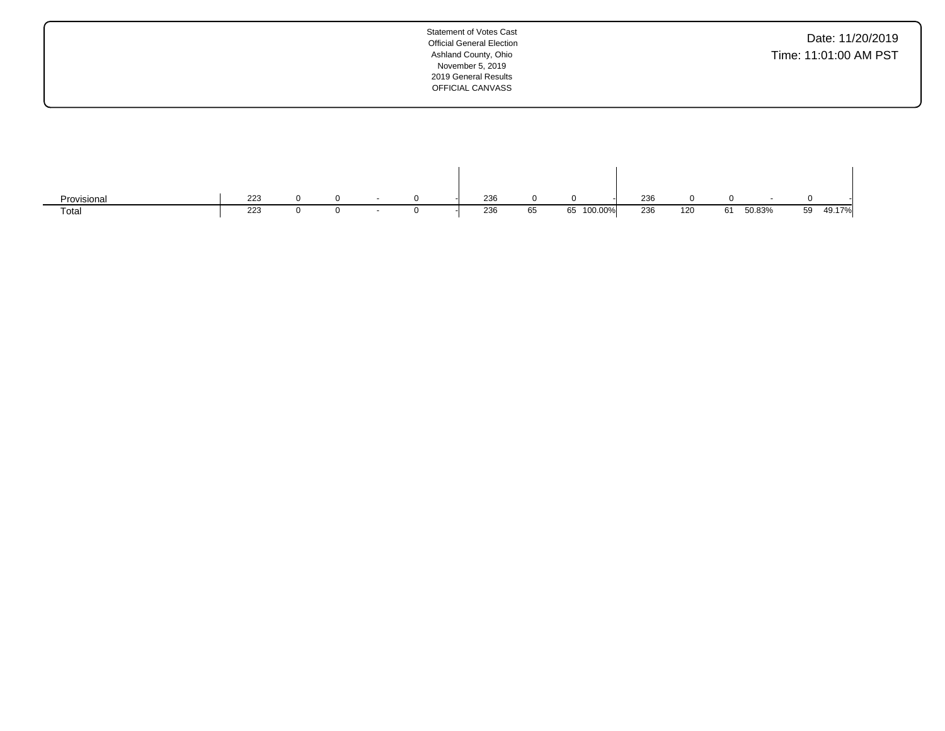| <b>Statement of Votes Cast</b><br><b>Official General Election</b><br>Ashland County, Ohio<br>November 5, 2019<br>2019 General Results<br>OFFICIAL CANVASS | Date: 11/20/2019<br>Time: 11:01:00 AM PST |
|------------------------------------------------------------------------------------------------------------------------------------------------------------|-------------------------------------------|
|                                                                                                                                                            |                                           |

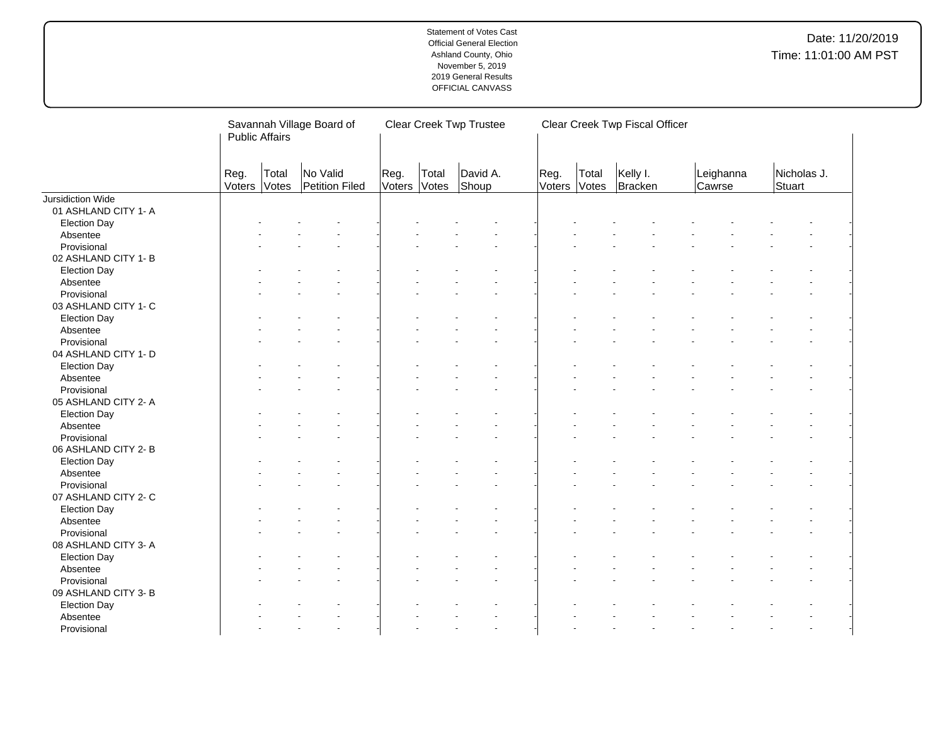| No Valid<br>Kelly I.<br>Nicholas J.<br>David A.<br>Leighanna<br>Reg.<br>Reg.<br>Total<br>Total<br>Total<br>Reg.<br>Voters<br>Shoup<br>Stuart<br><b>Votes</b><br>Petition Filed<br>Voters<br>Votes<br>Voters<br>Votes<br>Bracken<br>Cawrse<br>01 ASHLAND CITY 1- A<br><b>Election Day</b><br>Absentee<br>Provisional<br>02 ASHLAND CITY 1- B<br><b>Election Day</b><br>Absentee<br>Provisional<br>03 ASHLAND CITY 1- C<br><b>Election Day</b><br>Absentee<br>Provisional<br>04 ASHLAND CITY 1- D<br><b>Election Day</b><br>Absentee<br>Provisional<br>05 ASHLAND CITY 2- A<br><b>Election Day</b><br>Absentee<br>Provisional<br>06 ASHLAND CITY 2-B<br><b>Election Day</b><br>Absentee<br>Provisional<br>07 ASHLAND CITY 2- C<br><b>Election Day</b><br>Absentee<br>Provisional<br>08 ASHLAND CITY 3- A<br><b>Election Day</b><br>Absentee<br>Provisional<br>09 ASHLAND CITY 3- B<br><b>Election Day</b><br>Absentee |                   | Savannah Village Board of<br><b>Public Affairs</b> |  |  |  | <b>Clear Creek Twp Trustee</b> |  | Clear Creek Twp Fiscal Officer |  |  |
|---------------------------------------------------------------------------------------------------------------------------------------------------------------------------------------------------------------------------------------------------------------------------------------------------------------------------------------------------------------------------------------------------------------------------------------------------------------------------------------------------------------------------------------------------------------------------------------------------------------------------------------------------------------------------------------------------------------------------------------------------------------------------------------------------------------------------------------------------------------------------------------------------------------------|-------------------|----------------------------------------------------|--|--|--|--------------------------------|--|--------------------------------|--|--|
|                                                                                                                                                                                                                                                                                                                                                                                                                                                                                                                                                                                                                                                                                                                                                                                                                                                                                                                     |                   |                                                    |  |  |  |                                |  |                                |  |  |
|                                                                                                                                                                                                                                                                                                                                                                                                                                                                                                                                                                                                                                                                                                                                                                                                                                                                                                                     | Jursidiction Wide |                                                    |  |  |  |                                |  |                                |  |  |
|                                                                                                                                                                                                                                                                                                                                                                                                                                                                                                                                                                                                                                                                                                                                                                                                                                                                                                                     |                   |                                                    |  |  |  |                                |  |                                |  |  |
|                                                                                                                                                                                                                                                                                                                                                                                                                                                                                                                                                                                                                                                                                                                                                                                                                                                                                                                     |                   |                                                    |  |  |  |                                |  |                                |  |  |
|                                                                                                                                                                                                                                                                                                                                                                                                                                                                                                                                                                                                                                                                                                                                                                                                                                                                                                                     |                   |                                                    |  |  |  |                                |  |                                |  |  |
|                                                                                                                                                                                                                                                                                                                                                                                                                                                                                                                                                                                                                                                                                                                                                                                                                                                                                                                     |                   |                                                    |  |  |  |                                |  |                                |  |  |
|                                                                                                                                                                                                                                                                                                                                                                                                                                                                                                                                                                                                                                                                                                                                                                                                                                                                                                                     |                   |                                                    |  |  |  |                                |  |                                |  |  |
|                                                                                                                                                                                                                                                                                                                                                                                                                                                                                                                                                                                                                                                                                                                                                                                                                                                                                                                     |                   |                                                    |  |  |  |                                |  |                                |  |  |
|                                                                                                                                                                                                                                                                                                                                                                                                                                                                                                                                                                                                                                                                                                                                                                                                                                                                                                                     |                   |                                                    |  |  |  |                                |  |                                |  |  |
|                                                                                                                                                                                                                                                                                                                                                                                                                                                                                                                                                                                                                                                                                                                                                                                                                                                                                                                     |                   |                                                    |  |  |  |                                |  |                                |  |  |
|                                                                                                                                                                                                                                                                                                                                                                                                                                                                                                                                                                                                                                                                                                                                                                                                                                                                                                                     |                   |                                                    |  |  |  |                                |  |                                |  |  |
|                                                                                                                                                                                                                                                                                                                                                                                                                                                                                                                                                                                                                                                                                                                                                                                                                                                                                                                     |                   |                                                    |  |  |  |                                |  |                                |  |  |
|                                                                                                                                                                                                                                                                                                                                                                                                                                                                                                                                                                                                                                                                                                                                                                                                                                                                                                                     |                   |                                                    |  |  |  |                                |  |                                |  |  |
|                                                                                                                                                                                                                                                                                                                                                                                                                                                                                                                                                                                                                                                                                                                                                                                                                                                                                                                     |                   |                                                    |  |  |  |                                |  |                                |  |  |
|                                                                                                                                                                                                                                                                                                                                                                                                                                                                                                                                                                                                                                                                                                                                                                                                                                                                                                                     |                   |                                                    |  |  |  |                                |  |                                |  |  |
|                                                                                                                                                                                                                                                                                                                                                                                                                                                                                                                                                                                                                                                                                                                                                                                                                                                                                                                     |                   |                                                    |  |  |  |                                |  |                                |  |  |
|                                                                                                                                                                                                                                                                                                                                                                                                                                                                                                                                                                                                                                                                                                                                                                                                                                                                                                                     |                   |                                                    |  |  |  |                                |  |                                |  |  |
|                                                                                                                                                                                                                                                                                                                                                                                                                                                                                                                                                                                                                                                                                                                                                                                                                                                                                                                     |                   |                                                    |  |  |  |                                |  |                                |  |  |
|                                                                                                                                                                                                                                                                                                                                                                                                                                                                                                                                                                                                                                                                                                                                                                                                                                                                                                                     |                   |                                                    |  |  |  |                                |  |                                |  |  |
|                                                                                                                                                                                                                                                                                                                                                                                                                                                                                                                                                                                                                                                                                                                                                                                                                                                                                                                     |                   |                                                    |  |  |  |                                |  |                                |  |  |
|                                                                                                                                                                                                                                                                                                                                                                                                                                                                                                                                                                                                                                                                                                                                                                                                                                                                                                                     |                   |                                                    |  |  |  |                                |  |                                |  |  |
|                                                                                                                                                                                                                                                                                                                                                                                                                                                                                                                                                                                                                                                                                                                                                                                                                                                                                                                     |                   |                                                    |  |  |  |                                |  |                                |  |  |
|                                                                                                                                                                                                                                                                                                                                                                                                                                                                                                                                                                                                                                                                                                                                                                                                                                                                                                                     |                   |                                                    |  |  |  |                                |  |                                |  |  |
|                                                                                                                                                                                                                                                                                                                                                                                                                                                                                                                                                                                                                                                                                                                                                                                                                                                                                                                     |                   |                                                    |  |  |  |                                |  |                                |  |  |
|                                                                                                                                                                                                                                                                                                                                                                                                                                                                                                                                                                                                                                                                                                                                                                                                                                                                                                                     |                   |                                                    |  |  |  |                                |  |                                |  |  |
|                                                                                                                                                                                                                                                                                                                                                                                                                                                                                                                                                                                                                                                                                                                                                                                                                                                                                                                     |                   |                                                    |  |  |  |                                |  |                                |  |  |
|                                                                                                                                                                                                                                                                                                                                                                                                                                                                                                                                                                                                                                                                                                                                                                                                                                                                                                                     |                   |                                                    |  |  |  |                                |  |                                |  |  |
|                                                                                                                                                                                                                                                                                                                                                                                                                                                                                                                                                                                                                                                                                                                                                                                                                                                                                                                     |                   |                                                    |  |  |  |                                |  |                                |  |  |
|                                                                                                                                                                                                                                                                                                                                                                                                                                                                                                                                                                                                                                                                                                                                                                                                                                                                                                                     |                   |                                                    |  |  |  |                                |  |                                |  |  |
|                                                                                                                                                                                                                                                                                                                                                                                                                                                                                                                                                                                                                                                                                                                                                                                                                                                                                                                     |                   |                                                    |  |  |  |                                |  |                                |  |  |
|                                                                                                                                                                                                                                                                                                                                                                                                                                                                                                                                                                                                                                                                                                                                                                                                                                                                                                                     |                   |                                                    |  |  |  |                                |  |                                |  |  |
|                                                                                                                                                                                                                                                                                                                                                                                                                                                                                                                                                                                                                                                                                                                                                                                                                                                                                                                     |                   |                                                    |  |  |  |                                |  |                                |  |  |
|                                                                                                                                                                                                                                                                                                                                                                                                                                                                                                                                                                                                                                                                                                                                                                                                                                                                                                                     |                   |                                                    |  |  |  |                                |  |                                |  |  |
|                                                                                                                                                                                                                                                                                                                                                                                                                                                                                                                                                                                                                                                                                                                                                                                                                                                                                                                     |                   |                                                    |  |  |  |                                |  |                                |  |  |
|                                                                                                                                                                                                                                                                                                                                                                                                                                                                                                                                                                                                                                                                                                                                                                                                                                                                                                                     |                   |                                                    |  |  |  |                                |  |                                |  |  |
|                                                                                                                                                                                                                                                                                                                                                                                                                                                                                                                                                                                                                                                                                                                                                                                                                                                                                                                     |                   |                                                    |  |  |  |                                |  |                                |  |  |
|                                                                                                                                                                                                                                                                                                                                                                                                                                                                                                                                                                                                                                                                                                                                                                                                                                                                                                                     |                   |                                                    |  |  |  |                                |  |                                |  |  |
|                                                                                                                                                                                                                                                                                                                                                                                                                                                                                                                                                                                                                                                                                                                                                                                                                                                                                                                     | Provisional       |                                                    |  |  |  |                                |  |                                |  |  |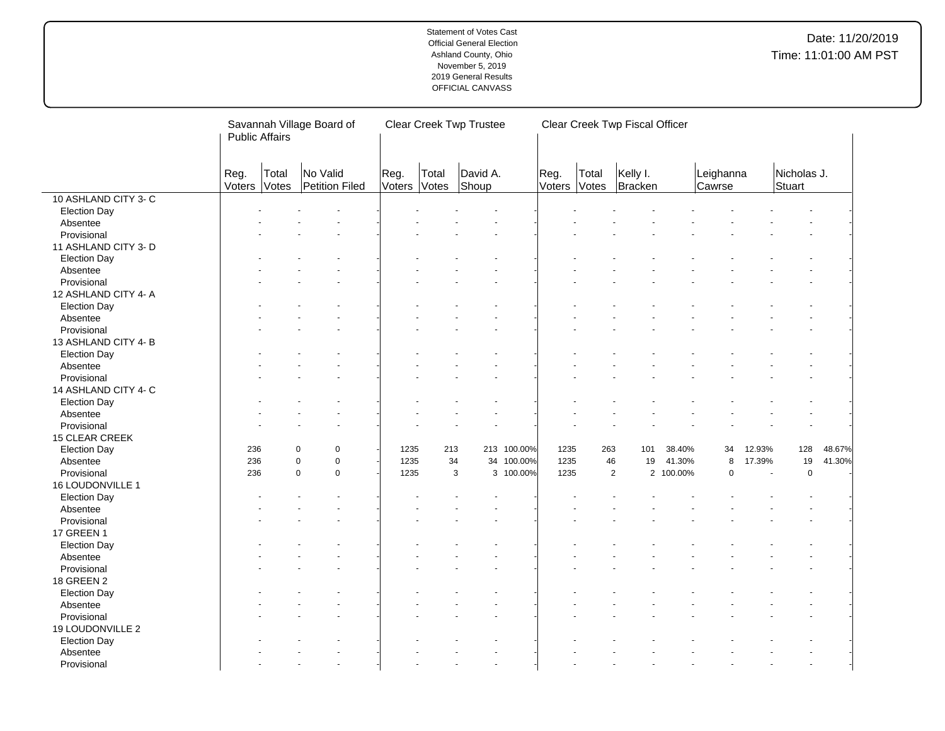|                      |                | Savannah Village Board of<br><b>Public Affairs</b> |                            |      | <b>Clear Creek Twp Trustee</b> |                |                   |             | Clear Creek Twp Fiscal Officer |                |                     |           |                     |                |                       |        |
|----------------------|----------------|----------------------------------------------------|----------------------------|------|--------------------------------|----------------|-------------------|-------------|--------------------------------|----------------|---------------------|-----------|---------------------|----------------|-----------------------|--------|
|                      | Reg.<br>Voters | Total<br>Votes                                     | No Valid<br>Petition Filed | Reg. | Voters                         | Total<br>Votes | David A.<br>Shoup |             | Reg.<br>Voters                 | Total<br>Votes | Kelly I.<br>Bracken |           | Leighanna<br>Cawrse |                | Nicholas J.<br>Stuart |        |
| 10 ASHLAND CITY 3-C  |                |                                                    |                            |      |                                |                |                   |             |                                |                |                     |           |                     |                |                       |        |
| <b>Election Day</b>  |                |                                                    |                            |      |                                |                |                   |             |                                |                |                     |           |                     |                |                       |        |
| Absentee             |                |                                                    |                            |      |                                |                |                   |             |                                |                |                     |           |                     |                |                       |        |
| Provisional          |                |                                                    |                            |      |                                |                |                   |             |                                |                |                     |           |                     |                |                       |        |
| 11 ASHLAND CITY 3- D |                |                                                    |                            |      |                                |                |                   |             |                                |                |                     |           |                     |                |                       |        |
| <b>Election Day</b>  |                |                                                    |                            |      |                                |                |                   |             |                                |                |                     |           |                     |                |                       |        |
| Absentee             |                |                                                    |                            |      |                                |                |                   |             |                                |                |                     |           |                     |                |                       |        |
| Provisional          |                |                                                    |                            |      |                                |                |                   |             |                                |                |                     |           |                     |                |                       |        |
| 12 ASHLAND CITY 4- A |                |                                                    |                            |      |                                |                |                   |             |                                |                |                     |           |                     |                |                       |        |
| <b>Election Day</b>  |                |                                                    |                            |      |                                |                |                   |             |                                |                |                     |           |                     |                |                       |        |
| Absentee             |                |                                                    |                            |      |                                |                |                   |             |                                |                |                     |           |                     |                |                       |        |
| Provisional          |                |                                                    |                            |      |                                |                |                   |             |                                |                |                     |           |                     |                |                       |        |
| 13 ASHLAND CITY 4-B  |                |                                                    |                            |      |                                |                |                   |             |                                |                |                     |           |                     |                |                       |        |
| <b>Election Day</b>  |                |                                                    |                            |      |                                |                |                   |             |                                |                |                     |           |                     |                |                       |        |
| Absentee             |                |                                                    |                            |      |                                |                |                   |             |                                |                |                     |           |                     |                |                       |        |
| Provisional          |                |                                                    |                            |      |                                |                |                   |             |                                |                |                     |           |                     |                |                       |        |
| 14 ASHLAND CITY 4-C  |                |                                                    |                            |      |                                |                |                   |             |                                |                |                     |           |                     |                |                       |        |
| <b>Election Day</b>  |                |                                                    |                            |      |                                |                |                   |             |                                |                |                     |           |                     |                |                       |        |
| Absentee             |                |                                                    |                            |      |                                |                |                   |             |                                |                |                     |           |                     |                |                       |        |
| Provisional          |                |                                                    |                            |      |                                |                |                   |             |                                |                |                     |           |                     |                |                       |        |
| 15 CLEAR CREEK       |                |                                                    |                            |      |                                |                |                   |             |                                |                |                     |           |                     |                |                       |        |
| <b>Election Day</b>  | 236            |                                                    | $\mathbf 0$<br>$\mathbf 0$ |      | 1235                           | 213            |                   | 213 100.00% | 1235                           | 263            | 101                 | 38.40%    | 34                  | 12.93%         | 128                   | 48.67% |
| Absentee             | 236            |                                                    | $\mathbf 0$<br>$\Omega$    |      | 1235                           | 34             |                   | 34 100.00%  | 1235                           |                | 46<br>19            | 41.30%    | 8                   | 17.39%         | $19$                  | 41.30% |
| Provisional          | 236            |                                                    | $\mathbf 0$<br>$\Omega$    |      | 1235                           | 3              |                   | 3 100.00%   | 1235                           |                | $\overline{2}$      | 2 100.00% | $\mathbf 0$         | $\overline{a}$ | $\mathbf 0$           |        |
| 16 LOUDONVILLE 1     |                |                                                    |                            |      |                                |                |                   |             |                                |                |                     |           |                     |                |                       |        |
| <b>Election Day</b>  |                |                                                    |                            |      |                                |                |                   |             |                                |                |                     |           |                     |                |                       |        |
| Absentee             |                |                                                    |                            |      |                                |                |                   |             |                                |                |                     |           |                     |                |                       |        |
| Provisional          |                |                                                    |                            |      |                                |                |                   |             |                                |                |                     |           |                     |                |                       |        |
| <b>17 GREEN 1</b>    |                |                                                    |                            |      |                                |                |                   |             |                                |                |                     |           |                     |                |                       |        |
| <b>Election Day</b>  |                |                                                    |                            |      |                                |                |                   |             |                                |                |                     |           |                     |                |                       |        |
| Absentee             |                |                                                    |                            |      |                                |                |                   |             |                                |                |                     |           |                     |                |                       |        |
| Provisional          |                |                                                    |                            |      |                                |                |                   |             |                                |                |                     |           |                     |                |                       |        |
| 18 GREEN 2           |                |                                                    |                            |      |                                |                |                   |             |                                |                |                     |           |                     |                |                       |        |
| <b>Election Day</b>  |                |                                                    |                            |      |                                |                |                   |             |                                |                |                     |           |                     |                |                       |        |
| Absentee             |                |                                                    |                            |      |                                |                |                   |             |                                |                |                     |           |                     |                |                       |        |
| Provisional          |                |                                                    |                            |      |                                |                |                   |             |                                |                |                     |           |                     |                |                       |        |
| 19 LOUDONVILLE 2     |                |                                                    |                            |      |                                |                |                   |             |                                |                |                     |           |                     |                |                       |        |
| <b>Election Day</b>  |                |                                                    |                            |      |                                |                |                   |             |                                |                |                     |           |                     |                |                       |        |
| Absentee             |                |                                                    |                            |      |                                |                |                   |             |                                |                |                     |           |                     |                |                       |        |
| Provisional          |                |                                                    |                            |      |                                |                |                   |             |                                |                |                     |           |                     |                |                       |        |
|                      |                |                                                    |                            |      |                                |                |                   |             |                                |                |                     |           |                     |                |                       |        |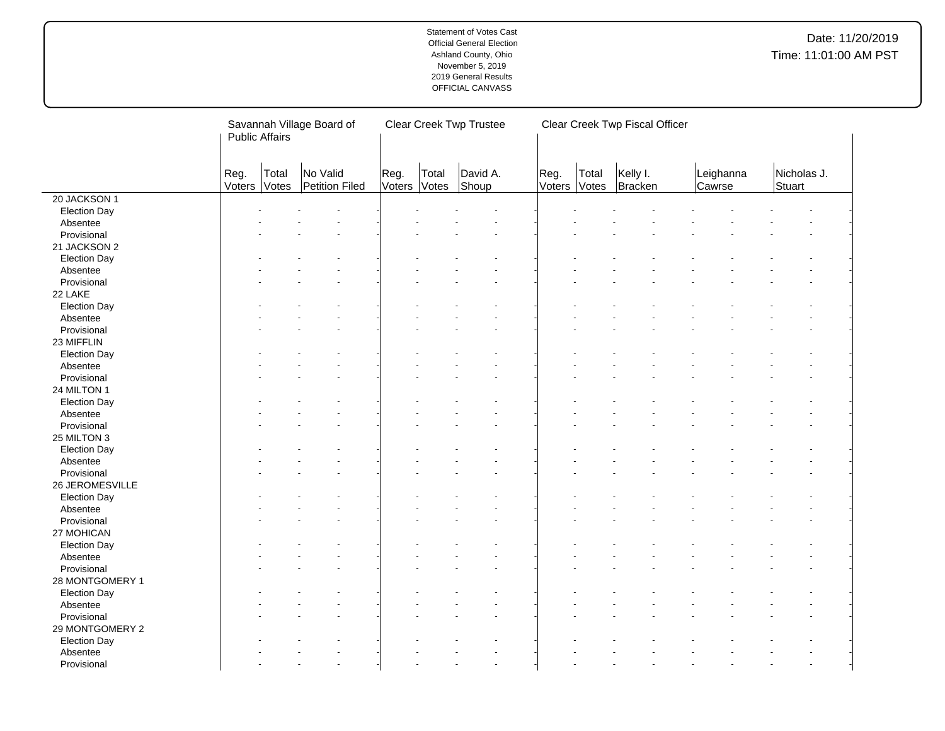|                     | Savannah Village Board of<br><b>Public Affairs</b> |                |                            |                |                | <b>Clear Creek Twp Trustee</b> |                |                | Clear Creek Twp Fiscal Officer |                     |                       |
|---------------------|----------------------------------------------------|----------------|----------------------------|----------------|----------------|--------------------------------|----------------|----------------|--------------------------------|---------------------|-----------------------|
|                     | Reg.<br>Voters                                     | Total<br>Votes | No Valid<br>Petition Filed | Reg.<br>Voters | Total<br>Votes | David A.<br>Shoup              | Reg.<br>Voters | Total<br>Votes | Kelly I.<br>Bracken            | Leighanna<br>Cawrse | Nicholas J.<br>Stuart |
| 20 JACKSON 1        |                                                    |                |                            |                |                |                                |                |                |                                |                     |                       |
| <b>Election Day</b> |                                                    |                |                            |                |                |                                |                |                |                                |                     |                       |
| Absentee            |                                                    |                |                            |                |                |                                |                |                |                                |                     |                       |
| Provisional         |                                                    |                |                            |                |                |                                |                |                |                                |                     |                       |
| 21 JACKSON 2        |                                                    |                |                            |                |                |                                |                |                |                                |                     |                       |
| <b>Election Day</b> |                                                    |                |                            |                |                |                                |                |                |                                |                     |                       |
| Absentee            |                                                    |                |                            |                |                |                                |                |                |                                |                     |                       |
| Provisional         |                                                    |                |                            |                |                |                                |                |                |                                |                     |                       |
| 22 LAKE             |                                                    |                |                            |                |                |                                |                |                |                                |                     |                       |
| <b>Election Day</b> |                                                    |                |                            |                |                |                                |                |                |                                |                     |                       |
| Absentee            |                                                    |                |                            |                |                |                                |                |                |                                |                     |                       |
| Provisional         |                                                    |                |                            |                |                |                                |                |                |                                |                     |                       |
| 23 MIFFLIN          |                                                    |                |                            |                |                |                                |                |                |                                |                     |                       |
| <b>Election Day</b> |                                                    |                |                            |                |                |                                |                |                |                                |                     |                       |
| Absentee            |                                                    |                |                            |                |                |                                |                |                |                                |                     |                       |
| Provisional         |                                                    |                |                            |                |                |                                |                |                |                                |                     |                       |
| 24 MILTON 1         |                                                    |                |                            |                |                |                                |                |                |                                |                     |                       |
| <b>Election Day</b> |                                                    |                |                            |                |                |                                |                |                |                                |                     |                       |
| Absentee            |                                                    |                |                            |                |                |                                |                |                |                                |                     |                       |
| Provisional         |                                                    |                |                            |                |                |                                |                |                |                                |                     |                       |
| 25 MILTON 3         |                                                    |                |                            |                |                |                                |                |                |                                |                     |                       |
| <b>Election Day</b> |                                                    |                |                            |                |                |                                |                |                |                                |                     |                       |
| Absentee            |                                                    |                |                            |                |                |                                |                |                |                                |                     |                       |
| Provisional         |                                                    |                |                            |                |                |                                |                |                |                                |                     |                       |
| 26 JEROMESVILLE     |                                                    |                |                            |                |                |                                |                |                |                                |                     |                       |
| <b>Election Day</b> |                                                    |                |                            |                |                |                                |                |                |                                |                     |                       |
| Absentee            |                                                    |                |                            |                |                |                                |                |                |                                |                     |                       |
| Provisional         |                                                    |                |                            |                |                |                                |                |                |                                |                     |                       |
| 27 MOHICAN          |                                                    |                |                            |                |                |                                |                |                |                                |                     |                       |
| <b>Election Day</b> |                                                    |                |                            |                |                |                                |                |                |                                |                     |                       |
| Absentee            |                                                    |                |                            |                |                |                                |                |                |                                |                     |                       |
| Provisional         |                                                    |                |                            |                |                |                                |                |                |                                |                     |                       |
| 28 MONTGOMERY 1     |                                                    |                |                            |                |                |                                |                |                |                                |                     |                       |
| <b>Election Day</b> |                                                    |                |                            |                |                |                                |                |                |                                |                     |                       |
| Absentee            |                                                    |                |                            |                |                |                                |                |                |                                |                     |                       |
| Provisional         |                                                    |                |                            |                |                |                                |                |                |                                |                     |                       |
| 29 MONTGOMERY 2     |                                                    |                |                            |                |                |                                |                |                |                                |                     |                       |
| <b>Election Day</b> |                                                    |                |                            |                |                |                                |                |                |                                |                     |                       |
| Absentee            |                                                    |                |                            |                |                |                                |                |                |                                |                     |                       |
| Provisional         |                                                    |                |                            |                |                |                                |                |                |                                |                     |                       |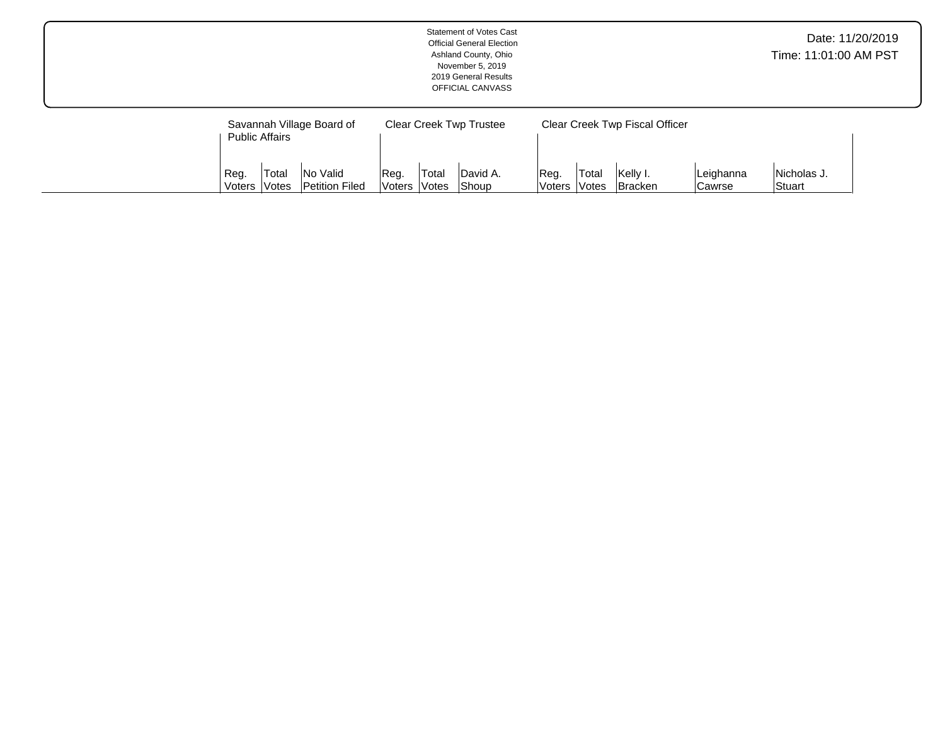|                |                                          |                                                         | Time: 11:01:00 AM PST  | Date: 11/20/2019 |                                                     |                 |                |                                                              |                     |                       |  |
|----------------|------------------------------------------|---------------------------------------------------------|------------------------|------------------|-----------------------------------------------------|-----------------|----------------|--------------------------------------------------------------|---------------------|-----------------------|--|
| Reg.<br>Voters | <b>Public Affairs</b><br>Total<br> Votes | Savannah Village Board of<br>No Valid<br>Petition Filed | Reg.<br> Voters  Votes | Total            | <b>Clear Creek Twp Trustee</b><br>David A.<br>Shoup | Reg.<br> Voters | Total<br>Votes | Clear Creek Twp Fiscal Officer<br>Kelly I.<br><b>Bracken</b> | Leighanna<br>Cawrse | Nicholas J.<br>Stuart |  |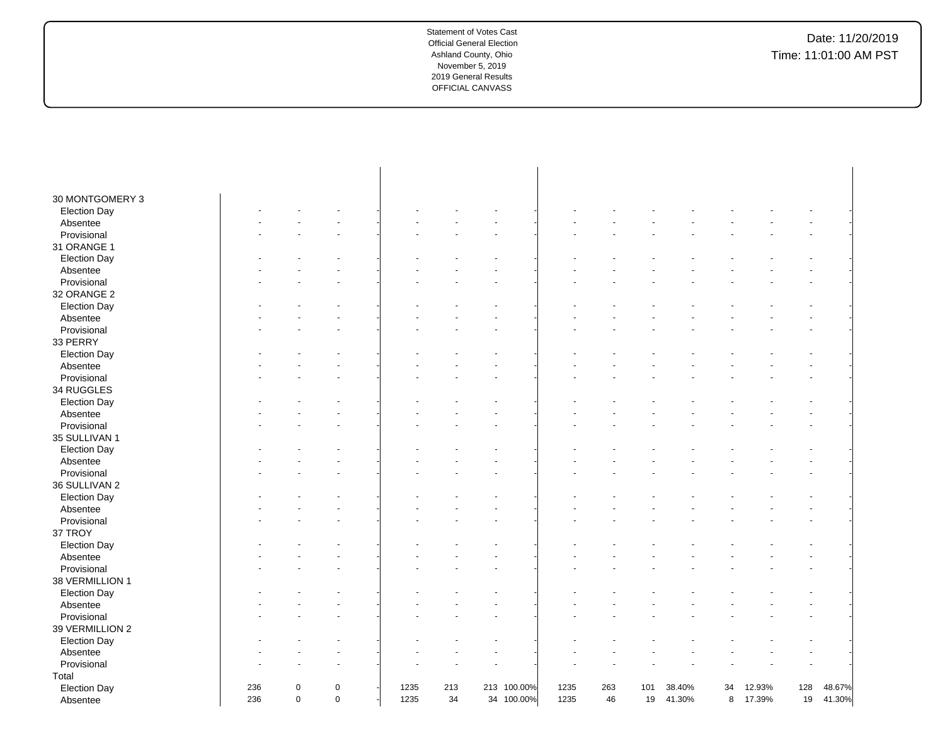| 30 MONTGOMERY 3<br><b>Election Day</b> |     |             |             |      |     |             |      |     |     |        |    |        |     |        |
|----------------------------------------|-----|-------------|-------------|------|-----|-------------|------|-----|-----|--------|----|--------|-----|--------|
|                                        |     |             |             |      |     |             |      |     |     |        |    |        |     |        |
| Absentee<br>Provisional                |     |             |             |      |     |             |      |     |     |        |    |        |     |        |
| 31 ORANGE 1                            |     |             |             |      |     |             |      |     |     |        |    |        |     |        |
| <b>Election Day</b>                    |     |             |             |      |     |             |      |     |     |        |    |        |     |        |
|                                        |     |             |             |      |     |             |      |     |     |        |    |        |     |        |
| Absentee<br>Provisional                |     |             |             |      |     |             |      |     |     |        |    |        |     |        |
| 32 ORANGE 2                            |     |             |             |      |     |             |      |     |     |        |    |        |     |        |
|                                        |     |             |             |      |     |             |      |     |     |        |    |        |     |        |
| <b>Election Day</b>                    |     |             |             |      |     |             |      |     |     |        |    |        |     |        |
| Absentee<br>Provisional                |     |             |             |      |     |             |      |     |     |        |    |        |     |        |
| 33 PERRY                               |     |             |             |      |     |             |      |     |     |        |    |        |     |        |
|                                        |     |             |             |      |     |             |      |     |     |        |    |        |     |        |
| <b>Election Day</b><br>Absentee        |     |             |             |      |     |             |      |     |     |        |    |        |     |        |
| Provisional                            |     |             |             |      |     |             |      |     |     |        |    |        |     |        |
| 34 RUGGLES                             |     |             |             |      |     |             |      |     |     |        |    |        |     |        |
|                                        |     |             |             |      |     |             |      |     |     |        |    |        |     |        |
| <b>Election Day</b>                    |     |             |             |      |     |             |      |     |     |        |    |        |     |        |
| Absentee<br>Provisional                |     |             |             |      |     |             |      |     |     |        |    |        |     |        |
|                                        |     |             |             |      |     |             |      |     |     |        |    |        |     |        |
| 35 SULLIVAN 1                          |     |             |             |      |     |             |      |     |     |        |    |        |     |        |
| <b>Election Day</b>                    |     |             |             |      |     |             |      |     |     |        |    |        |     |        |
| Absentee                               |     |             |             |      |     |             |      |     |     |        |    |        |     |        |
| Provisional                            |     |             |             |      |     |             |      |     |     |        |    |        |     |        |
| 36 SULLIVAN 2                          |     |             |             |      |     |             |      |     |     |        |    |        |     |        |
| <b>Election Day</b>                    |     |             |             |      |     |             |      |     |     |        |    |        |     |        |
| Absentee                               |     |             |             |      |     |             |      |     |     |        |    |        |     |        |
| Provisional                            |     |             |             |      |     |             |      |     |     |        |    |        |     |        |
| 37 TROY                                |     |             |             |      |     |             |      |     |     |        |    |        |     |        |
| <b>Election Day</b>                    |     |             |             |      |     |             |      |     |     |        |    |        |     |        |
| Absentee                               |     |             |             |      |     |             |      |     |     |        |    |        |     |        |
| Provisional                            |     |             |             |      |     |             |      |     |     |        |    |        |     |        |
| 38 VERMILLION 1                        |     |             |             |      |     |             |      |     |     |        |    |        |     |        |
| <b>Election Day</b>                    |     |             |             |      |     |             |      |     |     |        |    |        |     |        |
| Absentee                               |     |             |             |      |     |             |      |     |     |        |    |        |     |        |
| Provisional                            |     |             |             |      |     |             |      |     |     |        |    |        |     |        |
| 39 VERMILLION 2                        |     |             |             |      |     |             |      |     |     |        |    |        |     |        |
| <b>Election Day</b>                    |     |             |             |      |     |             |      |     |     |        |    |        |     |        |
| Absentee                               |     |             |             |      |     |             |      |     |     |        |    |        |     |        |
| Provisional                            |     |             |             |      |     |             |      |     |     |        |    |        |     |        |
| Total                                  |     |             |             |      |     |             |      |     |     |        |    |        |     |        |
| <b>Election Day</b>                    | 236 | 0           | $\mathbf 0$ | 1235 | 213 | 213 100.00% | 1235 | 263 | 101 | 38.40% | 34 | 12.93% | 128 | 48.67% |
| Absentee                               | 236 | $\mathbf 0$ | $\mathbf 0$ | 1235 | 34  | 34 100.00%  | 1235 | 46  | 19  | 41.30% | 8  | 17.39% | 19  | 41.30% |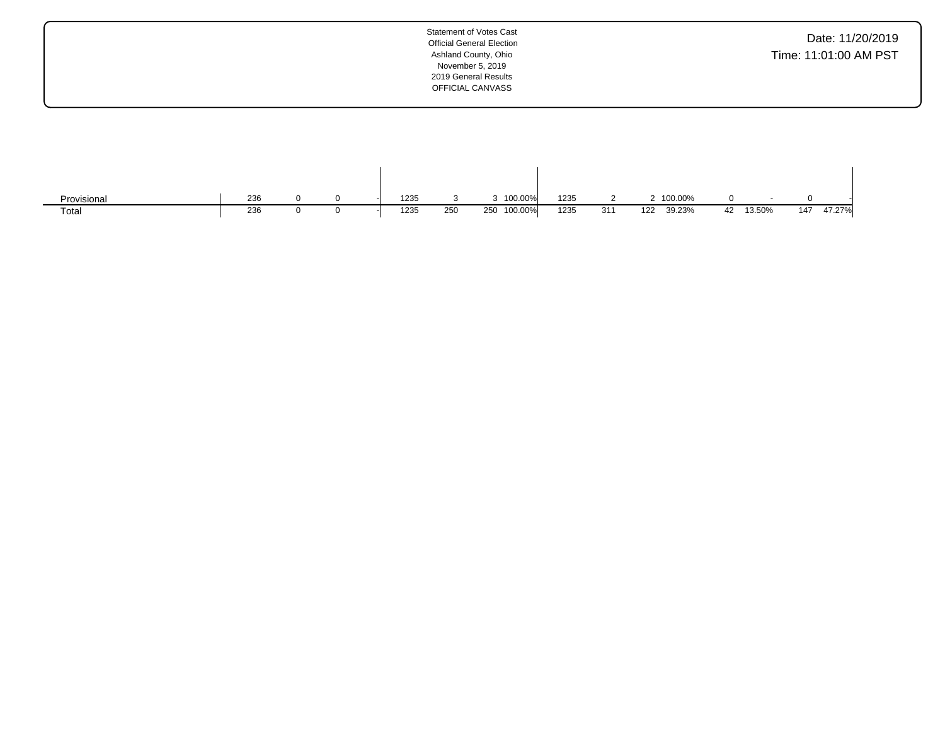| Statement of Votes Cast<br><b>Official General Election</b><br>Ashland County, Ohio<br>November 5, 2019<br>2019 General Results<br>OFFICIAL CANVASS | Date: 11/20/2019<br>Time: 11:01:00 AM PST |
|-----------------------------------------------------------------------------------------------------------------------------------------------------|-------------------------------------------|
|                                                                                                                                                     |                                           |

| Provisional | 236 |  | 1235 |     | 100.00%        | 1235 |     | 100.00%       |    |        |     |        |
|-------------|-----|--|------|-----|----------------|------|-----|---------------|----|--------|-----|--------|
| Total       | 236 |  | 1235 | 250 | 100.00%<br>250 | 1235 | 311 | 122<br>39.23% | 42 | 13.50% | 147 | 47.27% |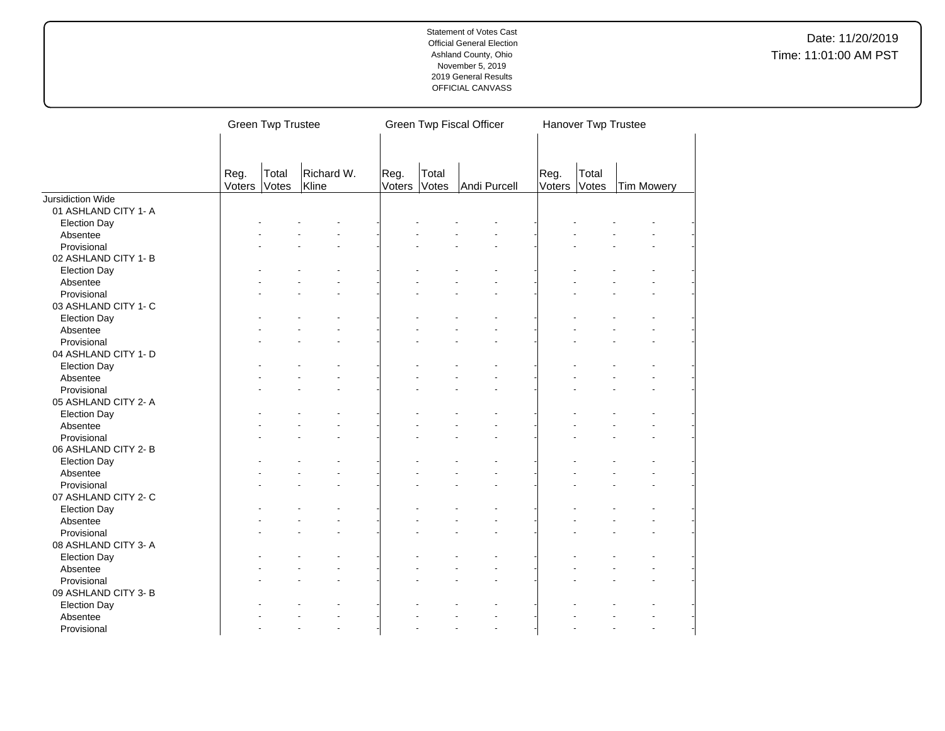|                                 |                                                         | <b>Green Twp Trustee</b> |  |  |  |                | Green Twp Fiscal Officer |    | Hanover Twp Trustee |                |                   |  |
|---------------------------------|---------------------------------------------------------|--------------------------|--|--|--|----------------|--------------------------|----|---------------------|----------------|-------------------|--|
|                                 | Richard W.<br>Total<br>Reg.<br>Votes<br>Kline<br>Voters |                          |  |  |  | Total<br>Votes | Andi Purcell             |    | Reg.<br>Voters      | Total<br>Votes | <b>Tim Mowery</b> |  |
| <b>Jursidiction Wide</b>        |                                                         |                          |  |  |  |                |                          |    |                     |                |                   |  |
| 01 ASHLAND CITY 1- A            |                                                         |                          |  |  |  |                |                          |    |                     |                |                   |  |
| <b>Election Day</b>             |                                                         |                          |  |  |  |                |                          |    |                     |                |                   |  |
| Absentee                        |                                                         |                          |  |  |  |                |                          |    |                     |                |                   |  |
| Provisional                     |                                                         |                          |  |  |  |                |                          |    |                     |                |                   |  |
| 02 ASHLAND CITY 1-B             |                                                         |                          |  |  |  |                |                          |    |                     |                |                   |  |
| <b>Election Day</b>             |                                                         |                          |  |  |  |                |                          |    |                     |                |                   |  |
| Absentee                        |                                                         |                          |  |  |  |                |                          |    |                     |                |                   |  |
| Provisional                     |                                                         |                          |  |  |  |                |                          |    |                     |                |                   |  |
| 03 ASHLAND CITY 1- C            |                                                         |                          |  |  |  |                |                          |    |                     |                |                   |  |
| <b>Election Day</b>             |                                                         |                          |  |  |  |                |                          |    |                     |                |                   |  |
| Absentee                        |                                                         |                          |  |  |  |                |                          |    |                     |                |                   |  |
| Provisional                     |                                                         |                          |  |  |  |                |                          |    |                     |                |                   |  |
| 04 ASHLAND CITY 1- D            |                                                         |                          |  |  |  |                |                          |    |                     |                |                   |  |
| <b>Election Day</b>             |                                                         |                          |  |  |  |                |                          |    |                     |                |                   |  |
| Absentee                        |                                                         |                          |  |  |  |                |                          |    |                     |                |                   |  |
| Provisional                     |                                                         |                          |  |  |  |                |                          |    |                     |                |                   |  |
| 05 ASHLAND CITY 2-A             |                                                         |                          |  |  |  |                |                          |    |                     |                |                   |  |
| <b>Election Day</b>             |                                                         |                          |  |  |  |                |                          |    |                     |                |                   |  |
| Absentee                        |                                                         |                          |  |  |  |                |                          |    |                     |                |                   |  |
| Provisional                     |                                                         |                          |  |  |  |                |                          |    |                     |                |                   |  |
| 06 ASHLAND CITY 2-B             |                                                         |                          |  |  |  |                |                          |    |                     |                |                   |  |
| <b>Election Day</b>             |                                                         |                          |  |  |  |                |                          |    |                     |                |                   |  |
| Absentee                        |                                                         |                          |  |  |  |                |                          |    |                     |                |                   |  |
| Provisional                     |                                                         |                          |  |  |  |                |                          |    |                     |                |                   |  |
| 07 ASHLAND CITY 2-C             |                                                         |                          |  |  |  |                |                          |    |                     |                |                   |  |
| <b>Election Day</b>             |                                                         |                          |  |  |  |                |                          |    |                     |                |                   |  |
| Absentee                        |                                                         |                          |  |  |  |                |                          |    |                     |                |                   |  |
| Provisional                     |                                                         |                          |  |  |  |                |                          |    |                     |                |                   |  |
| 08 ASHLAND CITY 3- A            |                                                         |                          |  |  |  |                |                          |    |                     |                |                   |  |
| <b>Election Day</b>             |                                                         |                          |  |  |  |                |                          |    |                     |                |                   |  |
| Absentee                        |                                                         |                          |  |  |  |                |                          |    |                     |                |                   |  |
| Provisional                     |                                                         |                          |  |  |  |                |                          |    |                     |                |                   |  |
| 09 ASHLAND CITY 3- B            |                                                         |                          |  |  |  |                |                          |    |                     |                |                   |  |
|                                 |                                                         |                          |  |  |  |                |                          |    |                     |                |                   |  |
| <b>Election Day</b><br>Absentee |                                                         |                          |  |  |  |                |                          |    |                     |                |                   |  |
| Provisional                     |                                                         |                          |  |  |  |                |                          | L. |                     |                |                   |  |
|                                 |                                                         |                          |  |  |  |                |                          |    |                     |                |                   |  |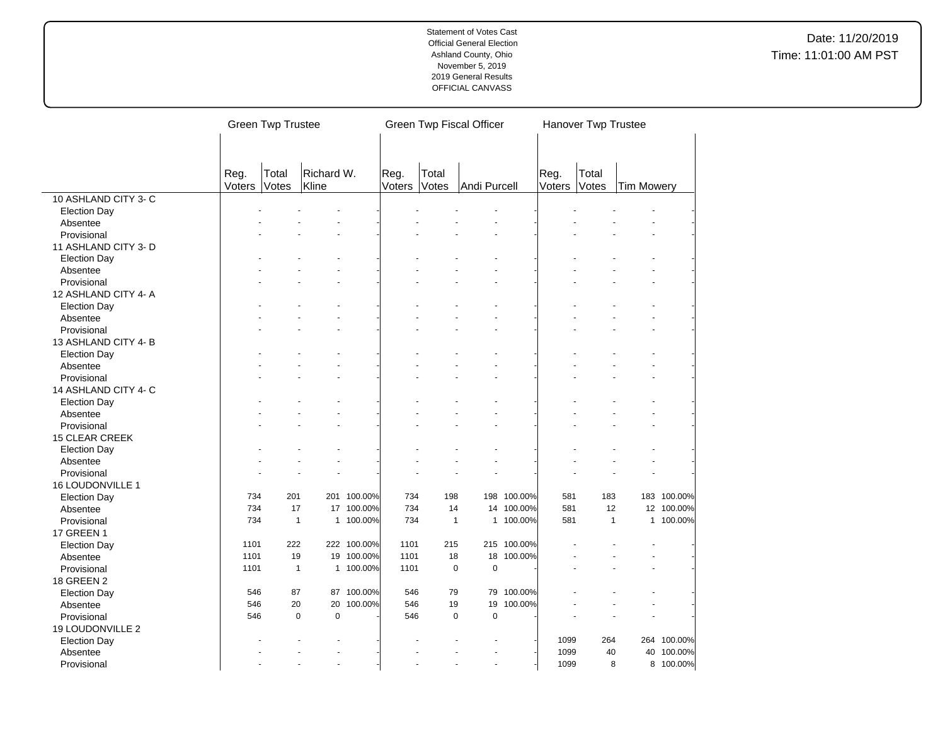|                      |        | <b>Green Twp Trustee</b> |                          |             | Green Twp Fiscal Officer |              |                            |             |        | Hanover Twp Trustee |            |             |  |  |
|----------------------|--------|--------------------------|--------------------------|-------------|--------------------------|--------------|----------------------------|-------------|--------|---------------------|------------|-------------|--|--|
|                      |        |                          |                          |             |                          |              |                            |             |        |                     |            |             |  |  |
|                      | Reg.   | Total                    | Richard W.               |             | Reg.                     | Total        |                            |             | Reg.   | Total               |            |             |  |  |
|                      | Voters | Votes                    | Kline                    |             | Voters                   | Votes        | Andi Purcell               |             | Voters | Votes               | Tim Mowery |             |  |  |
| 10 ASHLAND CITY 3- C |        |                          |                          |             |                          |              |                            |             |        |                     |            |             |  |  |
| <b>Election Day</b>  |        |                          |                          |             |                          |              |                            |             |        |                     |            |             |  |  |
| Absentee             |        |                          |                          |             |                          |              |                            |             |        |                     |            |             |  |  |
| Provisional          |        |                          |                          |             |                          |              |                            |             |        |                     |            |             |  |  |
| 11 ASHLAND CITY 3-D  |        |                          |                          |             |                          |              |                            |             |        |                     |            |             |  |  |
| <b>Election Day</b>  |        |                          |                          |             |                          |              |                            |             |        |                     |            |             |  |  |
| Absentee             |        |                          |                          |             |                          |              |                            |             |        |                     |            |             |  |  |
| Provisional          |        |                          |                          |             |                          |              |                            |             |        |                     |            |             |  |  |
| 12 ASHLAND CITY 4-A  |        |                          |                          |             |                          |              |                            |             |        |                     |            |             |  |  |
| <b>Election Day</b>  |        |                          |                          |             |                          |              |                            |             |        |                     |            |             |  |  |
| Absentee             |        |                          |                          |             |                          |              |                            |             |        |                     |            |             |  |  |
| Provisional          |        |                          |                          |             |                          |              |                            |             |        |                     |            |             |  |  |
| 13 ASHLAND CITY 4-B  |        |                          |                          |             |                          |              |                            |             |        |                     |            |             |  |  |
| <b>Election Day</b>  |        |                          |                          |             |                          |              |                            |             |        |                     |            |             |  |  |
| Absentee             |        |                          |                          |             |                          |              |                            |             |        |                     |            |             |  |  |
| Provisional          |        |                          |                          |             |                          |              |                            |             |        |                     |            |             |  |  |
| 14 ASHLAND CITY 4- C |        |                          |                          |             |                          |              |                            |             |        |                     |            |             |  |  |
| <b>Election Day</b>  |        |                          |                          |             |                          |              |                            |             |        |                     |            |             |  |  |
| Absentee             |        |                          |                          |             |                          |              |                            |             |        |                     |            |             |  |  |
| Provisional          |        |                          |                          |             |                          |              |                            |             |        |                     |            |             |  |  |
| 15 CLEAR CREEK       |        |                          |                          |             |                          |              |                            |             |        |                     |            |             |  |  |
| <b>Election Day</b>  |        |                          |                          |             |                          |              |                            |             |        |                     |            |             |  |  |
| Absentee             |        |                          |                          |             |                          |              |                            |             |        |                     |            |             |  |  |
| Provisional          |        |                          |                          |             |                          |              |                            |             |        |                     |            |             |  |  |
| 16 LOUDONVILLE 1     |        |                          |                          |             |                          |              |                            |             |        |                     |            |             |  |  |
| <b>Election Day</b>  | 734    | 201                      |                          | 201 100.00% | 734                      | 198          |                            | 198 100.00% | 581    | 183                 |            | 183 100.00% |  |  |
| Absentee             | 734    | 17                       |                          | 17 100.00%  | 734                      | 14           |                            | 14 100.00%  | 581    | 12                  |            | 12 100.00%  |  |  |
| Provisional          | 734    |                          | $\mathbf{1}$             | 1 100.00%   | 734                      | $\mathbf{1}$ |                            | 1 100.00%   | 581    | $\mathbf{1}$        |            | 1 100.00%   |  |  |
| 17 GREEN 1           |        |                          |                          |             |                          |              |                            |             |        |                     |            |             |  |  |
| <b>Election Day</b>  | 1101   | 222                      |                          | 222 100.00% | 1101                     | 215          |                            | 215 100.00% |        |                     |            |             |  |  |
| Absentee             | 1101   | 19                       |                          | 19 100.00%  | 1101                     | 18           |                            | 18 100.00%  |        |                     | L.         |             |  |  |
| Provisional          | 1101   | $\mathbf{1}$             |                          | 1 100.00%   | 1101                     |              | $\mathbf 0$<br>$\mathbf 0$ |             |        |                     |            |             |  |  |
| 18 GREEN 2           |        |                          |                          |             |                          |              |                            |             |        |                     |            |             |  |  |
| <b>Election Day</b>  | 546    | 87                       |                          | 87 100.00%  | 546                      | 79           |                            | 79 100.00%  |        |                     |            |             |  |  |
| Absentee             | 546    | 20                       | 20                       | 100.00%     | 546                      | 19           | 19                         | 100.00%     |        |                     |            |             |  |  |
| Provisional          | 546    |                          | $\pmb{0}$<br>$\mathsf 0$ |             | 546                      |              | $\pmb{0}$<br>$\mathbf 0$   |             |        |                     |            |             |  |  |
| 19 LOUDONVILLE 2     |        |                          |                          |             |                          |              |                            |             |        |                     |            |             |  |  |
| <b>Election Day</b>  |        |                          |                          |             |                          |              |                            |             | 1099   | 264                 |            | 264 100.00% |  |  |
| Absentee             |        |                          |                          |             |                          |              |                            |             | 1099   | 40                  |            | 40 100.00%  |  |  |
| Provisional          |        |                          |                          |             |                          |              | ÷,                         |             | 1099   | 8                   |            | 8 100.00%   |  |  |
|                      |        |                          |                          |             |                          |              |                            |             |        |                     |            |             |  |  |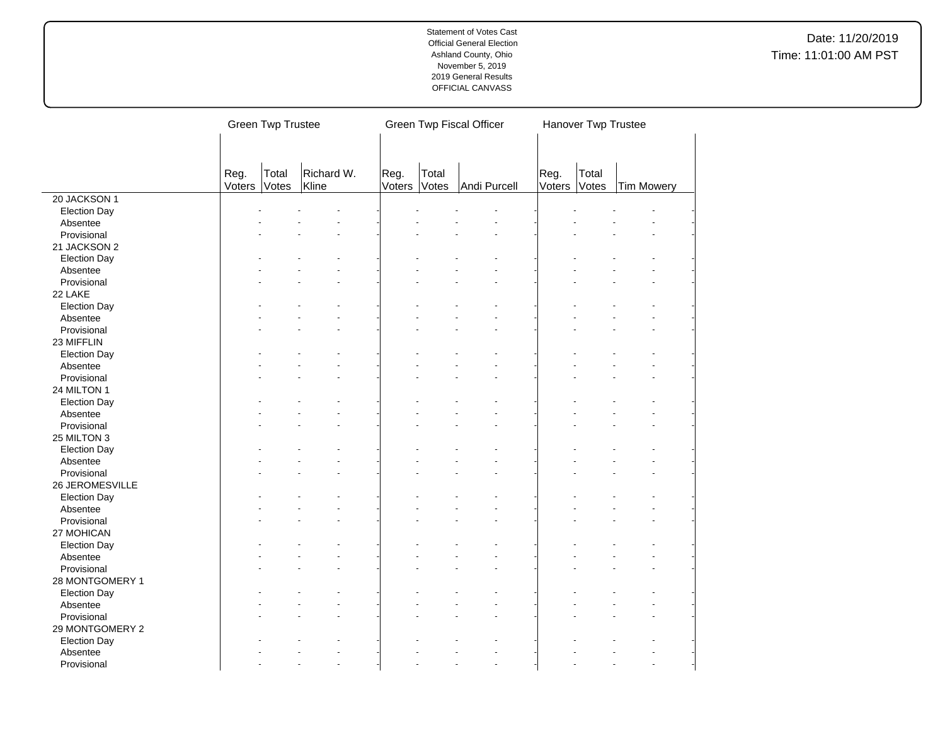|                     |                | <b>Green Twp Trustee</b> |                     |                |                | Green Twp Fiscal Officer | Hanover Twp Trustee |                |                   |  |
|---------------------|----------------|--------------------------|---------------------|----------------|----------------|--------------------------|---------------------|----------------|-------------------|--|
|                     | Reg.<br>Voters | Total<br>Votes           | Richard W.<br>Kline | Reg.<br>Voters | Total<br>Votes | Andi Purcell             | Reg.<br>Voters      | Total<br>Votes | <b>Tim Mowery</b> |  |
| 20 JACKSON 1        |                |                          |                     |                |                |                          |                     |                |                   |  |
| <b>Election Day</b> |                |                          |                     |                |                |                          |                     |                |                   |  |
| Absentee            |                |                          |                     |                |                |                          |                     |                |                   |  |
| Provisional         |                |                          |                     |                |                |                          |                     |                |                   |  |
| 21 JACKSON 2        |                |                          |                     |                |                |                          |                     |                |                   |  |
| <b>Election Day</b> |                |                          |                     |                |                |                          |                     |                |                   |  |
| Absentee            |                |                          |                     |                |                |                          |                     |                |                   |  |
| Provisional         |                |                          |                     |                |                |                          |                     |                |                   |  |
| 22 LAKE             |                |                          |                     |                |                |                          |                     |                |                   |  |
| <b>Election Day</b> |                |                          |                     |                |                |                          |                     |                |                   |  |
| Absentee            |                |                          |                     |                |                |                          |                     |                |                   |  |
| Provisional         |                |                          |                     |                |                |                          |                     |                |                   |  |
| 23 MIFFLIN          |                |                          |                     |                |                |                          |                     |                |                   |  |
| <b>Election Day</b> |                |                          |                     |                |                |                          |                     |                |                   |  |
| Absentee            |                |                          |                     |                |                |                          |                     |                |                   |  |
| Provisional         |                |                          |                     |                |                |                          |                     |                |                   |  |
| 24 MILTON 1         |                |                          |                     |                |                |                          |                     |                |                   |  |
| <b>Election Day</b> |                |                          |                     |                |                |                          |                     |                |                   |  |
| Absentee            |                |                          |                     |                |                |                          |                     |                |                   |  |
| Provisional         |                |                          |                     |                |                |                          |                     |                |                   |  |
| 25 MILTON 3         |                |                          |                     |                |                |                          |                     |                |                   |  |
| <b>Election Day</b> |                |                          |                     |                |                |                          |                     |                |                   |  |
| Absentee            |                |                          |                     |                |                |                          |                     |                |                   |  |
| Provisional         |                |                          |                     |                |                |                          |                     |                |                   |  |
| 26 JEROMESVILLE     |                |                          |                     |                |                |                          |                     |                |                   |  |
| <b>Election Day</b> |                |                          |                     |                |                |                          |                     |                |                   |  |
| Absentee            |                |                          |                     |                |                |                          |                     |                |                   |  |
| Provisional         |                |                          |                     |                |                |                          |                     |                |                   |  |
| 27 MOHICAN          |                |                          |                     |                |                |                          |                     |                |                   |  |
| <b>Election Day</b> |                |                          |                     |                |                |                          |                     |                |                   |  |
| Absentee            |                |                          |                     |                |                |                          |                     |                |                   |  |
| Provisional         |                |                          |                     |                |                |                          |                     |                |                   |  |
| 28 MONTGOMERY 1     |                |                          |                     |                |                |                          |                     |                |                   |  |
| <b>Election Day</b> |                |                          |                     |                |                |                          |                     |                |                   |  |
| Absentee            |                |                          |                     |                |                |                          |                     |                |                   |  |
| Provisional         |                |                          |                     |                |                |                          |                     |                |                   |  |
| 29 MONTGOMERY 2     |                |                          |                     |                |                |                          |                     |                |                   |  |
| <b>Election Day</b> |                |                          |                     |                |                |                          |                     |                |                   |  |
| Absentee            |                |                          |                     |                |                |                          |                     |                |                   |  |
| Provisional         |                |                          | ÷.                  |                |                |                          |                     |                |                   |  |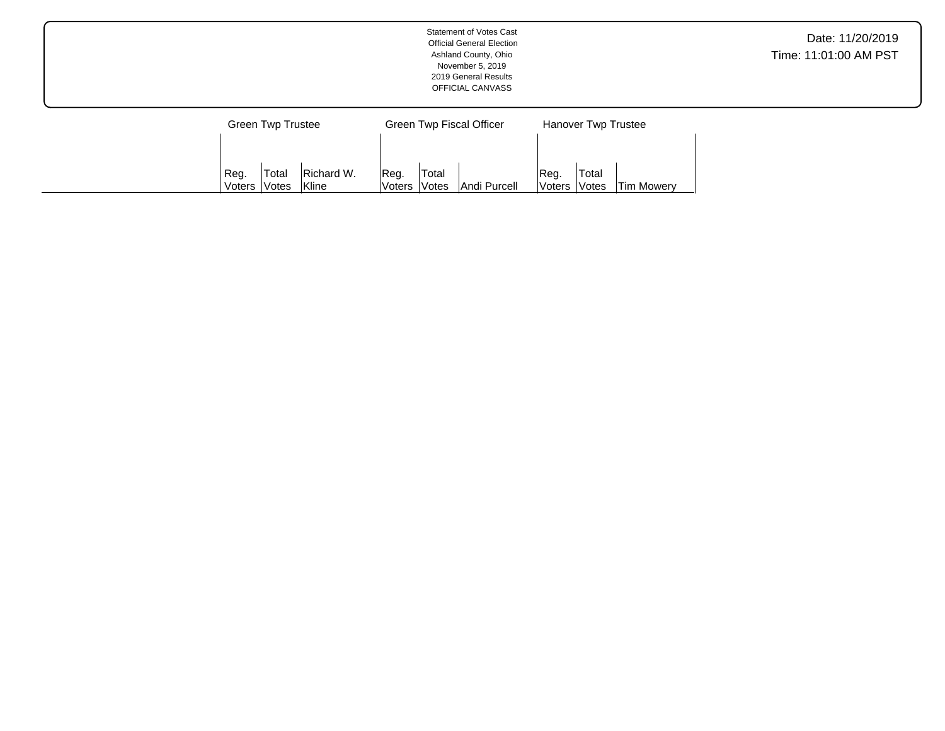|                             | <b>Statement of Votes Cast</b><br><b>Official General Election</b><br>Ashland County, Ohio<br>November 5, 2019<br>2019 General Results<br>OFFICIAL CANVASS |                     | Date: 11/20/2019<br>Time: 11:01:00 AM PST |
|-----------------------------|------------------------------------------------------------------------------------------------------------------------------------------------------------|---------------------|-------------------------------------------|
| <b>Green Twp Trustee</b>    | <b>Green Twp Fiscal Officer</b>                                                                                                                            | Hanover Twp Trustee |                                           |
| Richard W.<br>Total<br>Reg. | Total<br>Reg.                                                                                                                                              | 'Total<br> Reg.     |                                           |

Votes | Andi Purcell

Voters

Votes | Tim Mowery

Voters

Votes

Kline

Voters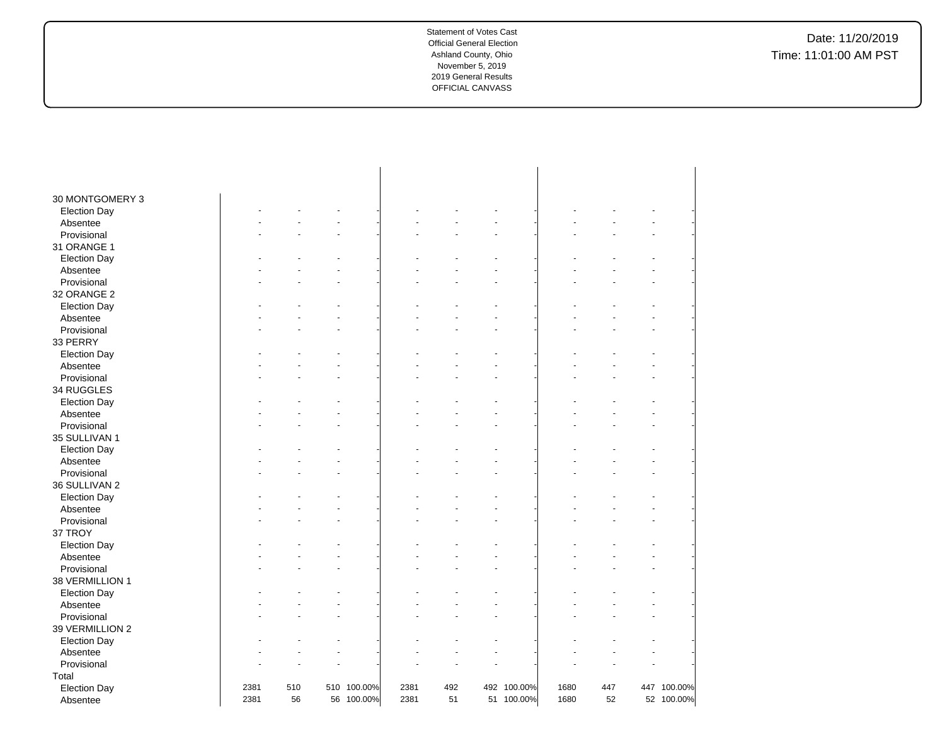| 30 MONTGOMERY 3     |      |     |             |      |     |             |      |     |             |
|---------------------|------|-----|-------------|------|-----|-------------|------|-----|-------------|
| <b>Election Day</b> |      |     |             |      |     |             |      |     |             |
| Absentee            |      |     |             |      |     |             |      |     |             |
| Provisional         |      |     |             |      |     |             |      |     |             |
| 31 ORANGE 1         |      |     |             |      |     |             |      |     |             |
| <b>Election Day</b> |      |     |             |      |     |             |      |     |             |
| Absentee            |      |     |             |      |     |             |      |     |             |
| Provisional         |      |     |             |      |     |             |      |     |             |
| 32 ORANGE 2         |      |     |             |      |     |             |      |     |             |
| <b>Election Day</b> |      |     |             |      |     |             |      |     |             |
| Absentee            |      |     |             |      |     |             |      |     |             |
| Provisional         |      |     |             |      |     |             |      |     |             |
| 33 PERRY            |      |     |             |      |     |             |      |     |             |
| <b>Election Day</b> |      |     |             |      |     |             |      |     |             |
| Absentee            |      |     |             |      |     |             |      |     |             |
| Provisional         |      |     |             |      |     |             |      |     |             |
| 34 RUGGLES          |      |     |             |      |     |             |      |     |             |
| <b>Election Day</b> |      |     |             |      |     |             |      |     |             |
| Absentee            |      |     |             |      |     |             |      |     |             |
| Provisional         |      |     |             |      |     |             |      |     |             |
| 35 SULLIVAN 1       |      |     |             |      |     |             |      |     |             |
| <b>Election Day</b> |      |     |             |      |     |             |      |     |             |
| Absentee            |      |     |             |      |     |             |      |     |             |
| Provisional         |      |     |             |      |     |             |      |     |             |
| 36 SULLIVAN 2       |      |     |             |      |     |             |      |     |             |
| <b>Election Day</b> |      |     |             |      |     |             |      |     |             |
| Absentee            |      |     |             |      |     |             |      |     |             |
| Provisional         |      |     |             |      |     |             |      |     |             |
| 37 TROY             |      |     |             |      |     |             |      |     |             |
| <b>Election Day</b> |      |     |             |      |     |             |      |     |             |
| Absentee            |      |     |             |      |     |             |      |     |             |
| Provisional         |      |     |             |      |     |             |      |     |             |
| 38 VERMILLION 1     |      |     |             |      |     |             |      |     |             |
| <b>Election Day</b> |      |     |             |      |     |             |      |     |             |
| Absentee            |      |     |             |      |     |             |      |     |             |
| Provisional         |      |     |             |      |     |             |      |     |             |
| 39 VERMILLION 2     |      |     |             |      |     |             |      |     |             |
| <b>Election Day</b> |      |     |             |      |     |             |      |     |             |
| Absentee            |      |     |             |      |     |             |      |     |             |
| Provisional         |      |     |             |      |     |             |      |     |             |
| Total               |      |     |             |      |     |             |      |     |             |
| <b>Election Day</b> | 2381 | 510 | 510 100.00% | 2381 | 492 | 492 100.00% | 1680 | 447 | 447 100.00% |
| Absentee            | 2381 | 56  | 56 100.00%  | 2381 | 51  | 51 100.00%  | 1680 | 52  | 52 100.00%  |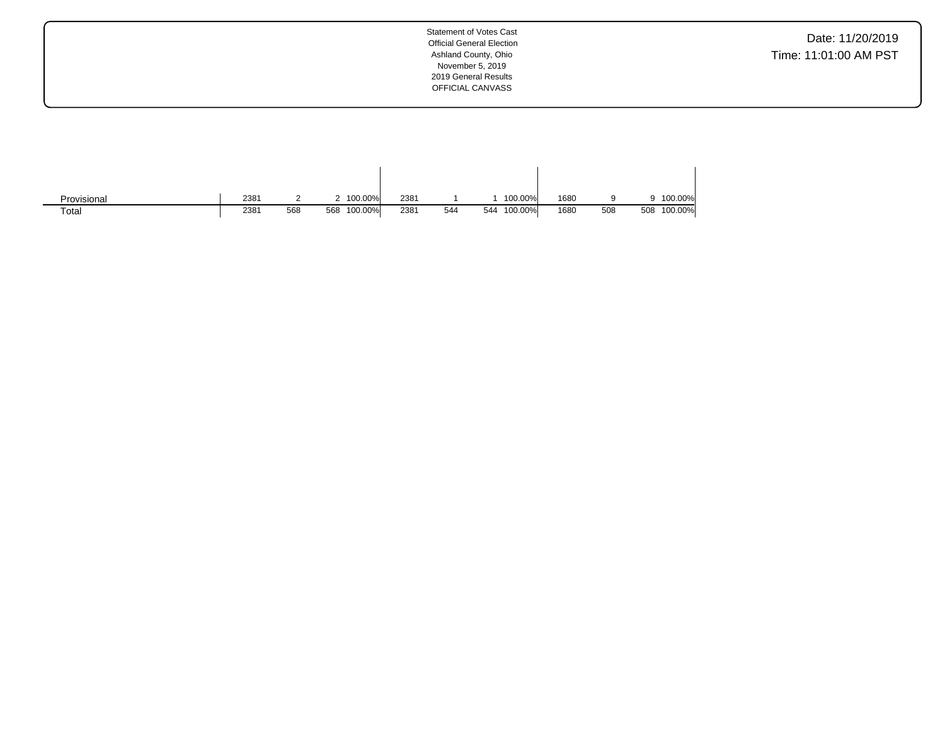Date: 11/20/2019 Time: 11:01:00 AM PST

| Provisional | 2381 |     | 100.00%        | 2381 |     | 100.00%        | 1680 |     |     | 100.00% |
|-------------|------|-----|----------------|------|-----|----------------|------|-----|-----|---------|
| Total       | 2381 | 568 | 100.00%<br>568 | 2381 | 544 | 100.00%<br>544 | 1680 | 508 | 508 | 100.00% |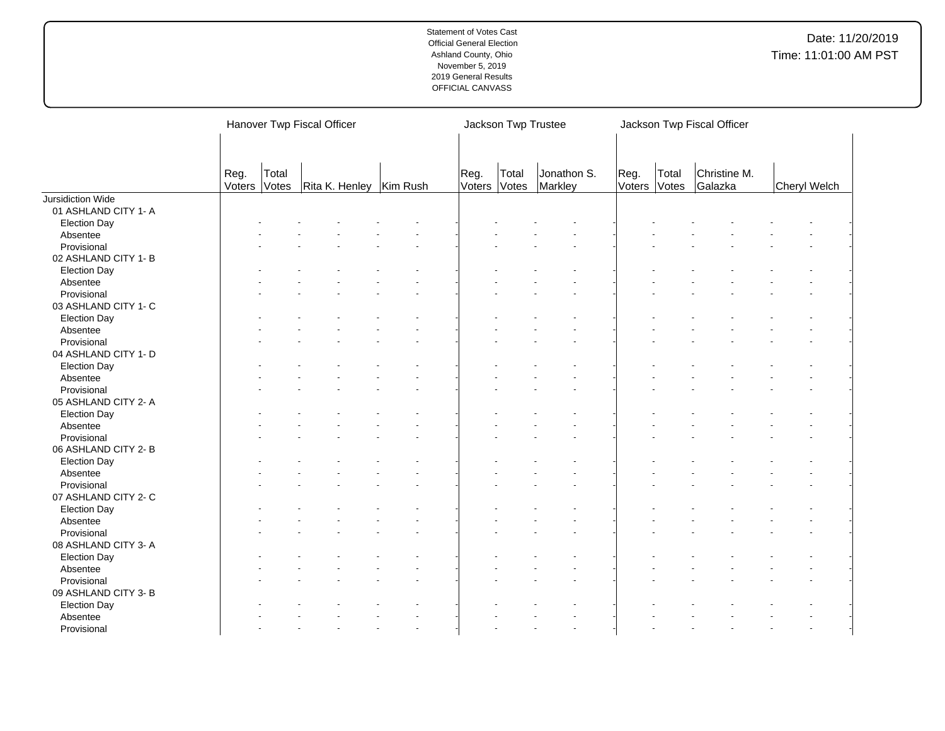|                                     |                |                | Hanover Twp Fiscal Officer |                      | Jackson Twp Trustee |                        |                      | Jackson Twp Fiscal Officer |                         |              |  |
|-------------------------------------|----------------|----------------|----------------------------|----------------------|---------------------|------------------------|----------------------|----------------------------|-------------------------|--------------|--|
|                                     | Reg.<br>Voters | Total<br>Votes | Rita K. Henley   Kim Rush  | Reg.<br>Voters Votes | Total               | Jonathon S.<br>Markley | Reg.<br>Voters Votes | Total                      | Christine M.<br>Galazka | Cheryl Welch |  |
| Jursidiction Wide                   |                |                |                            |                      |                     |                        |                      |                            |                         |              |  |
| 01 ASHLAND CITY 1- A                |                |                |                            |                      |                     |                        |                      |                            |                         |              |  |
| <b>Election Day</b>                 |                |                |                            |                      |                     |                        |                      |                            |                         |              |  |
| Absentee                            |                |                |                            |                      |                     |                        |                      |                            |                         |              |  |
| Provisional                         |                |                |                            |                      |                     |                        |                      |                            |                         |              |  |
| 02 ASHLAND CITY 1- B                |                |                |                            |                      |                     |                        |                      |                            |                         |              |  |
| <b>Election Day</b>                 |                |                |                            |                      |                     |                        |                      |                            |                         |              |  |
| Absentee                            |                |                |                            |                      |                     |                        |                      |                            |                         |              |  |
| Provisional                         |                |                |                            |                      |                     |                        |                      |                            |                         |              |  |
| 03 ASHLAND CITY 1- C                |                |                |                            |                      |                     |                        |                      |                            |                         |              |  |
| <b>Election Day</b>                 |                |                |                            |                      |                     |                        |                      |                            |                         |              |  |
| Absentee                            |                |                |                            |                      |                     |                        |                      |                            |                         |              |  |
| Provisional                         |                |                |                            |                      |                     |                        |                      |                            |                         |              |  |
| 04 ASHLAND CITY 1- D                |                |                |                            |                      |                     |                        |                      |                            |                         |              |  |
| <b>Election Day</b>                 |                |                |                            |                      |                     |                        |                      |                            |                         |              |  |
| Absentee                            |                |                |                            |                      |                     |                        |                      |                            |                         |              |  |
| Provisional                         |                |                |                            |                      |                     |                        |                      |                            |                         |              |  |
| 05 ASHLAND CITY 2- A                |                |                |                            |                      |                     |                        |                      |                            |                         |              |  |
| <b>Election Day</b>                 |                |                |                            |                      |                     |                        |                      |                            |                         |              |  |
| Absentee                            |                |                |                            |                      |                     |                        |                      |                            |                         |              |  |
| Provisional                         |                |                |                            |                      |                     |                        |                      |                            |                         |              |  |
| 06 ASHLAND CITY 2-B                 |                |                |                            |                      |                     |                        |                      |                            |                         |              |  |
| <b>Election Day</b>                 |                |                |                            |                      |                     |                        |                      |                            |                         |              |  |
| Absentee                            |                |                |                            |                      |                     |                        |                      |                            |                         |              |  |
| Provisional                         |                |                |                            |                      |                     |                        |                      |                            |                         |              |  |
| 07 ASHLAND CITY 2- C                |                |                |                            |                      |                     |                        |                      |                            |                         |              |  |
|                                     |                |                |                            |                      |                     |                        |                      |                            |                         |              |  |
| <b>Election Day</b><br>Absentee     |                |                |                            |                      |                     |                        |                      |                            |                         |              |  |
| Provisional                         |                |                |                            |                      |                     |                        |                      |                            |                         |              |  |
|                                     |                |                |                            |                      |                     |                        |                      |                            |                         |              |  |
| 08 ASHLAND CITY 3- A                |                |                |                            |                      |                     |                        |                      |                            |                         |              |  |
| <b>Election Day</b>                 |                |                |                            |                      |                     |                        |                      |                            |                         |              |  |
| Absentee                            |                |                |                            |                      |                     |                        |                      |                            |                         |              |  |
| Provisional<br>09 ASHLAND CITY 3- B |                |                |                            |                      |                     |                        |                      |                            |                         |              |  |
| <b>Election Day</b>                 |                |                |                            |                      |                     |                        |                      |                            |                         |              |  |
| Absentee                            |                |                |                            |                      |                     |                        |                      |                            |                         |              |  |
| Provisional                         |                |                |                            |                      |                     |                        |                      |                            |                         |              |  |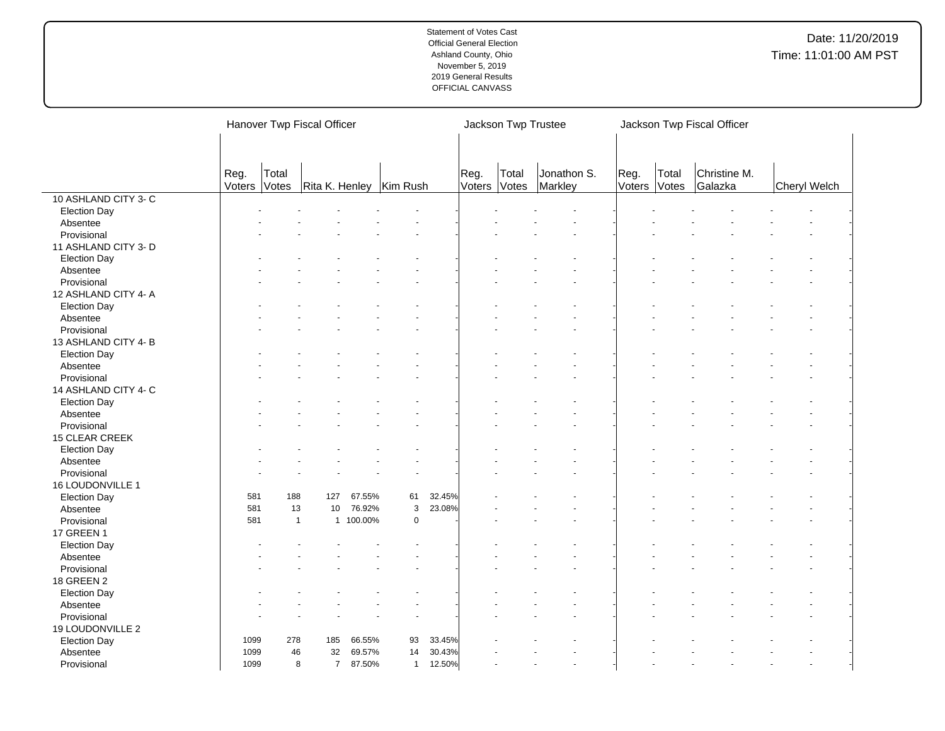|                       |        | Hanover Twp Fiscal Officer |                           |           |              |        |        |       | Jackson Twp Trustee | Jackson Twp Fiscal Officer |       |              |  |              |
|-----------------------|--------|----------------------------|---------------------------|-----------|--------------|--------|--------|-------|---------------------|----------------------------|-------|--------------|--|--------------|
|                       |        |                            |                           |           |              |        |        |       |                     |                            |       |              |  |              |
|                       | Reg.   | Total                      |                           |           |              |        | Reg.   | Total | Jonathon S.         | Reg.                       | Total | Christine M. |  |              |
|                       | Voters | Votes                      | Rita K. Henley   Kim Rush |           |              |        | Voters | Votes | Markley             | Voters                     | Votes | Galazka      |  | Cheryl Welch |
| 10 ASHLAND CITY 3-C   |        |                            |                           |           |              |        |        |       |                     |                            |       |              |  |              |
| <b>Election Day</b>   |        |                            |                           |           |              |        |        |       |                     |                            |       |              |  |              |
| Absentee              |        |                            |                           |           |              |        |        |       |                     |                            |       |              |  |              |
| Provisional           |        |                            |                           |           |              |        |        |       |                     |                            |       |              |  |              |
| 11 ASHLAND CITY 3- D  |        |                            |                           |           |              |        |        |       |                     |                            |       |              |  |              |
| <b>Election Day</b>   |        |                            |                           |           |              |        |        |       |                     |                            |       |              |  |              |
| Absentee              |        |                            |                           |           |              |        |        |       |                     |                            |       |              |  |              |
| Provisional           |        |                            |                           |           |              |        |        |       |                     |                            |       |              |  |              |
| 12 ASHLAND CITY 4- A  |        |                            |                           |           |              |        |        |       |                     |                            |       |              |  |              |
| <b>Election Day</b>   |        |                            |                           |           |              |        |        |       |                     |                            |       |              |  |              |
| Absentee              |        |                            |                           |           |              |        |        |       |                     |                            |       |              |  |              |
| Provisional           |        |                            |                           |           |              |        |        |       |                     |                            |       |              |  |              |
| 13 ASHLAND CITY 4-B   |        |                            |                           |           |              |        |        |       |                     |                            |       |              |  |              |
| <b>Election Day</b>   |        |                            |                           |           |              |        |        |       |                     |                            |       |              |  |              |
| Absentee              |        |                            |                           |           |              |        |        |       |                     |                            |       |              |  |              |
| Provisional           |        |                            |                           |           |              |        |        |       |                     |                            |       |              |  |              |
| 14 ASHLAND CITY 4- C  |        |                            |                           |           |              |        |        |       |                     |                            |       |              |  |              |
| <b>Election Day</b>   |        |                            |                           |           |              |        |        |       |                     |                            |       |              |  |              |
| Absentee              |        |                            |                           |           |              |        |        |       |                     |                            |       |              |  |              |
| Provisional           |        |                            |                           |           |              |        |        |       |                     |                            |       |              |  |              |
| <b>15 CLEAR CREEK</b> |        |                            |                           |           |              |        |        |       |                     |                            |       |              |  |              |
| <b>Election Day</b>   |        |                            |                           |           |              |        |        |       |                     |                            |       |              |  |              |
| Absentee              |        |                            |                           |           |              |        |        |       |                     |                            |       |              |  |              |
| Provisional           |        |                            |                           |           |              |        |        |       |                     |                            |       |              |  |              |
| 16 LOUDONVILLE 1      |        |                            |                           |           |              |        |        |       |                     |                            |       |              |  |              |
| <b>Election Day</b>   | 581    | 188                        | 127                       | 67.55%    | 61           | 32.45% |        |       |                     |                            |       |              |  |              |
| Absentee              | 581    | 13                         | 10                        | 76.92%    | $\mathbf{3}$ | 23.08% |        |       |                     |                            |       |              |  |              |
| Provisional           | 581    |                            | $\mathbf{1}$              | 1 100.00% | $\mathbf 0$  |        |        |       |                     |                            |       |              |  |              |
| 17 GREEN 1            |        |                            |                           |           |              |        |        |       |                     |                            |       |              |  |              |
| <b>Election Day</b>   |        |                            |                           |           |              |        |        |       |                     |                            |       |              |  |              |
| Absentee              |        |                            |                           |           |              |        |        |       |                     |                            |       |              |  |              |
| Provisional           |        |                            |                           |           |              |        |        |       |                     |                            |       |              |  |              |
| 18 GREEN 2            |        |                            |                           |           |              |        |        |       |                     |                            |       |              |  |              |
| <b>Election Day</b>   |        |                            |                           |           |              |        |        |       |                     |                            |       |              |  |              |
|                       |        |                            |                           |           |              |        |        |       |                     |                            |       |              |  |              |
| Absentee              |        |                            |                           |           |              |        |        |       |                     |                            |       |              |  |              |
| Provisional           |        |                            |                           |           |              |        |        |       |                     |                            |       |              |  |              |
| 19 LOUDONVILLE 2      | 1099   | 278                        | 185                       | 66.55%    | 93           | 33.45% |        |       |                     |                            |       |              |  |              |
| <b>Election Day</b>   | 1099   | 46                         | 32                        | 69.57%    | 14           | 30.43% |        |       |                     |                            |       |              |  |              |
| Absentee              |        |                            |                           |           |              |        |        |       |                     |                            |       |              |  |              |
| Provisional           | 1099   |                            | 8<br>$\overline{7}$       | 87.50%    | $\mathbf{1}$ | 12.50% |        |       |                     |                            |       |              |  |              |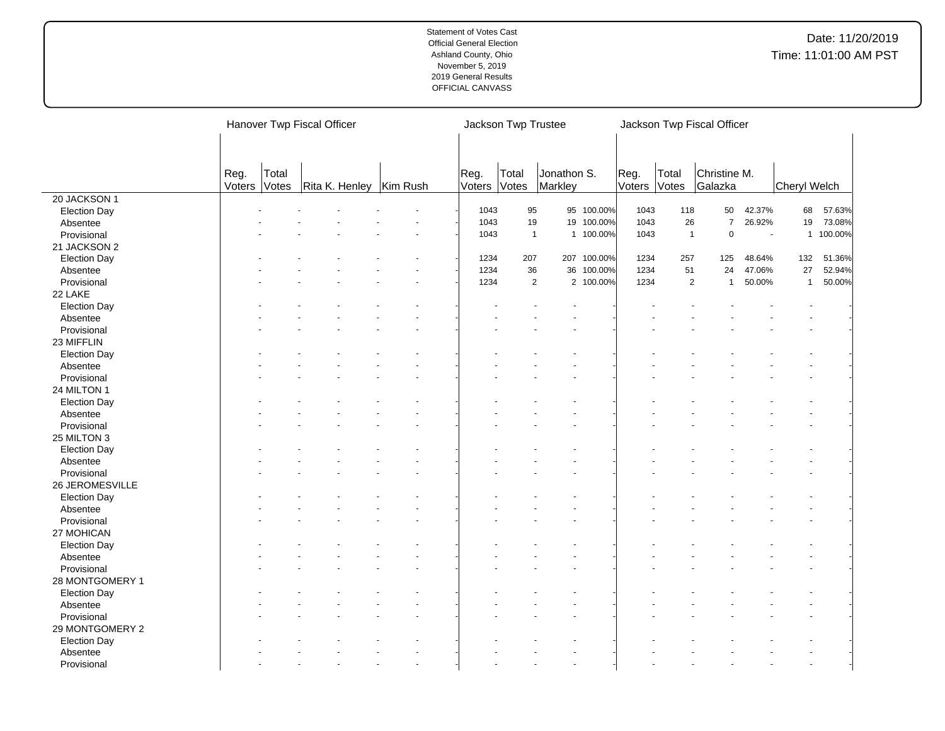|                     |        |       | Hanover Twp Fiscal Officer |              | Jackson Twp Trustee |                             | Jackson Twp Fiscal Officer |                |                |                |                     |         |
|---------------------|--------|-------|----------------------------|--------------|---------------------|-----------------------------|----------------------------|----------------|----------------|----------------|---------------------|---------|
|                     |        |       |                            |              |                     |                             |                            |                |                |                |                     |         |
|                     |        |       |                            |              |                     |                             |                            |                |                |                |                     |         |
|                     | Reg.   | Total |                            | Reg.         | Total               | Jonathon S.                 | Reg.                       | Total          | Christine M.   |                |                     |         |
|                     | Voters | Votes | Rita K. Henley   Kim Rush  | Voters Votes |                     | Markley                     | Voters                     | Votes          | Galazka        |                | <b>Cheryl Welch</b> |         |
| 20 JACKSON 1        |        |       |                            |              |                     |                             |                            |                |                |                |                     |         |
| <b>Election Day</b> |        |       |                            | 1043         | 95                  | 95 100.00%                  | 1043                       | 118            | 50             | 42.37%         | 68                  | 57.63%  |
| Absentee            |        |       |                            | 1043         | 19                  | 19 100.00%                  | 1043                       | 26             | $\overline{7}$ | 26.92%         | 19                  | 73.08%  |
| Provisional         |        |       |                            | 1043         | $\overline{1}$      | 1 100.00%                   | 1043                       | $\overline{1}$ | 0              | $\overline{a}$ | $\mathbf{1}$        | 100.00% |
| 21 JACKSON 2        |        |       |                            |              |                     |                             |                            |                |                |                |                     |         |
| <b>Election Day</b> |        |       |                            | 1234         | 207                 | 207 100.00%                 | 1234                       | 257            | 125            | 48.64%         | 132                 | 51.36%  |
| Absentee            |        |       |                            | 1234         | 36                  | 36 100.00%                  | 1234                       | 51             | 24             | 47.06%         | 27                  | 52.94%  |
| Provisional         |        |       |                            | 1234         |                     | $\overline{2}$<br>2 100.00% | 1234                       | $\overline{2}$ | $\overline{1}$ | 50.00%         | $\mathbf{1}$        | 50.00%  |
| 22 LAKE             |        |       |                            |              |                     |                             |                            |                |                |                |                     |         |
| <b>Election Day</b> |        |       |                            |              |                     |                             |                            |                |                |                |                     |         |
| Absentee            |        |       |                            |              |                     |                             |                            |                |                |                |                     |         |
| Provisional         |        |       |                            |              |                     |                             |                            |                |                |                |                     |         |
| 23 MIFFLIN          |        |       |                            |              |                     |                             |                            |                |                |                |                     |         |
| <b>Election Day</b> |        |       |                            |              |                     |                             |                            |                |                |                |                     |         |
| Absentee            |        |       |                            |              |                     |                             |                            |                |                |                |                     |         |
| Provisional         |        |       |                            |              |                     |                             |                            |                |                |                |                     |         |
| 24 MILTON 1         |        |       |                            |              |                     |                             |                            |                |                |                |                     |         |
| <b>Election Day</b> |        |       |                            |              |                     |                             |                            |                |                |                |                     |         |
| Absentee            |        |       |                            |              |                     |                             |                            |                |                |                |                     |         |
| Provisional         |        |       |                            |              |                     |                             |                            |                |                |                |                     |         |
| 25 MILTON 3         |        |       |                            |              |                     |                             |                            |                |                |                |                     |         |
| <b>Election Day</b> |        |       |                            |              |                     |                             |                            |                |                |                |                     |         |
| Absentee            |        |       |                            |              |                     |                             |                            |                |                |                |                     |         |
| Provisional         |        |       |                            |              |                     |                             |                            |                |                |                |                     |         |
| 26 JEROMESVILLE     |        |       |                            |              |                     |                             |                            |                |                |                |                     |         |
| <b>Election Day</b> |        |       |                            |              |                     |                             |                            |                |                |                |                     |         |
| Absentee            |        |       |                            |              |                     |                             |                            |                |                |                |                     |         |
| Provisional         |        |       |                            |              |                     |                             |                            |                |                |                |                     |         |
| 27 MOHICAN          |        |       |                            |              |                     |                             |                            |                |                |                |                     |         |
| <b>Election Day</b> |        |       |                            |              |                     |                             |                            |                |                |                |                     |         |
| Absentee            |        |       |                            |              |                     |                             |                            |                |                |                |                     |         |
| Provisional         |        |       |                            |              |                     |                             |                            |                |                |                |                     |         |
|                     |        |       |                            |              |                     |                             |                            |                |                |                |                     |         |
| 28 MONTGOMERY 1     |        |       |                            |              |                     |                             |                            |                |                |                |                     |         |
| <b>Election Day</b> |        |       |                            |              |                     |                             |                            |                |                |                |                     |         |
| Absentee            |        |       |                            |              |                     |                             |                            |                |                |                |                     |         |
| Provisional         |        |       |                            |              |                     |                             |                            |                |                |                |                     |         |
| 29 MONTGOMERY 2     |        |       |                            |              |                     |                             |                            |                |                |                |                     |         |
| <b>Election Day</b> |        |       |                            |              |                     |                             |                            |                |                |                |                     |         |
| Absentee            |        |       |                            |              |                     |                             |                            |                |                |                |                     |         |
| Provisional         |        |       |                            |              |                     |                             |                            |                |                |                |                     |         |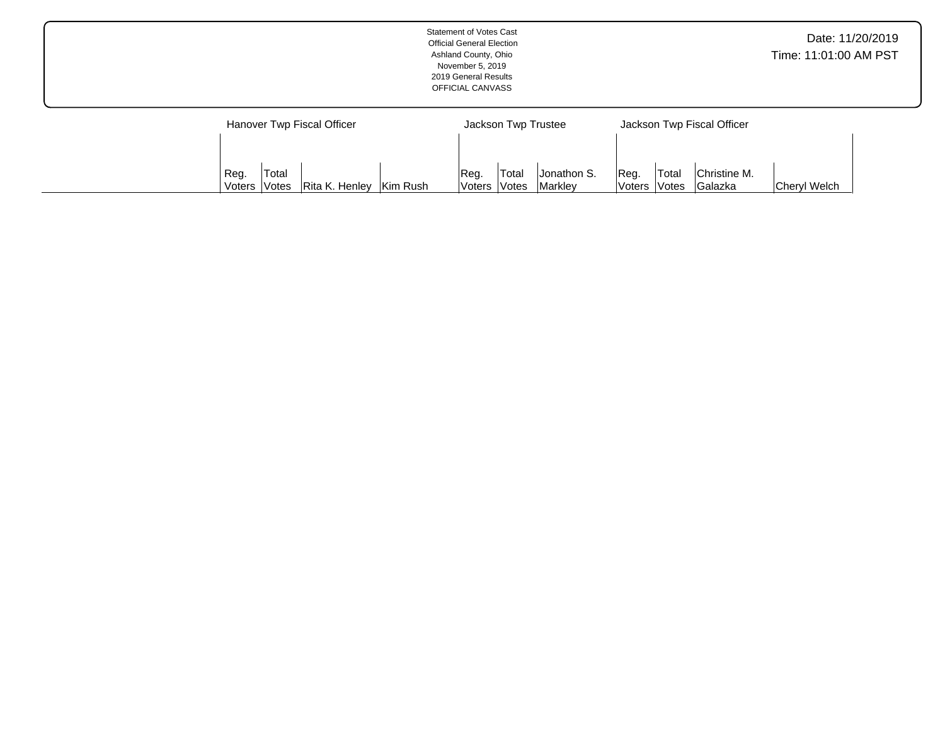|                            | <b>Statement of Votes Cast</b><br><b>Official General Election</b><br>Ashland County, Ohio<br>November 5, 2019<br>2019 General Results<br>OFFICIAL CANVASS |                            | Date: 11/20/2019<br>Time: 11:01:00 AM PST |
|----------------------------|------------------------------------------------------------------------------------------------------------------------------------------------------------|----------------------------|-------------------------------------------|
| Hanover Twp Fiscal Officer | Jackson Twp Trustee                                                                                                                                        | Jackson Twp Fiscal Officer |                                           |

| Reg.    | Total               |                             |          | Req.                 | 'Total       | Jonathon S.    | IRea.        | <b>Total</b> | Christine M.   |              |
|---------|---------------------|-----------------------------|----------|----------------------|--------------|----------------|--------------|--------------|----------------|--------------|
| Voters. | <i><b>Notes</b></i> | <sup>I</sup> Rita K. Henlev | Kim Rush | <i><b>Voters</b></i> | <b>Votes</b> | <b>Markley</b> | Voters Votes |              | <b>Galazka</b> | Cheryl Welch |
|         |                     |                             |          |                      |              |                |              |              |                |              |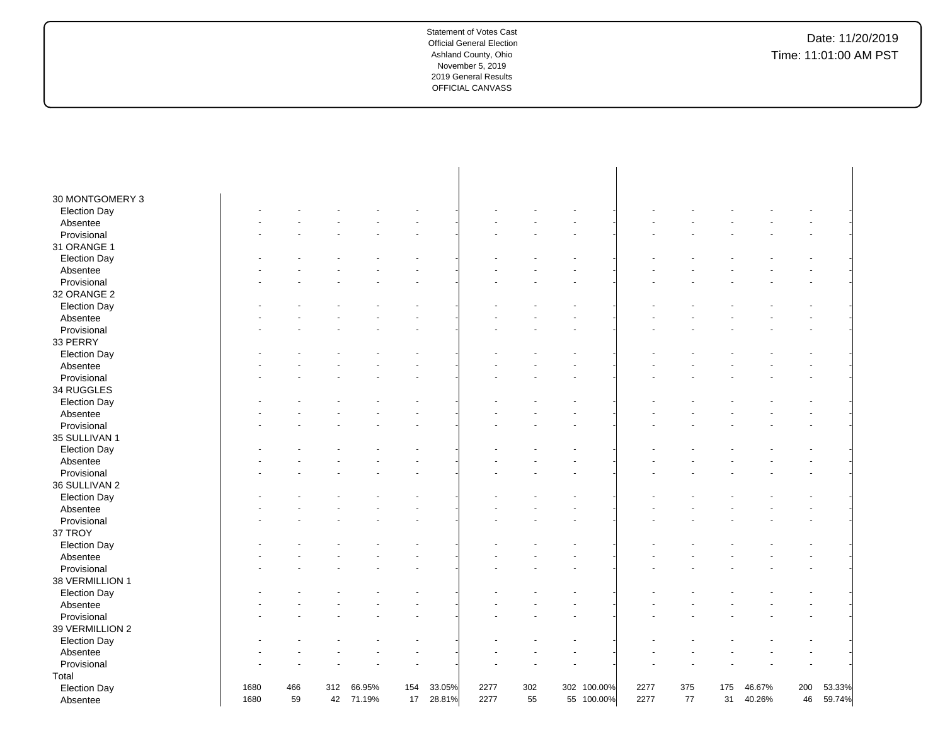| 30 MONTGOMERY 3     |      |     |     |        |     |        |      |     |             |      |     |     |        |     |        |
|---------------------|------|-----|-----|--------|-----|--------|------|-----|-------------|------|-----|-----|--------|-----|--------|
| <b>Election Day</b> |      |     |     |        |     |        |      |     |             |      |     |     |        |     |        |
| Absentee            |      |     |     |        |     |        |      |     |             |      |     |     |        |     |        |
| Provisional         |      |     |     |        |     |        |      |     |             |      |     |     |        |     |        |
| 31 ORANGE 1         |      |     |     |        |     |        |      |     |             |      |     |     |        |     |        |
| <b>Election Day</b> |      |     |     |        |     |        |      |     |             |      |     |     |        |     |        |
| Absentee            |      |     |     |        |     |        |      |     |             |      |     |     |        |     |        |
| Provisional         |      |     |     |        |     |        |      |     |             |      |     |     |        |     |        |
| 32 ORANGE 2         |      |     |     |        |     |        |      |     |             |      |     |     |        |     |        |
| <b>Election Day</b> |      |     |     |        |     |        |      |     |             |      |     |     |        |     |        |
| Absentee            |      |     |     |        |     |        |      |     |             |      |     |     |        |     |        |
| Provisional         |      |     |     |        |     |        |      |     |             |      |     |     |        |     |        |
| 33 PERRY            |      |     |     |        |     |        |      |     |             |      |     |     |        |     |        |
| <b>Election Day</b> |      |     |     |        |     |        |      |     |             |      |     |     |        |     |        |
| Absentee            |      |     |     |        |     |        |      |     |             |      |     |     |        |     |        |
| Provisional         |      |     |     |        |     |        |      |     |             |      |     |     |        |     |        |
| 34 RUGGLES          |      |     |     |        |     |        |      |     |             |      |     |     |        |     |        |
| <b>Election Day</b> |      |     |     |        |     |        |      |     |             |      |     |     |        |     |        |
| Absentee            |      |     |     |        |     |        |      |     |             |      |     |     |        |     |        |
| Provisional         |      |     |     |        |     |        |      |     |             |      |     |     |        |     |        |
| 35 SULLIVAN 1       |      |     |     |        |     |        |      |     |             |      |     |     |        |     |        |
| <b>Election Day</b> |      |     |     |        |     |        |      |     |             |      |     |     |        |     |        |
| Absentee            |      |     |     |        |     |        |      |     |             |      |     |     |        |     |        |
| Provisional         |      |     |     |        |     |        |      |     |             |      |     |     |        |     |        |
| 36 SULLIVAN 2       |      |     |     |        |     |        |      |     |             |      |     |     |        |     |        |
| <b>Election Day</b> |      |     |     |        |     |        |      |     |             |      |     |     |        |     |        |
| Absentee            |      |     |     |        |     |        |      |     |             |      |     |     |        |     |        |
| Provisional         |      |     |     |        |     |        |      |     |             |      |     |     |        |     |        |
| 37 TROY             |      |     |     |        |     |        |      |     |             |      |     |     |        |     |        |
| <b>Election Day</b> |      |     |     |        |     |        |      |     |             |      |     |     |        |     |        |
| Absentee            |      |     |     |        |     |        |      |     |             |      |     |     |        |     |        |
| Provisional         |      |     |     |        |     |        |      |     |             |      |     |     |        |     |        |
| 38 VERMILLION 1     |      |     |     |        |     |        |      |     |             |      |     |     |        |     |        |
| <b>Election Day</b> |      |     |     |        |     |        |      |     |             |      |     |     |        |     |        |
| Absentee            |      |     |     |        |     |        |      |     |             |      |     |     |        |     |        |
| Provisional         |      |     |     |        |     |        |      |     |             |      |     |     |        |     |        |
| 39 VERMILLION 2     |      |     |     |        |     |        |      |     |             |      |     |     |        |     |        |
| <b>Election Day</b> |      |     |     |        |     |        |      |     |             |      |     |     |        |     |        |
| Absentee            |      |     |     |        |     |        |      |     |             |      |     |     |        |     |        |
| Provisional         |      |     |     |        |     |        |      |     |             |      |     |     |        |     |        |
| Total               |      |     |     |        |     |        |      |     |             |      |     |     |        |     |        |
| <b>Election Day</b> | 1680 | 466 | 312 | 66.95% | 154 | 33.05% | 2277 | 302 | 302 100.00% | 2277 | 375 | 175 | 46.67% | 200 | 53.33% |
| Absentee            | 1680 | 59  | 42  | 71.19% | 17  | 28.81% | 2277 | 55  | 55 100.00%  | 2277 | 77  | 31  | 40.26% | 46  | 59.74% |
|                     |      |     |     |        |     |        |      |     |             |      |     |     |        |     |        |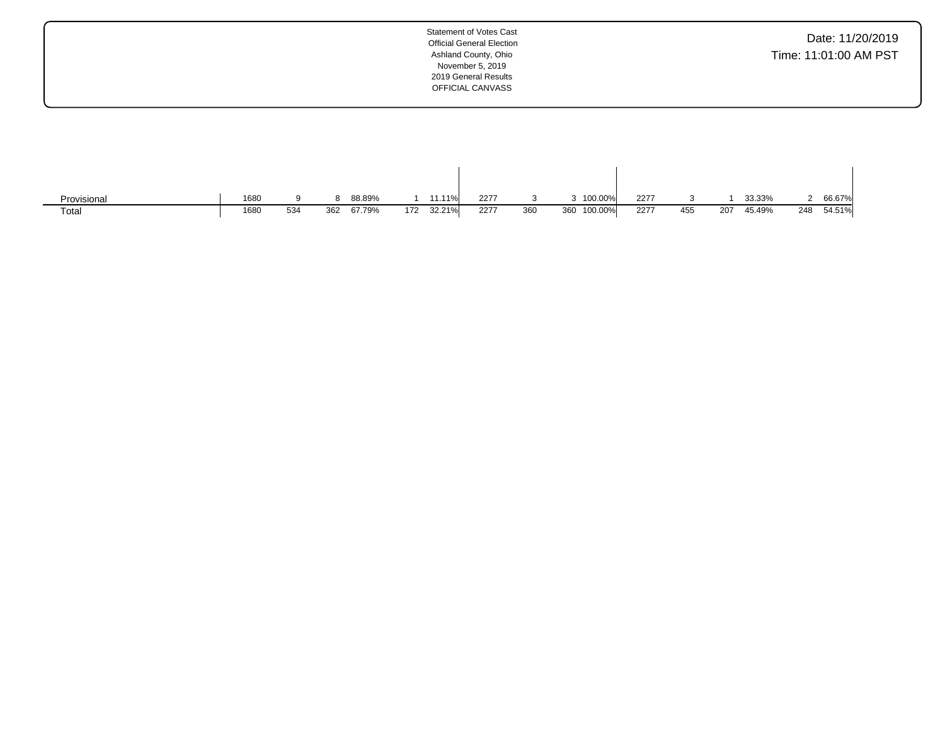| <b>Statement of Votes Cast</b><br>Date: 11/20/2019<br><b>Official General Election</b><br>Time: 11:01:00 AM PST<br>Ashland County, Ohio<br>November 5, 2019<br>2019 General Results<br>OFFICIAL CANVASS |  |
|---------------------------------------------------------------------------------------------------------------------------------------------------------------------------------------------------------|--|
|---------------------------------------------------------------------------------------------------------------------------------------------------------------------------------------------------------|--|

| Provisional | 1680 |     |     | 88.89% |     | 11.11% | 2277 |     | 3 100.00%   | 2277 |     |     | 33.33% |     | 66.67% |
|-------------|------|-----|-----|--------|-----|--------|------|-----|-------------|------|-----|-----|--------|-----|--------|
| Total       | 1680 | 534 | 362 | 67.79% | 172 | 32.21% | 2277 | 360 | 360 100.00% | 2277 | 455 | 207 | 45.49% | 248 | 54.51% |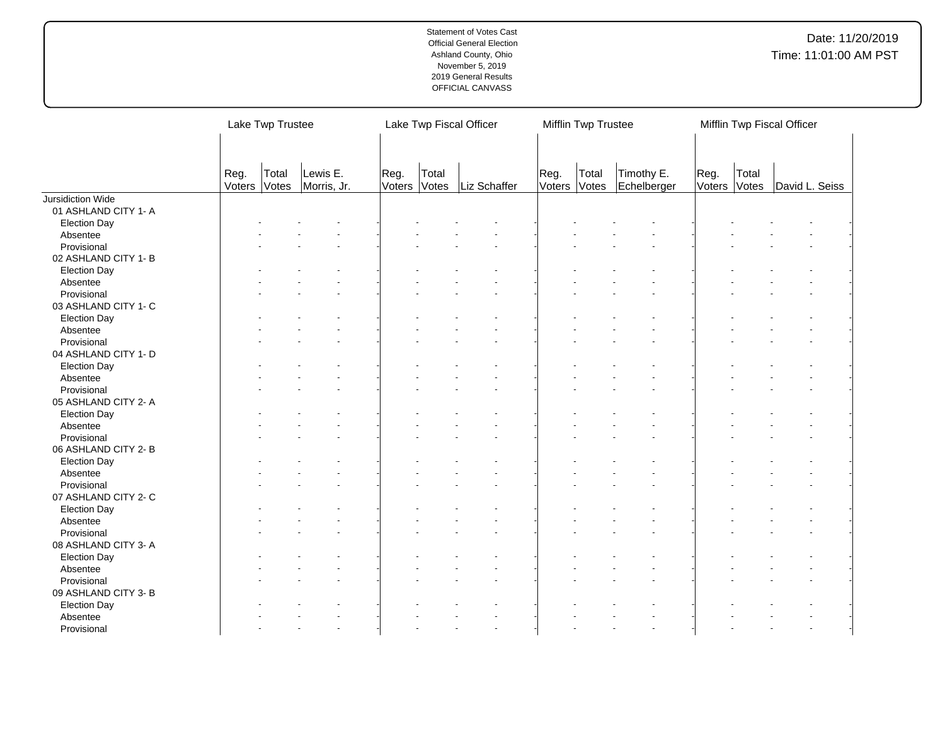|                                     |                | Lake Twp Trustee |                         |                |                | Lake Twp Fiscal Officer |                | Mifflin Twp Trustee |                           |                |                | Mifflin Twp Fiscal Officer |  |
|-------------------------------------|----------------|------------------|-------------------------|----------------|----------------|-------------------------|----------------|---------------------|---------------------------|----------------|----------------|----------------------------|--|
|                                     | Reg.<br>Voters | Total<br>Votes   | Lewis E.<br>Morris, Jr. | Reg.<br>Voters | Total<br>Votes | Liz Schaffer            | Reg.<br>Voters | Total<br>Votes      | Timothy E.<br>Echelberger | Reg.<br>Voters | Total<br>Votes | David L. Seiss             |  |
| Jursidiction Wide                   |                |                  |                         |                |                |                         |                |                     |                           |                |                |                            |  |
| 01 ASHLAND CITY 1- A                |                |                  |                         |                |                |                         |                |                     |                           |                |                |                            |  |
| <b>Election Day</b>                 |                |                  |                         |                |                |                         |                |                     |                           |                |                |                            |  |
| Absentee                            |                |                  |                         |                |                |                         |                |                     |                           |                |                |                            |  |
| Provisional                         |                |                  |                         |                |                |                         |                |                     |                           |                |                |                            |  |
| 02 ASHLAND CITY 1- B                |                |                  |                         |                |                |                         |                |                     |                           |                |                |                            |  |
| <b>Election Day</b>                 |                |                  |                         |                |                |                         |                |                     |                           |                |                |                            |  |
| Absentee                            |                |                  |                         |                |                |                         |                |                     |                           |                |                |                            |  |
| Provisional                         |                |                  |                         |                |                |                         |                |                     |                           |                |                |                            |  |
| 03 ASHLAND CITY 1- C                |                |                  |                         |                |                |                         |                |                     |                           |                |                |                            |  |
| <b>Election Day</b>                 |                |                  |                         |                |                |                         |                |                     |                           |                |                |                            |  |
| Absentee                            |                |                  |                         |                |                |                         |                |                     |                           |                |                |                            |  |
| Provisional                         |                |                  |                         |                |                |                         |                |                     |                           |                |                |                            |  |
| 04 ASHLAND CITY 1- D                |                |                  |                         |                |                |                         |                |                     |                           |                |                |                            |  |
| <b>Election Day</b>                 |                |                  |                         |                |                |                         |                |                     |                           |                |                |                            |  |
| Absentee                            |                |                  |                         |                |                |                         |                |                     |                           |                |                |                            |  |
| Provisional                         |                |                  |                         |                |                |                         |                |                     |                           |                |                |                            |  |
| 05 ASHLAND CITY 2- A                |                |                  |                         |                |                |                         |                |                     |                           |                |                |                            |  |
| <b>Election Day</b>                 |                |                  |                         |                |                |                         |                |                     |                           |                |                |                            |  |
| Absentee                            |                |                  |                         |                |                |                         |                |                     |                           |                |                |                            |  |
| Provisional                         |                |                  |                         |                |                |                         |                |                     |                           |                |                |                            |  |
| 06 ASHLAND CITY 2-B                 |                |                  |                         |                |                |                         |                |                     |                           |                |                |                            |  |
| <b>Election Day</b>                 |                |                  |                         |                |                |                         |                |                     |                           |                |                |                            |  |
| Absentee                            |                |                  |                         |                |                |                         |                |                     |                           |                |                |                            |  |
| Provisional                         |                |                  |                         |                |                |                         |                |                     |                           |                |                |                            |  |
| 07 ASHLAND CITY 2-C                 |                |                  |                         |                |                |                         |                |                     |                           |                |                |                            |  |
| <b>Election Day</b>                 |                |                  |                         |                |                |                         |                |                     |                           |                |                |                            |  |
| Absentee                            |                |                  |                         |                |                |                         |                |                     |                           |                |                |                            |  |
| Provisional                         |                |                  |                         |                |                |                         |                |                     |                           |                |                |                            |  |
| 08 ASHLAND CITY 3- A                |                |                  |                         |                |                |                         |                |                     |                           |                |                |                            |  |
|                                     |                |                  |                         |                |                |                         |                |                     |                           |                |                |                            |  |
| <b>Election Day</b><br>Absentee     |                |                  |                         |                |                |                         |                |                     |                           |                |                |                            |  |
|                                     |                |                  |                         |                |                |                         |                |                     |                           |                |                |                            |  |
| Provisional<br>09 ASHLAND CITY 3- B |                |                  |                         |                |                |                         |                |                     |                           |                |                |                            |  |
| <b>Election Day</b>                 |                |                  |                         |                |                |                         |                |                     |                           |                |                |                            |  |
| Absentee                            |                |                  |                         |                |                |                         |                |                     |                           |                |                |                            |  |
| Provisional                         |                |                  |                         |                |                |                         |                |                     |                           |                |                |                            |  |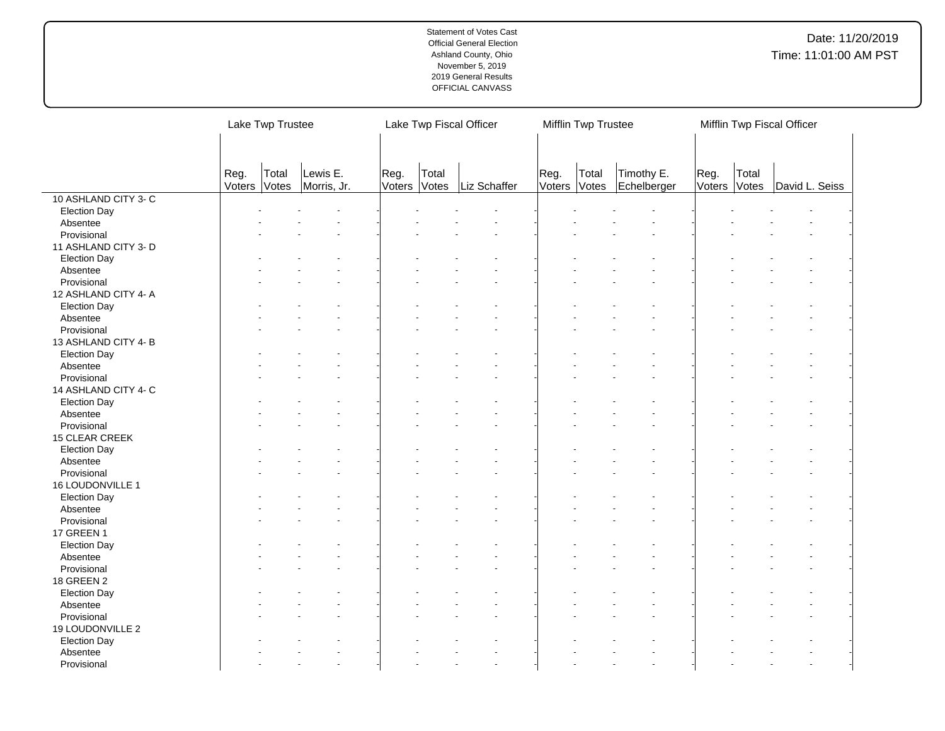|                      |      | Lake Twp Trustee      |                         |                |                | Lake Twp Fiscal Officer |                      | Mifflin Twp Trustee |                           |                      |       | Mifflin Twp Fiscal Officer |  |
|----------------------|------|-----------------------|-------------------------|----------------|----------------|-------------------------|----------------------|---------------------|---------------------------|----------------------|-------|----------------------------|--|
|                      |      |                       |                         |                |                |                         |                      |                     |                           |                      |       |                            |  |
|                      | Reg. | Total<br>Voters Votes | Lewis E.<br>Morris, Jr. | Reg.<br>Voters | Total<br>Votes | Liz Schaffer            | Reg.<br>Voters Votes | Total               | Timothy E.<br>Echelberger | Reg.<br>Voters Votes | Total | David L. Seiss             |  |
| 10 ASHLAND CITY 3-C  |      |                       |                         |                |                |                         |                      |                     |                           |                      |       |                            |  |
| <b>Election Day</b>  |      |                       |                         |                |                |                         |                      |                     |                           |                      |       |                            |  |
| Absentee             |      |                       |                         |                |                |                         |                      |                     |                           |                      |       |                            |  |
| Provisional          |      |                       |                         |                |                |                         |                      |                     |                           |                      |       |                            |  |
| 11 ASHLAND CITY 3- D |      |                       |                         |                |                |                         |                      |                     |                           |                      |       |                            |  |
| <b>Election Day</b>  |      |                       |                         |                |                |                         |                      |                     |                           |                      |       |                            |  |
| Absentee             |      |                       |                         |                |                |                         |                      |                     |                           |                      |       |                            |  |
| Provisional          |      |                       |                         |                |                |                         |                      |                     |                           |                      |       |                            |  |
|                      |      |                       |                         |                |                |                         |                      |                     |                           |                      |       |                            |  |
| 12 ASHLAND CITY 4- A |      |                       |                         |                |                |                         |                      |                     |                           |                      |       |                            |  |
| <b>Election Day</b>  |      |                       |                         |                |                |                         |                      |                     |                           |                      |       |                            |  |
| Absentee             |      |                       |                         |                |                |                         |                      |                     |                           |                      |       |                            |  |
| Provisional          |      |                       |                         |                |                |                         |                      |                     |                           |                      |       |                            |  |
| 13 ASHLAND CITY 4-B  |      |                       |                         |                |                |                         |                      |                     |                           |                      |       |                            |  |
| <b>Election Day</b>  |      |                       |                         |                |                |                         |                      |                     |                           |                      |       |                            |  |
| Absentee             |      |                       |                         |                |                |                         |                      |                     |                           |                      |       |                            |  |
| Provisional          |      |                       |                         |                |                |                         |                      |                     |                           |                      |       |                            |  |
| 14 ASHLAND CITY 4- C |      |                       |                         |                |                |                         |                      |                     |                           |                      |       |                            |  |
| <b>Election Day</b>  |      |                       |                         |                |                |                         |                      |                     |                           |                      |       |                            |  |
| Absentee             |      |                       |                         |                |                |                         |                      |                     |                           |                      |       |                            |  |
| Provisional          |      |                       |                         |                |                |                         |                      |                     |                           |                      |       |                            |  |
| 15 CLEAR CREEK       |      |                       |                         |                |                |                         |                      |                     |                           |                      |       |                            |  |
| <b>Election Day</b>  |      |                       |                         |                |                |                         |                      |                     |                           |                      |       |                            |  |
| Absentee             |      |                       |                         |                |                |                         |                      |                     |                           |                      |       |                            |  |
| Provisional          |      |                       |                         |                |                |                         |                      |                     |                           |                      |       |                            |  |
| 16 LOUDONVILLE 1     |      |                       |                         |                |                |                         |                      |                     |                           |                      |       |                            |  |
| <b>Election Day</b>  |      |                       |                         |                |                |                         |                      |                     |                           |                      |       |                            |  |
| Absentee             |      |                       |                         |                |                |                         |                      |                     |                           |                      |       |                            |  |
| Provisional          |      |                       |                         |                |                |                         |                      |                     |                           |                      |       |                            |  |
| 17 GREEN 1           |      |                       |                         |                |                |                         |                      |                     |                           |                      |       |                            |  |
| <b>Election Day</b>  |      |                       |                         |                |                |                         |                      |                     |                           |                      |       |                            |  |
| Absentee             |      |                       |                         |                |                |                         |                      |                     |                           |                      |       |                            |  |
| Provisional          |      |                       |                         |                |                |                         |                      |                     |                           |                      |       |                            |  |
| <b>18 GREEN 2</b>    |      |                       |                         |                |                |                         |                      |                     |                           |                      |       |                            |  |
| <b>Election Day</b>  |      |                       |                         |                |                |                         |                      |                     |                           |                      |       |                            |  |
| Absentee             |      |                       |                         |                |                |                         |                      |                     |                           |                      |       |                            |  |
| Provisional          |      |                       |                         |                |                |                         |                      |                     |                           |                      |       |                            |  |
| 19 LOUDONVILLE 2     |      |                       |                         |                |                |                         |                      |                     |                           |                      |       |                            |  |
| <b>Election Day</b>  |      |                       |                         |                |                |                         |                      |                     |                           |                      |       |                            |  |
| Absentee             |      |                       |                         |                |                |                         |                      |                     |                           |                      |       |                            |  |
| Provisional          |      |                       |                         |                |                |                         |                      |                     |                           |                      |       |                            |  |
|                      |      |                       |                         |                |                |                         |                      |                     |                           |                      |       |                            |  |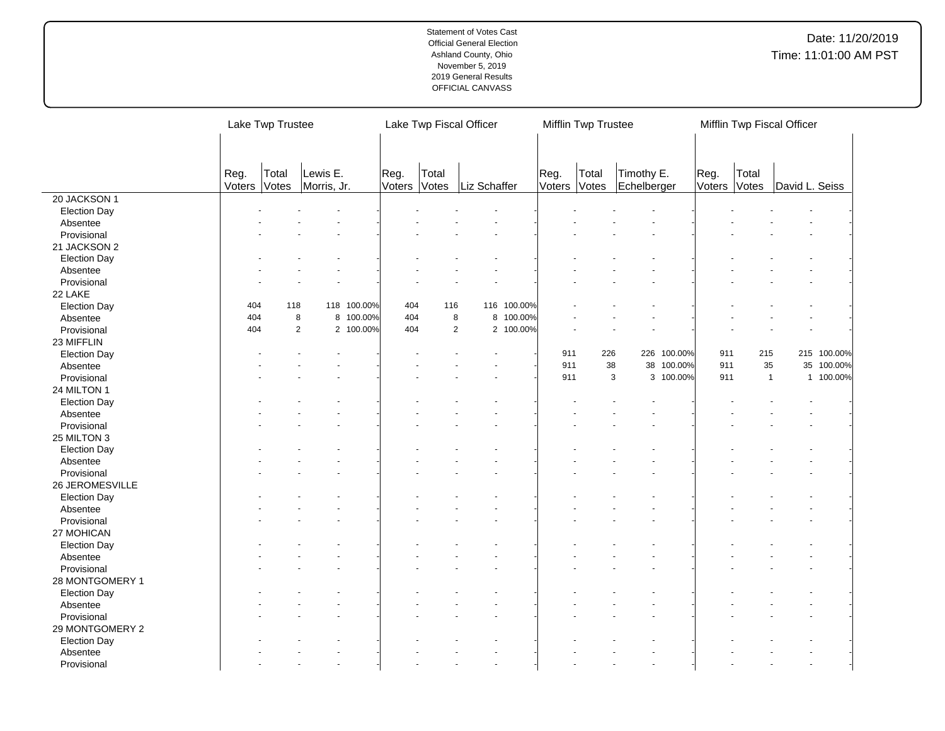|                     |                | Lake Twp Trustee |                         |             |                | Lake Twp Fiscal Officer |              |           |                | Mifflin Twp Trustee |                           |             |                      |                | Mifflin Twp Fiscal Officer |             |  |
|---------------------|----------------|------------------|-------------------------|-------------|----------------|-------------------------|--------------|-----------|----------------|---------------------|---------------------------|-------------|----------------------|----------------|----------------------------|-------------|--|
|                     | Reg.<br>Voters | Total<br>Votes   | Lewis E.<br>Morris, Jr. |             | Reg.<br>Voters | Total<br>Votes          | Liz Schaffer |           | Reg.<br>Voters | Total<br>Votes      | Timothy E.<br>Echelberger |             | Reg.<br>Voters Votes | Total          | David L. Seiss             |             |  |
| 20 JACKSON 1        |                |                  |                         |             |                |                         |              |           |                |                     |                           |             |                      |                |                            |             |  |
| <b>Election Day</b> |                |                  |                         |             |                |                         |              |           |                |                     |                           |             |                      |                |                            |             |  |
| Absentee            |                |                  |                         |             |                |                         |              |           |                |                     |                           |             |                      |                |                            |             |  |
| Provisional         |                |                  |                         |             |                |                         |              |           |                |                     |                           |             |                      |                |                            |             |  |
| 21 JACKSON 2        |                |                  |                         |             |                |                         |              |           |                |                     |                           |             |                      |                |                            |             |  |
| <b>Election Day</b> |                |                  |                         |             |                |                         |              |           |                |                     |                           |             |                      |                |                            |             |  |
| Absentee            |                |                  |                         |             |                |                         |              |           |                |                     |                           |             |                      |                |                            |             |  |
| Provisional         |                |                  |                         |             |                |                         |              |           |                |                     |                           |             |                      |                |                            |             |  |
| 22 LAKE             |                |                  |                         |             |                |                         |              |           |                |                     |                           |             |                      |                |                            |             |  |
| <b>Election Day</b> | 404            | 118              |                         | 118 100.00% | 404            | 116                     | 116          | 100.00%   |                |                     |                           |             |                      |                |                            |             |  |
| Absentee            | 404            |                  | 8                       | 8 100.00%   | 404            | 8                       | 8            | 100.00%   |                |                     |                           |             |                      |                |                            |             |  |
| Provisional         | 404            |                  | $\overline{2}$          | 2 100.00%   | 404            | $\overline{2}$          |              | 2 100.00% |                |                     |                           |             |                      |                |                            |             |  |
| 23 MIFFLIN          |                |                  |                         |             |                |                         |              |           |                |                     |                           |             |                      |                |                            |             |  |
| <b>Election Day</b> |                |                  |                         |             |                |                         |              |           | 911            | 226                 |                           | 226 100.00% | 911                  | 215            |                            | 215 100.00% |  |
| Absentee            |                |                  |                         |             |                |                         |              |           | 911            | 38                  | 38                        | 100.00%     | 911                  | 35             |                            | 35 100.00%  |  |
| Provisional         |                |                  |                         |             |                |                         |              |           | 911            |                     | 3                         | 3 100.00%   | 911                  | $\overline{1}$ |                            | 1 100.00%   |  |
| 24 MILTON 1         |                |                  |                         |             |                |                         |              |           |                |                     |                           |             |                      |                |                            |             |  |
| <b>Election Day</b> |                |                  |                         |             |                |                         |              |           |                |                     |                           |             |                      |                |                            |             |  |
| Absentee            |                |                  |                         |             |                |                         |              |           |                |                     |                           |             |                      |                |                            |             |  |
| Provisional         |                |                  |                         |             |                |                         |              |           |                |                     |                           |             |                      |                |                            |             |  |
| 25 MILTON 3         |                |                  |                         |             |                |                         |              |           |                |                     |                           |             |                      |                |                            |             |  |
| <b>Election Day</b> |                |                  |                         |             |                |                         |              |           |                |                     |                           |             |                      |                |                            |             |  |
| Absentee            |                |                  |                         |             |                |                         |              |           |                |                     |                           |             |                      |                |                            |             |  |
| Provisional         |                |                  |                         |             |                |                         |              |           |                |                     |                           |             |                      |                |                            |             |  |
| 26 JEROMESVILLE     |                |                  |                         |             |                |                         |              |           |                |                     |                           |             |                      |                |                            |             |  |
| <b>Election Day</b> |                |                  |                         |             |                |                         |              |           |                |                     |                           |             |                      |                |                            |             |  |
| Absentee            |                |                  |                         |             |                |                         |              |           |                |                     |                           |             |                      |                |                            |             |  |
| Provisional         |                |                  |                         |             |                |                         |              |           |                |                     |                           |             |                      |                |                            |             |  |
| 27 MOHICAN          |                |                  |                         |             |                |                         |              |           |                |                     |                           |             |                      |                |                            |             |  |
| <b>Election Day</b> |                |                  |                         |             |                |                         |              |           |                |                     |                           |             |                      |                |                            |             |  |
| Absentee            |                |                  |                         |             |                |                         |              |           |                |                     |                           |             |                      |                |                            |             |  |
| Provisional         |                |                  |                         |             |                |                         |              |           |                |                     |                           |             |                      |                |                            |             |  |
| 28 MONTGOMERY 1     |                |                  |                         |             |                |                         |              |           |                |                     |                           |             |                      |                |                            |             |  |
| <b>Election Day</b> |                |                  |                         |             |                |                         |              |           |                |                     |                           |             |                      |                |                            |             |  |
| Absentee            |                |                  |                         |             |                |                         |              |           |                |                     |                           |             |                      |                |                            |             |  |
| Provisional         |                |                  |                         |             |                |                         |              |           |                |                     |                           |             |                      |                |                            |             |  |
| 29 MONTGOMERY 2     |                |                  |                         |             |                |                         |              |           |                |                     |                           |             |                      |                |                            |             |  |
| <b>Election Day</b> |                |                  |                         |             |                |                         |              |           |                |                     |                           |             |                      |                |                            |             |  |
| Absentee            |                |                  |                         |             |                |                         |              |           |                |                     |                           |             |                      |                |                            |             |  |
| Provisional         |                |                  |                         |             |                |                         |              |           |                |                     |                           |             |                      |                |                            |             |  |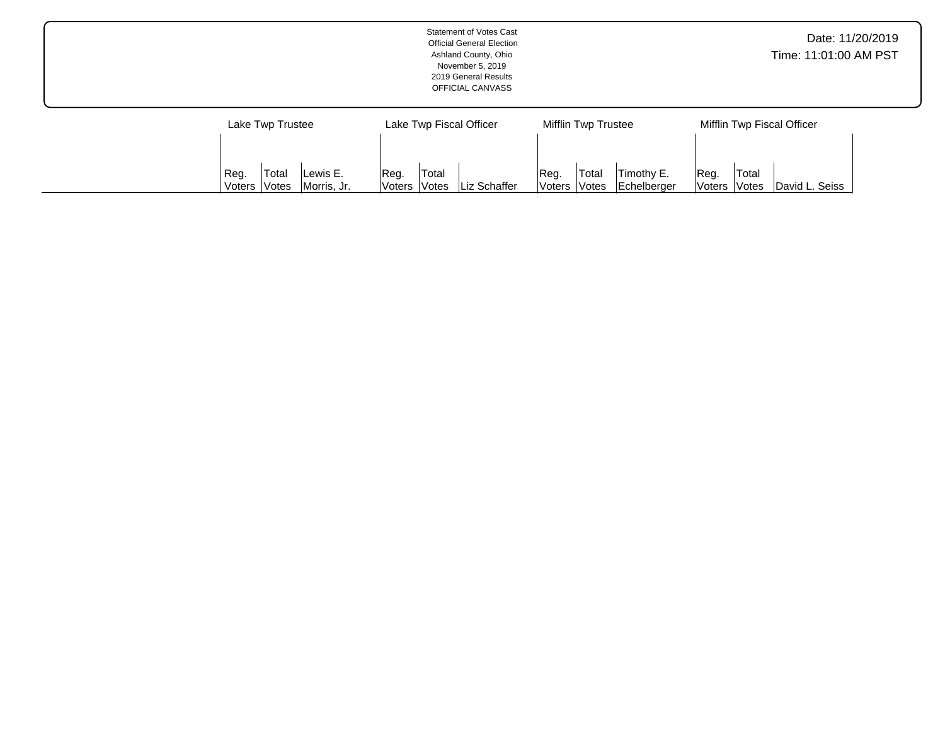|                                                             | <b>Statement of Votes Cast</b><br><b>Official General Election</b><br>Ashland County, Ohio<br>November 5, 2019<br>2019 General Results<br>OFFICIAL CANVASS |                                                                            | Date: 11/20/2019<br>Time: 11:01:00 AM PST       |  |  |  |  |
|-------------------------------------------------------------|------------------------------------------------------------------------------------------------------------------------------------------------------------|----------------------------------------------------------------------------|-------------------------------------------------|--|--|--|--|
| Lake Twp Trustee                                            | Lake Twp Fiscal Officer                                                                                                                                    | Mifflin Twp Trustee                                                        | Mifflin Twp Fiscal Officer                      |  |  |  |  |
| Total<br>Lewis E.<br>Reg.<br>Morris, Jr.<br>Votes<br>Voters | Total<br>Reg.<br>Liz Schaffer<br> Votes<br> Voters                                                                                                         | <sup>1</sup> Total<br>Timothy E.<br>Reg.<br>Votes<br>Echelberger<br>Voters | Total<br>Reg.<br>David L. Seiss<br>Voters Votes |  |  |  |  |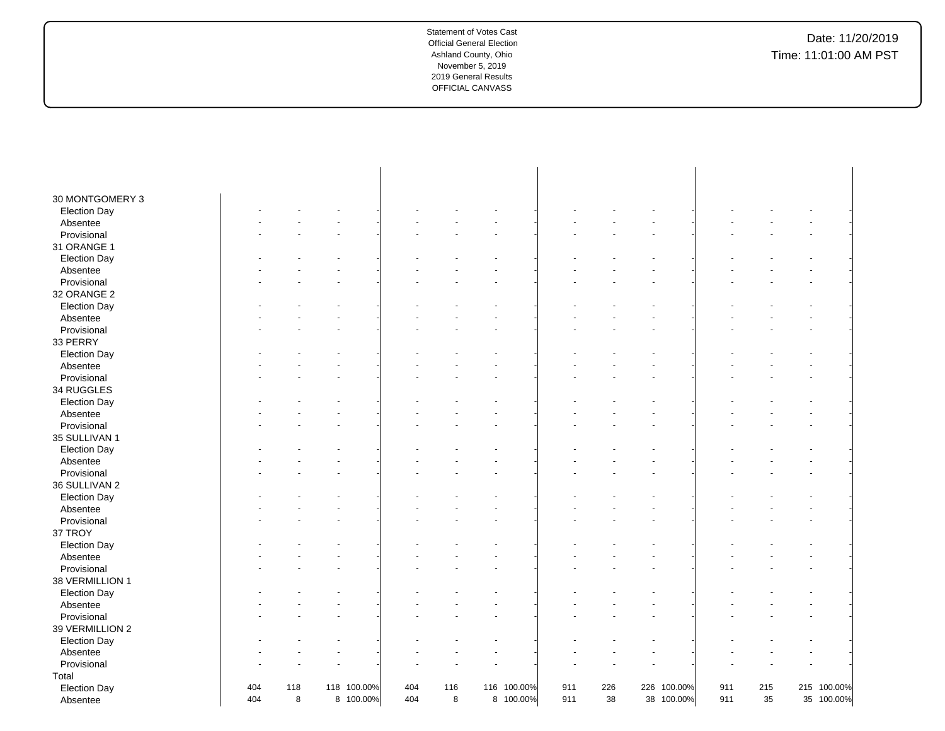| 30 MONTGOMERY 3     |     |     |             |     |     |             |     |     |             |     |     |             |  |
|---------------------|-----|-----|-------------|-----|-----|-------------|-----|-----|-------------|-----|-----|-------------|--|
| <b>Election Day</b> |     |     |             |     |     |             |     |     |             |     |     |             |  |
| Absentee            |     |     |             |     |     |             |     |     |             |     |     |             |  |
| Provisional         |     |     |             |     |     |             |     |     |             |     |     |             |  |
| 31 ORANGE 1         |     |     |             |     |     |             |     |     |             |     |     |             |  |
| <b>Election Day</b> |     |     |             |     |     |             |     |     |             |     |     |             |  |
| Absentee            |     |     |             |     |     |             |     |     |             |     |     |             |  |
| Provisional         |     |     |             |     |     |             |     |     |             |     |     |             |  |
| 32 ORANGE 2         |     |     |             |     |     |             |     |     |             |     |     |             |  |
| <b>Election Day</b> |     |     |             |     |     |             |     |     |             |     |     |             |  |
| Absentee            |     |     |             |     |     |             |     |     |             |     |     |             |  |
| Provisional         |     |     |             |     |     |             |     |     |             |     |     |             |  |
| 33 PERRY            |     |     |             |     |     |             |     |     |             |     |     |             |  |
| <b>Election Day</b> |     |     |             |     |     |             |     |     |             |     |     |             |  |
| Absentee            |     |     |             |     |     |             |     |     |             |     |     |             |  |
| Provisional         |     |     |             |     |     |             |     |     |             |     |     |             |  |
| 34 RUGGLES          |     |     |             |     |     |             |     |     |             |     |     |             |  |
| <b>Election Day</b> |     |     |             |     |     |             |     |     |             |     |     |             |  |
| Absentee            |     |     |             |     |     |             |     |     |             |     |     |             |  |
| Provisional         |     |     |             |     |     |             |     |     |             |     |     |             |  |
| 35 SULLIVAN 1       |     |     |             |     |     |             |     |     |             |     |     |             |  |
| <b>Election Day</b> |     |     |             |     |     |             |     |     |             |     |     |             |  |
| Absentee            |     |     |             |     |     |             |     |     |             |     |     |             |  |
| Provisional         |     |     |             |     |     |             |     |     |             |     |     |             |  |
| 36 SULLIVAN 2       |     |     |             |     |     |             |     |     |             |     |     |             |  |
| <b>Election Day</b> |     |     |             |     |     |             |     |     |             |     |     |             |  |
| Absentee            |     |     |             |     |     |             |     |     |             |     |     |             |  |
| Provisional         |     |     |             |     |     |             |     |     |             |     |     |             |  |
| 37 TROY             |     |     |             |     |     |             |     |     |             |     |     |             |  |
| <b>Election Day</b> |     |     |             |     |     |             |     |     |             |     |     |             |  |
| Absentee            |     |     |             |     |     |             |     |     |             |     |     |             |  |
| Provisional         |     |     |             |     |     |             |     |     |             |     |     |             |  |
| 38 VERMILLION 1     |     |     |             |     |     |             |     |     |             |     |     |             |  |
| <b>Election Day</b> |     |     |             |     |     |             |     |     |             |     |     |             |  |
| Absentee            |     |     |             |     |     |             |     |     |             |     |     |             |  |
| Provisional         |     |     |             |     |     |             |     |     |             |     |     |             |  |
| 39 VERMILLION 2     |     |     |             |     |     |             |     |     |             |     |     |             |  |
| <b>Election Day</b> |     |     |             |     |     |             |     |     |             |     |     |             |  |
| Absentee            |     |     |             |     |     |             |     |     |             |     |     |             |  |
| Provisional         |     |     |             |     |     |             |     |     |             |     |     |             |  |
| Total               |     |     |             |     |     |             |     |     |             |     |     |             |  |
| <b>Election Day</b> | 404 | 118 | 118 100.00% | 404 | 116 | 116 100.00% | 911 | 226 | 226 100.00% | 911 | 215 | 215 100.00% |  |
| Absentee            | 404 | 8   | 8 100.00%   | 404 | 8   | 8 100.00%   | 911 | 38  | 38 100.00%  | 911 | 35  | 35 100.00%  |  |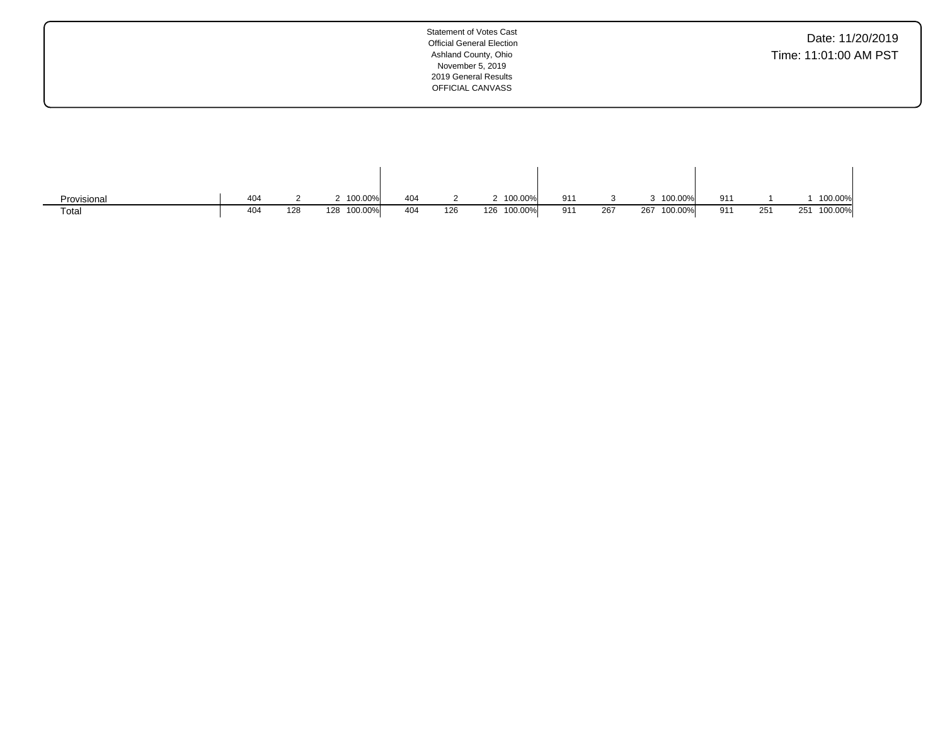| Date: 11/20/2019      |  |  |
|-----------------------|--|--|
| Time: 11:01:00 AM PST |  |  |

| Provisional | 404 |     | 100.00%        | 404 |     | 100.00%        | 911 |               |     | 100.00% | 91'   |     |     | 100.00% |
|-------------|-----|-----|----------------|-----|-----|----------------|-----|---------------|-----|---------|-------|-----|-----|---------|
| Total       | 404 | 128 | 100.00%<br>128 | 404 | 126 | 100.00%<br>126 | 911 | 267<br>$\sim$ | 267 | 100.00% | $Q_1$ | 251 | 251 | 100.00% |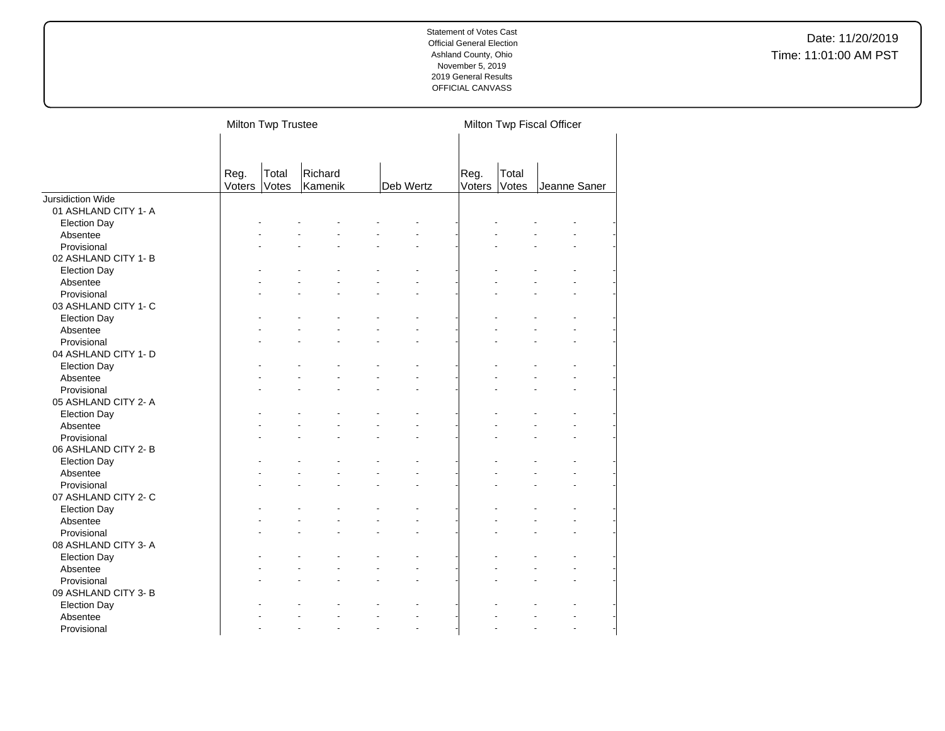| Total<br>Richard<br>Total<br>Reg.<br>Reg.<br>Deb Wertz<br>Votes<br>Voters<br>Votes<br>Kamenik<br>Voters<br>Jeanne Saner<br><b>Jursidiction Wide</b><br>01 ASHLAND CITY 1- A<br><b>Election Day</b><br>Absentee<br>Provisional<br>02 ASHLAND CITY 1-B<br><b>Election Day</b><br>Absentee<br>Provisional<br>03 ASHLAND CITY 1- C | Milton Twp Fiscal Officer |  |  | Milton Twp Trustee |                     |
|--------------------------------------------------------------------------------------------------------------------------------------------------------------------------------------------------------------------------------------------------------------------------------------------------------------------------------|---------------------------|--|--|--------------------|---------------------|
|                                                                                                                                                                                                                                                                                                                                |                           |  |  |                    |                     |
|                                                                                                                                                                                                                                                                                                                                |                           |  |  |                    |                     |
|                                                                                                                                                                                                                                                                                                                                |                           |  |  |                    |                     |
|                                                                                                                                                                                                                                                                                                                                |                           |  |  |                    |                     |
|                                                                                                                                                                                                                                                                                                                                |                           |  |  |                    |                     |
|                                                                                                                                                                                                                                                                                                                                |                           |  |  |                    |                     |
|                                                                                                                                                                                                                                                                                                                                |                           |  |  |                    |                     |
|                                                                                                                                                                                                                                                                                                                                |                           |  |  |                    |                     |
|                                                                                                                                                                                                                                                                                                                                |                           |  |  |                    |                     |
|                                                                                                                                                                                                                                                                                                                                |                           |  |  |                    |                     |
|                                                                                                                                                                                                                                                                                                                                |                           |  |  |                    |                     |
|                                                                                                                                                                                                                                                                                                                                |                           |  |  |                    |                     |
|                                                                                                                                                                                                                                                                                                                                |                           |  |  |                    |                     |
|                                                                                                                                                                                                                                                                                                                                |                           |  |  |                    | <b>Election Day</b> |
| Absentee                                                                                                                                                                                                                                                                                                                       |                           |  |  |                    |                     |
| Provisional                                                                                                                                                                                                                                                                                                                    |                           |  |  |                    |                     |
| 04 ASHLAND CITY 1- D                                                                                                                                                                                                                                                                                                           |                           |  |  |                    |                     |
| <b>Election Day</b>                                                                                                                                                                                                                                                                                                            |                           |  |  |                    |                     |
| Absentee                                                                                                                                                                                                                                                                                                                       |                           |  |  |                    |                     |
| Provisional                                                                                                                                                                                                                                                                                                                    |                           |  |  |                    |                     |
| 05 ASHLAND CITY 2-A                                                                                                                                                                                                                                                                                                            |                           |  |  |                    |                     |
| <b>Election Day</b>                                                                                                                                                                                                                                                                                                            |                           |  |  |                    |                     |
| Absentee                                                                                                                                                                                                                                                                                                                       |                           |  |  |                    |                     |
| Provisional                                                                                                                                                                                                                                                                                                                    |                           |  |  |                    |                     |
| 06 ASHLAND CITY 2-B                                                                                                                                                                                                                                                                                                            |                           |  |  |                    |                     |
| <b>Election Day</b>                                                                                                                                                                                                                                                                                                            |                           |  |  |                    |                     |
| Absentee                                                                                                                                                                                                                                                                                                                       |                           |  |  |                    |                     |
| Provisional                                                                                                                                                                                                                                                                                                                    |                           |  |  |                    |                     |
| 07 ASHLAND CITY 2- C                                                                                                                                                                                                                                                                                                           |                           |  |  |                    |                     |
| <b>Election Day</b>                                                                                                                                                                                                                                                                                                            |                           |  |  |                    |                     |
| Absentee                                                                                                                                                                                                                                                                                                                       |                           |  |  |                    |                     |
| Provisional                                                                                                                                                                                                                                                                                                                    |                           |  |  |                    |                     |
| 08 ASHLAND CITY 3-A                                                                                                                                                                                                                                                                                                            |                           |  |  |                    |                     |
| <b>Election Day</b>                                                                                                                                                                                                                                                                                                            |                           |  |  |                    |                     |
| Absentee<br>$\blacksquare$                                                                                                                                                                                                                                                                                                     |                           |  |  |                    |                     |
| Provisional                                                                                                                                                                                                                                                                                                                    |                           |  |  |                    |                     |
| 09 ASHLAND CITY 3- B                                                                                                                                                                                                                                                                                                           |                           |  |  |                    |                     |
| <b>Election Day</b>                                                                                                                                                                                                                                                                                                            |                           |  |  |                    |                     |
| Absentee                                                                                                                                                                                                                                                                                                                       |                           |  |  |                    |                     |
| Provisional<br>L.<br>ä,                                                                                                                                                                                                                                                                                                        |                           |  |  |                    |                     |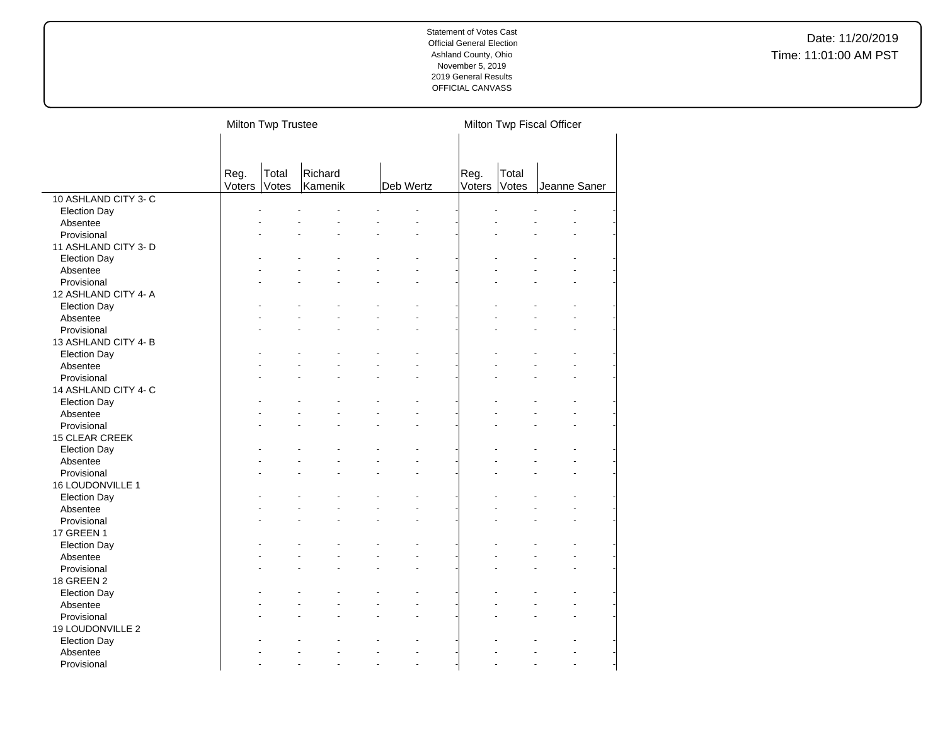|                      |                | Milton Twp Trustee |                    |    |           |                |                | Milton Twp Fiscal Officer  |  |
|----------------------|----------------|--------------------|--------------------|----|-----------|----------------|----------------|----------------------------|--|
|                      |                |                    |                    |    |           |                |                |                            |  |
|                      |                |                    |                    |    |           |                |                |                            |  |
|                      |                |                    |                    |    |           |                |                |                            |  |
|                      | Reg.<br>Voters | Total<br>Votes     | Richard<br>Kamenik |    | Deb Wertz | Reg.<br>Voters | Total<br>Votes | Jeanne Saner               |  |
| 10 ASHLAND CITY 3- C |                |                    |                    |    |           |                |                |                            |  |
| <b>Election Day</b>  |                |                    |                    |    |           |                |                |                            |  |
| Absentee             |                |                    |                    |    |           |                |                |                            |  |
| Provisional          |                |                    |                    |    |           |                |                |                            |  |
| 11 ASHLAND CITY 3- D |                |                    |                    |    |           |                |                |                            |  |
|                      |                |                    |                    |    |           |                |                |                            |  |
| <b>Election Day</b>  |                |                    |                    |    |           |                |                |                            |  |
| Absentee             |                |                    |                    |    |           |                |                |                            |  |
| Provisional          |                |                    |                    |    |           |                |                |                            |  |
| 12 ASHLAND CITY 4- A |                |                    |                    |    |           |                |                |                            |  |
| <b>Election Day</b>  |                |                    |                    |    |           |                |                |                            |  |
| Absentee             |                |                    |                    |    |           |                |                |                            |  |
| Provisional          |                |                    |                    |    |           |                |                |                            |  |
| 13 ASHLAND CITY 4-B  |                |                    |                    |    |           |                |                |                            |  |
| <b>Election Day</b>  |                |                    |                    |    |           |                |                |                            |  |
| Absentee             |                |                    |                    |    |           |                |                |                            |  |
| Provisional          |                |                    |                    |    |           |                |                |                            |  |
| 14 ASHLAND CITY 4- C |                |                    |                    |    |           |                |                |                            |  |
| <b>Election Day</b>  |                |                    |                    |    |           |                |                |                            |  |
| Absentee             |                |                    |                    |    |           |                |                |                            |  |
| Provisional          |                |                    |                    |    |           |                |                |                            |  |
| 15 CLEAR CREEK       |                |                    |                    |    |           |                |                |                            |  |
| <b>Election Day</b>  |                |                    |                    |    |           |                |                |                            |  |
| Absentee             |                |                    |                    |    |           |                |                |                            |  |
| Provisional          |                |                    |                    |    |           |                |                |                            |  |
| 16 LOUDONVILLE 1     |                |                    |                    |    |           |                |                |                            |  |
| <b>Election Day</b>  |                |                    |                    |    |           |                |                |                            |  |
| Absentee             |                |                    |                    |    |           |                |                |                            |  |
| Provisional          |                |                    |                    |    |           |                |                |                            |  |
| 17 GREEN 1           |                |                    |                    |    |           |                |                |                            |  |
| <b>Election Day</b>  |                |                    |                    |    |           |                |                |                            |  |
| Absentee             |                |                    |                    |    |           |                |                |                            |  |
| Provisional          |                |                    |                    |    |           |                |                |                            |  |
| 18 GREEN 2           |                |                    |                    |    |           |                |                |                            |  |
| <b>Election Day</b>  |                |                    |                    |    |           |                |                |                            |  |
| Absentee             |                |                    |                    |    |           |                |                |                            |  |
| Provisional          |                |                    |                    |    |           |                |                | $\ddot{\phantom{1}}$       |  |
| 19 LOUDONVILLE 2     |                |                    |                    |    |           |                |                |                            |  |
| <b>Election Day</b>  |                |                    |                    |    |           |                |                |                            |  |
| Absentee             |                |                    |                    |    |           |                |                |                            |  |
| Provisional          |                |                    |                    | ÷. |           |                |                | L.<br>$\ddot{\phantom{1}}$ |  |
|                      |                |                    |                    |    |           |                |                |                            |  |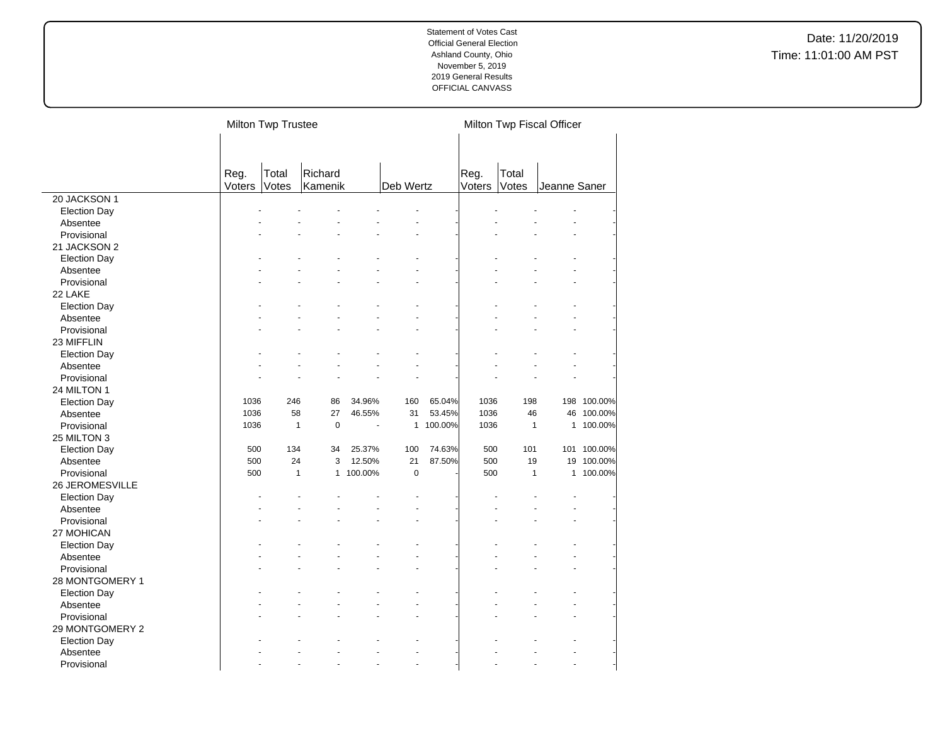Date: 11/20/2019 Time: 11:01:00 AM PST

|                     |        | Milton Twp Trustee |              |         |              |         |        |              | Milton Twp Fiscal Officer |             |
|---------------------|--------|--------------------|--------------|---------|--------------|---------|--------|--------------|---------------------------|-------------|
|                     |        |                    |              |         |              |         |        |              |                           |             |
|                     |        |                    |              |         |              |         |        |              |                           |             |
|                     |        |                    |              |         |              |         |        |              |                           |             |
|                     | Reg.   | Total              | Richard      |         |              |         | Reg.   | Total        |                           |             |
|                     | Voters | Votes              | Kamenik      |         | Deb Wertz    |         | Voters | Votes        | Jeanne Saner              |             |
| 20 JACKSON 1        |        |                    |              |         |              |         |        |              |                           |             |
| <b>Election Day</b> |        |                    |              |         |              |         |        |              |                           |             |
| Absentee            |        |                    |              |         |              |         |        |              |                           |             |
| Provisional         |        |                    |              |         |              |         |        |              |                           |             |
| 21 JACKSON 2        |        |                    |              |         |              |         |        |              |                           |             |
| <b>Election Day</b> |        |                    |              |         |              |         |        |              |                           |             |
| Absentee            |        |                    |              |         |              |         |        |              |                           |             |
| Provisional         |        |                    |              |         |              |         |        |              |                           |             |
| 22 LAKE             |        |                    |              |         |              |         |        |              |                           |             |
| <b>Election Day</b> |        |                    |              |         |              |         |        |              |                           |             |
| Absentee            |        |                    |              |         |              |         |        |              |                           |             |
| Provisional         |        |                    |              |         |              |         |        |              |                           |             |
| 23 MIFFLIN          |        |                    |              |         |              |         |        |              |                           |             |
| <b>Election Day</b> |        |                    |              |         |              |         |        |              |                           |             |
| Absentee            |        |                    |              |         |              |         |        |              |                           |             |
| Provisional         |        |                    |              |         |              |         |        |              |                           |             |
| 24 MILTON 1         |        |                    |              |         |              |         |        |              |                           |             |
| <b>Election Day</b> | 1036   | 246                | 86           | 34.96%  | 160          | 65.04%  | 1036   | 198          |                           | 198 100.00% |
| Absentee            | 1036   | 58                 | 27           | 46.55%  | 31           | 53.45%  | 1036   | 46           |                           | 46 100.00%  |
| Provisional         | 1036   | 1                  | $\pmb{0}$    |         | $\mathbf{1}$ | 100.00% | 1036   | $\mathbf{1}$ |                           | 1 100.00%   |
| 25 MILTON 3         |        |                    |              |         |              |         |        |              |                           |             |
| <b>Election Day</b> | 500    | 134                | 34           | 25.37%  | 100          | 74.63%  | 500    | 101          |                           | 101 100.00% |
| Absentee            | 500    | 24                 | 3            | 12.50%  | 21           | 87.50%  | 500    | 19           |                           | 19 100.00%  |
| Provisional         | 500    | $\mathbf{1}$       | $\mathbf{1}$ | 100.00% | $\mathbf 0$  |         | 500    | $\mathbf{1}$ |                           | 1 100.00%   |
| 26 JEROMESVILLE     |        |                    |              |         |              |         |        |              |                           |             |
| <b>Election Day</b> |        |                    |              |         |              |         |        |              |                           |             |
| Absentee            |        |                    |              |         |              |         |        |              |                           |             |
| Provisional         |        |                    |              |         |              |         |        |              |                           |             |
| 27 MOHICAN          |        |                    |              |         |              |         |        |              |                           |             |
|                     |        |                    |              |         |              |         |        |              |                           |             |
| <b>Election Day</b> |        |                    |              |         |              |         |        |              |                           |             |
| Absentee            |        |                    |              |         |              |         |        |              |                           |             |
| Provisional         |        |                    |              |         |              |         |        |              |                           |             |
| 28 MONTGOMERY 1     |        |                    |              |         |              |         |        |              |                           |             |
| <b>Election Day</b> |        |                    |              |         |              |         |        |              |                           |             |
| Absentee            |        |                    |              |         |              |         |        |              |                           |             |
| Provisional         |        |                    |              |         |              |         |        |              |                           |             |
| 29 MONTGOMERY 2     |        |                    |              |         |              |         |        |              |                           |             |
| <b>Election Day</b> |        |                    |              |         |              |         |        |              |                           |             |
| Absentee            |        |                    |              |         |              |         |        |              |                           |             |
| Provisional         |        |                    |              |         |              |         |        |              |                           |             |

 $\overline{a}$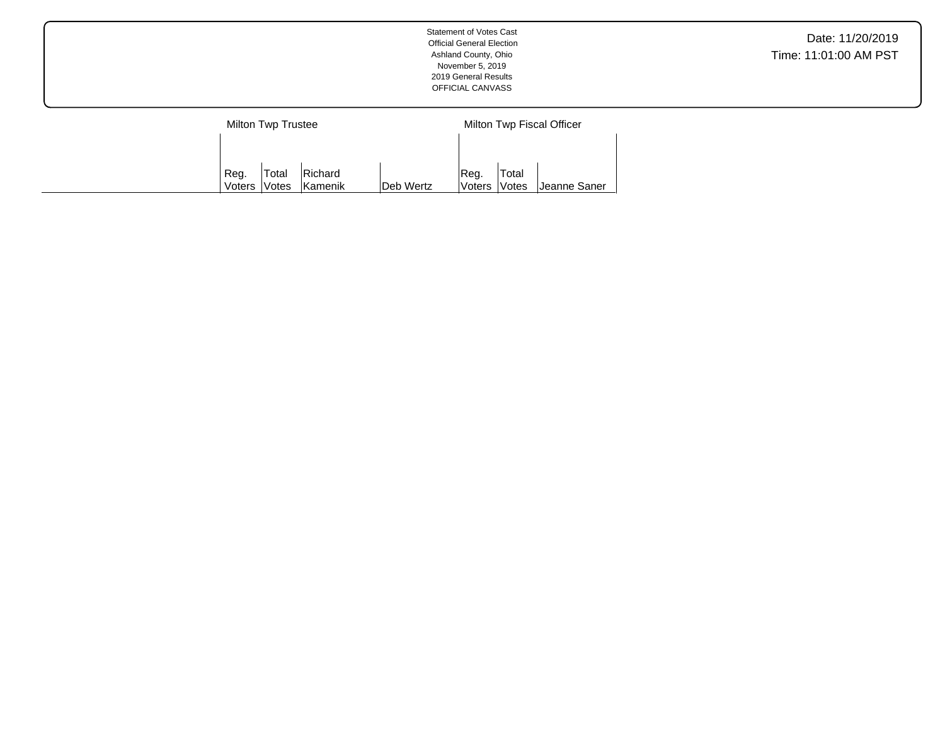|        | Milton Twp Trustee  |         |           |               |              | Milton Twp Fiscal Officer |
|--------|---------------------|---------|-----------|---------------|--------------|---------------------------|
|        |                     |         |           |               |              |                           |
| Reg.   | <b>Total</b>        | Richard |           | IReg.         | Total        |                           |
| Voters | <i><b>Notes</b></i> | Kamenik | Deb Wertz | <b>Voters</b> | <b>Votes</b> | ∣Jeanne Saner             |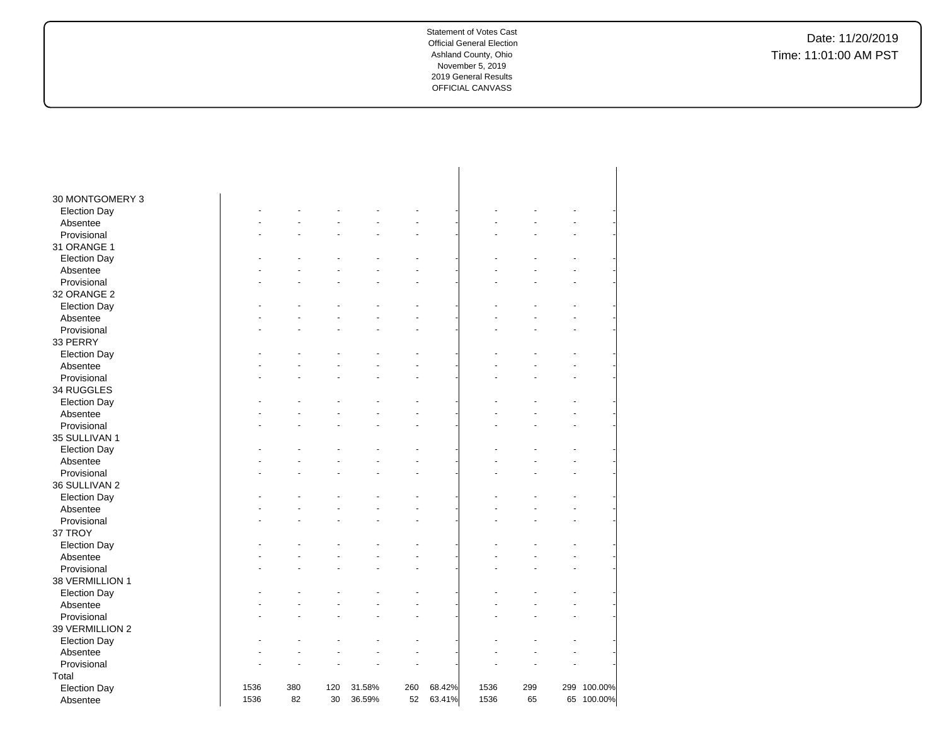| 30 MONTGOMERY 3     |      |     |     |        |     |        |      |     |             |
|---------------------|------|-----|-----|--------|-----|--------|------|-----|-------------|
| <b>Election Day</b> |      |     |     |        |     |        |      |     |             |
| Absentee            |      |     |     |        |     |        |      |     |             |
| Provisional         |      |     |     |        |     |        |      |     |             |
| 31 ORANGE 1         |      |     |     |        |     |        |      |     |             |
| <b>Election Day</b> |      |     |     |        |     |        |      |     |             |
| Absentee            |      |     |     |        |     |        |      |     |             |
| Provisional         |      |     |     |        |     |        |      |     |             |
| 32 ORANGE 2         |      |     |     |        |     |        |      |     |             |
| <b>Election Day</b> |      |     |     |        |     |        |      |     |             |
| Absentee            |      |     |     |        |     |        |      |     |             |
| Provisional         |      |     |     |        |     |        |      |     |             |
| 33 PERRY            |      |     |     |        |     |        |      |     |             |
| <b>Election Day</b> |      |     |     |        |     |        |      |     |             |
| Absentee            |      |     |     |        |     |        |      |     |             |
| Provisional         |      |     |     |        |     |        |      |     |             |
| 34 RUGGLES          |      |     |     |        |     |        |      |     |             |
| <b>Election Day</b> |      |     |     |        |     |        |      |     |             |
| Absentee            |      |     |     |        |     |        |      |     |             |
| Provisional         |      |     |     |        |     |        |      |     |             |
| 35 SULLIVAN 1       |      |     |     |        |     |        |      |     |             |
| <b>Election Day</b> |      |     |     |        |     |        |      |     |             |
| Absentee            |      |     |     |        |     |        |      |     |             |
| Provisional         |      |     |     |        |     |        |      |     |             |
| 36 SULLIVAN 2       |      |     |     |        |     |        |      |     |             |
| <b>Election Day</b> |      |     |     |        |     |        |      |     |             |
| Absentee            |      |     |     |        |     |        |      |     |             |
| Provisional         |      |     |     |        |     |        |      |     |             |
| 37 TROY             |      |     |     |        |     |        |      |     |             |
| <b>Election Day</b> |      |     |     |        |     |        |      |     |             |
| Absentee            |      |     |     |        |     |        |      |     |             |
| Provisional         |      |     |     |        |     |        |      |     |             |
| 38 VERMILLION 1     |      |     |     |        |     |        |      |     |             |
| <b>Election Day</b> |      |     |     |        |     |        |      |     |             |
| Absentee            |      |     |     |        |     |        |      |     |             |
| Provisional         |      |     |     |        |     |        |      |     |             |
| 39 VERMILLION 2     |      |     |     |        |     |        |      |     |             |
| <b>Election Day</b> |      |     |     |        |     |        |      |     |             |
| Absentee            |      |     |     |        |     |        |      |     |             |
| Provisional         |      |     |     |        |     |        |      |     |             |
| Total               |      |     |     |        |     |        |      |     |             |
| <b>Election Day</b> | 1536 | 380 | 120 | 31.58% | 260 | 68.42% | 1536 | 299 | 299 100.00% |
| Absentee            | 1536 | 82  | 30  | 36.59% | 52  | 63.41% | 1536 | 65  | 65 100.00%  |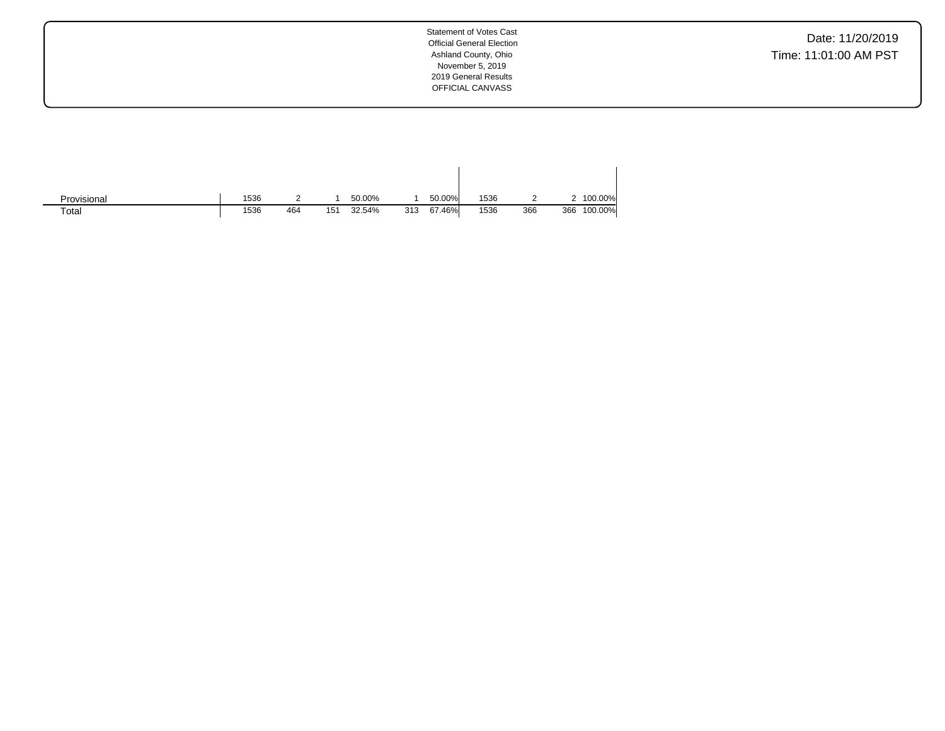Date: 11/20/2019 Time: 11:01:00 AM PST

| Provisional | 1536 |     |     | 50.00% |     | 50.00% | 1536 |     |     | 100.00% |
|-------------|------|-----|-----|--------|-----|--------|------|-----|-----|---------|
| Total       | 1536 | 464 | 151 | 32.54% | 313 | 67.46% | 1536 | 366 | 366 | 100.00% |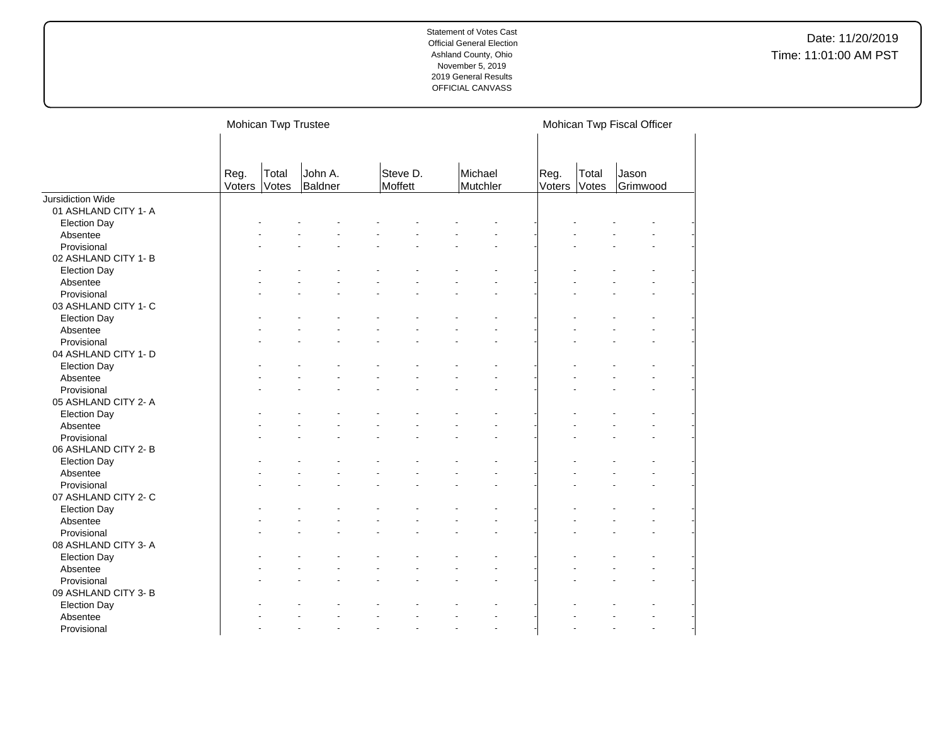|                      | Mohican Twp Trustee              |                    |                     |                     |                |                | Mohican Twp Fiscal Officer |  |
|----------------------|----------------------------------|--------------------|---------------------|---------------------|----------------|----------------|----------------------------|--|
|                      | Reg.<br>Total<br>Voters<br>Votes | John A.<br>Baldner | Steve D.<br>Moffett | Michael<br>Mutchler | Reg.<br>Voters | Total<br>Votes | Jason<br>Grimwood          |  |
| Jursidiction Wide    |                                  |                    |                     |                     |                |                |                            |  |
| 01 ASHLAND CITY 1- A |                                  |                    |                     |                     |                |                |                            |  |
| <b>Election Day</b>  |                                  |                    |                     |                     |                |                |                            |  |
| Absentee             |                                  |                    |                     |                     |                |                |                            |  |
| Provisional          |                                  |                    |                     |                     |                |                |                            |  |
| 02 ASHLAND CITY 1-B  |                                  |                    |                     |                     |                |                |                            |  |
| <b>Election Day</b>  |                                  |                    |                     |                     |                |                |                            |  |
| Absentee             |                                  |                    |                     |                     |                |                |                            |  |
| Provisional          |                                  |                    |                     |                     |                |                |                            |  |
| 03 ASHLAND CITY 1- C |                                  |                    |                     |                     |                |                |                            |  |
| <b>Election Day</b>  |                                  |                    |                     |                     |                |                |                            |  |
| Absentee             |                                  |                    |                     |                     |                |                |                            |  |
| Provisional          |                                  |                    |                     |                     |                |                |                            |  |
| 04 ASHLAND CITY 1- D |                                  |                    |                     |                     |                |                |                            |  |
| <b>Election Day</b>  |                                  |                    |                     |                     |                |                |                            |  |
| Absentee             |                                  |                    |                     |                     |                |                |                            |  |
| Provisional          |                                  |                    |                     |                     |                |                |                            |  |
| 05 ASHLAND CITY 2- A |                                  |                    |                     |                     |                |                |                            |  |
| <b>Election Day</b>  |                                  |                    |                     |                     |                |                |                            |  |
| Absentee             |                                  |                    |                     |                     |                |                |                            |  |
| Provisional          |                                  |                    |                     |                     |                |                |                            |  |
| 06 ASHLAND CITY 2-B  |                                  |                    |                     |                     |                |                |                            |  |
| <b>Election Day</b>  |                                  |                    |                     |                     |                |                |                            |  |
| Absentee             |                                  |                    |                     |                     |                |                |                            |  |
| Provisional          |                                  |                    |                     |                     |                |                |                            |  |
| 07 ASHLAND CITY 2- C |                                  |                    |                     |                     |                |                |                            |  |
| <b>Election Day</b>  |                                  |                    |                     |                     |                |                |                            |  |
| Absentee             |                                  |                    |                     |                     |                |                |                            |  |
| Provisional          |                                  |                    |                     |                     |                |                |                            |  |
| 08 ASHLAND CITY 3-A  |                                  |                    |                     |                     |                |                |                            |  |
| <b>Election Day</b>  |                                  |                    |                     |                     |                |                |                            |  |
| Absentee             |                                  |                    |                     |                     |                |                |                            |  |
| Provisional          |                                  |                    |                     |                     |                |                |                            |  |
| 09 ASHLAND CITY 3- B |                                  |                    |                     |                     |                |                |                            |  |
|                      |                                  |                    |                     |                     |                |                |                            |  |
| <b>Election Day</b>  |                                  |                    |                     |                     |                |                |                            |  |
| Absentee             |                                  |                    |                     |                     |                |                | L.                         |  |
| Provisional          |                                  |                    |                     |                     |                |                |                            |  |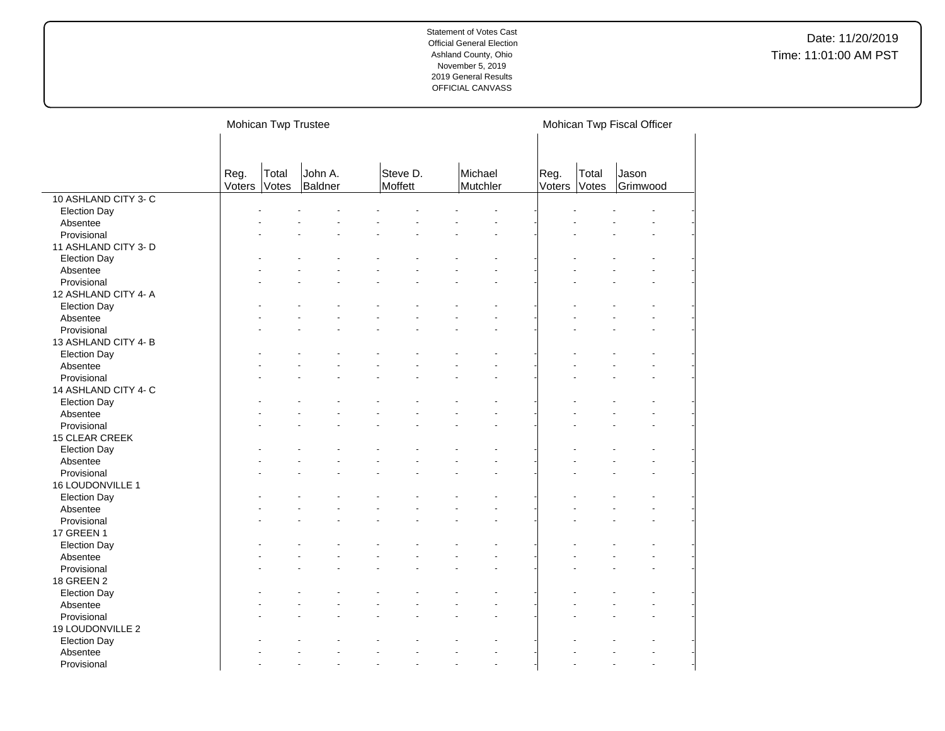|                                 |                | Mohican Twp Trustee |                                              |                                                  |                      |                |                | Mohican Twp Fiscal Officer |
|---------------------------------|----------------|---------------------|----------------------------------------------|--------------------------------------------------|----------------------|----------------|----------------|----------------------------|
|                                 | Reg.<br>Voters | Total<br>Votes      | John A.<br>Baldner                           | Steve D.<br>Moffett                              | Michael<br>Mutchler  | Reg.<br>Voters | Total<br>Votes | Jason<br>Grimwood          |
| 10 ASHLAND CITY 3- C            |                |                     |                                              |                                                  |                      |                |                |                            |
| <b>Election Day</b>             |                |                     |                                              |                                                  |                      |                |                |                            |
| Absentee                        |                |                     |                                              |                                                  |                      |                |                |                            |
| Provisional                     |                |                     |                                              |                                                  |                      |                |                |                            |
| 11 ASHLAND CITY 3- D            |                |                     |                                              |                                                  |                      |                |                |                            |
| <b>Election Day</b>             |                |                     |                                              |                                                  |                      |                |                |                            |
| Absentee                        |                |                     |                                              |                                                  |                      |                |                |                            |
| Provisional                     |                |                     |                                              |                                                  |                      |                |                |                            |
| 12 ASHLAND CITY 4- A            |                |                     |                                              |                                                  |                      |                |                |                            |
| <b>Election Day</b>             |                |                     |                                              |                                                  |                      |                |                |                            |
| Absentee                        |                |                     |                                              |                                                  |                      |                |                |                            |
| Provisional                     |                |                     |                                              |                                                  |                      |                |                |                            |
| 13 ASHLAND CITY 4-B             |                |                     |                                              |                                                  |                      |                |                |                            |
| <b>Election Day</b>             |                |                     |                                              |                                                  |                      |                |                |                            |
| Absentee                        |                |                     |                                              |                                                  |                      |                |                |                            |
| Provisional                     |                |                     |                                              |                                                  |                      |                |                |                            |
| 14 ASHLAND CITY 4-C             |                |                     |                                              |                                                  |                      |                |                |                            |
|                                 |                |                     |                                              |                                                  |                      |                |                |                            |
| <b>Election Day</b><br>Absentee |                |                     |                                              |                                                  |                      |                |                |                            |
| Provisional                     |                |                     |                                              |                                                  |                      |                |                |                            |
|                                 |                |                     |                                              |                                                  |                      |                |                |                            |
| 15 CLEAR CREEK                  |                |                     |                                              |                                                  |                      |                |                |                            |
| <b>Election Day</b>             |                |                     |                                              |                                                  |                      |                |                |                            |
| Absentee                        |                |                     |                                              |                                                  |                      |                |                |                            |
| Provisional                     |                |                     |                                              |                                                  |                      |                |                |                            |
| 16 LOUDONVILLE 1                |                |                     |                                              |                                                  |                      |                |                |                            |
| <b>Election Day</b>             |                |                     |                                              |                                                  |                      |                |                |                            |
| Absentee                        |                |                     |                                              |                                                  |                      |                |                |                            |
| Provisional                     |                |                     |                                              |                                                  |                      |                |                |                            |
| 17 GREEN 1                      |                |                     |                                              |                                                  |                      |                |                |                            |
| <b>Election Day</b>             |                |                     |                                              |                                                  |                      |                |                |                            |
| Absentee                        |                |                     |                                              |                                                  |                      |                |                |                            |
| Provisional                     |                |                     |                                              |                                                  |                      |                |                |                            |
| 18 GREEN 2                      |                |                     |                                              |                                                  |                      |                |                |                            |
| <b>Election Day</b>             |                |                     |                                              |                                                  |                      |                |                |                            |
| Absentee                        |                |                     |                                              |                                                  |                      |                |                |                            |
| Provisional                     |                |                     |                                              |                                                  |                      |                |                |                            |
| 19 LOUDONVILLE 2                |                |                     |                                              |                                                  |                      |                |                |                            |
| <b>Election Day</b>             |                |                     |                                              |                                                  |                      |                |                |                            |
| Absentee                        |                |                     |                                              |                                                  |                      |                |                |                            |
| Provisional                     |                |                     | $\ddot{\phantom{1}}$<br>$\ddot{\phantom{1}}$ | $\overline{\phantom{a}}$<br>$\ddot{\phantom{1}}$ | $\ddot{\phantom{1}}$ |                |                | $\ddot{\phantom{1}}$       |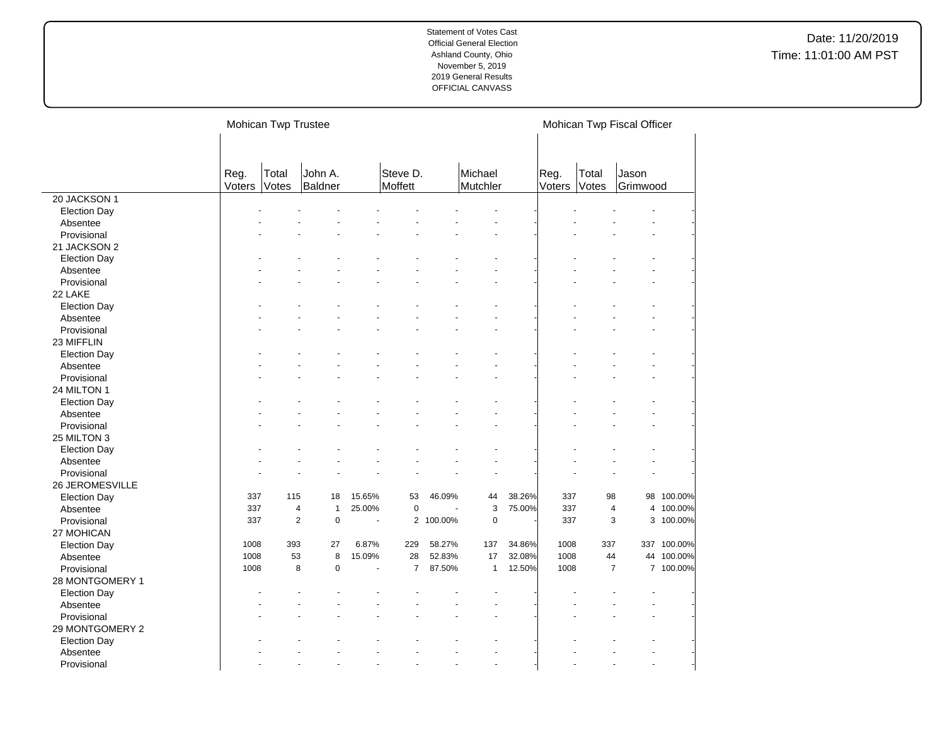|                     |        | Mohican Twp Trustee |                |                       |                |           |              |        |        |       | Mohican Twp Fiscal Officer |             |
|---------------------|--------|---------------------|----------------|-----------------------|----------------|-----------|--------------|--------|--------|-------|----------------------------|-------------|
|                     | Reg.   | Total               | John A.        |                       | Steve D.       |           | Michael      |        | Reg.   | Total | Jason                      |             |
|                     | Voters | Votes               | Baldner        |                       | Moffett        |           | Mutchler     |        | Voters | Votes | Grimwood                   |             |
| 20 JACKSON 1        |        |                     |                |                       |                |           |              |        |        |       |                            |             |
| <b>Election Day</b> |        |                     |                |                       |                |           |              |        |        |       |                            |             |
| Absentee            |        |                     |                |                       |                |           |              |        |        |       |                            |             |
| Provisional         |        |                     |                |                       |                |           |              |        |        |       |                            |             |
| 21 JACKSON 2        |        |                     |                |                       |                |           |              |        |        |       |                            |             |
| <b>Election Day</b> |        |                     |                |                       |                |           |              |        |        |       |                            |             |
| Absentee            |        |                     |                |                       |                |           |              |        |        |       |                            |             |
| Provisional         |        |                     |                |                       |                |           |              |        |        |       |                            |             |
| 22 LAKE             |        |                     |                |                       |                |           |              |        |        |       |                            |             |
| <b>Election Day</b> |        |                     |                |                       |                |           |              |        |        |       |                            |             |
| Absentee            |        |                     |                |                       |                |           |              |        |        |       |                            |             |
| Provisional         |        |                     |                |                       |                |           |              |        |        |       |                            |             |
| 23 MIFFLIN          |        |                     |                |                       |                |           |              |        |        |       |                            |             |
| <b>Election Day</b> |        |                     |                |                       |                |           |              |        |        |       |                            |             |
| Absentee            |        |                     |                |                       |                |           |              |        |        |       |                            |             |
| Provisional         |        |                     |                |                       |                |           |              |        |        |       |                            |             |
| 24 MILTON 1         |        |                     |                |                       |                |           |              |        |        |       |                            |             |
| <b>Election Day</b> |        |                     |                |                       |                |           |              |        |        |       |                            |             |
| Absentee            |        |                     |                |                       |                |           |              |        |        |       |                            |             |
| Provisional         |        |                     |                |                       |                |           |              |        |        |       |                            |             |
| 25 MILTON 3         |        |                     |                |                       |                |           |              |        |        |       |                            |             |
| <b>Election Day</b> |        |                     |                |                       |                |           |              |        |        |       |                            |             |
| Absentee            |        |                     |                |                       |                |           |              |        |        |       |                            |             |
| Provisional         |        |                     |                |                       |                |           |              |        |        |       |                            |             |
| 26 JEROMESVILLE     |        |                     |                |                       |                |           |              |        |        |       |                            |             |
| <b>Election Day</b> | 337    | 115                 | 18             | 15.65%                | 53             | 46.09%    | 44           | 38.26% | 337    | 98    |                            | 98 100.00%  |
| Absentee            | 337    | $\overline{4}$      | $\overline{1}$ | 25.00%                | $\mathbf 0$    |           | 3            | 75.00% | 337    |       | $\pmb{4}$                  | 4 100.00%   |
| Provisional         | 337    | $\overline{2}$      | $\mathbf 0$    | $\tilde{\phantom{a}}$ |                | 2 100.00% | $\mathbf 0$  |        | 337    |       | 3                          | 3 100.00%   |
| 27 MOHICAN          |        |                     |                |                       |                |           |              |        |        |       |                            |             |
| <b>Election Day</b> | 1008   | 393                 | 27             | 6.87%                 | 229            | 58.27%    | 137          | 34.86% | 1008   | 337   |                            | 337 100.00% |
| Absentee            | 1008   | 53                  | 8              | 15.09%                | 28             | 52.83%    | 17           | 32.08% | 1008   | 44    |                            | 44 100.00%  |
| Provisional         | 1008   | 8                   | $\mathbf 0$    |                       | $\overline{7}$ | 87.50%    | $\mathbf{1}$ | 12.50% | 1008   |       | $\overline{7}$             | 7 100.00%   |
| 28 MONTGOMERY 1     |        |                     |                |                       |                |           |              |        |        |       |                            |             |
| <b>Election Day</b> |        |                     |                |                       |                |           |              |        |        |       |                            |             |
| Absentee            |        |                     |                |                       |                |           |              |        |        |       |                            |             |
| Provisional         |        |                     |                |                       |                |           |              |        |        |       |                            |             |
| 29 MONTGOMERY 2     |        |                     |                |                       |                |           |              |        |        |       |                            |             |
| <b>Election Day</b> |        |                     |                |                       |                |           |              |        |        |       |                            |             |
| Absentee            |        |                     |                |                       |                |           |              |        |        |       |                            |             |
| Provisional         |        |                     |                |                       |                |           |              |        |        |       |                            |             |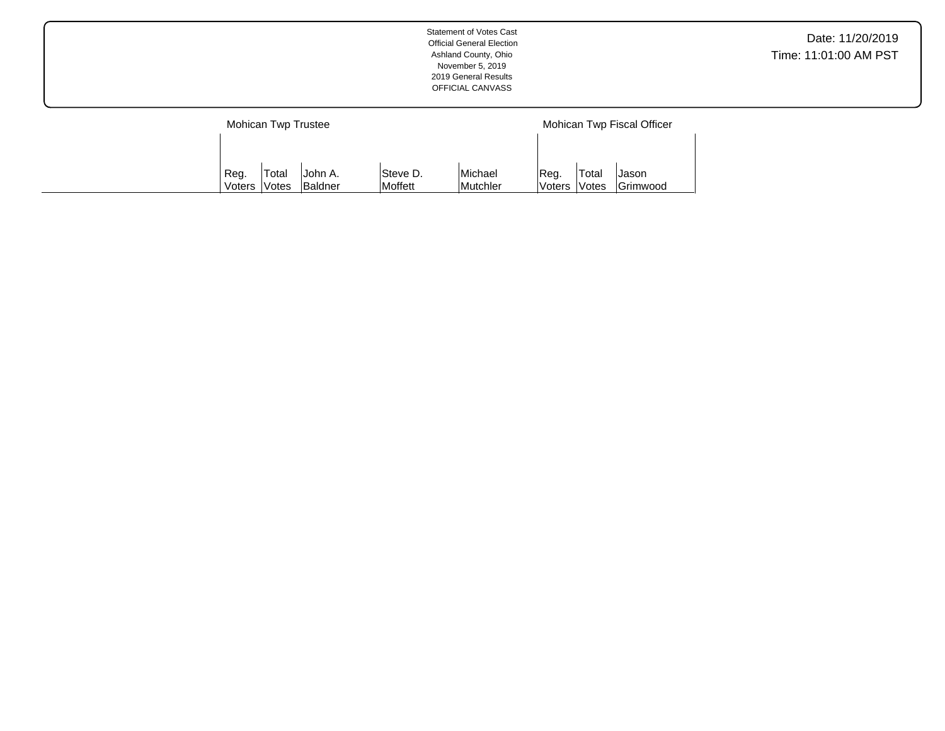| <b>Statement of Votes Cast</b><br><b>Official General Election</b><br>Ashland County, Ohio<br>November 5, 2019<br>2019 General Results<br>OFFICIAL CANVASS |                            | Date: 11/20/2019<br>Time: 11:01:00 AM PST |
|------------------------------------------------------------------------------------------------------------------------------------------------------------|----------------------------|-------------------------------------------|
| Mohican Twp Trustee                                                                                                                                        | Mohican Twp Fiscal Officer |                                           |

Michael Mutchler Reg. Voters Total Votes Jason Grimwood

Reg. Voters Total Votes John A. Baldner Steve D. Moffett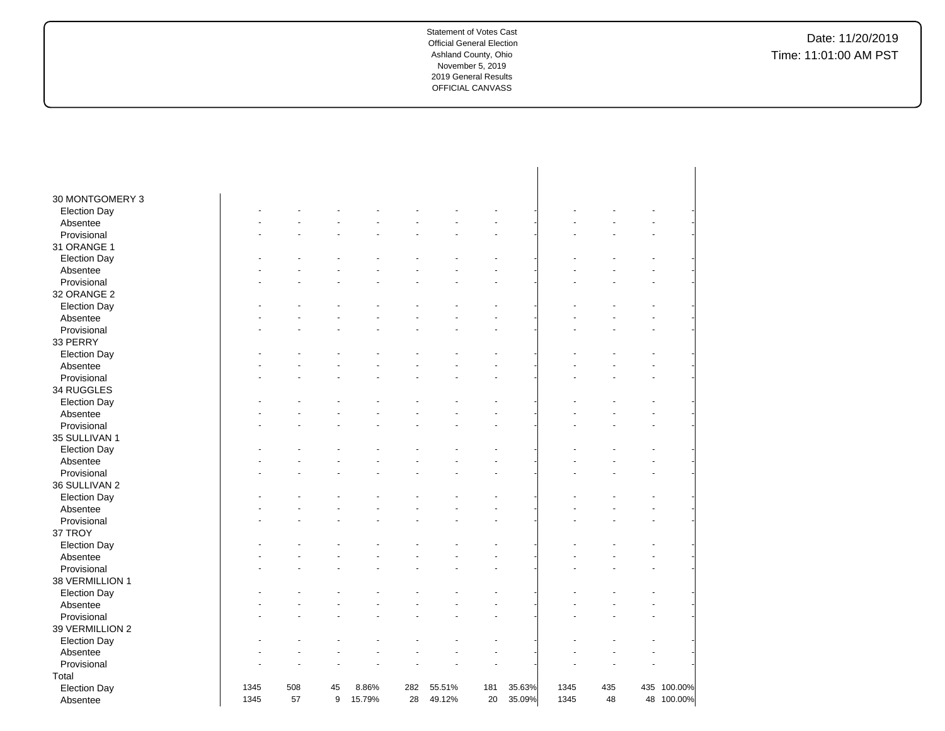| 30 MONTGOMERY 3     |      |     |    |        |     |        |     |        |      |     |     |            |
|---------------------|------|-----|----|--------|-----|--------|-----|--------|------|-----|-----|------------|
| <b>Election Day</b> |      |     |    |        |     |        |     |        |      |     |     |            |
| Absentee            |      |     |    |        |     |        |     |        |      |     |     |            |
| Provisional         |      |     |    |        |     |        |     |        |      |     |     |            |
| 31 ORANGE 1         |      |     |    |        |     |        |     |        |      |     |     |            |
| <b>Election Day</b> |      |     |    |        |     |        |     |        |      |     |     |            |
| Absentee            |      |     |    |        |     |        |     |        |      |     |     |            |
| Provisional         |      |     |    |        |     |        |     |        |      |     |     |            |
| 32 ORANGE 2         |      |     |    |        |     |        |     |        |      |     |     |            |
| <b>Election Day</b> |      |     |    |        |     |        |     |        |      |     |     |            |
| Absentee            |      |     |    |        |     |        |     |        |      |     |     |            |
| Provisional         |      |     |    |        |     |        |     |        |      |     |     |            |
| 33 PERRY            |      |     |    |        |     |        |     |        |      |     |     |            |
| <b>Election Day</b> |      |     |    |        |     |        |     |        |      |     |     |            |
| Absentee            |      |     |    |        |     |        |     |        |      |     |     |            |
| Provisional         |      |     |    |        |     |        |     |        |      |     |     |            |
| 34 RUGGLES          |      |     |    |        |     |        |     |        |      |     |     |            |
| <b>Election Day</b> |      |     |    |        |     |        |     |        |      |     |     |            |
| Absentee            |      |     |    |        |     |        |     |        |      |     |     |            |
| Provisional         |      |     |    |        |     |        |     |        |      |     |     |            |
| 35 SULLIVAN 1       |      |     |    |        |     |        |     |        |      |     |     |            |
| <b>Election Day</b> |      |     |    |        |     |        |     |        |      |     |     |            |
| Absentee            |      |     |    |        |     |        |     |        |      |     |     |            |
| Provisional         |      |     |    |        |     |        |     |        |      |     |     |            |
| 36 SULLIVAN 2       |      |     |    |        |     |        |     |        |      |     |     |            |
| <b>Election Day</b> |      |     |    |        |     |        |     |        |      |     |     |            |
| Absentee            |      |     |    |        |     |        |     |        |      |     |     |            |
| Provisional         |      |     |    |        |     |        |     |        |      |     |     |            |
| 37 TROY             |      |     |    |        |     |        |     |        |      |     |     |            |
| <b>Election Day</b> |      |     |    |        |     |        |     |        |      |     |     |            |
| Absentee            |      |     |    |        |     |        |     |        |      |     |     |            |
| Provisional         |      |     |    |        |     |        |     |        |      |     |     |            |
| 38 VERMILLION 1     |      |     |    |        |     |        |     |        |      |     |     |            |
| <b>Election Day</b> |      |     |    |        |     |        |     |        |      |     |     |            |
| Absentee            |      |     |    |        |     |        |     |        |      |     |     |            |
| Provisional         |      |     |    |        |     |        |     |        |      |     |     |            |
| 39 VERMILLION 2     |      |     |    |        |     |        |     |        |      |     |     |            |
| <b>Election Day</b> |      |     |    |        |     |        |     |        |      |     |     |            |
| Absentee            |      |     |    |        |     |        |     |        |      |     |     |            |
| Provisional         |      |     |    |        |     |        |     |        |      |     |     |            |
| Total               |      |     |    |        |     |        |     |        |      |     |     |            |
| <b>Election Day</b> | 1345 | 508 | 45 | 8.86%  | 282 | 55.51% | 181 | 35.63% | 1345 | 435 | 435 | 100.00%    |
| Absentee            | 1345 | 57  | 9  | 15.79% | 28  | 49.12% | 20  | 35.09% | 1345 | 48  |     | 48 100.00% |
|                     |      |     |    |        |     |        |     |        |      |     |     |            |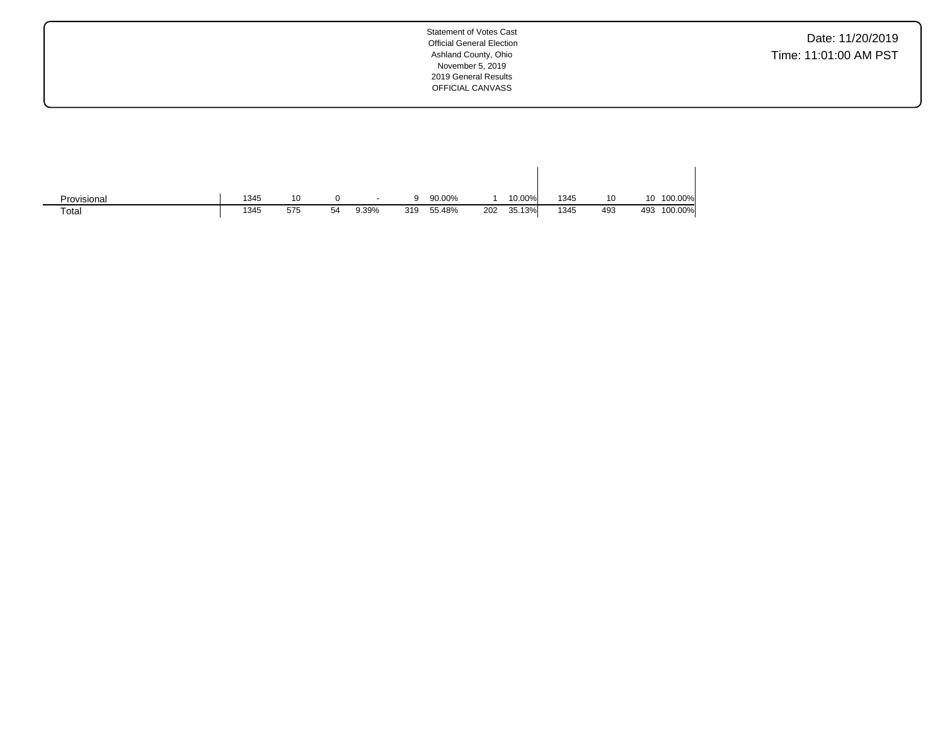Date: 11/20/2019 Time: 11:01:00 AM PST

| Provisional | 1345 | 10  |    | $\overline{\phantom{a}}$ |     | 90.00% |     | 10.00% | 1345 | 10  |     | 10 100.00% |
|-------------|------|-----|----|--------------------------|-----|--------|-----|--------|------|-----|-----|------------|
| Total       | 1345 | 575 | 54 | 9.39%                    | 319 | 55.48% | 202 | 35.13% | 1345 | 493 | 493 | 100.00%    |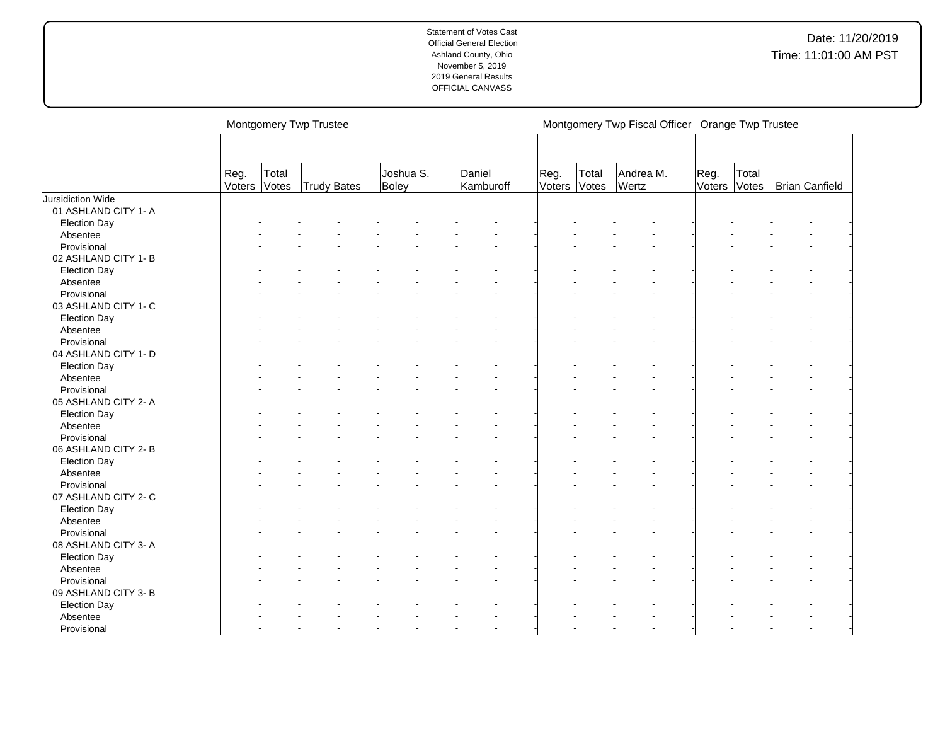|                      |                |                | Montgomery Twp Trustee |                    |        |           |                |                | Montgomery Twp Fiscal Officer Orange Twp Trustee |                |                |                |  |
|----------------------|----------------|----------------|------------------------|--------------------|--------|-----------|----------------|----------------|--------------------------------------------------|----------------|----------------|----------------|--|
|                      | Reg.<br>Voters | Total<br>Votes | <b>Trudy Bates</b>     | Joshua S.<br>Boley | Daniel | Kamburoff | Reg.<br>Voters | Total<br>Votes | Andrea M.<br>Wertz                               | Reg.<br>Voters | Total<br>Votes | Brian Canfield |  |
| Jursidiction Wide    |                |                |                        |                    |        |           |                |                |                                                  |                |                |                |  |
| 01 ASHLAND CITY 1- A |                |                |                        |                    |        |           |                |                |                                                  |                |                |                |  |
| <b>Election Day</b>  |                |                |                        |                    |        |           |                |                |                                                  |                |                |                |  |
| Absentee             |                |                |                        |                    |        |           |                |                |                                                  |                |                |                |  |
| Provisional          |                |                |                        |                    |        |           |                |                |                                                  |                |                |                |  |
| 02 ASHLAND CITY 1- B |                |                |                        |                    |        |           |                |                |                                                  |                |                |                |  |
| <b>Election Day</b>  |                |                |                        |                    |        |           |                |                |                                                  |                |                |                |  |
| Absentee             |                |                |                        |                    |        |           |                |                |                                                  |                |                |                |  |
| Provisional          |                |                |                        |                    |        |           |                |                |                                                  |                |                |                |  |
| 03 ASHLAND CITY 1- C |                |                |                        |                    |        |           |                |                |                                                  |                |                |                |  |
| <b>Election Day</b>  |                |                |                        |                    |        |           |                |                |                                                  |                |                |                |  |
| Absentee             |                |                |                        |                    |        |           |                |                |                                                  |                |                |                |  |
| Provisional          |                |                |                        |                    |        |           |                |                |                                                  |                |                |                |  |
| 04 ASHLAND CITY 1- D |                |                |                        |                    |        |           |                |                |                                                  |                |                |                |  |
| <b>Election Day</b>  |                |                |                        |                    |        |           |                |                |                                                  |                |                |                |  |
| Absentee             |                |                |                        |                    |        |           |                |                |                                                  |                |                |                |  |
| Provisional          |                |                |                        |                    |        |           |                |                |                                                  |                |                |                |  |
| 05 ASHLAND CITY 2- A |                |                |                        |                    |        |           |                |                |                                                  |                |                |                |  |
| <b>Election Day</b>  |                |                |                        |                    |        |           |                |                |                                                  |                |                |                |  |
| Absentee             |                |                |                        |                    |        |           |                |                |                                                  |                |                |                |  |
| Provisional          |                |                |                        |                    |        |           |                |                |                                                  |                |                |                |  |
| 06 ASHLAND CITY 2- B |                |                |                        |                    |        |           |                |                |                                                  |                |                |                |  |
| <b>Election Day</b>  |                |                |                        |                    |        |           |                |                |                                                  |                |                |                |  |
| Absentee             |                |                |                        |                    |        |           |                |                |                                                  |                |                |                |  |
| Provisional          |                |                |                        |                    |        |           |                |                |                                                  |                |                |                |  |
| 07 ASHLAND CITY 2- C |                |                |                        |                    |        |           |                |                |                                                  |                |                |                |  |
| <b>Election Day</b>  |                |                |                        |                    |        |           |                |                |                                                  |                |                |                |  |
| Absentee             |                |                |                        |                    |        |           |                |                |                                                  |                |                |                |  |
| Provisional          |                |                |                        |                    |        |           |                |                |                                                  |                |                |                |  |
| 08 ASHLAND CITY 3-A  |                |                |                        |                    |        |           |                |                |                                                  |                |                |                |  |
| <b>Election Day</b>  |                |                |                        |                    |        |           |                |                |                                                  |                |                |                |  |
| Absentee             |                |                |                        |                    |        |           |                |                |                                                  |                |                |                |  |
| Provisional          |                |                |                        |                    |        |           |                |                |                                                  |                |                |                |  |
| 09 ASHLAND CITY 3- B |                |                |                        |                    |        |           |                |                |                                                  |                |                |                |  |
| <b>Election Day</b>  |                |                |                        |                    |        |           |                |                |                                                  |                |                |                |  |
| Absentee             |                |                |                        |                    |        |           |                |                |                                                  |                |                |                |  |
| Provisional          |                |                |                        |                    |        |           |                |                |                                                  |                |                |                |  |
|                      |                |                |                        |                    |        |           |                |                |                                                  |                |                |                |  |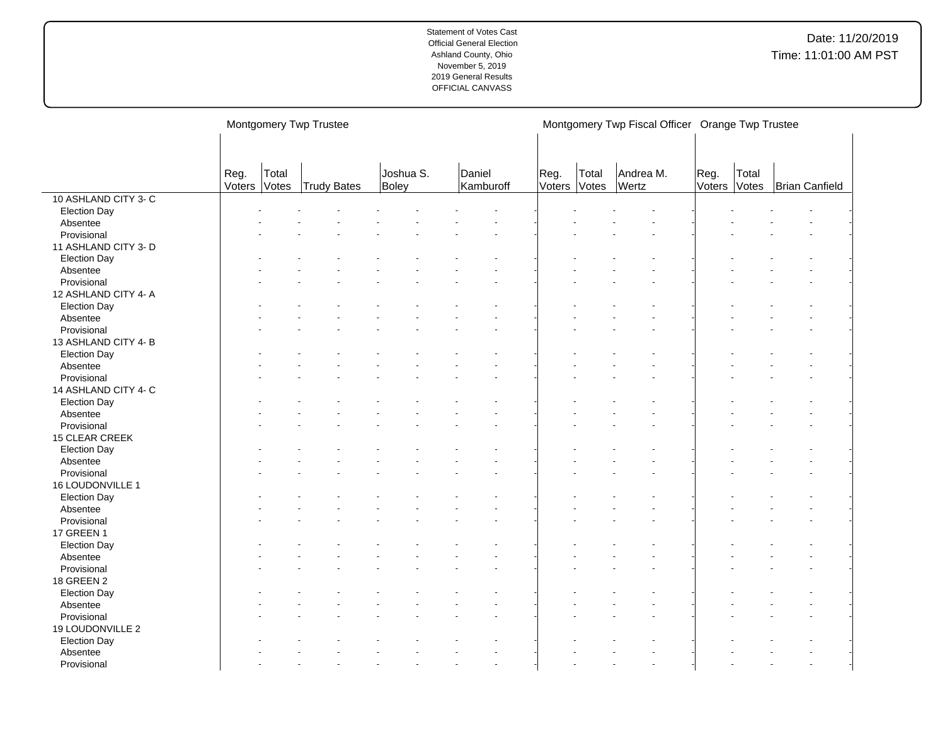|                      |                |                | Montgomery Twp Trustee |                    |                     |                      |       | Montgomery Twp Fiscal Officer Orange Twp Trustee |                |                |                |  |
|----------------------|----------------|----------------|------------------------|--------------------|---------------------|----------------------|-------|--------------------------------------------------|----------------|----------------|----------------|--|
|                      |                |                |                        |                    |                     |                      |       |                                                  |                |                |                |  |
|                      | Reg.<br>Voters | Total<br>Votes | Trudy Bates            | Joshua S.<br>Boley | Daniel<br>Kamburoff | Reg.<br>Voters Votes | Total | Andrea M.<br>Wertz                               | Reg.<br>Voters | Total<br>Votes | Brian Canfield |  |
| 10 ASHLAND CITY 3-C  |                |                |                        |                    |                     |                      |       |                                                  |                |                |                |  |
| <b>Election Day</b>  |                |                |                        |                    |                     |                      |       |                                                  |                |                |                |  |
| Absentee             |                |                |                        |                    |                     |                      |       |                                                  |                |                |                |  |
| Provisional          |                |                |                        |                    |                     |                      |       |                                                  |                |                |                |  |
| 11 ASHLAND CITY 3- D |                |                |                        |                    |                     |                      |       |                                                  |                |                |                |  |
| <b>Election Day</b>  |                |                |                        |                    |                     |                      |       |                                                  |                |                |                |  |
| Absentee             |                |                |                        |                    |                     |                      |       |                                                  |                |                |                |  |
| Provisional          |                |                |                        |                    |                     |                      |       |                                                  |                |                |                |  |
| 12 ASHLAND CITY 4- A |                |                |                        |                    |                     |                      |       |                                                  |                |                |                |  |
| <b>Election Day</b>  |                |                |                        |                    |                     |                      |       |                                                  |                |                |                |  |
| Absentee             |                |                |                        |                    |                     |                      |       |                                                  |                |                |                |  |
| Provisional          |                |                |                        |                    |                     |                      |       |                                                  |                |                |                |  |
| 13 ASHLAND CITY 4-B  |                |                |                        |                    |                     |                      |       |                                                  |                |                |                |  |
| <b>Election Day</b>  |                |                |                        |                    |                     |                      |       |                                                  |                |                |                |  |
| Absentee             |                |                |                        |                    |                     |                      |       |                                                  |                |                |                |  |
| Provisional          |                |                |                        |                    |                     |                      |       |                                                  |                |                |                |  |
| 14 ASHLAND CITY 4- C |                |                |                        |                    |                     |                      |       |                                                  |                |                |                |  |
|                      |                |                |                        |                    |                     |                      |       |                                                  |                |                |                |  |
| <b>Election Day</b>  |                |                |                        |                    |                     |                      |       |                                                  |                |                |                |  |
| Absentee             |                |                |                        |                    |                     |                      |       |                                                  |                |                |                |  |
| Provisional          |                |                |                        |                    |                     |                      |       |                                                  |                |                |                |  |
| 15 CLEAR CREEK       |                |                |                        |                    |                     |                      |       |                                                  |                |                |                |  |
| <b>Election Day</b>  |                |                |                        |                    |                     |                      |       |                                                  |                |                |                |  |
| Absentee             |                |                |                        |                    |                     |                      |       |                                                  |                |                |                |  |
| Provisional          |                |                |                        |                    |                     |                      |       |                                                  |                |                |                |  |
| 16 LOUDONVILLE 1     |                |                |                        |                    |                     |                      |       |                                                  |                |                |                |  |
| <b>Election Day</b>  |                |                |                        |                    |                     |                      |       |                                                  |                |                |                |  |
| Absentee             |                |                |                        |                    |                     |                      |       |                                                  |                |                |                |  |
| Provisional          |                |                |                        |                    |                     |                      |       |                                                  |                |                |                |  |
| 17 GREEN 1           |                |                |                        |                    |                     |                      |       |                                                  |                |                |                |  |
| <b>Election Day</b>  |                |                |                        |                    |                     |                      |       |                                                  |                |                |                |  |
| Absentee             |                |                |                        |                    |                     |                      |       |                                                  |                |                |                |  |
| Provisional          |                |                |                        |                    |                     |                      |       |                                                  |                |                |                |  |
| <b>18 GREEN 2</b>    |                |                |                        |                    |                     |                      |       |                                                  |                |                |                |  |
| <b>Election Day</b>  |                |                |                        |                    |                     |                      |       |                                                  |                |                |                |  |
| Absentee             |                |                |                        |                    |                     |                      |       |                                                  |                |                |                |  |
| Provisional          |                |                |                        |                    |                     |                      |       |                                                  |                |                |                |  |
| 19 LOUDONVILLE 2     |                |                |                        |                    |                     |                      |       |                                                  |                |                |                |  |
| <b>Election Day</b>  |                |                |                        |                    |                     |                      |       |                                                  |                |                |                |  |
| Absentee             |                |                |                        |                    |                     |                      |       |                                                  |                |                |                |  |
| Provisional          |                |                |                        |                    |                     |                      |       |                                                  |                |                |                |  |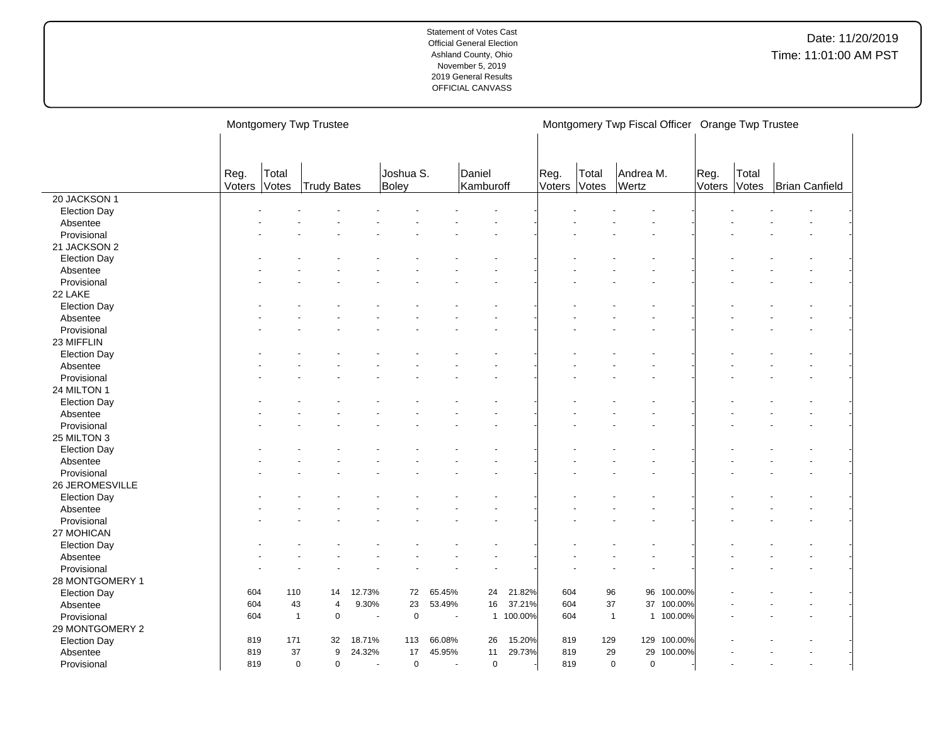| Daniel<br>Reg.<br>Joshua S.<br>Reg.<br>Andrea M.<br>Reg.<br>Total<br>Total<br>Total<br>Kamburoff<br>Wertz<br>Votes<br>Voters<br>Votes<br>Votes<br>Voters<br>Brian Canfield<br>Trudy Bates<br>Boley<br>Voters<br>20 JACKSON 1<br><b>Election Day</b><br>Absentee<br>Provisional<br>21 JACKSON 2<br><b>Election Day</b><br>Absentee<br>Provisional<br>22 LAKE<br><b>Election Day</b><br>Absentee<br>Provisional<br>23 MIFFLIN<br><b>Election Day</b><br>Absentee<br>Provisional<br>24 MILTON 1<br><b>Election Day</b><br>Absentee<br>Provisional<br>25 MILTON 3 |                     |  | Montgomery Twp Trustee |  |  |  | Montgomery Twp Fiscal Officer Orange Twp Trustee |  |  |  |
|---------------------------------------------------------------------------------------------------------------------------------------------------------------------------------------------------------------------------------------------------------------------------------------------------------------------------------------------------------------------------------------------------------------------------------------------------------------------------------------------------------------------------------------------------------------|---------------------|--|------------------------|--|--|--|--------------------------------------------------|--|--|--|
|                                                                                                                                                                                                                                                                                                                                                                                                                                                                                                                                                               |                     |  |                        |  |  |  |                                                  |  |  |  |
|                                                                                                                                                                                                                                                                                                                                                                                                                                                                                                                                                               |                     |  |                        |  |  |  |                                                  |  |  |  |
|                                                                                                                                                                                                                                                                                                                                                                                                                                                                                                                                                               |                     |  |                        |  |  |  |                                                  |  |  |  |
|                                                                                                                                                                                                                                                                                                                                                                                                                                                                                                                                                               |                     |  |                        |  |  |  |                                                  |  |  |  |
|                                                                                                                                                                                                                                                                                                                                                                                                                                                                                                                                                               |                     |  |                        |  |  |  |                                                  |  |  |  |
|                                                                                                                                                                                                                                                                                                                                                                                                                                                                                                                                                               |                     |  |                        |  |  |  |                                                  |  |  |  |
|                                                                                                                                                                                                                                                                                                                                                                                                                                                                                                                                                               |                     |  |                        |  |  |  |                                                  |  |  |  |
|                                                                                                                                                                                                                                                                                                                                                                                                                                                                                                                                                               |                     |  |                        |  |  |  |                                                  |  |  |  |
|                                                                                                                                                                                                                                                                                                                                                                                                                                                                                                                                                               |                     |  |                        |  |  |  |                                                  |  |  |  |
|                                                                                                                                                                                                                                                                                                                                                                                                                                                                                                                                                               |                     |  |                        |  |  |  |                                                  |  |  |  |
|                                                                                                                                                                                                                                                                                                                                                                                                                                                                                                                                                               |                     |  |                        |  |  |  |                                                  |  |  |  |
|                                                                                                                                                                                                                                                                                                                                                                                                                                                                                                                                                               |                     |  |                        |  |  |  |                                                  |  |  |  |
|                                                                                                                                                                                                                                                                                                                                                                                                                                                                                                                                                               |                     |  |                        |  |  |  |                                                  |  |  |  |
|                                                                                                                                                                                                                                                                                                                                                                                                                                                                                                                                                               |                     |  |                        |  |  |  |                                                  |  |  |  |
|                                                                                                                                                                                                                                                                                                                                                                                                                                                                                                                                                               |                     |  |                        |  |  |  |                                                  |  |  |  |
|                                                                                                                                                                                                                                                                                                                                                                                                                                                                                                                                                               |                     |  |                        |  |  |  |                                                  |  |  |  |
|                                                                                                                                                                                                                                                                                                                                                                                                                                                                                                                                                               |                     |  |                        |  |  |  |                                                  |  |  |  |
|                                                                                                                                                                                                                                                                                                                                                                                                                                                                                                                                                               |                     |  |                        |  |  |  |                                                  |  |  |  |
|                                                                                                                                                                                                                                                                                                                                                                                                                                                                                                                                                               |                     |  |                        |  |  |  |                                                  |  |  |  |
|                                                                                                                                                                                                                                                                                                                                                                                                                                                                                                                                                               |                     |  |                        |  |  |  |                                                  |  |  |  |
|                                                                                                                                                                                                                                                                                                                                                                                                                                                                                                                                                               |                     |  |                        |  |  |  |                                                  |  |  |  |
|                                                                                                                                                                                                                                                                                                                                                                                                                                                                                                                                                               |                     |  |                        |  |  |  |                                                  |  |  |  |
|                                                                                                                                                                                                                                                                                                                                                                                                                                                                                                                                                               |                     |  |                        |  |  |  |                                                  |  |  |  |
|                                                                                                                                                                                                                                                                                                                                                                                                                                                                                                                                                               |                     |  |                        |  |  |  |                                                  |  |  |  |
|                                                                                                                                                                                                                                                                                                                                                                                                                                                                                                                                                               |                     |  |                        |  |  |  |                                                  |  |  |  |
|                                                                                                                                                                                                                                                                                                                                                                                                                                                                                                                                                               | <b>Election Day</b> |  |                        |  |  |  |                                                  |  |  |  |
| Absentee                                                                                                                                                                                                                                                                                                                                                                                                                                                                                                                                                      |                     |  |                        |  |  |  |                                                  |  |  |  |
| Provisional                                                                                                                                                                                                                                                                                                                                                                                                                                                                                                                                                   |                     |  |                        |  |  |  |                                                  |  |  |  |
| 26 JEROMESVILLE                                                                                                                                                                                                                                                                                                                                                                                                                                                                                                                                               |                     |  |                        |  |  |  |                                                  |  |  |  |
| <b>Election Day</b>                                                                                                                                                                                                                                                                                                                                                                                                                                                                                                                                           |                     |  |                        |  |  |  |                                                  |  |  |  |
| Absentee                                                                                                                                                                                                                                                                                                                                                                                                                                                                                                                                                      |                     |  |                        |  |  |  |                                                  |  |  |  |
| Provisional                                                                                                                                                                                                                                                                                                                                                                                                                                                                                                                                                   |                     |  |                        |  |  |  |                                                  |  |  |  |
| 27 MOHICAN                                                                                                                                                                                                                                                                                                                                                                                                                                                                                                                                                    |                     |  |                        |  |  |  |                                                  |  |  |  |
| <b>Election Day</b>                                                                                                                                                                                                                                                                                                                                                                                                                                                                                                                                           |                     |  |                        |  |  |  |                                                  |  |  |  |
| Absentee                                                                                                                                                                                                                                                                                                                                                                                                                                                                                                                                                      |                     |  |                        |  |  |  |                                                  |  |  |  |
| Provisional                                                                                                                                                                                                                                                                                                                                                                                                                                                                                                                                                   |                     |  |                        |  |  |  |                                                  |  |  |  |
| 28 MONTGOMERY 1                                                                                                                                                                                                                                                                                                                                                                                                                                                                                                                                               |                     |  |                        |  |  |  |                                                  |  |  |  |
| 12.73%<br>72<br>65.45%<br>21.82%<br>604<br>96<br>96<br><b>Election Day</b><br>604<br>110<br>14<br>24<br>100.00%                                                                                                                                                                                                                                                                                                                                                                                                                                               |                     |  |                        |  |  |  |                                                  |  |  |  |
| 37.21%<br>37 100.00%<br>604<br>43<br>9.30%<br>23<br>53.49%<br>16<br>604<br>37<br>4<br>Absentee                                                                                                                                                                                                                                                                                                                                                                                                                                                                |                     |  |                        |  |  |  |                                                  |  |  |  |
| $\pmb{0}$<br>1 100.00%<br>1 100.00%<br>Provisional<br>$\overline{1}$<br>$\mathbf 0$<br>604<br>$\mathbf{1}$<br>604<br>$\sim$                                                                                                                                                                                                                                                                                                                                                                                                                                   |                     |  |                        |  |  |  |                                                  |  |  |  |
| 29 MONTGOMERY 2                                                                                                                                                                                                                                                                                                                                                                                                                                                                                                                                               |                     |  |                        |  |  |  |                                                  |  |  |  |
| 15.20%<br>129<br>129 100.00%<br>819<br>171<br>32<br>18.71%<br>113<br>66.08%<br>26<br>819<br><b>Election Day</b>                                                                                                                                                                                                                                                                                                                                                                                                                                               |                     |  |                        |  |  |  |                                                  |  |  |  |
| 17<br>11<br>29.73%<br>29<br>29<br>37<br>9<br>24.32%<br>45.95%<br>819<br>100.00%<br>819<br>Absentee                                                                                                                                                                                                                                                                                                                                                                                                                                                            |                     |  |                        |  |  |  |                                                  |  |  |  |
| $\mathbf 0$<br>$\mathbf 0$<br>819<br>Provisional<br>819<br>$\mathbf 0$<br>$\mathbf 0$<br>$\mathbf 0$<br>0<br>$\sim$<br>$\sim$<br>$\overline{a}$                                                                                                                                                                                                                                                                                                                                                                                                               |                     |  |                        |  |  |  |                                                  |  |  |  |

 $\overline{a}$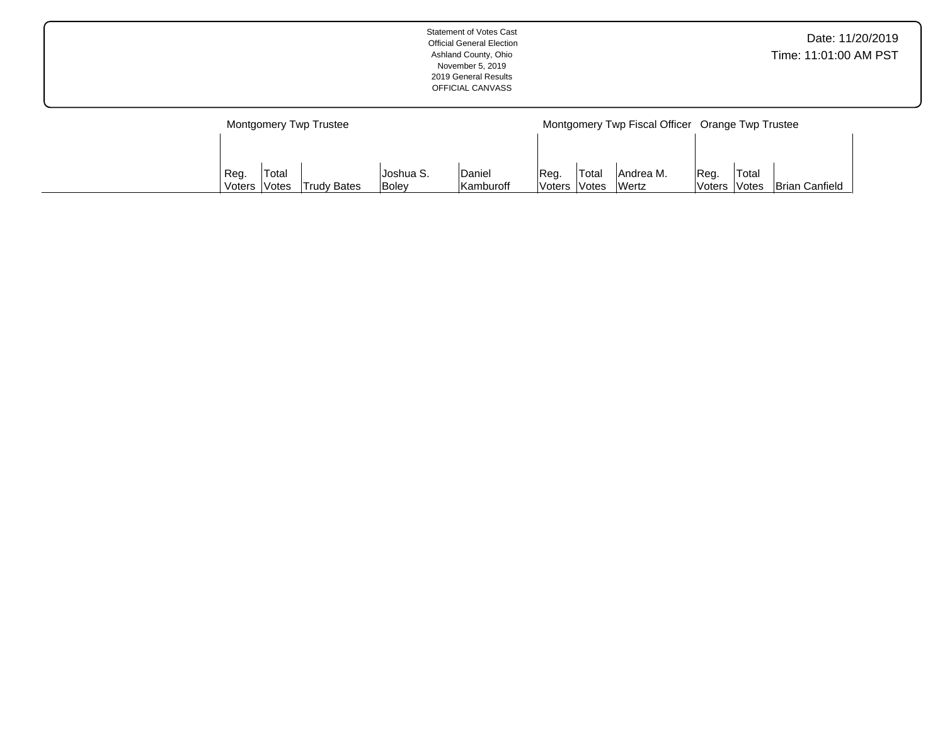| Date: 11/20/2019<br><b>Official General Election</b><br>Time: 11:01:00 AM PST<br>Ashland County, Ohio<br>November 5, 2019<br>2019 General Results<br>OFFICIAL CANVASS |
|-----------------------------------------------------------------------------------------------------------------------------------------------------------------------|
|-----------------------------------------------------------------------------------------------------------------------------------------------------------------------|

|        |                     | Montgomery Twp Trustee |           |           |               |                     | Montgomery Twp Fiscal Officer Orange Twp Trustee |        |                     |                       |
|--------|---------------------|------------------------|-----------|-----------|---------------|---------------------|--------------------------------------------------|--------|---------------------|-----------------------|
|        |                     |                        |           |           |               |                     |                                                  |        |                     |                       |
|        |                     |                        |           |           |               |                     |                                                  |        |                     |                       |
| Reg.   | Total               |                        | Joshua S. | Daniel    | Reg.          | 'Total              | Andrea M.                                        | IReq.  | 'Total              |                       |
| Voters | <i><b>Votes</b></i> | <b>Trudy Bates</b>     | Boley     | Kamburoff | <b>Voters</b> | <i><b>Notes</b></i> | <b>Wertz</b>                                     | Voters | <i><b>Notes</b></i> | <b>Brian Canfield</b> |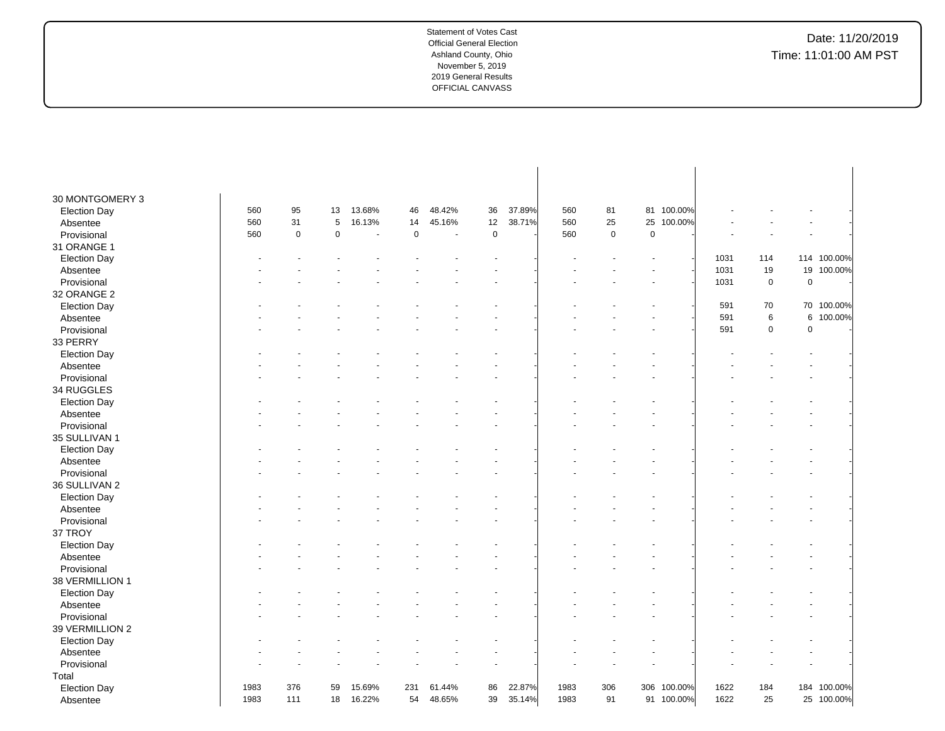# Date: 11/20/2019 Time: 11:01:00 AM PST

| 30 MONTGOMERY 3         |      |             |    |                |             |                          |             |        |      |           |             |            |      |             |             |             |
|-------------------------|------|-------------|----|----------------|-------------|--------------------------|-------------|--------|------|-----------|-------------|------------|------|-------------|-------------|-------------|
| <b>Election Day</b>     | 560  | 95          | 13 | 13.68%         | 46          | 48.42%                   | 36          | 37.89% | 560  | 81        | 81          | 100.00%    |      |             |             |             |
| Absentee                | 560  | 31          | 5  | 16.13%         | 14          | 45.16%                   | 12          | 38.71% | 560  | 25        | 25          | 100.00%    |      |             |             |             |
| Provisional             | 560  | $\mathbf 0$ | 0  | $\blacksquare$ | $\mathbf 0$ | $\overline{\phantom{a}}$ | $\mathbf 0$ |        | 560  | $\pmb{0}$ | $\mathbf 0$ |            |      |             |             |             |
| 31 ORANGE 1             |      |             |    |                |             |                          |             |        |      |           |             |            |      |             |             |             |
| <b>Election Day</b>     |      |             |    |                |             |                          |             |        |      |           |             |            | 1031 | 114         |             | 114 100.00% |
| Absentee                |      |             |    |                |             |                          |             |        |      |           |             |            | 1031 | 19          | 19          | 100.00%     |
| Provisional             |      |             |    |                |             |                          |             |        |      |           |             |            | 1031 | $\mathbf 0$ | $\pmb{0}$   |             |
| 32 ORANGE 2             |      |             |    |                |             |                          |             |        |      |           |             |            |      |             |             |             |
| <b>Election Day</b>     |      |             |    |                |             |                          |             |        |      |           |             |            | 591  | 70          |             | 70 100.00%  |
| Absentee                |      |             |    |                |             |                          |             |        |      |           |             |            | 591  | $\,6\,$     | 6           | 100.00%     |
| Provisional             |      |             |    |                |             |                          |             |        |      |           |             |            | 591  | $\mathsf 0$ | $\mathbf 0$ |             |
| 33 PERRY                |      |             |    |                |             |                          |             |        |      |           |             |            |      |             |             |             |
| <b>Election Day</b>     |      |             |    |                |             |                          |             |        |      |           |             |            |      |             |             |             |
| Absentee                |      |             |    |                |             |                          |             |        |      |           |             |            |      |             |             |             |
| Provisional             |      |             |    |                |             |                          |             |        |      |           |             |            |      |             |             |             |
| 34 RUGGLES              |      |             |    |                |             |                          |             |        |      |           |             |            |      |             |             |             |
| <b>Election Day</b>     |      |             |    |                |             |                          |             |        |      |           |             |            |      |             |             |             |
| Absentee                |      |             |    |                |             |                          |             |        |      |           |             |            |      |             |             |             |
| Provisional             |      |             |    |                |             |                          |             |        |      |           |             |            |      |             |             |             |
| 35 SULLIVAN 1           |      |             |    |                |             |                          |             |        |      |           |             |            |      |             |             |             |
| <b>Election Day</b>     |      |             |    |                |             |                          |             |        |      |           |             |            |      |             |             |             |
| Absentee                |      |             |    |                |             |                          |             |        |      |           |             |            |      |             |             |             |
| Provisional             |      |             |    |                |             |                          |             |        |      |           |             |            |      |             |             |             |
| 36 SULLIVAN 2           |      |             |    |                |             |                          |             |        |      |           |             |            |      |             |             |             |
| <b>Election Day</b>     |      |             |    |                |             |                          |             |        |      |           |             |            |      |             |             |             |
| Absentee                |      |             |    |                |             |                          |             |        |      |           |             |            |      |             |             |             |
| Provisional             |      |             |    |                |             |                          |             |        |      |           |             |            |      |             |             |             |
| 37 TROY                 |      |             |    |                |             |                          |             |        |      |           |             |            |      |             |             |             |
| <b>Election Day</b>     |      |             |    |                |             |                          |             |        |      |           |             |            |      |             |             |             |
| Absentee                |      |             |    |                |             |                          |             |        |      |           |             |            |      |             |             |             |
| Provisional             |      |             |    |                |             |                          |             |        |      |           |             |            |      |             |             |             |
| 38 VERMILLION 1         |      |             |    |                |             |                          |             |        |      |           |             |            |      |             |             |             |
| <b>Election Day</b>     |      |             |    |                |             |                          |             |        |      |           |             |            |      |             |             |             |
| Absentee                |      |             |    |                |             |                          |             |        |      |           |             |            |      |             |             |             |
| Provisional             |      |             |    |                |             |                          |             |        |      |           |             |            |      |             |             |             |
| 39 VERMILLION 2         |      |             |    |                |             |                          |             |        |      |           |             |            |      |             |             |             |
| <b>Election Day</b>     |      |             |    |                |             |                          |             |        |      |           |             |            |      |             |             |             |
|                         |      |             |    |                |             |                          |             |        |      |           |             |            |      |             |             |             |
| Absentee<br>Provisional |      |             |    |                |             |                          |             |        |      |           |             |            |      |             |             |             |
|                         |      |             |    |                |             |                          |             |        |      |           |             |            |      |             |             |             |
| Total                   | 1983 | 376         | 59 | 15.69%         | 231         | 61.44%                   | 86          | 22.87% | 1983 | 306       | 306         | 100.00%    | 1622 | 184         |             | 184 100.00% |
| <b>Election Day</b>     |      | 111         |    |                | 54          |                          |             |        |      | 91        |             |            |      |             |             |             |
| Absentee                | 1983 |             | 18 | 16.22%         |             | 48.65%                   | 39          | 35.14% | 1983 |           |             | 91 100.00% | 1622 | 25          | 25          | 100.00%     |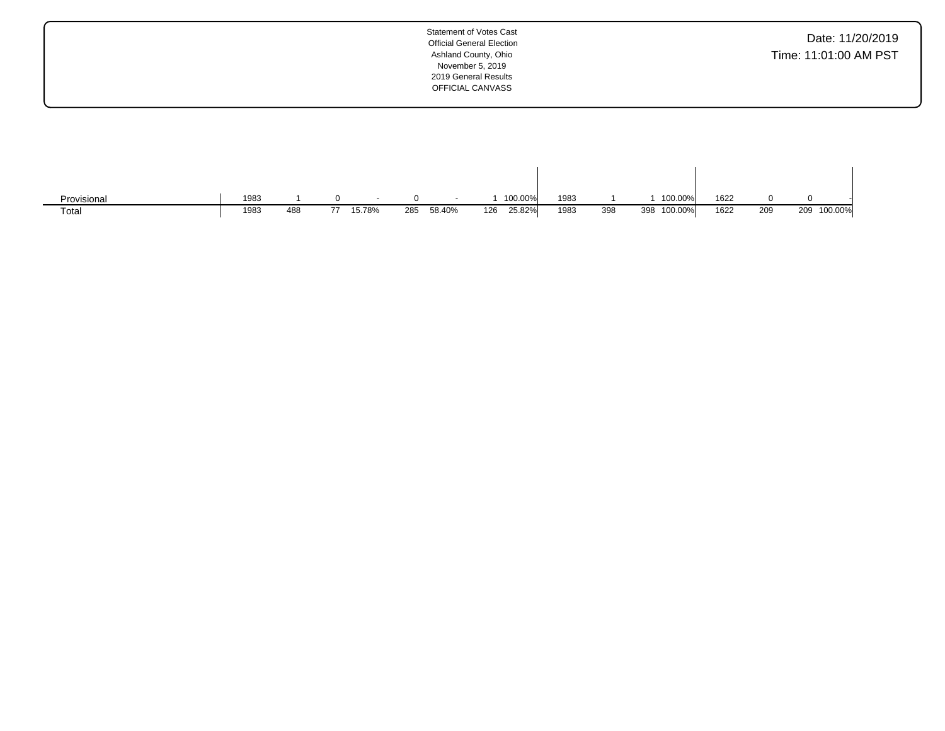| <b>Statement of Votes Cast</b><br><b>Official General Election</b><br>Ashland County, Ohio<br>November 5, 2019<br>2019 General Results<br>OFFICIAL CANVASS | Date: 11/20/2019<br>Time: 11:01:00 AM PST |
|------------------------------------------------------------------------------------------------------------------------------------------------------------|-------------------------------------------|
|                                                                                                                                                            |                                           |

| Provisional | 1983 |     |        |     | $\sim$ |     | 100.00% | 1983 |     | 100.00%     | 1622 |     |             |
|-------------|------|-----|--------|-----|--------|-----|---------|------|-----|-------------|------|-----|-------------|
| Total       | 1983 | 488 | 15.78% | 285 | 58.40% | 126 | 25.82%  | 1983 | 398 | 398 100.00% | 1622 | 209 | 209 100.00% |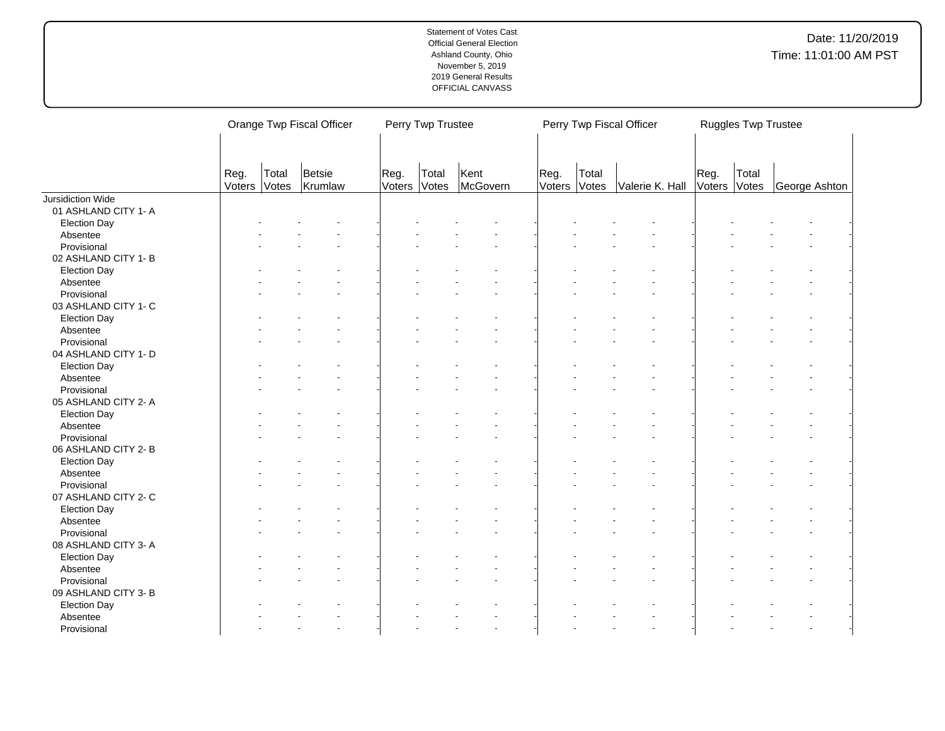|                                     |                | Orange Twp Fiscal Officer |                   |                | Perry Twp Trustee |                  |                |                | Perry Twp Fiscal Officer |                | Ruggles Twp Trustee |               |
|-------------------------------------|----------------|---------------------------|-------------------|----------------|-------------------|------------------|----------------|----------------|--------------------------|----------------|---------------------|---------------|
|                                     | Reg.<br>Voters | Total<br>Votes            | Betsie<br>Krumlaw | Reg.<br>Voters | Total<br>Votes    | Kent<br>McGovern | Reg.<br>Voters | Total<br>Votes | Valerie K. Hall          | Reg.<br>Voters | Total<br>Votes      | George Ashton |
| Jursidiction Wide                   |                |                           |                   |                |                   |                  |                |                |                          |                |                     |               |
| 01 ASHLAND CITY 1- A                |                |                           |                   |                |                   |                  |                |                |                          |                |                     |               |
| <b>Election Day</b>                 |                |                           |                   |                |                   |                  |                |                |                          |                |                     |               |
| Absentee                            |                |                           |                   |                |                   |                  |                |                |                          |                |                     |               |
| Provisional                         |                |                           |                   |                |                   |                  |                |                |                          |                |                     |               |
| 02 ASHLAND CITY 1- B                |                |                           |                   |                |                   |                  |                |                |                          |                |                     |               |
| <b>Election Day</b>                 |                |                           |                   |                |                   |                  |                |                |                          |                |                     |               |
| Absentee                            |                |                           |                   |                |                   |                  |                |                |                          |                |                     |               |
| Provisional                         |                |                           |                   |                |                   |                  |                |                |                          |                |                     |               |
| 03 ASHLAND CITY 1- C                |                |                           |                   |                |                   |                  |                |                |                          |                |                     |               |
| <b>Election Day</b>                 |                |                           |                   |                |                   |                  |                |                |                          |                |                     |               |
| Absentee                            |                |                           |                   |                |                   |                  |                |                |                          |                |                     |               |
| Provisional                         |                |                           |                   |                |                   |                  |                |                |                          |                |                     |               |
| 04 ASHLAND CITY 1- D                |                |                           |                   |                |                   |                  |                |                |                          |                |                     |               |
| <b>Election Day</b>                 |                |                           |                   |                |                   |                  |                |                |                          |                |                     |               |
| Absentee                            |                |                           |                   |                |                   |                  |                |                |                          |                |                     |               |
| Provisional                         |                |                           |                   |                |                   |                  |                |                |                          |                |                     |               |
| 05 ASHLAND CITY 2- A                |                |                           |                   |                |                   |                  |                |                |                          |                |                     |               |
| <b>Election Day</b>                 |                |                           |                   |                |                   |                  |                |                |                          |                |                     |               |
| Absentee                            |                |                           |                   |                |                   |                  |                |                |                          |                |                     |               |
| Provisional                         |                |                           |                   |                |                   |                  |                |                |                          |                |                     |               |
| 06 ASHLAND CITY 2-B                 |                |                           |                   |                |                   |                  |                |                |                          |                |                     |               |
| <b>Election Day</b>                 |                |                           |                   |                |                   |                  |                |                |                          |                |                     |               |
| Absentee                            |                |                           |                   |                |                   |                  |                |                |                          |                |                     |               |
| Provisional                         |                |                           |                   |                |                   |                  |                |                |                          |                |                     |               |
| 07 ASHLAND CITY 2- C                |                |                           |                   |                |                   |                  |                |                |                          |                |                     |               |
| <b>Election Day</b>                 |                |                           |                   |                |                   |                  |                |                |                          |                |                     |               |
| Absentee                            |                |                           |                   |                |                   |                  |                |                |                          |                |                     |               |
| Provisional                         |                |                           |                   |                |                   |                  |                |                |                          |                |                     |               |
| 08 ASHLAND CITY 3-A                 |                |                           |                   |                |                   |                  |                |                |                          |                |                     |               |
| <b>Election Day</b>                 |                |                           |                   |                |                   |                  |                |                |                          |                |                     |               |
| Absentee                            |                |                           |                   |                |                   |                  |                |                |                          |                |                     |               |
|                                     |                |                           |                   |                |                   |                  |                |                |                          |                |                     |               |
| Provisional<br>09 ASHLAND CITY 3- B |                |                           |                   |                |                   |                  |                |                |                          |                |                     |               |
|                                     |                |                           |                   |                |                   |                  |                |                |                          |                |                     |               |
| <b>Election Day</b>                 |                |                           |                   |                |                   |                  |                |                |                          |                |                     |               |
| Absentee                            |                |                           |                   |                |                   |                  |                |                |                          |                |                     |               |
| Provisional                         |                |                           |                   |                |                   |                  |                |                |                          |                |                     |               |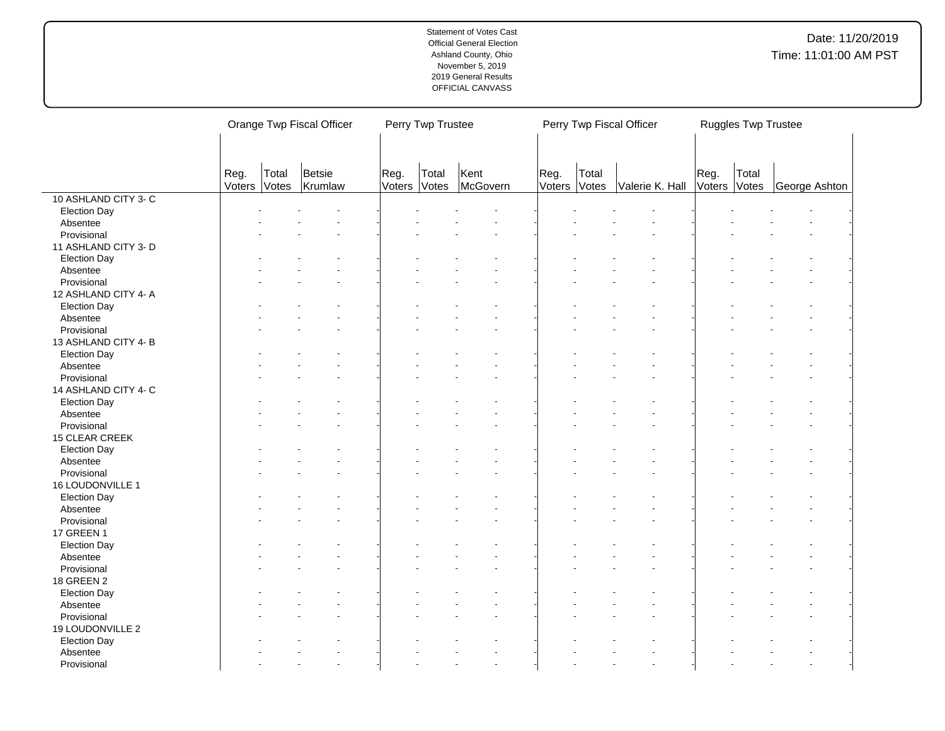|                      |                |                | Orange Twp Fiscal Officer |                | Perry Twp Trustee |                  | Perry Twp Fiscal Officer<br>Ruggles Twp Trustee |                       |                 |                      |       |               |  |
|----------------------|----------------|----------------|---------------------------|----------------|-------------------|------------------|-------------------------------------------------|-----------------------|-----------------|----------------------|-------|---------------|--|
|                      |                |                |                           |                |                   |                  |                                                 |                       |                 |                      |       |               |  |
|                      |                |                |                           |                |                   |                  |                                                 |                       |                 |                      |       |               |  |
|                      | Reg.<br>Voters | Total<br>Votes | Betsie<br>Krumlaw         | Reg.<br>Voters | Total<br>Votes    | Kent<br>McGovern | Reg.                                            | Total<br>Voters Votes | Valerie K. Hall | Reg.<br>Voters Votes | Total | George Ashton |  |
| 10 ASHLAND CITY 3-C  |                |                |                           |                |                   |                  |                                                 |                       |                 |                      |       |               |  |
| <b>Election Day</b>  |                |                |                           |                |                   |                  |                                                 |                       |                 |                      |       |               |  |
| Absentee             |                |                |                           |                |                   |                  |                                                 |                       |                 |                      |       |               |  |
| Provisional          |                |                |                           |                |                   |                  |                                                 |                       |                 |                      |       |               |  |
| 11 ASHLAND CITY 3- D |                |                |                           |                |                   |                  |                                                 |                       |                 |                      |       |               |  |
| <b>Election Day</b>  |                |                |                           |                |                   |                  |                                                 |                       |                 |                      |       |               |  |
| Absentee             |                |                |                           |                |                   |                  |                                                 |                       |                 |                      |       |               |  |
| Provisional          |                |                |                           |                |                   |                  |                                                 |                       |                 |                      |       |               |  |
| 12 ASHLAND CITY 4- A |                |                |                           |                |                   |                  |                                                 |                       |                 |                      |       |               |  |
| <b>Election Day</b>  |                |                |                           |                |                   |                  |                                                 |                       |                 |                      |       |               |  |
| Absentee             |                |                |                           |                |                   |                  |                                                 |                       |                 |                      |       |               |  |
| Provisional          |                |                |                           |                |                   |                  |                                                 |                       |                 |                      |       |               |  |
| 13 ASHLAND CITY 4-B  |                |                |                           |                |                   |                  |                                                 |                       |                 |                      |       |               |  |
| <b>Election Day</b>  |                |                |                           |                |                   |                  |                                                 |                       |                 |                      |       |               |  |
| Absentee             |                |                |                           |                |                   |                  |                                                 |                       |                 |                      |       |               |  |
| Provisional          |                |                |                           |                |                   |                  |                                                 |                       |                 |                      |       |               |  |
| 14 ASHLAND CITY 4- C |                |                |                           |                |                   |                  |                                                 |                       |                 |                      |       |               |  |
| <b>Election Day</b>  |                |                |                           |                |                   |                  |                                                 |                       |                 |                      |       |               |  |
| Absentee             |                |                |                           |                |                   |                  |                                                 |                       |                 |                      |       |               |  |
| Provisional          |                |                |                           |                |                   |                  |                                                 |                       |                 |                      |       |               |  |
| 15 CLEAR CREEK       |                |                |                           |                |                   |                  |                                                 |                       |                 |                      |       |               |  |
| <b>Election Day</b>  |                |                |                           |                |                   |                  |                                                 |                       |                 |                      |       |               |  |
| Absentee             |                |                |                           |                |                   |                  |                                                 |                       |                 |                      |       |               |  |
| Provisional          |                |                |                           |                |                   |                  |                                                 |                       |                 |                      |       |               |  |
| 16 LOUDONVILLE 1     |                |                |                           |                |                   |                  |                                                 |                       |                 |                      |       |               |  |
| <b>Election Day</b>  |                |                |                           |                |                   |                  |                                                 |                       |                 |                      |       |               |  |
| Absentee             |                |                |                           |                |                   |                  |                                                 |                       |                 |                      |       |               |  |
| Provisional          |                |                |                           |                |                   |                  |                                                 |                       |                 |                      |       |               |  |
| 17 GREEN 1           |                |                |                           |                |                   |                  |                                                 |                       |                 |                      |       |               |  |
| <b>Election Day</b>  |                |                |                           |                |                   |                  |                                                 |                       |                 |                      |       |               |  |
| Absentee             |                |                |                           |                |                   |                  |                                                 |                       |                 |                      |       |               |  |
| Provisional          |                |                |                           |                |                   |                  |                                                 |                       |                 |                      |       |               |  |
| 18 GREEN 2           |                |                |                           |                |                   |                  |                                                 |                       |                 |                      |       |               |  |
| <b>Election Day</b>  |                |                |                           |                |                   |                  |                                                 |                       |                 |                      |       |               |  |
| Absentee             |                |                |                           |                |                   |                  |                                                 |                       |                 |                      |       |               |  |
| Provisional          |                |                |                           |                |                   |                  |                                                 |                       |                 |                      |       |               |  |
| 19 LOUDONVILLE 2     |                |                |                           |                |                   |                  |                                                 |                       |                 |                      |       |               |  |
| <b>Election Day</b>  |                |                |                           |                |                   |                  |                                                 |                       |                 |                      |       |               |  |
| Absentee             |                |                |                           |                |                   |                  |                                                 |                       |                 |                      |       |               |  |
| Provisional          |                |                |                           |                |                   |                  |                                                 |                       |                 |                      |       |               |  |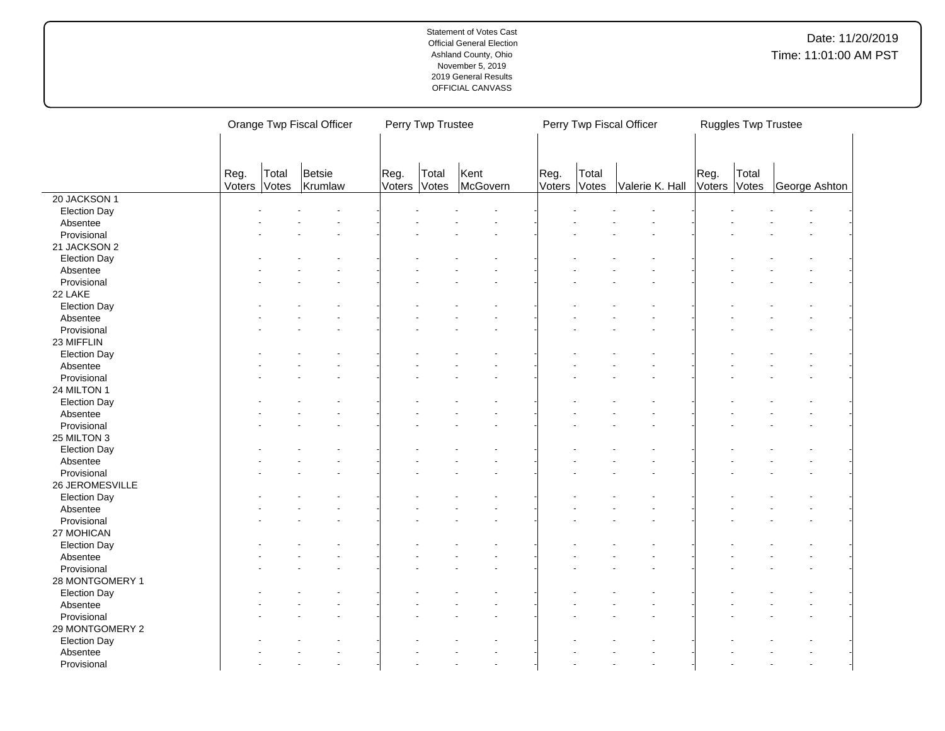|                     | Orange Twp Fiscal Officer |                |                   |                | Perry Twp Trustee |                  | Perry Twp Fiscal Officer<br>Ruggles Twp Trustee |                |                 |                |                |               |
|---------------------|---------------------------|----------------|-------------------|----------------|-------------------|------------------|-------------------------------------------------|----------------|-----------------|----------------|----------------|---------------|
|                     | Reg.<br>Voters            | Total<br>Votes | Betsie<br>Krumlaw | Reg.<br>Voters | Total<br>Votes    | Kent<br>McGovern | Reg.<br>Voters                                  | Total<br>Votes | Valerie K. Hall | Reg.<br>Voters | Total<br>Votes | George Ashton |
| 20 JACKSON 1        |                           |                |                   |                |                   |                  |                                                 |                |                 |                |                |               |
| <b>Election Day</b> |                           |                |                   |                |                   |                  |                                                 |                |                 |                |                |               |
| Absentee            |                           |                |                   |                |                   |                  |                                                 |                |                 |                |                |               |
| Provisional         |                           |                |                   |                |                   |                  |                                                 |                |                 |                |                |               |
| 21 JACKSON 2        |                           |                |                   |                |                   |                  |                                                 |                |                 |                |                |               |
| <b>Election Day</b> |                           |                |                   |                |                   |                  |                                                 |                |                 |                |                |               |
| Absentee            |                           |                |                   |                |                   |                  |                                                 |                |                 |                |                |               |
| Provisional         |                           |                |                   |                |                   |                  |                                                 |                |                 |                |                |               |
| 22 LAKE             |                           |                |                   |                |                   |                  |                                                 |                |                 |                |                |               |
| <b>Election Day</b> |                           |                |                   |                |                   |                  |                                                 |                |                 |                |                |               |
| Absentee            |                           |                |                   |                |                   |                  |                                                 |                |                 |                |                |               |
| Provisional         |                           |                |                   |                |                   |                  |                                                 |                |                 |                |                |               |
| 23 MIFFLIN          |                           |                |                   |                |                   |                  |                                                 |                |                 |                |                |               |
| <b>Election Day</b> |                           |                |                   |                |                   |                  |                                                 |                |                 |                |                |               |
| Absentee            |                           |                |                   |                |                   |                  |                                                 |                |                 |                |                |               |
| Provisional         |                           |                |                   |                |                   |                  |                                                 |                |                 |                |                |               |
| 24 MILTON 1         |                           |                |                   |                |                   |                  |                                                 |                |                 |                |                |               |
| <b>Election Day</b> |                           |                |                   |                |                   |                  |                                                 |                |                 |                |                |               |
| Absentee            |                           |                |                   |                |                   |                  |                                                 |                |                 |                |                |               |
| Provisional         |                           |                |                   |                |                   |                  |                                                 |                |                 |                |                |               |
| 25 MILTON 3         |                           |                |                   |                |                   |                  |                                                 |                |                 |                |                |               |
| <b>Election Day</b> |                           |                |                   |                |                   |                  |                                                 |                |                 |                |                |               |
| Absentee            |                           |                |                   |                |                   |                  |                                                 |                |                 |                |                |               |
| Provisional         |                           |                |                   |                |                   |                  |                                                 |                |                 |                |                |               |
| 26 JEROMESVILLE     |                           |                |                   |                |                   |                  |                                                 |                |                 |                |                |               |
| <b>Election Day</b> |                           |                |                   |                |                   |                  |                                                 |                |                 |                |                |               |
| Absentee            |                           |                |                   |                |                   |                  |                                                 |                |                 |                |                |               |
| Provisional         |                           |                |                   |                |                   |                  |                                                 |                |                 |                |                |               |
| 27 MOHICAN          |                           |                |                   |                |                   |                  |                                                 |                |                 |                |                |               |
| <b>Election Day</b> |                           |                |                   |                |                   |                  |                                                 |                |                 |                |                |               |
| Absentee            |                           |                |                   |                |                   |                  |                                                 |                |                 |                |                |               |
| Provisional         |                           |                |                   |                |                   |                  |                                                 |                |                 |                |                |               |
| 28 MONTGOMERY 1     |                           |                |                   |                |                   |                  |                                                 |                |                 |                |                |               |
| <b>Election Day</b> |                           |                |                   |                |                   |                  |                                                 |                |                 |                |                |               |
| Absentee            |                           |                |                   |                |                   |                  |                                                 |                |                 |                |                |               |
| Provisional         |                           |                |                   |                |                   |                  |                                                 |                |                 |                |                |               |
| 29 MONTGOMERY 2     |                           |                |                   |                |                   |                  |                                                 |                |                 |                |                |               |
| <b>Election Day</b> |                           |                |                   |                |                   |                  |                                                 |                |                 |                |                |               |
| Absentee            |                           |                |                   |                |                   |                  |                                                 |                |                 |                |                |               |
| Provisional         |                           |                |                   |                |                   |                  |                                                 |                |                 |                |                |               |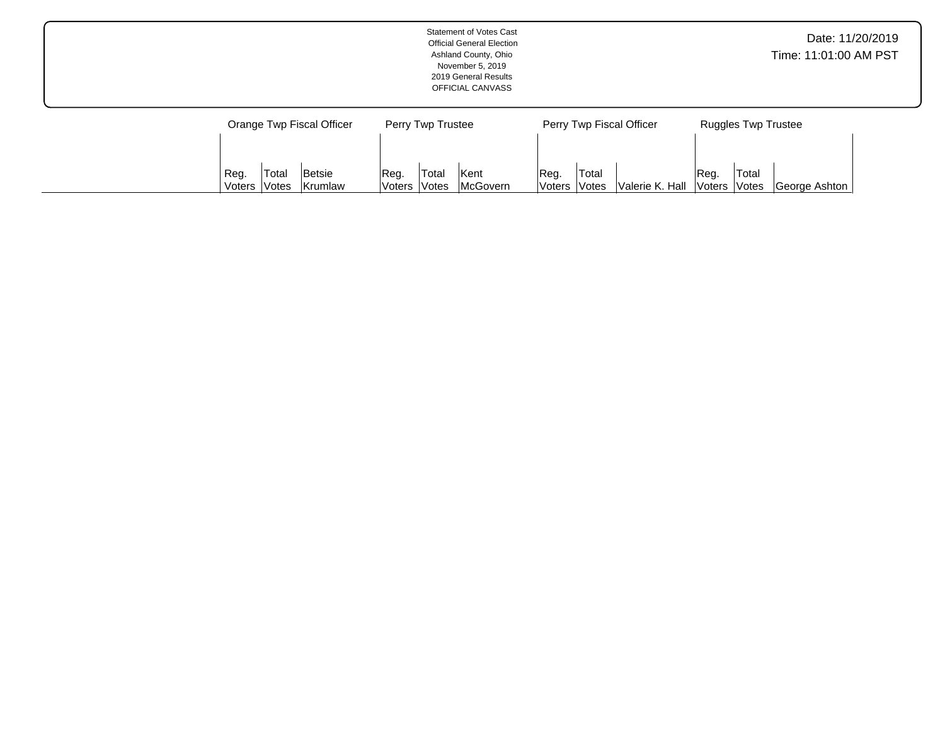|                                                        | <b>Statement of Votes Cast</b><br><b>Official General Election</b><br>Ashland County, Ohio<br>November 5, 2019<br>2019 General Results<br>OFFICIAL CANVASS |                                                            | Date: 11/20/2019<br>Time: 11:01:00 AM PST                |
|--------------------------------------------------------|------------------------------------------------------------------------------------------------------------------------------------------------------------|------------------------------------------------------------|----------------------------------------------------------|
| Orange Twp Fiscal Officer                              | Perry Twp Trustee                                                                                                                                          | Perry Twp Fiscal Officer                                   | <b>Ruggles Twp Trustee</b>                               |
| Total<br>Betsie<br>Reg.<br>Krumlaw<br>⊦Votes<br>Voters | Total<br>Kent<br>Reg.<br>McGovern<br>Voters<br>Votes                                                                                                       | Total<br>Reg.<br>Valerie K. Hall<br><b>Voters</b><br>Votes | Total<br>Reg.<br>George Ashton<br>Voters<br><b>Votes</b> |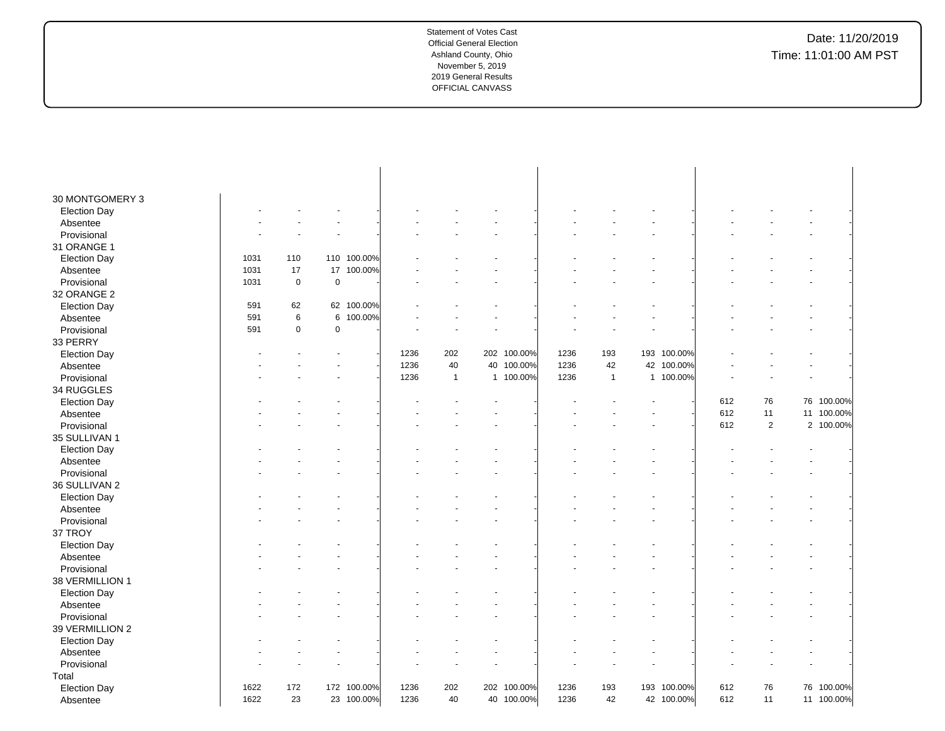| 30 MONTGOMERY 3     |      |             |             |             |      |              |             |      |              |    |             |     |                |            |  |
|---------------------|------|-------------|-------------|-------------|------|--------------|-------------|------|--------------|----|-------------|-----|----------------|------------|--|
| <b>Election Day</b> |      |             |             |             |      |              |             |      |              |    |             |     |                |            |  |
| Absentee            |      |             |             |             |      |              |             |      |              |    |             |     |                |            |  |
| Provisional         |      |             |             |             |      |              |             |      |              |    |             |     |                |            |  |
| 31 ORANGE 1         |      |             |             |             |      |              |             |      |              |    |             |     |                |            |  |
| <b>Election Day</b> | 1031 | 110         |             | 110 100.00% |      |              |             |      |              |    |             |     |                |            |  |
| Absentee            | 1031 | 17          | 17          | 100.00%     |      |              |             |      |              |    |             |     |                |            |  |
| Provisional         | 1031 | $\mathbf 0$ | $\mathsf 0$ |             |      |              |             |      |              |    |             |     |                |            |  |
| 32 ORANGE 2         |      |             |             |             |      |              |             |      |              |    |             |     |                |            |  |
| <b>Election Day</b> | 591  | 62          |             | 62 100.00%  |      |              |             |      |              |    |             |     |                |            |  |
| Absentee            | 591  | $\,6$       | 6           | 100.00%     |      |              |             |      |              |    |             |     |                |            |  |
| Provisional         | 591  | $\mathbf 0$ | $\mathsf 0$ |             |      |              |             |      |              |    |             |     |                |            |  |
| 33 PERRY            |      |             |             |             |      |              |             |      |              |    |             |     |                |            |  |
| <b>Election Day</b> |      |             |             |             | 1236 | 202          | 202 100.00% | 1236 | 193          |    | 193 100.00% |     |                |            |  |
| Absentee            |      |             |             |             | 1236 | 40           | 40 100.00%  | 1236 | 42           | 42 | 100.00%     |     |                |            |  |
| Provisional         |      |             |             |             | 1236 | $\mathbf{1}$ | 1 100.00%   | 1236 | $\mathbf{1}$ |    | 1 100.00%   |     |                |            |  |
| 34 RUGGLES          |      |             |             |             |      |              |             |      |              |    |             |     |                |            |  |
| <b>Election Day</b> |      |             |             |             |      |              |             |      |              |    |             | 612 | 76             | 76 100.00% |  |
| Absentee            |      |             |             |             |      |              |             |      |              |    |             | 612 | 11             | 11 100.00% |  |
| Provisional         |      |             |             |             |      |              |             |      |              |    |             | 612 | $\overline{2}$ | 2 100.00%  |  |
| 35 SULLIVAN 1       |      |             |             |             |      |              |             |      |              |    |             |     |                |            |  |
| <b>Election Day</b> |      |             |             |             |      |              |             |      |              |    |             |     |                |            |  |
| Absentee            |      |             |             |             |      |              |             |      |              |    |             |     |                |            |  |
| Provisional         |      |             |             |             |      |              |             |      |              |    |             |     |                |            |  |
| 36 SULLIVAN 2       |      |             |             |             |      |              |             |      |              |    |             |     |                |            |  |
| <b>Election Day</b> |      |             |             |             |      |              |             |      |              |    |             |     |                |            |  |
| Absentee            |      |             |             |             |      |              |             |      |              |    |             |     |                |            |  |
| Provisional         |      |             |             |             |      |              |             |      |              |    |             |     |                |            |  |
| 37 TROY             |      |             |             |             |      |              |             |      |              |    |             |     |                |            |  |
| <b>Election Day</b> |      |             |             |             |      |              |             |      |              |    |             |     |                |            |  |
| Absentee            |      |             |             |             |      |              |             |      |              |    |             |     |                |            |  |
| Provisional         |      |             |             |             |      |              |             |      |              |    |             |     |                |            |  |
| 38 VERMILLION 1     |      |             |             |             |      |              |             |      |              |    |             |     |                |            |  |
| <b>Election Day</b> |      |             |             |             |      |              |             |      |              |    |             |     |                |            |  |
| Absentee            |      |             |             |             |      |              |             |      |              |    |             |     |                |            |  |
| Provisional         |      |             |             |             |      |              |             |      |              |    |             |     |                |            |  |
| 39 VERMILLION 2     |      |             |             |             |      |              |             |      |              |    |             |     |                |            |  |
| <b>Election Day</b> |      |             |             |             |      |              |             |      |              |    |             |     |                |            |  |
| Absentee            |      |             |             |             |      |              |             |      |              |    |             |     |                |            |  |
| Provisional         |      |             |             |             |      |              |             |      |              |    |             |     |                |            |  |
| Total               |      |             |             |             |      |              |             |      |              |    |             |     |                |            |  |
| <b>Election Day</b> | 1622 | 172         |             | 172 100.00% | 1236 | 202          | 202 100.00% | 1236 | 193          |    | 193 100.00% | 612 | 76             | 76 100.00% |  |
| Absentee            | 1622 | 23          |             | 23 100.00%  | 1236 | 40           | 40 100.00%  | 1236 | 42           |    | 42 100.00%  | 612 | 11             | 11 100.00% |  |
|                     |      |             |             |             |      |              |             |      |              |    |             |     |                |            |  |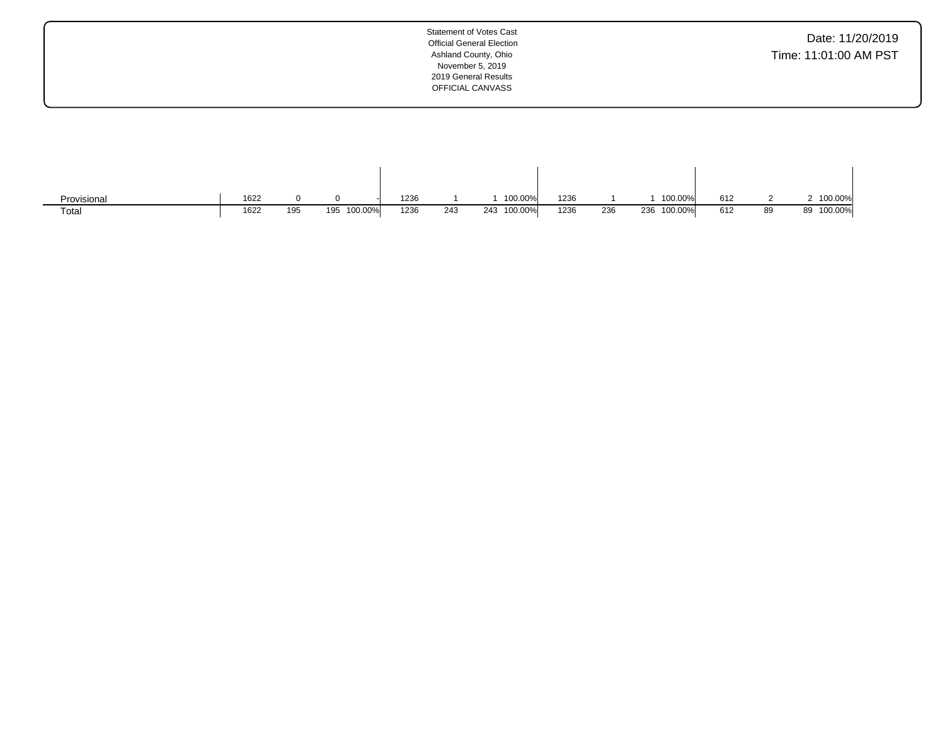| Date: 11/20/2019      |
|-----------------------|
| Time: 11:01:00 AM PST |

| Provisional | 1622 |     |             | 1236 |     | 100.00%        | 1236        |     | 100.00%        | 612 |    | 100.00%       |
|-------------|------|-----|-------------|------|-----|----------------|-------------|-----|----------------|-----|----|---------------|
| Total       | 1622 | 195 | 195 100.00% | 1236 | 243 | 100.00%<br>243 | 1236<br>$-$ | 236 | 100.00%<br>236 | 612 | 89 | 100.00%<br>89 |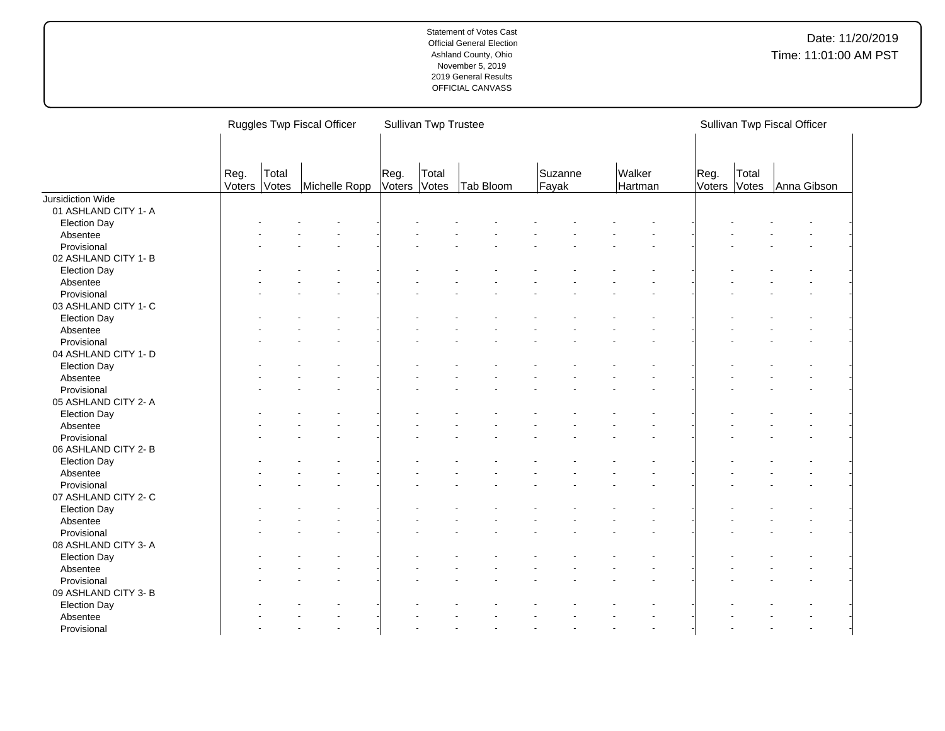|                      |      | Ruggles Twp Fiscal Officer                                  |  |  | Sullivan Twp Trustee |           |                  | Sullivan Twp Fiscal Officer |                |                |             |  |
|----------------------|------|-------------------------------------------------------------|--|--|----------------------|-----------|------------------|-----------------------------|----------------|----------------|-------------|--|
|                      | Reg. | Reg.<br>Total<br>Voters<br>Votes<br>Voters<br>Michelle Ropp |  |  |                      | Tab Bloom | Suzanne<br>Fayak | Walker<br>Hartman           | Reg.<br>Voters | Total<br>Votes | Anna Gibson |  |
| Jursidiction Wide    |      |                                                             |  |  |                      |           |                  |                             |                |                |             |  |
| 01 ASHLAND CITY 1- A |      |                                                             |  |  |                      |           |                  |                             |                |                |             |  |
| <b>Election Day</b>  |      |                                                             |  |  |                      |           |                  |                             |                |                |             |  |
| Absentee             |      |                                                             |  |  |                      |           |                  |                             |                |                |             |  |
| Provisional          |      |                                                             |  |  |                      |           |                  |                             |                |                |             |  |
| 02 ASHLAND CITY 1-B  |      |                                                             |  |  |                      |           |                  |                             |                |                |             |  |
| <b>Election Day</b>  |      |                                                             |  |  |                      |           |                  |                             |                |                |             |  |
| Absentee             |      |                                                             |  |  |                      |           |                  |                             |                |                |             |  |
| Provisional          |      |                                                             |  |  |                      |           |                  |                             |                |                |             |  |
| 03 ASHLAND CITY 1- C |      |                                                             |  |  |                      |           |                  |                             |                |                |             |  |
| <b>Election Day</b>  |      |                                                             |  |  |                      |           |                  |                             |                |                |             |  |
| Absentee             |      |                                                             |  |  |                      |           |                  |                             |                |                |             |  |
| Provisional          |      |                                                             |  |  |                      |           |                  |                             |                |                |             |  |
| 04 ASHLAND CITY 1- D |      |                                                             |  |  |                      |           |                  |                             |                |                |             |  |
| <b>Election Day</b>  |      |                                                             |  |  |                      |           |                  |                             |                |                |             |  |
| Absentee             |      |                                                             |  |  |                      |           |                  |                             |                |                |             |  |
| Provisional          |      |                                                             |  |  |                      |           |                  |                             |                |                |             |  |
| 05 ASHLAND CITY 2- A |      |                                                             |  |  |                      |           |                  |                             |                |                |             |  |
| <b>Election Day</b>  |      |                                                             |  |  |                      |           |                  |                             |                |                |             |  |
| Absentee             |      |                                                             |  |  |                      |           |                  |                             |                |                |             |  |
| Provisional          |      |                                                             |  |  |                      |           |                  |                             |                |                |             |  |
| 06 ASHLAND CITY 2-B  |      |                                                             |  |  |                      |           |                  |                             |                |                |             |  |
| <b>Election Day</b>  |      |                                                             |  |  |                      |           |                  |                             |                |                |             |  |
| Absentee             |      |                                                             |  |  |                      |           |                  |                             |                |                |             |  |
| Provisional          |      |                                                             |  |  |                      |           |                  |                             |                |                |             |  |
| 07 ASHLAND CITY 2- C |      |                                                             |  |  |                      |           |                  |                             |                |                |             |  |
| <b>Election Day</b>  |      |                                                             |  |  |                      |           |                  |                             |                |                |             |  |
| Absentee             |      |                                                             |  |  |                      |           |                  |                             |                |                |             |  |
| Provisional          |      |                                                             |  |  |                      |           |                  |                             |                |                |             |  |
| 08 ASHLAND CITY 3- A |      |                                                             |  |  |                      |           |                  |                             |                |                |             |  |
| <b>Election Day</b>  |      |                                                             |  |  |                      |           |                  |                             |                |                |             |  |
| Absentee             |      |                                                             |  |  |                      |           |                  |                             |                |                |             |  |
| Provisional          |      |                                                             |  |  |                      |           |                  |                             |                |                |             |  |
| 09 ASHLAND CITY 3- B |      |                                                             |  |  |                      |           |                  |                             |                |                |             |  |
|                      |      |                                                             |  |  |                      |           |                  |                             |                |                |             |  |
| <b>Election Day</b>  |      |                                                             |  |  |                      |           |                  |                             |                |                |             |  |
| Absentee             |      |                                                             |  |  |                      |           |                  |                             |                |                |             |  |
| Provisional          |      |                                                             |  |  |                      |           |                  |                             |                |                |             |  |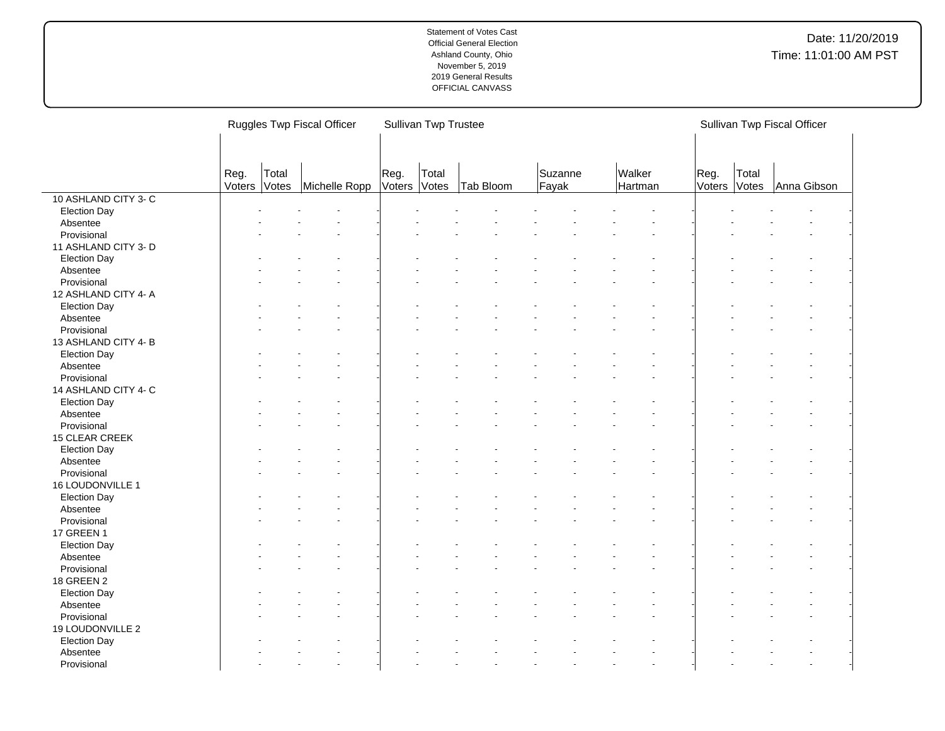|                                 | Ruggles Twp Fiscal Officer |                |               |                | <b>Sullivan Twp Trustee</b> |           |                  | Sullivan Twp Fiscal Officer |                |                |             |  |
|---------------------------------|----------------------------|----------------|---------------|----------------|-----------------------------|-----------|------------------|-----------------------------|----------------|----------------|-------------|--|
|                                 | Reg.<br>Voters             | Total<br>Votes | Michelle Ropp | Reg.<br>Voters | Total<br>Votes              | Tab Bloom | Suzanne<br>Fayak | Walker<br>Hartman           | Reg.<br>Voters | Total<br>Votes | Anna Gibson |  |
| 10 ASHLAND CITY 3-C             |                            |                |               |                |                             |           |                  |                             |                |                |             |  |
| <b>Election Day</b>             |                            |                |               |                |                             |           |                  |                             |                |                |             |  |
| Absentee                        |                            |                |               |                |                             |           |                  |                             |                |                |             |  |
| Provisional                     |                            |                |               |                |                             |           |                  |                             |                |                |             |  |
| 11 ASHLAND CITY 3- D            |                            |                |               |                |                             |           |                  |                             |                |                |             |  |
| <b>Election Day</b>             |                            |                |               |                |                             |           |                  |                             |                |                |             |  |
| Absentee                        |                            |                |               |                |                             |           |                  |                             |                |                |             |  |
| Provisional                     |                            |                |               |                |                             |           |                  |                             |                |                |             |  |
| 12 ASHLAND CITY 4- A            |                            |                |               |                |                             |           |                  |                             |                |                |             |  |
| <b>Election Day</b>             |                            |                |               |                |                             |           |                  |                             |                |                |             |  |
| Absentee                        |                            |                |               |                |                             |           |                  |                             |                |                |             |  |
| Provisional                     |                            |                |               |                |                             |           |                  |                             |                |                |             |  |
| 13 ASHLAND CITY 4-B             |                            |                |               |                |                             |           |                  |                             |                |                |             |  |
| <b>Election Day</b>             |                            |                |               |                |                             |           |                  |                             |                |                |             |  |
| Absentee                        |                            |                |               |                |                             |           |                  |                             |                |                |             |  |
| Provisional                     |                            |                |               |                |                             |           |                  |                             |                |                |             |  |
| 14 ASHLAND CITY 4- C            |                            |                |               |                |                             |           |                  |                             |                |                |             |  |
| <b>Election Day</b>             |                            |                |               |                |                             |           |                  |                             |                |                |             |  |
| Absentee                        |                            |                |               |                |                             |           |                  |                             |                |                |             |  |
| Provisional                     |                            |                |               |                |                             |           |                  |                             |                |                |             |  |
| 15 CLEAR CREEK                  |                            |                |               |                |                             |           |                  |                             |                |                |             |  |
|                                 |                            |                |               |                |                             |           |                  |                             |                |                |             |  |
| <b>Election Day</b><br>Absentee |                            |                |               |                |                             |           |                  |                             |                |                |             |  |
|                                 |                            |                |               |                |                             |           |                  |                             |                |                |             |  |
| Provisional<br>16 LOUDONVILLE 1 |                            |                |               |                |                             |           |                  |                             |                |                |             |  |
|                                 |                            |                |               |                |                             |           |                  |                             |                |                |             |  |
| <b>Election Day</b>             |                            |                |               |                |                             |           |                  |                             |                |                |             |  |
| Absentee<br>Provisional         |                            |                |               |                |                             |           |                  |                             |                |                |             |  |
| 17 GREEN 1                      |                            |                |               |                |                             |           |                  |                             |                |                |             |  |
|                                 |                            |                |               |                |                             |           |                  |                             |                |                |             |  |
| <b>Election Day</b>             |                            |                |               |                |                             |           |                  |                             |                |                |             |  |
| Absentee                        |                            |                |               |                |                             |           |                  |                             |                |                |             |  |
| Provisional                     |                            |                |               |                |                             |           |                  |                             |                |                |             |  |
| 18 GREEN 2                      |                            |                |               |                |                             |           |                  |                             |                |                |             |  |
| <b>Election Day</b>             |                            |                |               |                |                             |           |                  |                             |                |                |             |  |
| Absentee                        |                            |                |               |                |                             |           |                  |                             |                |                |             |  |
| Provisional                     |                            |                |               |                |                             |           |                  |                             |                |                |             |  |
| 19 LOUDONVILLE 2                |                            |                |               |                |                             |           |                  |                             |                |                |             |  |
| <b>Election Day</b>             |                            |                |               |                |                             |           |                  |                             |                |                |             |  |
| Absentee                        |                            |                |               |                |                             |           |                  |                             |                |                |             |  |
| Provisional                     |                            |                |               |                |                             |           |                  |                             |                |                |             |  |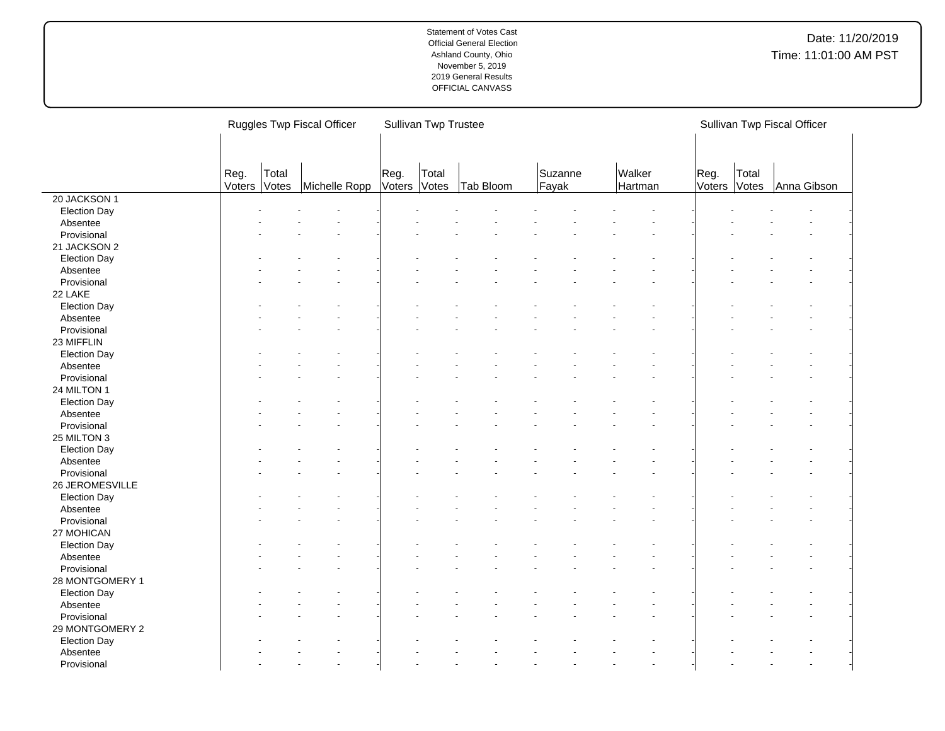|                     |                |                | Ruggles Twp Fiscal Officer |                | Sullivan Twp Trustee |           |                  |                   |                |                | Sullivan Twp Fiscal Officer |  |
|---------------------|----------------|----------------|----------------------------|----------------|----------------------|-----------|------------------|-------------------|----------------|----------------|-----------------------------|--|
|                     | Reg.<br>Voters | Total<br>Votes | Michelle Ropp              | Reg.<br>Voters | Total<br>Votes       | Tab Bloom | Suzanne<br>Fayak | Walker<br>Hartman | Reg.<br>Voters | Total<br>Votes | Anna Gibson                 |  |
| 20 JACKSON 1        |                |                |                            |                |                      |           |                  |                   |                |                |                             |  |
| <b>Election Day</b> |                |                |                            |                |                      |           |                  |                   |                |                |                             |  |
| Absentee            |                |                |                            |                |                      |           |                  |                   |                |                |                             |  |
| Provisional         |                |                |                            |                |                      |           |                  |                   |                |                |                             |  |
| 21 JACKSON 2        |                |                |                            |                |                      |           |                  |                   |                |                |                             |  |
| <b>Election Day</b> |                |                |                            |                |                      |           |                  |                   |                |                |                             |  |
| Absentee            |                |                |                            |                |                      |           |                  |                   |                |                |                             |  |
| Provisional         |                |                |                            |                |                      |           |                  |                   |                |                |                             |  |
| 22 LAKE             |                |                |                            |                |                      |           |                  |                   |                |                |                             |  |
| <b>Election Day</b> |                |                |                            |                |                      |           |                  |                   |                |                |                             |  |
| Absentee            |                |                |                            |                |                      |           |                  |                   |                |                |                             |  |
| Provisional         |                |                |                            |                |                      |           |                  |                   |                |                |                             |  |
| 23 MIFFLIN          |                |                |                            |                |                      |           |                  |                   |                |                |                             |  |
| <b>Election Day</b> |                |                |                            |                |                      |           |                  |                   |                |                |                             |  |
| Absentee            |                |                |                            |                |                      |           |                  |                   |                |                |                             |  |
| Provisional         |                |                |                            |                |                      |           |                  |                   |                |                |                             |  |
| 24 MILTON 1         |                |                |                            |                |                      |           |                  |                   |                |                |                             |  |
|                     |                |                |                            |                |                      |           |                  |                   |                |                |                             |  |
| <b>Election Day</b> |                |                |                            |                |                      |           |                  |                   |                |                |                             |  |
| Absentee            |                |                |                            |                |                      |           |                  |                   |                |                |                             |  |
| Provisional         |                |                |                            |                |                      |           |                  |                   |                |                |                             |  |
| 25 MILTON 3         |                |                |                            |                |                      |           |                  |                   |                |                |                             |  |
| <b>Election Day</b> |                |                |                            |                |                      |           |                  |                   |                |                |                             |  |
| Absentee            |                |                |                            |                |                      |           |                  |                   |                |                |                             |  |
| Provisional         |                |                |                            |                |                      |           |                  |                   |                |                |                             |  |
| 26 JEROMESVILLE     |                |                |                            |                |                      |           |                  |                   |                |                |                             |  |
| <b>Election Day</b> |                |                |                            |                |                      |           |                  |                   |                |                |                             |  |
| Absentee            |                |                |                            |                |                      |           |                  |                   |                |                |                             |  |
| Provisional         |                |                |                            |                |                      |           |                  |                   |                |                |                             |  |
| 27 MOHICAN          |                |                |                            |                |                      |           |                  |                   |                |                |                             |  |
| <b>Election Day</b> |                |                |                            |                |                      |           |                  |                   |                |                |                             |  |
| Absentee            |                |                |                            |                |                      |           |                  |                   |                |                |                             |  |
| Provisional         |                |                |                            |                |                      |           |                  |                   |                |                |                             |  |
| 28 MONTGOMERY 1     |                |                |                            |                |                      |           |                  |                   |                |                |                             |  |
| <b>Election Day</b> |                |                |                            |                |                      |           |                  |                   |                |                |                             |  |
| Absentee            |                |                |                            |                |                      |           |                  |                   |                |                |                             |  |
| Provisional         |                |                |                            |                |                      |           |                  |                   |                |                |                             |  |
| 29 MONTGOMERY 2     |                |                |                            |                |                      |           |                  |                   |                |                |                             |  |
| <b>Election Day</b> |                |                |                            |                |                      |           |                  |                   |                |                |                             |  |
| Absentee            |                |                |                            |                |                      |           |                  |                   |                |                |                             |  |
| Provisional         |                |                |                            |                |                      |           |                  |                   |                |                |                             |  |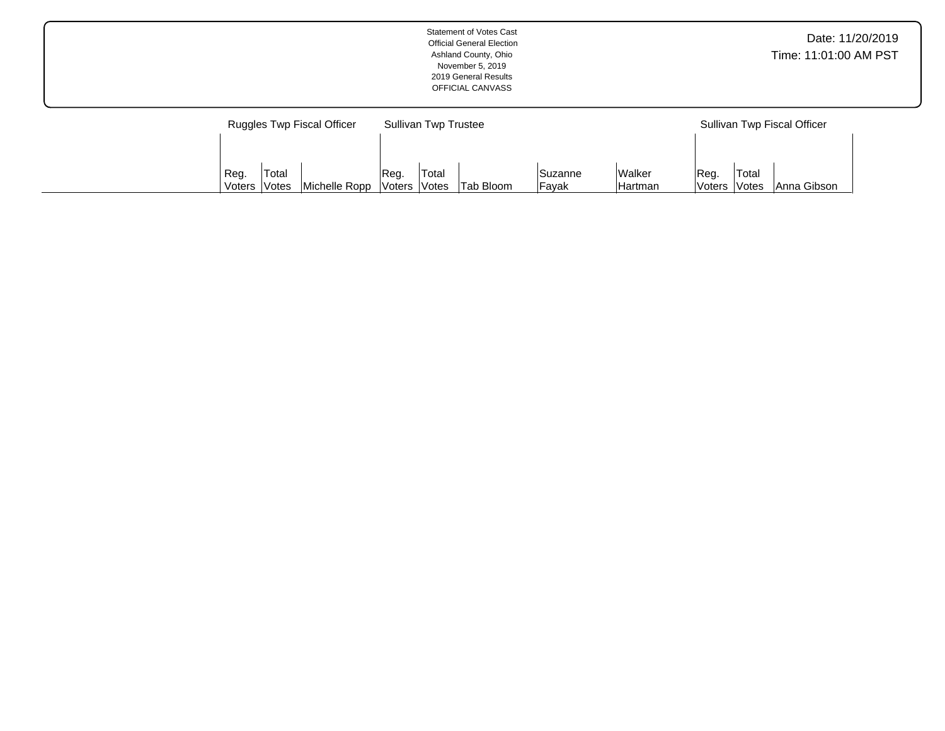|                                   | <b>Statement of Votes Cast</b><br><b>Official General Election</b><br>Ashland County, Ohio<br>November 5, 2019<br>2019 General Results<br>OFFICIAL CANVASS | Date: 11/20/2019<br>Time: 11:01:00 AM PST |
|-----------------------------------|------------------------------------------------------------------------------------------------------------------------------------------------------------|-------------------------------------------|
| <b>Ruggles Twp Fiscal Officer</b> | <b>Sullivan Twp Trustee</b>                                                                                                                                | Sullivan Twp Fiscal Officer               |

Tab Bloom

Suzanne Fayak

Walker Hartman Reg. Voters Total

Anna Gibson

Reg. Voters Total

Votes | Michelle Ropp

Reg. Voters Total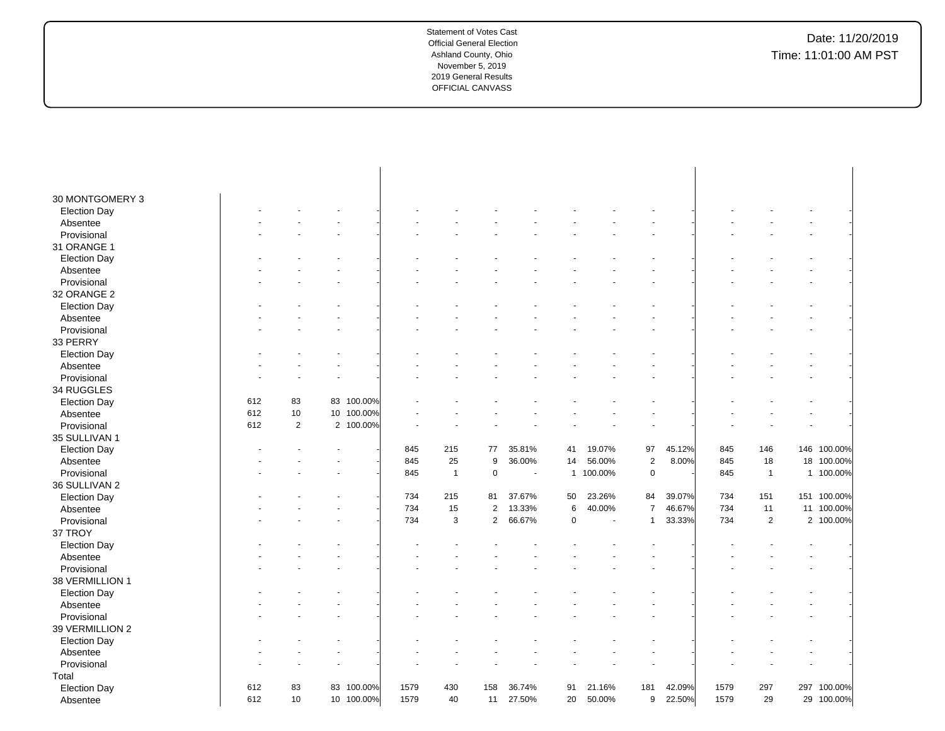| 30 MONTGOMERY 3     |     |    |            |      |                |            |                          |             |           |                |        |      |                |             |
|---------------------|-----|----|------------|------|----------------|------------|--------------------------|-------------|-----------|----------------|--------|------|----------------|-------------|
| <b>Election Day</b> |     |    |            |      |                |            |                          |             |           |                |        |      |                |             |
| Absentee            |     |    |            |      |                |            |                          |             |           |                |        |      |                |             |
| Provisional         |     |    |            |      |                |            |                          |             |           |                |        |      |                |             |
| 31 ORANGE 1         |     |    |            |      |                |            |                          |             |           |                |        |      |                |             |
| <b>Election Day</b> |     |    |            |      |                |            |                          |             |           |                |        |      |                |             |
| Absentee            |     |    |            |      |                |            |                          |             |           |                |        |      |                |             |
| Provisional         |     |    |            |      |                |            |                          |             |           |                |        |      |                |             |
| 32 ORANGE 2         |     |    |            |      |                |            |                          |             |           |                |        |      |                |             |
| <b>Election Day</b> |     |    |            |      |                |            |                          |             |           |                |        |      |                |             |
| Absentee            |     |    |            |      |                |            |                          |             |           |                |        |      |                |             |
| Provisional         |     |    |            |      |                |            |                          |             |           |                |        |      |                |             |
| 33 PERRY            |     |    |            |      |                |            |                          |             |           |                |        |      |                |             |
| <b>Election Day</b> |     |    |            |      |                |            |                          |             |           |                |        |      |                |             |
| Absentee            |     |    |            |      |                |            |                          |             |           |                |        |      |                |             |
| Provisional         |     |    |            |      |                |            |                          |             |           |                |        |      |                |             |
| 34 RUGGLES          |     |    |            |      |                |            |                          |             |           |                |        |      |                |             |
| <b>Election Day</b> | 612 | 83 | 83 100.00% |      |                |            |                          |             |           |                |        |      |                |             |
| Absentee            | 612 | 10 | 10 100.00% |      |                |            |                          |             |           |                |        |      |                |             |
| Provisional         | 612 | 2  | 2 100.00%  |      |                |            |                          |             |           |                |        |      |                |             |
| 35 SULLIVAN 1       |     |    |            |      |                |            |                          |             |           |                |        |      |                |             |
| <b>Election Day</b> |     |    |            | 845  | 215            | 77         | 35.81%                   | 41          | 19.07%    | 97             | 45.12% | 845  | 146            | 146 100.00% |
| Absentee            |     |    |            | 845  | 25             | 9          | 36.00%                   | 14          | 56.00%    | $\sqrt{2}$     | 8.00%  | 845  | 18             | 18 100.00%  |
| Provisional         |     |    |            | 845  | $\overline{1}$ | $\pmb{0}$  | $\overline{\phantom{a}}$ |             | 1 100.00% | $\pmb{0}$      |        | 845  | $\mathbf{1}$   | 1 100.00%   |
| 36 SULLIVAN 2       |     |    |            |      |                |            |                          |             |           |                |        |      |                |             |
| <b>Election Day</b> |     |    |            | 734  | 215            | 81         | 37.67%                   | 50          | 23.26%    | 84             | 39.07% | 734  | 151            | 151 100.00% |
| Absentee            |     |    |            | 734  | 15             | $\sqrt{2}$ | 13.33%                   | 6           | 40.00%    | $\overline{7}$ | 46.67% | 734  | 11             | 11 100.00%  |
| Provisional         |     |    |            | 734  | 3              | $\sqrt{2}$ | 66.67%                   | $\mathbf 0$ |           | $\mathbf{1}$   | 33.33% | 734  | $\overline{2}$ | 2 100.00%   |
| 37 TROY             |     |    |            |      |                |            |                          |             |           |                |        |      |                |             |
| <b>Election Day</b> |     |    |            |      |                |            |                          |             |           |                |        |      |                |             |
| Absentee            |     |    |            |      |                |            |                          |             |           |                |        |      |                |             |
| Provisional         |     |    |            |      |                |            |                          |             |           |                |        |      |                |             |
| 38 VERMILLION 1     |     |    |            |      |                |            |                          |             |           |                |        |      |                |             |
| <b>Election Day</b> |     |    |            |      |                |            |                          |             |           |                |        |      |                |             |
| Absentee            |     |    |            |      |                |            |                          |             |           |                |        |      |                |             |
| Provisional         |     |    |            |      |                |            |                          |             |           |                |        |      |                |             |
| 39 VERMILLION 2     |     |    |            |      |                |            |                          |             |           |                |        |      |                |             |
| <b>Election Day</b> |     |    |            |      |                |            |                          |             |           |                |        |      |                |             |
| Absentee            |     |    |            |      |                |            |                          |             |           |                |        |      |                |             |
| Provisional         |     |    |            |      |                |            |                          |             |           |                |        |      |                |             |
| Total               |     |    |            |      |                |            |                          |             |           |                |        |      |                |             |
| <b>Election Day</b> | 612 | 83 | 83 100.00% | 1579 | 430            | 158        | 36.74%                   | 91          | 21.16%    | 181            | 42.09% | 1579 | 297            | 297 100.00% |
| Absentee            | 612 | 10 | 10 100.00% | 1579 | 40             | 11         | 27.50%                   | 20          | 50.00%    | 9              | 22.50% | 1579 | 29             | 29 100.00%  |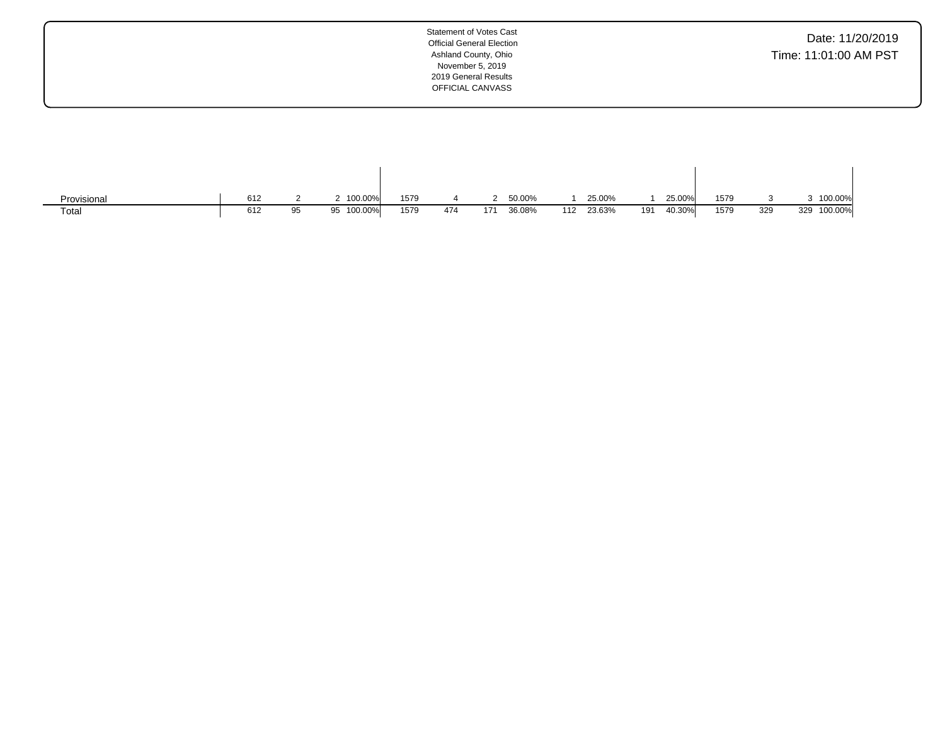| Date: 11/20/2019      |  |  |
|-----------------------|--|--|
| Time: 11:01:00 AM PST |  |  |

| Provisional | 612 |    | 2 100.00%     | 1579 |     |     | 50.00% |     | 25.00% |     | 25.00% | 1579 |     | 100.00%        |
|-------------|-----|----|---------------|------|-----|-----|--------|-----|--------|-----|--------|------|-----|----------------|
| Total       | 612 | 95 | 100.00%<br>95 | 1579 | 474 | 171 | 36.08% | 112 | 23.63% | 191 | 40.30% | 1579 | 329 | 100.00%<br>329 |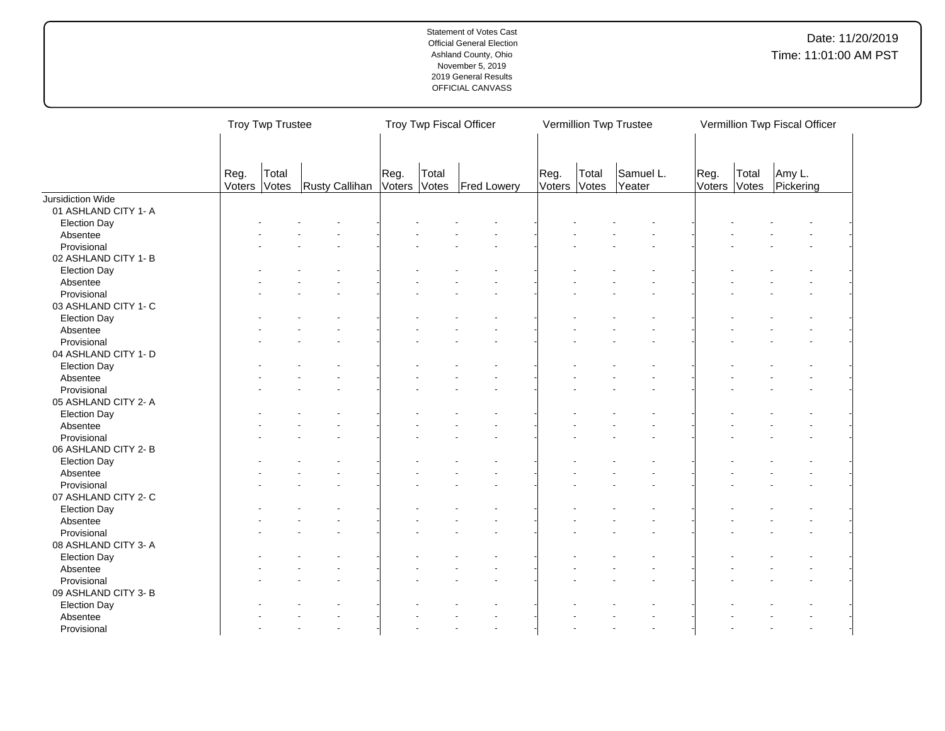|                                     |                | Troy Twp Trustee |                |                |                | Troy Twp Fiscal Officer |                |                | Vermillion Twp Trustee |                |                | Vermillion Twp Fiscal Officer |  |
|-------------------------------------|----------------|------------------|----------------|----------------|----------------|-------------------------|----------------|----------------|------------------------|----------------|----------------|-------------------------------|--|
|                                     | Reg.<br>Voters | Total<br>Votes   | Rusty Callihan | Reg.<br>Voters | Total<br>Votes | <b>Fred Lowery</b>      | Reg.<br>Voters | Total<br>Votes | Samuel L.<br>Yeater    | Reg.<br>Voters | Total<br>Votes | Amy L.<br>Pickering           |  |
| Jursidiction Wide                   |                |                  |                |                |                |                         |                |                |                        |                |                |                               |  |
| 01 ASHLAND CITY 1-A                 |                |                  |                |                |                |                         |                |                |                        |                |                |                               |  |
| <b>Election Day</b>                 |                |                  |                |                |                |                         |                |                |                        |                |                |                               |  |
| Absentee                            |                |                  |                |                |                |                         |                |                |                        |                |                |                               |  |
| Provisional                         |                |                  |                |                |                |                         |                |                |                        |                |                |                               |  |
| 02 ASHLAND CITY 1-B                 |                |                  |                |                |                |                         |                |                |                        |                |                |                               |  |
| <b>Election Day</b>                 |                |                  |                |                |                |                         |                |                |                        |                |                |                               |  |
| Absentee                            |                |                  |                |                |                |                         |                |                |                        |                |                |                               |  |
| Provisional                         |                |                  |                |                |                |                         |                |                |                        |                |                |                               |  |
| 03 ASHLAND CITY 1- C                |                |                  |                |                |                |                         |                |                |                        |                |                |                               |  |
| <b>Election Day</b>                 |                |                  |                |                |                |                         |                |                |                        |                |                |                               |  |
| Absentee                            |                |                  |                |                |                |                         |                |                |                        |                |                |                               |  |
| Provisional                         |                |                  |                |                |                |                         |                |                |                        |                |                |                               |  |
| 04 ASHLAND CITY 1- D                |                |                  |                |                |                |                         |                |                |                        |                |                |                               |  |
| <b>Election Day</b>                 |                |                  |                |                |                |                         |                |                |                        |                |                |                               |  |
| Absentee                            |                |                  |                |                |                |                         |                |                |                        |                |                |                               |  |
| Provisional                         |                |                  |                |                |                |                         |                |                |                        |                |                |                               |  |
| 05 ASHLAND CITY 2- A                |                |                  |                |                |                |                         |                |                |                        |                |                |                               |  |
| <b>Election Day</b>                 |                |                  |                |                |                |                         |                |                |                        |                |                |                               |  |
| Absentee                            |                |                  |                |                |                |                         |                |                |                        |                |                |                               |  |
| Provisional                         |                |                  |                |                |                |                         |                |                |                        |                |                |                               |  |
| 06 ASHLAND CITY 2-B                 |                |                  |                |                |                |                         |                |                |                        |                |                |                               |  |
| <b>Election Day</b>                 |                |                  |                |                |                |                         |                |                |                        |                |                |                               |  |
| Absentee                            |                |                  |                |                |                |                         |                |                |                        |                |                |                               |  |
| Provisional                         |                |                  |                |                |                |                         |                |                |                        |                |                |                               |  |
| 07 ASHLAND CITY 2- C                |                |                  |                |                |                |                         |                |                |                        |                |                |                               |  |
| <b>Election Day</b>                 |                |                  |                |                |                |                         |                |                |                        |                |                |                               |  |
| Absentee                            |                |                  |                |                |                |                         |                |                |                        |                |                |                               |  |
| Provisional                         |                |                  |                |                |                |                         |                |                |                        |                |                |                               |  |
| 08 ASHLAND CITY 3- A                |                |                  |                |                |                |                         |                |                |                        |                |                |                               |  |
| <b>Election Day</b>                 |                |                  |                |                |                |                         |                |                |                        |                |                |                               |  |
| Absentee                            |                |                  |                |                |                |                         |                |                |                        |                |                |                               |  |
|                                     |                |                  |                |                |                |                         |                |                |                        |                |                |                               |  |
| Provisional<br>09 ASHLAND CITY 3- B |                |                  |                |                |                |                         |                |                |                        |                |                |                               |  |
|                                     |                |                  |                |                |                |                         |                |                |                        |                |                |                               |  |
| <b>Election Day</b>                 |                |                  |                |                |                |                         |                |                |                        |                |                |                               |  |
| Absentee                            |                |                  |                |                |                |                         |                |                |                        |                |                |                               |  |
| Provisional                         |                |                  |                |                |                |                         |                |                |                        |                |                |                               |  |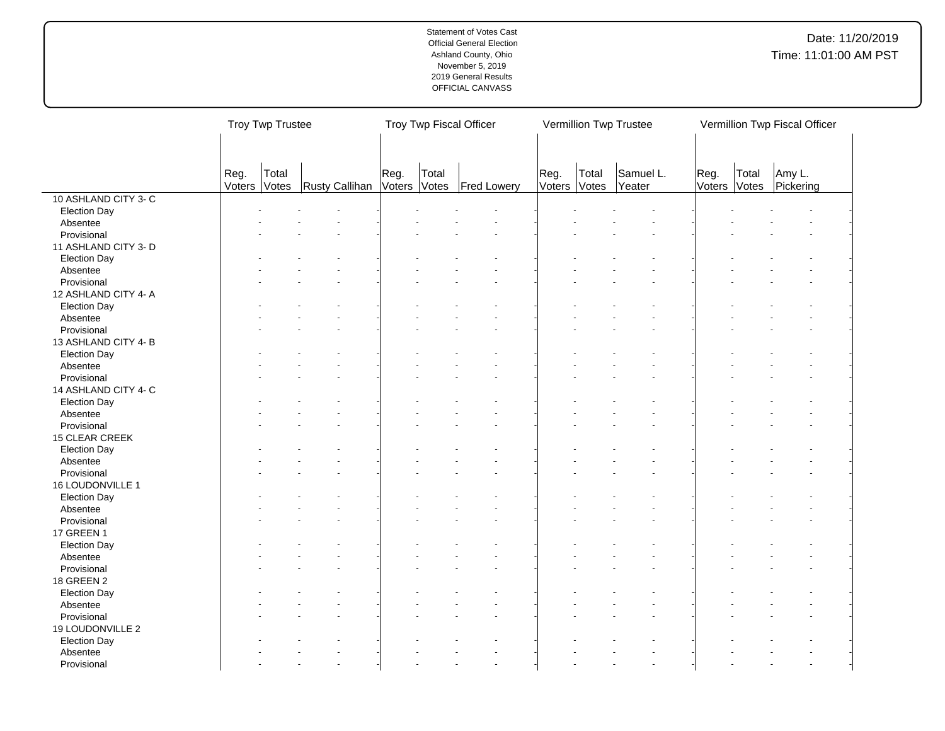|                       |        | <b>Troy Twp Trustee</b> |                |              |       | Troy Twp Fiscal Officer |      |              | Vermillion Twp Trustee |        |       | Vermillion Twp Fiscal Officer |  |
|-----------------------|--------|-------------------------|----------------|--------------|-------|-------------------------|------|--------------|------------------------|--------|-------|-------------------------------|--|
|                       | Reg.   | Total                   |                | Reg.         | Total |                         | Reg. | Total        | Samuel L.              | Reg.   | Total | Amy L.                        |  |
| 10 ASHLAND CITY 3-C   | Voters | Votes                   | Rusty Callihan | Voters Votes |       | Fred Lowery             |      | Voters Votes | Yeater                 | Voters | Votes | Pickering                     |  |
|                       |        |                         |                |              |       |                         |      |              |                        |        |       |                               |  |
| <b>Election Day</b>   |        |                         |                |              |       |                         |      |              |                        |        |       |                               |  |
| Absentee              |        |                         |                |              |       |                         |      |              |                        |        |       |                               |  |
| Provisional           |        |                         |                |              |       |                         |      |              |                        |        |       |                               |  |
| 11 ASHLAND CITY 3- D  |        |                         |                |              |       |                         |      |              |                        |        |       |                               |  |
| <b>Election Day</b>   |        |                         |                |              |       |                         |      |              |                        |        |       |                               |  |
| Absentee              |        |                         |                |              |       |                         |      |              |                        |        |       |                               |  |
| Provisional           |        |                         |                |              |       |                         |      |              |                        |        |       |                               |  |
| 12 ASHLAND CITY 4- A  |        |                         |                |              |       |                         |      |              |                        |        |       |                               |  |
| <b>Election Day</b>   |        |                         |                |              |       |                         |      |              |                        |        |       |                               |  |
| Absentee              |        |                         |                |              |       |                         |      |              |                        |        |       |                               |  |
| Provisional           |        |                         |                |              |       |                         |      |              |                        |        |       |                               |  |
| 13 ASHLAND CITY 4-B   |        |                         |                |              |       |                         |      |              |                        |        |       |                               |  |
| <b>Election Day</b>   |        |                         |                |              |       |                         |      |              |                        |        |       |                               |  |
| Absentee              |        |                         |                |              |       |                         |      |              |                        |        |       |                               |  |
| Provisional           |        |                         |                |              |       |                         |      |              |                        |        |       |                               |  |
| 14 ASHLAND CITY 4- C  |        |                         |                |              |       |                         |      |              |                        |        |       |                               |  |
| Election Day          |        |                         |                |              |       |                         |      |              |                        |        |       |                               |  |
| Absentee              |        |                         |                |              |       |                         |      |              |                        |        |       |                               |  |
| Provisional           |        |                         |                |              |       |                         |      |              |                        |        |       |                               |  |
| <b>15 CLEAR CREEK</b> |        |                         |                |              |       |                         |      |              |                        |        |       |                               |  |
| <b>Election Day</b>   |        |                         |                |              |       |                         |      |              |                        |        |       |                               |  |
| Absentee              |        |                         |                |              |       |                         |      |              |                        |        |       |                               |  |
| Provisional           |        |                         |                |              |       |                         |      |              |                        |        |       |                               |  |
| 16 LOUDONVILLE 1      |        |                         |                |              |       |                         |      |              |                        |        |       |                               |  |
| <b>Election Day</b>   |        |                         |                |              |       |                         |      |              |                        |        |       |                               |  |
| Absentee              |        |                         |                |              |       |                         |      |              |                        |        |       |                               |  |
| Provisional           |        |                         |                |              |       |                         |      |              |                        |        |       |                               |  |
| 17 GREEN 1            |        |                         |                |              |       |                         |      |              |                        |        |       |                               |  |
| <b>Election Day</b>   |        |                         |                |              |       |                         |      |              |                        |        |       |                               |  |
| Absentee              |        |                         |                |              |       |                         |      |              |                        |        |       |                               |  |
| Provisional           |        |                         |                |              |       |                         |      |              |                        |        |       |                               |  |
|                       |        |                         |                |              |       |                         |      |              |                        |        |       |                               |  |
| 18 GREEN 2            |        |                         |                |              |       |                         |      |              |                        |        |       |                               |  |
| <b>Election Day</b>   |        |                         |                |              |       |                         |      |              |                        |        |       |                               |  |
| Absentee              |        |                         |                |              |       |                         |      |              |                        |        |       |                               |  |
| Provisional           |        |                         |                |              |       |                         |      |              |                        |        |       |                               |  |
| 19 LOUDONVILLE 2      |        |                         |                |              |       |                         |      |              |                        |        |       |                               |  |
| <b>Election Day</b>   |        |                         |                |              |       |                         |      |              |                        |        |       |                               |  |
| Absentee              |        |                         |                |              |       |                         |      |              |                        |        |       |                               |  |
| Provisional           |        |                         |                |              |       |                         |      |              |                        |        |       |                               |  |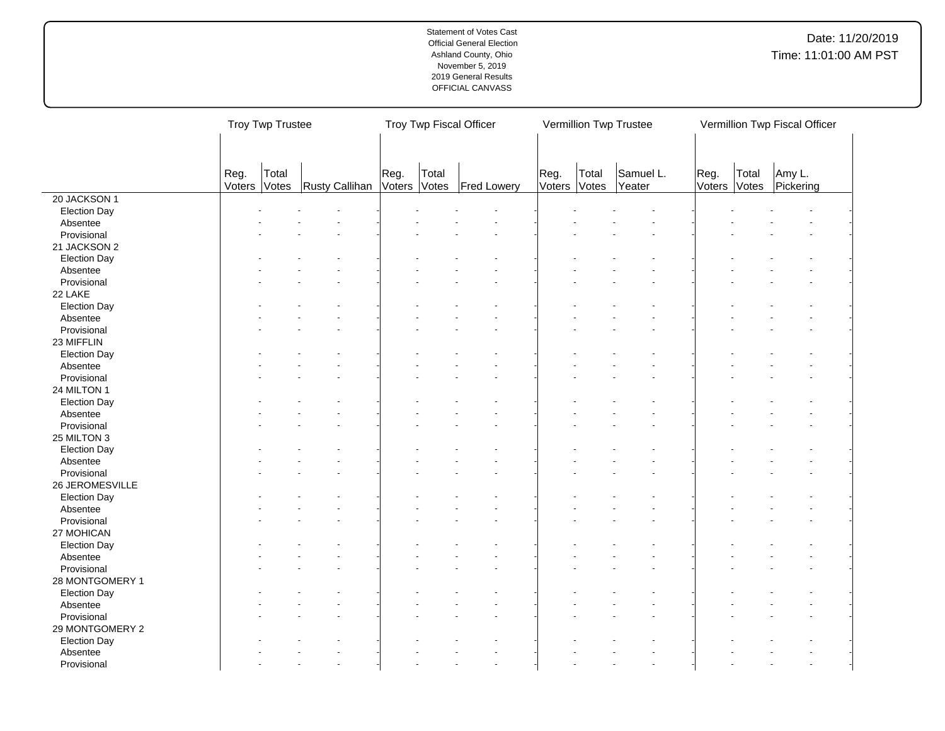|                         |                | Troy Twp Trustee |                |                      |       | Troy Twp Fiscal Officer |      |                       | Vermillion Twp Trustee |                      |       | Vermillion Twp Fiscal Officer |
|-------------------------|----------------|------------------|----------------|----------------------|-------|-------------------------|------|-----------------------|------------------------|----------------------|-------|-------------------------------|
|                         | Reg.<br>Voters | Total<br>Votes   | Rusty Callihan | Reg.<br>Voters Votes | Total | Fred Lowery             | Reg. | Total<br>Voters Votes | Samuel L.<br>Yeater    | Reg.<br>Voters Votes | Total | Amy L.<br>Pickering           |
| 20 JACKSON 1            |                |                  |                |                      |       |                         |      |                       |                        |                      |       |                               |
| <b>Election Day</b>     |                |                  |                |                      |       |                         |      |                       |                        |                      |       |                               |
| Absentee                |                |                  |                |                      |       |                         |      |                       |                        |                      |       |                               |
| Provisional             |                |                  |                |                      |       |                         |      |                       |                        |                      |       |                               |
| 21 JACKSON 2            |                |                  |                |                      |       |                         |      |                       |                        |                      |       |                               |
| <b>Election Day</b>     |                |                  |                |                      |       |                         |      |                       |                        |                      |       |                               |
| Absentee                |                |                  |                |                      |       |                         |      |                       |                        |                      |       |                               |
| Provisional             |                |                  |                |                      |       |                         |      |                       |                        |                      |       |                               |
| 22 LAKE                 |                |                  |                |                      |       |                         |      |                       |                        |                      |       |                               |
| <b>Election Day</b>     |                |                  |                |                      |       |                         |      |                       |                        |                      |       |                               |
| Absentee                |                |                  |                |                      |       |                         |      |                       |                        |                      |       |                               |
| Provisional             |                |                  |                |                      |       |                         |      |                       |                        |                      |       |                               |
| 23 MIFFLIN              |                |                  |                |                      |       |                         |      |                       |                        |                      |       |                               |
| <b>Election Day</b>     |                |                  |                |                      |       |                         |      |                       |                        |                      |       |                               |
| Absentee                |                |                  |                |                      |       |                         |      |                       |                        |                      |       |                               |
| Provisional             |                |                  |                |                      |       |                         |      |                       |                        |                      |       |                               |
| 24 MILTON 1             |                |                  |                |                      |       |                         |      |                       |                        |                      |       |                               |
| <b>Election Day</b>     |                |                  |                |                      |       |                         |      |                       |                        |                      |       |                               |
| Absentee                |                |                  |                |                      |       |                         |      |                       |                        |                      |       |                               |
| Provisional             |                |                  |                |                      |       |                         |      |                       |                        |                      |       |                               |
| 25 MILTON 3             |                |                  |                |                      |       |                         |      |                       |                        |                      |       |                               |
| <b>Election Day</b>     |                |                  |                |                      |       |                         |      |                       |                        |                      |       |                               |
| Absentee                |                |                  |                |                      |       |                         |      |                       |                        |                      |       |                               |
| Provisional             |                |                  |                |                      |       |                         |      |                       |                        |                      |       |                               |
| 26 JEROMESVILLE         |                |                  |                |                      |       |                         |      |                       |                        |                      |       |                               |
| <b>Election Day</b>     |                |                  |                |                      |       |                         |      |                       |                        |                      |       |                               |
|                         |                |                  |                |                      |       |                         |      |                       |                        |                      |       |                               |
| Absentee<br>Provisional |                |                  |                |                      |       |                         |      |                       |                        |                      |       |                               |
| 27 MOHICAN              |                |                  |                |                      |       |                         |      |                       |                        |                      |       |                               |
|                         |                |                  |                |                      |       |                         |      |                       |                        |                      |       |                               |
| <b>Election Day</b>     |                |                  |                |                      |       |                         |      |                       |                        |                      |       |                               |
| Absentee                |                |                  |                |                      |       |                         |      |                       |                        |                      |       |                               |
| Provisional             |                |                  |                |                      |       |                         |      |                       |                        |                      |       |                               |
| 28 MONTGOMERY 1         |                |                  |                |                      |       |                         |      |                       |                        |                      |       |                               |
| <b>Election Day</b>     |                |                  |                |                      |       |                         |      |                       |                        |                      |       |                               |
| Absentee                |                |                  |                |                      |       |                         |      |                       |                        |                      |       |                               |
| Provisional             |                |                  |                |                      |       |                         |      |                       |                        |                      |       |                               |
| 29 MONTGOMERY 2         |                |                  |                |                      |       |                         |      |                       |                        |                      |       |                               |
| <b>Election Day</b>     |                |                  |                |                      |       |                         |      |                       |                        |                      |       |                               |
| Absentee                |                |                  |                |                      |       |                         |      |                       |                        |                      |       |                               |
| Provisional             |                |                  |                |                      |       |                         |      |                       |                        |                      |       |                               |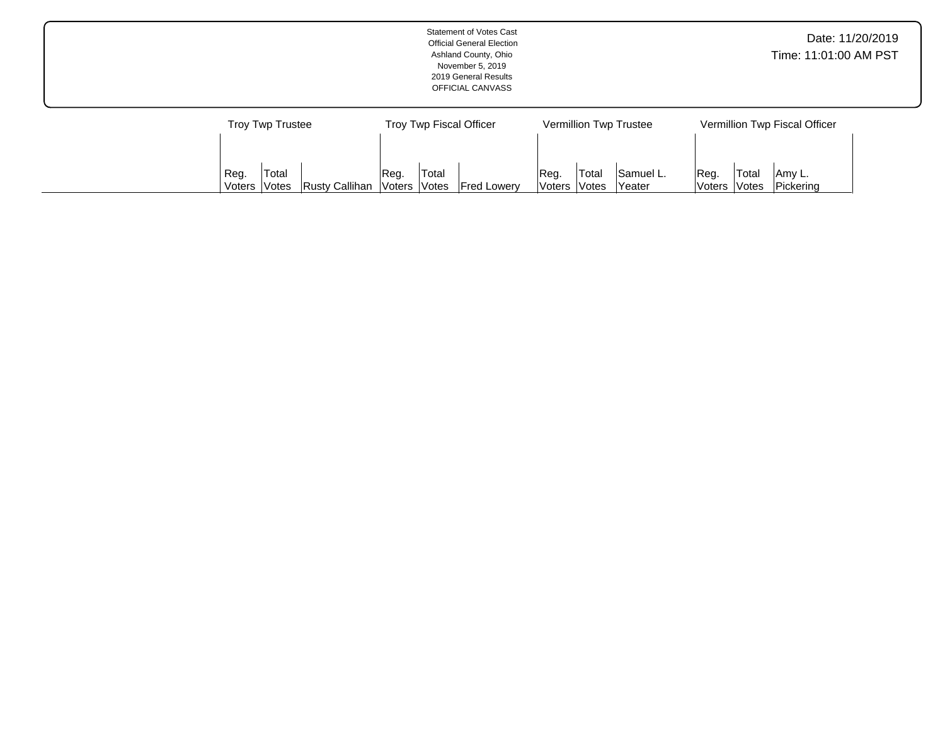|                                                 | <b>Statement of Votes Cast</b><br><b>Official General Election</b><br>Ashland County, Ohio<br>November 5, 2019<br>2019 General Results<br>OFFICIAL CANVASS |                                                       | Date: 11/20/2019<br>Time: 11:01:00 AM PST                 |
|-------------------------------------------------|------------------------------------------------------------------------------------------------------------------------------------------------------------|-------------------------------------------------------|-----------------------------------------------------------|
| <b>Troy Twp Trustee</b><br>Total<br>Reg.        | Troy Twp Fiscal Officer<br>Total<br>Reg.                                                                                                                   | Vermillion Twp Trustee<br>Samuel L.<br>'Total<br>Reg. | Vermillion Twp Fiscal Officer<br>Total<br>Reg.<br> Amy L. |
| <b>Rusty Callihan</b><br><b>Votes</b><br>Voters | <b>Fred Lowery</b><br><b>Votes</b><br>Voters                                                                                                               | Voters<br>Yeater<br><b>Votes</b>                      | Pickering<br>Votes<br> Voters                             |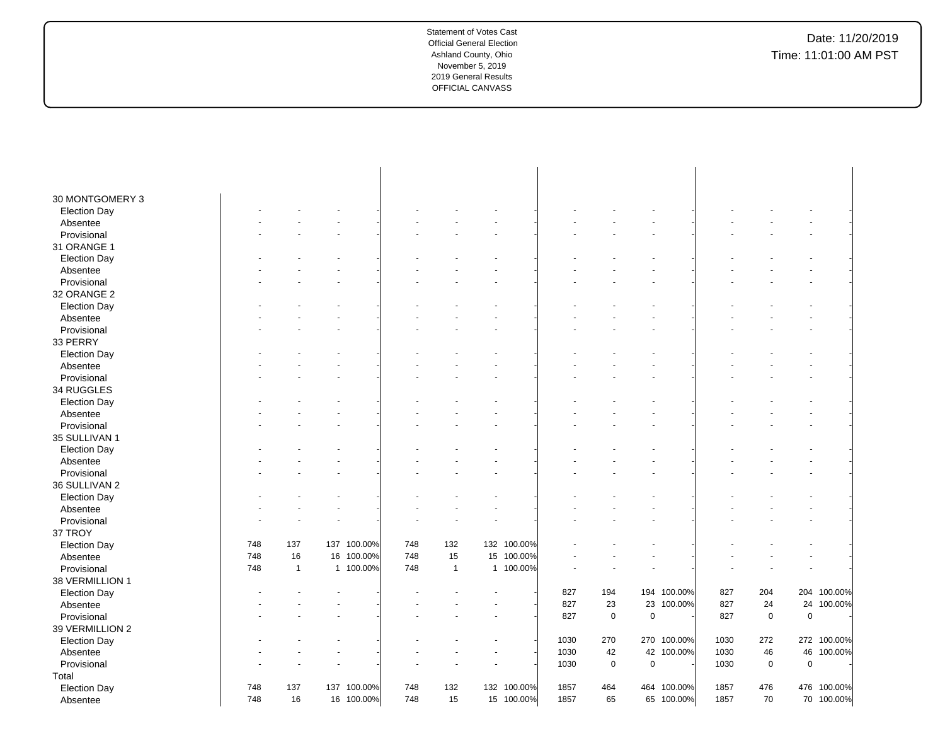| 30 MONTGOMERY 3     |     |                |             |     |              |             |      |             |             |             |      |             |             |             |
|---------------------|-----|----------------|-------------|-----|--------------|-------------|------|-------------|-------------|-------------|------|-------------|-------------|-------------|
| <b>Election Day</b> |     |                |             |     |              |             |      |             |             |             |      |             |             |             |
| Absentee            |     |                |             |     |              |             |      |             |             |             |      |             |             |             |
| Provisional         |     |                |             |     |              |             |      |             |             |             |      |             |             |             |
| 31 ORANGE 1         |     |                |             |     |              |             |      |             |             |             |      |             |             |             |
| <b>Election Day</b> |     |                |             |     |              |             |      |             |             |             |      |             |             |             |
| Absentee            |     |                |             |     |              |             |      |             |             |             |      |             |             |             |
| Provisional         |     |                |             |     |              |             |      |             |             |             |      |             |             |             |
| 32 ORANGE 2         |     |                |             |     |              |             |      |             |             |             |      |             |             |             |
| <b>Election Day</b> |     |                |             |     |              |             |      |             |             |             |      |             |             |             |
| Absentee            |     |                |             |     |              |             |      |             |             |             |      |             |             |             |
| Provisional         |     |                |             |     |              |             |      |             |             |             |      |             |             |             |
| 33 PERRY            |     |                |             |     |              |             |      |             |             |             |      |             |             |             |
| <b>Election Day</b> |     |                |             |     |              |             |      |             |             |             |      |             |             |             |
| Absentee            |     |                |             |     |              |             |      |             |             |             |      |             |             |             |
| Provisional         |     |                |             |     |              |             |      |             |             |             |      |             |             |             |
| 34 RUGGLES          |     |                |             |     |              |             |      |             |             |             |      |             |             |             |
| <b>Election Day</b> |     |                |             |     |              |             |      |             |             |             |      |             |             |             |
| Absentee            |     |                |             |     |              |             |      |             |             |             |      |             |             |             |
| Provisional         |     |                |             |     |              |             |      |             |             |             |      |             |             |             |
| 35 SULLIVAN 1       |     |                |             |     |              |             |      |             |             |             |      |             |             |             |
| <b>Election Day</b> |     |                |             |     |              |             |      |             |             |             |      |             |             |             |
| Absentee            |     |                |             |     |              |             |      |             |             |             |      |             |             |             |
| Provisional         |     |                |             |     |              |             |      |             |             |             |      |             |             |             |
| 36 SULLIVAN 2       |     |                |             |     |              |             |      |             |             |             |      |             |             |             |
| <b>Election Day</b> |     |                |             |     |              |             |      |             |             |             |      |             |             |             |
| Absentee            |     |                |             |     |              |             |      |             |             |             |      |             |             |             |
| Provisional         |     |                |             |     |              |             |      |             |             |             |      |             |             |             |
| 37 TROY             |     |                |             |     |              |             |      |             |             |             |      |             |             |             |
| <b>Election Day</b> | 748 | 137            | 137 100.00% | 748 | 132          | 132 100.00% |      |             |             |             |      |             |             |             |
| Absentee            | 748 | 16             | 16 100.00%  | 748 | 15           | 15 100.00%  |      |             |             |             |      |             |             |             |
| Provisional         | 748 | $\overline{1}$ | 1 100.00%   | 748 | $\mathbf{1}$ | 1 100.00%   |      |             |             |             |      |             |             |             |
| 38 VERMILLION 1     |     |                |             |     |              |             |      |             |             |             |      |             |             |             |
| <b>Election Day</b> |     |                |             |     |              |             | 827  | 194         |             | 194 100.00% | 827  | 204         |             | 204 100.00% |
| Absentee            |     |                |             |     |              |             | 827  | 23          | 23          | 100.00%     | 827  | 24          |             | 24 100.00%  |
| Provisional         |     |                |             |     |              |             | 827  | 0           | $\mathbf 0$ |             | 827  | $\mathbf 0$ | $\mathbf 0$ |             |
| 39 VERMILLION 2     |     |                |             |     |              |             |      |             |             |             |      |             |             |             |
| <b>Election Day</b> |     |                |             |     |              |             | 1030 | 270         | 270         | 100.00%     | 1030 | 272         |             | 272 100.00% |
| Absentee            |     |                |             |     |              |             | 1030 | 42          |             | 42 100.00%  | 1030 | 46          |             | 46 100.00%  |
| Provisional         |     |                |             |     |              |             | 1030 | $\mathsf 0$ | $\pmb{0}$   |             | 1030 | $\pmb{0}$   | $\mathbf 0$ |             |
| Total               |     |                |             |     |              |             |      |             |             |             |      |             |             |             |
| <b>Election Day</b> | 748 | 137            | 137 100.00% | 748 | 132          | 132 100.00% | 1857 | 464         |             | 464 100.00% | 1857 | 476         |             | 476 100.00% |
| Absentee            | 748 | 16             | 16 100.00%  | 748 | 15           | 15 100.00%  | 1857 | 65          |             | 65 100.00%  | 1857 | 70          |             | 70 100.00%  |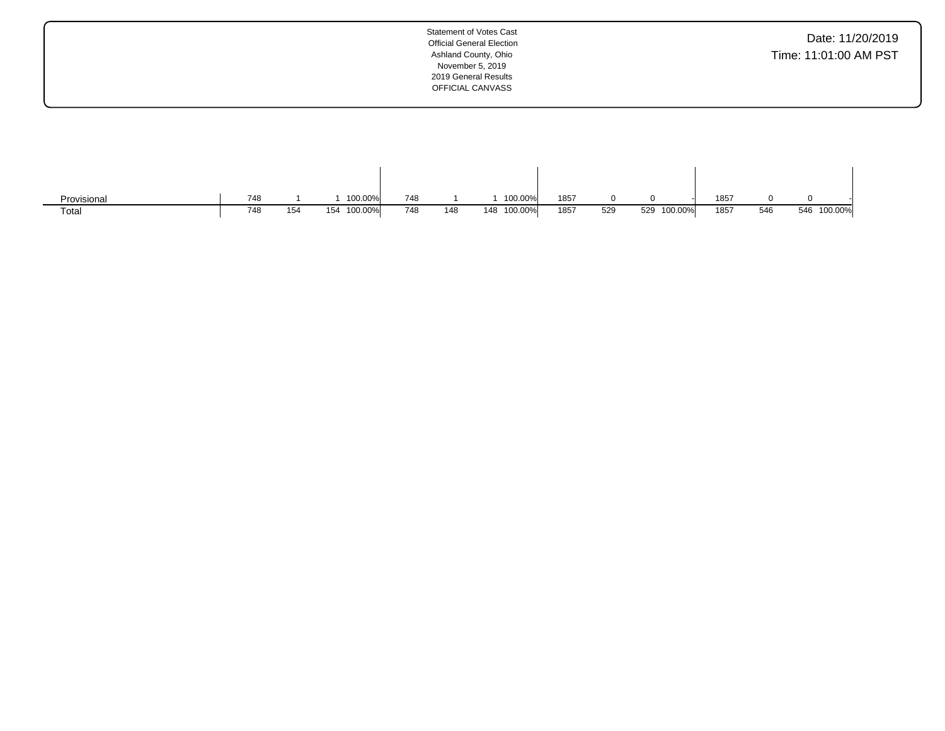| Provisional | 748 |     | 100.00%     | 748 |     | 100.00%        | 1857 |     |                | 1857 |     |                |  |
|-------------|-----|-----|-------------|-----|-----|----------------|------|-----|----------------|------|-----|----------------|--|
| Total       | 748 | 154 | 154 100.00% | 748 | 148 | 100.00%<br>148 | 1857 | 529 | 100.00%<br>529 | 1857 | 546 | 100.00%<br>546 |  |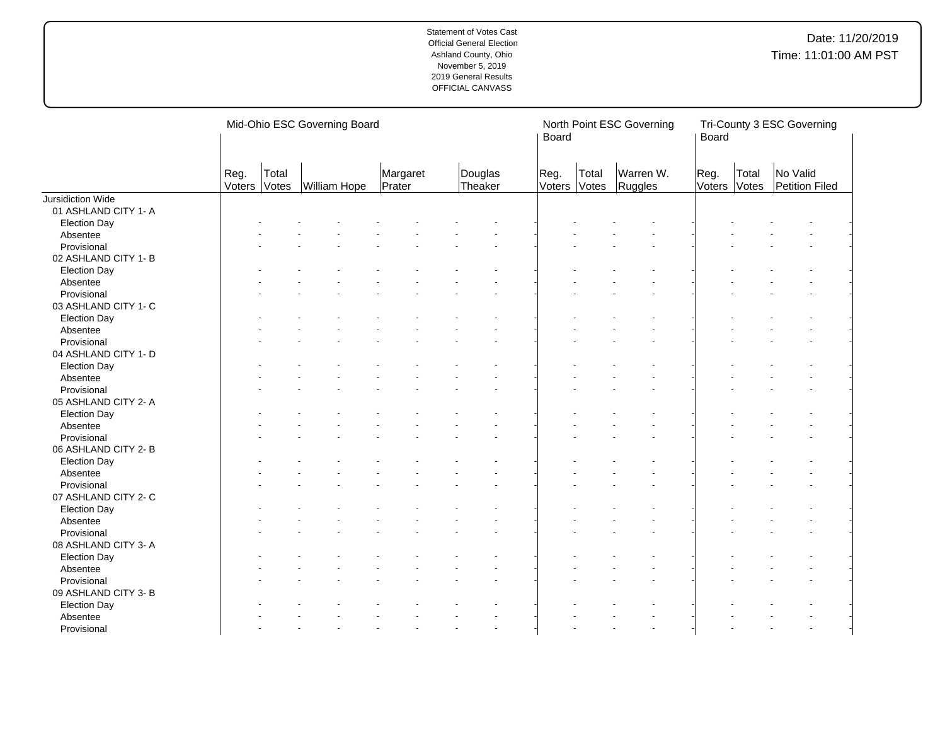|                      |                |                | Mid-Ohio ESC Governing Board |                    |                    | Board          |                | North Point ESC Governing | Board          |                | Tri-County 3 ESC Governing |
|----------------------|----------------|----------------|------------------------------|--------------------|--------------------|----------------|----------------|---------------------------|----------------|----------------|----------------------------|
|                      | Reg.<br>Voters | Total<br>Votes | William Hope                 | Margaret<br>Prater | Douglas<br>Theaker | Reg.<br>Voters | Total<br>Votes | Warren W.<br>Ruggles      | Reg.<br>Voters | Total<br>Votes | No Valid<br>Petition Filed |
| Jursidiction Wide    |                |                |                              |                    |                    |                |                |                           |                |                |                            |
| 01 ASHLAND CITY 1- A |                |                |                              |                    |                    |                |                |                           |                |                |                            |
| <b>Election Day</b>  |                |                |                              |                    |                    |                |                |                           |                |                |                            |
| Absentee             |                |                |                              |                    |                    |                |                |                           |                |                |                            |
| Provisional          |                |                |                              |                    |                    |                |                |                           |                |                |                            |
| 02 ASHLAND CITY 1- B |                |                |                              |                    |                    |                |                |                           |                |                |                            |
| <b>Election Day</b>  |                |                |                              |                    |                    |                |                |                           |                |                |                            |
| Absentee             |                |                |                              |                    |                    |                |                |                           |                |                |                            |
| Provisional          |                |                |                              |                    |                    |                |                |                           |                |                |                            |
| 03 ASHLAND CITY 1- C |                |                |                              |                    |                    |                |                |                           |                |                |                            |
| <b>Election Day</b>  |                |                |                              |                    |                    |                |                |                           |                |                |                            |
| Absentee             |                |                |                              |                    |                    |                |                |                           |                |                |                            |
| Provisional          |                |                |                              |                    |                    |                |                |                           |                |                |                            |
| 04 ASHLAND CITY 1- D |                |                |                              |                    |                    |                |                |                           |                |                |                            |
| <b>Election Day</b>  |                |                |                              |                    |                    |                |                |                           |                |                |                            |
| Absentee             |                |                |                              |                    |                    |                |                |                           |                |                |                            |
| Provisional          |                |                |                              |                    |                    |                |                |                           |                |                |                            |
| 05 ASHLAND CITY 2- A |                |                |                              |                    |                    |                |                |                           |                |                |                            |
| <b>Election Day</b>  |                |                |                              |                    |                    |                |                |                           |                |                |                            |
| Absentee             |                |                |                              |                    |                    |                |                |                           |                |                |                            |
| Provisional          |                |                |                              |                    |                    |                |                |                           |                |                |                            |
| 06 ASHLAND CITY 2-B  |                |                |                              |                    |                    |                |                |                           |                |                |                            |
| <b>Election Day</b>  |                |                |                              |                    |                    |                |                |                           |                |                |                            |
| Absentee             |                |                |                              |                    |                    |                |                |                           |                |                |                            |
| Provisional          |                |                |                              |                    |                    |                |                |                           |                |                |                            |
| 07 ASHLAND CITY 2- C |                |                |                              |                    |                    |                |                |                           |                |                |                            |
| <b>Election Day</b>  |                |                |                              |                    |                    |                |                |                           |                |                |                            |
| Absentee             |                |                |                              |                    |                    |                |                |                           |                |                |                            |
| Provisional          |                |                |                              |                    |                    |                |                |                           |                |                |                            |
| 08 ASHLAND CITY 3- A |                |                |                              |                    |                    |                |                |                           |                |                |                            |
| <b>Election Day</b>  |                |                |                              |                    |                    |                |                |                           |                |                |                            |
| Absentee             |                |                |                              |                    |                    |                |                |                           |                |                |                            |
| Provisional          |                |                |                              |                    |                    |                |                |                           |                |                |                            |
| 09 ASHLAND CITY 3- B |                |                |                              |                    |                    |                |                |                           |                |                |                            |
|                      |                |                |                              |                    |                    |                |                |                           |                |                |                            |
| <b>Election Day</b>  |                |                |                              |                    |                    |                |                |                           |                |                |                            |
| Absentee             |                |                |                              |                    |                    |                |                |                           |                |                |                            |
| Provisional          |                |                |                              |                    |                    |                |                |                           |                |                |                            |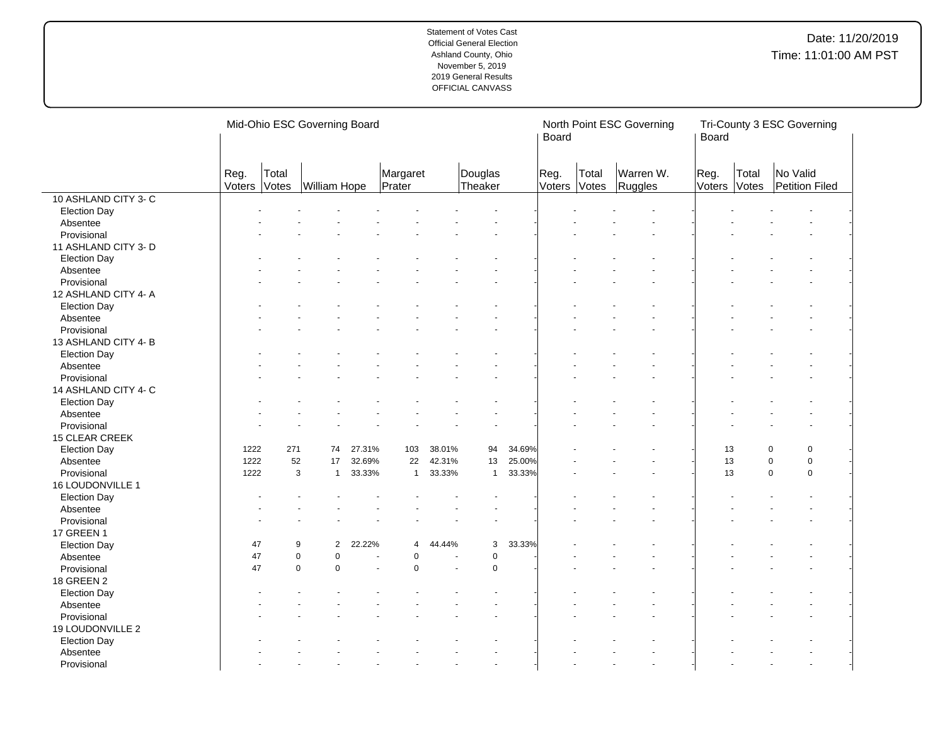|                       |                |                | Mid-Ohio ESC Governing Board |        |                    |        |                    |        | Board          |                | North Point ESC Governing | Board          |                | Tri-County 3 ESC Governing |  |
|-----------------------|----------------|----------------|------------------------------|--------|--------------------|--------|--------------------|--------|----------------|----------------|---------------------------|----------------|----------------|----------------------------|--|
|                       | Reg.<br>Voters | Total<br>Votes | William Hope                 |        | Margaret<br>Prater |        | Douglas<br>Theaker |        | Reg.<br>Voters | Total<br>Votes | Warren W.<br>Ruggles      | Reg.<br>Voters | Total<br>Votes | No Valid<br>Petition Filed |  |
| 10 ASHLAND CITY 3- C  |                |                |                              |        |                    |        |                    |        |                |                |                           |                |                |                            |  |
| <b>Election Day</b>   |                |                |                              |        |                    |        |                    |        |                |                |                           |                |                |                            |  |
| Absentee              |                |                |                              |        |                    |        |                    |        |                |                |                           |                |                |                            |  |
| Provisional           |                |                |                              |        |                    |        |                    |        |                |                |                           |                |                |                            |  |
| 11 ASHLAND CITY 3- D  |                |                |                              |        |                    |        |                    |        |                |                |                           |                |                |                            |  |
| <b>Election Day</b>   |                |                |                              |        |                    |        |                    |        |                |                |                           |                |                |                            |  |
| Absentee              |                |                |                              |        |                    |        |                    |        |                |                |                           |                |                |                            |  |
| Provisional           |                |                |                              |        |                    |        |                    |        |                |                |                           |                |                |                            |  |
| 12 ASHLAND CITY 4- A  |                |                |                              |        |                    |        |                    |        |                |                |                           |                |                |                            |  |
| <b>Election Day</b>   |                |                |                              |        |                    |        |                    |        |                |                |                           |                |                |                            |  |
| Absentee              |                |                |                              |        |                    |        |                    |        |                |                |                           |                |                |                            |  |
| Provisional           |                |                |                              |        |                    |        |                    |        |                |                |                           |                |                |                            |  |
| 13 ASHLAND CITY 4-B   |                |                |                              |        |                    |        |                    |        |                |                |                           |                |                |                            |  |
| <b>Election Day</b>   |                |                |                              |        |                    |        |                    |        |                |                |                           |                |                |                            |  |
| Absentee              |                |                |                              |        |                    |        |                    |        |                |                |                           |                |                |                            |  |
| Provisional           |                |                |                              |        |                    |        |                    |        |                |                |                           |                |                |                            |  |
| 14 ASHLAND CITY 4- C  |                |                |                              |        |                    |        |                    |        |                |                |                           |                |                |                            |  |
| <b>Election Day</b>   |                |                |                              |        |                    |        |                    |        |                |                |                           |                |                |                            |  |
| Absentee              |                |                |                              |        |                    |        |                    |        |                |                |                           |                |                |                            |  |
| Provisional           |                |                |                              |        |                    |        |                    |        |                |                |                           |                |                |                            |  |
| <b>15 CLEAR CREEK</b> |                |                |                              |        |                    |        |                    |        |                |                |                           |                |                |                            |  |
| <b>Election Day</b>   | 1222           | 271            | 74                           | 27.31% | 103                | 38.01% | 94                 | 34.69% |                |                |                           |                | 13             | $\mathbf 0$<br>0           |  |
| Absentee              | 1222           | 52             | 17                           | 32.69% | 22                 | 42.31% | 13                 | 25.00% |                |                |                           |                | 13             | $\mathbf 0$<br>$\mathbf 0$ |  |
| Provisional           | 1222           |                | 3<br>$\mathbf{1}$            | 33.33% | $\mathbf{1}$       | 33.33% | $\mathbf{1}$       | 33.33% |                |                |                           |                | 13             | $\mathbf 0$<br>$\mathbf 0$ |  |
| 16 LOUDONVILLE 1      |                |                |                              |        |                    |        |                    |        |                |                |                           |                |                |                            |  |
| <b>Election Day</b>   |                |                |                              |        |                    |        |                    |        |                |                |                           |                |                |                            |  |
| Absentee              |                |                |                              |        |                    |        |                    |        |                |                |                           |                |                |                            |  |
| Provisional           |                |                |                              |        |                    |        |                    |        |                |                |                           |                |                |                            |  |
| 17 GREEN 1            |                |                |                              |        |                    |        |                    |        |                |                |                           |                |                |                            |  |
| <b>Election Day</b>   | 47             |                | 9<br>$\mathbf{2}^{\prime}$   | 22.22% | $\overline{4}$     | 44.44% | 3                  | 33.33% |                |                |                           |                |                |                            |  |
| Absentee              | 47             |                | $\mathbf 0$<br>$\mathsf 0$   |        | $\pmb{0}$          |        | $\mathbf 0$        |        |                |                |                           |                |                |                            |  |
| Provisional           | 47             |                | $\mathbf 0$<br>$\mathbf 0$   |        | $\pmb{0}$          |        | $\mathbf 0$        |        |                |                |                           |                |                |                            |  |
| 18 GREEN 2            |                |                |                              |        |                    |        |                    |        |                |                |                           |                |                |                            |  |
| <b>Election Day</b>   |                |                |                              |        |                    |        |                    |        |                |                |                           |                |                |                            |  |
| Absentee              |                |                |                              |        |                    |        |                    |        |                |                |                           |                |                |                            |  |
| Provisional           |                |                |                              |        |                    |        |                    |        |                |                |                           |                |                |                            |  |
| 19 LOUDONVILLE 2      |                |                |                              |        |                    |        |                    |        |                |                |                           |                |                |                            |  |
| <b>Election Day</b>   |                |                |                              |        |                    |        |                    |        |                |                |                           |                |                |                            |  |
| Absentee              |                |                |                              |        |                    |        |                    |        |                |                |                           |                |                |                            |  |
| Provisional           |                |                |                              |        |                    |        |                    |        |                |                |                           |                |                |                            |  |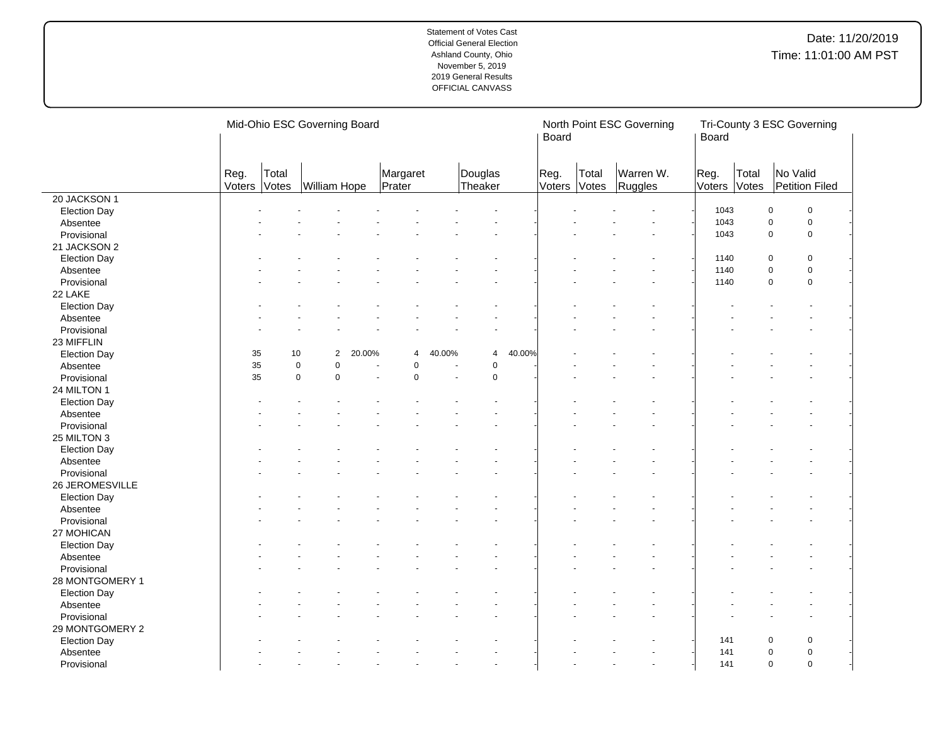|                         |                |                | Mid-Ohio ESC Governing Board |                |                    |        |                    |        | Board          |                | North Point ESC Governing | Board          |                | Tri-County 3 ESC Governing |             |
|-------------------------|----------------|----------------|------------------------------|----------------|--------------------|--------|--------------------|--------|----------------|----------------|---------------------------|----------------|----------------|----------------------------|-------------|
|                         | Reg.<br>Voters | Total<br>Votes | William Hope                 |                | Margaret<br>Prater |        | Douglas<br>Theaker |        | Reg.<br>Voters | Total<br>Votes | Warren W.<br>Ruggles      | Reg.<br>Voters | Total<br>Votes | No Valid<br>Petition Filed |             |
| 20 JACKSON 1            |                |                |                              |                |                    |        |                    |        |                |                |                           |                |                |                            |             |
| <b>Election Day</b>     |                |                |                              |                |                    |        |                    |        |                |                |                           | 1043           |                | $\pmb{0}$                  | $\pmb{0}$   |
| Absentee                |                |                |                              |                |                    |        |                    |        |                |                |                           | 1043           |                | $\pmb{0}$                  | $\pmb{0}$   |
| Provisional             |                |                |                              |                |                    |        |                    |        |                |                |                           | 1043           |                | $\pmb{0}$                  | $\mathsf 0$ |
| 21 JACKSON 2            |                |                |                              |                |                    |        |                    |        |                |                |                           |                |                |                            |             |
| <b>Election Day</b>     |                |                |                              |                |                    |        |                    |        |                |                |                           | 1140           |                | 0                          | $\mathbf 0$ |
| Absentee                |                |                |                              |                |                    |        |                    |        |                |                |                           | 1140           |                | $\mathbf 0$                | $\mathsf 0$ |
| Provisional             |                |                |                              |                |                    |        |                    |        |                |                |                           | 1140           |                | $\mathbf 0$                | $\mathbf 0$ |
| 22 LAKE                 |                |                |                              |                |                    |        |                    |        |                |                |                           |                |                |                            |             |
| <b>Election Day</b>     |                |                |                              |                |                    |        |                    |        |                |                |                           |                |                |                            |             |
| Absentee                |                |                |                              |                |                    |        |                    |        |                |                |                           |                |                |                            |             |
| Provisional             |                |                |                              |                |                    |        |                    |        |                |                |                           |                |                |                            |             |
| 23 MIFFLIN              |                |                |                              |                |                    |        |                    |        |                |                |                           |                |                |                            |             |
| <b>Election Day</b>     | 35             | 10             | $\overline{2}$               | 20.00%         | $\overline{4}$     | 40.00% | $\overline{4}$     | 40.00% |                |                |                           |                |                |                            |             |
| Absentee                | 35             |                | $\mathsf 0$<br>$\mathbf 0$   |                | $\mathbf 0$        |        | $\pmb{0}$          |        |                |                |                           |                |                |                            |             |
| Provisional             | 35             |                | $\mathbf 0$<br>$\mathsf 0$   | $\overline{a}$ | $\pmb{0}$          | ÷.     | $\pmb{0}$          |        |                |                |                           |                |                |                            |             |
| 24 MILTON 1             |                |                |                              |                |                    |        |                    |        |                |                |                           |                |                |                            |             |
| <b>Election Day</b>     |                |                |                              |                |                    |        |                    |        |                |                |                           |                |                |                            |             |
| Absentee                |                |                |                              |                |                    |        |                    |        |                |                |                           |                |                |                            |             |
| Provisional             |                |                |                              |                |                    |        |                    |        |                |                |                           |                |                |                            |             |
| 25 MILTON 3             |                |                |                              |                |                    |        |                    |        |                |                |                           |                |                |                            |             |
| <b>Election Day</b>     |                |                |                              |                |                    |        |                    |        |                |                |                           |                |                |                            |             |
| Absentee                |                |                |                              |                |                    |        |                    |        |                |                |                           |                |                |                            |             |
| Provisional             |                |                |                              |                |                    |        |                    |        |                |                |                           |                |                |                            |             |
| 26 JEROMESVILLE         |                |                |                              |                |                    |        |                    |        |                |                |                           |                |                |                            |             |
| <b>Election Day</b>     |                |                |                              |                |                    |        |                    |        |                |                |                           |                |                |                            |             |
| Absentee                |                |                |                              |                |                    |        |                    |        |                |                |                           |                |                |                            |             |
| Provisional             |                |                |                              |                |                    |        |                    |        |                |                |                           |                |                |                            |             |
| 27 MOHICAN              |                |                |                              |                |                    |        |                    |        |                |                |                           |                |                |                            |             |
| <b>Election Day</b>     |                |                |                              |                |                    |        |                    |        |                |                |                           |                |                |                            |             |
| Absentee                |                |                |                              |                |                    |        |                    |        |                |                |                           |                |                |                            |             |
| Provisional             |                |                |                              |                |                    |        |                    |        |                |                |                           |                |                |                            |             |
| 28 MONTGOMERY 1         |                |                |                              |                |                    |        |                    |        |                |                |                           |                |                |                            |             |
| <b>Election Day</b>     |                |                |                              |                |                    |        |                    |        |                |                |                           |                |                |                            |             |
| Absentee                |                |                |                              |                |                    |        |                    |        |                |                |                           |                |                |                            |             |
| Provisional             |                |                |                              |                |                    |        |                    |        |                |                |                           |                |                |                            |             |
| 29 MONTGOMERY 2         |                |                |                              |                |                    |        |                    |        |                |                |                           |                |                |                            |             |
|                         |                |                |                              |                |                    |        |                    |        |                |                |                           | 141            |                | $\Omega$                   | $\pmb{0}$   |
| <b>Election Day</b>     |                |                |                              |                |                    |        |                    |        |                |                |                           | 141            |                | 0                          | $\mathbf 0$ |
| Absentee<br>Provisional |                |                |                              |                |                    |        |                    |        |                |                |                           | 141            |                | $\mathbf 0$                | $\mathbf 0$ |
|                         |                |                |                              |                |                    |        |                    |        |                |                |                           |                |                |                            |             |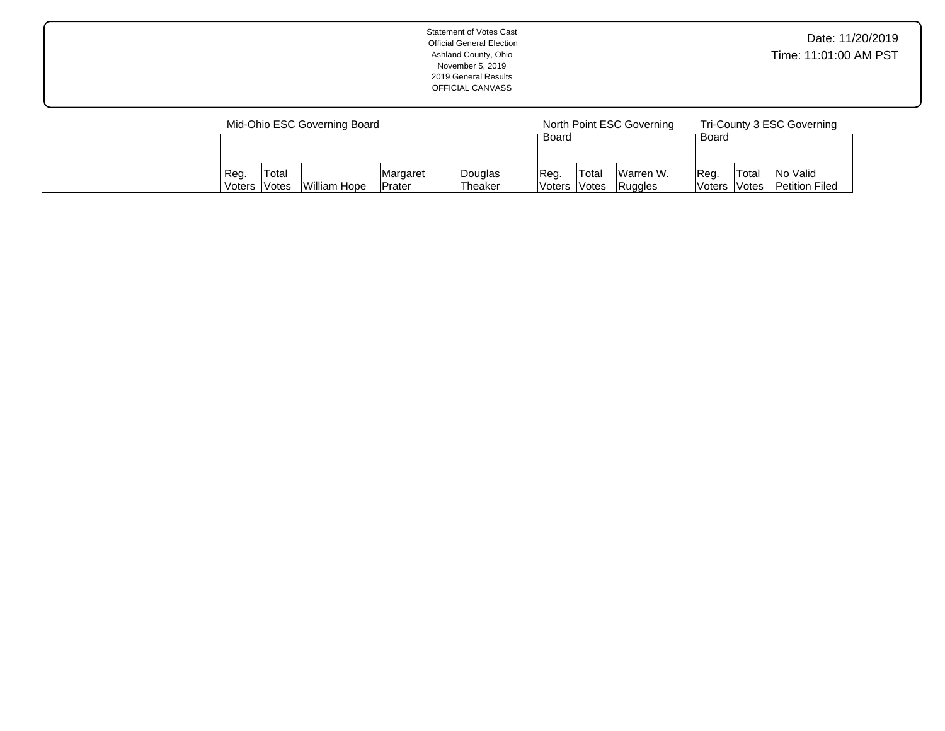|               |              | Mid-Ohio ESC Governing Board |          |         |                                    |        | North Point ESC Governing |                                                 |       | Tri-County 3 ESC Governing |  |
|---------------|--------------|------------------------------|----------|---------|------------------------------------|--------|---------------------------|-------------------------------------------------|-------|----------------------------|--|
|               |              |                              |          |         | Board                              |        |                           | Board                                           |       |                            |  |
|               |              |                              |          |         |                                    |        |                           |                                                 |       |                            |  |
| Req.          | Total        |                              | Margaret | Douglas | IReg.                              | 'Total | Warren W.                 | Req                                             | Total | <b>No Valid</b>            |  |
| <b>Voters</b> | <b>Votes</b> | <b>William Hope</b>          | Prater   | Theaker | Ruggles<br>lVoters<br><b>Votes</b> |        |                           | <b>Petition Filed</b><br><b>Voters</b><br>Votes |       |                            |  |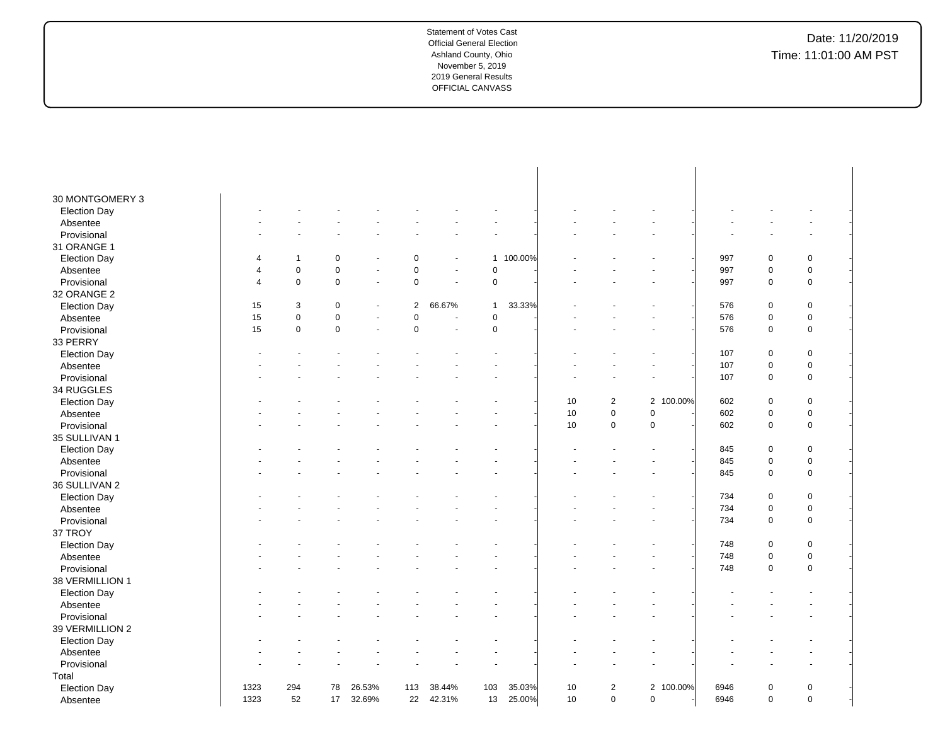| 30 MONTGOMERY 3     |                          |             |                  |        |                |                       |              |         |    |                |           |      |             |             |  |
|---------------------|--------------------------|-------------|------------------|--------|----------------|-----------------------|--------------|---------|----|----------------|-----------|------|-------------|-------------|--|
| <b>Election Day</b> |                          |             |                  |        |                |                       |              |         |    |                |           |      |             |             |  |
| Absentee            |                          |             |                  |        |                |                       |              |         |    |                |           |      |             |             |  |
| Provisional         |                          |             |                  |        |                |                       |              |         |    |                |           |      |             |             |  |
| 31 ORANGE 1         |                          |             |                  |        |                |                       |              |         |    |                |           |      |             |             |  |
| <b>Election Day</b> |                          | 1           | $\pmb{0}$        |        | $\pmb{0}$      |                       | $\mathbf{1}$ | 100.00% |    |                |           | 997  | $\pmb{0}$   | $\pmb{0}$   |  |
| Absentee            | $\overline{\mathcal{A}}$ | $\pmb{0}$   | $\mathbf 0$      | ÷      | 0              | ÷                     | $\mathbf 0$  |         |    |                |           | 997  | $\mathbf 0$ | $\pmb{0}$   |  |
| Provisional         | $\overline{4}$           | $\pmb{0}$   | $\mathbf 0$      | ÷,     | 0              | $\tilde{\phantom{a}}$ | $\pmb{0}$    |         |    |                |           | 997  | $\mathbf 0$ | $\pmb{0}$   |  |
| 32 ORANGE 2         |                          |             |                  |        |                |                       |              |         |    |                |           |      |             |             |  |
| <b>Election Day</b> | 15                       | 3           | $\mathbf 0$      |        | $\overline{2}$ | 66.67%                | $\mathbf{1}$ | 33.33%  |    |                |           | 576  | $\mathbf 0$ | $\pmb{0}$   |  |
| Absentee            | 15                       | $\pmb{0}$   | $\boldsymbol{0}$ | ÷.     | $\mathsf 0$    |                       | $\mathbf 0$  |         |    |                |           | 576  | $\pmb{0}$   | $\pmb{0}$   |  |
| Provisional         | 15                       | $\mathbf 0$ | $\mathbf 0$      | ÷,     | $\mathbf 0$    | ÷,                    | $\mathbf 0$  |         |    |                |           | 576  | $\mathbf 0$ | $\pmb{0}$   |  |
| 33 PERRY            |                          |             |                  |        |                |                       |              |         |    |                |           |      |             |             |  |
| <b>Election Day</b> |                          |             |                  |        |                |                       |              |         |    |                |           | 107  | $\mathbf 0$ | $\pmb{0}$   |  |
| Absentee            |                          |             |                  |        |                |                       |              |         |    |                |           | 107  | $\mathbf 0$ | $\pmb{0}$   |  |
| Provisional         |                          |             |                  |        |                |                       |              |         |    |                |           | 107  | $\pmb{0}$   | $\pmb{0}$   |  |
| 34 RUGGLES          |                          |             |                  |        |                |                       |              |         |    |                |           |      |             |             |  |
| <b>Election Day</b> |                          |             |                  |        |                |                       |              |         | 10 | $\overline{2}$ | 2 100.00% | 602  | $\mathbf 0$ | $\pmb{0}$   |  |
| Absentee            |                          |             |                  |        |                |                       |              |         | 10 | 0              | 0         | 602  | $\mathbf 0$ | $\pmb{0}$   |  |
| Provisional         |                          |             |                  |        |                |                       |              |         | 10 | $\pmb{0}$      | 0         | 602  | $\mathbf 0$ | $\pmb{0}$   |  |
| 35 SULLIVAN 1       |                          |             |                  |        |                |                       |              |         |    |                |           |      |             |             |  |
| <b>Election Day</b> |                          |             |                  |        |                |                       |              |         |    |                |           | 845  | $\mathbf 0$ | $\pmb{0}$   |  |
| Absentee            |                          |             |                  |        |                |                       |              |         |    |                |           | 845  | $\pmb{0}$   | $\pmb{0}$   |  |
| Provisional         |                          |             |                  |        |                |                       |              |         |    |                |           | 845  | $\mathbf 0$ | $\pmb{0}$   |  |
| 36 SULLIVAN 2       |                          |             |                  |        |                |                       |              |         |    |                |           |      |             |             |  |
| <b>Election Day</b> |                          |             |                  |        |                |                       |              |         |    |                |           | 734  | $\mathbf 0$ | $\pmb{0}$   |  |
| Absentee            |                          |             |                  |        |                |                       |              |         |    |                |           | 734  | $\mathbf 0$ | $\pmb{0}$   |  |
| Provisional         |                          |             |                  |        |                |                       |              |         |    |                |           | 734  | $\mathbf 0$ | $\pmb{0}$   |  |
| 37 TROY             |                          |             |                  |        |                |                       |              |         |    |                |           |      |             |             |  |
| <b>Election Day</b> |                          |             |                  |        |                |                       |              |         |    |                |           | 748  | $\mathbf 0$ | $\pmb{0}$   |  |
| Absentee            |                          |             |                  |        |                |                       |              |         |    |                |           | 748  | $\mathbf 0$ | $\pmb{0}$   |  |
| Provisional         |                          |             |                  |        |                |                       |              |         |    |                |           | 748  | $\mathbf 0$ | $\pmb{0}$   |  |
| 38 VERMILLION 1     |                          |             |                  |        |                |                       |              |         |    |                |           |      |             |             |  |
| <b>Election Day</b> |                          |             |                  |        |                |                       |              |         |    |                |           |      |             |             |  |
| Absentee            |                          |             |                  |        |                |                       |              |         |    |                |           |      |             |             |  |
| Provisional         |                          |             |                  |        |                |                       |              |         |    |                |           |      |             |             |  |
| 39 VERMILLION 2     |                          |             |                  |        |                |                       |              |         |    |                |           |      |             |             |  |
| <b>Election Day</b> |                          |             |                  |        |                |                       |              |         |    |                |           |      |             |             |  |
| Absentee            |                          |             |                  |        |                |                       |              |         |    |                |           |      |             |             |  |
| Provisional         |                          |             |                  |        |                |                       |              |         |    |                |           |      |             |             |  |
| Total               |                          |             |                  |        |                |                       |              |         |    |                |           |      |             |             |  |
| <b>Election Day</b> | 1323                     | 294         | 78               | 26.53% | 113            | 38.44%                | 103          | 35.03%  | 10 | $\overline{2}$ | 2 100.00% | 6946 | $\mathbf 0$ | $\pmb{0}$   |  |
| Absentee            | 1323                     | 52          | 17               | 32.69% | 22             | 42.31%                | 13           | 25.00%  | 10 | $\mathbf 0$    | $\Omega$  | 6946 | $\mathbf 0$ | $\mathbf 0$ |  |
|                     |                          |             |                  |        |                |                       |              |         |    |                |           |      |             |             |  |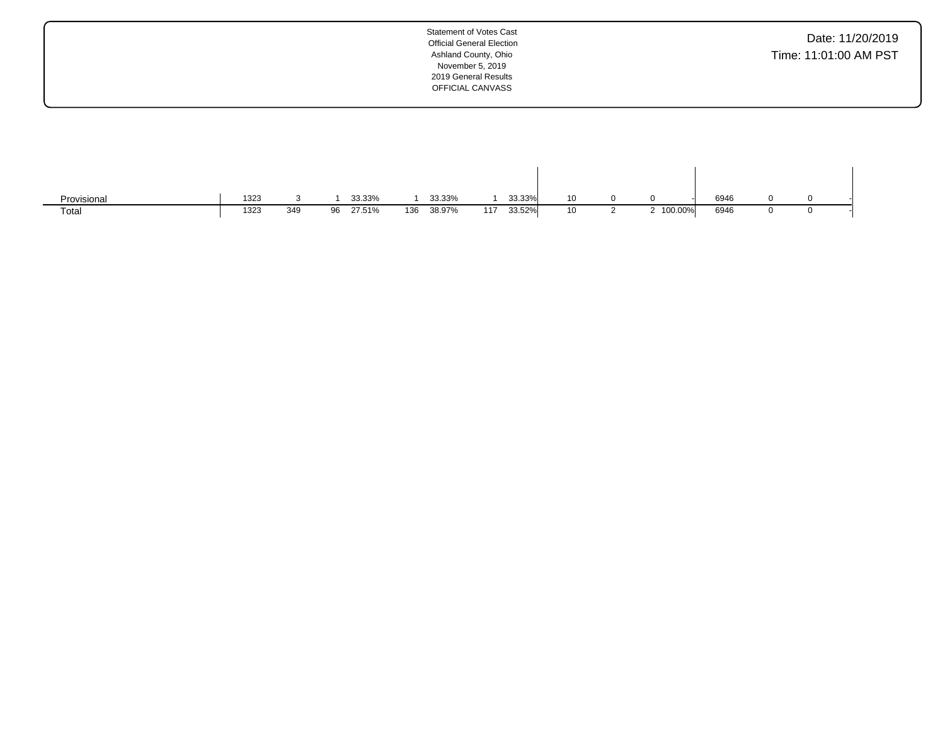| Provisional | 1323 |     |    | 33.33% |     | 33.33% |     | 33.33% |    |         | 6946 |  |  |
|-------------|------|-----|----|--------|-----|--------|-----|--------|----|---------|------|--|--|
| Total       | 1323 | 349 | 96 | 27.51% | 136 | 38.97% | 117 | 33.52% | 10 | 100.00% | 6946 |  |  |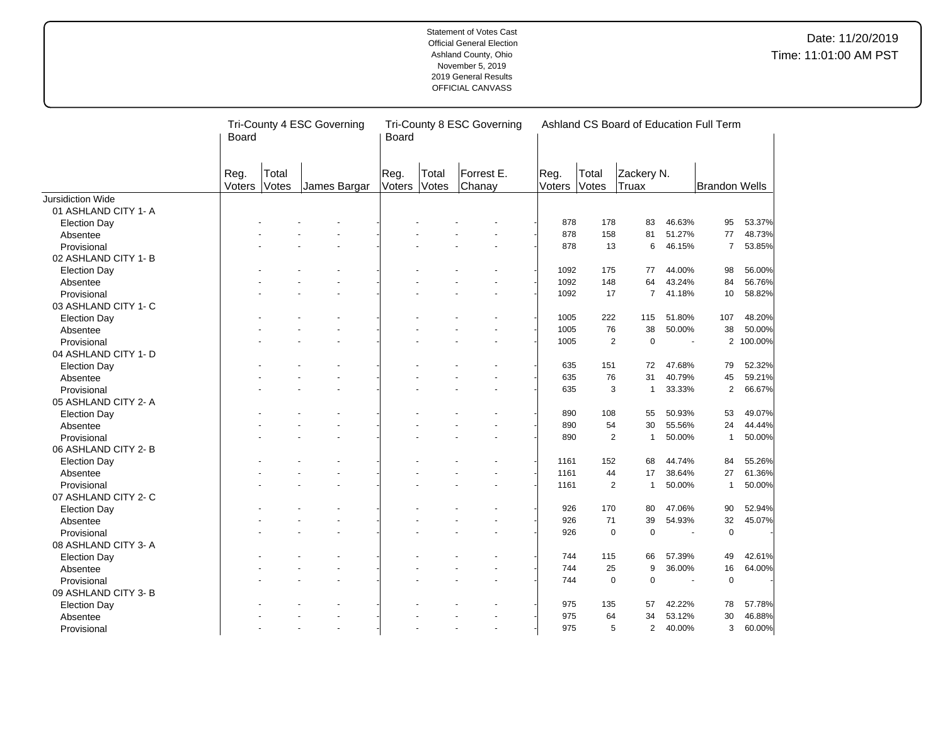|                                 | <b>Board</b>   | Tri-County 4 ESC Governing |                | Tri-County 8 ESC Governing<br>Board |                |                      |                |                | Ashland CS Board of Education Full Term |                |                      |                  |
|---------------------------------|----------------|----------------------------|----------------|-------------------------------------|----------------|----------------------|----------------|----------------|-----------------------------------------|----------------|----------------------|------------------|
|                                 | Reg.<br>Voters | Total<br>Votes             | James Bargar   | Reg.<br>Voters                      | Total<br>Votes | Forrest E.<br>Chanay | Reg.<br>Voters | Total<br>Votes | Zackery N.<br>Truax                     |                | <b>Brandon Wells</b> |                  |
| Jursidiction Wide               |                |                            |                |                                     |                |                      |                |                |                                         |                |                      |                  |
| 01 ASHLAND CITY 1- A            |                |                            |                |                                     |                |                      |                |                |                                         |                |                      |                  |
| <b>Election Day</b>             |                |                            |                |                                     |                |                      | 878            | 178            | 83                                      | 46.63%         | 95                   | 53.37%           |
| Absentee                        |                |                            |                |                                     |                |                      | 878            | 158            | 81                                      | 51.27%         | 77                   | 48.73%           |
| Provisional                     |                |                            |                |                                     |                |                      | 878            | 13             | 6                                       | 46.15%         | $\overline{7}$       | 53.85%           |
| 02 ASHLAND CITY 1-B             |                |                            |                |                                     |                |                      |                |                |                                         |                |                      |                  |
| <b>Election Day</b>             |                |                            |                |                                     |                |                      | 1092           | 175            | 77                                      | 44.00%         | 98                   | 56.00%           |
| Absentee                        |                |                            |                |                                     |                |                      | 1092           | 148            | 64                                      | 43.24%         | 84                   | 56.76%           |
| Provisional                     |                |                            |                |                                     |                |                      | 1092           | 17             | $\overline{7}$                          | 41.18%         | 10                   | 58.82%           |
| 03 ASHLAND CITY 1- C            |                |                            |                |                                     |                |                      |                |                |                                         |                |                      |                  |
| <b>Election Day</b>             |                |                            |                |                                     |                |                      | 1005           | 222            | 115                                     | 51.80%         | 107                  | 48.20%           |
| Absentee                        |                |                            |                |                                     |                |                      | 1005           | 76             | 38                                      | 50.00%         | 38                   | 50.00%           |
| Provisional                     |                |                            |                |                                     |                |                      | 1005           | $\overline{2}$ | $\mathbf 0$                             | $\sim$         |                      | 2 100.00%        |
| 04 ASHLAND CITY 1- D            |                |                            |                |                                     |                |                      |                |                |                                         |                |                      |                  |
| <b>Election Day</b>             |                |                            |                |                                     |                |                      | 635            | 151            | 72                                      | 47.68%         | 79                   | 52.32%           |
| Absentee                        |                |                            |                |                                     |                |                      | 635            | 76             | 31                                      | 40.79%         | 45                   | 59.21%           |
| Provisional                     |                |                            |                |                                     |                |                      | 635            | 3              | 1                                       | 33.33%         | $\overline{2}$       | 66.67%           |
| 05 ASHLAND CITY 2-A             |                |                            |                |                                     |                |                      |                |                |                                         |                |                      |                  |
| <b>Election Day</b>             |                |                            |                |                                     |                |                      | 890            | 108            | 55                                      | 50.93%         | 53                   | 49.07%           |
| Absentee                        |                |                            |                |                                     |                |                      | 890            | 54             | 30                                      | 55.56%         | 24                   | 44.44%           |
| Provisional                     |                |                            |                |                                     |                |                      | 890            | $\overline{2}$ | $\mathbf{1}$                            | 50.00%         | $\mathbf{1}$         | 50.00%           |
| 06 ASHLAND CITY 2-B             |                |                            |                |                                     |                |                      |                |                |                                         |                |                      |                  |
|                                 |                |                            |                |                                     |                |                      | 1161           | 152            | 68                                      | 44.74%         | 84                   | 55.26%           |
| <b>Election Day</b><br>Absentee |                |                            |                |                                     |                |                      | 1161           | 44             | 17                                      | 38.64%         | 27                   | 61.36%           |
| Provisional                     |                |                            |                |                                     |                |                      | 1161           | $\overline{2}$ | $\mathbf{1}$                            | 50.00%         | $\mathbf{1}$         | 50.00%           |
|                                 |                |                            |                |                                     |                |                      |                |                |                                         |                |                      |                  |
| 07 ASHLAND CITY 2- C            |                |                            |                |                                     |                |                      |                |                |                                         |                |                      |                  |
| <b>Election Day</b>             |                |                            |                |                                     |                |                      | 926            | 170            | 80                                      | 47.06%         | 90<br>32             | 52.94%<br>45.07% |
| Absentee                        |                |                            |                |                                     |                |                      | 926            | 71             | 39                                      | 54.93%         |                      |                  |
| Provisional                     |                |                            |                |                                     |                |                      | 926            | $\mathbf 0$    | $\pmb{0}$                               |                | $\pmb{0}$            |                  |
| 08 ASHLAND CITY 3- A            |                |                            |                |                                     |                |                      |                |                |                                         |                |                      |                  |
| <b>Election Day</b>             |                |                            |                |                                     |                |                      | 744            | 115            | 66                                      | 57.39%         | 49                   | 42.61%           |
| Absentee                        |                |                            |                |                                     |                |                      | 744            | 25             | 9                                       | 36.00%         | 16                   | 64.00%           |
| Provisional                     |                |                            |                |                                     |                |                      | 744            | $\mathbf 0$    | $\mathbf 0$                             | $\blacksquare$ | $\mathbf 0$          |                  |
| 09 ASHLAND CITY 3-B             |                |                            |                |                                     |                |                      |                |                |                                         |                |                      |                  |
| <b>Election Day</b>             |                |                            |                |                                     |                |                      | 975            | 135            | 57                                      | 42.22%         | 78                   | 57.78%           |
| Absentee                        |                |                            |                |                                     |                |                      | 975            | 64             | 34                                      | 53.12%         | 30                   | 46.88%           |
| Provisional                     |                |                            | $\blacksquare$ |                                     |                |                      | 975            | 5              | $\overline{2}$                          | 40.00%         | 3                    | 60.00%           |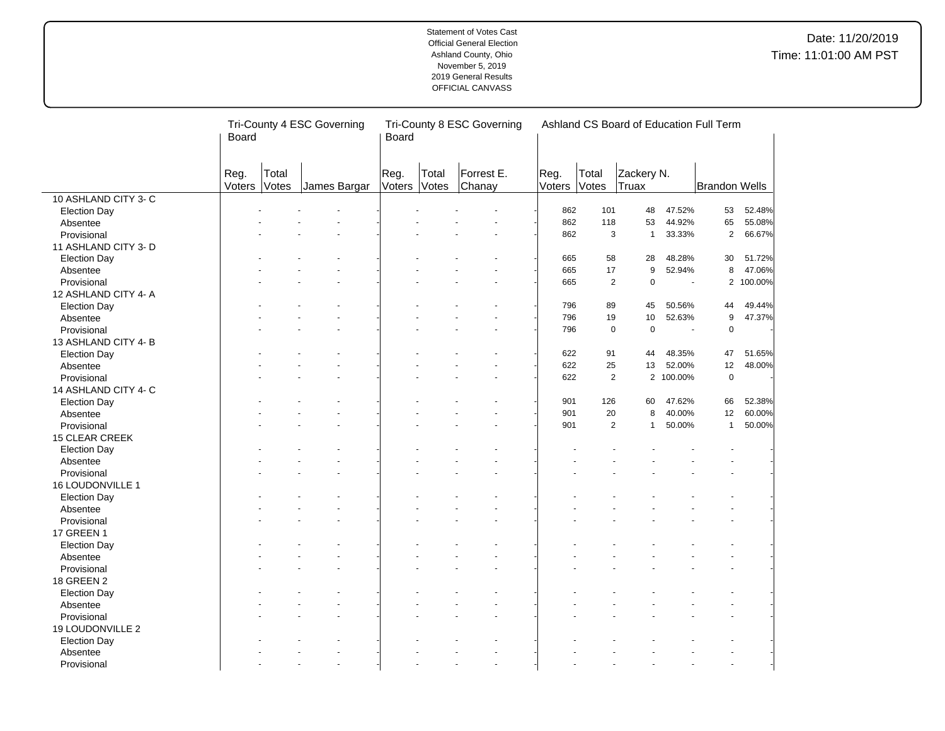|                       | <b>Board</b>   | Tri-County 4 ESC Governing |              | Tri-County 8 ESC Governing<br><b>Board</b> |                |                      |                | Ashland CS Board of Education Full Term |                     |           |                      |           |  |
|-----------------------|----------------|----------------------------|--------------|--------------------------------------------|----------------|----------------------|----------------|-----------------------------------------|---------------------|-----------|----------------------|-----------|--|
|                       | Reg.<br>Voters | Total<br>Votes             | James Bargar | Reg.<br>Voters                             | Total<br>Votes | Forrest E.<br>Chanay | Reg.<br>Voters | Total<br>Votes                          | Zackery N.<br>Truax |           | <b>Brandon Wells</b> |           |  |
| 10 ASHLAND CITY 3-C   |                |                            |              |                                            |                |                      |                |                                         |                     |           |                      |           |  |
| <b>Election Day</b>   |                |                            |              |                                            |                |                      | 862            | 101                                     | 48                  | 47.52%    | 53                   | 52.48%    |  |
| Absentee              |                |                            |              |                                            |                |                      | 862            | 118                                     | 53                  | 44.92%    | 65                   | 55.08%    |  |
| Provisional           |                |                            |              |                                            |                |                      | 862            | 3                                       | $\mathbf{1}$        | 33.33%    | $\mathbf{2}$         | 66.67%    |  |
| 11 ASHLAND CITY 3- D  |                |                            |              |                                            |                |                      |                |                                         |                     |           |                      |           |  |
| <b>Election Day</b>   |                |                            |              |                                            |                |                      | 665            | 58                                      | 28                  | 48.28%    | 30                   | 51.72%    |  |
| Absentee              |                |                            |              |                                            |                |                      | 665            | 17                                      | 9                   | 52.94%    | 8                    | 47.06%    |  |
| Provisional           |                |                            |              |                                            |                |                      | 665            | $\overline{2}$                          | $\mathbf 0$         | ä,        |                      | 2 100.00% |  |
| 12 ASHLAND CITY 4- A  |                |                            |              |                                            |                |                      |                |                                         |                     |           |                      |           |  |
| <b>Election Day</b>   |                |                            |              |                                            |                |                      | 796            | 89                                      | 45                  | 50.56%    | 44                   | 49.44%    |  |
| Absentee              |                |                            |              |                                            |                |                      | 796            | 19                                      | $10$                | 52.63%    | 9                    | 47.37%    |  |
| Provisional           |                |                            |              |                                            |                |                      | 796            | $\mathbf 0$                             | $\pmb{0}$           | ÷.        | 0                    |           |  |
| 13 ASHLAND CITY 4-B   |                |                            |              |                                            |                |                      |                |                                         |                     |           |                      |           |  |
| <b>Election Day</b>   |                |                            |              |                                            |                |                      | 622            | 91                                      | 44                  | 48.35%    | 47                   | 51.65%    |  |
| Absentee              |                |                            |              |                                            |                |                      | 622            | 25                                      | 13                  | 52.00%    | 12                   | 48.00%    |  |
| Provisional           |                |                            |              |                                            |                |                      | 622            | $\overline{2}$                          |                     | 2 100.00% | $\mathbf 0$          |           |  |
| 14 ASHLAND CITY 4- C  |                |                            |              |                                            |                |                      |                |                                         |                     |           |                      |           |  |
| <b>Election Day</b>   |                |                            |              |                                            |                |                      | 901            | 126                                     | 60                  | 47.62%    | 66                   | 52.38%    |  |
| Absentee              |                |                            |              |                                            |                |                      | 901            | 20                                      | 8                   | 40.00%    | 12                   | 60.00%    |  |
| Provisional           |                |                            |              |                                            |                |                      | 901            | $\overline{2}$                          | $\mathbf{1}$        | 50.00%    | $\mathbf{1}$         | 50.00%    |  |
| <b>15 CLEAR CREEK</b> |                |                            |              |                                            |                |                      |                |                                         |                     |           |                      |           |  |
| <b>Election Day</b>   |                |                            |              |                                            |                |                      |                |                                         |                     |           |                      |           |  |
| Absentee              |                |                            |              |                                            |                |                      |                |                                         |                     |           |                      |           |  |
| Provisional           |                |                            |              |                                            |                |                      |                |                                         |                     |           |                      |           |  |
| 16 LOUDONVILLE 1      |                |                            |              |                                            |                |                      |                |                                         |                     |           |                      |           |  |
| <b>Election Day</b>   |                |                            |              |                                            |                |                      |                |                                         |                     |           |                      |           |  |
| Absentee              |                |                            |              |                                            |                |                      |                |                                         |                     |           |                      |           |  |
| Provisional           |                |                            |              |                                            |                |                      |                |                                         |                     |           |                      |           |  |
| <b>17 GREEN 1</b>     |                |                            |              |                                            |                |                      |                |                                         |                     |           |                      |           |  |
|                       |                |                            |              |                                            |                |                      |                |                                         |                     |           |                      |           |  |
| <b>Election Day</b>   |                |                            |              |                                            |                |                      |                |                                         |                     |           |                      |           |  |
| Absentee              |                |                            |              |                                            |                |                      |                |                                         |                     |           |                      |           |  |
| Provisional           |                |                            |              |                                            |                |                      |                |                                         |                     |           |                      |           |  |
| <b>18 GREEN 2</b>     |                |                            |              |                                            |                |                      |                |                                         |                     |           |                      |           |  |
| <b>Election Day</b>   |                |                            |              |                                            |                |                      |                |                                         |                     |           |                      |           |  |
| Absentee              |                |                            |              |                                            |                |                      |                |                                         |                     |           |                      |           |  |
| Provisional           |                |                            |              |                                            |                |                      |                |                                         |                     |           |                      |           |  |
| 19 LOUDONVILLE 2      |                |                            |              |                                            |                |                      |                |                                         |                     |           |                      |           |  |
| <b>Election Day</b>   |                |                            |              |                                            |                |                      |                |                                         |                     |           |                      |           |  |
| Absentee              |                |                            |              |                                            |                |                      |                |                                         |                     |           |                      |           |  |
| Provisional           |                |                            | $\sim$       |                                            |                | $\overline{a}$       |                |                                         |                     |           |                      |           |  |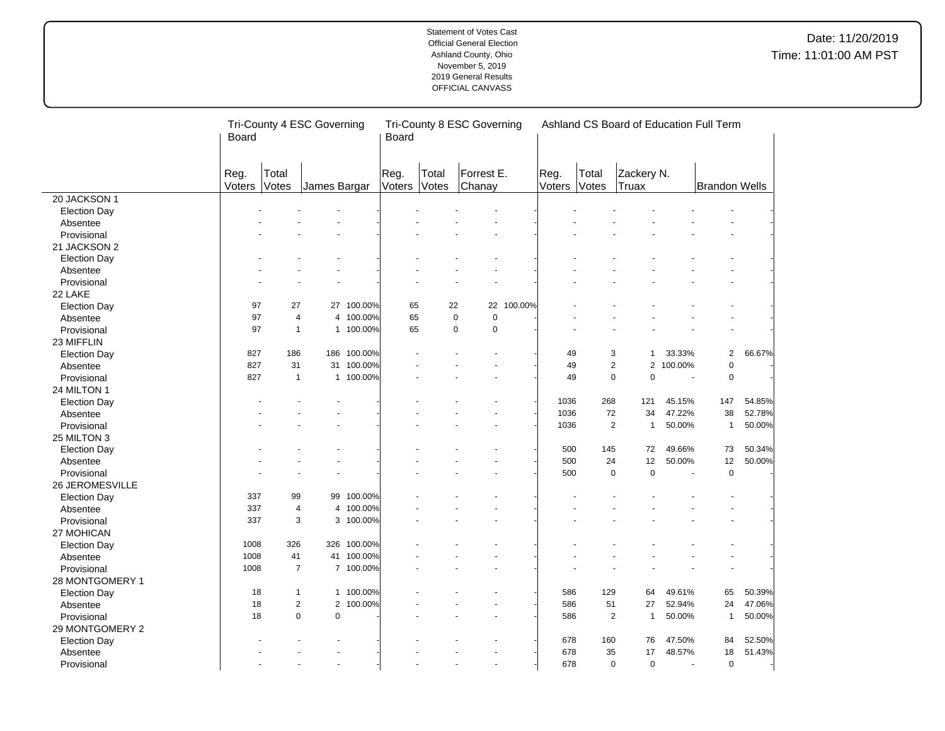|                     | Board                |                | Tri-County 4 ESC Governing |             | Board          |                | Tri-County 8 ESC Governing |            |                |                | Ashland CS Board of Education Full Term |           |                      |        |
|---------------------|----------------------|----------------|----------------------------|-------------|----------------|----------------|----------------------------|------------|----------------|----------------|-----------------------------------------|-----------|----------------------|--------|
|                     | Reg.<br>Voters Votes | Total          | James Bargar               |             | Reg.<br>Voters | Total<br>Votes | Forrest E.<br>Chanay       |            | Reg.<br>Voters | Total<br>Votes | Zackery N.<br>Truax                     |           | <b>Brandon Wells</b> |        |
| 20 JACKSON 1        |                      |                |                            |             |                |                |                            |            |                |                |                                         |           |                      |        |
| <b>Election Day</b> |                      |                |                            |             |                |                |                            |            |                |                |                                         |           |                      |        |
| Absentee            |                      |                |                            |             |                |                |                            |            |                |                |                                         |           |                      |        |
| Provisional         |                      |                |                            |             |                |                |                            |            |                |                |                                         |           |                      |        |
| 21 JACKSON 2        |                      |                |                            |             |                |                |                            |            |                |                |                                         |           |                      |        |
| <b>Election Day</b> |                      |                |                            |             |                |                |                            |            |                |                |                                         |           |                      |        |
| Absentee            |                      |                |                            |             |                |                |                            |            |                |                |                                         |           |                      |        |
| Provisional         |                      |                |                            |             |                |                |                            |            |                |                |                                         |           |                      |        |
| 22 LAKE             |                      |                |                            |             |                |                |                            |            |                |                |                                         |           |                      |        |
| <b>Election Day</b> | 97                   | 27             |                            | 27 100.00%  | 65             | 22             |                            | 22 100.00% |                |                |                                         |           |                      |        |
| Absentee            | 97                   | $\overline{4}$ | $\overline{4}$             | 100.00%     | 65             | $\mathbf 0$    | $\mathbf 0$                |            |                |                |                                         |           |                      |        |
| Provisional         | 97                   | $\mathbf{1}$   |                            | 1 100.00%   | 65             | $\mathbf 0$    | $\mathbf 0$                |            |                |                |                                         |           |                      |        |
| 23 MIFFLIN          |                      |                |                            |             |                |                |                            |            |                |                |                                         |           |                      |        |
| <b>Election Day</b> | 827                  | 186            |                            | 186 100.00% |                |                |                            |            | 49             |                | 3<br>1                                  | 33.33%    | $\overline{2}$       | 66.67% |
| Absentee            | 827                  | 31             |                            | 31 100.00%  |                |                |                            |            | 49             |                | $\overline{2}$                          | 2 100.00% | $\pmb{0}$            |        |
| Provisional         | 827                  | $\overline{1}$ |                            | 1 100.00%   |                |                |                            |            | 49             |                | $\mathbf 0$<br>0                        |           | $\mathbf 0$          |        |
| 24 MILTON 1         |                      |                |                            |             |                |                |                            |            |                |                |                                         |           |                      |        |
| <b>Election Day</b> |                      |                |                            |             |                |                |                            |            | 1036           | 268            | 121                                     | 45.15%    | 147                  | 54.85% |
| Absentee            |                      |                |                            |             |                |                |                            |            | 1036           | 72             | 34                                      | 47.22%    | 38                   | 52.78% |
| Provisional         |                      |                |                            |             |                |                |                            |            | 1036           |                | $\overline{2}$<br>$\mathbf{1}$          | 50.00%    | $\mathbf{1}$         | 50.00% |
| 25 MILTON 3         |                      |                |                            |             |                |                |                            |            |                |                |                                         |           |                      |        |
| <b>Election Day</b> |                      |                |                            |             |                |                |                            |            | 500            | 145            | 72                                      | 49.66%    | 73                   | 50.34% |
| Absentee            |                      |                |                            |             |                |                |                            |            | 500            | 24             | 12                                      | 50.00%    | 12                   | 50.00% |
| Provisional         |                      |                |                            |             |                |                |                            |            | 500            | $\mathbf 0$    | $\mathbf 0$                             |           | $\mathbf 0$          |        |
| 26 JEROMESVILLE     |                      |                |                            |             |                |                |                            |            |                |                |                                         |           |                      |        |
| <b>Election Day</b> | 337                  | 99             |                            | 99 100.00%  |                |                |                            |            |                |                |                                         |           |                      |        |
| Absentee            | 337                  | $\overline{4}$ |                            | 4 100.00%   |                |                |                            |            |                |                |                                         |           |                      |        |
| Provisional         | 337                  | 3              |                            | 3 100.00%   |                |                |                            |            |                |                |                                         |           |                      |        |
| 27 MOHICAN          |                      |                |                            |             |                |                |                            |            |                |                |                                         |           |                      |        |
| <b>Election Day</b> | 1008                 | 326            | 326                        | 100.00%     |                |                |                            |            |                |                |                                         |           |                      |        |
| Absentee            | 1008                 | 41             |                            | 41 100.00%  |                |                |                            |            |                |                |                                         |           |                      |        |
| Provisional         | 1008                 | $\overline{7}$ |                            | 7 100.00%   |                |                |                            |            |                |                |                                         |           |                      |        |
| 28 MONTGOMERY 1     |                      |                |                            |             |                |                |                            |            |                |                |                                         |           |                      |        |
| <b>Election Day</b> | 18                   | $\mathbf{1}$   |                            | 1 100.00%   |                |                |                            |            | 586            | 129            | 64                                      | 49.61%    | 65                   | 50.39% |
| Absentee            | 18                   | $\sqrt{2}$     | $\overline{2}$             | 100.00%     |                |                |                            |            | 586            | 51             | 27                                      | 52.94%    | 24                   | 47.06% |
| Provisional         | 18                   | $\mathbf 0$    | $\mathbf 0$                |             |                |                |                            |            | 586            |                | $\overline{2}$<br>$\mathbf{1}$          | 50.00%    | $\mathbf{1}$         | 50.00% |
| 29 MONTGOMERY 2     |                      |                |                            |             |                |                |                            |            |                |                |                                         |           |                      |        |
| <b>Election Day</b> |                      |                |                            |             |                |                |                            |            | 678            | 160            | 76                                      | 47.50%    | 84                   | 52.50% |
| Absentee            |                      |                |                            |             |                |                |                            |            | 678            | 35             | 17                                      | 48.57%    | 18                   | 51.43% |
| Provisional         |                      |                |                            |             |                |                |                            |            | 678            |                | $\mathbf 0$<br>0                        | $\sim$    | $\mathbf 0$          |        |
|                     |                      |                |                            |             |                |                |                            |            |                |                |                                         |           |                      |        |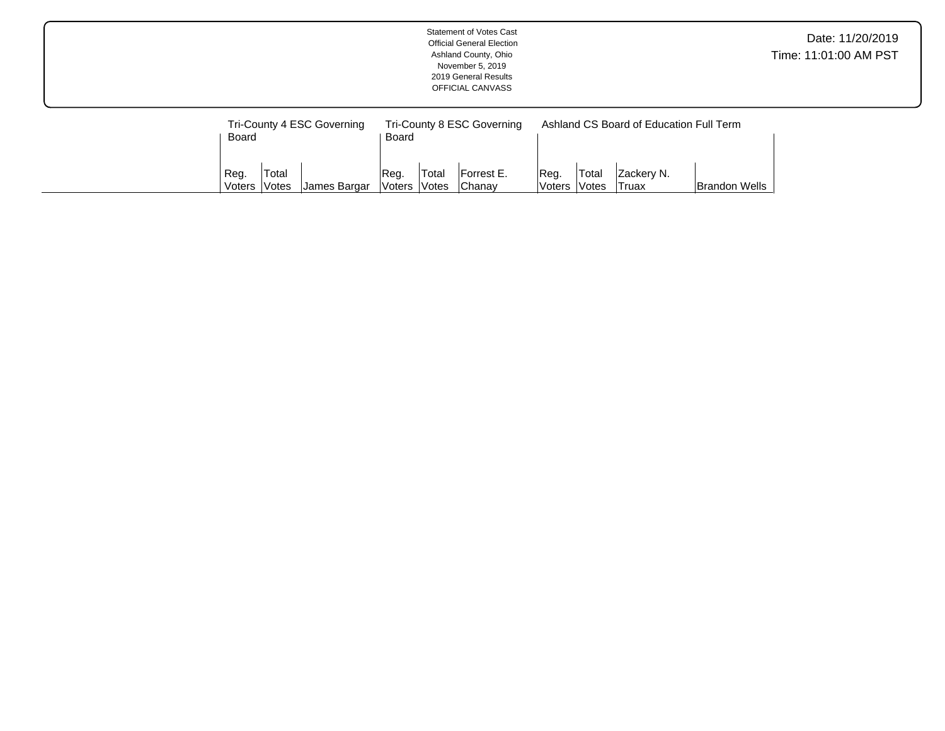|                         |                              |                                            |                                |       | <b>Statement of Votes Cast</b><br><b>Official General Election</b><br>Ashland County, Ohio<br>November 5, 2019<br>2019 General Results<br>OFFICIAL CANVASS |                 |                |                                                                |                      | Date: 11/20/2019<br>Time: 11:01:00 AM PST |
|-------------------------|------------------------------|--------------------------------------------|--------------------------------|-------|------------------------------------------------------------------------------------------------------------------------------------------------------------|-----------------|----------------|----------------------------------------------------------------|----------------------|-------------------------------------------|
| Board<br>Reg.<br>Voters | Total<br><i><b>Votes</b></i> | Tri-County 4 ESC Governing<br>James Bargar | Board<br>Reg.<br>Voters  Votes | Total | Tri-County 8 ESC Governing<br>Forrest E.<br>Chanay                                                                                                         | Reg.<br> Voters | Total<br>Votes | Ashland CS Board of Education Full Term<br>Zackery N.<br>Truax | <b>Brandon Wells</b> |                                           |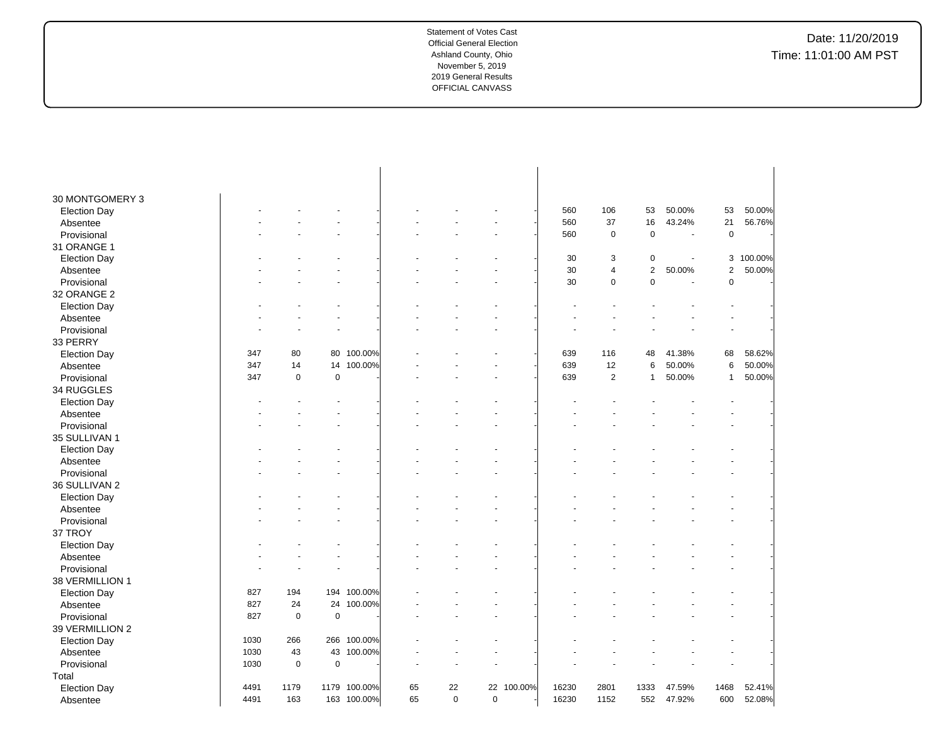| 30 MONTGOMERY 3     |      |             |           |             |    |             |             |         |       |                |                         |                          |                |         |
|---------------------|------|-------------|-----------|-------------|----|-------------|-------------|---------|-------|----------------|-------------------------|--------------------------|----------------|---------|
| <b>Election Day</b> |      |             |           |             |    |             |             |         | 560   | 106            | 53                      | 50.00%                   | 53             | 50.00%  |
| Absentee            |      |             |           |             |    |             |             |         | 560   | 37             | 16                      | 43.24%                   | 21             | 56.76%  |
| Provisional         |      |             |           |             |    |             |             |         | 560   | $\mathbf 0$    | $\mathbf 0$             | $\overline{\phantom{a}}$ | $\mathbf 0$    |         |
|                     |      |             |           |             |    |             |             |         |       |                |                         |                          |                |         |
| 31 ORANGE 1         |      |             |           |             |    |             |             |         |       |                |                         |                          |                |         |
| <b>Election Day</b> |      |             |           |             |    |             |             |         | 30    | 3              | 0                       |                          | 3              | 100.00% |
| Absentee            |      |             |           |             |    |             |             |         | 30    | $\overline{4}$ | $\overline{\mathbf{c}}$ | 50.00%                   | $\overline{c}$ | 50.00%  |
| Provisional         |      |             |           |             |    |             |             |         | 30    | $\pmb{0}$      | $\mathbf 0$             | $\overline{\phantom{a}}$ | $\mathbf 0$    |         |
| 32 ORANGE 2         |      |             |           |             |    |             |             |         |       |                |                         |                          |                |         |
| <b>Election Day</b> |      |             |           |             |    |             |             |         |       |                |                         |                          |                |         |
| Absentee            |      |             |           |             |    |             |             |         |       |                |                         |                          |                |         |
| Provisional         |      |             |           |             |    |             |             |         |       |                |                         |                          |                |         |
| 33 PERRY            |      |             |           |             |    |             |             |         |       |                |                         |                          |                |         |
| <b>Election Day</b> | 347  | 80          | 80        | 100.00%     |    |             |             |         | 639   | 116            | 48                      | 41.38%                   | 68             | 58.62%  |
| Absentee            | 347  | 14          | 14        | 100.00%     |    |             |             |         | 639   | 12             | 6                       | 50.00%                   | 6              | 50.00%  |
| Provisional         | 347  | $\mathbf 0$ | $\pmb{0}$ |             |    |             |             |         | 639   | $\sqrt{2}$     | $\mathbf{1}$            | 50.00%                   | 1              | 50.00%  |
| 34 RUGGLES          |      |             |           |             |    |             |             |         |       |                |                         |                          |                |         |
| <b>Election Day</b> |      |             |           |             |    |             |             |         |       |                |                         |                          |                |         |
| Absentee            |      |             |           |             |    |             |             |         |       |                |                         |                          |                |         |
| Provisional         |      |             |           |             |    |             |             |         |       |                |                         |                          |                |         |
| 35 SULLIVAN 1       |      |             |           |             |    |             |             |         |       |                |                         |                          |                |         |
| <b>Election Day</b> |      |             |           |             |    |             |             |         |       |                |                         |                          |                |         |
| Absentee            |      |             |           |             |    |             |             |         |       |                |                         |                          |                |         |
| Provisional         |      |             |           |             |    |             |             |         |       |                |                         |                          |                |         |
| 36 SULLIVAN 2       |      |             |           |             |    |             |             |         |       |                |                         |                          |                |         |
| <b>Election Day</b> |      |             |           |             |    |             |             |         |       |                |                         |                          |                |         |
| Absentee            |      |             |           |             |    |             |             |         |       |                |                         |                          |                |         |
| Provisional         |      |             |           |             |    |             |             |         |       |                |                         |                          |                |         |
| 37 TROY             |      |             |           |             |    |             |             |         |       |                |                         |                          |                |         |
| <b>Election Day</b> |      |             |           |             |    |             |             |         |       |                |                         |                          |                |         |
| Absentee            |      |             |           |             |    |             |             |         |       |                |                         |                          |                |         |
| Provisional         |      |             |           |             |    |             |             |         |       |                |                         |                          |                |         |
| 38 VERMILLION 1     |      |             |           |             |    |             |             |         |       |                |                         |                          |                |         |
| <b>Election Day</b> | 827  | 194         |           | 194 100.00% |    |             |             |         |       |                |                         |                          |                |         |
| Absentee            | 827  | 24          | 24        | 100.00%     |    |             |             |         |       |                |                         |                          |                |         |
| Provisional         | 827  | $\mathbf 0$ | $\pmb{0}$ |             |    |             |             |         |       |                |                         |                          |                |         |
| 39 VERMILLION 2     |      |             |           |             |    |             |             |         |       |                |                         |                          |                |         |
|                     | 1030 | 266         | 266       | 100.00%     |    |             |             |         |       |                |                         |                          |                |         |
| <b>Election Day</b> |      |             |           |             |    |             |             |         |       |                |                         |                          |                |         |
| Absentee            | 1030 | 43          | 43        | 100.00%     |    |             |             |         |       |                |                         |                          |                |         |
| Provisional         | 1030 | $\mathbf 0$ | $\pmb{0}$ |             |    |             |             |         |       |                |                         |                          |                |         |
| Total               |      |             |           |             |    |             |             |         |       |                |                         |                          |                |         |
| <b>Election Day</b> | 4491 | 1179        | 1179      | 100.00%     | 65 | 22          | 22          | 100.00% | 16230 | 2801           | 1333                    | 47.59%                   | 1468           | 52.41%  |
| Absentee            | 4491 | 163         |           | 163 100.00% | 65 | $\mathbf 0$ | $\mathbf 0$ |         | 16230 | 1152           | 552                     | 47.92%                   | 600            | 52.08%  |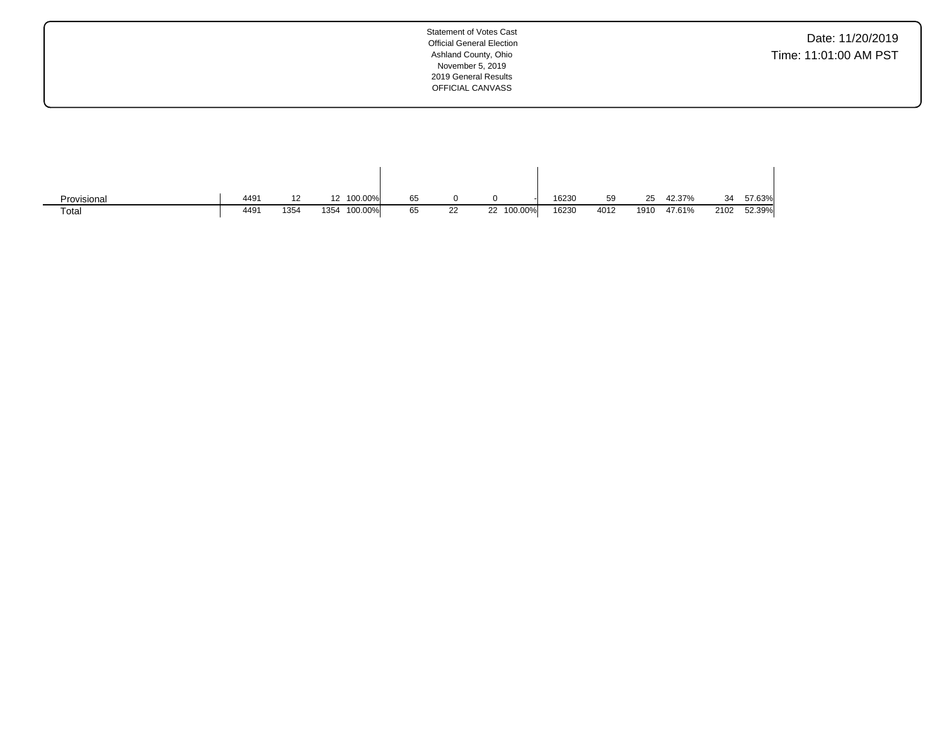Date: 11/20/2019 Time: 11:01:00 AM PST

| Provisional | 449' |      | 12 100.00%      | 65 |         |            | 16230 | 59   | つら<br>້ | 42.37% | 34   | 57.63% |
|-------------|------|------|-----------------|----|---------|------------|-------|------|---------|--------|------|--------|
| Total       | 449' | 1354 | 100.00%<br>1354 | 65 | つつ<br>ᅩ | 22 100.00% | 16230 | 4012 | 1910    | 47.61% | 2102 | 52.39% |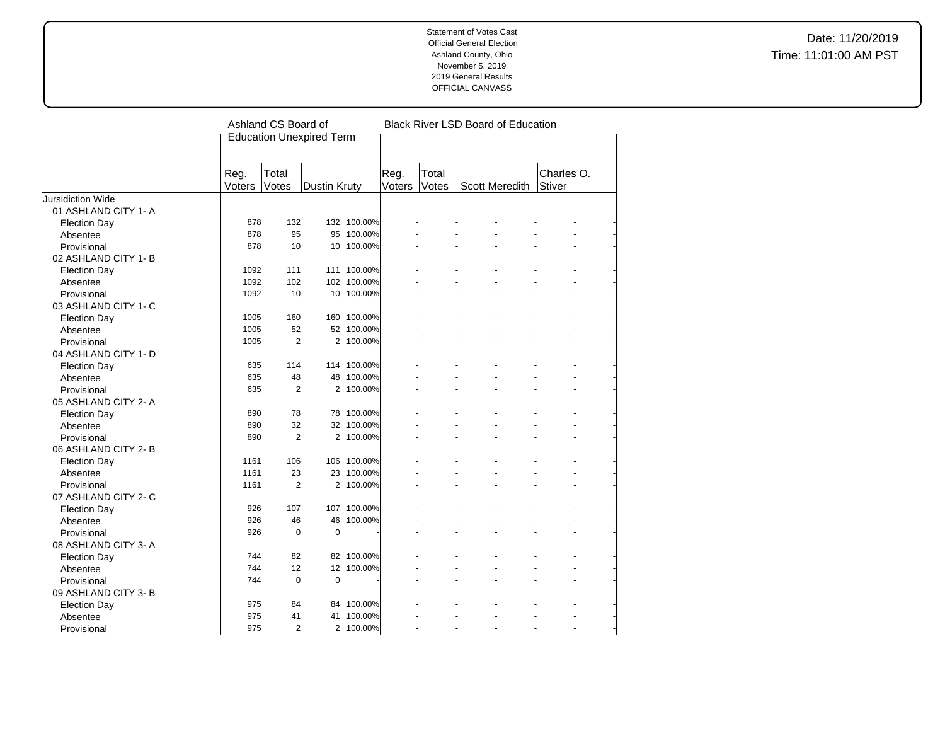|                          |                | Ashland CS Board of | <b>Education Unexpired Term</b> |             |                |                | <b>Black River LSD Board of Education</b> |                      |  |
|--------------------------|----------------|---------------------|---------------------------------|-------------|----------------|----------------|-------------------------------------------|----------------------|--|
|                          | Reg.<br>Voters | Total<br>Votes      | <b>Dustin Kruty</b>             |             | Reg.<br>Voters | Total<br>Votes | Scott Meredith                            | Charles O.<br>Stiver |  |
| <b>Jursidiction Wide</b> |                |                     |                                 |             |                |                |                                           |                      |  |
| 01 ASHLAND CITY 1-A      |                |                     |                                 |             |                |                |                                           |                      |  |
| Election Day             | 878            | 132                 |                                 | 132 100.00% |                |                |                                           |                      |  |
| Absentee                 | 878            | 95                  |                                 | 95 100.00%  |                |                |                                           |                      |  |
| Provisional              | 878            | 10                  |                                 | 10 100.00%  |                |                |                                           |                      |  |
| 02 ASHLAND CITY 1-B      |                |                     |                                 |             |                |                |                                           |                      |  |
| <b>Election Day</b>      | 1092           | 111                 |                                 | 111 100.00% |                |                |                                           |                      |  |
| Absentee                 | 1092           | 102                 |                                 | 102 100.00% |                |                |                                           |                      |  |
| Provisional              | 1092           | 10                  |                                 | 10 100.00%  |                |                |                                           |                      |  |
| 03 ASHLAND CITY 1- C     |                |                     |                                 |             |                |                |                                           |                      |  |
| <b>Election Day</b>      | 1005           | 160                 |                                 | 160 100.00% |                |                |                                           |                      |  |
| Absentee                 | 1005           | 52                  |                                 | 52 100.00%  |                |                |                                           |                      |  |
| Provisional              | 1005           | $\overline{2}$      |                                 | 2 100.00%   |                |                |                                           |                      |  |
| 04 ASHLAND CITY 1- D     |                |                     |                                 |             |                |                |                                           |                      |  |
| <b>Election Day</b>      | 635            | 114                 |                                 | 114 100.00% |                |                |                                           |                      |  |
| Absentee                 | 635            | 48                  |                                 | 48 100.00%  |                |                |                                           |                      |  |
| Provisional              | 635            | $\overline{2}$      |                                 | 2 100.00%   |                |                |                                           |                      |  |
| 05 ASHLAND CITY 2-A      |                |                     |                                 |             |                |                |                                           |                      |  |
| <b>Election Day</b>      | 890            | 78                  |                                 | 78 100.00%  |                |                |                                           |                      |  |
| Absentee                 | 890            | 32                  |                                 | 32 100.00%  |                |                |                                           |                      |  |
| Provisional              | 890            | $\overline{2}$      |                                 | 2 100.00%   |                |                |                                           |                      |  |
| 06 ASHLAND CITY 2-B      |                |                     |                                 |             |                |                |                                           |                      |  |
| <b>Election Day</b>      | 1161           | 106                 |                                 | 106 100.00% |                |                |                                           |                      |  |
| Absentee                 | 1161           | 23                  |                                 | 23 100.00%  |                |                |                                           |                      |  |
| Provisional              | 1161           | $\overline{2}$      |                                 | 2 100.00%   |                |                |                                           |                      |  |
| 07 ASHLAND CITY 2- C     |                |                     |                                 |             |                |                |                                           |                      |  |
| <b>Election Day</b>      | 926            | 107                 |                                 | 107 100.00% |                |                |                                           |                      |  |
| Absentee                 | 926            | 46                  |                                 | 46 100.00%  |                |                |                                           |                      |  |
| Provisional              | 926            | $\mathbf 0$         | $\mathbf 0$                     |             |                |                |                                           |                      |  |
| 08 ASHLAND CITY 3-A      |                |                     |                                 |             |                |                |                                           |                      |  |
| <b>Election Day</b>      | 744            | 82                  |                                 | 82 100.00%  |                |                |                                           |                      |  |
| Absentee                 | 744            | 12                  |                                 | 12 100.00%  |                |                |                                           |                      |  |
| Provisional              | 744            | $\mathbf 0$         | $\pmb{0}$                       |             |                |                |                                           |                      |  |
| 09 ASHLAND CITY 3-B      |                |                     |                                 |             |                |                |                                           |                      |  |
| <b>Election Day</b>      | 975            | 84                  |                                 | 84 100.00%  |                |                |                                           |                      |  |
| Absentee                 | 975            | 41                  |                                 | 41 100.00%  |                |                |                                           |                      |  |
| Provisional              | 975            | $\overline{2}$      |                                 | 2 100.00%   |                |                | ä,                                        | $\overline{a}$       |  |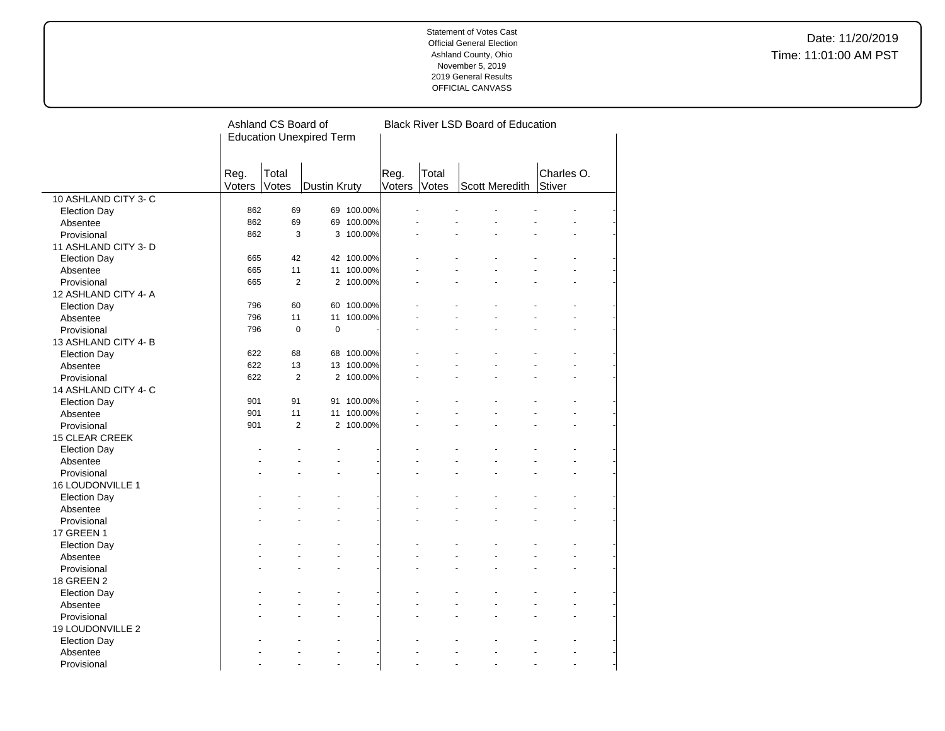Date: 11/20/2019 Time: 11:01:00 AM PST

|                         |        | Ashland CS Board of<br><b>Black River LSD Board of Education</b> |                                 |            |        |       |                |            |  |
|-------------------------|--------|------------------------------------------------------------------|---------------------------------|------------|--------|-------|----------------|------------|--|
|                         |        |                                                                  | <b>Education Unexpired Term</b> |            |        |       |                |            |  |
|                         |        |                                                                  |                                 |            |        |       |                |            |  |
|                         |        |                                                                  |                                 |            |        |       |                |            |  |
|                         | Reg.   | Total                                                            |                                 |            | Reg.   | Total |                | Charles O. |  |
|                         | Voters | Votes                                                            | Dustin Kruty                    |            | Voters | Votes | Scott Meredith | Stiver     |  |
| 10 ASHLAND CITY 3- C    |        |                                                                  |                                 |            |        |       |                |            |  |
| <b>Election Day</b>     | 862    | 69                                                               |                                 | 69 100.00% |        |       |                |            |  |
| Absentee                | 862    | 69                                                               |                                 | 69 100.00% |        |       |                |            |  |
| Provisional             | 862    | 3                                                                |                                 | 3 100.00%  |        |       |                |            |  |
| 11 ASHLAND CITY 3- D    |        |                                                                  |                                 |            |        |       |                |            |  |
|                         | 665    | 42                                                               |                                 | 42 100.00% |        |       |                |            |  |
| <b>Election Day</b>     | 665    | 11                                                               |                                 | 11 100.00% |        |       |                |            |  |
| Absentee                | 665    | $\overline{2}$                                                   |                                 | 2 100.00%  |        |       |                |            |  |
| Provisional             |        |                                                                  |                                 |            |        |       |                |            |  |
| 12 ASHLAND CITY 4-A     |        |                                                                  |                                 |            |        |       |                |            |  |
| <b>Election Day</b>     | 796    | 60                                                               |                                 | 60 100.00% |        |       |                |            |  |
| Absentee                | 796    | 11                                                               | 11                              | 100.00%    |        |       |                |            |  |
| Provisional             | 796    | $\pmb{0}$                                                        | $\mathbf 0$                     |            |        |       |                |            |  |
| 13 ASHLAND CITY 4-B     |        |                                                                  |                                 |            |        |       |                |            |  |
| <b>Election Day</b>     | 622    | 68                                                               |                                 | 68 100.00% |        |       |                |            |  |
| Absentee                | 622    | 13                                                               |                                 | 13 100.00% |        |       |                |            |  |
| Provisional             | 622    | $\overline{2}$                                                   |                                 | 2 100.00%  |        |       |                |            |  |
| 14 ASHLAND CITY 4- C    |        |                                                                  |                                 |            |        |       |                |            |  |
| <b>Election Day</b>     | 901    | 91                                                               |                                 | 91 100.00% |        |       |                |            |  |
| Absentee                | 901    | 11                                                               |                                 | 11 100.00% |        |       |                |            |  |
| Provisional             | 901    | $\overline{2}$                                                   |                                 | 2 100.00%  |        |       |                |            |  |
| <b>15 CLEAR CREEK</b>   |        |                                                                  |                                 |            |        |       |                |            |  |
| <b>Election Day</b>     |        |                                                                  |                                 |            |        |       |                |            |  |
| Absentee                |        |                                                                  |                                 |            |        |       |                |            |  |
| Provisional             |        |                                                                  |                                 |            |        |       |                |            |  |
| 16 LOUDONVILLE 1        |        |                                                                  |                                 |            |        |       |                |            |  |
| <b>Election Day</b>     |        |                                                                  |                                 |            |        |       |                |            |  |
| Absentee                |        |                                                                  |                                 |            |        |       |                |            |  |
| Provisional             |        |                                                                  |                                 |            |        |       |                |            |  |
| <b>17 GREEN 1</b>       |        |                                                                  |                                 |            |        |       |                |            |  |
| <b>Election Day</b>     |        |                                                                  |                                 |            |        |       |                |            |  |
| Absentee                |        |                                                                  |                                 |            |        |       |                |            |  |
|                         |        |                                                                  |                                 |            |        |       |                |            |  |
| Provisional             |        |                                                                  |                                 |            |        |       |                |            |  |
| 18 GREEN 2              |        |                                                                  |                                 |            |        |       |                |            |  |
| <b>Election Day</b>     |        |                                                                  |                                 |            |        |       |                |            |  |
| Absentee                |        |                                                                  |                                 |            |        |       |                |            |  |
| Provisional             |        |                                                                  |                                 |            |        |       |                |            |  |
| <b>19 LOUDONVILLE 2</b> |        |                                                                  |                                 |            |        |       |                |            |  |
| <b>Election Day</b>     |        |                                                                  |                                 |            |        |       |                |            |  |
| Absentee                |        |                                                                  |                                 |            |        |       |                |            |  |
| Provisional             |        |                                                                  | $\ddot{\phantom{1}}$            |            |        |       |                | ÷.         |  |

 $\overline{a}$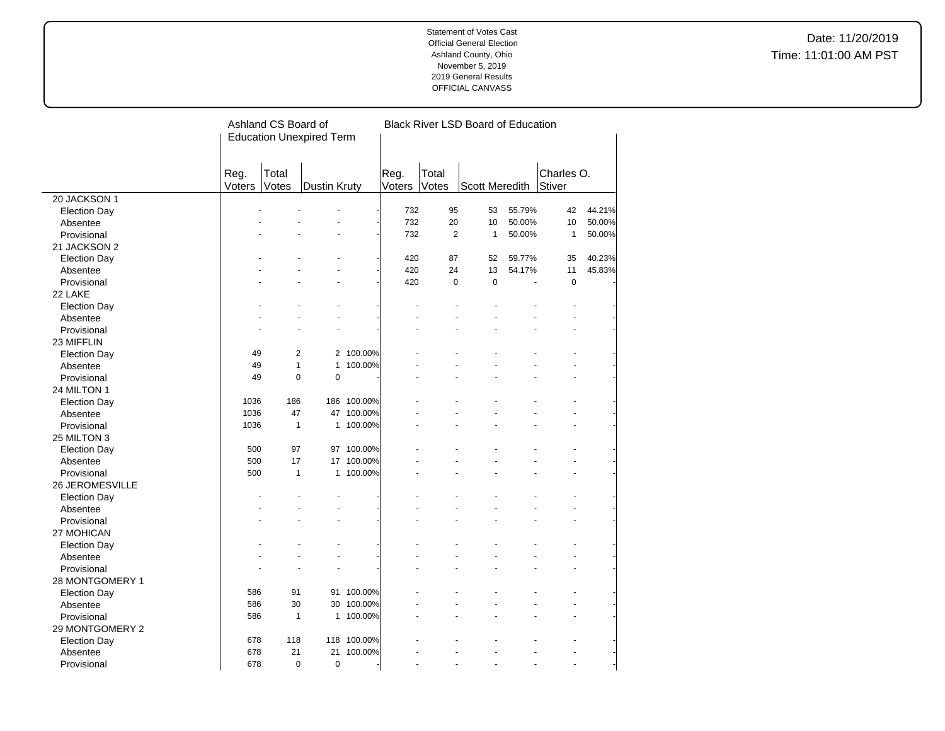|                     |        | Ashland CS Board of |                                 |             |        |                | <b>Black River LSD Board of Education</b> |        |               |        |
|---------------------|--------|---------------------|---------------------------------|-------------|--------|----------------|-------------------------------------------|--------|---------------|--------|
|                     |        |                     | <b>Education Unexpired Term</b> |             |        |                |                                           |        |               |        |
|                     |        |                     |                                 |             |        |                |                                           |        |               |        |
|                     |        |                     |                                 |             |        |                |                                           |        |               |        |
|                     | Reg.   | Total               |                                 |             | Reg.   | Total          |                                           |        | Charles O.    |        |
|                     | Voters | Votes               | Dustin Kruty                    |             | Voters | Votes          | <b>Scott Meredith</b>                     |        | <b>Stiver</b> |        |
| 20 JACKSON 1        |        |                     |                                 |             |        |                |                                           |        |               |        |
| <b>Election Day</b> |        |                     |                                 |             | 732    | 95             | 53                                        | 55.79% | 42            | 44.21% |
| Absentee            |        |                     |                                 |             | 732    | 20             | 10                                        | 50.00% | 10            | 50.00% |
| Provisional         |        |                     |                                 |             | 732    | $\overline{2}$ | $\mathbf{1}$                              | 50.00% | $\mathbf{1}$  | 50.00% |
| 21 JACKSON 2        |        |                     |                                 |             |        |                |                                           |        |               |        |
| <b>Election Day</b> |        |                     |                                 |             | 420    | 87             | 52                                        | 59.77% | 35            | 40.23% |
| Absentee            |        |                     |                                 |             | 420    | 24             | 13                                        | 54.17% | 11            | 45.83% |
| Provisional         |        |                     |                                 |             | 420    | $\mathbf 0$    | $\mathbf 0$                               |        | $\mathbf 0$   |        |
| 22 LAKE             |        |                     |                                 |             |        |                |                                           |        |               |        |
| <b>Election Day</b> |        |                     |                                 |             |        |                |                                           |        |               |        |
| Absentee            |        |                     |                                 |             |        |                |                                           |        |               |        |
| Provisional         |        |                     |                                 |             |        |                |                                           |        |               |        |
| 23 MIFFLIN          |        |                     |                                 |             |        |                |                                           |        |               |        |
| <b>Election Day</b> | 49     | 2                   |                                 | 2 100.00%   |        |                |                                           |        |               |        |
| Absentee            | 49     | $\mathbf{1}$        | $\mathbf{1}$                    | 100.00%     |        |                |                                           |        |               |        |
| Provisional         | 49     | $\pmb{0}$           | $\pmb{0}$                       |             |        |                |                                           |        |               |        |
| 24 MILTON 1         |        |                     |                                 |             |        |                |                                           |        |               |        |
| <b>Election Day</b> | 1036   | 186                 |                                 | 186 100.00% |        |                |                                           |        |               |        |
| Absentee            | 1036   | 47                  |                                 | 47 100.00%  |        |                |                                           |        |               |        |
| Provisional         | 1036   | $\mathbf{1}$        |                                 | 1 100.00%   |        |                |                                           |        |               |        |
| 25 MILTON 3         |        |                     |                                 |             |        |                |                                           |        |               |        |
| <b>Election Day</b> | 500    | 97                  |                                 | 97 100.00%  |        |                |                                           |        |               |        |
| Absentee            | 500    | 17                  |                                 | 17 100.00%  |        |                |                                           |        |               |        |
| Provisional         | 500    | $\mathbf{1}$        | $\mathbf{1}$                    | 100.00%     |        |                |                                           |        |               |        |
| 26 JEROMESVILLE     |        |                     |                                 |             |        |                |                                           |        |               |        |
| <b>Election Day</b> |        |                     |                                 |             |        |                |                                           |        |               |        |
| Absentee            |        |                     |                                 |             |        |                |                                           |        |               |        |
| Provisional         |        |                     |                                 |             |        |                |                                           |        |               |        |
| 27 MOHICAN          |        |                     |                                 |             |        |                |                                           |        |               |        |
| <b>Election Day</b> |        |                     |                                 |             |        |                |                                           |        |               |        |
| Absentee            |        |                     |                                 |             |        |                |                                           |        |               |        |
| Provisional         |        |                     |                                 |             |        |                |                                           |        |               |        |
| 28 MONTGOMERY 1     |        |                     |                                 |             |        |                |                                           |        |               |        |
| <b>Election Day</b> | 586    | 91                  |                                 | 91 100.00%  |        |                |                                           |        |               |        |
| Absentee            | 586    | 30                  |                                 | 30 100.00%  |        |                |                                           |        |               |        |
| Provisional         | 586    | $\mathbf{1}$        |                                 | 1 100.00%   |        |                |                                           |        |               |        |
| 29 MONTGOMERY 2     |        |                     |                                 |             |        |                |                                           |        |               |        |
| <b>Election Day</b> | 678    | 118                 |                                 | 118 100.00% |        |                |                                           |        |               |        |
| Absentee            | 678    | 21                  | 21                              | 100.00%     |        |                |                                           |        |               |        |
| Provisional         | 678    | $\Omega$            | $\mathbf 0$                     |             |        | ÷.             |                                           |        |               |        |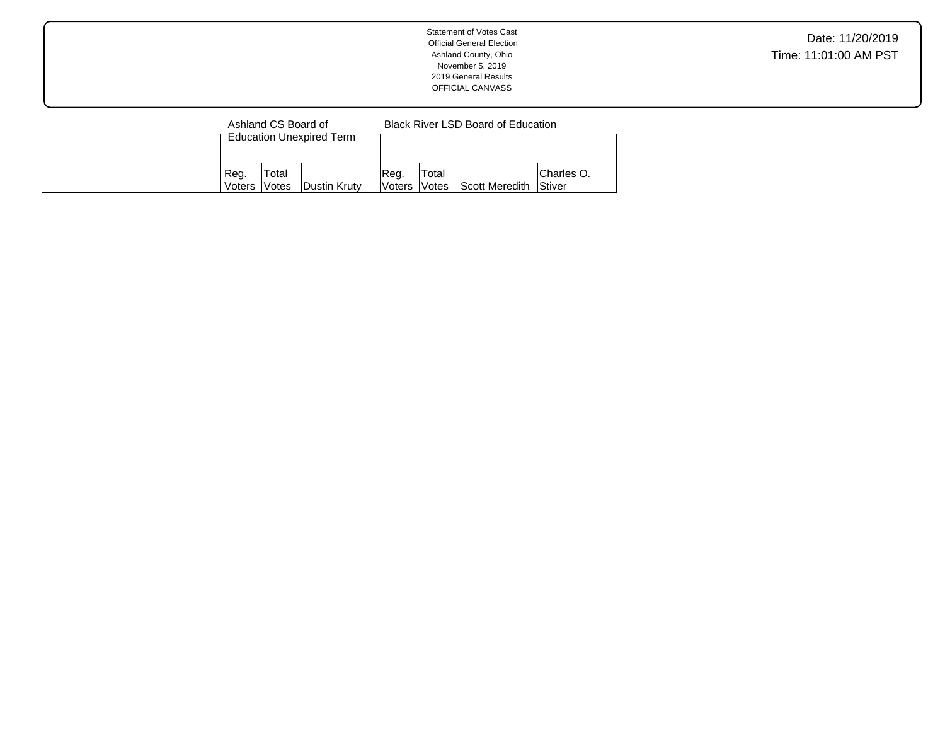| <b>Statement of Votes Cast</b><br><b>Official General Election</b><br>Ashland County, Ohio<br>November 5, 2019<br>2019 General Results<br>OFFICIAL CANVASS | Date: 11/20/2019<br>Time: 11:01:00 AM PST |
|------------------------------------------------------------------------------------------------------------------------------------------------------------|-------------------------------------------|
| <b>Black River LSD Board of Education</b><br>Ashland CS Board of<br><b>Education Unexpired Term</b>                                                        |                                           |

Votes Scott Meredith

Charles O. Stiver

Reg. Voters Total

Dustin Kruty

Reg. Voters Total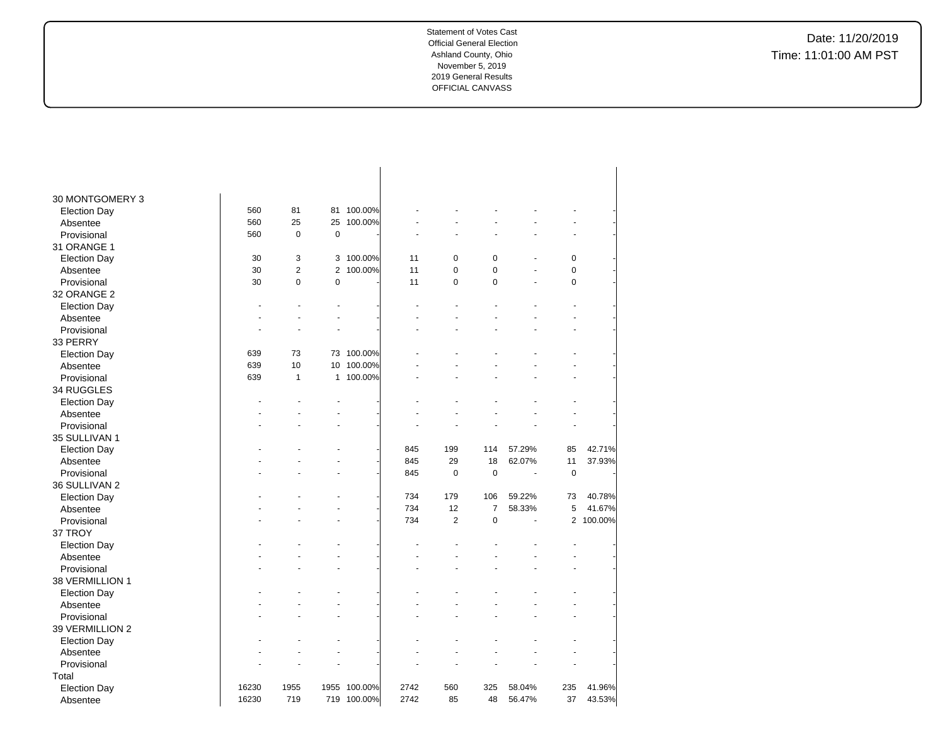| 30 MONTGOMERY 3     |       |                |                |            |      |                |                |        |           |           |
|---------------------|-------|----------------|----------------|------------|------|----------------|----------------|--------|-----------|-----------|
| <b>Election Day</b> | 560   | 81             |                | 81 100.00% |      |                |                |        |           |           |
| Absentee            | 560   | 25             | 25             | 100.00%    |      |                |                |        |           |           |
| Provisional         | 560   | $\mathbf 0$    | $\pmb{0}$      |            |      |                |                |        |           |           |
| 31 ORANGE 1         |       |                |                |            |      |                |                |        |           |           |
| <b>Election Day</b> | 30    | 3              | 3              | 100.00%    | 11   | 0              | $\mathbf 0$    |        | $\pmb{0}$ |           |
| Absentee            | 30    | $\overline{2}$ | $\overline{2}$ | 100.00%    | 11   | $\mathbf 0$    | $\pmb{0}$      |        | 0         |           |
| Provisional         | 30    | $\mathbf 0$    | $\pmb{0}$      |            | 11   | $\mathbf 0$    | $\mathbf 0$    | ä,     | $\pmb{0}$ |           |
| 32 ORANGE 2         |       |                |                |            |      |                |                |        |           |           |
| <b>Election Day</b> |       |                |                |            |      |                |                |        |           |           |
| Absentee            |       |                |                |            |      |                |                |        |           |           |
| Provisional         |       |                |                |            |      |                |                |        |           |           |
| 33 PERRY            |       |                |                |            |      |                |                |        |           |           |
| <b>Election Day</b> | 639   | 73             | 73             | 100.00%    |      |                |                |        |           |           |
| Absentee            | 639   | 10             | 10             | 100.00%    |      |                |                |        |           |           |
| Provisional         | 639   | $\mathbf{1}$   |                | 1 100.00%  |      |                |                |        |           |           |
| 34 RUGGLES          |       |                |                |            |      |                |                |        |           |           |
| <b>Election Day</b> |       |                |                |            |      |                |                |        |           |           |
| Absentee            |       |                |                |            |      |                |                |        |           |           |
| Provisional         |       |                |                |            |      |                |                |        |           |           |
| 35 SULLIVAN 1       |       |                |                |            |      |                |                |        |           |           |
| <b>Election Day</b> |       |                |                |            | 845  | 199            | 114            | 57.29% | 85        | 42.71%    |
| Absentee            |       |                |                |            | 845  | 29             | 18             | 62.07% | 11        | 37.93%    |
| Provisional         |       |                |                |            | 845  | 0              | $\pmb{0}$      | ä,     | $\pmb{0}$ |           |
| 36 SULLIVAN 2       |       |                |                |            |      |                |                |        |           |           |
| <b>Election Day</b> |       |                |                |            | 734  | 179            | 106            | 59.22% | 73        | 40.78%    |
| Absentee            |       |                |                |            | 734  | 12             | $\overline{7}$ | 58.33% | 5         | 41.67%    |
| Provisional         |       |                |                |            | 734  | $\overline{2}$ | $\pmb{0}$      | L.     |           | 2 100.00% |
| 37 TROY             |       |                |                |            |      |                |                |        |           |           |
| <b>Election Day</b> |       |                |                |            |      |                |                |        |           |           |
| Absentee            |       |                |                |            |      |                |                |        |           |           |
| Provisional         |       |                |                |            |      |                |                |        |           |           |
| 38 VERMILLION 1     |       |                |                |            |      |                |                |        |           |           |
| <b>Election Day</b> |       |                |                |            |      |                |                |        |           |           |
| Absentee            |       |                |                |            |      |                |                |        |           |           |
| Provisional         |       |                |                |            |      |                |                |        |           |           |
| 39 VERMILLION 2     |       |                |                |            |      |                |                |        |           |           |
| <b>Election Day</b> |       |                |                |            |      |                |                |        |           |           |
| Absentee            |       |                |                |            |      |                |                |        |           |           |
| Provisional         |       |                |                |            |      |                |                |        |           |           |
| Total               |       |                |                |            |      |                |                |        |           |           |
| <b>Election Day</b> | 16230 | 1955           | 1955           | 100.00%    | 2742 | 560            | 325            | 58.04% | 235       | 41.96%    |
| Absentee            | 16230 | 719            | 719            | 100.00%    | 2742 | 85             | 48             | 56.47% | 37        | 43.53%    |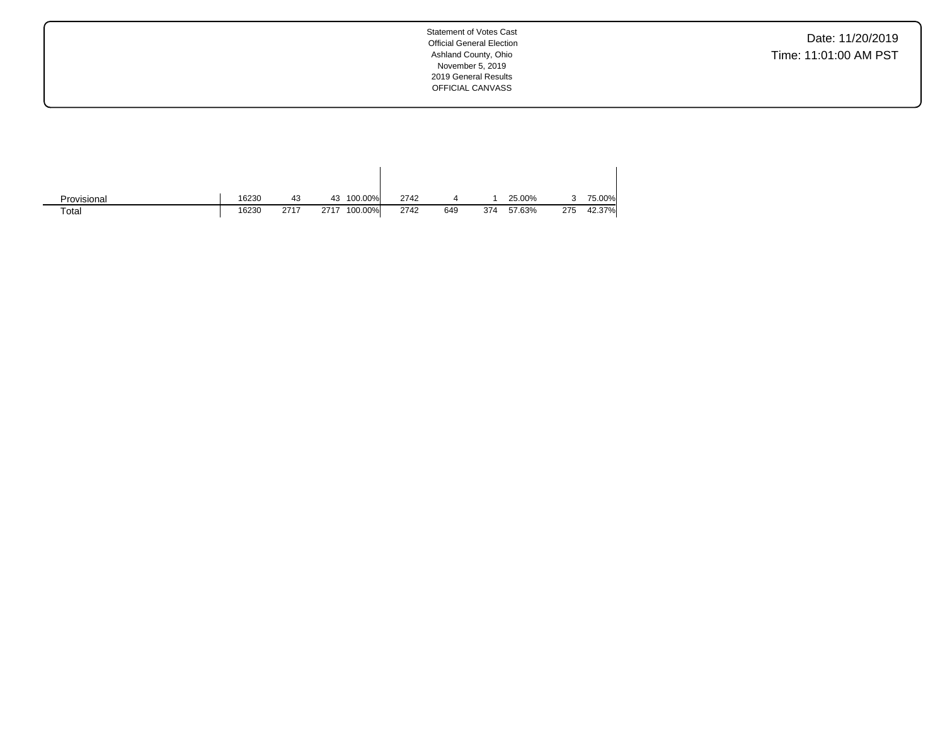Date: 11/20/2019 Time: 11:01:00 AM PST

| Provisional | 16230 | 43   | 100.00%<br>43   | 2742 |     |     | 25.00% |     | 75.00% |
|-------------|-------|------|-----------------|------|-----|-----|--------|-----|--------|
| Total       | 16230 | 2717 | 100.00%<br>2717 | 2742 | 649 | 374 | 57.63% | 275 | 42.37% |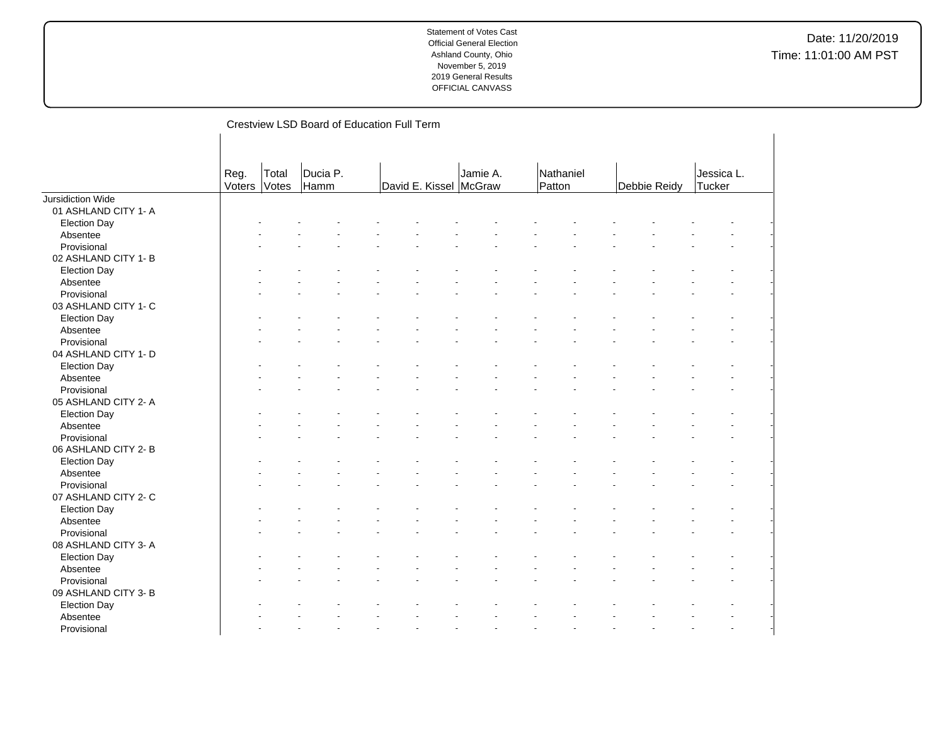|                         |                |                | Crestview LSD Board of Education Full Term |                        |          |                     |              |                             |
|-------------------------|----------------|----------------|--------------------------------------------|------------------------|----------|---------------------|--------------|-----------------------------|
|                         |                |                |                                            |                        |          |                     |              |                             |
|                         |                |                |                                            |                        |          |                     |              |                             |
|                         | Reg.<br>Voters | Total<br>Votes | Ducia P.<br>Hamm                           | David E. Kissel McGraw | Jamie A. | Nathaniel<br>Patton | Debbie Reidy | Jessica L.<br><b>Tucker</b> |
|                         |                |                |                                            |                        |          |                     |              |                             |
| Jursidiction Wide       |                |                |                                            |                        |          |                     |              |                             |
| 01 ASHLAND CITY 1- A    |                |                |                                            |                        |          |                     |              |                             |
| <b>Election Day</b>     |                |                |                                            |                        |          |                     |              |                             |
| Absentee<br>Provisional |                |                |                                            |                        |          |                     |              |                             |
|                         |                |                |                                            |                        |          |                     |              |                             |
| 02 ASHLAND CITY 1- B    |                |                |                                            |                        |          |                     |              |                             |
| <b>Election Day</b>     |                |                |                                            |                        |          |                     |              |                             |
| Absentee                |                |                |                                            |                        |          |                     |              |                             |
| Provisional             |                |                |                                            |                        |          |                     |              |                             |
| 03 ASHLAND CITY 1- C    |                |                |                                            |                        |          |                     |              |                             |
| <b>Election Day</b>     |                |                |                                            |                        |          |                     |              |                             |
| Absentee                |                |                |                                            |                        |          |                     |              |                             |
| Provisional             |                |                |                                            |                        |          |                     |              |                             |
| 04 ASHLAND CITY 1- D    |                |                |                                            |                        |          |                     |              |                             |
| <b>Election Day</b>     |                |                |                                            |                        |          |                     |              |                             |
| Absentee                |                |                |                                            |                        |          |                     |              |                             |
| Provisional             |                |                |                                            |                        |          |                     |              |                             |
| 05 ASHLAND CITY 2- A    |                |                |                                            |                        |          |                     |              |                             |
| <b>Election Day</b>     |                |                |                                            |                        |          |                     |              |                             |
| Absentee                |                |                |                                            |                        |          |                     |              |                             |
| Provisional             |                |                |                                            |                        |          |                     |              |                             |
| 06 ASHLAND CITY 2- B    |                |                |                                            |                        |          |                     |              |                             |
| <b>Election Day</b>     |                |                |                                            |                        |          |                     |              |                             |
| Absentee                |                |                |                                            |                        |          |                     |              |                             |
| Provisional             |                |                |                                            |                        |          |                     |              |                             |
| 07 ASHLAND CITY 2- C    |                |                |                                            |                        |          |                     |              |                             |
| <b>Election Day</b>     |                |                |                                            |                        |          |                     |              |                             |
| Absentee                |                |                |                                            |                        |          |                     |              |                             |
| Provisional             |                |                |                                            |                        |          |                     |              |                             |
| 08 ASHLAND CITY 3-A     |                |                |                                            |                        |          |                     |              |                             |
| <b>Election Day</b>     |                |                |                                            |                        |          |                     |              |                             |
| Absentee                |                |                |                                            |                        |          |                     |              |                             |
| Provisional             |                |                |                                            |                        |          |                     |              |                             |
| 09 ASHLAND CITY 3- B    |                |                |                                            |                        |          |                     |              |                             |
| <b>Election Day</b>     |                |                |                                            |                        |          |                     |              |                             |
| Absentee                |                |                |                                            |                        |          |                     |              |                             |
| Provisional             |                |                |                                            |                        |          |                     |              |                             |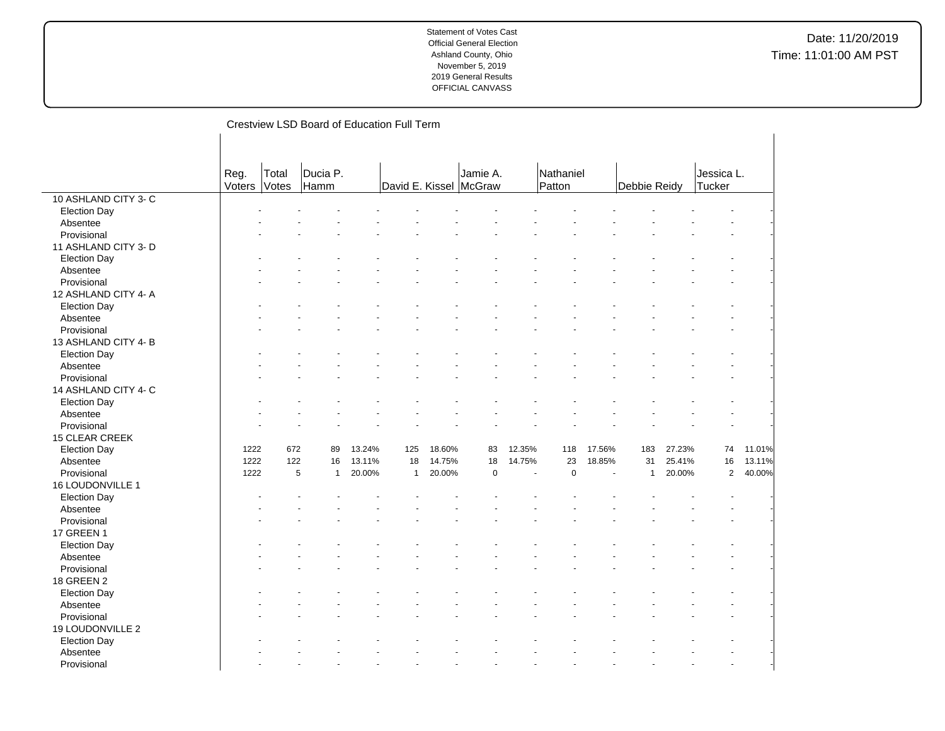|                      |        |       | Crestview LSD Board of Education Full Term |        |              |        |                        |        |             |        |              |        |             |        |  |
|----------------------|--------|-------|--------------------------------------------|--------|--------------|--------|------------------------|--------|-------------|--------|--------------|--------|-------------|--------|--|
|                      |        |       |                                            |        |              |        |                        |        |             |        |              |        |             |        |  |
|                      |        |       |                                            |        |              |        |                        |        |             |        |              |        |             |        |  |
|                      |        |       |                                            |        |              |        |                        |        |             |        |              |        |             |        |  |
|                      | Reg.   | Total | Ducia P.                                   |        |              |        | Jamie A.               |        | Nathaniel   |        |              |        | Jessica L.  |        |  |
|                      | Voters | Votes | Hamm                                       |        |              |        | David E. Kissel McGraw |        | Patton      |        | Debbie Reidy |        | Tucker      |        |  |
| 10 ASHLAND CITY 3- C |        |       |                                            |        |              |        |                        |        |             |        |              |        |             |        |  |
| <b>Election Day</b>  |        |       |                                            |        |              |        |                        |        |             |        |              |        |             |        |  |
| Absentee             |        |       |                                            |        |              |        |                        |        |             |        |              |        |             |        |  |
| Provisional          |        |       |                                            |        |              |        |                        |        |             |        |              |        |             |        |  |
| 11 ASHLAND CITY 3- D |        |       |                                            |        |              |        |                        |        |             |        |              |        |             |        |  |
| <b>Election Day</b>  |        |       |                                            |        |              |        |                        |        |             |        |              |        |             |        |  |
| Absentee             |        |       |                                            |        |              |        |                        |        |             |        |              |        |             |        |  |
| Provisional          |        |       |                                            |        |              |        |                        |        |             |        |              |        |             |        |  |
| 12 ASHLAND CITY 4- A |        |       |                                            |        |              |        |                        |        |             |        |              |        |             |        |  |
| <b>Election Day</b>  |        |       |                                            |        |              |        |                        |        |             |        |              |        |             |        |  |
| Absentee             |        |       |                                            |        |              |        |                        |        |             |        |              |        |             |        |  |
| Provisional          |        |       |                                            |        |              |        |                        |        |             |        |              |        |             |        |  |
| 13 ASHLAND CITY 4-B  |        |       |                                            |        |              |        |                        |        |             |        |              |        |             |        |  |
| <b>Election Day</b>  |        |       |                                            |        |              |        |                        |        |             |        |              |        |             |        |  |
| Absentee             |        |       |                                            |        |              |        |                        |        |             |        |              |        |             |        |  |
| Provisional          |        |       |                                            |        |              |        |                        |        |             |        |              |        |             |        |  |
| 14 ASHLAND CITY 4- C |        |       |                                            |        |              |        |                        |        |             |        |              |        |             |        |  |
| <b>Election Day</b>  |        |       |                                            |        |              |        |                        |        |             |        |              |        |             |        |  |
| Absentee             |        |       |                                            |        |              |        |                        |        |             |        |              |        |             |        |  |
| Provisional          |        |       |                                            |        |              |        |                        |        |             |        |              |        |             |        |  |
| 15 CLEAR CREEK       |        |       |                                            |        |              |        |                        |        |             |        |              |        |             |        |  |
| <b>Election Day</b>  | 1222   | 672   | 89                                         | 13.24% | 125          | 18.60% | 83                     | 12.35% | 118         | 17.56% | 183          | 27.23% | 74          | 11.01% |  |
| Absentee             | 1222   | 122   | 16                                         | 13.11% | 18           | 14.75% | 18                     | 14.75% | 23          | 18.85% | 31           | 25.41% | 16          | 13.11% |  |
| Provisional          | 1222   |       | 5<br>$\mathbf{1}$                          | 20.00% | $\mathbf{1}$ | 20.00% | $\mathbf 0$            | L.     | $\mathbf 0$ | ÷.     | $\mathbf{1}$ | 20.00% | $\mathbf 2$ | 40.00% |  |
| 16 LOUDONVILLE 1     |        |       |                                            |        |              |        |                        |        |             |        |              |        |             |        |  |
| <b>Election Day</b>  |        |       |                                            |        |              |        |                        |        |             |        |              |        |             |        |  |
| Absentee             |        |       |                                            |        |              |        |                        |        |             |        |              |        |             |        |  |
| Provisional          |        |       |                                            |        |              |        |                        |        |             |        |              |        |             |        |  |
| <b>17 GREEN 1</b>    |        |       |                                            |        |              |        |                        |        |             |        |              |        |             |        |  |
| <b>Election Day</b>  |        |       |                                            |        |              |        |                        |        |             |        |              |        |             |        |  |
| Absentee             |        |       |                                            |        |              |        |                        |        |             |        |              |        |             |        |  |
| Provisional          |        |       |                                            |        |              |        |                        |        |             |        |              |        |             |        |  |
| <b>18 GREEN 2</b>    |        |       |                                            |        |              |        |                        |        |             |        |              |        |             |        |  |
| <b>Election Day</b>  |        |       |                                            |        |              |        |                        |        |             |        |              |        |             |        |  |
| Absentee             |        |       |                                            |        |              |        |                        |        |             |        |              |        |             |        |  |
| Provisional          |        |       |                                            |        |              |        |                        |        |             |        |              |        |             |        |  |
| 19 LOUDONVILLE 2     |        |       |                                            |        |              |        |                        |        |             |        |              |        |             |        |  |
| <b>Election Day</b>  |        |       |                                            |        |              |        |                        |        |             |        |              |        |             |        |  |
| Absentee             |        |       |                                            |        |              |        |                        |        |             |        |              |        |             |        |  |
| Provisional          |        |       |                                            |        |              |        |                        |        |             |        |              |        |             |        |  |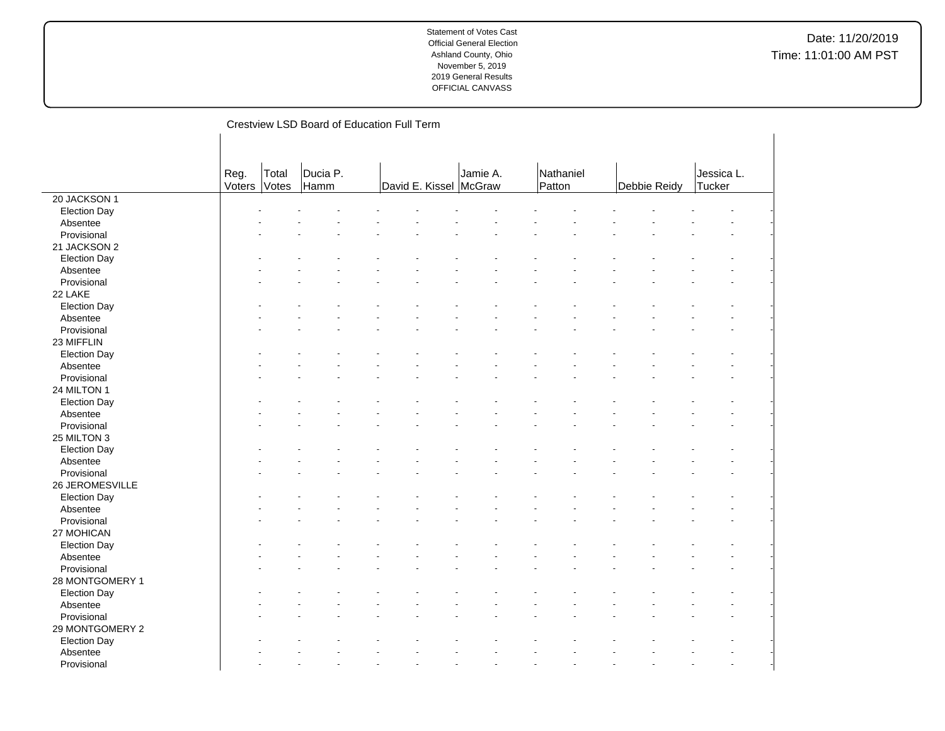|                         |        |       | Crestview LSD Board of Education Full Term |                        |          |           |              |            |
|-------------------------|--------|-------|--------------------------------------------|------------------------|----------|-----------|--------------|------------|
|                         |        |       |                                            |                        |          |           |              |            |
|                         |        |       |                                            |                        |          |           |              |            |
|                         |        |       |                                            |                        |          |           |              |            |
|                         | Reg.   | Total | Ducia P.                                   |                        | Jamie A. | Nathaniel |              | Jessica L. |
|                         | Voters | Votes | Hamm                                       | David E. Kissel McGraw |          | Patton    | Debbie Reidy | Tucker     |
| 20 JACKSON 1            |        |       |                                            |                        |          |           |              |            |
| <b>Election Day</b>     |        |       |                                            |                        |          |           |              |            |
| Absentee                |        |       |                                            |                        |          |           |              |            |
| Provisional             |        |       |                                            |                        |          |           |              |            |
| 21 JACKSON 2            |        |       |                                            |                        |          |           |              |            |
| <b>Election Day</b>     |        |       |                                            |                        |          |           |              |            |
| Absentee                |        |       |                                            |                        |          |           |              |            |
| Provisional             |        |       |                                            |                        |          |           |              |            |
| 22 LAKE                 |        |       |                                            |                        |          |           |              |            |
| <b>Election Day</b>     |        |       |                                            |                        |          |           |              |            |
| Absentee                |        |       |                                            |                        |          |           |              |            |
| Provisional             |        |       |                                            |                        |          |           |              |            |
| 23 MIFFLIN              |        |       |                                            |                        |          |           |              |            |
| <b>Election Day</b>     |        |       |                                            |                        |          |           |              |            |
| Absentee                |        |       |                                            |                        |          |           |              |            |
| Provisional             |        |       |                                            |                        |          |           |              |            |
| 24 MILTON 1             |        |       |                                            |                        |          |           |              |            |
| <b>Election Day</b>     |        |       |                                            |                        |          |           |              |            |
| Absentee                |        |       |                                            |                        |          |           |              |            |
| Provisional             |        |       |                                            |                        |          |           |              |            |
| 25 MILTON 3             |        |       |                                            |                        |          |           |              |            |
| <b>Election Day</b>     |        |       |                                            |                        |          |           |              |            |
| Absentee                |        |       |                                            |                        |          |           |              |            |
| Provisional             |        |       |                                            |                        |          |           |              |            |
| 26 JEROMESVILLE         |        |       |                                            |                        |          |           |              |            |
|                         |        |       |                                            |                        |          |           |              |            |
| Election Day            |        |       |                                            |                        |          |           |              |            |
| Absentee<br>Provisional |        |       |                                            |                        |          |           |              |            |
|                         |        |       |                                            |                        |          |           |              |            |
| 27 MOHICAN              |        |       |                                            |                        |          |           |              |            |
| <b>Election Day</b>     |        |       |                                            |                        |          |           |              |            |
| Absentee                |        |       |                                            |                        |          |           |              |            |
| Provisional             |        |       |                                            |                        |          |           |              |            |
| 28 MONTGOMERY 1         |        |       |                                            |                        |          |           |              |            |
| <b>Election Day</b>     |        |       |                                            |                        |          |           |              |            |
| Absentee                |        |       |                                            |                        |          |           |              |            |
| Provisional             |        |       |                                            |                        |          |           |              |            |
| 29 MONTGOMERY 2         |        |       |                                            |                        |          |           |              |            |
| <b>Election Day</b>     |        |       |                                            |                        |          |           |              |            |
| Absentee                |        |       |                                            |                        |          |           |              |            |
| Provisional             |        |       |                                            |                        |          |           |              |            |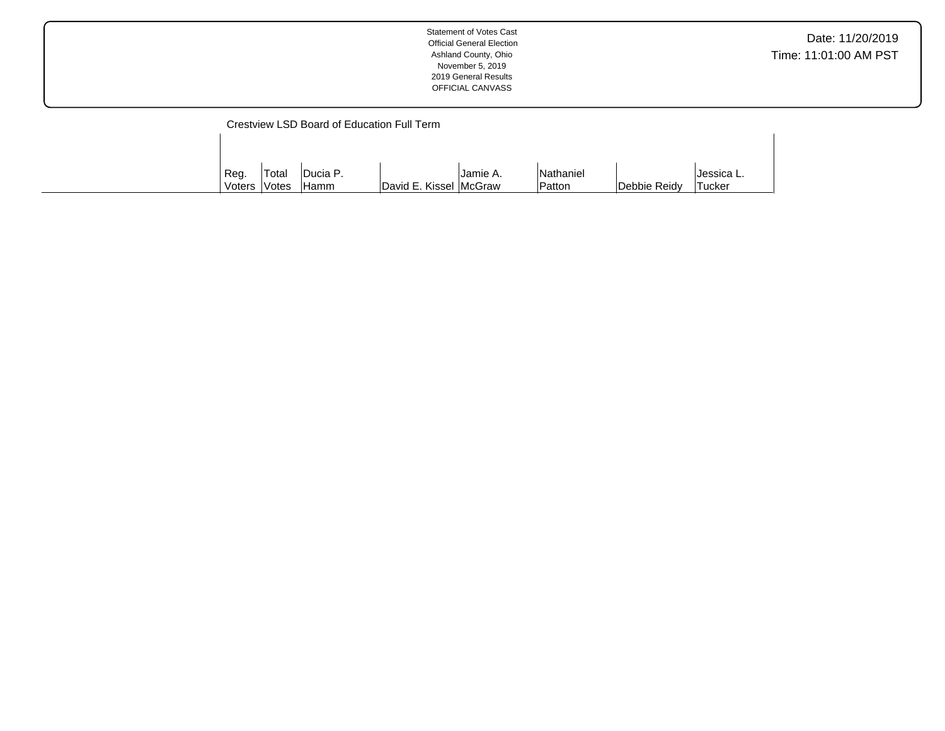| <b>Statement of Votes Cast</b><br><b>Official General Election</b><br>Ashland County, Ohio<br>November 5, 2019<br>2019 General Results<br>OFFICIAL CANVASS | Date: 11/20/2019<br>Time: 11:01:00 AM PST |
|------------------------------------------------------------------------------------------------------------------------------------------------------------|-------------------------------------------|
|                                                                                                                                                            |                                           |

|              |        | Crestview LSD Board of Education Full Term |                        |          |           |              |            |
|--------------|--------|--------------------------------------------|------------------------|----------|-----------|--------------|------------|
|              |        |                                            |                        |          |           |              |            |
|              |        |                                            |                        |          |           |              |            |
| Reg.         | 'Total | <b>IDucia P.</b>                           |                        | Uamie A. | Nathaniel |              | Jessica L. |
| Voters Votes |        | <b>Hamm</b>                                | David E. Kissel McGraw |          | lPatton   | Debbie Reidy | Tucker     |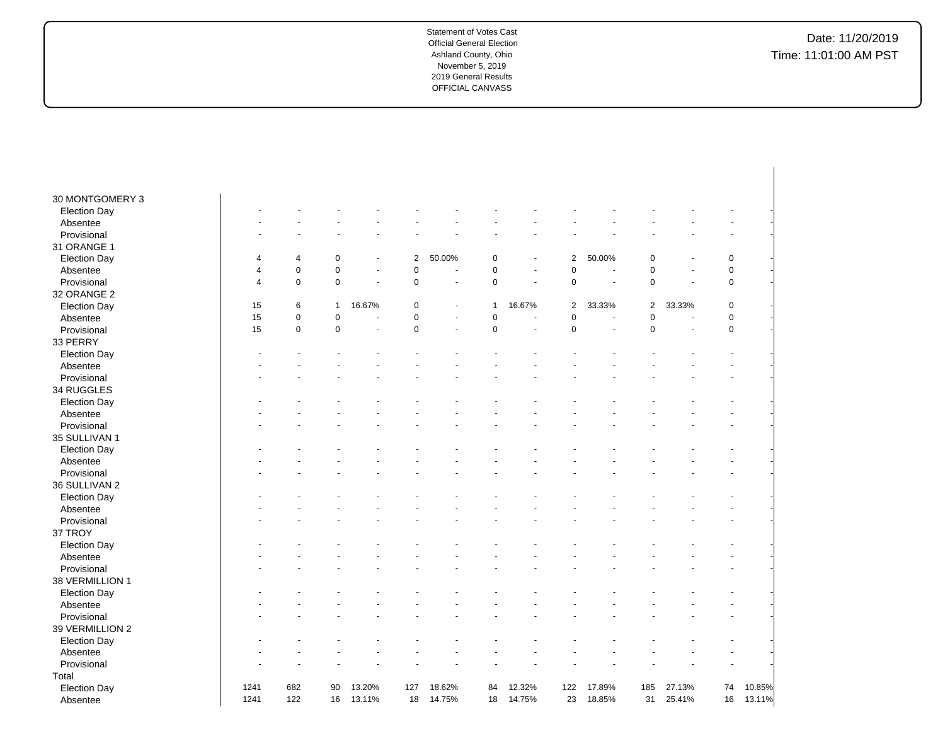| Absentee                        | 1241           | 122         | 16           | 13.11%         | 18             | 14.75% | 18             | 14.75%                   | 23             | 18.85% | 31             | 25.41% | 16          | 13.11% |
|---------------------------------|----------------|-------------|--------------|----------------|----------------|--------|----------------|--------------------------|----------------|--------|----------------|--------|-------------|--------|
| <b>Election Day</b>             | 1241           | 682         | 90           | 13.20%         | 127            | 18.62% | 84             | 12.32%                   | 122            | 17.89% | 185            | 27.13% | 74          | 10.85% |
| Total                           |                |             |              |                |                |        |                |                          |                |        |                |        |             |        |
| Provisional                     |                |             |              |                |                |        |                |                          |                |        |                |        |             |        |
| Absentee                        |                |             |              |                |                |        |                |                          |                |        |                |        |             |        |
| <b>Election Day</b>             |                |             |              |                |                |        |                |                          |                |        |                |        |             |        |
| 39 VERMILLION 2                 |                |             |              |                |                |        |                |                          |                |        |                |        |             |        |
| Provisional                     |                |             |              |                |                |        |                |                          |                |        |                |        |             |        |
| Absentee                        |                |             |              |                |                |        |                |                          |                |        |                |        |             |        |
| <b>Election Day</b>             |                |             |              |                |                |        |                |                          |                |        |                |        |             |        |
| 38 VERMILLION 1                 |                |             |              |                |                |        |                |                          |                |        |                |        |             |        |
| Provisional                     |                |             |              |                |                |        |                |                          |                |        |                |        |             |        |
| Absentee                        |                |             |              |                |                |        |                |                          |                |        |                |        |             |        |
| <b>Election Day</b>             |                |             |              |                |                |        |                |                          |                |        |                |        |             |        |
| 37 TROY                         |                |             |              |                |                |        |                |                          |                |        |                |        |             |        |
| Provisional                     |                |             |              |                |                |        |                |                          |                |        |                |        |             |        |
| Absentee                        |                |             |              |                |                |        |                |                          |                |        |                |        |             |        |
| <b>Election Day</b>             |                |             |              |                |                |        |                |                          |                |        |                |        |             |        |
| 36 SULLIVAN 2                   |                |             |              |                |                |        |                |                          |                |        |                |        |             |        |
| Provisional                     |                |             |              |                |                |        |                |                          |                |        |                |        |             |        |
| Absentee                        |                |             |              |                |                |        |                |                          |                |        |                |        |             |        |
| <b>Election Day</b>             |                |             |              |                |                |        |                |                          |                |        |                |        |             |        |
| 35 SULLIVAN 1                   |                |             |              |                |                |        |                |                          |                |        |                |        |             |        |
| Provisional                     |                |             |              |                |                |        |                |                          |                |        |                |        |             |        |
| Absentee                        |                |             |              |                |                |        |                |                          |                |        |                |        |             |        |
| <b>Election Day</b>             |                |             |              |                |                |        |                |                          |                |        |                |        |             |        |
| 34 RUGGLES                      |                |             |              |                |                |        |                |                          |                |        |                |        |             |        |
| Provisional                     |                |             |              |                |                |        |                |                          |                |        |                |        |             |        |
| Absentee                        |                |             |              |                |                |        |                |                          |                |        |                |        |             |        |
| <b>Election Day</b>             |                |             |              |                |                |        |                |                          |                |        |                |        |             |        |
| 33 PERRY                        |                |             |              |                |                |        |                |                          |                |        |                |        |             |        |
| Provisional                     | 15             | $\pmb{0}$   | $\mathbf 0$  | $\blacksquare$ | $\mathbf 0$    |        | $\pmb{0}$      | ÷,                       | $\mathbf 0$    |        | $\pmb{0}$      | ÷,     | $\mathbf 0$ |        |
| Absentee                        | 15             | $\mathbf 0$ | $\mathbf 0$  |                | $\pmb{0}$      |        | $\overline{0}$ | ÷,                       | $\mathsf 0$    |        | $\pmb{0}$      |        | $\pmb{0}$   |        |
| <b>Election Day</b>             | 15             | 6           | $\mathbf{1}$ | 16.67%         | $\pmb{0}$      |        | $\mathbf{1}$   | 16.67%                   | 2              | 33.33% | $\overline{2}$ | 33.33% | 0           |        |
| 32 ORANGE 2                     |                |             |              |                |                |        |                |                          |                |        |                |        |             |        |
| Provisional                     | $\overline{4}$ | $\mathbf 0$ | $\mathbf 0$  |                | $\mathbf 0$    | ä,     | 0              | $\overline{\phantom{a}}$ | $\mathsf 0$    |        | $\pmb{0}$      |        | $\mathbf 0$ |        |
| <b>Election Day</b><br>Absentee | 4              | $\pmb{0}$   | $\pmb{0}$    |                | $\pmb{0}$      | ÷.     | $\pmb{0}$      |                          | $\pmb{0}$      |        | $\pmb{0}$      |        | $\mathbf 0$ |        |
|                                 | 4              | 4           | $\mathbf 0$  |                | $\overline{c}$ | 50.00% | $\pmb{0}$      |                          | $\overline{2}$ | 50.00% | $\pmb{0}$      |        | 0           |        |
| 31 ORANGE 1                     |                |             |              |                |                |        |                |                          |                |        |                |        |             |        |
| Absentee<br>Provisional         |                |             |              |                |                |        |                |                          |                |        |                |        |             |        |
| <b>Election Day</b>             |                |             |              |                |                |        |                |                          |                |        |                |        |             |        |
|                                 |                |             |              |                |                |        |                |                          |                |        |                |        |             |        |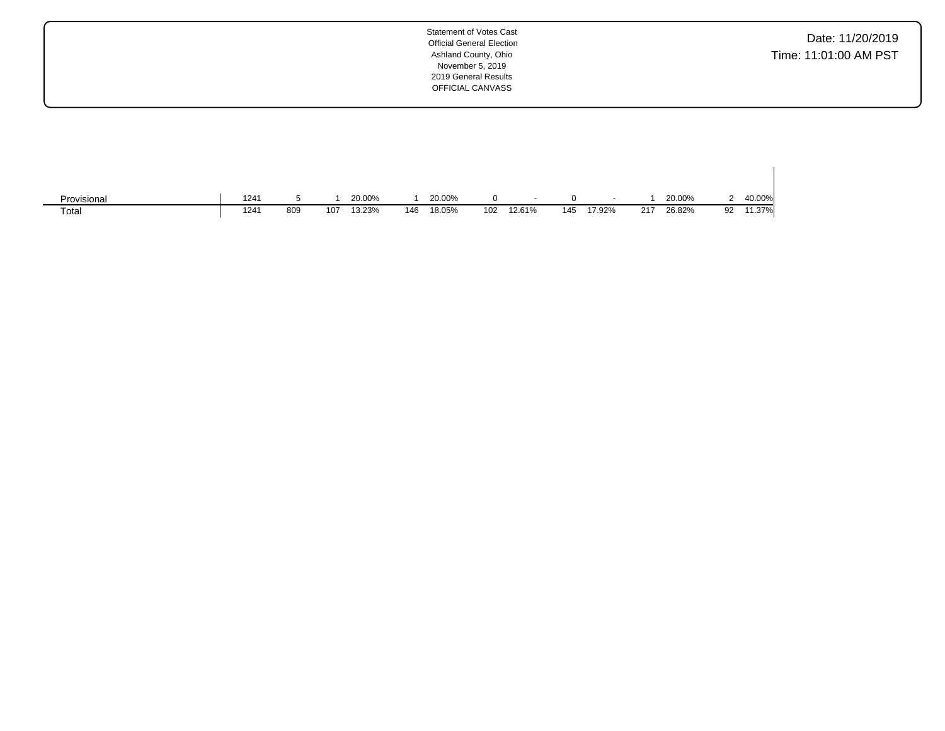Date: 11/20/2019 Time: 11:01:00 AM PST

| Provisional | 1241 |     |     | 20.00% |     | 20.00% |     | $\overline{\phantom{a}}$ | 0   | $\overline{\phantom{a}}$ |     | 20.00% |    | 40.00% |
|-------------|------|-----|-----|--------|-----|--------|-----|--------------------------|-----|--------------------------|-----|--------|----|--------|
| Total       | 1241 | 809 | 107 | 13.23% | 146 | 18.05% | 102 | 12.61%                   | 145 | 17.92%                   | 217 | 26.82% | 92 | 11.37% |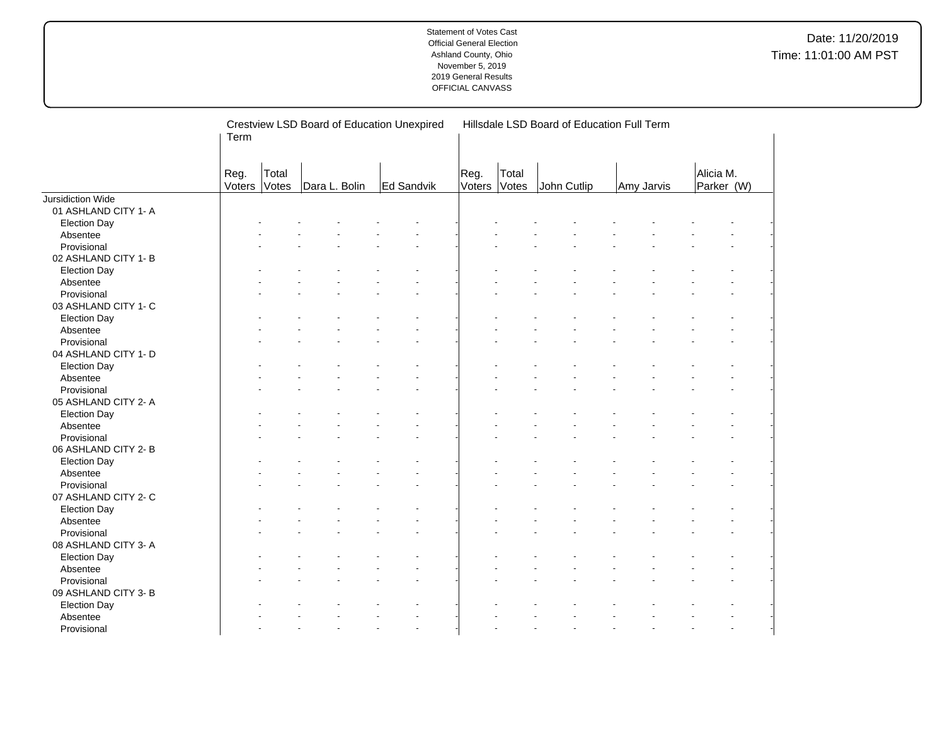|                      |                |       |               | Crestview LSD Board of Education Unexpired |                |       | Hillsdale LSD Board of Education Full Term |            |           |            |  |
|----------------------|----------------|-------|---------------|--------------------------------------------|----------------|-------|--------------------------------------------|------------|-----------|------------|--|
|                      | Term           |       |               |                                            |                |       |                                            |            |           |            |  |
|                      |                |       |               |                                            |                |       |                                            |            |           |            |  |
|                      |                | Total |               |                                            |                | Total |                                            |            | Alicia M. |            |  |
|                      | Reg.<br>Voters | Votes | Dara L. Bolin | Ed Sandvik                                 | Reg.<br>Voters | Votes | John Cutlip                                | Amy Jarvis |           | Parker (W) |  |
| Jursidiction Wide    |                |       |               |                                            |                |       |                                            |            |           |            |  |
| 01 ASHLAND CITY 1- A |                |       |               |                                            |                |       |                                            |            |           |            |  |
| <b>Election Day</b>  |                |       |               |                                            |                |       |                                            |            |           |            |  |
| Absentee             |                |       |               |                                            |                |       |                                            |            |           |            |  |
| Provisional          |                |       |               |                                            |                |       |                                            |            |           |            |  |
| 02 ASHLAND CITY 1- B |                |       |               |                                            |                |       |                                            |            |           |            |  |
| <b>Election Day</b>  |                |       |               |                                            |                |       |                                            |            |           |            |  |
| Absentee             |                |       |               |                                            |                |       |                                            |            |           |            |  |
| Provisional          |                |       |               |                                            |                |       |                                            |            |           |            |  |
| 03 ASHLAND CITY 1- C |                |       |               |                                            |                |       |                                            |            |           |            |  |
| <b>Election Day</b>  |                |       |               |                                            |                |       |                                            |            |           |            |  |
| Absentee             |                |       |               |                                            |                |       |                                            |            |           |            |  |
| Provisional          |                |       |               |                                            |                |       |                                            |            |           |            |  |
| 04 ASHLAND CITY 1- D |                |       |               |                                            |                |       |                                            |            |           |            |  |
| <b>Election Day</b>  |                |       |               |                                            |                |       |                                            |            |           |            |  |
| Absentee             |                |       |               |                                            |                |       |                                            |            |           |            |  |
| Provisional          |                |       |               |                                            |                |       |                                            |            |           |            |  |
| 05 ASHLAND CITY 2- A |                |       |               |                                            |                |       |                                            |            |           |            |  |
| <b>Election Day</b>  |                |       |               |                                            |                |       |                                            |            |           |            |  |
| Absentee             |                |       |               |                                            |                |       |                                            |            |           |            |  |
| Provisional          |                |       |               |                                            |                |       |                                            |            |           |            |  |
| 06 ASHLAND CITY 2-B  |                |       |               |                                            |                |       |                                            |            |           |            |  |
| <b>Election Day</b>  |                |       |               |                                            |                |       |                                            |            |           |            |  |
| Absentee             |                |       |               |                                            |                |       |                                            |            |           |            |  |
| Provisional          |                |       |               |                                            |                |       |                                            |            |           |            |  |
| 07 ASHLAND CITY 2- C |                |       |               |                                            |                |       |                                            |            |           |            |  |
| <b>Election Day</b>  |                |       |               |                                            |                |       |                                            |            |           |            |  |
| Absentee             |                |       |               |                                            |                |       |                                            |            |           |            |  |
| Provisional          |                |       |               |                                            |                |       |                                            |            |           |            |  |
| 08 ASHLAND CITY 3- A |                |       |               |                                            |                |       |                                            |            |           |            |  |
| <b>Election Day</b>  |                |       |               |                                            |                |       |                                            |            |           |            |  |
| Absentee             |                |       |               |                                            |                |       |                                            |            |           |            |  |
| Provisional          |                |       |               |                                            |                |       |                                            |            |           |            |  |
| 09 ASHLAND CITY 3- B |                |       |               |                                            |                |       |                                            |            |           |            |  |
| <b>Election Day</b>  |                |       |               |                                            |                |       |                                            |            |           |            |  |
| Absentee             |                |       |               |                                            |                |       |                                            |            |           |            |  |
| Provisional          |                |       |               |                                            |                |       |                                            |            |           |            |  |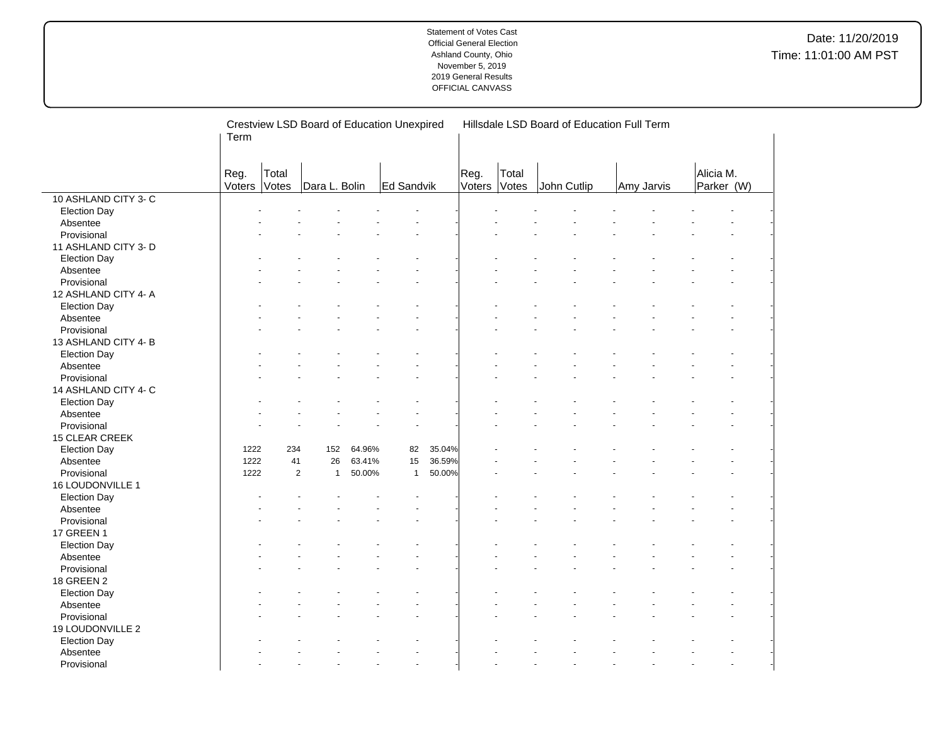|                      | Term           |                | Crestview LSD Board of Education Unexpired |                  |              |        |                |                | Hillsdale LSD Board of Education Full Term |            |                         |  |
|----------------------|----------------|----------------|--------------------------------------------|------------------|--------------|--------|----------------|----------------|--------------------------------------------|------------|-------------------------|--|
|                      | Reg.<br>Voters | Total<br>Votes | Dara L. Bolin                              |                  | Ed Sandvik   |        | Reg.<br>Voters | Total<br>Votes | John Cutlip                                | Amy Jarvis | Alicia M.<br>Parker (W) |  |
| 10 ASHLAND CITY 3-C  |                |                |                                            |                  |              |        |                |                |                                            |            |                         |  |
| <b>Election Day</b>  |                |                |                                            |                  |              |        |                |                |                                            |            |                         |  |
| Absentee             |                |                |                                            |                  |              |        |                |                |                                            |            |                         |  |
| Provisional          |                |                |                                            |                  |              |        |                |                |                                            |            |                         |  |
| 11 ASHLAND CITY 3- D |                |                |                                            |                  |              |        |                |                |                                            |            |                         |  |
| <b>Election Day</b>  |                |                |                                            |                  |              |        |                |                |                                            |            |                         |  |
| Absentee             |                |                |                                            |                  |              |        |                |                |                                            |            |                         |  |
| Provisional          |                |                |                                            |                  |              |        |                |                |                                            |            |                         |  |
| 12 ASHLAND CITY 4- A |                |                |                                            |                  |              |        |                |                |                                            |            |                         |  |
| <b>Election Day</b>  |                |                |                                            |                  |              |        |                |                |                                            |            |                         |  |
| Absentee             |                |                |                                            |                  |              |        |                |                |                                            |            |                         |  |
| Provisional          |                |                |                                            |                  |              |        |                |                |                                            |            |                         |  |
| 13 ASHLAND CITY 4-B  |                |                |                                            |                  |              |        |                |                |                                            |            |                         |  |
| <b>Election Day</b>  |                |                |                                            |                  |              |        |                |                |                                            |            |                         |  |
| Absentee             |                |                |                                            |                  |              |        |                |                |                                            |            |                         |  |
| Provisional          |                |                |                                            |                  |              |        |                |                |                                            |            |                         |  |
| 14 ASHLAND CITY 4- C |                |                |                                            |                  |              |        |                |                |                                            |            |                         |  |
|                      |                |                |                                            |                  |              |        |                |                |                                            |            |                         |  |
| <b>Election Day</b>  |                |                |                                            |                  |              |        |                |                |                                            |            |                         |  |
| Absentee             |                |                |                                            |                  |              |        |                |                |                                            |            |                         |  |
| Provisional          |                |                |                                            |                  |              |        |                |                |                                            |            |                         |  |
| 15 CLEAR CREEK       |                |                |                                            |                  |              | 35.04% |                |                |                                            |            |                         |  |
| <b>Election Day</b>  | 1222<br>1222   | 234<br>41      | 152<br>26                                  | 64.96%<br>63.41% | 82<br>15     | 36.59% |                |                |                                            |            |                         |  |
| Absentee             |                |                |                                            |                  |              |        |                |                |                                            |            |                         |  |
| Provisional          | 1222           | $\overline{2}$ | $\mathbf{1}$                               | 50.00%           | $\mathbf{1}$ | 50.00% |                |                |                                            |            |                         |  |
| 16 LOUDONVILLE 1     |                |                |                                            |                  |              |        |                |                |                                            |            |                         |  |
| <b>Election Day</b>  |                |                |                                            |                  |              |        |                |                |                                            |            |                         |  |
| Absentee             |                |                |                                            |                  |              |        |                |                |                                            |            |                         |  |
| Provisional          |                |                |                                            |                  |              |        |                |                |                                            |            |                         |  |
| 17 GREEN 1           |                |                |                                            |                  |              |        |                |                |                                            |            |                         |  |
| <b>Election Day</b>  |                |                |                                            |                  |              |        |                |                |                                            |            |                         |  |
| Absentee             |                |                |                                            |                  |              |        |                |                |                                            |            |                         |  |
| Provisional          |                |                |                                            |                  |              |        |                |                |                                            |            |                         |  |
| 18 GREEN 2           |                |                |                                            |                  |              |        |                |                |                                            |            |                         |  |
| <b>Election Day</b>  |                |                |                                            |                  |              |        |                |                |                                            |            |                         |  |
| Absentee             |                |                |                                            |                  |              |        |                |                |                                            |            |                         |  |
| Provisional          |                |                |                                            |                  |              |        |                |                |                                            |            |                         |  |
| 19 LOUDONVILLE 2     |                |                |                                            |                  |              |        |                |                |                                            |            |                         |  |
| <b>Election Day</b>  |                |                |                                            |                  |              |        |                |                |                                            |            |                         |  |
| Absentee             |                |                |                                            |                  |              |        |                |                |                                            |            |                         |  |
| Provisional          |                |                |                                            |                  |              |        |                |                |                                            |            |                         |  |

 $\overline{a}$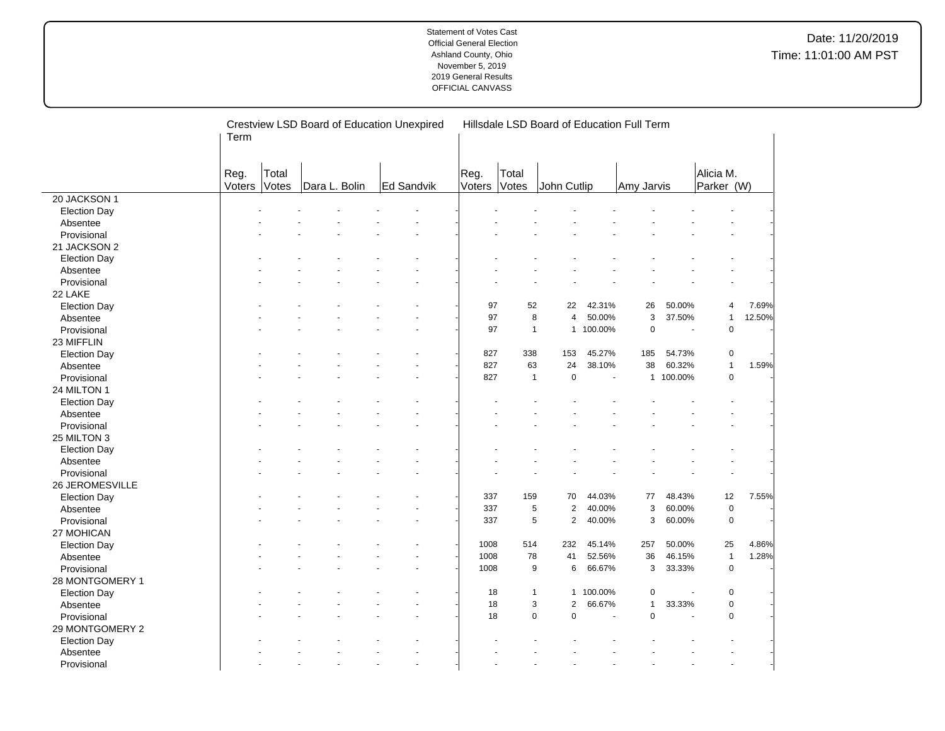|                     | Crestview LSD Board of Education Unexpired<br>Term |       |               |  |            |  |        | Hillsdale LSD Board of Education Full Term |                     |           |                |           |              |        |  |  |  |
|---------------------|----------------------------------------------------|-------|---------------|--|------------|--|--------|--------------------------------------------|---------------------|-----------|----------------|-----------|--------------|--------|--|--|--|
|                     | Reg.                                               | Total |               |  |            |  | Reg.   | Total                                      |                     |           |                |           | Alicia M.    |        |  |  |  |
|                     | Voters                                             | Votes | Dara L. Bolin |  | Ed Sandvik |  | Voters | Votes                                      | John Cutlip         |           | Amy Jarvis     |           | Parker (W)   |        |  |  |  |
| 20 JACKSON 1        |                                                    |       |               |  |            |  |        |                                            |                     |           |                |           |              |        |  |  |  |
| <b>Election Day</b> |                                                    |       |               |  |            |  |        |                                            |                     |           |                |           |              |        |  |  |  |
| Absentee            |                                                    |       |               |  |            |  |        |                                            |                     |           |                |           |              |        |  |  |  |
| Provisional         |                                                    |       |               |  |            |  |        |                                            |                     |           |                |           |              |        |  |  |  |
| 21 JACKSON 2        |                                                    |       |               |  |            |  |        |                                            |                     |           |                |           |              |        |  |  |  |
| <b>Election Day</b> |                                                    |       |               |  |            |  |        |                                            |                     |           |                |           |              |        |  |  |  |
| Absentee            |                                                    |       |               |  |            |  |        |                                            |                     |           |                |           |              |        |  |  |  |
| Provisional         |                                                    |       |               |  |            |  |        |                                            |                     |           |                |           |              |        |  |  |  |
| 22 LAKE             |                                                    |       |               |  |            |  |        |                                            |                     |           |                |           |              |        |  |  |  |
| <b>Election Day</b> |                                                    |       |               |  |            |  | 97     | 52                                         | 22                  | 42.31%    | 26             | 50.00%    | 4            | 7.69%  |  |  |  |
| Absentee            |                                                    |       |               |  |            |  | 97     | 8                                          | $\overline{4}$      | 50.00%    | $\mathsf 3$    | 37.50%    | $\mathbf{1}$ | 12.50% |  |  |  |
| Provisional         |                                                    |       |               |  |            |  | 97     | $\mathbf{1}$                               |                     | 1 100.00% | $\pmb{0}$      | ä,        | $\mathbf 0$  |        |  |  |  |
| 23 MIFFLIN          |                                                    |       |               |  |            |  |        |                                            |                     |           |                |           |              |        |  |  |  |
| <b>Election Day</b> |                                                    |       |               |  |            |  | 827    | 338                                        | 153                 | 45.27%    | 185            | 54.73%    | $\pmb{0}$    |        |  |  |  |
| Absentee            |                                                    |       |               |  |            |  | 827    | 63                                         | 24                  | 38.10%    | 38             | 60.32%    | $\mathbf{1}$ | 1.59%  |  |  |  |
| Provisional         |                                                    |       |               |  |            |  | 827    | $\mathbf{1}$                               | $\pmb{0}$           | $\sim$    |                | 1 100.00% | $\pmb{0}$    |        |  |  |  |
| 24 MILTON 1         |                                                    |       |               |  |            |  |        |                                            |                     |           |                |           |              |        |  |  |  |
| <b>Election Day</b> |                                                    |       |               |  |            |  |        |                                            |                     |           |                |           |              |        |  |  |  |
| Absentee            |                                                    |       |               |  |            |  |        |                                            |                     |           |                |           |              |        |  |  |  |
| Provisional         |                                                    |       |               |  |            |  |        |                                            |                     |           |                |           |              |        |  |  |  |
| 25 MILTON 3         |                                                    |       |               |  |            |  |        |                                            |                     |           |                |           |              |        |  |  |  |
| <b>Election Day</b> |                                                    |       |               |  |            |  |        |                                            |                     |           |                |           |              |        |  |  |  |
| Absentee            |                                                    |       |               |  |            |  |        |                                            |                     |           |                |           |              |        |  |  |  |
| Provisional         |                                                    |       |               |  |            |  |        |                                            |                     |           |                |           |              |        |  |  |  |
| 26 JEROMESVILLE     |                                                    |       |               |  |            |  |        |                                            |                     |           |                |           |              |        |  |  |  |
| <b>Election Day</b> |                                                    |       |               |  |            |  | 337    | 159                                        | 70                  | 44.03%    | 77             | 48.43%    | 12           | 7.55%  |  |  |  |
| Absentee            |                                                    |       |               |  |            |  | 337    | 5                                          | $\overline{2}$      | 40.00%    | 3              | 60.00%    | $\pmb{0}$    |        |  |  |  |
| Provisional         |                                                    |       |               |  |            |  | 337    | 5                                          | $\overline{2}$      | 40.00%    | 3              | 60.00%    | $\mathsf 0$  |        |  |  |  |
| 27 MOHICAN          |                                                    |       |               |  |            |  |        |                                            |                     |           |                |           |              |        |  |  |  |
| <b>Election Day</b> |                                                    |       |               |  |            |  | 1008   | 514                                        | 232                 | 45.14%    | 257            | 50.00%    | 25           | 4.86%  |  |  |  |
| Absentee            |                                                    |       |               |  |            |  | 1008   | 78                                         | 41                  | 52.56%    | 36             | 46.15%    | $\mathbf{1}$ | 1.28%  |  |  |  |
| Provisional         |                                                    |       |               |  |            |  | 1008   | 9                                          | 6                   | 66.67%    | 3              | 33.33%    | $\pmb{0}$    |        |  |  |  |
| 28 MONTGOMERY 1     |                                                    |       |               |  |            |  |        |                                            |                     |           |                |           |              |        |  |  |  |
| <b>Election Day</b> |                                                    |       |               |  |            |  | 18     | $\mathbf{1}$                               |                     | 1 100.00% | 0              |           | $\pmb{0}$    |        |  |  |  |
| Absentee            |                                                    |       |               |  |            |  | 18     |                                            | 3<br>$\overline{2}$ | 66.67%    | $\overline{1}$ | 33.33%    | $\mathsf 0$  |        |  |  |  |
| Provisional         |                                                    |       |               |  |            |  | 18     |                                            | 0<br>0              | ÷,        | $\pmb{0}$      | ÷,        | $\mathbf 0$  |        |  |  |  |
| 29 MONTGOMERY 2     |                                                    |       |               |  |            |  |        |                                            |                     |           |                |           |              |        |  |  |  |
| <b>Election Day</b> |                                                    |       |               |  |            |  |        |                                            |                     |           |                |           |              |        |  |  |  |
| Absentee            |                                                    |       |               |  |            |  |        |                                            |                     |           |                |           |              |        |  |  |  |
| Provisional         |                                                    |       |               |  |            |  |        |                                            |                     |           |                |           |              |        |  |  |  |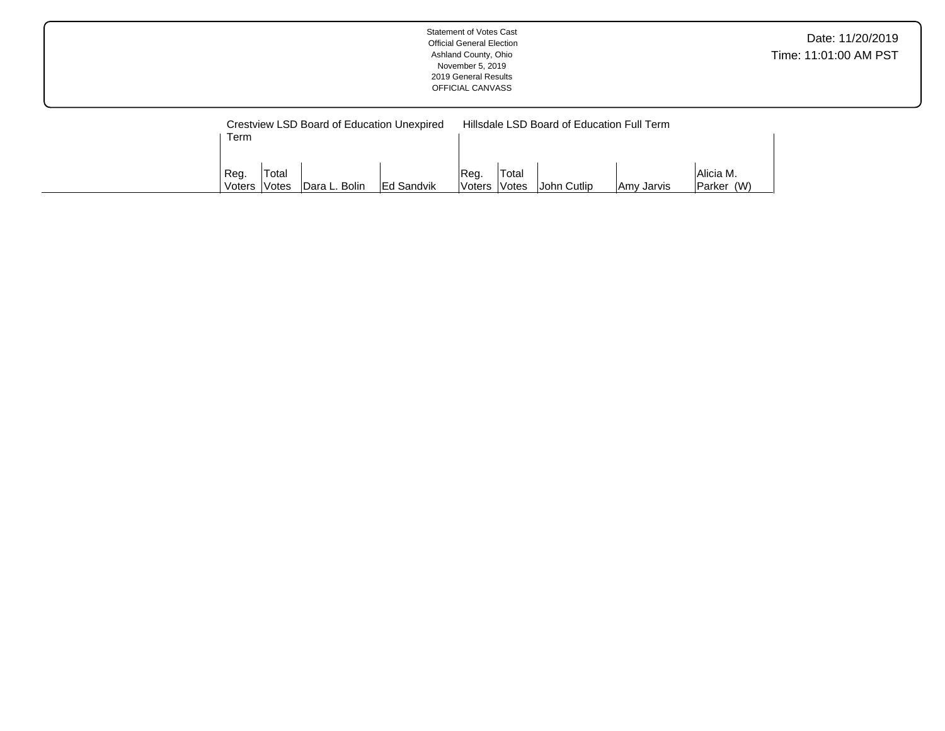| Date: 11/20/2019<br><b>Official General Election</b><br>Time: 11:01:00 AM PST<br>Ashland County, Ohio<br>November 5, 2019<br>2019 General Results<br>OFFICIAL CANVASS |  |
|-----------------------------------------------------------------------------------------------------------------------------------------------------------------------|--|
|-----------------------------------------------------------------------------------------------------------------------------------------------------------------------|--|

|        |        | Crestview LSD Board of Education Unexpired |                    | Hillsdale LSD Board of Education Full Term |       |             |            |                |  |  |  |  |  |  |
|--------|--------|--------------------------------------------|--------------------|--------------------------------------------|-------|-------------|------------|----------------|--|--|--|--|--|--|
| Term   |        |                                            |                    |                                            |       |             |            |                |  |  |  |  |  |  |
|        |        |                                            |                    |                                            |       |             |            |                |  |  |  |  |  |  |
| Reg.   | 'Total |                                            |                    | <sup>I</sup> Reg.                          | Total |             |            | Alicia M.      |  |  |  |  |  |  |
| Voters | Votes  | Dara L. Bolin                              | <b>IEd Sandvik</b> | <b>Voters</b>                              | Votes | John Cutlip | Amy Jarvis | (W)<br> Parker |  |  |  |  |  |  |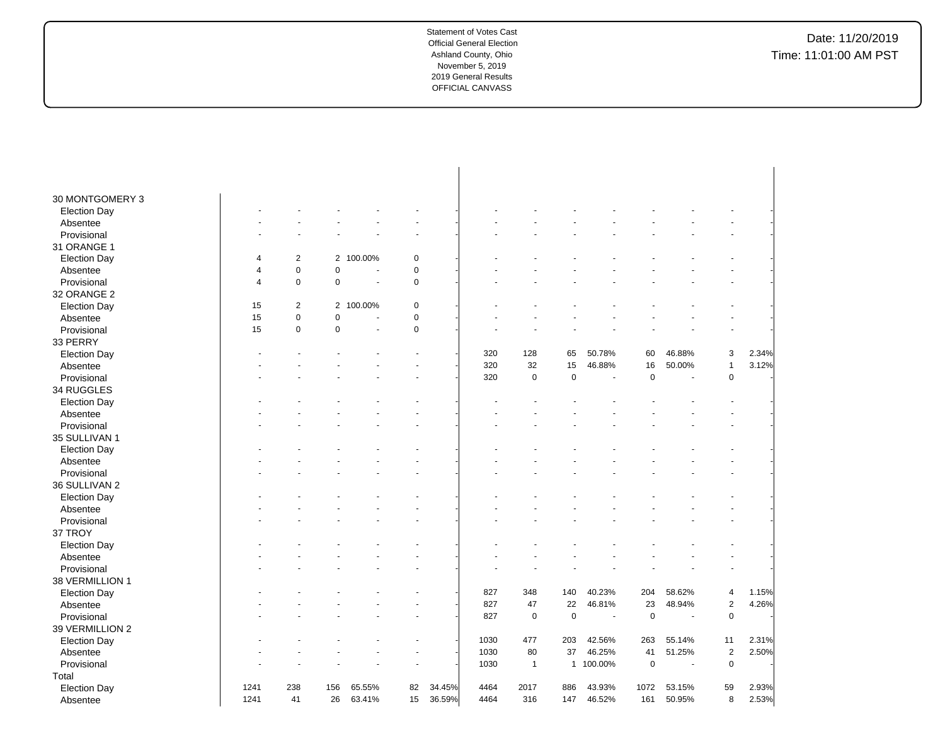| 30 MONTGOMERY 3     |                |            |                |                |             |        |      |                |              |         |             |        |                |                |
|---------------------|----------------|------------|----------------|----------------|-------------|--------|------|----------------|--------------|---------|-------------|--------|----------------|----------------|
| <b>Election Day</b> |                |            |                |                |             |        |      |                |              |         |             |        |                |                |
| Absentee            |                |            |                |                |             |        |      |                |              |         |             |        |                |                |
| Provisional         |                |            |                |                |             |        |      |                |              |         |             |        |                |                |
| 31 ORANGE 1         |                |            |                |                |             |        |      |                |              |         |             |        |                |                |
| <b>Election Day</b> | $\overline{4}$ | 2          | $\overline{2}$ | 100.00%        | $\mathbf 0$ |        |      |                |              |         |             |        |                |                |
| Absentee            | 4              | 0          | 0              | $\sim$         | $\mathbf 0$ |        |      |                |              |         |             |        |                |                |
| Provisional         | $\overline{4}$ | 0          | 0              | ÷.             | $\mathbf 0$ |        |      |                |              |         |             |        |                |                |
| 32 ORANGE 2         |                |            |                |                |             |        |      |                |              |         |             |        |                |                |
| <b>Election Day</b> | 15             | $\sqrt{2}$ | $\overline{2}$ | 100.00%        | $\mathbf 0$ |        |      |                |              |         |             |        |                |                |
| Absentee            | 15             | 0          | 0              | $\overline{a}$ | $\pmb{0}$   |        |      |                |              |         |             |        |                |                |
| Provisional         | 15             | 0          | 0              | ÷,             | $\mathbf 0$ |        |      |                |              |         |             |        |                |                |
| 33 PERRY            |                |            |                |                |             |        |      |                |              |         |             |        |                |                |
| <b>Election Day</b> |                |            |                |                |             |        | 320  | 128            | 65           | 50.78%  | 60          | 46.88% | 3              | 2.34%          |
| Absentee            |                |            |                |                |             |        | 320  | 32             | 15           | 46.88%  | 16          | 50.00% | $\mathbf{1}$   | 3.12%          |
| Provisional         |                |            |                |                |             |        | 320  | $\mathbf 0$    | $\pmb{0}$    | ÷,      | $\mathbf 0$ | ÷,     | $\mathbf 0$    |                |
| 34 RUGGLES          |                |            |                |                |             |        |      |                |              |         |             |        |                |                |
| <b>Election Day</b> |                |            |                |                |             |        |      |                |              |         |             |        |                |                |
| Absentee            |                |            |                |                |             |        |      |                |              |         |             |        |                |                |
| Provisional         |                |            |                |                |             |        |      |                |              |         |             |        |                |                |
| 35 SULLIVAN 1       |                |            |                |                |             |        |      |                |              |         |             |        |                |                |
| <b>Election Day</b> |                |            |                |                |             |        |      |                |              |         |             |        |                |                |
| Absentee            |                |            |                |                |             |        |      |                |              |         |             |        |                |                |
| Provisional         |                |            |                |                |             |        |      |                |              |         |             |        |                |                |
| 36 SULLIVAN 2       |                |            |                |                |             |        |      |                |              |         |             |        |                |                |
| <b>Election Day</b> |                |            |                |                |             |        |      |                |              |         |             |        |                |                |
| Absentee            |                |            |                |                |             |        |      |                |              |         |             |        |                |                |
| Provisional         |                |            |                |                |             |        |      |                |              |         |             |        |                |                |
| 37 TROY             |                |            |                |                |             |        |      |                |              |         |             |        |                |                |
| <b>Election Day</b> |                |            |                |                |             |        |      |                |              |         |             |        |                |                |
| Absentee            |                |            |                |                |             |        |      |                |              |         |             |        |                |                |
| Provisional         |                |            |                |                |             |        |      |                |              |         |             |        |                |                |
|                     |                |            |                |                |             |        |      |                |              |         |             |        |                |                |
| 38 VERMILLION 1     |                |            |                |                |             |        |      |                |              |         |             |        |                |                |
| <b>Election Day</b> |                |            |                |                |             |        | 827  | 348            | 140          | 40.23%  | 204         | 58.62% | 4              | 1.15%<br>4.26% |
| Absentee            |                |            |                |                |             |        | 827  | 47             | 22           | 46.81%  | 23          | 48.94% | $\overline{2}$ |                |
| Provisional         |                |            |                |                |             |        | 827  | $\mathbf 0$    | $\mathbf 0$  | $\sim$  | $\mathbf 0$ | ÷,     | $\mathbf 0$    |                |
| 39 VERMILLION 2     |                |            |                |                |             |        |      |                |              |         |             |        |                |                |
| <b>Election Day</b> |                |            |                |                |             |        | 1030 | 477            | 203          | 42.56%  | 263         | 55.14% | 11             | 2.31%          |
| Absentee            |                |            |                |                |             |        | 1030 | 80             | 37           | 46.25%  | 41          | 51.25% | $\overline{2}$ | 2.50%          |
| Provisional         |                |            |                |                |             |        | 1030 | $\overline{1}$ | $\mathbf{1}$ | 100.00% | $\mathbf 0$ | ÷,     | $\mathsf 0$    |                |
| Total               |                |            |                |                |             |        |      |                |              |         |             |        |                |                |
| <b>Election Day</b> | 1241           | 238        | 156            | 65.55%         | 82          | 34.45% | 4464 | 2017           | 886          | 43.93%  | 1072        | 53.15% | 59             | 2.93%          |
| Absentee            | 1241           | 41         | 26             | 63.41%         | 15          | 36.59% | 4464 | 316            | 147          | 46.52%  | 161         | 50.95% | 8              | 2.53%          |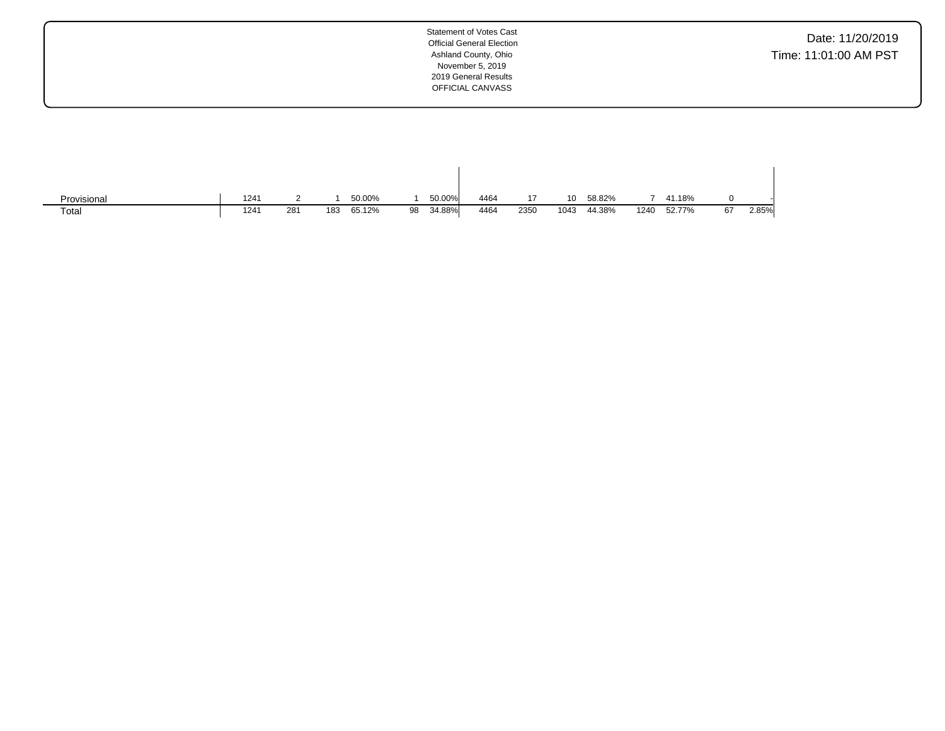Date: 11/20/2019 Time: 11:01:00 AM PST

| Provisional | 1241 |     |     | 50.00% |    | 50.00% | 4464 |      | 10   | 58.82% |      | 41.18% |    |       |
|-------------|------|-----|-----|--------|----|--------|------|------|------|--------|------|--------|----|-------|
| Total       | 1241 | 281 | 183 | 65.12% | 98 | 34.88% | 4464 | 2350 | 1043 | 44.38% | 1240 | 52.77% | 67 | 2.85% |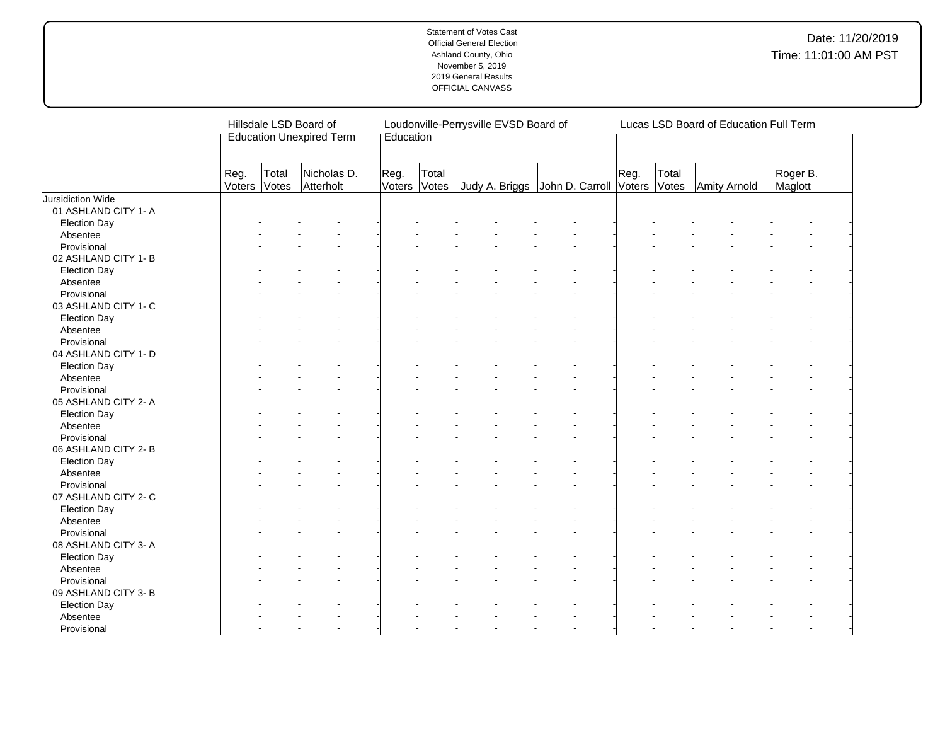|                      |                |                | Hillsdale LSD Board of<br><b>Education Unexpired Term</b> | Education      |                | Loudonville-Perrysville EVSD Board of |                                             |      |       | Lucas LSD Board of Education Full Term |                     |
|----------------------|----------------|----------------|-----------------------------------------------------------|----------------|----------------|---------------------------------------|---------------------------------------------|------|-------|----------------------------------------|---------------------|
|                      | Reg.<br>Voters | Total<br>Votes | Nicholas D.<br>Atterholt                                  | Reg.<br>Voters | Total<br>Votes |                                       | Judy A. Briggs John D. Carroll Voters Votes | Reg. | Total | Amity Arnold                           | Roger B.<br>Maglott |
| Jursidiction Wide    |                |                |                                                           |                |                |                                       |                                             |      |       |                                        |                     |
| 01 ASHLAND CITY 1- A |                |                |                                                           |                |                |                                       |                                             |      |       |                                        |                     |
| <b>Election Day</b>  |                |                |                                                           |                |                |                                       |                                             |      |       |                                        |                     |
| Absentee             |                |                |                                                           |                |                |                                       |                                             |      |       |                                        |                     |
| Provisional          |                |                |                                                           |                |                |                                       |                                             |      |       |                                        |                     |
| 02 ASHLAND CITY 1- B |                |                |                                                           |                |                |                                       |                                             |      |       |                                        |                     |
| <b>Election Day</b>  |                |                |                                                           |                |                |                                       |                                             |      |       |                                        |                     |
| Absentee             |                |                |                                                           |                |                |                                       |                                             |      |       |                                        |                     |
| Provisional          |                |                |                                                           |                |                |                                       |                                             |      |       |                                        |                     |
| 03 ASHLAND CITY 1- C |                |                |                                                           |                |                |                                       |                                             |      |       |                                        |                     |
| <b>Election Day</b>  |                |                |                                                           |                |                |                                       |                                             |      |       |                                        |                     |
| Absentee             |                |                |                                                           |                |                |                                       |                                             |      |       |                                        |                     |
| Provisional          |                |                |                                                           |                |                |                                       |                                             |      |       |                                        |                     |
| 04 ASHLAND CITY 1- D |                |                |                                                           |                |                |                                       |                                             |      |       |                                        |                     |
| <b>Election Day</b>  |                |                |                                                           |                |                |                                       |                                             |      |       |                                        |                     |
| Absentee             |                |                |                                                           |                |                |                                       |                                             |      |       |                                        |                     |
| Provisional          |                |                |                                                           |                |                |                                       |                                             |      |       |                                        |                     |
| 05 ASHLAND CITY 2- A |                |                |                                                           |                |                |                                       |                                             |      |       |                                        |                     |
| <b>Election Day</b>  |                |                |                                                           |                |                |                                       |                                             |      |       |                                        |                     |
| Absentee             |                |                |                                                           |                |                |                                       |                                             |      |       |                                        |                     |
| Provisional          |                |                |                                                           |                |                |                                       |                                             |      |       |                                        |                     |
| 06 ASHLAND CITY 2- B |                |                |                                                           |                |                |                                       |                                             |      |       |                                        |                     |
| <b>Election Day</b>  |                |                |                                                           |                |                |                                       |                                             |      |       |                                        |                     |
| Absentee             |                |                |                                                           |                |                |                                       |                                             |      |       |                                        |                     |
| Provisional          |                |                |                                                           |                |                |                                       |                                             |      |       |                                        |                     |
| 07 ASHLAND CITY 2- C |                |                |                                                           |                |                |                                       |                                             |      |       |                                        |                     |
| <b>Election Day</b>  |                |                |                                                           |                |                |                                       |                                             |      |       |                                        |                     |
| Absentee             |                |                |                                                           |                |                |                                       |                                             |      |       |                                        |                     |
| Provisional          |                |                |                                                           |                |                |                                       |                                             |      |       |                                        |                     |
|                      |                |                |                                                           |                |                |                                       |                                             |      |       |                                        |                     |
| 08 ASHLAND CITY 3- A |                |                |                                                           |                |                |                                       |                                             |      |       |                                        |                     |
| <b>Election Day</b>  |                |                |                                                           |                |                |                                       |                                             |      |       |                                        |                     |
| Absentee             |                |                |                                                           |                |                |                                       |                                             |      |       |                                        |                     |
| Provisional          |                |                |                                                           |                |                |                                       |                                             |      |       |                                        |                     |
| 09 ASHLAND CITY 3- B |                |                |                                                           |                |                |                                       |                                             |      |       |                                        |                     |
| <b>Election Day</b>  |                |                |                                                           |                |                |                                       |                                             |      |       |                                        |                     |
| Absentee             |                |                |                                                           |                |                |                                       |                                             |      |       |                                        |                     |
| Provisional          |                |                |                                                           |                |                |                                       |                                             |      |       |                                        |                     |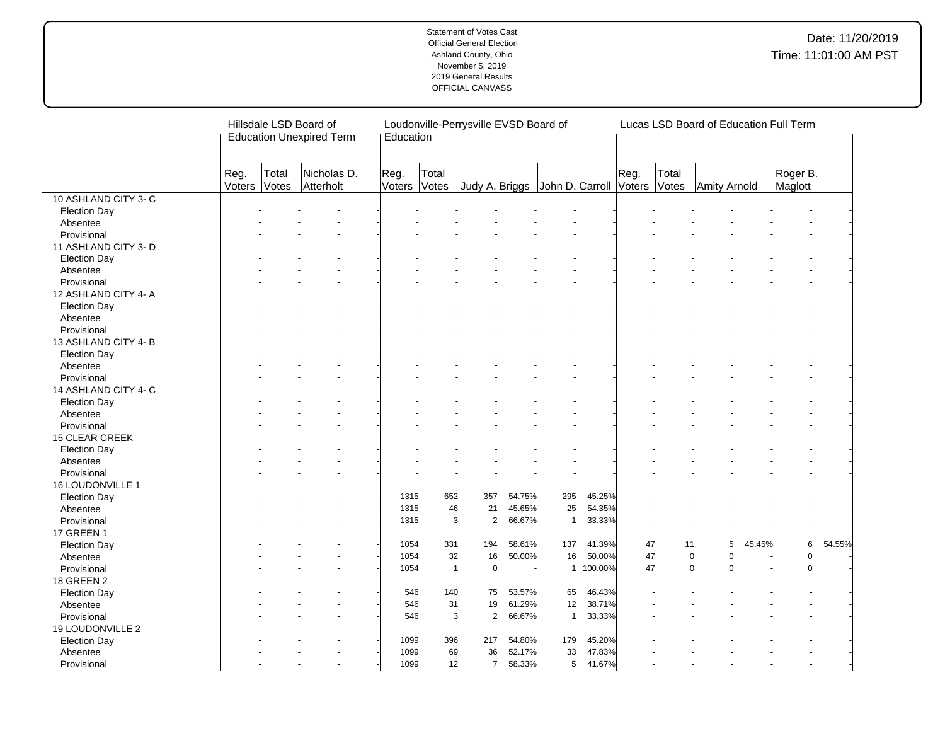|                      | Hillsdale LSD Board of<br><b>Education Unexpired Term</b> |                |                          | Education      |                | Loudonville-Perrysville EVSD Board of |                       |                 |         |                |                | Lucas LSD Board of Education Full Term |        |                     |        |  |
|----------------------|-----------------------------------------------------------|----------------|--------------------------|----------------|----------------|---------------------------------------|-----------------------|-----------------|---------|----------------|----------------|----------------------------------------|--------|---------------------|--------|--|
|                      | Reg.<br>Voters                                            | Total<br>Votes | Nicholas D.<br>Atterholt | Reg.<br>Voters | Total<br>Votes | Judy A. Briggs                        |                       | John D. Carroll |         | Reg.<br>Voters | Total<br>Votes | Amity Arnold                           |        | Roger B.<br>Maglott |        |  |
| 10 ASHLAND CITY 3- C |                                                           |                |                          |                |                |                                       |                       |                 |         |                |                |                                        |        |                     |        |  |
| <b>Election Day</b>  |                                                           |                |                          |                |                |                                       |                       |                 |         |                |                |                                        |        |                     |        |  |
| Absentee             |                                                           |                |                          |                |                |                                       |                       |                 |         |                |                |                                        |        |                     |        |  |
| Provisional          |                                                           |                |                          |                |                |                                       |                       |                 |         |                |                |                                        |        |                     |        |  |
| 11 ASHLAND CITY 3- D |                                                           |                |                          |                |                |                                       |                       |                 |         |                |                |                                        |        |                     |        |  |
| <b>Election Day</b>  |                                                           |                |                          |                |                |                                       |                       |                 |         |                |                |                                        |        |                     |        |  |
| Absentee             |                                                           |                |                          |                |                |                                       |                       |                 |         |                |                |                                        |        |                     |        |  |
| Provisional          |                                                           |                |                          |                |                |                                       |                       |                 |         |                |                |                                        |        |                     |        |  |
| 12 ASHLAND CITY 4-A  |                                                           |                |                          |                |                |                                       |                       |                 |         |                |                |                                        |        |                     |        |  |
| <b>Election Day</b>  |                                                           |                |                          |                |                |                                       |                       |                 |         |                |                |                                        |        |                     |        |  |
| Absentee             |                                                           |                |                          |                |                |                                       |                       |                 |         |                |                |                                        |        |                     |        |  |
| Provisional          |                                                           |                |                          |                |                |                                       |                       |                 |         |                |                |                                        |        |                     |        |  |
| 13 ASHLAND CITY 4- B |                                                           |                |                          |                |                |                                       |                       |                 |         |                |                |                                        |        |                     |        |  |
| <b>Election Day</b>  |                                                           |                |                          |                |                |                                       |                       |                 |         |                |                |                                        |        |                     |        |  |
| Absentee             |                                                           |                |                          |                |                |                                       |                       |                 |         |                |                |                                        |        |                     |        |  |
| Provisional          |                                                           |                |                          |                |                |                                       |                       |                 |         |                |                |                                        |        |                     |        |  |
| 14 ASHLAND CITY 4- C |                                                           |                |                          |                |                |                                       |                       |                 |         |                |                |                                        |        |                     |        |  |
| <b>Election Day</b>  |                                                           |                |                          |                |                |                                       |                       |                 |         |                |                |                                        |        |                     |        |  |
| Absentee             |                                                           |                |                          |                |                |                                       |                       |                 |         |                |                |                                        |        |                     |        |  |
| Provisional          |                                                           |                |                          |                |                |                                       |                       |                 |         |                |                |                                        |        |                     |        |  |
| 15 CLEAR CREEK       |                                                           |                |                          |                |                |                                       |                       |                 |         |                |                |                                        |        |                     |        |  |
| <b>Election Day</b>  |                                                           |                |                          |                |                |                                       |                       |                 |         |                |                |                                        |        |                     |        |  |
| Absentee             |                                                           |                |                          |                |                |                                       |                       |                 |         |                |                |                                        |        |                     |        |  |
| Provisional          |                                                           |                |                          |                |                |                                       |                       |                 |         |                |                |                                        |        |                     |        |  |
| 16 LOUDONVILLE 1     |                                                           |                |                          |                |                |                                       |                       |                 |         |                |                |                                        |        |                     |        |  |
| <b>Election Day</b>  |                                                           |                |                          | 1315           | 652            | 357                                   | 54.75%                | 295             | 45.25%  |                |                |                                        |        |                     |        |  |
| Absentee             |                                                           |                |                          | 1315           | 46             | 21                                    | 45.65%                | 25              | 54.35%  |                |                |                                        |        |                     |        |  |
| Provisional          |                                                           |                |                          | 1315           | 3              | $\overline{2}$                        | 66.67%                | $\mathbf{1}$    | 33.33%  |                |                |                                        |        |                     |        |  |
| <b>17 GREEN 1</b>    |                                                           |                |                          |                |                |                                       |                       |                 |         |                |                |                                        |        |                     |        |  |
| <b>Election Day</b>  |                                                           |                |                          | 1054           | 331            | 194                                   | 58.61%                | 137             | 41.39%  | 47             | 11             | 5                                      | 45.45% | 6                   | 54.55% |  |
| Absentee             |                                                           |                |                          | 1054           | 32             | 16                                    | 50.00%                | 16              | 50.00%  | 47             |                | 0<br>$\mathbf 0$                       |        | $\pmb{0}$           |        |  |
| Provisional          |                                                           |                |                          | 1054           | $\overline{1}$ | $\mathbf 0$                           | $\tilde{\phantom{a}}$ | $\mathbf{1}$    | 100.00% | 47             |                | $\mathbf 0$<br>$\mathbf 0$             |        | $\mathbf 0$         |        |  |
| <b>18 GREEN 2</b>    |                                                           |                |                          |                |                |                                       |                       |                 |         |                |                |                                        |        |                     |        |  |
|                      |                                                           |                |                          | 546            | 140            | 75                                    | 53.57%                | 65              | 46.43%  |                |                |                                        |        |                     |        |  |
| <b>Election Day</b>  |                                                           |                |                          | 546            | 31             | 19                                    | 61.29%                | 12              | 38.71%  |                |                |                                        |        |                     |        |  |
| Absentee             |                                                           |                |                          |                |                | 3<br>$\mathbf{2}$                     |                       | $\mathbf{1}$    | 33.33%  |                |                |                                        |        |                     |        |  |
| Provisional          |                                                           |                |                          | 546            |                |                                       | 66.67%                |                 |         |                |                |                                        |        |                     |        |  |
| 19 LOUDONVILLE 2     |                                                           |                |                          |                |                |                                       |                       |                 | 45.20%  |                |                |                                        |        |                     |        |  |
| <b>Election Day</b>  |                                                           |                |                          | 1099           | 396            | 217                                   | 54.80%                | 179             |         |                |                |                                        |        |                     |        |  |
| Absentee             |                                                           |                |                          | 1099           | 69             | 36                                    | 52.17%                | 33              | 47.83%  |                |                |                                        |        |                     |        |  |
| Provisional          |                                                           |                |                          | 1099           | 12             | $\overline{7}$                        | 58.33%                | $\,$ 5 $\,$     | 41.67%  |                |                |                                        |        |                     |        |  |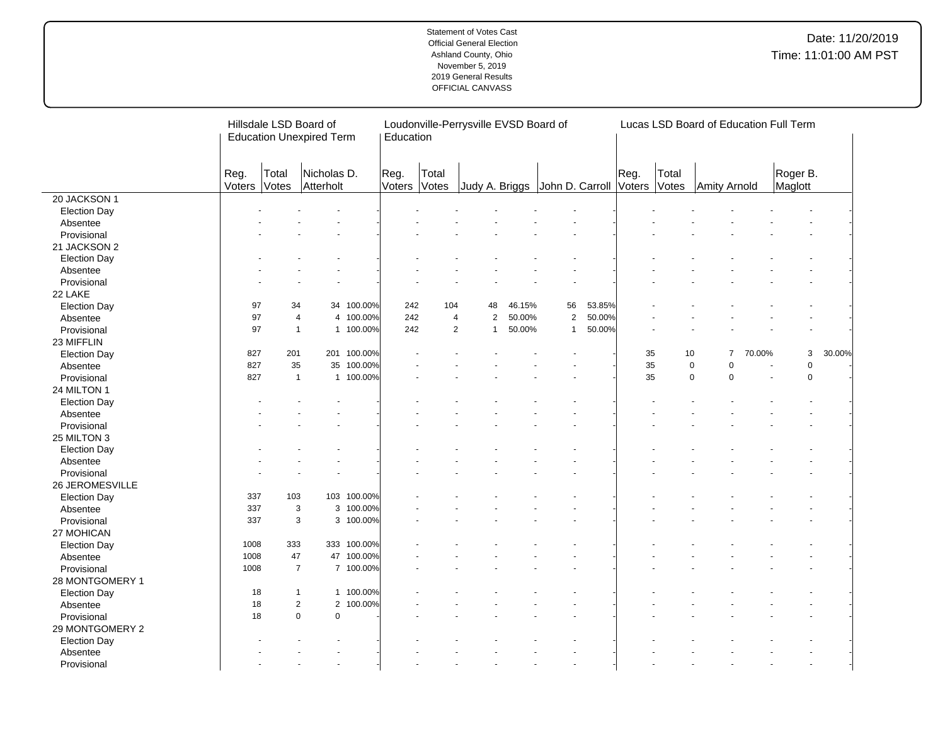|                     |                |                | Hillsdale LSD Board of<br><b>Education Unexpired Term</b> |             | Education      | Loudonville-Perrysville EVSD Board of |                |        |                                |        |                |                | Lucas LSD Board of Education Full Term |        |                     |        |
|---------------------|----------------|----------------|-----------------------------------------------------------|-------------|----------------|---------------------------------------|----------------|--------|--------------------------------|--------|----------------|----------------|----------------------------------------|--------|---------------------|--------|
|                     | Reg.<br>Voters | Total<br>Votes | Nicholas D.<br>Atterholt                                  |             | Reg.<br>Voters | Total<br>Votes                        |                |        | Judy A. Briggs John D. Carroll |        | Reg.<br>Voters | Total<br>Votes | Amity Arnold                           |        | Roger B.<br>Maglott |        |
| 20 JACKSON 1        |                |                |                                                           |             |                |                                       |                |        |                                |        |                |                |                                        |        |                     |        |
| <b>Election Day</b> |                |                |                                                           |             |                |                                       |                |        |                                |        |                |                |                                        |        |                     |        |
| Absentee            |                |                |                                                           |             |                |                                       |                |        |                                |        |                |                |                                        |        |                     |        |
| Provisional         |                |                |                                                           |             |                |                                       |                |        |                                |        |                |                |                                        |        |                     |        |
| 21 JACKSON 2        |                |                |                                                           |             |                |                                       |                |        |                                |        |                |                |                                        |        |                     |        |
| <b>Election Day</b> |                |                |                                                           |             |                |                                       |                |        |                                |        |                |                |                                        |        |                     |        |
| Absentee            |                |                |                                                           |             |                |                                       |                |        |                                |        |                |                |                                        |        |                     |        |
| Provisional         |                |                |                                                           |             |                |                                       |                |        |                                |        |                |                |                                        |        |                     |        |
| 22 LAKE             |                |                |                                                           |             |                |                                       |                |        |                                |        |                |                |                                        |        |                     |        |
| <b>Election Day</b> | 97             | 34             |                                                           | 34 100.00%  | 242            | 104                                   | 48             | 46.15% | 56                             | 53.85% |                |                |                                        |        |                     |        |
| Absentee            | 97             |                | $\overline{4}$                                            | 4 100.00%   | 242            | $\overline{4}$                        | $\overline{2}$ | 50.00% | $\overline{2}$                 | 50.00% |                |                |                                        |        |                     |        |
| Provisional         | 97             |                | $\mathbf{1}$                                              | 1 100.00%   | 242            | $\overline{2}$                        | $\mathbf{1}$   | 50.00% | $\mathbf{1}$                   | 50.00% |                |                |                                        |        |                     |        |
| 23 MIFFLIN          |                |                |                                                           |             |                |                                       |                |        |                                |        |                |                |                                        |        |                     |        |
| <b>Election Day</b> | 827            | 201            |                                                           | 201 100.00% |                |                                       |                |        |                                |        | 35             | 10             | $\overline{7}$                         | 70.00% | 3                   | 30.00% |
| Absentee            | 827            | 35             |                                                           | 35 100.00%  |                |                                       |                |        |                                |        | 35             |                | $\mathbf 0$<br>$\Omega$                |        | 0                   |        |
| Provisional         | 827            |                | $\mathbf{1}$                                              | 1 100.00%   |                |                                       |                |        |                                |        | 35             |                | $\mathbf 0$<br>$\Omega$                |        | $\mathbf 0$         |        |
| 24 MILTON 1         |                |                |                                                           |             |                |                                       |                |        |                                |        |                |                |                                        |        |                     |        |
| <b>Election Day</b> |                |                |                                                           |             |                |                                       |                |        |                                |        |                |                |                                        |        |                     |        |
| Absentee            |                |                |                                                           |             |                |                                       |                |        |                                |        |                |                |                                        |        |                     |        |
| Provisional         |                |                |                                                           |             |                |                                       |                |        |                                |        |                |                |                                        |        |                     |        |
| 25 MILTON 3         |                |                |                                                           |             |                |                                       |                |        |                                |        |                |                |                                        |        |                     |        |
| <b>Election Day</b> |                |                |                                                           |             |                |                                       |                |        |                                |        |                |                |                                        |        |                     |        |
| Absentee            |                |                |                                                           |             |                |                                       |                |        |                                |        |                |                |                                        |        |                     |        |
| Provisional         |                |                |                                                           |             |                |                                       |                |        |                                |        |                |                |                                        |        |                     |        |
| 26 JEROMESVILLE     |                |                |                                                           |             |                |                                       |                |        |                                |        |                |                |                                        |        |                     |        |
| <b>Election Day</b> | 337            | 103            |                                                           | 103 100.00% |                |                                       |                |        |                                |        |                |                |                                        |        |                     |        |
| Absentee            | 337            |                | 3                                                         | 3 100.00%   |                |                                       |                |        |                                |        |                |                |                                        |        |                     |        |
| Provisional         | 337            |                | 3                                                         | 3 100.00%   |                |                                       |                |        |                                |        |                |                |                                        |        |                     |        |
| 27 MOHICAN          |                |                |                                                           |             |                |                                       |                |        |                                |        |                |                |                                        |        |                     |        |
| <b>Election Day</b> | 1008           | 333            |                                                           | 333 100.00% |                |                                       |                |        |                                |        |                |                |                                        |        |                     |        |
| Absentee            | 1008           | 47             |                                                           | 47 100.00%  |                |                                       |                |        |                                |        |                |                |                                        |        |                     |        |
| Provisional         | 1008           | $\overline{7}$ |                                                           | 7 100.00%   |                |                                       |                |        |                                |        |                |                |                                        |        |                     |        |
| 28 MONTGOMERY 1     |                |                |                                                           |             |                |                                       |                |        |                                |        |                |                |                                        |        |                     |        |
| <b>Election Day</b> | 18             |                | $\mathbf{1}$                                              | 1 100.00%   |                |                                       |                |        |                                |        |                |                |                                        |        |                     |        |
| Absentee            | 18             |                | $\overline{2}$                                            | 2 100.00%   |                |                                       |                |        |                                |        |                |                |                                        |        |                     |        |
| Provisional         | 18             |                | $\pmb{0}$<br>0                                            |             |                |                                       |                |        |                                |        |                |                |                                        |        |                     |        |
| 29 MONTGOMERY 2     |                |                |                                                           |             |                |                                       |                |        |                                |        |                |                |                                        |        |                     |        |
| <b>Election Day</b> |                |                |                                                           |             |                |                                       |                |        |                                |        |                |                |                                        |        |                     |        |
| Absentee            |                |                |                                                           |             |                |                                       |                |        |                                |        |                |                |                                        |        |                     |        |
| Provisional         |                |                |                                                           |             |                |                                       |                |        |                                |        |                |                |                                        |        |                     |        |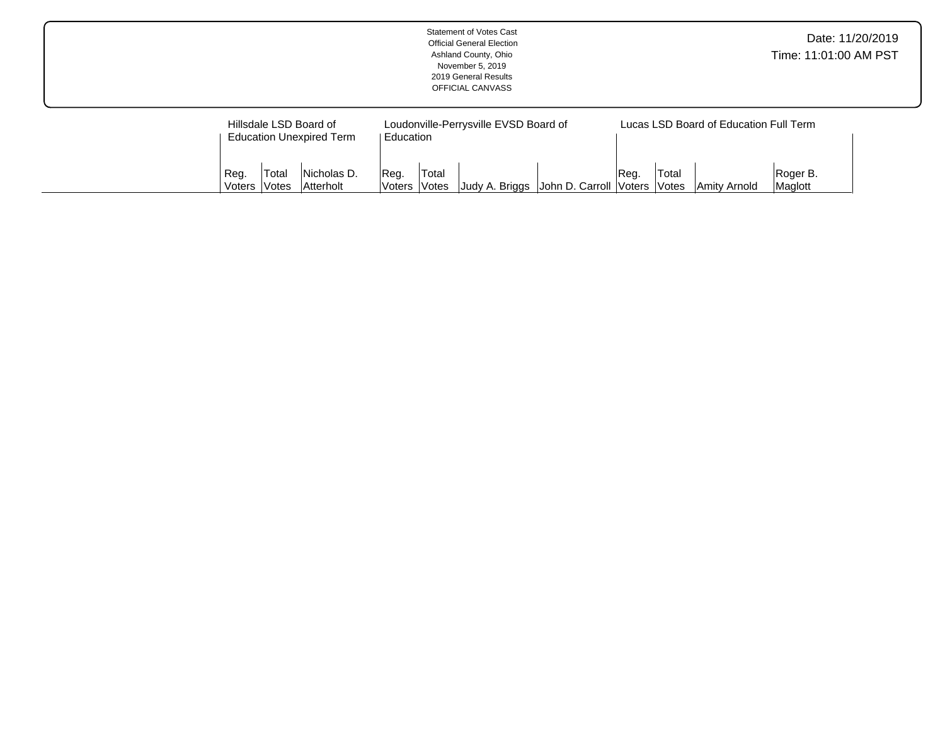|                |                                                                               |                              |                              |  | Ashland County, Ohio<br>November 5, 2019<br>2019 General Results<br>OFFICIAL CANVASS | <b>Statement of Votes Cast</b><br><b>Official General Election</b> |      |                       |                                                        |                     | Time: 11:01:00 AM PST | Date: 11/20/2019 |
|----------------|-------------------------------------------------------------------------------|------------------------------|------------------------------|--|--------------------------------------------------------------------------------------|--------------------------------------------------------------------|------|-----------------------|--------------------------------------------------------|---------------------|-----------------------|------------------|
| Reg.<br>Voters | Hillsdale LSD Board of<br><b>Education Unexpired Term</b><br> Total<br>lVotes | Education<br>Reg.<br> Voters | Total<br><i><b>Notes</b></i> |  | Loudonville-Perrysville EVSD Board of<br>Judy A. Briggs                              | John D. Carroll Voters                                             | Reg. | Total<br><b>Votes</b> | Lucas LSD Board of Education Full Term<br>Amity Arnold | Roger B.<br>Maglott |                       |                  |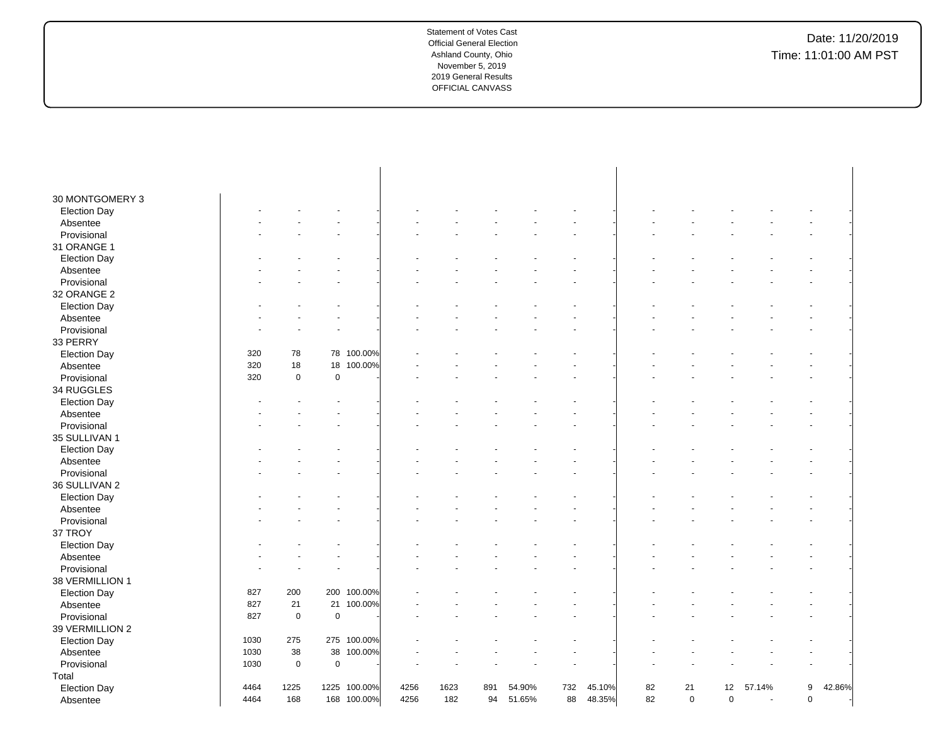| 30 MONTGOMERY 3     |      |             |             |              |      |      |     |        |     |        |    |             |             |                |             |        |  |
|---------------------|------|-------------|-------------|--------------|------|------|-----|--------|-----|--------|----|-------------|-------------|----------------|-------------|--------|--|
| <b>Election Day</b> |      |             |             |              |      |      |     |        |     |        |    |             |             |                |             |        |  |
| Absentee            |      |             |             |              |      |      |     |        |     |        |    |             |             |                |             |        |  |
| Provisional         |      |             |             |              |      |      |     |        |     |        |    |             |             |                |             |        |  |
| 31 ORANGE 1         |      |             |             |              |      |      |     |        |     |        |    |             |             |                |             |        |  |
| <b>Election Day</b> |      |             |             |              |      |      |     |        |     |        |    |             |             |                |             |        |  |
| Absentee            |      |             |             |              |      |      |     |        |     |        |    |             |             |                |             |        |  |
| Provisional         |      |             |             |              |      |      |     |        |     |        |    |             |             |                |             |        |  |
| 32 ORANGE 2         |      |             |             |              |      |      |     |        |     |        |    |             |             |                |             |        |  |
| <b>Election Day</b> |      |             |             |              |      |      |     |        |     |        |    |             |             |                |             |        |  |
| Absentee            |      |             |             |              |      |      |     |        |     |        |    |             |             |                |             |        |  |
| Provisional         |      |             |             |              |      |      |     |        |     |        |    |             |             |                |             |        |  |
| 33 PERRY            |      |             |             |              |      |      |     |        |     |        |    |             |             |                |             |        |  |
| <b>Election Day</b> | 320  | 78          | 78          | 100.00%      |      |      |     |        |     |        |    |             |             |                |             |        |  |
| Absentee            | 320  | 18          | 18          | 100.00%      |      |      |     |        |     |        |    |             |             |                |             |        |  |
| Provisional         | 320  | $\mathbf 0$ | $\pmb{0}$   |              |      |      |     |        |     |        |    |             |             |                |             |        |  |
| 34 RUGGLES          |      |             |             |              |      |      |     |        |     |        |    |             |             |                |             |        |  |
| <b>Election Day</b> |      |             |             |              |      |      |     |        |     |        |    |             |             |                |             |        |  |
| Absentee            |      |             |             |              |      |      |     |        |     |        |    |             |             |                |             |        |  |
| Provisional         |      |             |             |              |      |      |     |        |     |        |    |             |             |                |             |        |  |
| 35 SULLIVAN 1       |      |             |             |              |      |      |     |        |     |        |    |             |             |                |             |        |  |
| <b>Election Day</b> |      |             |             |              |      |      |     |        |     |        |    |             |             |                |             |        |  |
| Absentee            |      |             |             |              |      |      |     |        |     |        |    |             |             |                |             |        |  |
| Provisional         |      |             |             |              |      |      |     |        |     |        |    |             |             |                |             |        |  |
| 36 SULLIVAN 2       |      |             |             |              |      |      |     |        |     |        |    |             |             |                |             |        |  |
| <b>Election Day</b> |      |             |             |              |      |      |     |        |     |        |    |             |             |                |             |        |  |
| Absentee            |      |             |             |              |      |      |     |        |     |        |    |             |             |                |             |        |  |
| Provisional         |      |             |             |              |      |      |     |        |     |        |    |             |             |                |             |        |  |
| 37 TROY             |      |             |             |              |      |      |     |        |     |        |    |             |             |                |             |        |  |
| <b>Election Day</b> |      |             |             |              |      |      |     |        |     |        |    |             |             |                |             |        |  |
| Absentee            |      |             |             |              |      |      |     |        |     |        |    |             |             |                |             |        |  |
| Provisional         |      |             |             |              |      |      |     |        |     |        |    |             |             |                |             |        |  |
| 38 VERMILLION 1     |      |             |             |              |      |      |     |        |     |        |    |             |             |                |             |        |  |
| <b>Election Day</b> | 827  | 200         |             | 200 100.00%  |      |      |     |        |     |        |    |             |             |                |             |        |  |
| Absentee            | 827  | 21          | $21$        | 100.00%      |      |      |     |        |     |        |    |             |             |                |             |        |  |
| Provisional         | 827  | $\mathbf 0$ | $\mathbf 0$ |              |      |      |     |        |     |        |    |             |             |                |             |        |  |
| 39 VERMILLION 2     |      |             |             |              |      |      |     |        |     |        |    |             |             |                |             |        |  |
| <b>Election Day</b> | 1030 | 275         |             | 275 100.00%  |      |      |     |        |     |        |    |             |             |                |             |        |  |
| Absentee            | 1030 | 38          | 38          | 100.00%      |      |      |     |        |     |        |    |             |             |                |             |        |  |
| Provisional         | 1030 | $\mathsf 0$ | $\pmb{0}$   |              |      |      |     |        |     |        |    |             |             |                |             |        |  |
| Total               |      |             |             |              |      |      |     |        |     |        |    |             |             |                |             |        |  |
| <b>Election Day</b> | 4464 | 1225        |             | 1225 100.00% | 4256 | 1623 | 891 | 54.90% | 732 | 45.10% | 82 | 21          | 12          | 57.14%         | 9           | 42.86% |  |
| Absentee            | 4464 | 168         |             | 168 100.00%  | 4256 | 182  | 94  | 51.65% | 88  | 48.35% | 82 | $\mathbf 0$ | $\mathbf 0$ | $\overline{a}$ | $\mathbf 0$ |        |  |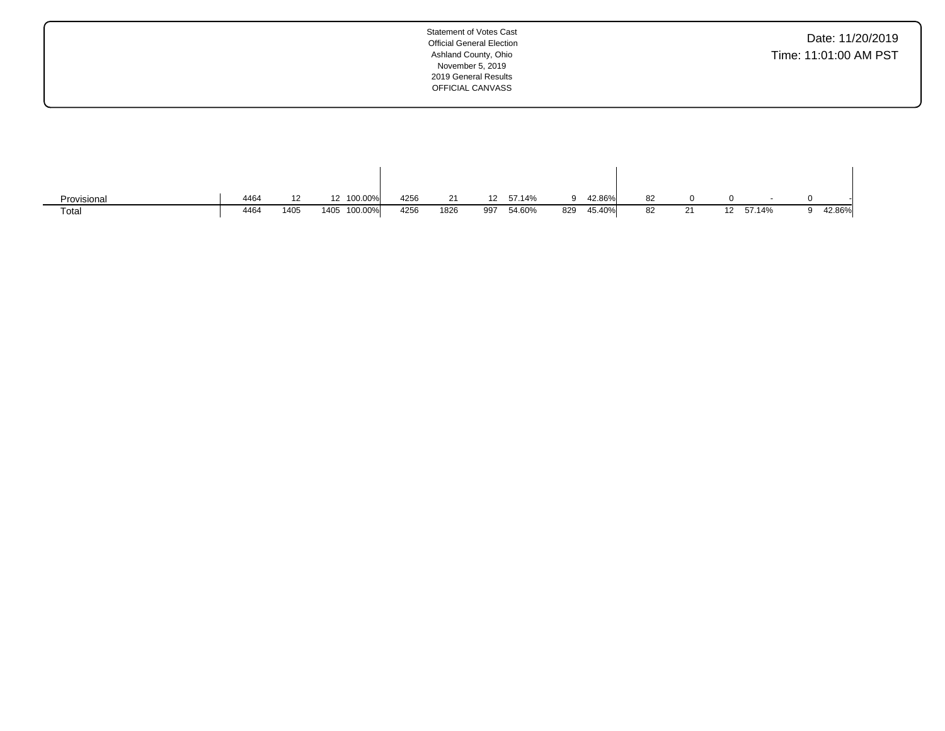| Provisional | 4464 | 12   | 12 100.00%      | 4256 | 21   | 12 <sup>12</sup> | 57.14% |     | 42.86% | 82 |    |     |        |        |
|-------------|------|------|-----------------|------|------|------------------|--------|-----|--------|----|----|-----|--------|--------|
| Total       | 4464 | 1405 | 100.00%<br>1405 | 4256 | 1826 | 997              | 54.60% | 829 | 45.40% | 82 | 21 | 12. | 57.14% | 42.86% |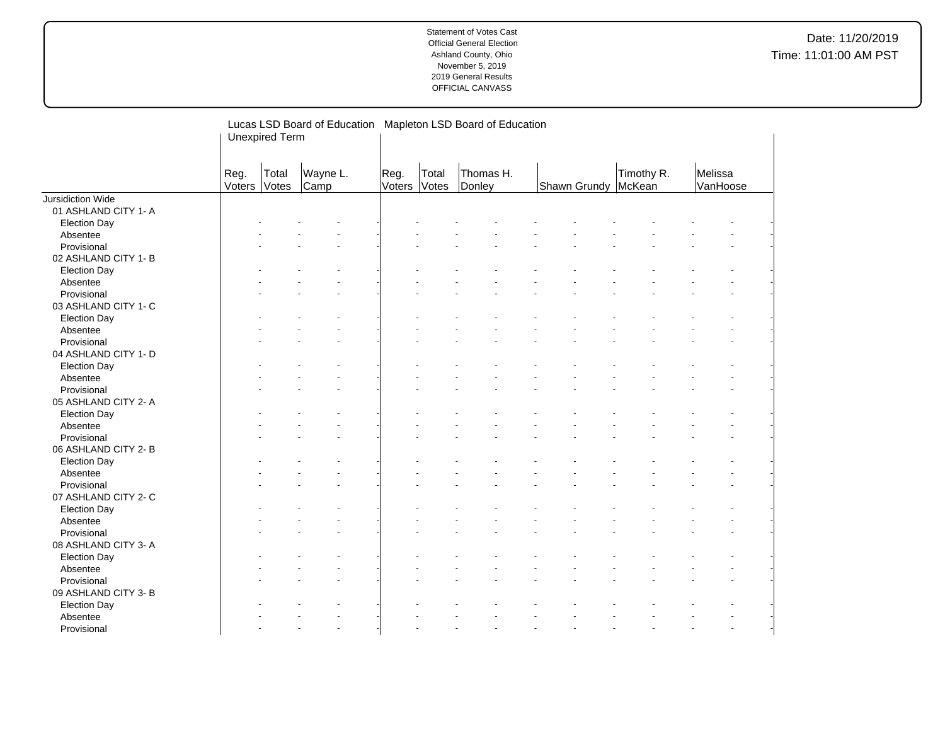|                      |                | Lucas LSD Board of Education Mapleton LSD Board of Education<br><b>Unexpired Term</b> |                  |                |                |                     |              |                      |                     |  |
|----------------------|----------------|---------------------------------------------------------------------------------------|------------------|----------------|----------------|---------------------|--------------|----------------------|---------------------|--|
|                      | Reg.<br>Voters | Total<br>Votes                                                                        | Wayne L.<br>Camp | Reg.<br>Voters | Total<br>Votes | Thomas H.<br>Donley | Shawn Grundy | Timothy R.<br>McKean | Melissa<br>VanHoose |  |
| Jursidiction Wide    |                |                                                                                       |                  |                |                |                     |              |                      |                     |  |
| 01 ASHLAND CITY 1- A |                |                                                                                       |                  |                |                |                     |              |                      |                     |  |
| <b>Election Day</b>  |                |                                                                                       |                  |                |                |                     |              |                      |                     |  |
| Absentee             |                |                                                                                       |                  |                |                |                     |              |                      |                     |  |
| Provisional          |                |                                                                                       |                  |                |                |                     |              |                      |                     |  |
| 02 ASHLAND CITY 1-B  |                |                                                                                       |                  |                |                |                     |              |                      |                     |  |
| <b>Election Day</b>  |                |                                                                                       |                  |                |                |                     |              |                      |                     |  |
| Absentee             |                |                                                                                       |                  |                |                |                     |              |                      |                     |  |
| Provisional          |                |                                                                                       |                  |                |                |                     |              |                      |                     |  |
| 03 ASHLAND CITY 1- C |                |                                                                                       |                  |                |                |                     |              |                      |                     |  |
| <b>Election Day</b>  |                |                                                                                       |                  |                |                |                     |              |                      |                     |  |
| Absentee             |                |                                                                                       |                  |                |                |                     |              |                      |                     |  |
| Provisional          |                |                                                                                       |                  |                |                |                     |              |                      |                     |  |
| 04 ASHLAND CITY 1- D |                |                                                                                       |                  |                |                |                     |              |                      |                     |  |
| <b>Election Day</b>  |                |                                                                                       |                  |                |                |                     |              |                      |                     |  |
| Absentee             |                |                                                                                       |                  |                |                |                     |              |                      |                     |  |
| Provisional          |                |                                                                                       |                  |                |                |                     |              |                      |                     |  |
| 05 ASHLAND CITY 2- A |                |                                                                                       |                  |                |                |                     |              |                      |                     |  |
| <b>Election Day</b>  |                |                                                                                       |                  |                |                |                     |              |                      |                     |  |
| Absentee             |                |                                                                                       |                  |                |                |                     |              |                      |                     |  |
| Provisional          |                |                                                                                       |                  |                |                |                     |              |                      |                     |  |
| 06 ASHLAND CITY 2-B  |                |                                                                                       |                  |                |                |                     |              |                      |                     |  |
| <b>Election Day</b>  |                |                                                                                       |                  |                |                |                     |              |                      |                     |  |
| Absentee             |                |                                                                                       |                  |                |                |                     |              |                      |                     |  |
| Provisional          |                |                                                                                       |                  |                |                |                     |              |                      |                     |  |
| 07 ASHLAND CITY 2- C |                |                                                                                       |                  |                |                |                     |              |                      |                     |  |
| <b>Election Day</b>  |                |                                                                                       |                  |                |                |                     |              |                      |                     |  |
| Absentee             |                |                                                                                       |                  |                |                |                     |              |                      |                     |  |
| Provisional          |                |                                                                                       |                  |                |                |                     |              |                      |                     |  |
| 08 ASHLAND CITY 3- A |                |                                                                                       |                  |                |                |                     |              |                      |                     |  |
| <b>Election Day</b>  |                |                                                                                       |                  |                |                |                     |              |                      |                     |  |
| Absentee             |                |                                                                                       |                  |                |                |                     |              |                      |                     |  |
| Provisional          |                |                                                                                       |                  |                |                |                     |              |                      |                     |  |
| 09 ASHLAND CITY 3- B |                |                                                                                       |                  |                |                |                     |              |                      |                     |  |
| <b>Election Day</b>  |                |                                                                                       |                  |                |                |                     |              |                      |                     |  |
| Absentee             |                |                                                                                       |                  |                |                |                     |              |                      |                     |  |
| Provisional          |                |                                                                                       | $\overline{a}$   |                |                |                     |              |                      |                     |  |
|                      |                |                                                                                       |                  |                |                |                     |              |                      |                     |  |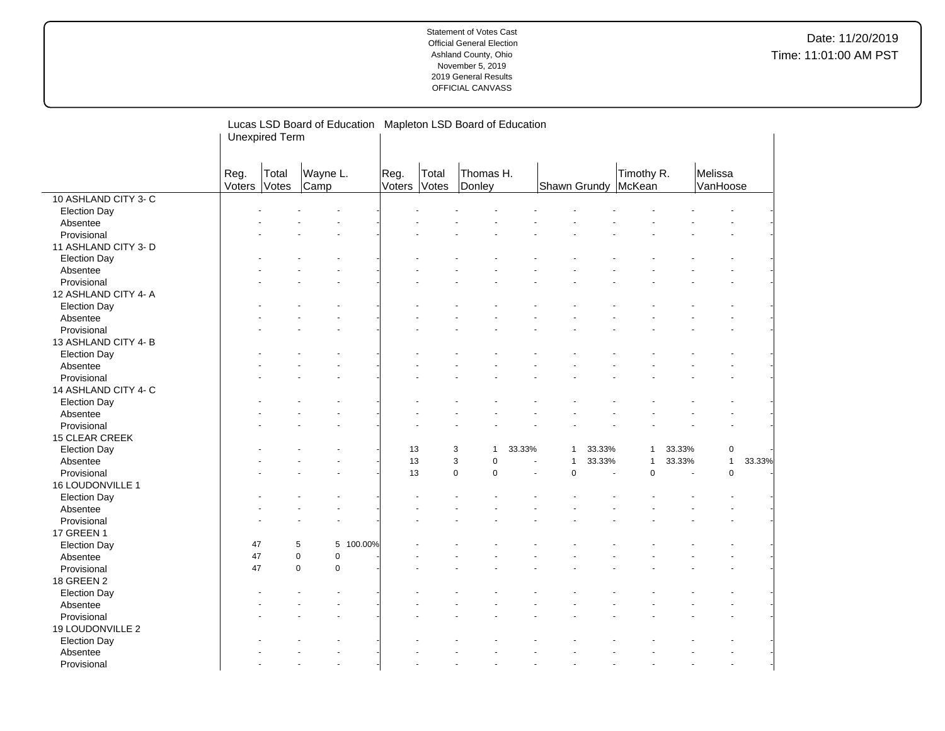|                      |                       | Lucas LSD Board of Education |                            |           |                |                | Mapleton LSD Board of Education |                      |                       |        |              |        |                     |                        |
|----------------------|-----------------------|------------------------------|----------------------------|-----------|----------------|----------------|---------------------------------|----------------------|-----------------------|--------|--------------|--------|---------------------|------------------------|
|                      | <b>Unexpired Term</b> |                              |                            |           |                |                |                                 |                      |                       |        |              |        |                     |                        |
|                      |                       |                              |                            |           |                |                |                                 |                      |                       |        |              |        |                     |                        |
|                      | Reg.<br>Voters        | Total<br>Votes               | Wayne L.<br>Camp           |           | Reg.<br>Voters | Total<br>Votes | Thomas H.<br>Donley             |                      | Shawn Grundy   McKean |        | Timothy R.   |        | Melissa<br>VanHoose |                        |
| 10 ASHLAND CITY 3- C |                       |                              |                            |           |                |                |                                 |                      |                       |        |              |        |                     |                        |
| <b>Election Day</b>  |                       |                              |                            |           |                |                |                                 |                      |                       |        |              |        |                     |                        |
| Absentee             |                       |                              |                            |           |                |                |                                 |                      |                       |        |              |        |                     |                        |
| Provisional          |                       |                              |                            |           |                |                |                                 |                      |                       |        |              |        |                     |                        |
| 11 ASHLAND CITY 3- D |                       |                              |                            |           |                |                |                                 |                      |                       |        |              |        |                     |                        |
| <b>Election Day</b>  |                       |                              |                            |           |                |                |                                 |                      |                       |        |              |        |                     |                        |
| Absentee             |                       |                              |                            |           |                |                |                                 |                      |                       |        |              |        |                     |                        |
| Provisional          |                       |                              |                            |           |                |                |                                 |                      |                       |        |              |        |                     |                        |
| 12 ASHLAND CITY 4-A  |                       |                              |                            |           |                |                |                                 |                      |                       |        |              |        |                     |                        |
| <b>Election Day</b>  |                       |                              |                            |           |                |                |                                 |                      |                       |        |              |        |                     |                        |
| Absentee             |                       |                              |                            |           |                |                |                                 |                      |                       |        |              |        |                     |                        |
| Provisional          |                       |                              |                            |           |                |                |                                 |                      |                       |        |              |        |                     |                        |
| 13 ASHLAND CITY 4-B  |                       |                              |                            |           |                |                |                                 |                      |                       |        |              |        |                     |                        |
| <b>Election Day</b>  |                       |                              |                            |           |                |                |                                 |                      |                       |        |              |        |                     |                        |
| Absentee             |                       |                              |                            |           |                |                |                                 |                      |                       |        |              |        |                     |                        |
| Provisional          |                       |                              |                            |           |                |                |                                 |                      |                       |        |              |        |                     |                        |
| 14 ASHLAND CITY 4- C |                       |                              |                            |           |                |                |                                 |                      |                       |        |              |        |                     |                        |
| <b>Election Day</b>  |                       |                              |                            |           |                |                |                                 |                      |                       |        |              |        |                     |                        |
| Absentee             |                       |                              |                            |           |                |                |                                 |                      |                       |        |              |        |                     |                        |
| Provisional          |                       |                              |                            |           |                |                |                                 |                      |                       |        |              |        |                     |                        |
| 15 CLEAR CREEK       |                       |                              |                            |           |                |                |                                 |                      |                       |        |              |        |                     |                        |
| <b>Election Day</b>  |                       |                              |                            |           | 13             |                | 3<br>$\mathbf{1}$               | 33.33%               | $\mathbf{1}$          | 33.33% | $\mathbf{1}$ | 33.33% | 0                   |                        |
| Absentee             |                       |                              |                            |           | 13             |                | 3<br>$\mathbf 0$                | $\ddot{\phantom{1}}$ | $\mathbf{1}$          | 33.33% | $\mathbf{1}$ | 33.33% |                     | $\mathbf{1}$<br>33.33% |
| Provisional          |                       |                              |                            |           | 13             |                | $\pmb{0}$<br>$\mathbf 0$        | ä,                   | $\mathbf 0$           | ä,     | $\mathbf 0$  | ä,     | $\pmb{0}$           |                        |
| 16 LOUDONVILLE 1     |                       |                              |                            |           |                |                |                                 |                      |                       |        |              |        |                     |                        |
| <b>Election Day</b>  |                       |                              |                            |           |                |                |                                 |                      |                       |        |              |        |                     |                        |
| Absentee             |                       |                              |                            |           |                |                |                                 |                      |                       |        |              |        |                     |                        |
| Provisional          |                       |                              |                            |           |                |                |                                 |                      |                       |        |              |        |                     |                        |
| <b>17 GREEN 1</b>    |                       |                              |                            |           |                |                |                                 |                      |                       |        |              |        |                     |                        |
| <b>Election Day</b>  | 47                    |                              | 5                          | 5 100.00% |                |                |                                 |                      |                       |        |              |        |                     |                        |
| Absentee             | 47                    |                              | $\mathbf 0$<br>$\mathbf 0$ |           |                |                |                                 |                      |                       |        |              |        |                     |                        |
| Provisional          | 47                    |                              | $\pmb{0}$<br>$\mathbf 0$   |           |                |                |                                 |                      |                       |        |              |        |                     |                        |
| 18 GREEN 2           |                       |                              |                            |           |                |                |                                 |                      |                       |        |              |        |                     |                        |
| <b>Election Day</b>  |                       |                              |                            |           |                |                |                                 |                      |                       |        |              |        |                     |                        |
| Absentee             |                       |                              |                            |           |                |                |                                 |                      |                       |        |              |        |                     |                        |
| Provisional          |                       |                              |                            |           |                |                |                                 |                      |                       |        |              |        |                     |                        |
| 19 LOUDONVILLE 2     |                       |                              |                            |           |                |                |                                 |                      |                       |        |              |        |                     |                        |
| <b>Election Day</b>  |                       |                              |                            |           |                |                |                                 |                      |                       |        |              |        |                     |                        |
| Absentee             |                       |                              |                            |           |                |                |                                 |                      |                       |        |              |        |                     |                        |
| Provisional          |                       |                              | $\overline{a}$             |           |                |                |                                 |                      |                       |        |              |        |                     | $\overline{a}$         |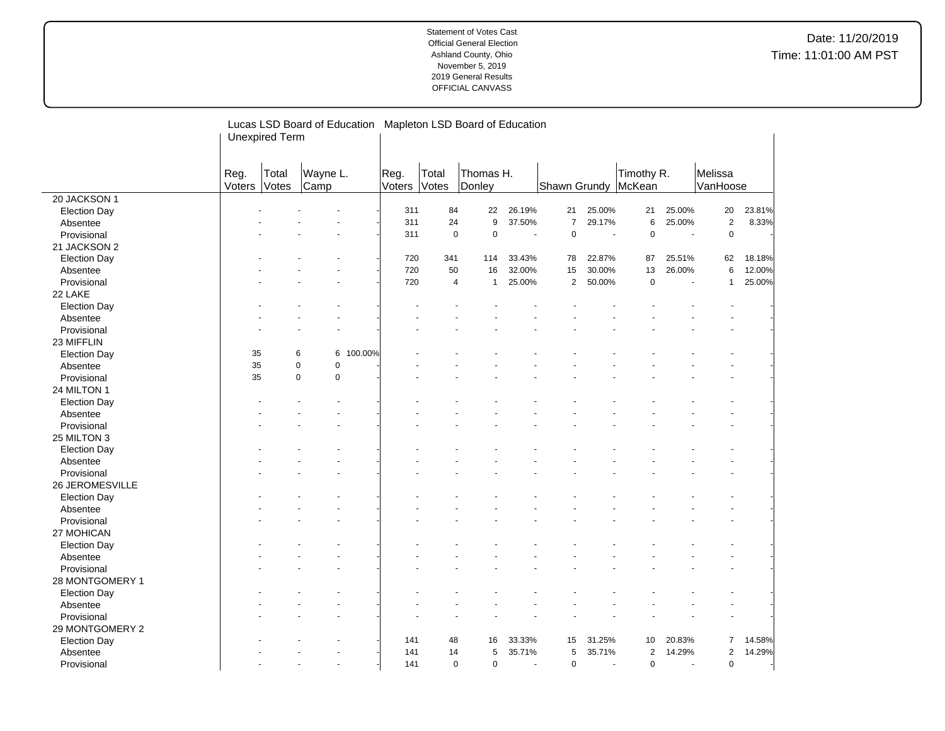|                         | Lucas LSD Board of Education Mapleton LSD Board of Education |       |                            |         |              |                |                  |                       |                |                          |                     |                       |              |        |
|-------------------------|--------------------------------------------------------------|-------|----------------------------|---------|--------------|----------------|------------------|-----------------------|----------------|--------------------------|---------------------|-----------------------|--------------|--------|
|                         | <b>Unexpired Term</b>                                        |       |                            |         |              |                |                  |                       |                |                          |                     |                       |              |        |
|                         |                                                              |       |                            |         |              |                |                  |                       |                |                          |                     |                       |              |        |
|                         | Reg.                                                         | Total | Wayne L.                   |         | Reg.         | Total          | Thomas H.        |                       |                |                          | Timothy R.          |                       | Melissa      |        |
|                         | Voters                                                       | Votes | Camp                       |         | Voters Votes |                | Donley           |                       |                |                          | Shawn Grundy McKean |                       | VanHoose     |        |
| 20 JACKSON 1            |                                                              |       |                            |         |              |                |                  |                       |                |                          |                     |                       |              |        |
| <b>Election Day</b>     |                                                              |       |                            |         | 311          | 84             | 22               | 26.19%                | 21             | 25.00%                   | 21                  | 25.00%                | $20\,$       | 23.81% |
| Absentee                |                                                              |       |                            |         | 311          | 24             | $\boldsymbol{9}$ | 37.50%                | $\overline{7}$ | 29.17%                   | 6                   | 25.00%                | $\mathbf 2$  | 8.33%  |
| Provisional             |                                                              |       |                            |         | 311          | $\mathbf 0$    | $\pmb{0}$        | $\tilde{\phantom{a}}$ | $\mathbf 0$    | $\blacksquare$           | $\mathsf 0$         | $\tilde{\phantom{a}}$ | $\mathsf 0$  |        |
| 21 JACKSON 2            |                                                              |       |                            |         |              |                |                  |                       |                |                          |                     |                       |              |        |
| <b>Election Day</b>     |                                                              |       |                            |         | 720          | 341            | 114              | 33.43%                | 78             | 22.87%                   | 87                  | 25.51%                | 62           | 18.18% |
| Absentee                |                                                              |       |                            |         | 720          | 50             | 16               | 32.00%                | 15             | 30.00%                   | 13                  | 26.00%                | 6            | 12.00% |
| Provisional             |                                                              |       |                            |         | 720          | $\overline{4}$ | $\mathbf{1}$     | 25.00%                | 2              | 50.00%                   | $\mathbf 0$         |                       | $\mathbf{1}$ | 25.00% |
| 22 LAKE                 |                                                              |       |                            |         |              |                |                  |                       |                |                          |                     |                       |              |        |
| <b>Election Day</b>     |                                                              |       |                            |         |              |                |                  |                       |                |                          |                     |                       |              |        |
| Absentee                |                                                              |       |                            |         |              |                |                  |                       |                |                          |                     |                       |              |        |
| Provisional             |                                                              |       |                            |         |              |                |                  |                       |                |                          |                     |                       |              |        |
| 23 MIFFLIN              |                                                              |       |                            |         |              |                |                  |                       |                |                          |                     |                       |              |        |
| <b>Election Day</b>     | 35                                                           |       | 6<br>6                     | 100.00% |              |                |                  |                       |                |                          |                     |                       |              |        |
| Absentee                | 35                                                           |       | $\mathbf 0$<br>$\pmb{0}$   |         |              |                |                  |                       |                |                          |                     |                       |              |        |
| Provisional             | 35                                                           |       | $\mathbf 0$<br>$\mathbf 0$ |         |              |                |                  |                       |                |                          |                     |                       |              |        |
| 24 MILTON 1             |                                                              |       |                            |         |              |                |                  |                       |                |                          |                     |                       |              |        |
| <b>Election Day</b>     |                                                              |       |                            |         |              |                |                  |                       |                |                          |                     |                       |              |        |
| Absentee                |                                                              |       |                            |         |              |                |                  |                       |                |                          |                     |                       |              |        |
| Provisional             |                                                              |       |                            |         |              |                |                  |                       |                |                          |                     |                       |              |        |
| 25 MILTON 3             |                                                              |       |                            |         |              |                |                  |                       |                |                          |                     |                       |              |        |
| <b>Election Day</b>     |                                                              |       |                            |         |              |                |                  |                       |                |                          |                     |                       |              |        |
| Absentee                |                                                              |       |                            |         |              |                |                  |                       |                |                          |                     |                       |              |        |
| Provisional             |                                                              |       |                            |         |              |                |                  |                       |                |                          |                     |                       |              |        |
| 26 JEROMESVILLE         |                                                              |       |                            |         |              |                |                  |                       |                |                          |                     |                       |              |        |
| <b>Election Day</b>     |                                                              |       |                            |         |              |                |                  |                       |                |                          |                     |                       |              |        |
|                         |                                                              |       |                            |         |              |                |                  |                       |                |                          |                     |                       |              |        |
| Absentee<br>Provisional |                                                              |       |                            |         |              |                |                  |                       |                |                          |                     |                       |              |        |
|                         |                                                              |       |                            |         |              |                |                  |                       |                |                          |                     |                       |              |        |
| 27 MOHICAN              |                                                              |       |                            |         |              |                |                  |                       |                |                          |                     |                       |              |        |
| <b>Election Day</b>     |                                                              |       |                            |         |              |                |                  |                       |                |                          |                     |                       |              |        |
| Absentee                |                                                              |       |                            |         |              |                |                  |                       |                |                          |                     |                       |              |        |
| Provisional             |                                                              |       |                            |         |              |                |                  |                       |                |                          |                     |                       |              |        |
| 28 MONTGOMERY 1         |                                                              |       |                            |         |              |                |                  |                       |                |                          |                     |                       |              |        |
| <b>Election Day</b>     |                                                              |       |                            |         |              |                |                  |                       |                |                          |                     |                       |              |        |
| Absentee                |                                                              |       |                            |         |              |                |                  |                       |                |                          |                     |                       |              |        |
| Provisional             |                                                              |       |                            |         |              |                |                  |                       |                |                          |                     |                       |              |        |
| 29 MONTGOMERY 2         |                                                              |       |                            |         |              |                |                  |                       |                |                          |                     |                       |              |        |
| <b>Election Day</b>     |                                                              |       |                            |         | 141          | 48             | 16               | 33.33%                | 15             | 31.25%                   | 10                  | 20.83%                | 7            | 14.58% |
| Absentee                |                                                              |       |                            |         | 141          | 14             | 5                | 35.71%                | 5              | 35.71%                   | $\sqrt{2}$          | 14.29%                | 2            | 14.29% |
| Provisional             |                                                              |       |                            |         | 141          | $\mathbf 0$    | $\mathbf 0$      | $\overline{a}$        | $\mathbf 0$    | $\overline{\phantom{a}}$ | $\mathbf 0$         |                       | 0            |        |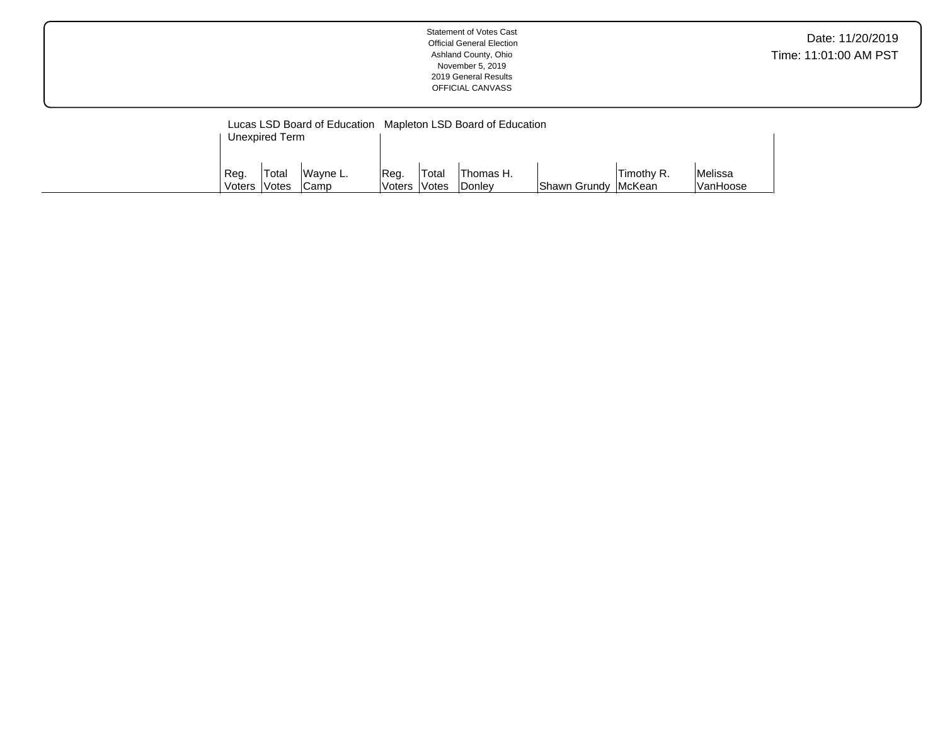|--|

|                             | Unexpired Term | Lucas LSD Board of Education Mapleton LSD Board of Education |                      |                    |                                          |                            |            |                            |
|-----------------------------|----------------|--------------------------------------------------------------|----------------------|--------------------|------------------------------------------|----------------------------|------------|----------------------------|
| Reg.<br>Voters <i>Votes</i> | 'Total         | Wavne L.<br>'Camp                                            | Req.<br>Voters Votes | <sup>I</sup> Total | <sup>1</sup> Thomas H.<br><b>IDonley</b> | <b>Shawn Grundy McKean</b> | Timothy R. | <b>Melissa</b><br>VanHoose |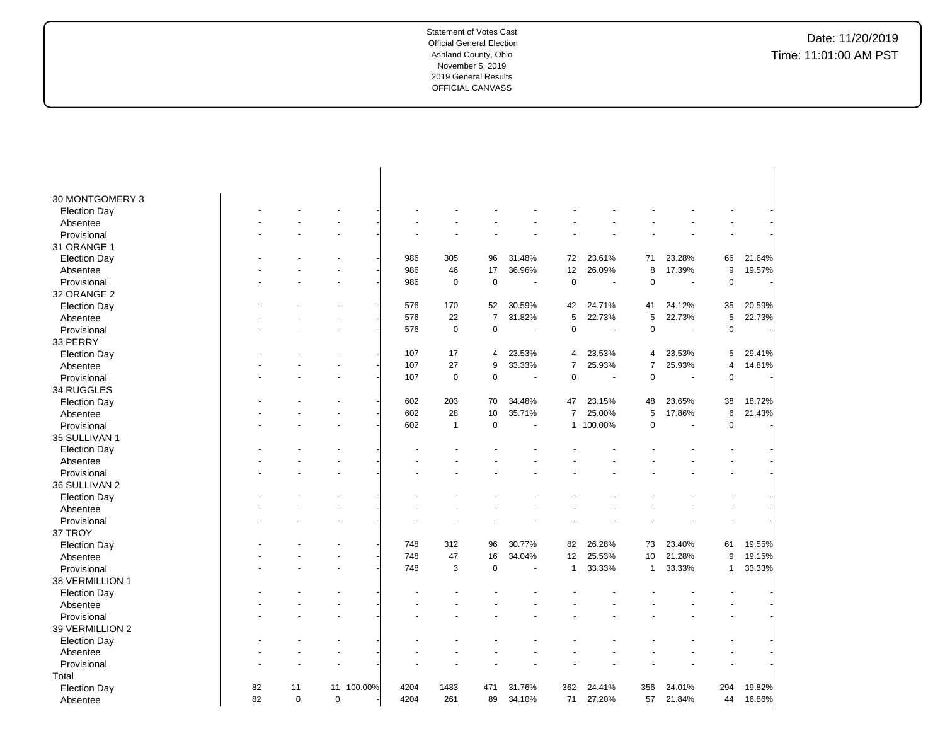| 30 MONTGOMERY 3         |    |             |             |         |      |              |                |                |                |                          |                |        |                |        |
|-------------------------|----|-------------|-------------|---------|------|--------------|----------------|----------------|----------------|--------------------------|----------------|--------|----------------|--------|
| <b>Election Day</b>     |    |             |             |         |      |              |                |                |                |                          |                |        |                |        |
| Absentee                |    |             |             |         |      |              |                |                |                |                          |                |        |                |        |
| Provisional             |    |             |             |         |      |              |                |                |                |                          |                |        |                |        |
| 31 ORANGE 1             |    |             |             |         |      |              |                |                |                |                          |                |        |                |        |
| <b>Election Day</b>     |    |             |             |         | 986  | 305          | 96             | 31.48%         | 72             | 23.61%                   | 71             | 23.28% | 66             | 21.64% |
| Absentee                |    |             |             |         | 986  | 46           | 17             | 36.96%         | 12             | 26.09%                   | 8              | 17.39% | 9              | 19.57% |
| Provisional             |    |             |             |         | 986  | $\mathbf 0$  | $\mathbf 0$    | $\sim$         | $\mathbf 0$    | $\sim$                   | $\mathbf 0$    | ÷,     | $\pmb{0}$      |        |
| 32 ORANGE 2             |    |             |             |         |      |              |                |                |                |                          |                |        |                |        |
| <b>Election Day</b>     |    |             |             |         | 576  | 170          | 52             | 30.59%         | 42             | 24.71%                   | 41             | 24.12% | 35             | 20.59% |
| Absentee                |    |             |             |         | 576  | 22           | $\overline{7}$ | 31.82%         | 5              | 22.73%                   | 5              | 22.73% | 5              | 22.73% |
| Provisional             |    |             |             |         | 576  | $\mathbf 0$  | $\mathbf 0$    | $\blacksquare$ | $\pmb{0}$      | $\overline{\phantom{a}}$ | $\mathbf 0$    | ÷,     | $\mathbf 0$    |        |
| 33 PERRY                |    |             |             |         |      |              |                |                |                |                          |                |        |                |        |
| <b>Election Day</b>     |    |             |             |         | 107  | 17           | $\overline{4}$ | 23.53%         | 4              | 23.53%                   | 4              | 23.53% | 5              | 29.41% |
| Absentee                |    |             |             |         | 107  | 27           | 9              | 33.33%         | $\overline{7}$ | 25.93%                   | $\overline{7}$ | 25.93% | $\overline{4}$ | 14.81% |
| Provisional             |    |             |             |         | 107  | $\mathbf 0$  | $\mathbf 0$    | $\sim$         | 0              | $\overline{\phantom{a}}$ | 0              | ÷,     | $\mathbf 0$    |        |
| 34 RUGGLES              |    |             |             |         |      |              |                |                |                |                          |                |        |                |        |
| <b>Election Day</b>     |    |             |             |         | 602  | 203          | 70             | 34.48%         | 47             | 23.15%                   | 48             | 23.65% | 38             | 18.72% |
| Absentee                |    |             |             |         | 602  | 28           | 10             | 35.71%         | $\overline{7}$ | 25.00%                   | 5              | 17.86% | 6              | 21.43% |
| Provisional             |    |             |             |         | 602  | $\mathbf{1}$ | $\mathbf 0$    |                | $\mathbf{1}$   | 100.00%                  | $\mathbf 0$    | ÷,     | $\pmb{0}$      |        |
| 35 SULLIVAN 1           |    |             |             |         |      |              |                |                |                |                          |                |        |                |        |
| <b>Election Day</b>     |    |             |             |         |      |              |                |                |                |                          |                |        |                |        |
| Absentee                |    |             |             |         |      |              |                |                |                |                          |                |        |                |        |
| Provisional             |    |             |             |         |      |              |                |                |                |                          |                |        |                |        |
| 36 SULLIVAN 2           |    |             |             |         |      |              |                |                |                |                          |                |        |                |        |
| <b>Election Day</b>     |    |             |             |         |      |              |                |                |                |                          |                |        |                |        |
| Absentee                |    |             |             |         |      |              |                |                |                |                          |                |        |                |        |
| Provisional             |    |             |             |         |      |              |                |                |                |                          |                |        |                |        |
| 37 TROY                 |    |             |             |         |      |              |                |                |                |                          |                |        |                |        |
| <b>Election Day</b>     |    |             |             |         | 748  | 312          | 96             | 30.77%         | 82             | 26.28%                   | 73             | 23.40% | 61             | 19.55% |
| Absentee                |    |             |             |         | 748  | 47           | 16             | 34.04%         | 12             | 25.53%                   | 10             | 21.28% | 9              | 19.15% |
| Provisional             |    |             |             |         | 748  | 3            | $\mathbf 0$    |                | $\mathbf{1}$   | 33.33%                   | 1              | 33.33% | $\mathbf{1}$   | 33.33% |
| 38 VERMILLION 1         |    |             |             |         |      |              |                |                |                |                          |                |        |                |        |
|                         |    |             |             |         |      |              |                |                |                |                          |                |        |                |        |
| <b>Election Day</b>     |    |             |             |         |      |              |                |                |                |                          |                |        |                |        |
| Absentee<br>Provisional |    |             |             |         |      |              |                |                |                |                          |                |        |                |        |
|                         |    |             |             |         |      |              |                |                |                |                          |                |        |                |        |
| 39 VERMILLION 2         |    |             |             |         |      |              |                |                |                |                          |                |        |                |        |
| <b>Election Day</b>     |    |             |             |         |      |              |                |                |                |                          |                |        |                |        |
| Absentee                |    |             |             |         |      |              |                |                |                |                          |                |        |                |        |
| Provisional             |    |             |             |         |      |              |                |                |                |                          |                |        |                |        |
| Total                   |    |             |             |         |      |              |                |                |                |                          |                |        |                |        |
| <b>Election Day</b>     | 82 | 11          | 11          | 100.00% | 4204 | 1483         | 471            | 31.76%         | 362            | 24.41%                   | 356            | 24.01% | 294            | 19.82% |
| Absentee                | 82 | $\mathbf 0$ | $\mathbf 0$ |         | 4204 | 261          | 89             | 34.10%         | 71             | 27.20%                   | 57             | 21.84% | 44             | 16.86% |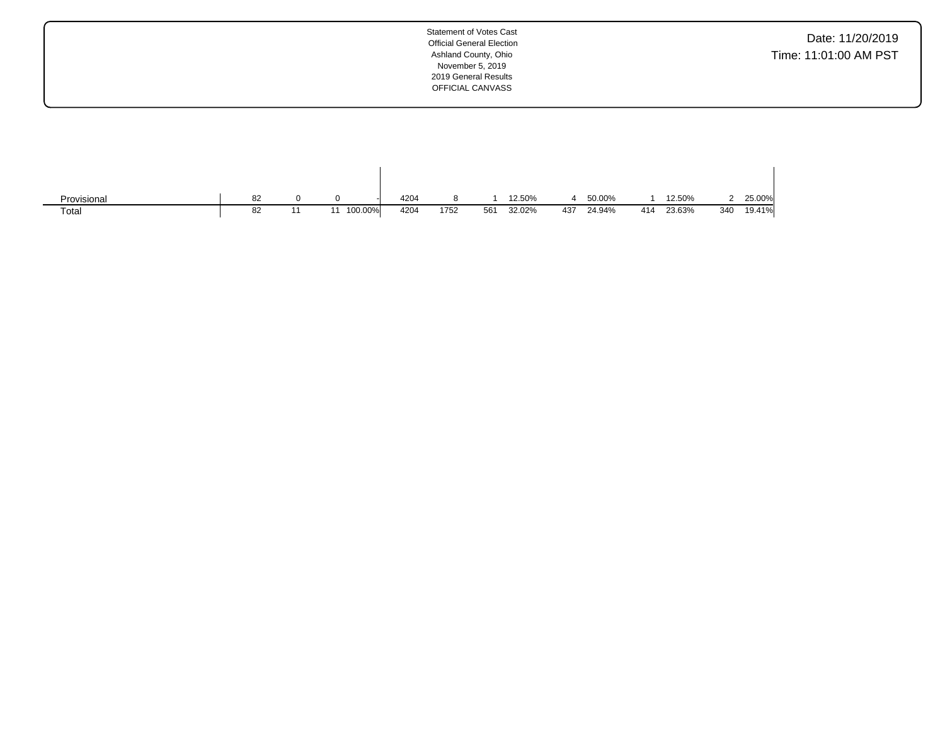Date: 11/20/2019 Time: 11:01:00 AM PST

| Provisional | 82 |         | 4204 |      |     | 12.50% |     | 50.00% |     | 12.50% |     | 25.00% |
|-------------|----|---------|------|------|-----|--------|-----|--------|-----|--------|-----|--------|
| Total       | 82 | 100.00% | 4204 | 1752 | 561 | 32.02% | 437 | 24.94% | 414 | 23.63% | 340 | 19.41% |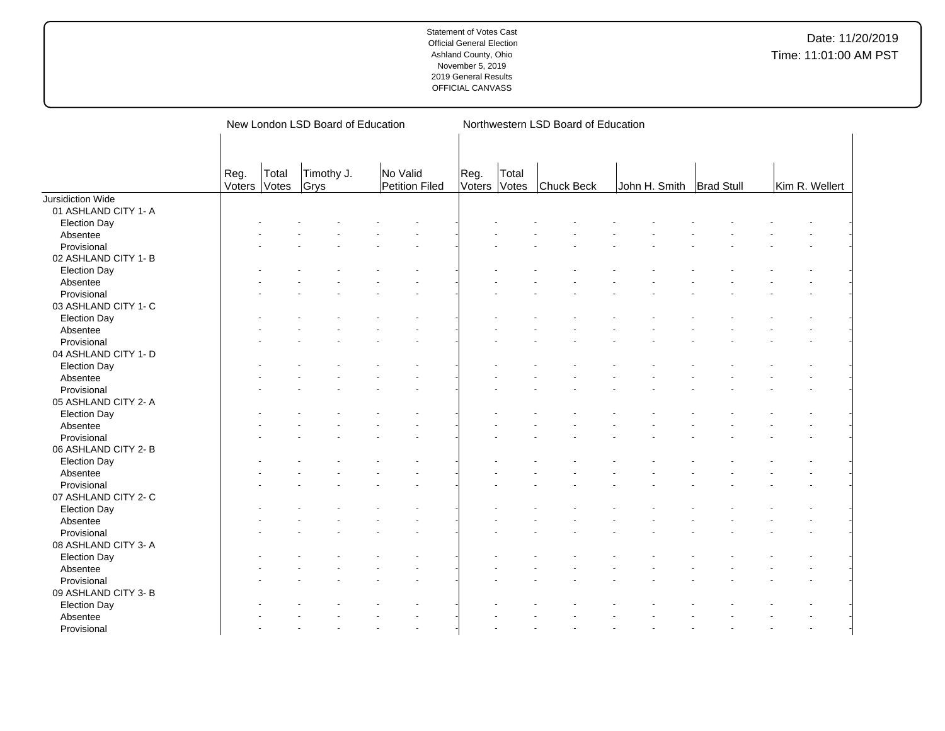|                      |                |                | New London LSD Board of Education |                            |                |                | Northwestern LSD Board of Education |               |                   |                |
|----------------------|----------------|----------------|-----------------------------------|----------------------------|----------------|----------------|-------------------------------------|---------------|-------------------|----------------|
|                      | Reg.<br>Voters | Total<br>Votes | Timothy J.<br>Grys                | No Valid<br>Petition Filed | Reg.<br>Voters | Total<br>Votes | Chuck Beck                          | John H. Smith | <b>Brad Stull</b> | Kim R. Wellert |
| Jursidiction Wide    |                |                |                                   |                            |                |                |                                     |               |                   |                |
| 01 ASHLAND CITY 1- A |                |                |                                   |                            |                |                |                                     |               |                   |                |
| <b>Election Day</b>  |                |                |                                   |                            |                |                |                                     |               |                   |                |
| Absentee             |                |                |                                   |                            |                |                |                                     |               |                   |                |
| Provisional          |                |                |                                   |                            |                |                |                                     |               |                   |                |
| 02 ASHLAND CITY 1- B |                |                |                                   |                            |                |                |                                     |               |                   |                |
| <b>Election Day</b>  |                |                |                                   |                            |                |                |                                     |               |                   |                |
| Absentee             |                |                |                                   |                            |                |                |                                     |               |                   |                |
| Provisional          |                |                |                                   |                            |                |                |                                     |               |                   |                |
| 03 ASHLAND CITY 1- C |                |                |                                   |                            |                |                |                                     |               |                   |                |
| <b>Election Day</b>  |                |                |                                   |                            |                |                |                                     |               |                   |                |
| Absentee             |                |                |                                   |                            |                |                |                                     |               |                   |                |
| Provisional          |                |                |                                   |                            |                |                |                                     |               |                   |                |
| 04 ASHLAND CITY 1- D |                |                |                                   |                            |                |                |                                     |               |                   |                |
| <b>Election Day</b>  |                |                |                                   |                            |                |                |                                     |               |                   |                |
| Absentee             |                |                |                                   |                            |                |                |                                     |               |                   |                |
| Provisional          |                |                |                                   |                            |                |                |                                     |               |                   |                |
| 05 ASHLAND CITY 2- A |                |                |                                   |                            |                |                |                                     |               |                   |                |
| <b>Election Day</b>  |                |                |                                   |                            |                |                |                                     |               |                   |                |
| Absentee             |                |                |                                   |                            |                |                |                                     |               |                   |                |
| Provisional          |                |                |                                   |                            |                |                |                                     |               |                   |                |
| 06 ASHLAND CITY 2-B  |                |                |                                   |                            |                |                |                                     |               |                   |                |
| <b>Election Day</b>  |                |                |                                   |                            |                |                |                                     |               |                   |                |
| Absentee             |                |                |                                   |                            |                |                |                                     |               |                   |                |
| Provisional          |                |                |                                   |                            |                |                |                                     |               |                   |                |
| 07 ASHLAND CITY 2- C |                |                |                                   |                            |                |                |                                     |               |                   |                |
| <b>Election Day</b>  |                |                |                                   |                            |                |                |                                     |               |                   |                |
| Absentee             |                |                |                                   |                            |                |                |                                     |               |                   |                |
| Provisional          |                |                |                                   |                            |                |                |                                     |               |                   |                |
| 08 ASHLAND CITY 3-A  |                |                |                                   |                            |                |                |                                     |               |                   |                |
|                      |                |                |                                   |                            |                |                |                                     |               |                   |                |
| <b>Election Day</b>  |                |                |                                   |                            |                |                |                                     |               |                   |                |
| Absentee             |                |                |                                   |                            |                |                |                                     |               |                   |                |
| Provisional          |                |                |                                   |                            |                |                |                                     |               |                   |                |
| 09 ASHLAND CITY 3- B |                |                |                                   |                            |                |                |                                     |               |                   |                |
| <b>Election Day</b>  |                |                |                                   |                            |                |                |                                     |               |                   |                |
| Absentee             |                |                |                                   |                            |                |                |                                     |               |                   |                |
| Provisional          |                |                |                                   |                            |                |                |                                     |               |                   |                |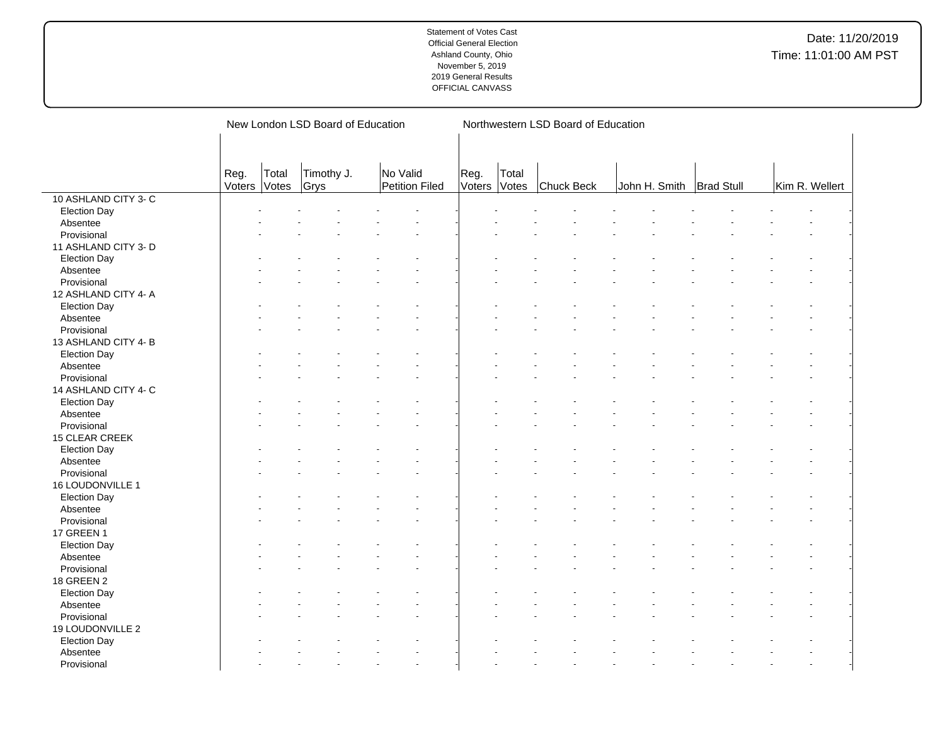|                         |                | New London LSD Board of Education |                    |                            |                      |       | Northwestern LSD Board of Education |                            |  |                |  |  |  |  |  |  |
|-------------------------|----------------|-----------------------------------|--------------------|----------------------------|----------------------|-------|-------------------------------------|----------------------------|--|----------------|--|--|--|--|--|--|
|                         |                |                                   |                    |                            |                      |       |                                     |                            |  |                |  |  |  |  |  |  |
|                         | Reg.<br>Voters | Total<br>Votes                    | Timothy J.<br>Grys | No Valid<br>Petition Filed | Reg.<br>Voters Votes | Total | Chuck Beck                          | John H. Smith   Brad Stull |  | Kim R. Wellert |  |  |  |  |  |  |
| 10 ASHLAND CITY 3-C     |                |                                   |                    |                            |                      |       |                                     |                            |  |                |  |  |  |  |  |  |
| <b>Election Day</b>     |                |                                   |                    |                            |                      |       |                                     |                            |  |                |  |  |  |  |  |  |
| Absentee                |                |                                   |                    |                            |                      |       |                                     |                            |  |                |  |  |  |  |  |  |
| Provisional             |                |                                   |                    |                            |                      |       |                                     |                            |  |                |  |  |  |  |  |  |
| 11 ASHLAND CITY 3- D    |                |                                   |                    |                            |                      |       |                                     |                            |  |                |  |  |  |  |  |  |
| <b>Election Day</b>     |                |                                   |                    |                            |                      |       |                                     |                            |  |                |  |  |  |  |  |  |
| Absentee                |                |                                   |                    |                            |                      |       |                                     |                            |  |                |  |  |  |  |  |  |
| Provisional             |                |                                   |                    |                            |                      |       |                                     |                            |  |                |  |  |  |  |  |  |
| 12 ASHLAND CITY 4- A    |                |                                   |                    |                            |                      |       |                                     |                            |  |                |  |  |  |  |  |  |
| <b>Election Day</b>     |                |                                   |                    |                            |                      |       |                                     |                            |  |                |  |  |  |  |  |  |
| Absentee                |                |                                   |                    |                            |                      |       |                                     |                            |  |                |  |  |  |  |  |  |
| Provisional             |                |                                   |                    |                            |                      |       |                                     |                            |  |                |  |  |  |  |  |  |
| 13 ASHLAND CITY 4-B     |                |                                   |                    |                            |                      |       |                                     |                            |  |                |  |  |  |  |  |  |
| <b>Election Day</b>     |                |                                   |                    |                            |                      |       |                                     |                            |  |                |  |  |  |  |  |  |
| Absentee                |                |                                   |                    |                            |                      |       |                                     |                            |  |                |  |  |  |  |  |  |
| Provisional             |                |                                   |                    |                            |                      |       |                                     |                            |  |                |  |  |  |  |  |  |
| 14 ASHLAND CITY 4- C    |                |                                   |                    |                            |                      |       |                                     |                            |  |                |  |  |  |  |  |  |
| <b>Election Day</b>     |                |                                   |                    |                            |                      |       |                                     |                            |  |                |  |  |  |  |  |  |
| Absentee                |                |                                   |                    |                            |                      |       |                                     |                            |  |                |  |  |  |  |  |  |
| Provisional             |                |                                   |                    |                            |                      |       |                                     |                            |  |                |  |  |  |  |  |  |
| 15 CLEAR CREEK          |                |                                   |                    |                            |                      |       |                                     |                            |  |                |  |  |  |  |  |  |
| <b>Election Day</b>     |                |                                   |                    |                            |                      |       |                                     |                            |  |                |  |  |  |  |  |  |
| Absentee                |                |                                   |                    |                            |                      |       |                                     |                            |  |                |  |  |  |  |  |  |
| Provisional             |                |                                   |                    |                            |                      |       |                                     |                            |  |                |  |  |  |  |  |  |
| 16 LOUDONVILLE 1        |                |                                   |                    |                            |                      |       |                                     |                            |  |                |  |  |  |  |  |  |
|                         |                |                                   |                    |                            |                      |       |                                     |                            |  |                |  |  |  |  |  |  |
| <b>Election Day</b>     |                |                                   |                    |                            |                      |       |                                     |                            |  |                |  |  |  |  |  |  |
| Absentee<br>Provisional |                |                                   |                    |                            |                      |       |                                     |                            |  |                |  |  |  |  |  |  |
|                         |                |                                   |                    |                            |                      |       |                                     |                            |  |                |  |  |  |  |  |  |
| 17 GREEN 1              |                |                                   |                    |                            |                      |       |                                     |                            |  |                |  |  |  |  |  |  |
| <b>Election Day</b>     |                |                                   |                    |                            |                      |       |                                     |                            |  |                |  |  |  |  |  |  |
| Absentee                |                |                                   |                    |                            |                      |       |                                     |                            |  |                |  |  |  |  |  |  |
| Provisional             |                |                                   |                    |                            |                      |       |                                     |                            |  |                |  |  |  |  |  |  |
| 18 GREEN 2              |                |                                   |                    |                            |                      |       |                                     |                            |  |                |  |  |  |  |  |  |
| <b>Election Day</b>     |                |                                   |                    |                            |                      |       |                                     |                            |  |                |  |  |  |  |  |  |
| Absentee                |                |                                   |                    |                            |                      |       |                                     |                            |  |                |  |  |  |  |  |  |
| Provisional             |                |                                   |                    |                            |                      |       |                                     |                            |  |                |  |  |  |  |  |  |
| 19 LOUDONVILLE 2        |                |                                   |                    |                            |                      |       |                                     |                            |  |                |  |  |  |  |  |  |
| <b>Election Day</b>     |                |                                   |                    |                            |                      |       |                                     |                            |  |                |  |  |  |  |  |  |
| Absentee                |                |                                   |                    |                            |                      |       |                                     |                            |  |                |  |  |  |  |  |  |
| Provisional             |                |                                   |                    |                            |                      |       |                                     |                            |  |                |  |  |  |  |  |  |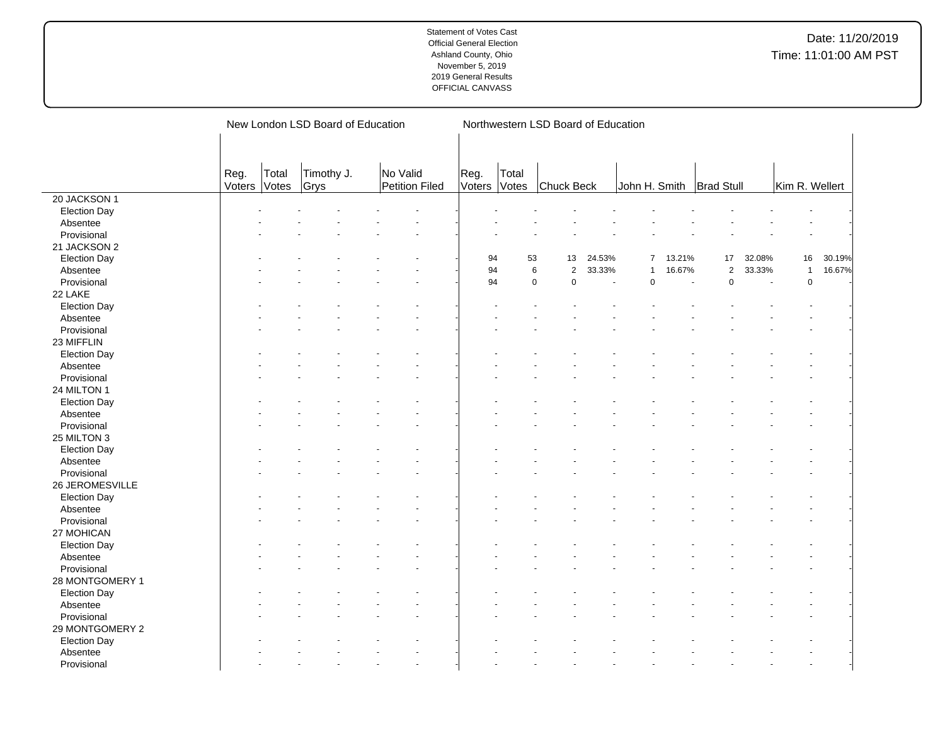|                     |                |                | New London LSD Board of Education |                            |                |                | Northwestern LSD Board of Education |        |                |        |                   |        |                |        |
|---------------------|----------------|----------------|-----------------------------------|----------------------------|----------------|----------------|-------------------------------------|--------|----------------|--------|-------------------|--------|----------------|--------|
|                     |                |                |                                   |                            |                |                |                                     |        |                |        |                   |        |                |        |
|                     | Reg.<br>Voters | Total<br>Votes | Timothy J.<br>Grys                | No Valid<br>Petition Filed | Reg.<br>Voters | Total<br>Votes | Chuck Beck                          |        | John H. Smith  |        | <b>Brad Stull</b> |        | Kim R. Wellert |        |
| 20 JACKSON 1        |                |                |                                   |                            |                |                |                                     |        |                |        |                   |        |                |        |
| <b>Election Day</b> |                |                |                                   |                            |                |                |                                     |        |                |        |                   |        |                |        |
| Absentee            |                |                |                                   |                            |                |                |                                     |        |                |        |                   |        |                |        |
| Provisional         |                |                |                                   |                            |                |                |                                     |        |                |        |                   |        |                |        |
| 21 JACKSON 2        |                |                |                                   |                            |                |                |                                     |        |                |        |                   |        |                |        |
| <b>Election Day</b> |                |                |                                   |                            | 94             | 53             | 13                                  | 24.53% | $\overline{7}$ | 13.21% | 17                | 32.08% | 16             | 30.19% |
| Absentee            |                |                |                                   |                            | 94             |                | $\,6$<br>$\mathbf 2$                | 33.33% |                | 16.67% | $\overline{2}$    | 33.33% | $\mathbf{1}$   | 16.67% |
| Provisional         |                |                |                                   |                            | 94             |                | $\mathsf 0$<br>0                    |        | $\mathbf 0$    |        | $\mathbf 0$       |        | $\mathbf 0$    |        |
| 22 LAKE             |                |                |                                   |                            |                |                |                                     |        |                |        |                   |        |                |        |
| <b>Election Day</b> |                |                |                                   |                            |                |                |                                     |        |                |        |                   |        |                |        |
| Absentee            |                |                |                                   |                            |                |                |                                     |        |                |        |                   |        |                |        |
| Provisional         |                |                |                                   |                            |                |                |                                     |        |                |        |                   |        |                |        |
| 23 MIFFLIN          |                |                |                                   |                            |                |                |                                     |        |                |        |                   |        |                |        |
| <b>Election Day</b> |                |                |                                   |                            |                |                |                                     |        |                |        |                   |        |                |        |
| Absentee            |                |                |                                   |                            |                |                |                                     |        |                |        |                   |        |                |        |
| Provisional         |                |                |                                   |                            |                |                |                                     |        |                |        |                   |        |                |        |
| 24 MILTON 1         |                |                |                                   |                            |                |                |                                     |        |                |        |                   |        |                |        |
| <b>Election Day</b> |                |                |                                   |                            |                |                |                                     |        |                |        |                   |        |                |        |
| Absentee            |                |                |                                   |                            |                |                |                                     |        |                |        |                   |        |                |        |
| Provisional         |                |                |                                   |                            |                |                |                                     |        |                |        |                   |        |                |        |
| 25 MILTON 3         |                |                |                                   |                            |                |                |                                     |        |                |        |                   |        |                |        |
| <b>Election Day</b> |                |                |                                   |                            |                |                |                                     |        |                |        |                   |        |                |        |
| Absentee            |                |                |                                   |                            |                |                |                                     |        |                |        |                   |        |                |        |
| Provisional         |                |                |                                   |                            |                |                |                                     |        |                |        |                   |        |                |        |
| 26 JEROMESVILLE     |                |                |                                   |                            |                |                |                                     |        |                |        |                   |        |                |        |
| <b>Election Day</b> |                |                |                                   |                            |                |                |                                     |        |                |        |                   |        |                |        |
| Absentee            |                |                |                                   |                            |                |                |                                     |        |                |        |                   |        |                |        |
| Provisional         |                |                |                                   |                            |                |                |                                     |        |                |        |                   |        |                |        |
| 27 MOHICAN          |                |                |                                   |                            |                |                |                                     |        |                |        |                   |        |                |        |
| <b>Election Day</b> |                |                |                                   |                            |                |                |                                     |        |                |        |                   |        |                |        |
| Absentee            |                |                |                                   |                            |                |                |                                     |        |                |        |                   |        |                |        |
| Provisional         |                |                |                                   |                            |                |                |                                     |        |                |        |                   |        |                |        |
| 28 MONTGOMERY 1     |                |                |                                   |                            |                |                |                                     |        |                |        |                   |        |                |        |
| <b>Election Day</b> |                |                |                                   |                            |                |                |                                     |        |                |        |                   |        |                |        |
| Absentee            |                |                |                                   |                            |                |                |                                     |        |                |        |                   |        |                |        |
| Provisional         |                |                |                                   |                            |                |                |                                     |        |                |        |                   |        |                |        |
| 29 MONTGOMERY 2     |                |                |                                   |                            |                |                |                                     |        |                |        |                   |        |                |        |
| <b>Election Day</b> |                |                |                                   |                            |                |                |                                     |        |                |        |                   |        |                |        |
| Absentee            |                |                |                                   |                            |                |                |                                     |        |                |        |                   |        |                |        |
| Provisional         |                |                |                                   |                            |                |                |                                     |        |                |        |                   |        |                |        |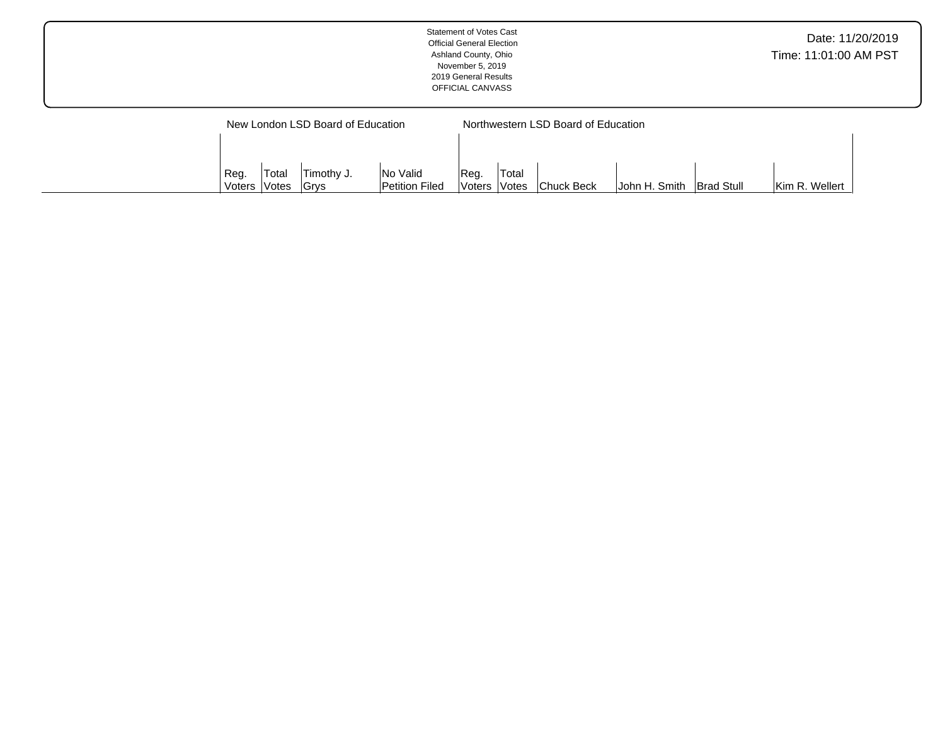|                                   | Statement of Votes Cast<br><b>Official General Election</b><br>Ashland County, Ohio<br>November 5, 2019<br>2019 General Results<br>OFFICIAL CANVASS | Date: 11/20/2019<br>Time: 11:01:00 AM PST |
|-----------------------------------|-----------------------------------------------------------------------------------------------------------------------------------------------------|-------------------------------------------|
| New London LSD Board of Education | Northwestern LSD Board of Education                                                                                                                 |                                           |

Reg. Voters Total

John H. Smith  $\vert$ Brad Stull Kim R. Wellert

Reg. Voters Total Votes Timothy J. Grys

No Valid Petition Filed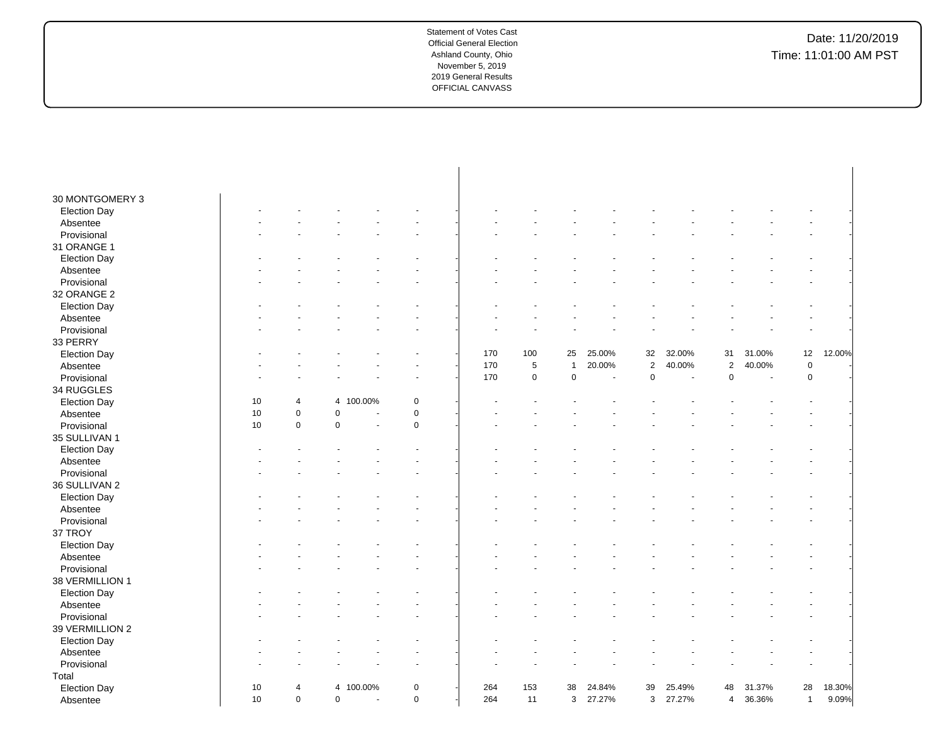| 30 MONTGOMERY 3     |                      |                |                      |             |     |                |                |        |                |                          |                |                          |              |        |
|---------------------|----------------------|----------------|----------------------|-------------|-----|----------------|----------------|--------|----------------|--------------------------|----------------|--------------------------|--------------|--------|
| <b>Election Day</b> |                      |                |                      |             |     |                |                |        |                |                          |                |                          |              |        |
| Absentee            |                      |                |                      |             |     |                |                |        |                |                          |                |                          |              |        |
| Provisional         |                      |                |                      |             |     |                |                |        |                |                          |                |                          |              |        |
| 31 ORANGE 1         |                      |                |                      |             |     |                |                |        |                |                          |                |                          |              |        |
| <b>Election Day</b> |                      |                |                      |             |     |                |                |        |                |                          |                |                          |              |        |
| Absentee            |                      |                |                      |             |     |                |                |        |                |                          |                |                          |              |        |
| Provisional         |                      |                |                      |             |     |                |                |        |                |                          |                |                          |              |        |
| 32 ORANGE 2         |                      |                |                      |             |     |                |                |        |                |                          |                |                          |              |        |
| <b>Election Day</b> |                      |                |                      |             |     |                |                |        |                |                          |                |                          |              |        |
| Absentee            |                      |                |                      |             |     |                |                |        |                |                          |                |                          |              |        |
| Provisional         |                      |                |                      |             |     |                |                |        |                |                          |                |                          |              |        |
| 33 PERRY            |                      |                |                      |             |     |                |                |        |                |                          |                |                          |              |        |
| <b>Election Day</b> |                      |                |                      |             | 170 | 100            | 25             | 25.00% | 32             | 32.00%                   | 31             | 31.00%                   | 12           | 12.00% |
| Absentee            |                      |                |                      |             | 170 | $\overline{5}$ | $\overline{1}$ | 20.00% | $\overline{2}$ | 40.00%                   | $\overline{2}$ | 40.00%                   | $\pmb{0}$    |        |
| Provisional         |                      |                |                      |             | 170 | $\pmb{0}$      | 0              | $\sim$ | 0              | $\overline{\phantom{a}}$ | 0              | $\overline{\phantom{a}}$ | $\pmb{0}$    |        |
| 34 RUGGLES          |                      |                |                      |             |     |                |                |        |                |                          |                |                          |              |        |
| <b>Election Day</b> | 10<br>$\overline{4}$ | 4              | 100.00%              | 0           |     |                |                |        |                |                          |                |                          |              |        |
| Absentee            | 10<br>$\mathbf 0$    | 0              | ÷,                   | 0           |     |                |                |        |                |                          |                |                          |              |        |
| Provisional         | $\mathbf 0$<br>10    | 0              |                      | $\pmb{0}$   |     |                |                |        |                |                          |                |                          |              |        |
| 35 SULLIVAN 1       |                      |                |                      |             |     |                |                |        |                |                          |                |                          |              |        |
| <b>Election Day</b> |                      |                |                      |             |     |                |                |        |                |                          |                |                          |              |        |
| Absentee            |                      |                |                      |             |     |                |                |        |                |                          |                |                          |              |        |
| Provisional         |                      |                |                      |             |     |                |                |        |                |                          |                |                          |              |        |
| 36 SULLIVAN 2       |                      |                |                      |             |     |                |                |        |                |                          |                |                          |              |        |
| <b>Election Day</b> |                      |                |                      |             |     |                |                |        |                |                          |                |                          |              |        |
| Absentee            |                      |                |                      |             |     |                |                |        |                |                          |                |                          |              |        |
| Provisional         |                      |                |                      |             |     |                |                |        |                |                          |                |                          |              |        |
| 37 TROY             |                      |                |                      |             |     |                |                |        |                |                          |                |                          |              |        |
| <b>Election Day</b> |                      |                |                      |             |     |                |                |        |                |                          |                |                          |              |        |
| Absentee            |                      |                |                      |             |     |                |                |        |                |                          |                |                          |              |        |
| Provisional         |                      |                |                      |             |     |                |                |        |                |                          |                |                          |              |        |
| 38 VERMILLION 1     |                      |                |                      |             |     |                |                |        |                |                          |                |                          |              |        |
| <b>Election Day</b> |                      |                |                      |             |     |                |                |        |                |                          |                |                          |              |        |
| Absentee            |                      |                |                      |             |     |                |                |        |                |                          |                |                          |              |        |
| Provisional         |                      |                |                      |             |     |                |                |        |                |                          |                |                          |              |        |
| 39 VERMILLION 2     |                      |                |                      |             |     |                |                |        |                |                          |                |                          |              |        |
| <b>Election Day</b> |                      |                |                      |             |     |                |                |        |                |                          |                |                          |              |        |
| Absentee            |                      |                |                      |             |     |                |                |        |                |                          |                |                          |              |        |
| Provisional         |                      |                |                      |             |     |                |                |        |                |                          |                |                          |              |        |
| Total               |                      |                |                      |             |     |                |                |        |                |                          |                |                          |              |        |
|                     | 10<br>4              | $\overline{4}$ | 100.00%              | $\pmb{0}$   | 264 | 153            | 38             | 24.84% | 39             | 25.49%                   | 48             | 31.37%                   | 28           | 18.30% |
| <b>Election Day</b> | 10<br>$\mathbf 0$    | $\mathbf 0$    |                      | $\mathbf 0$ | 264 | 11             |                |        |                |                          |                |                          |              | 9.09%  |
| Absentee            |                      |                | $\ddot{\phantom{1}}$ |             |     |                | 3              | 27.27% | 3              | 27.27%                   | $\overline{4}$ | 36.36%                   | $\mathbf{1}$ |        |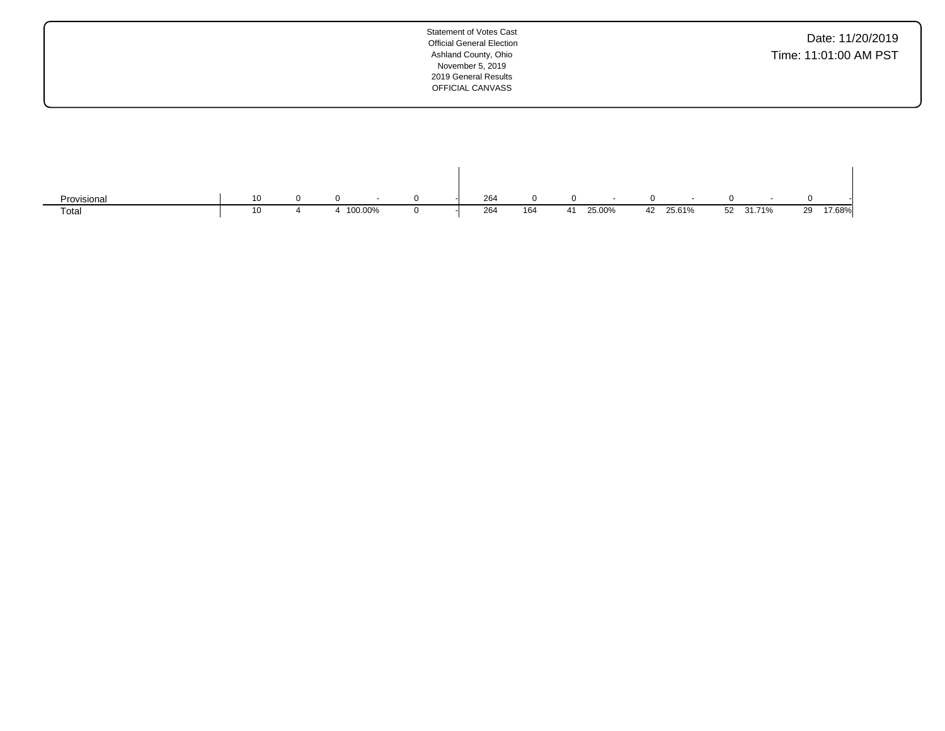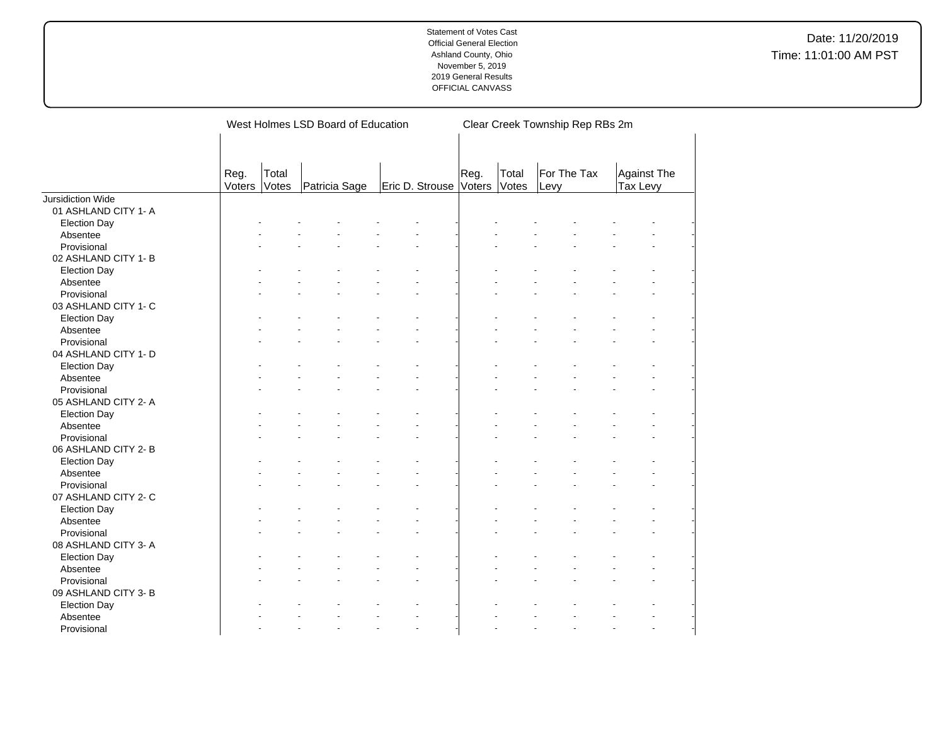|                          |                |                | West Holmes LSD Board of Education |                 | Clear Creek Township Rep RBs 2m |                |                     |                                |  |  |  |  |
|--------------------------|----------------|----------------|------------------------------------|-----------------|---------------------------------|----------------|---------------------|--------------------------------|--|--|--|--|
|                          | Reg.<br>Voters | Total<br>Votes | Patricia Sage                      | Eric D. Strouse | Reg.<br>Voters                  | Total<br>Votes | For The Tax<br>Levy | <b>Against The</b><br>Tax Levy |  |  |  |  |
| <b>Jursidiction Wide</b> |                |                |                                    |                 |                                 |                |                     |                                |  |  |  |  |
| 01 ASHLAND CITY 1- A     |                |                |                                    |                 |                                 |                |                     |                                |  |  |  |  |
| <b>Election Day</b>      |                |                |                                    |                 |                                 |                |                     |                                |  |  |  |  |
| Absentee                 |                |                |                                    |                 |                                 |                |                     |                                |  |  |  |  |
| Provisional              |                |                |                                    |                 |                                 |                |                     |                                |  |  |  |  |
| 02 ASHLAND CITY 1-B      |                |                |                                    |                 |                                 |                |                     |                                |  |  |  |  |
| <b>Election Day</b>      |                |                |                                    |                 |                                 |                |                     |                                |  |  |  |  |
| Absentee                 |                |                |                                    |                 |                                 |                |                     |                                |  |  |  |  |
| Provisional              |                |                |                                    |                 |                                 |                |                     |                                |  |  |  |  |
| 03 ASHLAND CITY 1- C     |                |                |                                    |                 |                                 |                |                     |                                |  |  |  |  |
| <b>Election Day</b>      |                |                |                                    |                 |                                 |                |                     |                                |  |  |  |  |
| Absentee                 |                |                |                                    |                 |                                 |                |                     |                                |  |  |  |  |
| Provisional              |                |                |                                    |                 |                                 |                |                     |                                |  |  |  |  |
| 04 ASHLAND CITY 1- D     |                |                |                                    |                 |                                 |                |                     |                                |  |  |  |  |
| <b>Election Day</b>      |                |                |                                    |                 |                                 |                |                     |                                |  |  |  |  |
| Absentee                 |                |                |                                    |                 |                                 |                |                     |                                |  |  |  |  |
| Provisional              |                |                |                                    |                 |                                 |                |                     |                                |  |  |  |  |
| 05 ASHLAND CITY 2- A     |                |                |                                    |                 |                                 |                |                     |                                |  |  |  |  |
| <b>Election Day</b>      |                |                |                                    |                 |                                 |                |                     |                                |  |  |  |  |
| Absentee                 |                |                |                                    |                 |                                 |                |                     |                                |  |  |  |  |
| Provisional              |                |                |                                    |                 |                                 |                |                     |                                |  |  |  |  |
| 06 ASHLAND CITY 2-B      |                |                |                                    |                 |                                 |                |                     |                                |  |  |  |  |
|                          |                |                |                                    |                 |                                 |                |                     |                                |  |  |  |  |
| <b>Election Day</b>      |                |                |                                    |                 |                                 |                |                     |                                |  |  |  |  |
| Absentee                 |                |                |                                    |                 |                                 |                |                     |                                |  |  |  |  |
| Provisional              |                |                |                                    |                 |                                 |                |                     |                                |  |  |  |  |
| 07 ASHLAND CITY 2- C     |                |                |                                    |                 |                                 |                |                     |                                |  |  |  |  |
| <b>Election Day</b>      |                |                |                                    |                 |                                 |                |                     |                                |  |  |  |  |
| Absentee                 |                |                |                                    |                 |                                 |                |                     |                                |  |  |  |  |
| Provisional              |                |                |                                    |                 |                                 |                |                     |                                |  |  |  |  |
| 08 ASHLAND CITY 3- A     |                |                |                                    |                 |                                 |                |                     |                                |  |  |  |  |
| <b>Election Day</b>      |                |                |                                    |                 |                                 |                |                     |                                |  |  |  |  |
| Absentee                 |                |                |                                    |                 |                                 |                |                     |                                |  |  |  |  |
| Provisional              |                |                |                                    |                 |                                 |                |                     |                                |  |  |  |  |
| 09 ASHLAND CITY 3- B     |                |                |                                    |                 |                                 |                |                     |                                |  |  |  |  |
| <b>Election Day</b>      |                |                |                                    |                 |                                 |                |                     |                                |  |  |  |  |
| Absentee                 |                |                |                                    |                 |                                 |                |                     |                                |  |  |  |  |
| Provisional              |                |                |                                    |                 |                                 |                |                     |                                |  |  |  |  |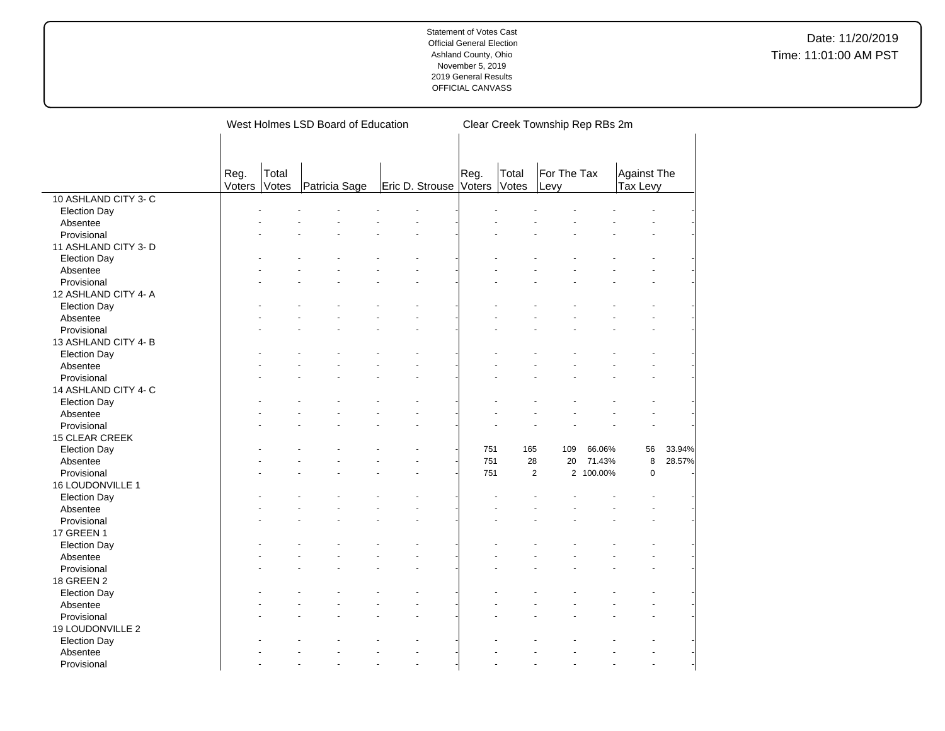|                       |                |                       | West Holmes LSD Board of Education |                        |      |                | Clear Creek Township Rep RBs 2m |           |                         |        |
|-----------------------|----------------|-----------------------|------------------------------------|------------------------|------|----------------|---------------------------------|-----------|-------------------------|--------|
|                       |                |                       |                                    |                        |      |                |                                 |           |                         |        |
|                       | Reg.<br>Voters | Total<br><b>Votes</b> | Patricia Sage                      | Eric D. Strouse Voters | Reg. | Total<br>Votes | For The Tax<br>Levy             |           | Against The<br>Tax Levy |        |
| 10 ASHLAND CITY 3-C   |                |                       |                                    |                        |      |                |                                 |           |                         |        |
| <b>Election Day</b>   |                |                       |                                    |                        |      |                |                                 |           |                         |        |
| Absentee              |                |                       |                                    |                        |      |                |                                 |           |                         |        |
| Provisional           |                |                       |                                    |                        |      |                |                                 |           |                         |        |
| 11 ASHLAND CITY 3- D  |                |                       |                                    |                        |      |                |                                 |           |                         |        |
| <b>Election Day</b>   |                |                       |                                    |                        |      |                |                                 |           |                         |        |
| Absentee              |                |                       |                                    |                        |      |                |                                 |           |                         |        |
| Provisional           |                |                       |                                    |                        |      |                |                                 |           |                         |        |
| 12 ASHLAND CITY 4- A  |                |                       |                                    |                        |      |                |                                 |           |                         |        |
| <b>Election Day</b>   |                |                       |                                    |                        |      |                |                                 |           |                         |        |
| Absentee              |                |                       |                                    |                        |      |                |                                 |           |                         |        |
| Provisional           |                |                       |                                    |                        |      |                |                                 |           |                         |        |
| 13 ASHLAND CITY 4-B   |                |                       |                                    |                        |      |                |                                 |           |                         |        |
| <b>Election Day</b>   |                |                       |                                    |                        |      |                |                                 |           |                         |        |
| Absentee              |                |                       |                                    |                        |      |                |                                 |           |                         |        |
| Provisional           |                |                       |                                    |                        |      |                |                                 |           |                         |        |
| 14 ASHLAND CITY 4-C   |                |                       |                                    |                        |      |                |                                 |           |                         |        |
| <b>Election Day</b>   |                |                       |                                    |                        |      |                |                                 |           |                         |        |
| Absentee              |                |                       |                                    |                        |      |                |                                 |           |                         |        |
| Provisional           |                |                       |                                    |                        |      |                |                                 |           |                         |        |
| <b>15 CLEAR CREEK</b> |                |                       |                                    |                        |      |                |                                 |           |                         |        |
| <b>Election Day</b>   |                |                       |                                    |                        | 751  | 165            | 109                             | 66.06%    | 56                      | 33.94% |
| Absentee              |                |                       |                                    |                        | 751  |                | 28<br>20                        | 71.43%    | 8                       | 28.57% |
| Provisional           |                |                       |                                    |                        | 751  |                | 2                               | 2 100.00% | $\mathbf 0$             |        |
| 16 LOUDONVILLE 1      |                |                       |                                    |                        |      |                |                                 |           |                         |        |
| <b>Election Day</b>   |                |                       |                                    |                        |      |                |                                 |           |                         |        |
| Absentee              |                |                       |                                    |                        |      |                |                                 |           |                         |        |
| Provisional           |                |                       |                                    |                        |      |                |                                 |           |                         |        |
| 17 GREEN 1            |                |                       |                                    |                        |      |                |                                 |           |                         |        |
| <b>Election Day</b>   |                |                       |                                    |                        |      |                |                                 |           |                         |        |
| Absentee              |                |                       |                                    |                        |      |                |                                 |           |                         |        |
| Provisional           |                |                       |                                    |                        |      |                |                                 |           |                         |        |
| 18 GREEN 2            |                |                       |                                    |                        |      |                |                                 |           |                         |        |
| <b>Election Day</b>   |                |                       |                                    |                        |      |                |                                 |           |                         |        |
| Absentee              |                |                       |                                    |                        |      |                |                                 |           |                         |        |
| Provisional           |                |                       |                                    |                        |      |                |                                 |           |                         |        |
| 19 LOUDONVILLE 2      |                |                       |                                    |                        |      |                |                                 |           |                         |        |
| <b>Election Day</b>   |                |                       |                                    |                        |      |                |                                 |           |                         |        |
| Absentee              |                |                       |                                    |                        |      |                |                                 |           |                         |        |
| Provisional           |                |                       |                                    | $\overline{a}$         |      |                | ÷.                              |           | $\overline{a}$          |        |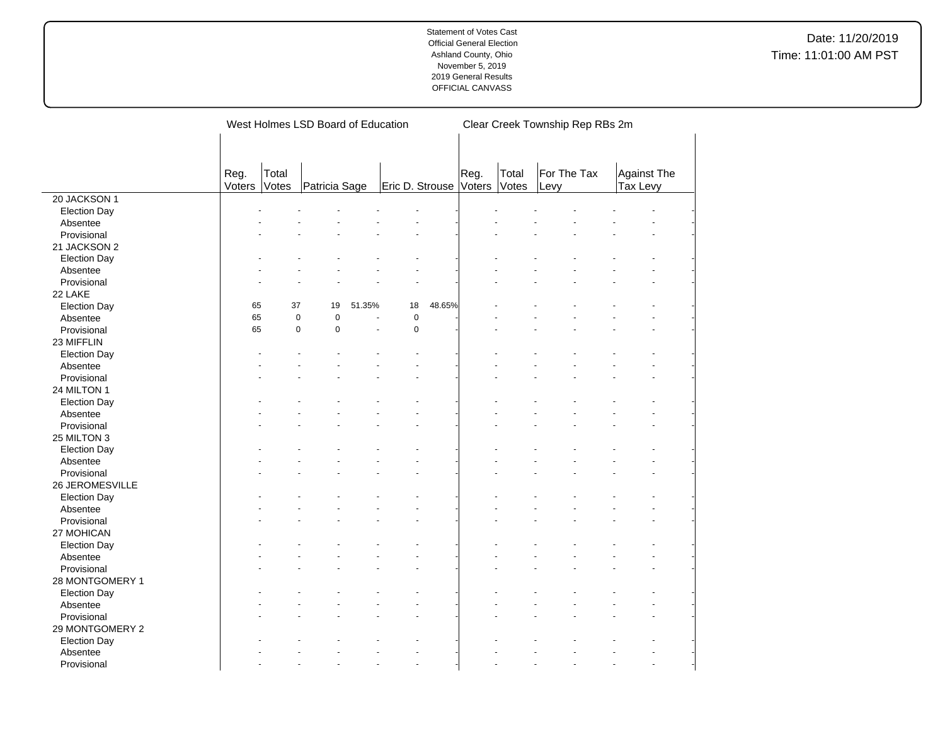Date: 11/20/2019 Time: 11:01:00 AM PST

|                                 |                |                | West Holmes LSD Board of Education |                |                        |        |      |                | Clear Creek Township Rep RBs 2m |                                |  |
|---------------------------------|----------------|----------------|------------------------------------|----------------|------------------------|--------|------|----------------|---------------------------------|--------------------------------|--|
|                                 |                |                |                                    |                |                        |        |      |                |                                 |                                |  |
|                                 | Reg.<br>Voters | Total<br>Votes | Patricia Sage                      |                | Eric D. Strouse Voters |        | Reg. | Total<br>Votes | For The Tax<br>Levy             | <b>Against The</b><br>Tax Levy |  |
| 20 JACKSON 1                    |                |                |                                    |                |                        |        |      |                |                                 |                                |  |
| Election Day                    |                |                |                                    |                |                        |        |      |                |                                 |                                |  |
| Absentee                        |                |                |                                    |                |                        |        |      |                |                                 |                                |  |
| Provisional                     |                |                |                                    |                |                        |        |      |                |                                 |                                |  |
| 21 JACKSON 2                    |                |                |                                    |                |                        |        |      |                |                                 |                                |  |
| <b>Election Day</b>             |                |                |                                    |                |                        |        |      |                |                                 |                                |  |
| Absentee                        |                |                |                                    |                |                        |        |      |                |                                 |                                |  |
| Provisional                     |                |                |                                    |                |                        |        |      |                |                                 |                                |  |
| 22 LAKE                         |                |                |                                    |                |                        |        |      |                |                                 |                                |  |
|                                 | 65             | 37             | 19                                 | 51.35%         | 18                     | 48.65% |      |                |                                 |                                |  |
| Election Day                    | 65             | $\pmb{0}$      | $\mathbf 0$                        |                | $\mathbf 0$            |        |      |                |                                 |                                |  |
| Absentee                        |                |                | $\mathbf 0$                        | $\overline{a}$ |                        |        |      |                |                                 |                                |  |
| Provisional                     | 65             | $\mathbf 0$    |                                    |                | $\pmb{0}$              |        |      |                |                                 |                                |  |
| 23 MIFFLIN                      |                |                |                                    |                |                        |        |      |                |                                 |                                |  |
| <b>Election Day</b>             |                |                |                                    |                |                        |        |      |                |                                 |                                |  |
| Absentee                        |                |                |                                    |                |                        |        |      |                |                                 |                                |  |
| Provisional                     |                |                |                                    |                |                        |        |      |                |                                 |                                |  |
| 24 MILTON 1                     |                |                |                                    |                |                        |        |      |                |                                 |                                |  |
| <b>Election Day</b>             |                |                |                                    |                |                        |        |      |                |                                 |                                |  |
| Absentee                        |                |                |                                    |                |                        |        |      |                |                                 |                                |  |
| Provisional                     |                |                |                                    |                |                        |        |      |                |                                 |                                |  |
| 25 MILTON 3                     |                |                |                                    |                |                        |        |      |                |                                 |                                |  |
| <b>Election Day</b>             |                |                |                                    |                |                        |        |      |                |                                 |                                |  |
| Absentee                        |                |                |                                    |                |                        |        |      |                |                                 |                                |  |
| Provisional                     |                |                |                                    |                |                        |        |      |                |                                 |                                |  |
| 26 JEROMESVILLE                 |                |                |                                    |                |                        |        |      |                |                                 |                                |  |
| <b>Election Day</b>             |                |                |                                    |                |                        |        |      |                |                                 |                                |  |
| Absentee                        |                |                |                                    |                |                        |        |      |                |                                 |                                |  |
| Provisional                     |                |                |                                    |                |                        |        |      |                |                                 |                                |  |
| 27 MOHICAN                      |                |                |                                    |                |                        |        |      |                |                                 |                                |  |
|                                 |                |                |                                    |                |                        |        |      |                |                                 |                                |  |
| <b>Election Day</b><br>Absentee |                |                |                                    |                |                        |        |      |                |                                 |                                |  |
|                                 |                |                |                                    |                |                        |        |      |                |                                 |                                |  |
| Provisional                     |                |                |                                    |                |                        |        |      |                |                                 |                                |  |
| 28 MONTGOMERY 1                 |                |                |                                    |                |                        |        |      |                |                                 |                                |  |
| <b>Election Day</b>             |                |                |                                    |                |                        |        |      |                |                                 |                                |  |
| Absentee                        |                |                |                                    |                |                        |        |      |                |                                 |                                |  |
| Provisional                     |                |                |                                    |                |                        |        |      |                |                                 |                                |  |
| 29 MONTGOMERY 2                 |                |                |                                    |                |                        |        |      |                |                                 |                                |  |
| <b>Election Day</b>             |                |                |                                    |                |                        |        |      |                |                                 |                                |  |
| Absentee                        |                |                |                                    |                |                        |        |      |                |                                 |                                |  |
| Provisional                     |                |                |                                    |                |                        |        |      |                |                                 |                                |  |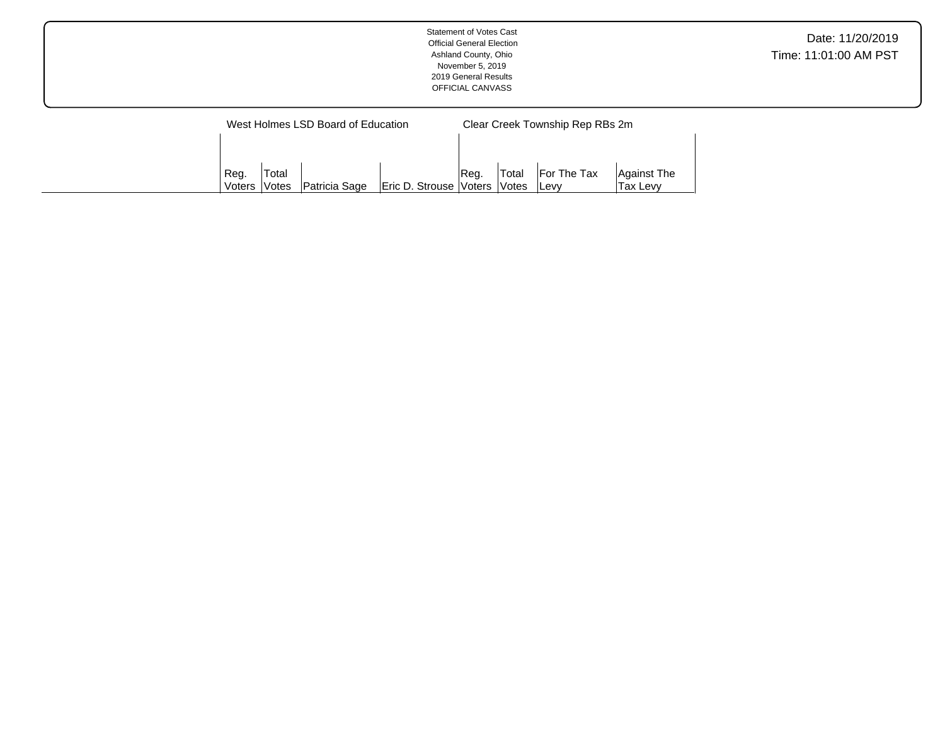|                        |       | West Holmes LSD Board of Education |                        | Clear Creek Township Rep RBs 2m |                               |                                    |                         |  |  |  |
|------------------------|-------|------------------------------------|------------------------|---------------------------------|-------------------------------|------------------------------------|-------------------------|--|--|--|
|                        |       |                                    |                        |                                 |                               |                                    |                         |  |  |  |
|                        |       |                                    |                        |                                 |                               |                                    |                         |  |  |  |
| Reg.<br>Voters   Votes | Total | Patricia Sage                      | Eric D. Strouse Voters | Req.                            | 'Total<br><i><b>Notes</b></i> | <b>For The Tax</b><br><b>ILevv</b> | Against The<br>Tax Levv |  |  |  |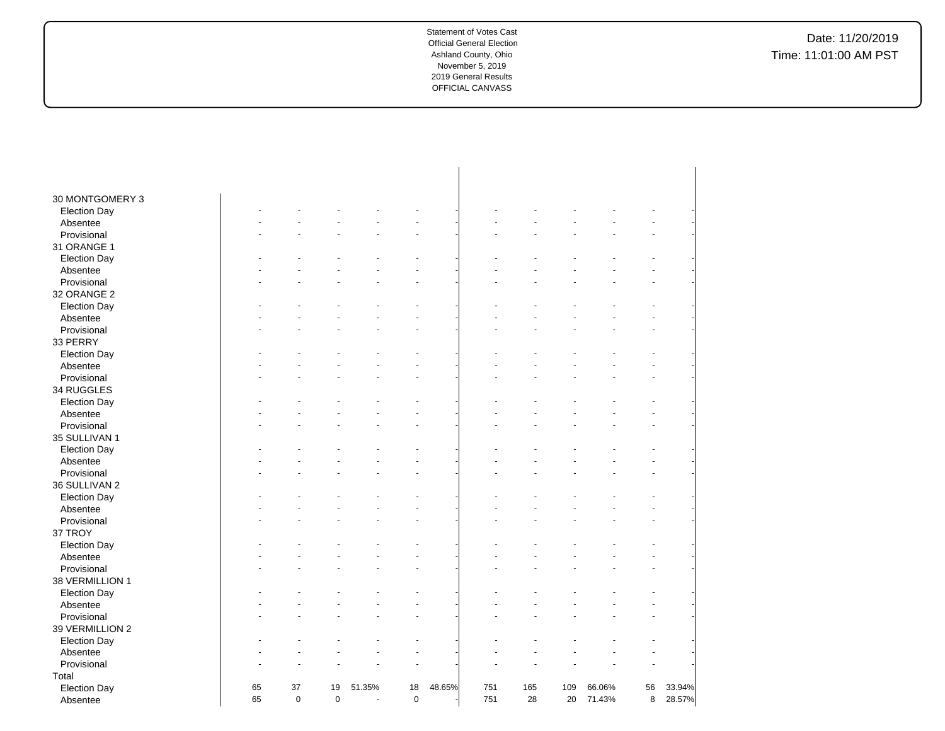| 30 MONTGOMERY 3                 |    |             |             |        |             |        |     |     |     |        |    |        |
|---------------------------------|----|-------------|-------------|--------|-------------|--------|-----|-----|-----|--------|----|--------|
| <b>Election Day</b>             |    |             |             |        |             |        |     |     |     |        |    |        |
| Absentee                        |    |             |             |        |             |        |     |     |     |        |    |        |
| Provisional                     |    |             |             |        |             |        |     |     |     |        |    |        |
| 31 ORANGE 1                     |    |             |             |        |             |        |     |     |     |        |    |        |
|                                 |    |             |             |        |             |        |     |     |     |        |    |        |
| <b>Election Day</b><br>Absentee |    |             |             |        |             |        |     |     |     |        |    |        |
| Provisional                     |    |             |             |        |             |        |     |     |     |        |    |        |
|                                 |    |             |             |        |             |        |     |     |     |        |    |        |
| 32 ORANGE 2                     |    |             |             |        |             |        |     |     |     |        |    |        |
| <b>Election Day</b>             |    |             |             |        |             |        |     |     |     |        |    |        |
| Absentee                        |    |             |             |        |             |        |     |     |     |        |    |        |
| Provisional                     |    |             |             |        |             |        |     |     |     |        |    |        |
| 33 PERRY                        |    |             |             |        |             |        |     |     |     |        |    |        |
| <b>Election Day</b>             |    |             |             |        |             |        |     |     |     |        |    |        |
| Absentee                        |    |             |             |        |             |        |     |     |     |        |    |        |
| Provisional                     |    |             |             |        |             |        |     |     |     |        |    |        |
| 34 RUGGLES                      |    |             |             |        |             |        |     |     |     |        |    |        |
| <b>Election Day</b>             |    |             |             |        |             |        |     |     |     |        |    |        |
| Absentee                        |    |             |             |        |             |        |     |     |     |        |    |        |
| Provisional                     |    |             |             |        |             |        |     |     |     |        |    |        |
| 35 SULLIVAN 1                   |    |             |             |        |             |        |     |     |     |        |    |        |
| <b>Election Day</b>             |    |             |             |        |             |        |     |     |     |        |    |        |
| Absentee                        |    |             |             |        |             |        |     |     |     |        |    |        |
| Provisional                     |    |             |             |        |             |        |     |     |     |        |    |        |
| 36 SULLIVAN 2                   |    |             |             |        |             |        |     |     |     |        |    |        |
| <b>Election Day</b>             |    |             |             |        |             |        |     |     |     |        |    |        |
| Absentee                        |    |             |             |        |             |        |     |     |     |        |    |        |
| Provisional                     |    |             |             |        |             |        |     |     |     |        |    |        |
| 37 TROY                         |    |             |             |        |             |        |     |     |     |        |    |        |
| <b>Election Day</b>             |    |             |             |        |             |        |     |     |     |        |    |        |
| Absentee                        |    |             |             |        |             |        |     |     |     |        |    |        |
| Provisional                     |    |             |             |        |             |        |     |     |     |        |    |        |
| 38 VERMILLION 1                 |    |             |             |        |             |        |     |     |     |        |    |        |
| <b>Election Day</b>             |    |             |             |        |             |        |     |     |     |        |    |        |
| Absentee                        |    |             |             |        |             |        |     |     |     |        |    |        |
| Provisional                     |    |             |             |        |             |        |     |     |     |        |    |        |
| 39 VERMILLION 2                 |    |             |             |        |             |        |     |     |     |        |    |        |
| <b>Election Day</b>             |    |             |             |        |             |        |     |     |     |        |    |        |
| Absentee                        |    |             |             |        |             |        |     |     |     |        |    |        |
| Provisional                     |    |             |             |        |             |        |     |     |     |        |    |        |
| Total                           |    |             |             |        |             |        |     |     |     |        |    |        |
| <b>Election Day</b>             | 65 | 37          | 19          | 51.35% | 18          | 48.65% | 751 | 165 | 109 | 66.06% | 56 | 33.94% |
| Absentee                        | 65 | $\mathbf 0$ | $\mathbf 0$ | $\sim$ | $\mathbf 0$ |        | 751 | 28  | 20  | 71.43% | 8  | 28.57% |
|                                 |    |             |             |        |             |        |     |     |     |        |    |        |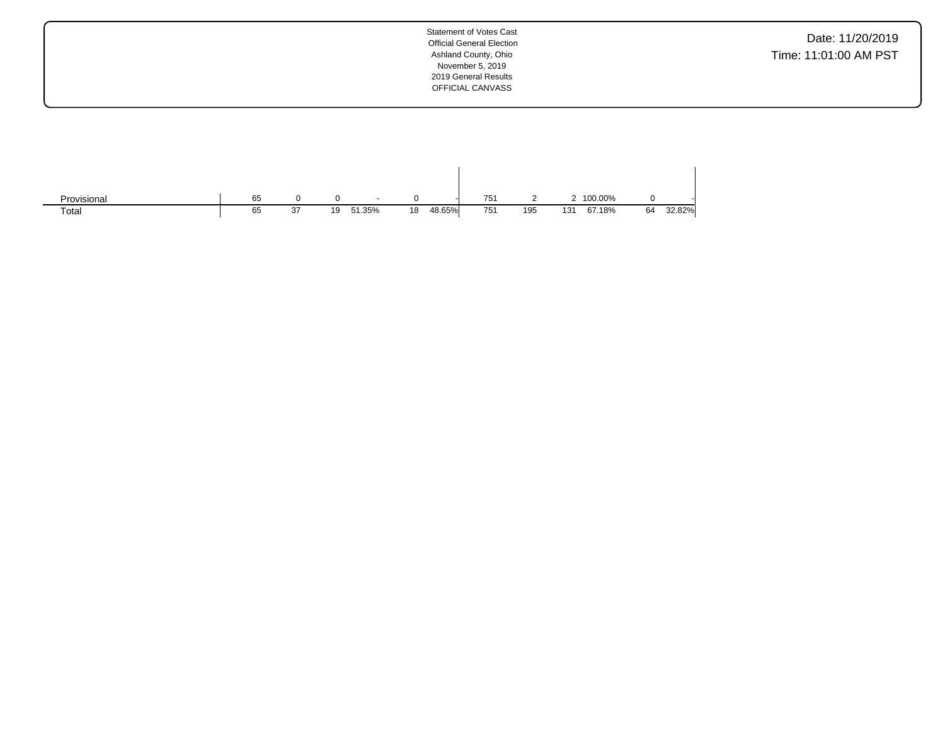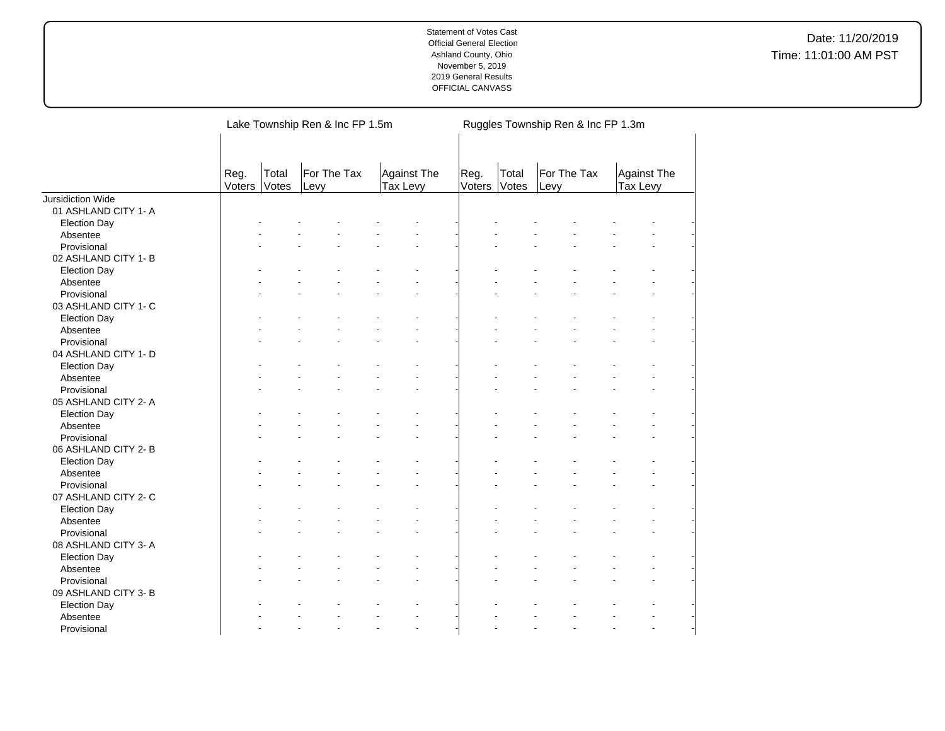|                         |                |                | Lake Township Ren & Inc FP 1.5m |                                | Ruggles Township Ren & Inc FP 1.3m |                |                     |                         |  |
|-------------------------|----------------|----------------|---------------------------------|--------------------------------|------------------------------------|----------------|---------------------|-------------------------|--|
|                         | Reg.<br>Voters | Total<br>Votes | For The Tax<br>Levy             | <b>Against The</b><br>Tax Levy | Reg.<br>Voters                     | Total<br>Votes | For The Tax<br>Levy | Against The<br>Tax Levy |  |
| Jursidiction Wide       |                |                |                                 |                                |                                    |                |                     |                         |  |
| 01 ASHLAND CITY 1- A    |                |                |                                 |                                |                                    |                |                     |                         |  |
| <b>Election Day</b>     |                |                |                                 |                                |                                    |                |                     |                         |  |
| Absentee                |                |                |                                 |                                |                                    |                |                     |                         |  |
| Provisional             |                |                |                                 |                                |                                    |                |                     |                         |  |
| 02 ASHLAND CITY 1-B     |                |                |                                 |                                |                                    |                |                     |                         |  |
| <b>Election Day</b>     |                |                |                                 |                                |                                    |                |                     |                         |  |
| Absentee                |                |                |                                 |                                |                                    |                |                     |                         |  |
| Provisional             |                |                |                                 |                                |                                    |                |                     |                         |  |
| 03 ASHLAND CITY 1- C    |                |                |                                 |                                |                                    |                |                     |                         |  |
| <b>Election Day</b>     |                |                |                                 |                                |                                    |                |                     |                         |  |
| Absentee                |                |                |                                 |                                |                                    |                |                     |                         |  |
| Provisional             |                |                |                                 |                                |                                    |                |                     |                         |  |
| 04 ASHLAND CITY 1- D    |                |                |                                 |                                |                                    |                |                     |                         |  |
| <b>Election Day</b>     |                |                |                                 |                                |                                    |                |                     |                         |  |
| Absentee                |                |                |                                 |                                |                                    |                |                     |                         |  |
| Provisional             |                |                |                                 |                                |                                    |                |                     |                         |  |
| 05 ASHLAND CITY 2- A    |                |                |                                 |                                |                                    |                |                     |                         |  |
| <b>Election Day</b>     |                |                |                                 |                                |                                    |                |                     |                         |  |
| Absentee                |                |                |                                 |                                |                                    |                |                     |                         |  |
| Provisional             |                |                |                                 |                                |                                    |                |                     |                         |  |
| 06 ASHLAND CITY 2-B     |                |                |                                 |                                |                                    |                |                     |                         |  |
|                         |                |                |                                 |                                |                                    |                |                     |                         |  |
| <b>Election Day</b>     |                |                |                                 |                                |                                    |                |                     |                         |  |
| Absentee<br>Provisional |                |                |                                 |                                |                                    |                |                     |                         |  |
|                         |                |                |                                 |                                |                                    |                |                     |                         |  |
| 07 ASHLAND CITY 2- C    |                |                |                                 |                                |                                    |                |                     |                         |  |
| <b>Election Day</b>     |                |                |                                 |                                |                                    |                |                     |                         |  |
| Absentee                |                |                |                                 |                                |                                    |                |                     |                         |  |
| Provisional             |                |                |                                 |                                |                                    |                |                     |                         |  |
| 08 ASHLAND CITY 3-A     |                |                |                                 |                                |                                    |                |                     |                         |  |
| <b>Election Day</b>     |                |                |                                 |                                |                                    |                |                     |                         |  |
| Absentee                |                |                |                                 |                                |                                    |                |                     |                         |  |
| Provisional             |                |                |                                 |                                |                                    |                |                     |                         |  |
| 09 ASHLAND CITY 3-B     |                |                |                                 |                                |                                    |                |                     |                         |  |
| <b>Election Day</b>     |                |                |                                 |                                |                                    |                |                     |                         |  |
| Absentee                |                |                |                                 |                                |                                    |                |                     |                         |  |
| Provisional             |                |                |                                 |                                |                                    |                |                     | ä,                      |  |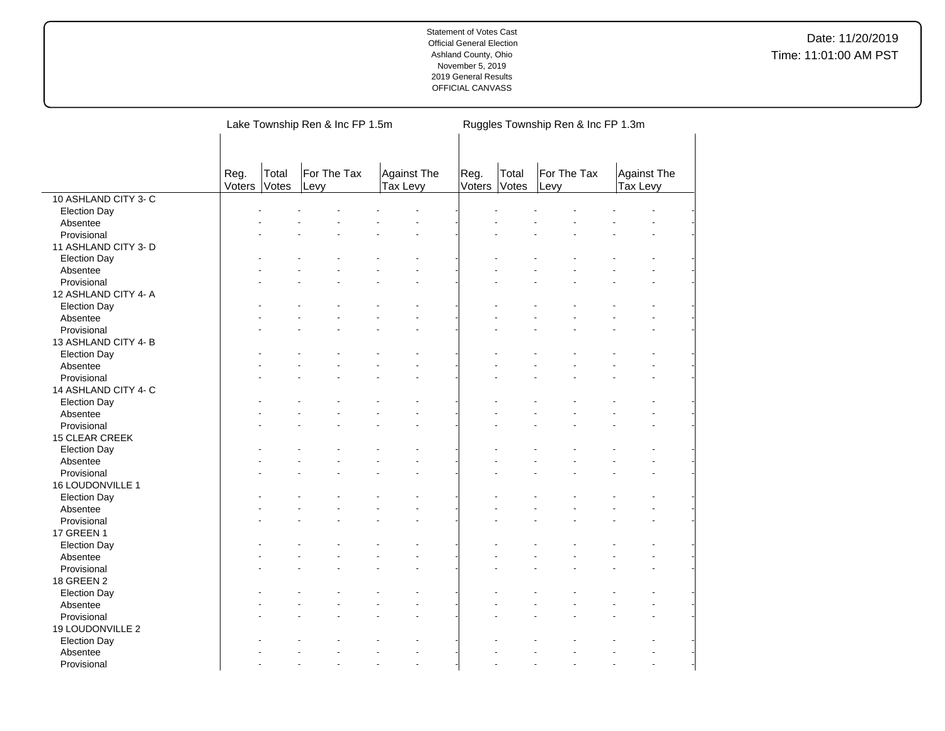|                                 |                |                | Lake Township Ren & Inc FP 1.5m |                                | Ruggles Township Ren & Inc FP 1.3m |                |                     |                         |  |
|---------------------------------|----------------|----------------|---------------------------------|--------------------------------|------------------------------------|----------------|---------------------|-------------------------|--|
|                                 | Reg.<br>Voters | Total<br>Votes | For The Tax<br>Levy             | Against The<br><b>Tax Levy</b> | Reg.<br>Voters                     | Total<br>Votes | For The Tax<br>Levy | Against The<br>Tax Levy |  |
| 10 ASHLAND CITY 3-C             |                |                |                                 |                                |                                    |                |                     |                         |  |
| <b>Election Day</b>             |                |                |                                 |                                |                                    |                |                     |                         |  |
| Absentee                        |                |                |                                 |                                |                                    |                |                     |                         |  |
| Provisional                     |                |                |                                 |                                |                                    |                |                     |                         |  |
| 11 ASHLAND CITY 3- D            |                |                |                                 |                                |                                    |                |                     |                         |  |
| <b>Election Day</b>             |                |                |                                 |                                |                                    |                |                     |                         |  |
| Absentee                        |                |                |                                 |                                |                                    |                |                     |                         |  |
| Provisional                     |                |                |                                 |                                |                                    |                |                     |                         |  |
| 12 ASHLAND CITY 4- A            |                |                |                                 |                                |                                    |                |                     |                         |  |
| <b>Election Day</b>             |                |                |                                 |                                |                                    |                |                     |                         |  |
| Absentee                        |                |                |                                 |                                |                                    |                |                     |                         |  |
| Provisional                     |                |                |                                 |                                |                                    |                |                     |                         |  |
| 13 ASHLAND CITY 4-B             |                |                |                                 |                                |                                    |                |                     |                         |  |
| <b>Election Day</b>             |                |                |                                 |                                |                                    |                |                     |                         |  |
| Absentee                        |                |                |                                 |                                |                                    |                |                     |                         |  |
| Provisional                     |                |                |                                 |                                |                                    |                |                     |                         |  |
| 14 ASHLAND CITY 4- C            |                |                |                                 |                                |                                    |                |                     |                         |  |
| <b>Election Day</b>             |                |                |                                 |                                |                                    |                |                     |                         |  |
| Absentee                        |                |                |                                 |                                |                                    |                |                     |                         |  |
| Provisional                     |                |                |                                 |                                |                                    |                |                     |                         |  |
| 15 CLEAR CREEK                  |                |                |                                 |                                |                                    |                |                     |                         |  |
| <b>Election Day</b>             |                |                |                                 |                                |                                    |                |                     |                         |  |
| Absentee                        |                |                |                                 |                                |                                    |                |                     |                         |  |
| Provisional                     |                |                |                                 |                                |                                    |                |                     |                         |  |
| 16 LOUDONVILLE 1                |                |                |                                 |                                |                                    |                |                     |                         |  |
| <b>Election Day</b>             |                |                |                                 |                                |                                    |                |                     |                         |  |
| Absentee                        |                |                |                                 |                                |                                    |                |                     |                         |  |
| Provisional                     |                |                |                                 |                                |                                    |                |                     |                         |  |
| 17 GREEN 1                      |                |                |                                 |                                |                                    |                |                     |                         |  |
| <b>Election Day</b>             |                |                |                                 |                                |                                    |                |                     |                         |  |
| Absentee                        |                |                |                                 |                                |                                    |                |                     |                         |  |
| Provisional                     |                |                |                                 |                                |                                    |                |                     |                         |  |
| 18 GREEN 2                      |                |                |                                 |                                |                                    |                |                     |                         |  |
| <b>Election Day</b>             |                |                |                                 |                                |                                    |                |                     |                         |  |
| Absentee                        |                |                |                                 |                                |                                    |                |                     |                         |  |
| Provisional                     |                |                |                                 |                                |                                    |                |                     |                         |  |
| 19 LOUDONVILLE 2                |                |                |                                 |                                |                                    |                |                     |                         |  |
|                                 |                |                |                                 |                                |                                    |                |                     |                         |  |
| <b>Election Day</b><br>Absentee |                |                |                                 |                                |                                    |                |                     |                         |  |
| Provisional                     |                |                |                                 | $\overline{a}$                 |                                    |                |                     | ÷.                      |  |
|                                 |                |                |                                 |                                |                                    |                |                     |                         |  |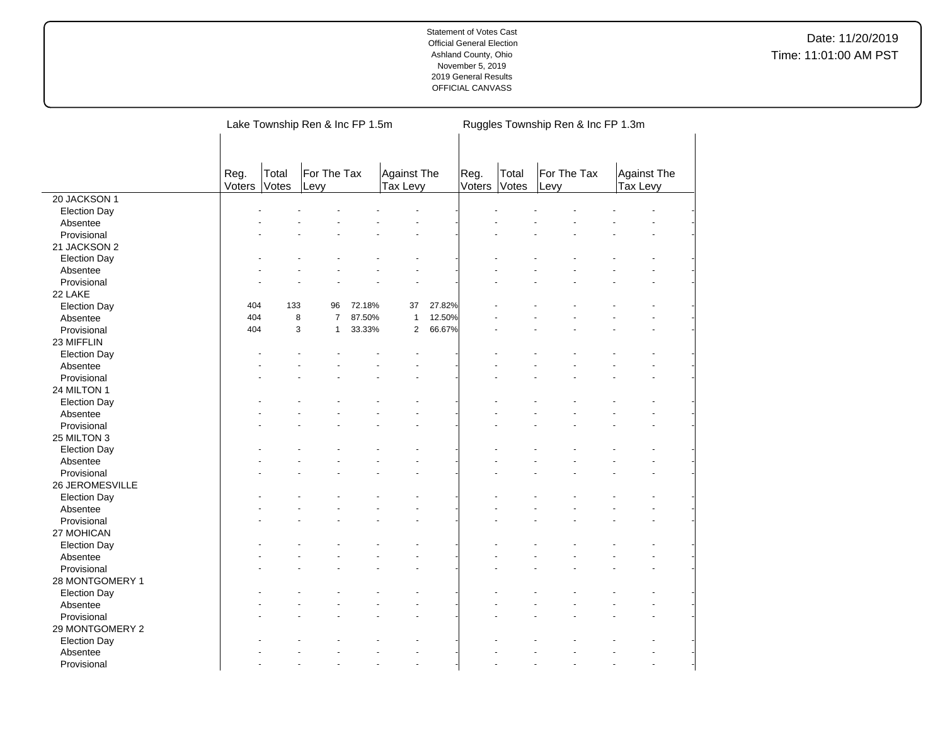Date: 11/20/2019 Time: 11:01:00 AM PST

|                                 |                |                                                                  | Lake Township Ren & Inc FP 1.5m |        |                | Ruggles Township Ren & Inc FP 1.3m |                      |       |                     |  |                         |  |  |
|---------------------------------|----------------|------------------------------------------------------------------|---------------------------------|--------|----------------|------------------------------------|----------------------|-------|---------------------|--|-------------------------|--|--|
|                                 | Reg.<br>Voters | Total<br>For The Tax<br>Against The<br>Votes<br>Tax Levy<br>Levy |                                 |        |                |                                    | Reg.<br>Voters Votes | Total | For The Tax<br>Levy |  | Against The<br>Tax Levy |  |  |
| 20 JACKSON 1                    |                |                                                                  |                                 |        |                |                                    |                      |       |                     |  |                         |  |  |
| <b>Election Day</b>             |                |                                                                  |                                 |        |                |                                    |                      |       |                     |  |                         |  |  |
| Absentee                        |                |                                                                  |                                 |        |                |                                    |                      |       |                     |  |                         |  |  |
| Provisional                     |                |                                                                  |                                 |        |                |                                    |                      |       |                     |  |                         |  |  |
| 21 JACKSON 2                    |                |                                                                  |                                 |        |                |                                    |                      |       |                     |  |                         |  |  |
| <b>Election Day</b>             |                |                                                                  |                                 |        |                |                                    |                      |       |                     |  |                         |  |  |
| Absentee                        |                |                                                                  |                                 |        |                |                                    |                      |       |                     |  |                         |  |  |
| Provisional                     |                |                                                                  |                                 |        |                |                                    |                      |       |                     |  |                         |  |  |
| 22 LAKE                         |                |                                                                  |                                 |        |                |                                    |                      |       |                     |  |                         |  |  |
| <b>Election Day</b>             | 404            | 133                                                              | 96                              | 72.18% | 37             | 27.82%                             |                      |       |                     |  |                         |  |  |
| Absentee                        | 404            | 8                                                                | $\overline{7}$                  | 87.50% | $\mathbf{1}$   | 12.50%                             |                      |       |                     |  |                         |  |  |
| Provisional                     | 404            | 3                                                                | $\mathbf{1}$                    | 33.33% | $\overline{2}$ | 66.67%                             |                      |       |                     |  |                         |  |  |
| 23 MIFFLIN                      |                |                                                                  |                                 |        |                |                                    |                      |       |                     |  |                         |  |  |
| <b>Election Day</b>             |                |                                                                  |                                 |        |                |                                    |                      |       |                     |  |                         |  |  |
| Absentee                        |                |                                                                  |                                 |        |                |                                    |                      |       |                     |  |                         |  |  |
| Provisional                     |                |                                                                  |                                 |        |                |                                    |                      |       |                     |  |                         |  |  |
| 24 MILTON 1                     |                |                                                                  |                                 |        |                |                                    |                      |       |                     |  |                         |  |  |
| <b>Election Day</b>             |                |                                                                  |                                 |        |                |                                    |                      |       |                     |  |                         |  |  |
| Absentee                        |                |                                                                  |                                 |        |                |                                    |                      |       |                     |  |                         |  |  |
| Provisional                     |                |                                                                  |                                 |        |                |                                    |                      |       |                     |  |                         |  |  |
| 25 MILTON 3                     |                |                                                                  |                                 |        |                |                                    |                      |       |                     |  |                         |  |  |
| <b>Election Day</b>             |                |                                                                  |                                 |        |                |                                    |                      |       |                     |  |                         |  |  |
| Absentee                        |                |                                                                  |                                 |        |                |                                    |                      |       |                     |  |                         |  |  |
| Provisional                     |                |                                                                  |                                 |        |                |                                    |                      |       |                     |  |                         |  |  |
| 26 JEROMESVILLE                 |                |                                                                  |                                 |        |                |                                    |                      |       |                     |  |                         |  |  |
|                                 |                |                                                                  |                                 |        |                |                                    |                      |       |                     |  |                         |  |  |
| <b>Election Day</b><br>Absentee |                |                                                                  |                                 |        |                |                                    |                      |       |                     |  |                         |  |  |
| Provisional                     |                |                                                                  |                                 |        |                |                                    |                      |       |                     |  |                         |  |  |
| 27 MOHICAN                      |                |                                                                  |                                 |        |                |                                    |                      |       |                     |  |                         |  |  |
|                                 |                |                                                                  |                                 |        |                |                                    |                      |       |                     |  |                         |  |  |
| <b>Election Day</b>             |                |                                                                  |                                 |        |                |                                    |                      |       |                     |  |                         |  |  |
| Absentee                        |                |                                                                  |                                 |        |                |                                    |                      |       |                     |  |                         |  |  |
| Provisional                     |                |                                                                  |                                 |        |                |                                    |                      |       |                     |  |                         |  |  |
| 28 MONTGOMERY 1                 |                |                                                                  |                                 |        |                |                                    |                      |       |                     |  |                         |  |  |
| <b>Election Day</b>             |                |                                                                  |                                 |        |                |                                    |                      |       |                     |  |                         |  |  |
| Absentee                        |                |                                                                  |                                 |        |                |                                    |                      |       |                     |  |                         |  |  |
| Provisional                     |                |                                                                  |                                 |        |                |                                    |                      |       |                     |  |                         |  |  |
| 29 MONTGOMERY 2                 |                |                                                                  |                                 |        |                |                                    |                      |       |                     |  |                         |  |  |
| <b>Election Day</b>             |                |                                                                  |                                 |        |                |                                    |                      |       |                     |  |                         |  |  |
| Absentee                        |                |                                                                  |                                 |        |                |                                    |                      |       |                     |  |                         |  |  |
| Provisional                     |                |                                                                  |                                 |        |                |                                    |                      |       |                     |  |                         |  |  |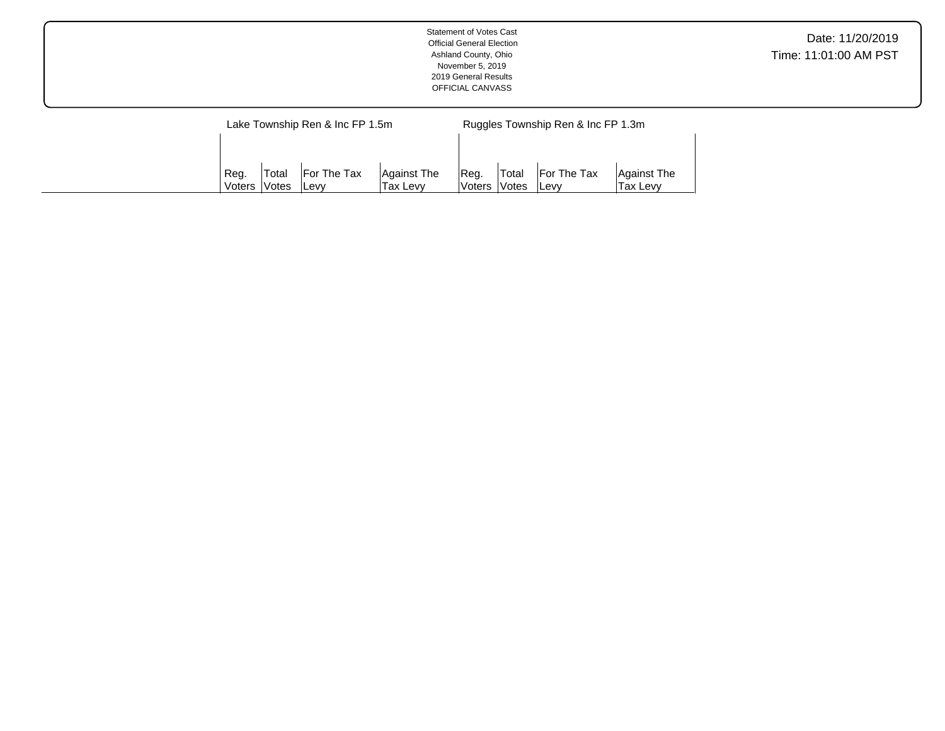| <b>Statement of Votes Cast</b><br><b>Official General Election</b><br>Ashland County, Ohio<br>November 5, 2019<br>2019 General Results<br>OFFICIAL CANVASS | Date: 11/20/2019<br>Time: 11:01:00 AM PST |
|------------------------------------------------------------------------------------------------------------------------------------------------------------|-------------------------------------------|
| Lake Township Ren & Inc FP 1.5m<br>Ruggles Township Ren & Inc FP 1.3m                                                                                      |                                           |

Reg. Voters Total Votes For The Tax Levy

Against The Tax Levy

Reg. Voters Total Votes For The Tax Levy

Against The Tax Levy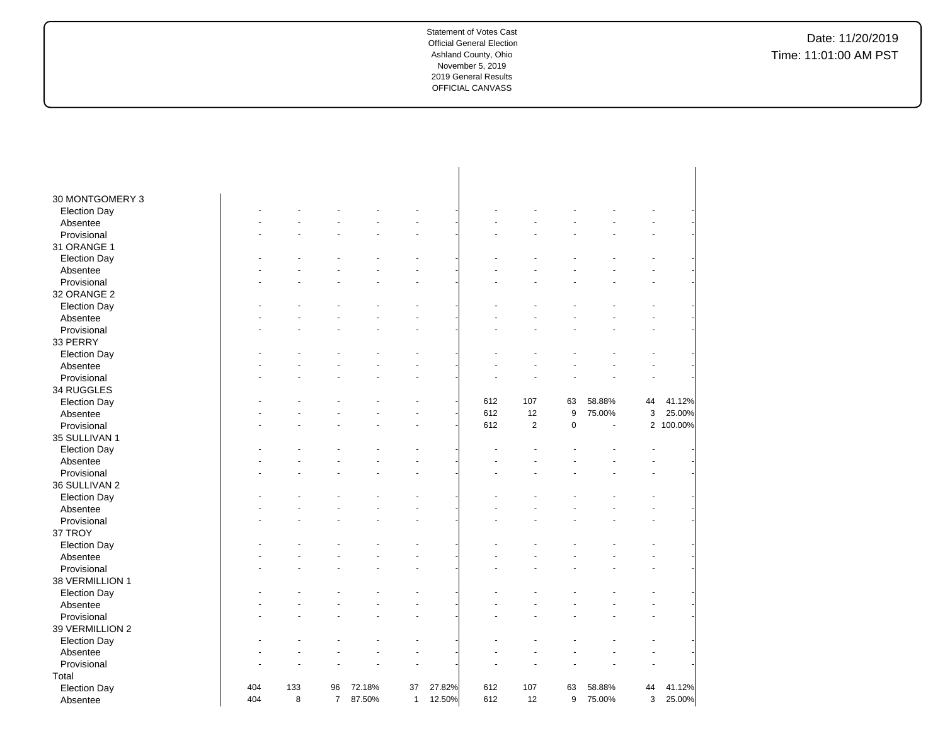| 30 MONTGOMERY 3     |     |     |                |        |              |        |     |                         |           |        |                |         |
|---------------------|-----|-----|----------------|--------|--------------|--------|-----|-------------------------|-----------|--------|----------------|---------|
| <b>Election Day</b> |     |     |                |        |              |        |     |                         |           |        |                |         |
| Absentee            |     |     |                |        |              |        |     |                         |           |        |                |         |
| Provisional         |     |     |                |        |              |        |     |                         |           |        |                |         |
| 31 ORANGE 1         |     |     |                |        |              |        |     |                         |           |        |                |         |
| <b>Election Day</b> |     |     |                |        |              |        |     |                         |           |        |                |         |
| Absentee            |     |     |                |        |              |        |     |                         |           |        |                |         |
| Provisional         |     |     |                |        |              |        |     |                         |           |        |                |         |
| 32 ORANGE 2         |     |     |                |        |              |        |     |                         |           |        |                |         |
| <b>Election Day</b> |     |     |                |        |              |        |     |                         |           |        |                |         |
| Absentee            |     |     |                |        |              |        |     |                         |           |        |                |         |
| Provisional         |     |     |                |        |              |        |     |                         |           |        |                |         |
| 33 PERRY            |     |     |                |        |              |        |     |                         |           |        |                |         |
| <b>Election Day</b> |     |     |                |        |              |        |     |                         |           |        |                |         |
| Absentee            |     |     |                |        |              |        |     |                         |           |        |                |         |
| Provisional         |     |     |                |        |              |        |     |                         |           |        |                |         |
| 34 RUGGLES          |     |     |                |        |              |        |     |                         |           |        |                |         |
| <b>Election Day</b> |     |     |                |        |              |        | 612 | 107                     | 63        | 58.88% | 44             | 41.12%  |
| Absentee            |     |     |                |        |              |        | 612 | 12                      | 9         | 75.00% | 3              | 25.00%  |
| Provisional         |     |     |                |        |              |        | 612 | $\overline{\mathbf{c}}$ | $\pmb{0}$ |        | $\overline{2}$ | 100.00% |
| 35 SULLIVAN 1       |     |     |                |        |              |        |     |                         |           |        |                |         |
| <b>Election Day</b> |     |     |                |        |              |        |     |                         |           |        |                |         |
| Absentee            |     |     |                |        |              |        |     |                         |           |        |                |         |
| Provisional         |     |     |                |        |              |        |     |                         |           |        |                |         |
| 36 SULLIVAN 2       |     |     |                |        |              |        |     |                         |           |        |                |         |
| <b>Election Day</b> |     |     |                |        |              |        |     |                         |           |        |                |         |
| Absentee            |     |     |                |        |              |        |     |                         |           |        |                |         |
| Provisional         |     |     |                |        |              |        |     |                         |           |        |                |         |
| 37 TROY             |     |     |                |        |              |        |     |                         |           |        |                |         |
| <b>Election Day</b> |     |     |                |        |              |        |     |                         |           |        |                |         |
| Absentee            |     |     |                |        |              |        |     |                         |           |        |                |         |
| Provisional         |     |     |                |        |              |        |     |                         |           |        |                |         |
| 38 VERMILLION 1     |     |     |                |        |              |        |     |                         |           |        |                |         |
| <b>Election Day</b> |     |     |                |        |              |        |     |                         |           |        |                |         |
| Absentee            |     |     |                |        |              |        |     |                         |           |        |                |         |
| Provisional         |     |     |                |        |              |        |     |                         |           |        |                |         |
|                     |     |     |                |        |              |        |     |                         |           |        |                |         |
| 39 VERMILLION 2     |     |     |                |        |              |        |     |                         |           |        |                |         |
| <b>Election Day</b> |     |     |                |        |              |        |     |                         |           |        |                |         |
| Absentee            |     |     |                |        |              |        |     |                         |           |        |                |         |
| Provisional         |     |     |                |        |              |        |     |                         |           |        |                |         |
| Total               |     |     |                |        |              |        |     |                         |           |        |                |         |
| <b>Election Day</b> | 404 | 133 | 96             | 72.18% | 37           | 27.82% | 612 | 107                     | 63        | 58.88% | 44             | 41.12%  |
| Absentee            | 404 | 8   | $\overline{7}$ | 87.50% | $\mathbf{1}$ | 12.50% | 612 | 12                      | 9         | 75.00% | 3              | 25.00%  |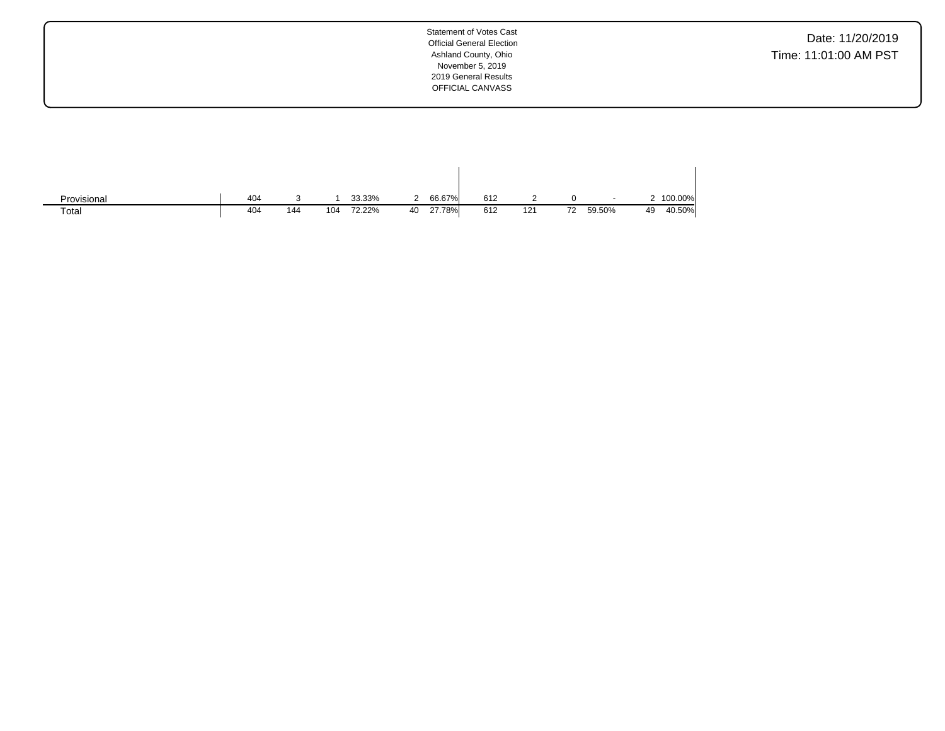Date: 11/20/2019 Time: 11:01:00 AM PST

| Provisional | 404 |     |     | 33.33% | 2  | 66.67% | 612 |     |    | $\overline{\phantom{a}}$ |    | 2 100.00% |
|-------------|-----|-----|-----|--------|----|--------|-----|-----|----|--------------------------|----|-----------|
| Total       | 404 | 144 | 104 | 72.22% | 40 | 27.78% | 612 | 121 | 72 | 59.50%                   | 49 | 40.50%    |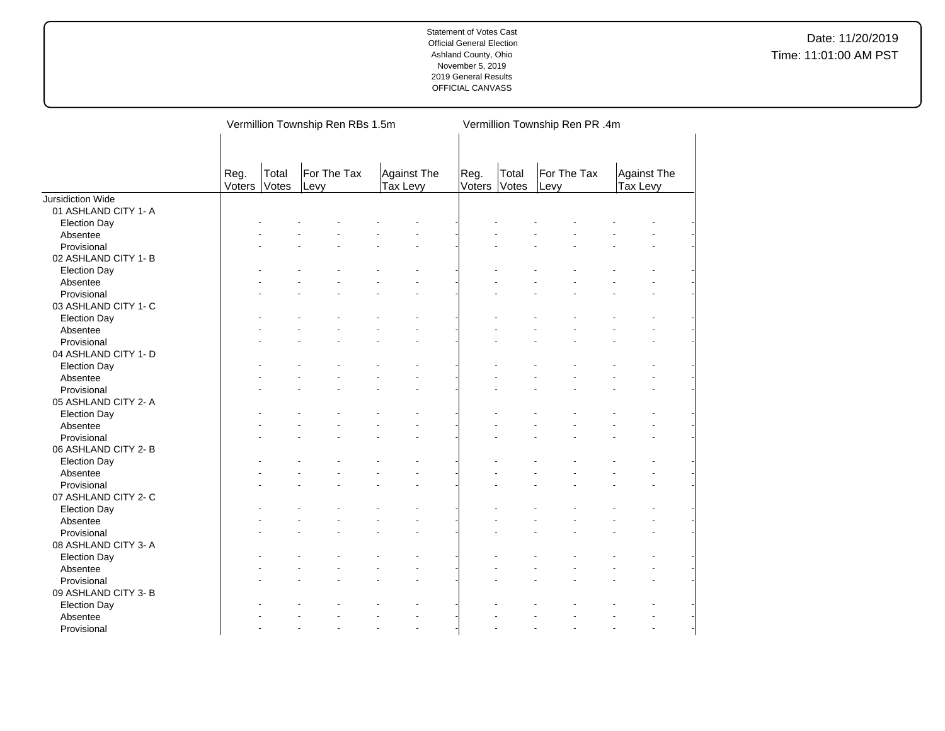|                          |                |                | Vermillion Township Ren RBs 1.5m |                                | Vermillion Township Ren PR .4m |                |                     |                         |  |  |  |
|--------------------------|----------------|----------------|----------------------------------|--------------------------------|--------------------------------|----------------|---------------------|-------------------------|--|--|--|
|                          | Reg.<br>Voters | Total<br>Votes | For The Tax<br>Levy              | <b>Against The</b><br>Tax Levy | Reg.<br>Voters                 | Total<br>Votes | For The Tax<br>Levy | Against The<br>Tax Levy |  |  |  |
| <b>Jursidiction Wide</b> |                |                |                                  |                                |                                |                |                     |                         |  |  |  |
| 01 ASHLAND CITY 1- A     |                |                |                                  |                                |                                |                |                     |                         |  |  |  |
| <b>Election Day</b>      |                |                |                                  |                                |                                |                |                     |                         |  |  |  |
| Absentee                 |                |                |                                  |                                |                                |                |                     |                         |  |  |  |
| Provisional              |                |                |                                  |                                |                                |                |                     |                         |  |  |  |
| 02 ASHLAND CITY 1- B     |                |                |                                  |                                |                                |                |                     |                         |  |  |  |
| <b>Election Day</b>      |                |                |                                  |                                |                                |                |                     |                         |  |  |  |
| Absentee                 |                |                |                                  |                                |                                |                |                     |                         |  |  |  |
| Provisional              |                |                |                                  |                                |                                |                |                     |                         |  |  |  |
| 03 ASHLAND CITY 1- C     |                |                |                                  |                                |                                |                |                     |                         |  |  |  |
| <b>Election Day</b>      |                |                |                                  |                                |                                |                |                     |                         |  |  |  |
| Absentee                 |                |                |                                  |                                |                                |                |                     |                         |  |  |  |
| Provisional              |                |                |                                  |                                |                                |                |                     |                         |  |  |  |
| 04 ASHLAND CITY 1- D     |                |                |                                  |                                |                                |                |                     |                         |  |  |  |
| <b>Election Day</b>      |                |                |                                  |                                |                                |                |                     |                         |  |  |  |
| Absentee                 |                |                |                                  |                                |                                |                |                     |                         |  |  |  |
| Provisional              |                |                |                                  |                                |                                |                |                     |                         |  |  |  |
| 05 ASHLAND CITY 2-A      |                |                |                                  |                                |                                |                |                     |                         |  |  |  |
| <b>Election Day</b>      |                |                |                                  |                                |                                |                |                     |                         |  |  |  |
| Absentee                 |                |                |                                  |                                |                                |                |                     |                         |  |  |  |
| Provisional              |                |                |                                  |                                |                                |                |                     |                         |  |  |  |
| 06 ASHLAND CITY 2-B      |                |                |                                  |                                |                                |                |                     |                         |  |  |  |
| <b>Election Day</b>      |                |                |                                  |                                |                                |                |                     |                         |  |  |  |
| Absentee                 |                |                |                                  |                                |                                |                |                     |                         |  |  |  |
| Provisional              |                |                |                                  |                                |                                |                |                     |                         |  |  |  |
| 07 ASHLAND CITY 2- C     |                |                |                                  |                                |                                |                |                     |                         |  |  |  |
| <b>Election Day</b>      |                |                |                                  |                                |                                |                |                     |                         |  |  |  |
| Absentee                 |                |                |                                  |                                |                                |                |                     |                         |  |  |  |
| Provisional              |                |                |                                  |                                |                                |                |                     |                         |  |  |  |
|                          |                |                |                                  |                                |                                |                |                     |                         |  |  |  |
| 08 ASHLAND CITY 3-A      |                |                |                                  |                                |                                |                |                     |                         |  |  |  |
| <b>Election Day</b>      |                |                |                                  |                                |                                |                |                     |                         |  |  |  |
| Absentee                 |                |                |                                  |                                |                                |                |                     |                         |  |  |  |
| Provisional              |                |                |                                  |                                |                                |                |                     |                         |  |  |  |
| 09 ASHLAND CITY 3- B     |                |                |                                  |                                |                                |                |                     |                         |  |  |  |
| <b>Election Day</b>      |                |                |                                  |                                |                                |                |                     |                         |  |  |  |
| Absentee                 |                |                |                                  |                                |                                |                |                     |                         |  |  |  |
| Provisional              |                |                |                                  | ÷.                             |                                |                |                     |                         |  |  |  |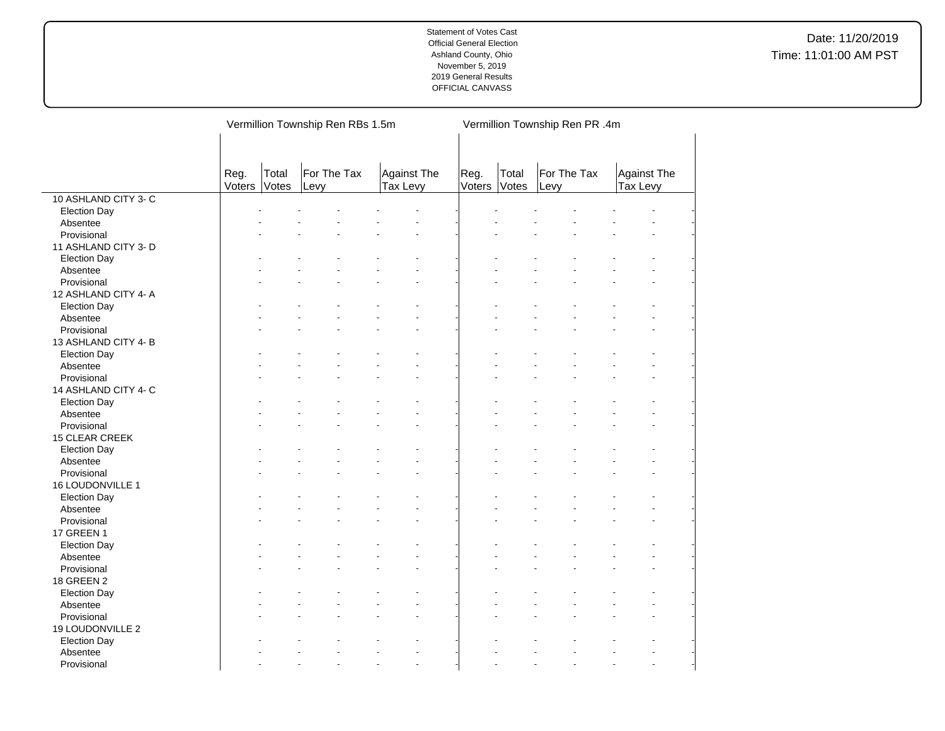|                                 |                |                | Vermillion Township Ren RBs 1.5m |                                | Vermillion Township Ren PR .4m |                |                     |                                |  |
|---------------------------------|----------------|----------------|----------------------------------|--------------------------------|--------------------------------|----------------|---------------------|--------------------------------|--|
|                                 | Reg.<br>Voters | Total<br>Votes | For The Tax<br>Levy              | <b>Against The</b><br>Tax Levy | Reg.<br>Voters                 | Total<br>Votes | For The Tax<br>Levy | <b>Against The</b><br>Tax Levy |  |
| 10 ASHLAND CITY 3-C             |                |                |                                  |                                |                                |                |                     |                                |  |
| <b>Election Day</b>             |                |                |                                  |                                |                                |                |                     |                                |  |
| Absentee                        |                |                |                                  |                                |                                |                |                     |                                |  |
| Provisional                     |                |                |                                  |                                |                                |                |                     |                                |  |
| 11 ASHLAND CITY 3- D            |                |                |                                  |                                |                                |                |                     |                                |  |
| <b>Election Day</b>             |                |                |                                  |                                |                                |                |                     |                                |  |
| Absentee                        |                |                |                                  |                                |                                |                |                     |                                |  |
| Provisional                     |                |                |                                  | L,                             |                                |                |                     |                                |  |
| 12 ASHLAND CITY 4-A             |                |                |                                  |                                |                                |                |                     |                                |  |
| <b>Election Day</b>             |                |                |                                  |                                |                                |                |                     |                                |  |
| Absentee                        |                |                |                                  |                                |                                |                |                     |                                |  |
| Provisional                     |                |                |                                  |                                |                                |                |                     |                                |  |
| 13 ASHLAND CITY 4-B             |                |                |                                  |                                |                                |                |                     |                                |  |
| <b>Election Day</b>             |                |                |                                  |                                |                                |                |                     |                                |  |
| Absentee                        |                |                |                                  |                                |                                |                |                     |                                |  |
| Provisional                     |                |                |                                  |                                |                                |                |                     |                                |  |
| 14 ASHLAND CITY 4- C            |                |                |                                  |                                |                                |                |                     |                                |  |
| <b>Election Day</b>             |                |                |                                  |                                |                                |                |                     |                                |  |
| Absentee                        |                |                |                                  |                                |                                |                |                     |                                |  |
| Provisional                     |                |                |                                  | ä,                             |                                |                |                     |                                |  |
| 15 CLEAR CREEK                  |                |                |                                  |                                |                                |                |                     |                                |  |
| <b>Election Day</b>             |                |                |                                  |                                |                                |                |                     |                                |  |
| Absentee                        |                |                |                                  |                                |                                |                |                     |                                |  |
| Provisional                     |                |                |                                  |                                |                                |                |                     |                                |  |
| 16 LOUDONVILLE 1                |                |                |                                  |                                |                                |                |                     |                                |  |
| <b>Election Day</b>             |                |                |                                  |                                |                                |                |                     |                                |  |
| Absentee                        |                |                |                                  |                                |                                |                |                     |                                |  |
| Provisional                     |                |                |                                  |                                |                                |                |                     |                                |  |
| 17 GREEN 1                      |                |                |                                  |                                |                                |                |                     |                                |  |
| <b>Election Day</b>             |                |                |                                  |                                |                                |                |                     |                                |  |
| Absentee                        |                |                |                                  |                                |                                |                |                     |                                |  |
| Provisional                     |                |                |                                  |                                |                                |                |                     |                                |  |
| 18 GREEN 2                      |                |                |                                  |                                |                                |                |                     |                                |  |
| <b>Election Day</b>             |                |                |                                  |                                |                                |                |                     |                                |  |
| Absentee                        |                |                |                                  |                                |                                |                |                     |                                |  |
| Provisional                     |                |                |                                  |                                |                                |                |                     |                                |  |
| 19 LOUDONVILLE 2                |                |                |                                  |                                |                                |                |                     |                                |  |
|                                 |                |                |                                  |                                |                                |                |                     |                                |  |
| <b>Election Day</b><br>Absentee |                |                |                                  |                                |                                |                |                     |                                |  |
| Provisional                     |                |                |                                  | ÷.                             |                                |                |                     | ä,                             |  |
|                                 |                |                |                                  |                                |                                |                |                     |                                |  |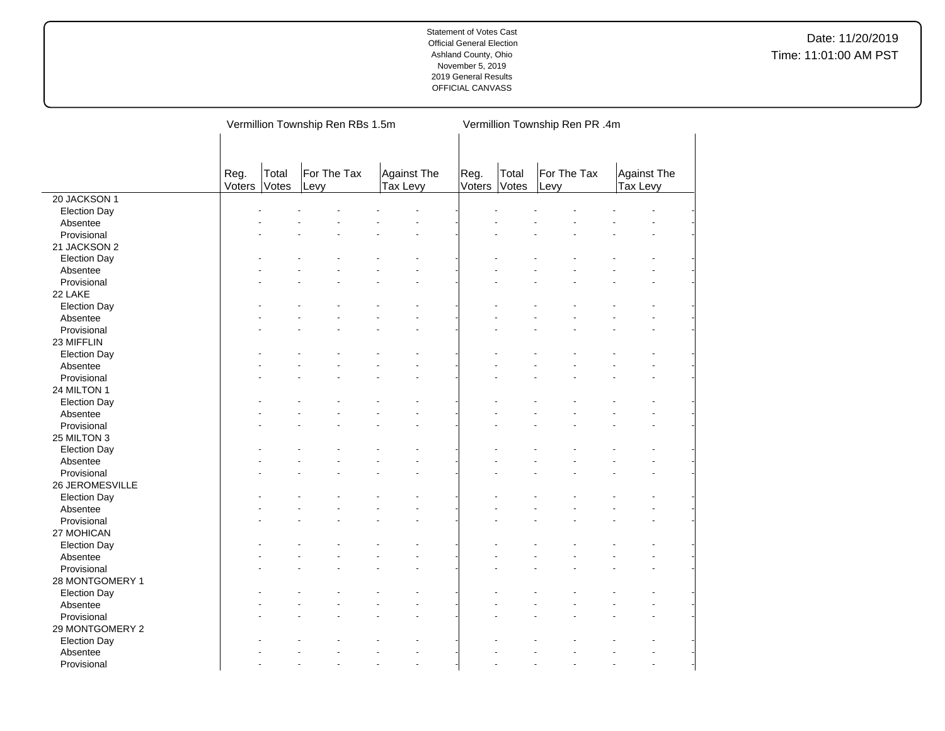|                     |                |                | Vermillion Township Ren RBs 1.5m |                                | Vermillion Township Ren PR .4m |                |                     |                         |  |  |
|---------------------|----------------|----------------|----------------------------------|--------------------------------|--------------------------------|----------------|---------------------|-------------------------|--|--|
|                     |                |                |                                  |                                |                                |                |                     |                         |  |  |
|                     | Reg.<br>Voters | Total<br>Votes | For The Tax<br>Levy              | <b>Against The</b><br>Tax Levy | Reg.<br>Voters                 | Total<br>Votes | For The Tax<br>Levy | Against The<br>Tax Levy |  |  |
| 20 JACKSON 1        |                |                |                                  |                                |                                |                |                     |                         |  |  |
| <b>Election Day</b> |                |                |                                  |                                |                                |                |                     |                         |  |  |
| Absentee            |                |                |                                  |                                |                                |                |                     |                         |  |  |
| Provisional         |                |                |                                  |                                |                                |                |                     |                         |  |  |
| 21 JACKSON 2        |                |                |                                  |                                |                                |                |                     |                         |  |  |
| <b>Election Day</b> |                |                |                                  |                                |                                |                |                     |                         |  |  |
| Absentee            |                |                |                                  |                                |                                |                |                     |                         |  |  |
| Provisional         |                |                |                                  |                                |                                |                |                     |                         |  |  |
| 22 LAKE             |                |                |                                  |                                |                                |                |                     |                         |  |  |
| <b>Election Day</b> |                |                |                                  |                                |                                |                |                     |                         |  |  |
| Absentee            |                |                |                                  |                                |                                |                |                     |                         |  |  |
| Provisional         |                |                |                                  |                                |                                |                |                     |                         |  |  |
| 23 MIFFLIN          |                |                |                                  |                                |                                |                |                     |                         |  |  |
| <b>Election Day</b> |                |                |                                  |                                |                                |                |                     |                         |  |  |
| Absentee            |                |                |                                  |                                |                                |                |                     |                         |  |  |
| Provisional         |                |                |                                  |                                |                                |                |                     |                         |  |  |
| 24 MILTON 1         |                |                |                                  |                                |                                |                |                     |                         |  |  |
| <b>Election Day</b> |                |                |                                  |                                |                                |                |                     |                         |  |  |
| Absentee            |                |                |                                  |                                |                                |                |                     |                         |  |  |
| Provisional         |                |                |                                  |                                |                                |                |                     |                         |  |  |
| 25 MILTON 3         |                |                |                                  |                                |                                |                |                     |                         |  |  |
| <b>Election Day</b> |                |                |                                  |                                |                                |                |                     |                         |  |  |
| Absentee            |                |                |                                  |                                |                                |                |                     |                         |  |  |
| Provisional         |                |                |                                  |                                |                                |                |                     |                         |  |  |
| 26 JEROMESVILLE     |                |                |                                  |                                |                                |                |                     |                         |  |  |
| <b>Election Day</b> |                |                |                                  |                                |                                |                |                     |                         |  |  |
| Absentee            |                |                |                                  |                                |                                |                |                     |                         |  |  |
| Provisional         |                |                |                                  |                                |                                |                |                     |                         |  |  |
| 27 MOHICAN          |                |                |                                  |                                |                                |                |                     |                         |  |  |
| <b>Election Day</b> |                |                |                                  |                                |                                |                |                     |                         |  |  |
| Absentee            |                |                |                                  |                                |                                |                |                     |                         |  |  |
| Provisional         |                |                |                                  |                                |                                |                |                     |                         |  |  |
| 28 MONTGOMERY 1     |                |                |                                  |                                |                                |                |                     |                         |  |  |
| <b>Election Day</b> |                |                |                                  |                                |                                |                |                     |                         |  |  |
| Absentee            |                |                |                                  |                                |                                |                |                     |                         |  |  |
| Provisional         |                |                |                                  |                                |                                |                |                     |                         |  |  |
| 29 MONTGOMERY 2     |                |                |                                  |                                |                                |                |                     |                         |  |  |
| <b>Election Day</b> |                |                |                                  |                                |                                |                |                     |                         |  |  |
| Absentee            |                |                |                                  |                                |                                |                |                     |                         |  |  |
| Provisional         |                |                |                                  |                                |                                |                |                     |                         |  |  |
|                     |                |                |                                  |                                |                                |                |                     |                         |  |  |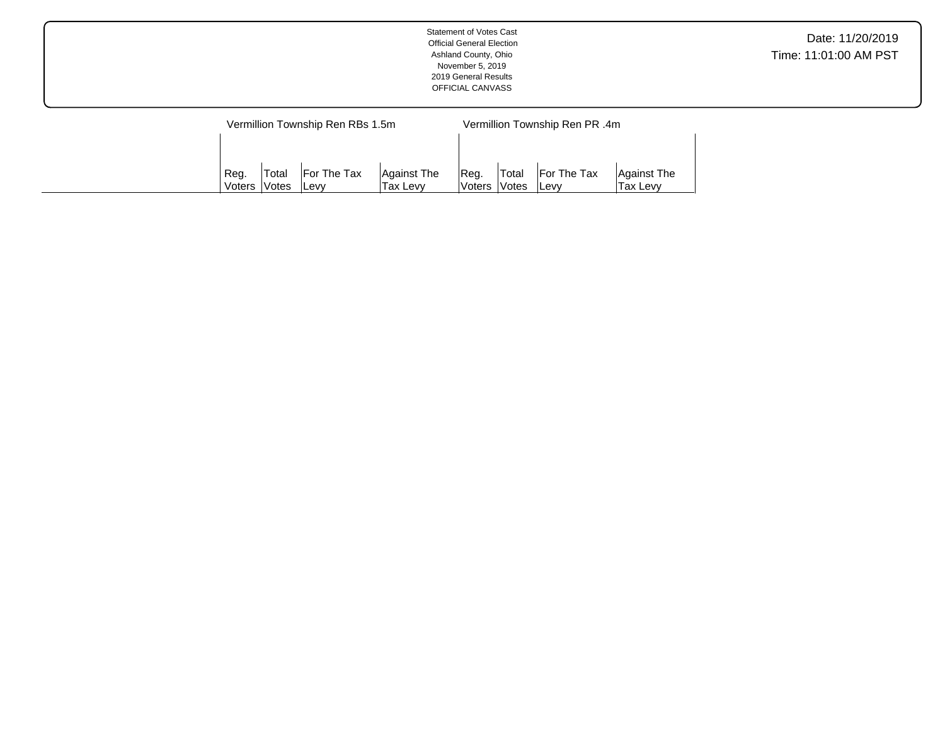| <b>Statement of Votes Cast</b><br><b>Official General Election</b><br>Ashland County, Ohio<br>November 5, 2019<br>2019 General Results<br>OFFICIAL CANVASS | Date: 11/20/2019<br>Time: 11:01:00 AM PST |
|------------------------------------------------------------------------------------------------------------------------------------------------------------|-------------------------------------------|
| Varmillian Township Dan DRs 1 Em<br>Varmillian Township Dan DD Am                                                                                          |                                           |

| Vermillion Township Ren RBs 1.5m |                     |             |             |                | Vermillion Township Ren PR .4m |                    |             |  |  |  |
|----------------------------------|---------------------|-------------|-------------|----------------|--------------------------------|--------------------|-------------|--|--|--|
|                                  |                     |             |             |                |                                |                    |             |  |  |  |
|                                  |                     |             |             |                |                                |                    |             |  |  |  |
| Reg.                             | 'Total              | For The Tax | Against The | Req.           | <b>Total</b>                   | <b>For The Tax</b> | Against The |  |  |  |
| Voters                           | <i><b>Notes</b></i> | lLevv       | Tax Levv    | lVoters lVotes |                                | ∣Levv              | Tax Levv    |  |  |  |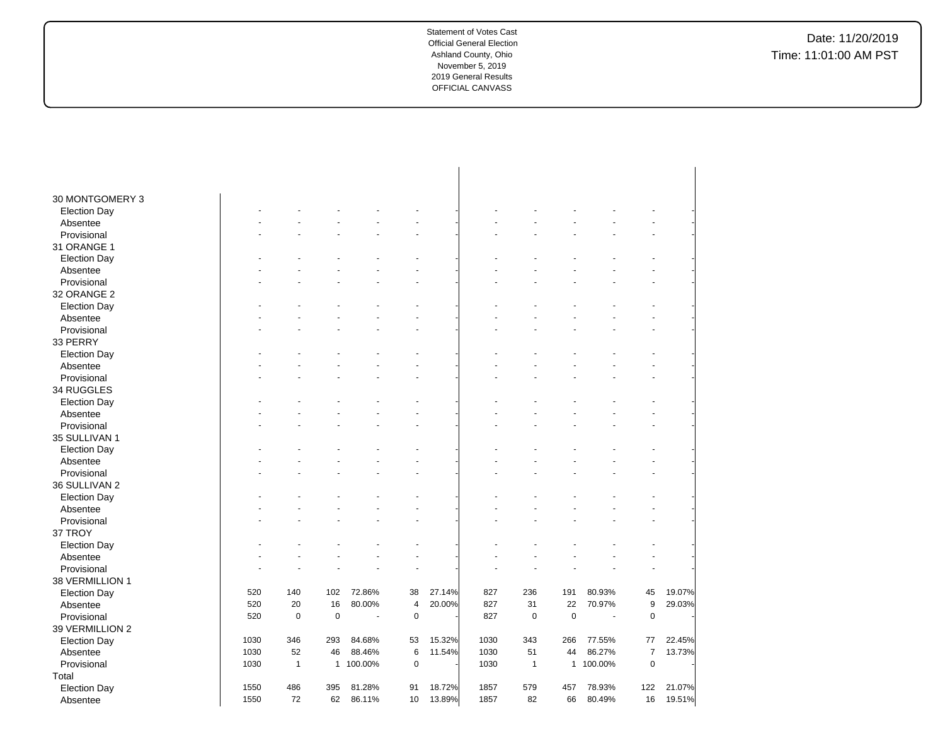| 30 MONTGOMERY 3<br><b>Election Day</b><br>Absentee<br>Provisional<br>31 ORANGE 1<br><b>Election Day</b><br>Absentee<br>÷.<br>Provisional<br>32 ORANGE 2<br><b>Election Day</b><br>Absentee<br>Provisional<br>33 PERRY<br><b>Election Day</b><br>Absentee<br>Provisional<br>34 RUGGLES<br><b>Election Day</b><br>Absentee |
|--------------------------------------------------------------------------------------------------------------------------------------------------------------------------------------------------------------------------------------------------------------------------------------------------------------------------|
|                                                                                                                                                                                                                                                                                                                          |
|                                                                                                                                                                                                                                                                                                                          |
|                                                                                                                                                                                                                                                                                                                          |
|                                                                                                                                                                                                                                                                                                                          |
|                                                                                                                                                                                                                                                                                                                          |
|                                                                                                                                                                                                                                                                                                                          |
|                                                                                                                                                                                                                                                                                                                          |
|                                                                                                                                                                                                                                                                                                                          |
|                                                                                                                                                                                                                                                                                                                          |
|                                                                                                                                                                                                                                                                                                                          |
|                                                                                                                                                                                                                                                                                                                          |
|                                                                                                                                                                                                                                                                                                                          |
|                                                                                                                                                                                                                                                                                                                          |
|                                                                                                                                                                                                                                                                                                                          |
|                                                                                                                                                                                                                                                                                                                          |
|                                                                                                                                                                                                                                                                                                                          |
|                                                                                                                                                                                                                                                                                                                          |
|                                                                                                                                                                                                                                                                                                                          |
|                                                                                                                                                                                                                                                                                                                          |
|                                                                                                                                                                                                                                                                                                                          |
| Provisional<br>$\overline{a}$                                                                                                                                                                                                                                                                                            |
| 35 SULLIVAN 1                                                                                                                                                                                                                                                                                                            |
| <b>Election Day</b>                                                                                                                                                                                                                                                                                                      |
| Absentee                                                                                                                                                                                                                                                                                                                 |
| Provisional<br>$\overline{a}$                                                                                                                                                                                                                                                                                            |
| 36 SULLIVAN 2                                                                                                                                                                                                                                                                                                            |
| <b>Election Day</b>                                                                                                                                                                                                                                                                                                      |
| Absentee                                                                                                                                                                                                                                                                                                                 |
| Provisional                                                                                                                                                                                                                                                                                                              |
| 37 TROY                                                                                                                                                                                                                                                                                                                  |
| <b>Election Day</b>                                                                                                                                                                                                                                                                                                      |
| Absentee                                                                                                                                                                                                                                                                                                                 |
| Provisional                                                                                                                                                                                                                                                                                                              |
| 38 VERMILLION 1                                                                                                                                                                                                                                                                                                          |
| 191<br>80.93%<br>19.07%<br>520<br>140<br>102<br>72.86%<br>38<br>27.14%<br>827<br>236<br>45<br><b>Election Day</b>                                                                                                                                                                                                        |
| 20<br>16<br>80.00%<br>20.00%<br>31<br>22<br>9<br>29.03%<br>520<br>$\overline{4}$<br>827<br>70.97%<br>Absentee                                                                                                                                                                                                            |
| 520<br>$\mathbf 0$<br>$\mathbf 0$<br>$\mathsf 0$<br>827<br>$\pmb{0}$<br>$\mathbf 0$<br>Provisional<br>$\mathbf 0$<br>$\sim$                                                                                                                                                                                              |
| 39 VERMILLION 2                                                                                                                                                                                                                                                                                                          |
| 1030<br>346<br>84.68%<br>15.32%<br>1030<br>343<br>77.55%<br>22.45%<br>293<br>53<br>266<br>77<br><b>Election Day</b>                                                                                                                                                                                                      |
| 1030<br>52<br>6<br>1030<br>51<br>86.27%<br>$\overline{7}$<br>13.73%<br>46<br>88.46%<br>11.54%<br>44<br>Absentee                                                                                                                                                                                                          |
| $\mathbf 0$<br>Provisional<br>1030<br>$\mathbf{1}$<br>$\mathbf{1}$<br>100.00%<br>$\mathbf 0$<br>1030<br>100.00%<br>$\mathbf{1}$<br>$\mathbf{1}$                                                                                                                                                                          |
| Total                                                                                                                                                                                                                                                                                                                    |
| 486<br>1550<br>395<br>81.28%<br>91<br>18.72%<br>1857<br>579<br>457<br>78.93%<br>122<br>21.07%<br><b>Election Day</b>                                                                                                                                                                                                     |
| 1550<br>72<br>62<br>13.89%<br>82<br>66<br>80.49%<br>16<br>19.51%<br>86.11%<br>10<br>1857<br>Absentee                                                                                                                                                                                                                     |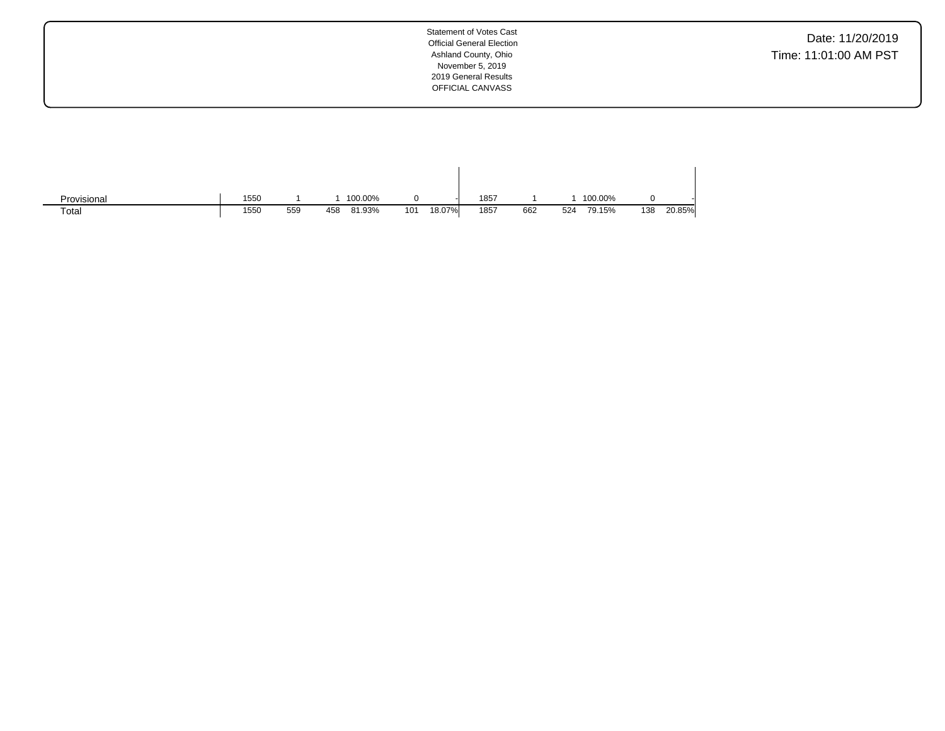Date: 11/20/2019 Time: 11:01:00 AM PST

| Provisional | 1550 |     | 100.00%       |     |        | 1857 |     |     | 100.00% |     |        |
|-------------|------|-----|---------------|-----|--------|------|-----|-----|---------|-----|--------|
| Total       | 1550 | 559 | 81.93%<br>458 | 101 | 18.07% | 1857 | 662 | 524 | 79.15%  | 138 | 20.85% |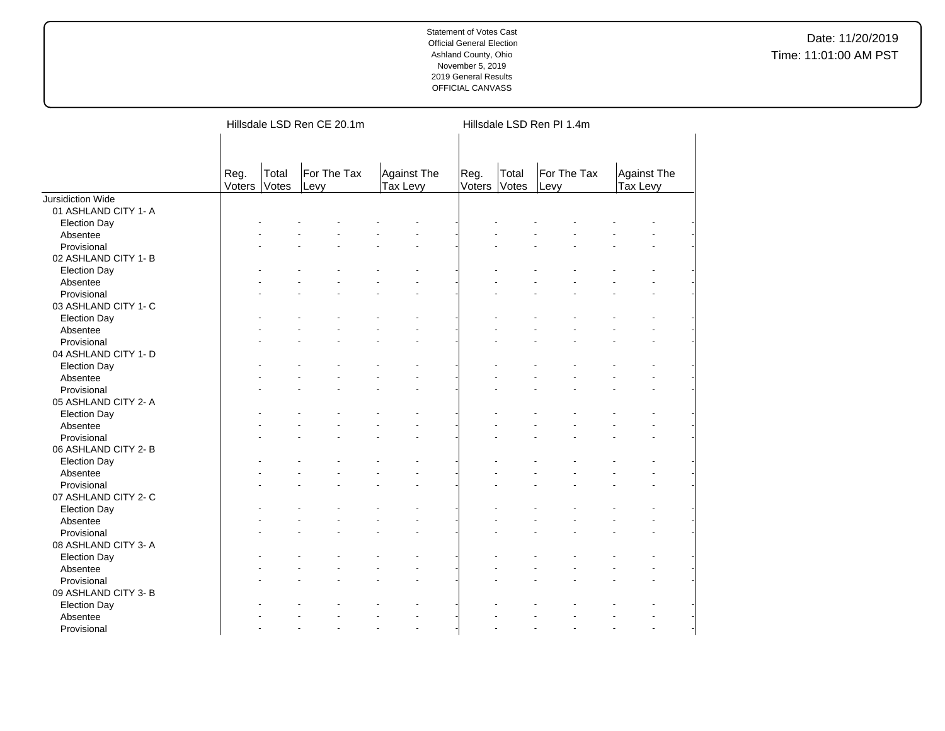|                      |                |                | Hillsdale LSD Ren CE 20.1m |                                | Hillsdale LSD Ren PI 1.4m |                |                     |                         |  |  |  |
|----------------------|----------------|----------------|----------------------------|--------------------------------|---------------------------|----------------|---------------------|-------------------------|--|--|--|
|                      | Reg.<br>Voters | Total<br>Votes | For The Tax<br>Levy        | <b>Against The</b><br>Tax Levy | Reg.<br>Voters            | Total<br>Votes | For The Tax<br>Levy | Against The<br>Tax Levy |  |  |  |
| Jursidiction Wide    |                |                |                            |                                |                           |                |                     |                         |  |  |  |
| 01 ASHLAND CITY 1- A |                |                |                            |                                |                           |                |                     |                         |  |  |  |
| <b>Election Day</b>  |                |                |                            |                                |                           |                |                     |                         |  |  |  |
| Absentee             |                |                |                            |                                |                           |                |                     |                         |  |  |  |
| Provisional          |                |                |                            |                                |                           |                |                     |                         |  |  |  |
| 02 ASHLAND CITY 1- B |                |                |                            |                                |                           |                |                     |                         |  |  |  |
| <b>Election Day</b>  |                |                |                            |                                |                           |                |                     |                         |  |  |  |
| Absentee             |                |                |                            |                                |                           |                |                     |                         |  |  |  |
| Provisional          |                |                |                            |                                |                           |                |                     |                         |  |  |  |
| 03 ASHLAND CITY 1- C |                |                |                            |                                |                           |                |                     |                         |  |  |  |
| <b>Election Day</b>  |                |                |                            |                                |                           |                |                     |                         |  |  |  |
| Absentee             |                |                |                            |                                |                           |                |                     |                         |  |  |  |
| Provisional          |                |                |                            |                                |                           |                |                     |                         |  |  |  |
| 04 ASHLAND CITY 1- D |                |                |                            |                                |                           |                |                     |                         |  |  |  |
| <b>Election Day</b>  |                |                |                            |                                |                           |                |                     |                         |  |  |  |
| Absentee             |                |                |                            |                                |                           |                |                     |                         |  |  |  |
| Provisional          |                |                |                            |                                |                           |                |                     |                         |  |  |  |
| 05 ASHLAND CITY 2- A |                |                |                            |                                |                           |                |                     |                         |  |  |  |
| <b>Election Day</b>  |                |                |                            |                                |                           |                |                     |                         |  |  |  |
| Absentee             |                |                |                            |                                |                           |                |                     |                         |  |  |  |
| Provisional          |                |                |                            |                                |                           |                |                     |                         |  |  |  |
| 06 ASHLAND CITY 2-B  |                |                |                            |                                |                           |                |                     |                         |  |  |  |
| <b>Election Day</b>  |                |                |                            |                                |                           |                |                     |                         |  |  |  |
| Absentee             |                |                |                            |                                |                           |                |                     |                         |  |  |  |
| Provisional          |                |                |                            |                                |                           |                |                     |                         |  |  |  |
| 07 ASHLAND CITY 2- C |                |                |                            |                                |                           |                |                     |                         |  |  |  |
| <b>Election Day</b>  |                |                |                            |                                |                           |                |                     |                         |  |  |  |
| Absentee             |                |                |                            |                                |                           |                |                     |                         |  |  |  |
| Provisional          |                |                |                            |                                |                           |                |                     |                         |  |  |  |
| 08 ASHLAND CITY 3- A |                |                |                            |                                |                           |                |                     |                         |  |  |  |
|                      |                |                |                            |                                |                           |                |                     |                         |  |  |  |
| <b>Election Day</b>  |                |                |                            |                                |                           |                |                     |                         |  |  |  |
| Absentee             |                |                |                            |                                |                           |                |                     |                         |  |  |  |
| Provisional          |                |                |                            |                                |                           |                |                     |                         |  |  |  |
| 09 ASHLAND CITY 3- B |                |                |                            |                                |                           |                |                     |                         |  |  |  |
| <b>Election Day</b>  |                |                |                            |                                |                           |                |                     |                         |  |  |  |
| Absentee             |                |                |                            |                                |                           |                |                     |                         |  |  |  |
| Provisional          |                |                |                            | $\overline{a}$                 |                           |                |                     | L.                      |  |  |  |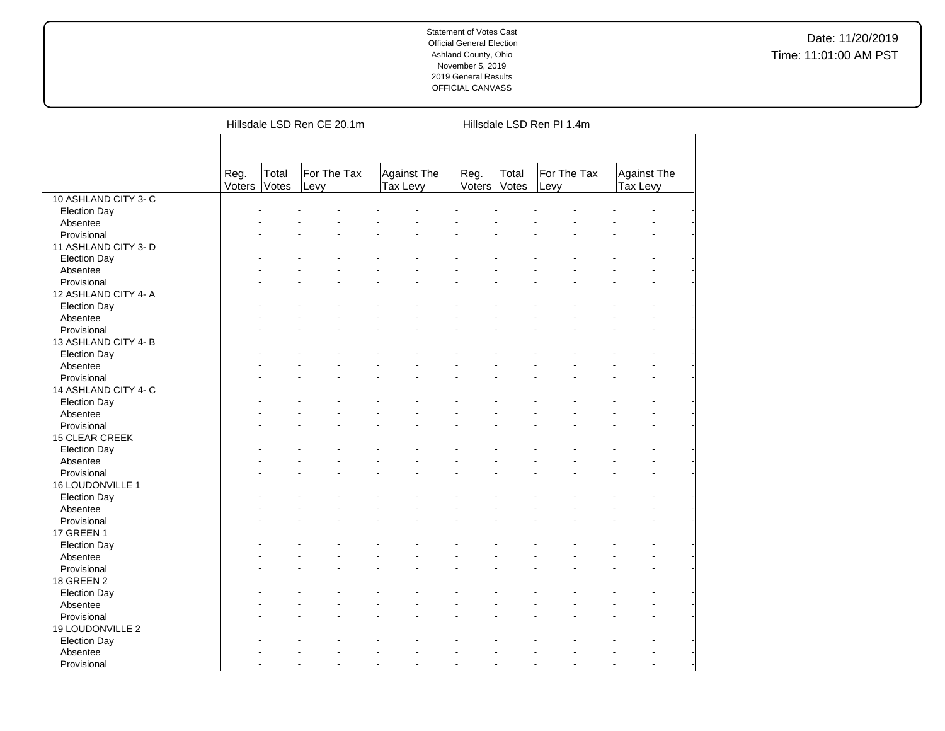|                       |                |                | Hillsdale LSD Ren CE 20.1m |                                | Hillsdale LSD Ren PI 1.4m |                |                     |                                  |  |  |  |
|-----------------------|----------------|----------------|----------------------------|--------------------------------|---------------------------|----------------|---------------------|----------------------------------|--|--|--|
|                       |                |                |                            |                                |                           |                |                     |                                  |  |  |  |
|                       | Reg.<br>Voters | Total<br>Votes | For The Tax<br>Levy        | <b>Against The</b><br>Tax Levy | Reg.<br>Voters            | Total<br>Votes | For The Tax<br>Levy | Against The<br><b>Tax Levy</b>   |  |  |  |
| 10 ASHLAND CITY 3-C   |                |                |                            |                                |                           |                |                     |                                  |  |  |  |
| <b>Election Day</b>   |                |                |                            |                                |                           |                |                     |                                  |  |  |  |
| Absentee              |                |                |                            |                                |                           |                |                     |                                  |  |  |  |
| Provisional           |                |                |                            |                                |                           |                |                     |                                  |  |  |  |
| 11 ASHLAND CITY 3- D  |                |                |                            |                                |                           |                |                     |                                  |  |  |  |
| <b>Election Day</b>   |                |                |                            |                                |                           |                |                     |                                  |  |  |  |
| Absentee              |                |                |                            |                                |                           |                |                     |                                  |  |  |  |
| Provisional           |                |                |                            |                                |                           |                |                     | $\overline{\phantom{a}}$         |  |  |  |
| 12 ASHLAND CITY 4-A   |                |                |                            |                                |                           |                |                     |                                  |  |  |  |
| <b>Election Day</b>   |                |                |                            |                                |                           |                |                     |                                  |  |  |  |
| Absentee              |                |                |                            |                                |                           |                |                     |                                  |  |  |  |
| Provisional           |                |                |                            |                                |                           |                |                     |                                  |  |  |  |
| 13 ASHLAND CITY 4-B   |                |                |                            |                                |                           |                |                     |                                  |  |  |  |
| <b>Election Day</b>   |                |                |                            |                                |                           |                |                     |                                  |  |  |  |
| Absentee              |                |                |                            |                                |                           |                |                     |                                  |  |  |  |
| Provisional           |                |                |                            |                                |                           |                |                     |                                  |  |  |  |
| 14 ASHLAND CITY 4- C  |                |                |                            |                                |                           |                |                     |                                  |  |  |  |
| <b>Election Day</b>   |                |                |                            |                                |                           |                |                     |                                  |  |  |  |
| Absentee              |                |                |                            |                                |                           |                |                     |                                  |  |  |  |
| Provisional           |                |                |                            |                                |                           |                |                     | $\overline{a}$                   |  |  |  |
| <b>15 CLEAR CREEK</b> |                |                |                            |                                |                           |                |                     |                                  |  |  |  |
| <b>Election Day</b>   |                |                |                            |                                |                           |                |                     |                                  |  |  |  |
| Absentee              |                |                |                            |                                |                           |                |                     |                                  |  |  |  |
| Provisional           |                |                |                            |                                |                           |                |                     | ÷.                               |  |  |  |
| 16 LOUDONVILLE 1      |                |                |                            |                                |                           |                |                     |                                  |  |  |  |
| <b>Election Day</b>   |                |                |                            |                                |                           |                |                     |                                  |  |  |  |
| Absentee              |                |                |                            |                                |                           |                |                     |                                  |  |  |  |
| Provisional           |                |                |                            |                                |                           |                |                     |                                  |  |  |  |
| 17 GREEN 1            |                |                |                            |                                |                           |                |                     |                                  |  |  |  |
| <b>Election Day</b>   |                |                |                            |                                |                           |                |                     |                                  |  |  |  |
| Absentee              |                |                |                            |                                |                           |                |                     | $\overline{a}$                   |  |  |  |
| Provisional           |                |                |                            |                                |                           |                |                     |                                  |  |  |  |
| 18 GREEN 2            |                |                |                            |                                |                           |                |                     |                                  |  |  |  |
| <b>Election Day</b>   |                |                |                            |                                |                           |                |                     |                                  |  |  |  |
| Absentee              |                |                |                            |                                |                           |                |                     | $\overline{a}$                   |  |  |  |
| Provisional           |                |                |                            |                                |                           |                |                     | ÷,                               |  |  |  |
| 19 LOUDONVILLE 2      |                |                |                            |                                |                           |                |                     |                                  |  |  |  |
| <b>Election Day</b>   |                |                |                            |                                |                           |                |                     |                                  |  |  |  |
| Absentee              |                |                |                            |                                |                           |                |                     |                                  |  |  |  |
| Provisional           |                |                |                            | $\overline{a}$                 |                           |                | L.                  | $\overline{a}$<br>$\overline{a}$ |  |  |  |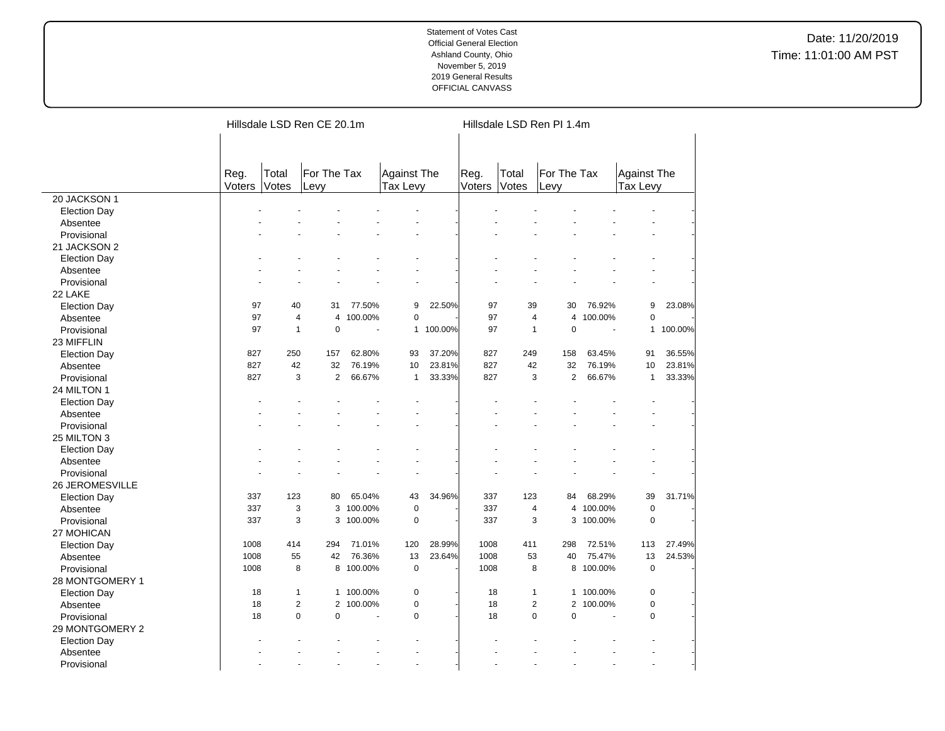|                         |        |                              | Hillsdale LSD Ren CE 20.1m |           |                    |         | Hillsdale LSD Ren PI 1.4m |                         |                |           |                          |         |  |
|-------------------------|--------|------------------------------|----------------------------|-----------|--------------------|---------|---------------------------|-------------------------|----------------|-----------|--------------------------|---------|--|
|                         |        |                              |                            |           |                    |         |                           |                         |                |           |                          |         |  |
|                         | Reg.   | Total                        | For The Tax                |           | <b>Against The</b> |         | Reg.                      | Total                   | For The Tax    |           | <b>Against The</b>       |         |  |
|                         | Voters | Votes                        | Levy                       |           | <b>Tax Levy</b>    |         | Voters                    | Votes                   | Levy           |           | <b>Tax Levy</b>          |         |  |
| 20 JACKSON 1            |        |                              |                            |           |                    |         |                           |                         |                |           |                          |         |  |
| <b>Election Day</b>     |        |                              |                            |           |                    |         |                           |                         |                |           |                          |         |  |
| Absentee                |        |                              |                            |           |                    |         |                           |                         |                |           |                          |         |  |
| Provisional             |        |                              |                            |           |                    |         |                           |                         |                |           |                          |         |  |
| 21 JACKSON 2            |        |                              |                            |           |                    |         |                           |                         |                |           |                          |         |  |
| <b>Election Day</b>     |        |                              |                            |           |                    |         |                           |                         |                |           |                          |         |  |
| Absentee                |        |                              |                            |           |                    |         |                           |                         |                |           |                          |         |  |
| Provisional             |        |                              |                            |           | ä,                 |         |                           |                         |                |           | ä,                       |         |  |
| 22 LAKE                 |        |                              |                            |           |                    |         |                           |                         |                |           |                          |         |  |
| <b>Election Day</b>     | 97     | 40                           | 31                         | 77.50%    | 9                  | 22.50%  | 97                        | 39                      | 30             | 76.92%    | 9                        | 23.08%  |  |
| Absentee                | 97     | $\overline{4}$               | 4                          | 100.00%   | 0                  |         | 97                        | $\overline{4}$          | $\overline{4}$ | 100.00%   | 0                        |         |  |
| Provisional             | 97     | $\overline{1}$               | $\pmb{0}$                  | ÷,        | $\mathbf{1}$       | 100.00% | 97                        | $\mathbf{1}$            | $\mathbf 0$    | ÷,        | $\mathbf{1}$             | 100.00% |  |
| 23 MIFFLIN              |        |                              |                            |           |                    |         |                           |                         |                |           |                          |         |  |
| <b>Election Day</b>     | 827    | 250                          | 157                        | 62.80%    | 93                 | 37.20%  | 827                       | 249                     | 158            | 63.45%    | 91                       | 36.55%  |  |
| Absentee                | 827    | 42                           | 32                         | 76.19%    | 10                 | 23.81%  | 827                       | 42                      | 32             | 76.19%    | 10                       | 23.81%  |  |
| Provisional             | 827    | 3                            | $\overline{2}$             | 66.67%    | $\mathbf{1}$       | 33.33%  | 827                       | 3                       | $\overline{2}$ | 66.67%    | $\mathbf{1}$             | 33.33%  |  |
| 24 MILTON 1             |        |                              |                            |           |                    |         |                           |                         |                |           |                          |         |  |
| <b>Election Day</b>     |        |                              |                            |           | L.                 |         |                           |                         |                |           | $\overline{\phantom{a}}$ |         |  |
| Absentee                |        |                              |                            |           |                    |         |                           |                         |                |           | L.                       |         |  |
| Provisional             |        |                              |                            |           |                    |         |                           |                         |                |           |                          |         |  |
| 25 MILTON 3             |        |                              |                            |           |                    |         |                           |                         |                |           |                          |         |  |
| <b>Election Day</b>     |        |                              |                            |           |                    |         |                           |                         |                |           |                          |         |  |
| Absentee                |        |                              |                            |           |                    |         |                           |                         |                |           |                          |         |  |
| Provisional             |        |                              |                            |           |                    |         |                           |                         |                |           |                          |         |  |
| 26 JEROMESVILLE         |        |                              |                            |           |                    |         |                           |                         |                |           |                          |         |  |
|                         | 337    | 123                          | 80                         | 65.04%    | 43                 | 34.96%  | 337                       | 123                     | 84             | 68.29%    | 39                       | 31.71%  |  |
| <b>Election Day</b>     | 337    | 3                            | 3                          | 100.00%   | 0                  |         | 337                       | $\overline{4}$          |                | 4 100.00% | $\mathbf 0$              |         |  |
| Absentee<br>Provisional | 337    | 3                            |                            | 3 100.00% | 0                  |         | 337                       | 3                       |                | 3 100.00% | $\mathbf 0$              |         |  |
|                         |        |                              |                            |           |                    |         |                           |                         |                |           |                          |         |  |
| 27 MOHICAN              | 1008   | 414                          | 294                        | 71.01%    | 120                | 28.99%  | 1008                      | 411                     | 298            | 72.51%    | 113                      | 27.49%  |  |
| <b>Election Day</b>     |        |                              |                            |           |                    |         |                           |                         |                |           |                          |         |  |
| Absentee                | 1008   | 55<br>8                      | 42                         | 76.36%    | 13<br>$\pmb{0}$    | 23.64%  | 1008                      | 53<br>8                 | 40             | 75.47%    | 13<br>$\mathbf 0$        | 24.53%  |  |
| Provisional             | 1008   |                              | 8                          | 100.00%   |                    |         | 1008                      |                         |                | 8 100.00% |                          |         |  |
| 28 MONTGOMERY 1         |        |                              |                            |           |                    |         |                           |                         |                |           |                          |         |  |
| <b>Election Day</b>     | 18     | $\mathbf{1}$                 |                            | 1 100.00% | 0                  |         | 18                        | $\mathbf{1}$            |                | 1 100.00% | $\pmb{0}$                |         |  |
| Absentee                | 18     | $\overline{2}$               | $\overline{2}$             | 100.00%   | 0<br>0             |         | 18                        | $\overline{\mathbf{c}}$ | $\overline{2}$ | 100.00%   | 0                        |         |  |
| Provisional             |        | $\mathbf 0$<br>0<br>18<br>L. |                            |           |                    |         | 18                        | 0                       | 0              |           | 0                        |         |  |
| 29 MONTGOMERY 2         |        |                              |                            |           |                    |         |                           |                         |                |           |                          |         |  |
| <b>Election Day</b>     |        |                              |                            |           |                    |         |                           |                         |                |           |                          |         |  |
| Absentee                |        |                              |                            |           | $\blacksquare$     |         |                           |                         |                |           | $\sim$                   |         |  |
| Provisional             |        |                              |                            |           | ä,                 |         |                           |                         |                |           | $\sim$                   |         |  |

 $\overline{a}$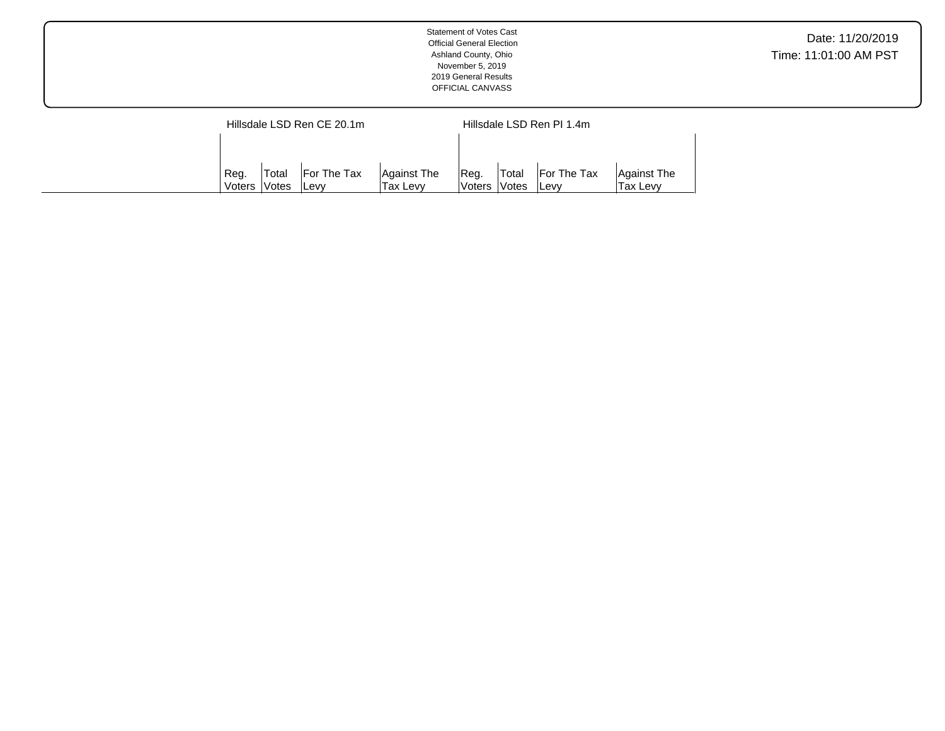|                            | <b>Statement of Votes Cast</b><br><b>Official General Election</b><br>Ashland County, Ohio<br>November 5, 2019<br>2019 General Results<br>OFFICIAL CANVASS | Date: 11/20/2019<br>Time: 11:01:00 AM PST |
|----------------------------|------------------------------------------------------------------------------------------------------------------------------------------------------------|-------------------------------------------|
| Hillsdale LSD Ren CE 20.1m | Hillsdale LSD Ren PI 1.4m                                                                                                                                  |                                           |

Reg. Voters Total Votes For The Tax Levy

Against The Tax Levy

Reg. Voters Total Votes For The Tax Levy

Against The Tax Levy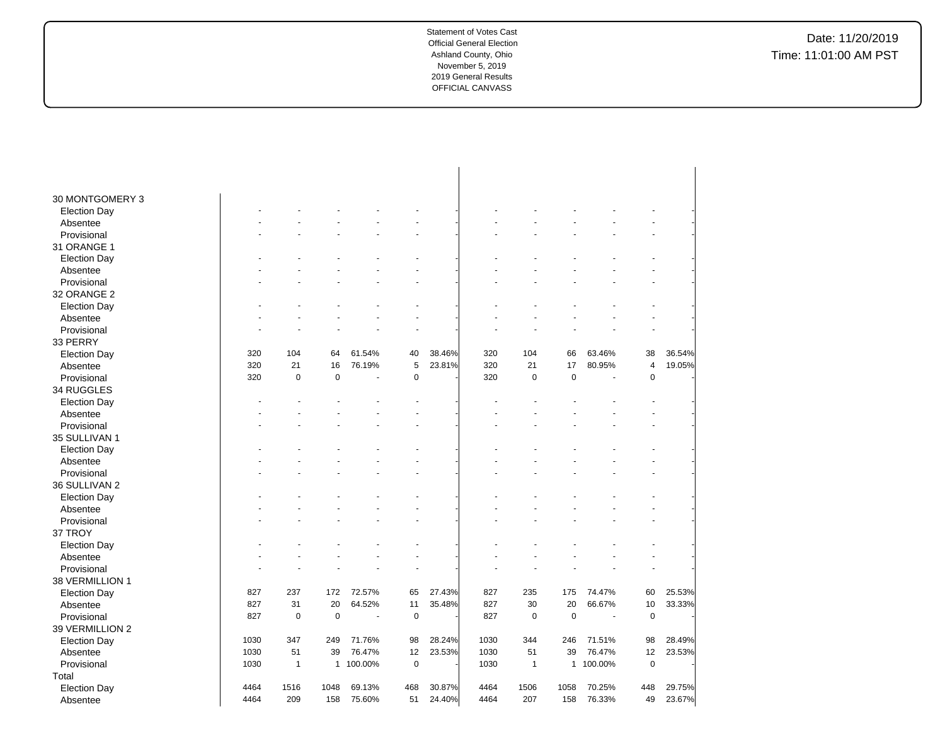| 30 MONTGOMERY 3     |      |              |              |                          |             |        |      |              |             |         |                |        |
|---------------------|------|--------------|--------------|--------------------------|-------------|--------|------|--------------|-------------|---------|----------------|--------|
| <b>Election Day</b> |      |              |              |                          |             |        |      |              |             |         |                |        |
| Absentee            |      |              |              |                          |             |        |      |              |             |         | ÷.             |        |
| Provisional         |      |              |              |                          |             |        |      |              |             |         | ä,             |        |
| 31 ORANGE 1         |      |              |              |                          |             |        |      |              |             |         |                |        |
| <b>Election Day</b> |      |              |              |                          |             |        |      |              |             |         |                |        |
| Absentee            |      |              |              |                          |             |        |      |              |             |         |                |        |
| Provisional         |      |              |              |                          |             |        |      |              |             |         |                |        |
| 32 ORANGE 2         |      |              |              |                          |             |        |      |              |             |         |                |        |
| <b>Election Day</b> |      |              |              |                          |             |        |      |              |             |         |                |        |
| Absentee            |      |              |              |                          |             |        |      |              |             |         |                |        |
| Provisional         |      |              |              |                          |             |        |      |              |             |         |                |        |
| 33 PERRY            |      |              |              |                          |             |        |      |              |             |         |                |        |
| <b>Election Day</b> | 320  | 104          | 64           | 61.54%                   | 40          | 38.46% | 320  | 104          | 66          | 63.46%  | 38             | 36.54% |
| Absentee            | 320  | 21           | 16           | 76.19%                   | 5           | 23.81% | 320  | 21           | 17          | 80.95%  | 4              | 19.05% |
| Provisional         | 320  | $\pmb{0}$    | 0            | ł,                       | 0           |        | 320  | $\mathbf 0$  | $\pmb{0}$   |         | $\pmb{0}$      |        |
| 34 RUGGLES          |      |              |              |                          |             |        |      |              |             |         |                |        |
| <b>Election Day</b> |      |              |              |                          |             |        |      |              |             |         |                |        |
| Absentee            |      |              |              |                          |             |        |      |              |             |         | ÷              |        |
| Provisional         |      |              |              |                          |             |        |      |              |             |         |                |        |
| 35 SULLIVAN 1       |      |              |              |                          |             |        |      |              |             |         |                |        |
| <b>Election Day</b> |      |              |              |                          |             |        |      |              |             |         |                |        |
| Absentee            |      |              |              |                          |             |        |      |              |             |         |                |        |
| Provisional         |      |              |              |                          |             |        |      |              |             |         |                |        |
| 36 SULLIVAN 2       |      |              |              |                          |             |        |      |              |             |         |                |        |
| <b>Election Day</b> |      |              |              |                          |             |        |      |              |             |         |                |        |
| Absentee            |      |              |              |                          |             |        |      |              |             |         |                |        |
| Provisional         |      |              |              |                          |             |        |      |              |             |         |                |        |
| 37 TROY             |      |              |              |                          |             |        |      |              |             |         |                |        |
| <b>Election Day</b> |      |              |              |                          |             |        |      |              |             |         |                |        |
| Absentee            |      |              |              |                          |             |        |      |              |             |         |                |        |
| Provisional         |      |              |              |                          |             |        |      |              |             |         | $\overline{a}$ |        |
| 38 VERMILLION 1     |      |              |              |                          |             |        |      |              |             |         |                |        |
| <b>Election Day</b> | 827  | 237          | 172          | 72.57%                   | 65          | 27.43% | 827  | 235          | 175         | 74.47%  | 60             | 25.53% |
| Absentee            | 827  | 31           | 20           | 64.52%                   | 11          | 35.48% | 827  | 30           | 20          | 66.67%  | 10             | 33.33% |
| Provisional         | 827  | 0            | $\mathbf 0$  | $\overline{\phantom{a}}$ | $\mathbf 0$ |        | 827  | $\mathbf 0$  | $\mathbf 0$ | L.      | $\mathbf 0$    |        |
| 39 VERMILLION 2     |      |              |              |                          |             |        |      |              |             |         |                |        |
| <b>Election Day</b> | 1030 | 347          | 249          | 71.76%                   | 98          | 28.24% | 1030 | 344          | 246         | 71.51%  | 98             | 28.49% |
| Absentee            | 1030 | 51           | 39           | 76.47%                   | 12          | 23.53% | 1030 | 51           | 39          | 76.47%  | 12             | 23.53% |
| Provisional         | 1030 | $\mathbf{1}$ | $\mathbf{1}$ | 100.00%                  | $\pmb{0}$   |        | 1030 | $\mathbf{1}$ | 1           | 100.00% | $\mathbf 0$    |        |
| Total               |      |              |              |                          |             |        |      |              |             |         |                |        |
| <b>Election Day</b> | 4464 | 1516         | 1048         | 69.13%                   | 468         | 30.87% | 4464 | 1506         | 1058        | 70.25%  | 448            | 29.75% |
| Absentee            | 4464 | 209          | 158          | 75.60%                   | 51          | 24.40% | 4464 | 207          | 158         | 76.33%  | 49             | 23.67% |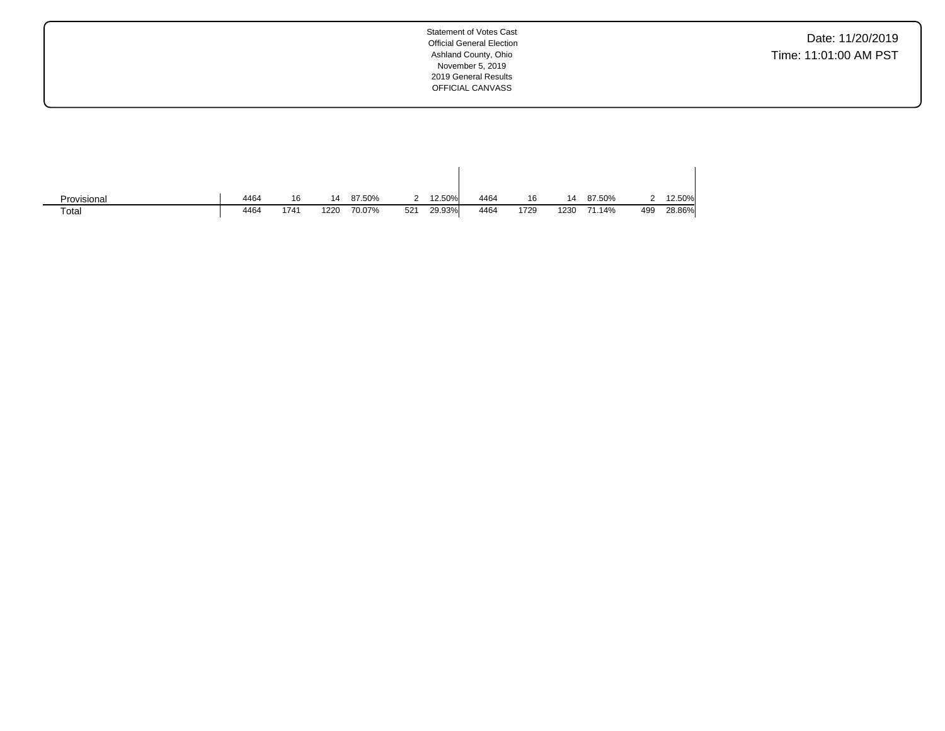Date: 11/20/2019 Time: 11:01:00 AM PST

| Provisional | 4464 | 16   | 14   | 87.50% | 2   | 12.50% | 4464 | 16   | 14   | 87.50% |     | 12.50% |
|-------------|------|------|------|--------|-----|--------|------|------|------|--------|-----|--------|
| Total       | 4464 | 1741 | 1220 | 70.07% | 521 | 29.93% | 4464 | 1729 | 1230 | 71.14% | 499 | 28.86% |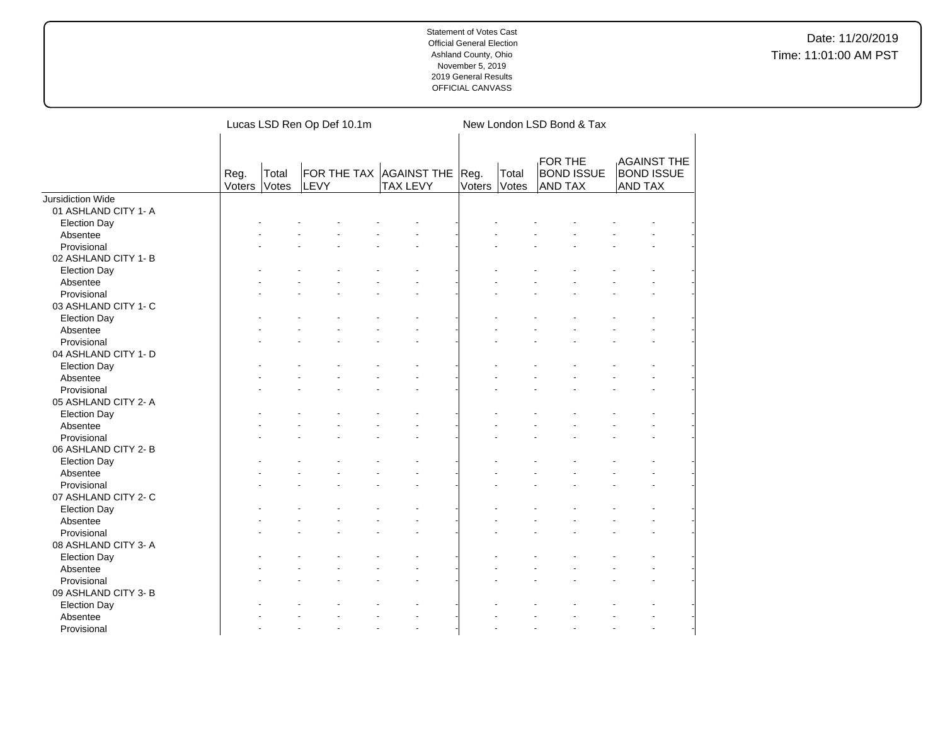|                          |                |                | Lucas LSD Ren Op Def 10.1m |                                            | New London LSD Bond & Tax |                |                                         |                                                           |  |  |  |  |
|--------------------------|----------------|----------------|----------------------------|--------------------------------------------|---------------------------|----------------|-----------------------------------------|-----------------------------------------------------------|--|--|--|--|
|                          | Reg.<br>Voters | Total<br>Votes | LEVY                       | FOR THE TAX AGAINST THE<br><b>TAX LEVY</b> | Reg.<br>Voters            | Total<br>Votes | FOR THE<br><b>BOND ISSUE</b><br>AND TAX | <b>AGAINST THE</b><br><b>BOND ISSUE</b><br><b>AND TAX</b> |  |  |  |  |
| <b>Jursidiction Wide</b> |                |                |                            |                                            |                           |                |                                         |                                                           |  |  |  |  |
| 01 ASHLAND CITY 1- A     |                |                |                            |                                            |                           |                |                                         |                                                           |  |  |  |  |
| <b>Election Day</b>      |                |                |                            |                                            |                           |                |                                         |                                                           |  |  |  |  |
| Absentee                 |                |                |                            |                                            |                           |                |                                         |                                                           |  |  |  |  |
| Provisional              |                |                |                            |                                            |                           |                |                                         |                                                           |  |  |  |  |
| 02 ASHLAND CITY 1-B      |                |                |                            |                                            |                           |                |                                         |                                                           |  |  |  |  |
| <b>Election Day</b>      |                |                |                            |                                            |                           |                |                                         |                                                           |  |  |  |  |
| Absentee                 |                |                |                            |                                            |                           |                |                                         |                                                           |  |  |  |  |
| Provisional              |                |                |                            |                                            |                           |                |                                         |                                                           |  |  |  |  |
| 03 ASHLAND CITY 1- C     |                |                |                            |                                            |                           |                |                                         |                                                           |  |  |  |  |
| <b>Election Day</b>      |                |                |                            |                                            |                           |                |                                         |                                                           |  |  |  |  |
| Absentee                 |                |                |                            |                                            |                           |                |                                         |                                                           |  |  |  |  |
| Provisional              |                |                |                            |                                            |                           |                |                                         |                                                           |  |  |  |  |
| 04 ASHLAND CITY 1- D     |                |                |                            |                                            |                           |                |                                         |                                                           |  |  |  |  |
| <b>Election Day</b>      |                |                |                            |                                            |                           |                |                                         |                                                           |  |  |  |  |
| Absentee                 |                |                |                            |                                            |                           |                |                                         |                                                           |  |  |  |  |
| Provisional              |                |                |                            |                                            |                           |                |                                         |                                                           |  |  |  |  |
| 05 ASHLAND CITY 2- A     |                |                |                            |                                            |                           |                |                                         |                                                           |  |  |  |  |
| <b>Election Day</b>      |                |                |                            |                                            |                           |                |                                         |                                                           |  |  |  |  |
| Absentee                 |                |                |                            |                                            |                           |                |                                         |                                                           |  |  |  |  |
| Provisional              |                |                |                            |                                            |                           |                |                                         |                                                           |  |  |  |  |
| 06 ASHLAND CITY 2-B      |                |                |                            |                                            |                           |                |                                         |                                                           |  |  |  |  |
| <b>Election Day</b>      |                |                |                            |                                            |                           |                |                                         |                                                           |  |  |  |  |
| Absentee                 |                |                |                            |                                            |                           |                |                                         |                                                           |  |  |  |  |
| Provisional              |                |                |                            |                                            |                           |                |                                         |                                                           |  |  |  |  |
| 07 ASHLAND CITY 2-C      |                |                |                            |                                            |                           |                |                                         |                                                           |  |  |  |  |
| <b>Election Day</b>      |                |                |                            |                                            |                           |                |                                         |                                                           |  |  |  |  |
| Absentee                 |                |                |                            |                                            |                           |                |                                         |                                                           |  |  |  |  |
| Provisional              |                |                |                            |                                            |                           |                |                                         |                                                           |  |  |  |  |
| 08 ASHLAND CITY 3-A      |                |                |                            |                                            |                           |                |                                         |                                                           |  |  |  |  |
| <b>Election Day</b>      |                |                |                            |                                            |                           |                |                                         |                                                           |  |  |  |  |
| Absentee                 |                |                |                            | $\ddot{\phantom{1}}$                       |                           |                |                                         |                                                           |  |  |  |  |
| Provisional              |                |                |                            |                                            |                           |                |                                         |                                                           |  |  |  |  |
| 09 ASHLAND CITY 3- B     |                |                |                            |                                            |                           |                |                                         |                                                           |  |  |  |  |
| <b>Election Day</b>      |                |                |                            |                                            |                           |                |                                         |                                                           |  |  |  |  |
| Absentee                 |                |                |                            |                                            |                           |                |                                         |                                                           |  |  |  |  |
| Provisional              |                |                |                            | L.                                         |                           |                |                                         |                                                           |  |  |  |  |
|                          |                |                |                            |                                            |                           |                |                                         |                                                           |  |  |  |  |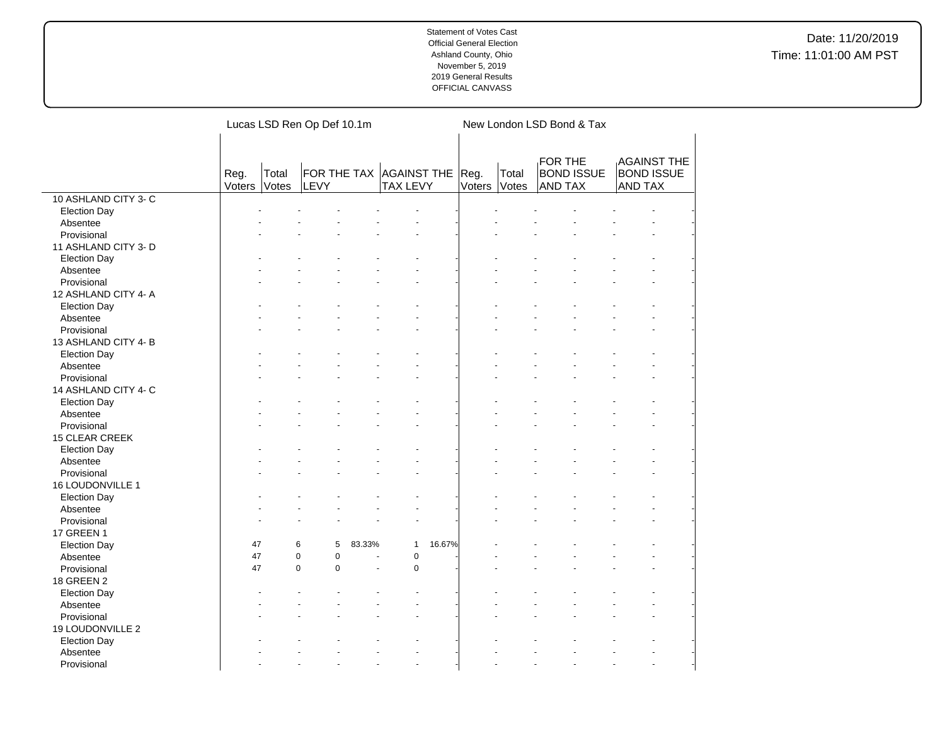|                      |                |                | Lucas LSD Ren Op Def 10.1m           |                |                        | New London LSD Bond & Tax |                |                                                       |                |                                         |  |
|----------------------|----------------|----------------|--------------------------------------|----------------|------------------------|---------------------------|----------------|-------------------------------------------------------|----------------|-----------------------------------------|--|
|                      | Reg.<br>Voters | Total<br>Votes | FOR THE TAX AGAINST THE Reg.<br>LEVY |                | <b>TAX LEVY</b>        | Voters                    | Total<br>Votes | <b>FOR THE</b><br><b>BOND ISSUE</b><br><b>AND TAX</b> | AND TAX        | <b>AGAINST THE</b><br><b>BOND ISSUE</b> |  |
| 10 ASHLAND CITY 3- C |                |                |                                      |                |                        |                           |                |                                                       |                |                                         |  |
| <b>Election Day</b>  |                |                |                                      |                |                        |                           |                |                                                       |                |                                         |  |
| Absentee             |                |                |                                      |                |                        |                           |                |                                                       |                |                                         |  |
| Provisional          |                |                |                                      |                |                        |                           |                |                                                       |                |                                         |  |
| 11 ASHLAND CITY 3- D |                |                |                                      |                |                        |                           |                |                                                       |                |                                         |  |
| <b>Election Day</b>  |                |                |                                      |                |                        |                           |                |                                                       |                |                                         |  |
| Absentee             |                |                |                                      |                |                        |                           |                |                                                       |                |                                         |  |
| Provisional          |                |                |                                      |                |                        |                           |                |                                                       |                |                                         |  |
| 12 ASHLAND CITY 4- A |                |                |                                      |                |                        |                           |                |                                                       |                |                                         |  |
| <b>Election Day</b>  |                |                |                                      |                |                        |                           |                |                                                       |                |                                         |  |
| Absentee             |                |                |                                      |                |                        |                           |                |                                                       |                |                                         |  |
| Provisional          |                |                |                                      |                |                        |                           |                |                                                       |                |                                         |  |
| 13 ASHLAND CITY 4-B  |                |                |                                      |                |                        |                           |                |                                                       |                |                                         |  |
| <b>Election Day</b>  |                |                |                                      |                |                        |                           |                |                                                       |                |                                         |  |
| Absentee             |                |                |                                      |                |                        |                           |                |                                                       |                |                                         |  |
| Provisional          |                |                |                                      |                |                        |                           |                |                                                       |                |                                         |  |
| 14 ASHLAND CITY 4- C |                |                |                                      |                |                        |                           |                |                                                       |                |                                         |  |
| <b>Election Day</b>  |                |                |                                      |                |                        |                           |                |                                                       |                |                                         |  |
| Absentee             |                |                |                                      |                |                        |                           |                |                                                       |                |                                         |  |
| Provisional          |                |                |                                      |                |                        |                           |                |                                                       |                |                                         |  |
| 15 CLEAR CREEK       |                |                |                                      |                |                        |                           |                |                                                       |                |                                         |  |
| <b>Election Day</b>  |                |                |                                      |                |                        |                           |                |                                                       |                |                                         |  |
| Absentee             |                |                |                                      |                |                        |                           |                |                                                       |                |                                         |  |
| Provisional          |                |                |                                      |                |                        |                           |                |                                                       |                |                                         |  |
| 16 LOUDONVILLE 1     |                |                |                                      |                |                        |                           |                |                                                       |                |                                         |  |
| <b>Election Day</b>  |                |                |                                      |                |                        |                           |                |                                                       |                |                                         |  |
| Absentee             |                |                |                                      |                |                        |                           |                |                                                       |                |                                         |  |
| Provisional          |                |                |                                      |                |                        |                           |                |                                                       |                |                                         |  |
| <b>17 GREEN 1</b>    |                |                |                                      |                |                        |                           |                |                                                       |                |                                         |  |
| <b>Election Day</b>  | 47             | 6              | 5                                    | 83.33%         | 16.67%<br>$\mathbf{1}$ |                           |                |                                                       |                |                                         |  |
| Absentee             | 47             | $\mathbf 0$    | $\pmb{0}$                            | ÷.             | $\pmb{0}$              |                           |                |                                                       |                | $\overline{a}$                          |  |
| Provisional          | 47             | $\mathbf 0$    | $\mathbf 0$                          | Ĭ.             | $\pmb{0}$              |                           |                |                                                       |                |                                         |  |
| 18 GREEN 2           |                |                |                                      |                |                        |                           |                |                                                       |                |                                         |  |
|                      |                |                |                                      |                |                        |                           |                |                                                       |                |                                         |  |
| <b>Election Day</b>  |                |                |                                      |                |                        |                           |                |                                                       |                |                                         |  |
| Absentee             |                |                |                                      |                |                        |                           |                |                                                       |                |                                         |  |
| Provisional          |                |                |                                      |                |                        |                           |                |                                                       |                |                                         |  |
| 19 LOUDONVILLE 2     |                |                |                                      |                |                        |                           |                |                                                       |                |                                         |  |
| <b>Election Day</b>  |                |                |                                      |                |                        |                           |                |                                                       |                |                                         |  |
| Absentee             |                |                |                                      |                |                        |                           |                |                                                       |                |                                         |  |
| Provisional          |                |                | $\overline{a}$                       | $\overline{a}$ | $\overline{a}$         |                           | L.             |                                                       | $\overline{a}$ | $\overline{a}$                          |  |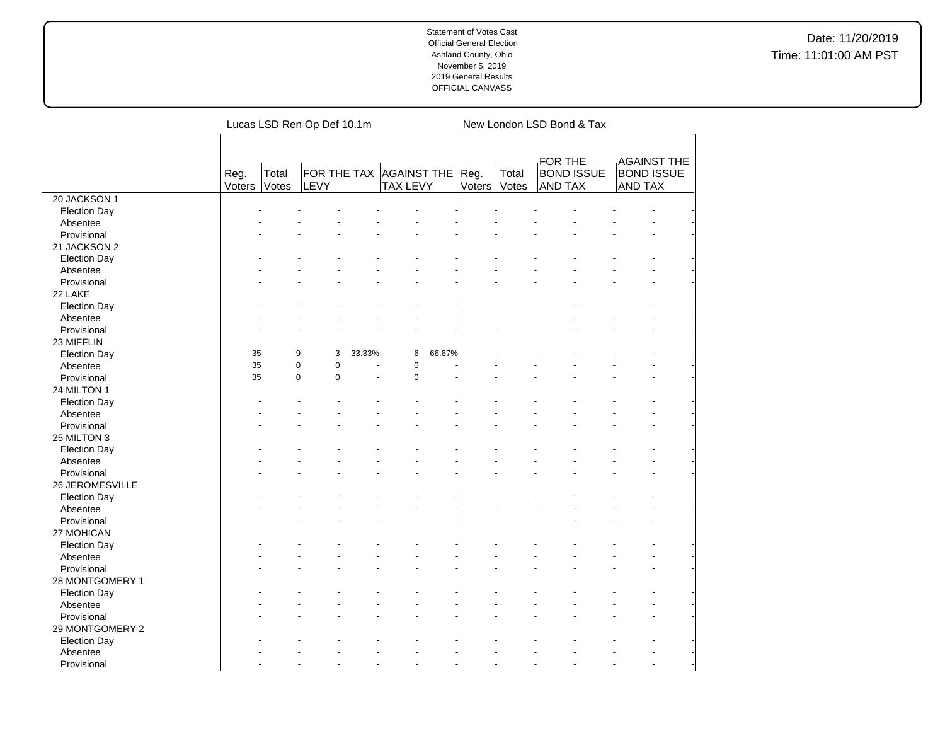|                     | Lucas LSD Ren Op Def 10.1m                                               |  |                          |                 |           |        |                | New London LSD Bond & Tax                      |  |                                                           |  |  |  |  |
|---------------------|--------------------------------------------------------------------------|--|--------------------------|-----------------|-----------|--------|----------------|------------------------------------------------|--|-----------------------------------------------------------|--|--|--|--|
|                     | FOR THE TAX AGAINST THE Reg.<br>Total<br>Reg.<br>Voters<br>Votes<br>LEVY |  |                          | <b>TAX LEVY</b> |           | Voters | Total<br>Votes | FOR THE<br><b>BOND ISSUE</b><br><b>AND TAX</b> |  | <b>AGAINST THE</b><br><b>BOND ISSUE</b><br><b>AND TAX</b> |  |  |  |  |
| 20 JACKSON 1        |                                                                          |  |                          |                 |           |        |                |                                                |  |                                                           |  |  |  |  |
| <b>Election Day</b> |                                                                          |  |                          |                 |           |        |                |                                                |  |                                                           |  |  |  |  |
| Absentee            |                                                                          |  |                          |                 |           |        |                |                                                |  |                                                           |  |  |  |  |
| Provisional         |                                                                          |  |                          |                 |           |        |                |                                                |  |                                                           |  |  |  |  |
| 21 JACKSON 2        |                                                                          |  |                          |                 |           |        |                |                                                |  |                                                           |  |  |  |  |
| <b>Election Day</b> |                                                                          |  |                          |                 |           |        |                |                                                |  |                                                           |  |  |  |  |
| Absentee            |                                                                          |  |                          |                 |           |        |                |                                                |  |                                                           |  |  |  |  |
| Provisional         |                                                                          |  |                          |                 |           |        |                |                                                |  |                                                           |  |  |  |  |
| 22 LAKE             |                                                                          |  |                          |                 |           |        |                |                                                |  |                                                           |  |  |  |  |
| <b>Election Day</b> |                                                                          |  |                          |                 |           |        |                |                                                |  |                                                           |  |  |  |  |
| Absentee            |                                                                          |  |                          |                 |           |        |                |                                                |  |                                                           |  |  |  |  |
| Provisional         |                                                                          |  |                          |                 |           |        |                |                                                |  |                                                           |  |  |  |  |
| 23 MIFFLIN          |                                                                          |  |                          |                 |           |        |                |                                                |  |                                                           |  |  |  |  |
| <b>Election Day</b> | 35                                                                       |  | 9<br>3                   | 33.33%          | 6         | 66.67% |                |                                                |  |                                                           |  |  |  |  |
| Absentee            | 35                                                                       |  | $\pmb{0}$<br>$\pmb{0}$   |                 | $\pmb{0}$ |        |                |                                                |  |                                                           |  |  |  |  |
| Provisional         | 35                                                                       |  | $\mathsf 0$<br>$\pmb{0}$ |                 | $\pmb{0}$ |        |                |                                                |  |                                                           |  |  |  |  |
| 24 MILTON 1         |                                                                          |  |                          |                 |           |        |                |                                                |  |                                                           |  |  |  |  |
| <b>Election Day</b> |                                                                          |  |                          |                 |           |        |                |                                                |  |                                                           |  |  |  |  |
| Absentee            |                                                                          |  |                          |                 |           |        |                |                                                |  |                                                           |  |  |  |  |
| Provisional         |                                                                          |  |                          |                 |           |        |                |                                                |  |                                                           |  |  |  |  |
| 25 MILTON 3         |                                                                          |  |                          |                 |           |        |                |                                                |  |                                                           |  |  |  |  |
| <b>Election Day</b> |                                                                          |  |                          |                 |           |        |                |                                                |  |                                                           |  |  |  |  |
| Absentee            |                                                                          |  |                          |                 |           |        |                |                                                |  |                                                           |  |  |  |  |
| Provisional         |                                                                          |  |                          |                 |           |        |                |                                                |  |                                                           |  |  |  |  |
| 26 JEROMESVILLE     |                                                                          |  |                          |                 |           |        |                |                                                |  |                                                           |  |  |  |  |
| <b>Election Day</b> |                                                                          |  |                          |                 |           |        |                |                                                |  |                                                           |  |  |  |  |
| Absentee            |                                                                          |  |                          |                 |           |        |                |                                                |  |                                                           |  |  |  |  |
| Provisional         |                                                                          |  |                          |                 |           |        |                |                                                |  |                                                           |  |  |  |  |
| 27 MOHICAN          |                                                                          |  |                          |                 |           |        |                |                                                |  |                                                           |  |  |  |  |
| <b>Election Day</b> |                                                                          |  |                          |                 |           |        |                |                                                |  |                                                           |  |  |  |  |
| Absentee            |                                                                          |  |                          |                 |           |        |                |                                                |  |                                                           |  |  |  |  |
| Provisional         |                                                                          |  |                          |                 |           |        |                |                                                |  |                                                           |  |  |  |  |
| 28 MONTGOMERY 1     |                                                                          |  |                          |                 |           |        |                |                                                |  |                                                           |  |  |  |  |
| <b>Election Day</b> |                                                                          |  |                          |                 |           |        |                |                                                |  |                                                           |  |  |  |  |
| Absentee            |                                                                          |  |                          |                 |           |        |                |                                                |  |                                                           |  |  |  |  |
| Provisional         |                                                                          |  |                          |                 |           |        |                |                                                |  |                                                           |  |  |  |  |
| 29 MONTGOMERY 2     |                                                                          |  |                          |                 |           |        |                |                                                |  |                                                           |  |  |  |  |
| <b>Election Day</b> |                                                                          |  |                          |                 |           |        |                |                                                |  |                                                           |  |  |  |  |
| Absentee            |                                                                          |  |                          |                 |           |        |                |                                                |  |                                                           |  |  |  |  |
| Provisional         |                                                                          |  |                          |                 |           |        |                |                                                |  |                                                           |  |  |  |  |
|                     |                                                                          |  |                          |                 |           |        |                |                                                |  |                                                           |  |  |  |  |

 $\overline{a}$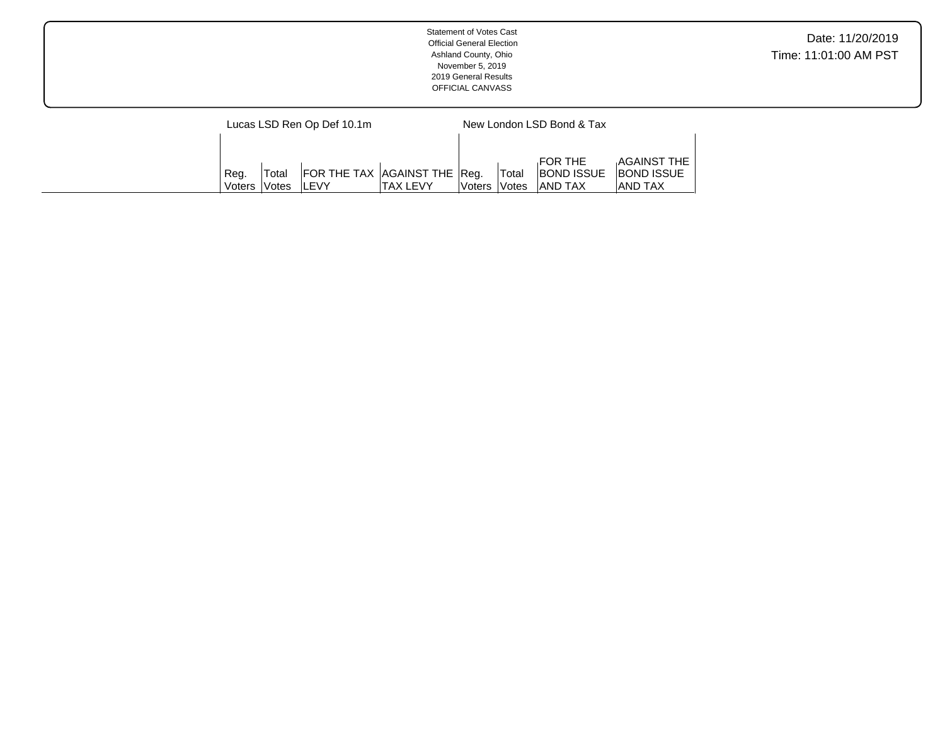| <b>Statement of Votes Cast</b><br><b>Official General Election</b><br>Ashland County, Ohio<br>November 5, 2019<br>2019 General Results<br>OFFICIAL CANVASS | Date: 11/20/2019<br>Time: 11:01:00 AM PST |
|------------------------------------------------------------------------------------------------------------------------------------------------------------|-------------------------------------------|
| New London LSD Bond & Tax<br>Lucas LSD Ren Op Def 10.1m                                                                                                    |                                           |

Reg. Voters Total Votes FOR THE BOND ISSUE AND TAX

AGAINST THE BOND ISSUE AND TAX

AGAINST THE TAX LEVY

Reg. Voters Total Votes FOR THE TAX

LEVY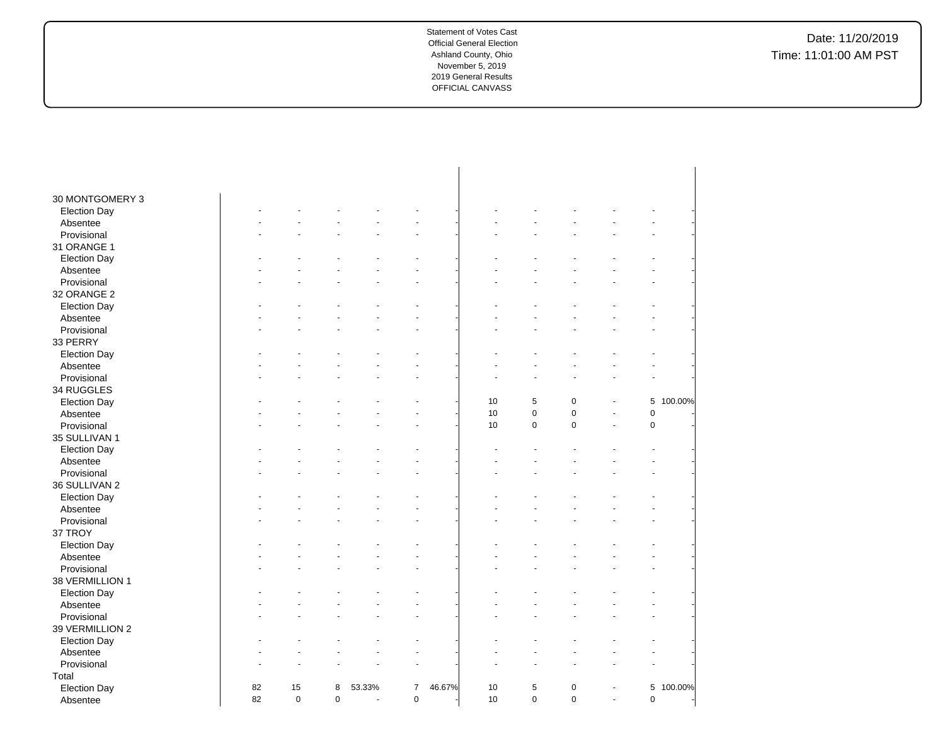| 30 MONTGOMERY 3         |    |             |                |        |                |        |    |             |             |    |             |         |
|-------------------------|----|-------------|----------------|--------|----------------|--------|----|-------------|-------------|----|-------------|---------|
|                         |    |             |                |        |                |        |    |             |             |    |             |         |
| <b>Election Day</b>     |    |             |                |        |                |        |    |             |             |    |             |         |
| Absentee<br>Provisional |    |             |                |        |                |        |    |             |             |    |             |         |
|                         |    |             |                |        |                |        |    |             |             |    |             |         |
| 31 ORANGE 1             |    |             |                |        |                |        |    |             |             |    |             |         |
| <b>Election Day</b>     |    |             |                |        |                |        |    |             |             |    |             |         |
| Absentee                |    |             |                |        |                |        |    |             |             |    |             |         |
| Provisional             |    |             |                |        |                |        |    |             |             |    |             |         |
| 32 ORANGE 2             |    |             |                |        |                |        |    |             |             |    |             |         |
| <b>Election Day</b>     |    |             |                |        |                |        |    |             |             |    |             |         |
| Absentee                |    |             |                |        |                |        |    |             |             |    |             |         |
| Provisional             |    |             |                |        |                |        |    |             |             |    |             |         |
| 33 PERRY                |    |             |                |        |                |        |    |             |             |    |             |         |
| <b>Election Day</b>     |    |             |                |        |                |        |    |             |             |    |             |         |
| Absentee                |    |             |                |        |                |        |    |             |             |    |             |         |
| Provisional             |    |             |                |        |                |        |    |             |             |    |             |         |
| 34 RUGGLES              |    |             |                |        |                |        |    |             |             |    |             |         |
| <b>Election Day</b>     |    |             |                |        |                |        | 10 | 5           | $\mathbf 0$ |    | 5           | 100.00% |
| Absentee                |    |             |                |        |                |        | 10 | $\pmb{0}$   | $\pmb{0}$   | ä, | $\pmb{0}$   |         |
| Provisional             |    |             |                |        |                |        | 10 | $\mathsf 0$ | $\pmb{0}$   | ä, | $\pmb{0}$   |         |
| 35 SULLIVAN 1           |    |             |                |        |                |        |    |             |             |    |             |         |
| <b>Election Day</b>     |    |             |                |        |                |        |    |             |             |    |             |         |
| Absentee                |    |             |                |        |                |        |    |             |             |    |             |         |
| Provisional             |    |             |                |        |                |        |    |             |             |    |             |         |
| 36 SULLIVAN 2           |    |             |                |        |                |        |    |             |             |    |             |         |
| <b>Election Day</b>     |    |             |                |        |                |        |    |             |             |    |             |         |
| Absentee                |    |             |                |        |                |        |    |             |             |    |             |         |
| Provisional             |    |             |                |        |                |        |    |             |             |    |             |         |
| 37 TROY                 |    |             |                |        |                |        |    |             |             |    |             |         |
| <b>Election Day</b>     |    |             |                |        |                |        |    |             |             |    |             |         |
| Absentee                |    |             |                |        |                |        |    |             |             |    |             |         |
| Provisional             |    |             |                |        |                |        |    |             |             |    |             |         |
| 38 VERMILLION 1         |    |             |                |        |                |        |    |             |             |    |             |         |
| <b>Election Day</b>     |    |             |                |        |                |        |    |             |             |    |             |         |
| Absentee                |    |             |                |        |                |        |    |             |             |    |             |         |
| Provisional             |    |             |                |        |                |        |    |             |             |    | ÷.          |         |
| 39 VERMILLION 2         |    |             |                |        |                |        |    |             |             |    |             |         |
| <b>Election Day</b>     |    |             |                |        |                |        |    |             |             |    |             |         |
| Absentee                |    |             |                |        |                |        |    |             |             |    |             |         |
| Provisional             |    |             |                |        |                |        |    |             |             |    |             |         |
| Total                   |    |             |                |        |                |        |    |             |             |    |             |         |
| <b>Election Day</b>     | 82 | 15          | 8              | 53.33% | $\overline{7}$ | 46.67% | 10 | 5           | $\pmb{0}$   |    | 5           | 100.00% |
| Absentee                | 82 | $\mathbf 0$ | $\overline{0}$ | ÷,     | $\pmb{0}$      |        | 10 | $\mathbf 0$ | $\mathbf 0$ | L. | $\mathbf 0$ |         |
|                         |    |             |                |        |                |        |    |             |             |    |             |         |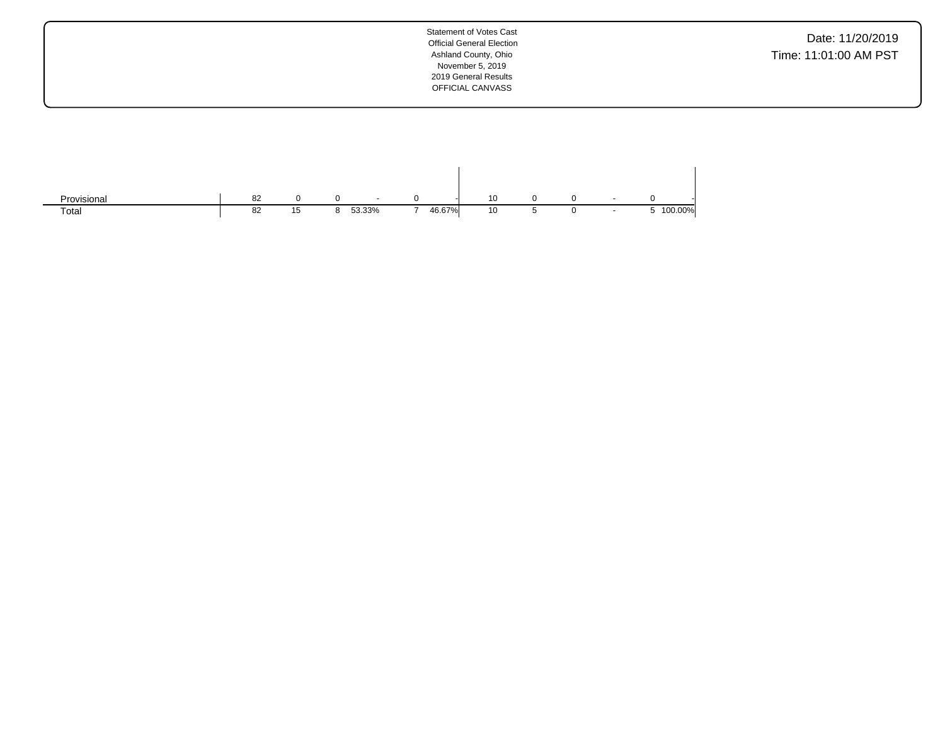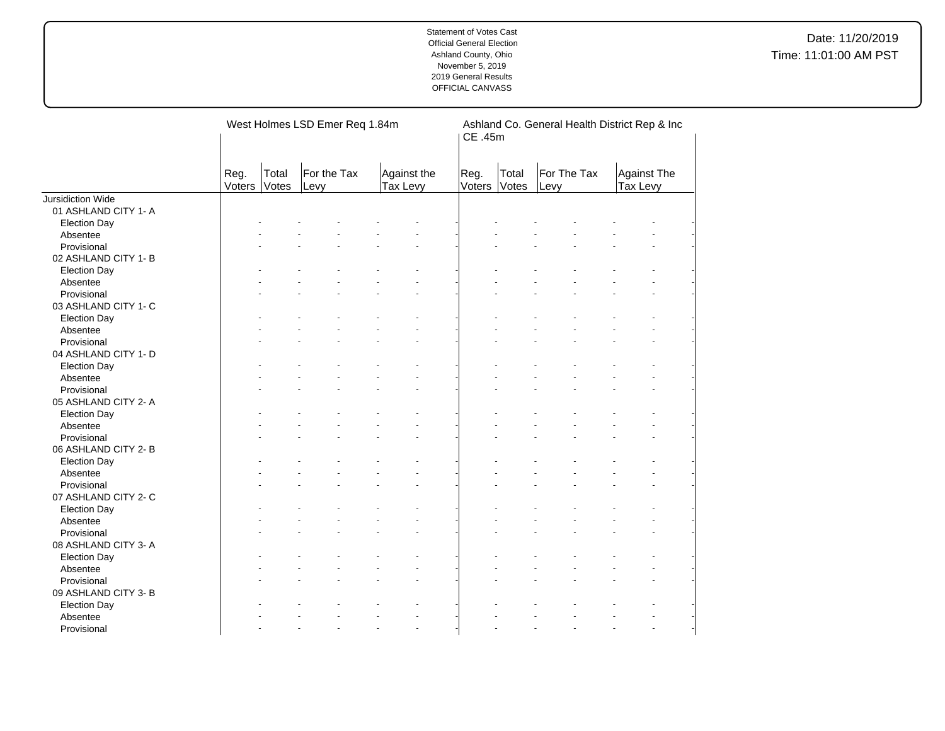|                          |                |                | West Holmes LSD Emer Req 1.84m |                         | Ashland Co. General Health District Rep & Inc<br>CE .45m |                |                     |                                |  |  |  |
|--------------------------|----------------|----------------|--------------------------------|-------------------------|----------------------------------------------------------|----------------|---------------------|--------------------------------|--|--|--|
|                          | Reg.<br>Voters | Total<br>Votes | For the Tax<br>Levy            | Against the<br>Tax Levy | Reg.<br>Voters                                           | Total<br>Votes | For The Tax<br>Levy | <b>Against The</b><br>Tax Levy |  |  |  |
| <b>Jursidiction Wide</b> |                |                |                                |                         |                                                          |                |                     |                                |  |  |  |
| 01 ASHLAND CITY 1- A     |                |                |                                |                         |                                                          |                |                     |                                |  |  |  |
| <b>Election Day</b>      |                |                |                                |                         |                                                          |                |                     |                                |  |  |  |
| Absentee                 |                |                |                                |                         |                                                          |                |                     |                                |  |  |  |
| Provisional              |                |                |                                |                         |                                                          |                |                     |                                |  |  |  |
| 02 ASHLAND CITY 1- B     |                |                |                                |                         |                                                          |                |                     |                                |  |  |  |
| <b>Election Day</b>      |                |                |                                |                         |                                                          |                |                     |                                |  |  |  |
| Absentee                 |                |                |                                |                         |                                                          |                |                     |                                |  |  |  |
| Provisional              |                |                |                                |                         |                                                          |                |                     |                                |  |  |  |
| 03 ASHLAND CITY 1- C     |                |                |                                |                         |                                                          |                |                     |                                |  |  |  |
| <b>Election Day</b>      |                |                |                                |                         |                                                          |                |                     |                                |  |  |  |
| Absentee                 |                |                |                                |                         |                                                          |                |                     |                                |  |  |  |
| Provisional              |                |                |                                |                         |                                                          |                |                     |                                |  |  |  |
| 04 ASHLAND CITY 1- D     |                |                |                                |                         |                                                          |                |                     |                                |  |  |  |
| <b>Election Day</b>      |                |                |                                |                         |                                                          |                |                     |                                |  |  |  |
| Absentee                 |                |                |                                |                         |                                                          |                |                     |                                |  |  |  |
| Provisional              |                |                |                                |                         |                                                          |                |                     |                                |  |  |  |
| 05 ASHLAND CITY 2- A     |                |                |                                |                         |                                                          |                |                     |                                |  |  |  |
| <b>Election Day</b>      |                |                |                                |                         |                                                          |                |                     |                                |  |  |  |
| Absentee                 |                |                |                                |                         |                                                          |                |                     |                                |  |  |  |
| Provisional              |                |                |                                |                         |                                                          |                |                     |                                |  |  |  |
| 06 ASHLAND CITY 2-B      |                |                |                                |                         |                                                          |                |                     |                                |  |  |  |
| <b>Election Day</b>      |                |                |                                |                         |                                                          |                |                     |                                |  |  |  |
| Absentee                 |                |                |                                |                         |                                                          |                |                     |                                |  |  |  |
| Provisional              |                |                |                                |                         |                                                          |                |                     |                                |  |  |  |
| 07 ASHLAND CITY 2- C     |                |                |                                |                         |                                                          |                |                     |                                |  |  |  |
| <b>Election Day</b>      |                |                |                                |                         |                                                          |                |                     |                                |  |  |  |
| Absentee                 |                |                |                                |                         |                                                          |                |                     |                                |  |  |  |
| Provisional              |                |                |                                |                         |                                                          |                |                     |                                |  |  |  |
| 08 ASHLAND CITY 3-A      |                |                |                                |                         |                                                          |                |                     |                                |  |  |  |
|                          |                |                |                                |                         |                                                          |                |                     |                                |  |  |  |
| <b>Election Day</b>      |                |                |                                |                         |                                                          |                |                     |                                |  |  |  |
| Absentee                 |                |                |                                |                         |                                                          |                |                     |                                |  |  |  |
| Provisional              |                |                |                                |                         |                                                          |                |                     |                                |  |  |  |
| 09 ASHLAND CITY 3- B     |                |                |                                |                         |                                                          |                |                     |                                |  |  |  |
| <b>Election Day</b>      |                |                |                                |                         |                                                          |                |                     |                                |  |  |  |
| Absentee                 |                |                |                                |                         |                                                          |                |                     |                                |  |  |  |
| Provisional              |                |                |                                | ä,                      |                                                          |                |                     |                                |  |  |  |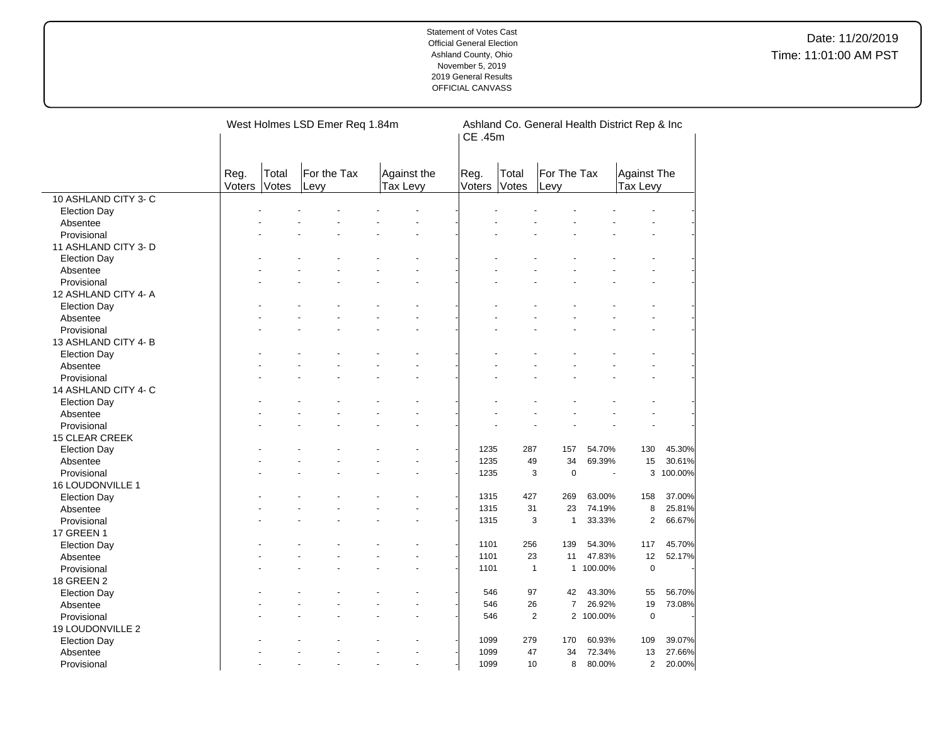|                       |                |                | West Holmes LSD Emer Req 1.84m |                                | Ashland Co. General Health District Rep & Inc<br>CE .45m |                |                              |           |                                |         |  |
|-----------------------|----------------|----------------|--------------------------------|--------------------------------|----------------------------------------------------------|----------------|------------------------------|-----------|--------------------------------|---------|--|
|                       | Reg.<br>Voters | Total<br>Votes | For the Tax<br>Levy            | Against the<br>Tax Levy        | Reg.<br>Voters                                           | Total<br>Votes | For The Tax<br>Levy          |           | <b>Against The</b><br>Tax Levy |         |  |
| 10 ASHLAND CITY 3- C  |                |                |                                |                                |                                                          |                |                              |           |                                |         |  |
| <b>Election Day</b>   |                |                |                                |                                |                                                          |                |                              |           |                                |         |  |
| Absentee              |                |                |                                |                                |                                                          |                |                              |           |                                |         |  |
| Provisional           |                |                |                                |                                |                                                          |                |                              |           |                                |         |  |
| 11 ASHLAND CITY 3-D   |                |                |                                |                                |                                                          |                |                              |           |                                |         |  |
| <b>Election Day</b>   |                |                |                                |                                |                                                          |                |                              |           |                                |         |  |
| Absentee              |                |                |                                |                                |                                                          |                |                              |           |                                |         |  |
| Provisional           |                |                |                                |                                |                                                          |                |                              |           |                                |         |  |
| 12 ASHLAND CITY 4- A  |                |                |                                |                                |                                                          |                |                              |           |                                |         |  |
| <b>Election Day</b>   |                |                |                                |                                |                                                          |                |                              |           |                                |         |  |
| Absentee              |                |                |                                |                                |                                                          |                |                              |           |                                |         |  |
| Provisional           |                |                |                                |                                |                                                          |                |                              |           |                                |         |  |
| 13 ASHLAND CITY 4-B   |                |                |                                |                                |                                                          |                |                              |           |                                |         |  |
| <b>Election Day</b>   |                |                |                                |                                |                                                          |                |                              |           |                                |         |  |
| Absentee              |                |                |                                |                                |                                                          |                |                              |           |                                |         |  |
| Provisional           |                |                |                                |                                |                                                          |                |                              |           |                                |         |  |
| 14 ASHLAND CITY 4- C  |                |                |                                |                                |                                                          |                |                              |           |                                |         |  |
| <b>Election Day</b>   |                |                |                                |                                |                                                          |                |                              |           |                                |         |  |
| Absentee              |                |                |                                |                                |                                                          |                |                              |           |                                |         |  |
| Provisional           |                |                |                                |                                |                                                          |                |                              |           |                                |         |  |
| <b>15 CLEAR CREEK</b> |                |                |                                |                                |                                                          |                |                              |           |                                |         |  |
| <b>Election Day</b>   |                |                |                                |                                | 1235                                                     | 287            | 157                          | 54.70%    | 130                            | 45.30%  |  |
| Absentee              |                |                |                                |                                | 1235                                                     | 49             | 34                           | 69.39%    | 15                             | 30.61%  |  |
| Provisional           |                |                |                                |                                | 1235                                                     |                | 3<br>$\pmb{0}$               | ÷.        | 3                              | 100.00% |  |
| 16 LOUDONVILLE 1      |                |                |                                |                                |                                                          |                |                              |           |                                |         |  |
| <b>Election Day</b>   |                |                |                                |                                | 1315                                                     | 427            | 269                          | 63.00%    | 158                            | 37.00%  |  |
| Absentee              |                |                |                                |                                | 1315                                                     | 31             | 23                           | 74.19%    | 8                              | 25.81%  |  |
| Provisional           |                |                |                                |                                | 1315                                                     |                | 3<br>$\mathbf{1}$            | 33.33%    | $\overline{2}$                 | 66.67%  |  |
| 17 GREEN 1            |                |                |                                |                                |                                                          |                |                              |           |                                |         |  |
| <b>Election Day</b>   |                |                |                                |                                | 1101                                                     | 256            | 139                          | 54.30%    | 117                            | 45.70%  |  |
| Absentee              |                |                |                                |                                | 1101                                                     | 23             | 11                           | 47.83%    | 12                             | 52.17%  |  |
| Provisional           |                |                |                                |                                | 1101                                                     |                | $\mathbf{1}$<br>$\mathbf{1}$ | 100.00%   | $\mathbf 0$                    |         |  |
| 18 GREEN 2            |                |                |                                |                                |                                                          |                |                              |           |                                |         |  |
| <b>Election Day</b>   |                |                |                                |                                | 546                                                      | 97             | 42                           | 43.30%    | 55                             | 56.70%  |  |
| Absentee              |                |                |                                |                                | 546                                                      | 26             | $\overline{7}$               | 26.92%    | 19                             | 73.08%  |  |
| Provisional           |                |                |                                |                                | 546                                                      |                | $\overline{2}$               | 2 100.00% | $\mathbf 0$                    |         |  |
| 19 LOUDONVILLE 2      |                |                |                                |                                |                                                          |                |                              |           |                                |         |  |
| <b>Election Day</b>   |                |                |                                |                                | 1099                                                     | 279            | 170                          | 60.93%    | 109                            | 39.07%  |  |
| Absentee              |                |                |                                |                                | 1099                                                     | 47             | 34                           | 72.34%    | 13                             | 27.66%  |  |
| Provisional           |                |                | ÷.                             | $\overline{\phantom{a}}$<br>ä, | 1099                                                     | 10             | 8                            | 80.00%    | $\overline{2}$                 | 20.00%  |  |
|                       |                |                |                                |                                |                                                          |                |                              |           |                                |         |  |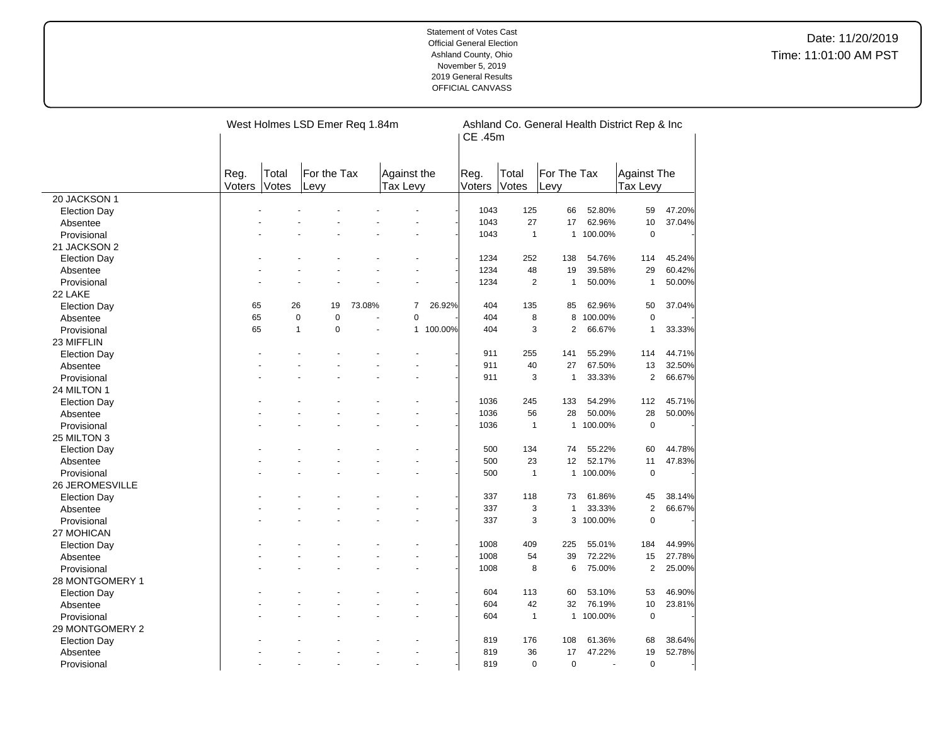|                     |                |                | West Holmes LSD Emer Req 1.84m |        |                         |           | Ashland Co. General Health District Rep & Inc<br>CE .45m |                |                     |           |                         |        |
|---------------------|----------------|----------------|--------------------------------|--------|-------------------------|-----------|----------------------------------------------------------|----------------|---------------------|-----------|-------------------------|--------|
|                     | Reg.<br>Voters | Total<br>Votes | For the Tax<br>Levy            |        | Against the<br>Tax Levy |           | Reg.<br>Voters                                           | Total<br>Votes | For The Tax<br>Levy |           | Against The<br>Tax Levy |        |
| 20 JACKSON 1        |                |                |                                |        |                         |           |                                                          |                |                     |           |                         |        |
| <b>Election Day</b> |                |                |                                |        |                         |           | 1043                                                     | 125            | 66                  | 52.80%    | 59                      | 47.20% |
| Absentee            |                |                |                                |        |                         |           | 1043                                                     | 27             | 17                  | 62.96%    | 10                      | 37.04% |
| Provisional         |                |                |                                |        |                         |           | 1043                                                     | $\mathbf{1}$   | $\mathbf{1}$        | 100.00%   | $\pmb{0}$               |        |
| 21 JACKSON 2        |                |                |                                |        |                         |           |                                                          |                |                     |           |                         |        |
| <b>Election Day</b> |                |                |                                |        |                         |           | 1234                                                     | 252            | 138                 | 54.76%    | 114                     | 45.24% |
| Absentee            |                |                |                                |        |                         |           | 1234                                                     | 48             | 19                  | 39.58%    | 29                      | 60.42% |
| Provisional         |                |                |                                |        |                         |           | 1234                                                     | $\overline{2}$ | $\mathbf{1}$        | 50.00%    | $\mathbf{1}$            | 50.00% |
| 22 LAKE             |                |                |                                |        |                         |           |                                                          |                |                     |           |                         |        |
| <b>Election Day</b> | 65             | 26             | 19                             | 73.08% | $\overline{7}$          | 26.92%    | 404                                                      | 135            | 85                  | 62.96%    | 50                      | 37.04% |
| Absentee            | 65             | $\mathbf 0$    | $\mathbf 0$                    |        | $\mathbf 0$             |           | 404                                                      | 8              | 8                   | 100.00%   | $\mathbf 0$             |        |
| Provisional         | 65             | $\mathbf{1}$   | 0                              |        |                         | 1 100.00% | 404                                                      | 3              | $\overline{2}$      | 66.67%    | $\mathbf{1}$            | 33.33% |
| 23 MIFFLIN          |                |                |                                |        |                         |           |                                                          |                |                     |           |                         |        |
| <b>Election Day</b> |                |                |                                |        |                         |           | 911                                                      | 255            | 141                 | 55.29%    | 114                     | 44.71% |
| Absentee            |                |                |                                |        |                         |           | 911                                                      | 40             | 27                  | 67.50%    | 13                      | 32.50% |
| Provisional         |                |                |                                |        |                         |           | 911                                                      | 3              | $\mathbf{1}$        | 33.33%    | $\overline{2}$          | 66.67% |
| 24 MILTON 1         |                |                |                                |        |                         |           |                                                          |                |                     |           |                         |        |
| <b>Election Day</b> |                |                |                                |        |                         |           | 1036                                                     | 245            | 133                 | 54.29%    | 112                     | 45.71% |
| Absentee            |                |                |                                |        |                         |           | 1036                                                     | 56             | 28                  | 50.00%    | 28                      | 50.00% |
| Provisional         |                |                |                                |        |                         |           | 1036                                                     | $\mathbf{1}$   | $\mathbf{1}$        | 100.00%   | $\pmb{0}$               |        |
| 25 MILTON 3         |                |                |                                |        |                         |           |                                                          |                |                     |           |                         |        |
| <b>Election Day</b> |                |                |                                |        |                         |           | 500                                                      | 134            | 74                  | 55.22%    | 60                      | 44.78% |
| Absentee            |                |                |                                |        |                         |           | 500                                                      | 23             | 12                  | 52.17%    | 11                      | 47.83% |
| Provisional         |                |                |                                |        |                         |           | 500                                                      | $\mathbf{1}$   |                     | 1 100.00% | $\mathbf 0$             |        |
| 26 JEROMESVILLE     |                |                |                                |        |                         |           |                                                          |                |                     |           |                         |        |
| <b>Election Day</b> |                |                |                                |        |                         |           | 337                                                      | 118            | 73                  | 61.86%    | 45                      | 38.14% |
| Absentee            |                |                |                                |        |                         |           | 337                                                      | 3              | $\mathbf{1}$        | 33.33%    | $\overline{2}$          | 66.67% |
| Provisional         |                |                |                                |        |                         |           | 337                                                      | 3              |                     | 3 100.00% | $\mathbf 0$             |        |
| 27 MOHICAN          |                |                |                                |        |                         |           |                                                          |                |                     |           |                         |        |
| <b>Election Day</b> |                |                |                                |        |                         |           | 1008                                                     | 409            | 225                 | 55.01%    | 184                     | 44.99% |
| Absentee            |                |                |                                |        |                         |           | 1008                                                     | 54             | 39                  | 72.22%    | 15                      | 27.78% |
| Provisional         |                |                |                                |        |                         |           | 1008                                                     | 8              | 6                   | 75.00%    | $\mathbf{2}$            | 25.00% |
| 28 MONTGOMERY 1     |                |                |                                |        |                         |           |                                                          |                |                     |           |                         |        |
| <b>Election Day</b> |                |                |                                |        |                         |           | 604                                                      | 113            | 60                  | 53.10%    | 53                      | 46.90% |
| Absentee            |                |                |                                |        |                         |           | 604                                                      | 42             | 32                  | 76.19%    | 10                      | 23.81% |
| Provisional         |                |                |                                |        |                         |           | 604                                                      | $\mathbf{1}$   | $\mathbf{1}$        | 100.00%   | $\mathbf 0$             |        |
| 29 MONTGOMERY 2     |                |                |                                |        |                         |           |                                                          |                |                     |           |                         |        |
| <b>Election Day</b> |                |                |                                |        |                         |           | 819                                                      | 176            | 108                 | 61.36%    | 68                      | 38.64% |
| Absentee            |                |                |                                |        |                         |           | 819                                                      | 36             | 17                  | 47.22%    | 19                      | 52.78% |
| Provisional         |                |                |                                |        | $\overline{a}$          |           | 819                                                      | $\Omega$       | $\mathbf 0$         |           | $\mathbf 0$             |        |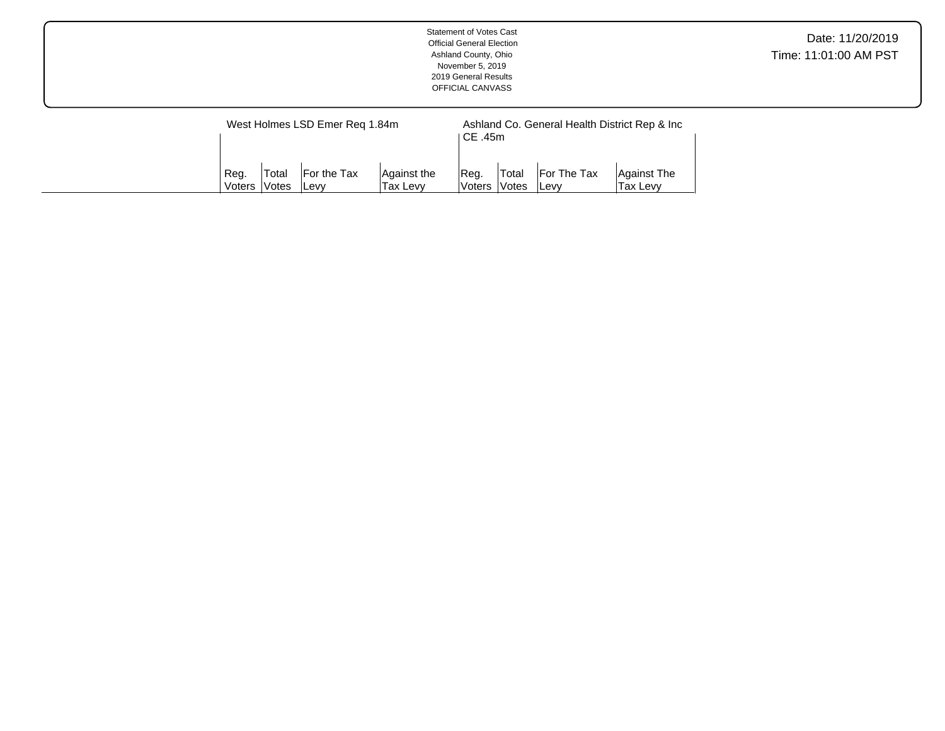| <b>Statement of Votes Cast</b><br><b>Official General Election</b><br>Ashland County, Ohio<br>November 5, 2019<br>2019 General Results<br>OFFICIAL CANVASS |                                                              |  |  |  |  |  |  |  |  |  |
|------------------------------------------------------------------------------------------------------------------------------------------------------------|--------------------------------------------------------------|--|--|--|--|--|--|--|--|--|
| West Holmes LSD Emer Req 1.84m<br>Reg.                                                                                                                     | Ashland Co. General Health District Rep & Inc<br>Against The |  |  |  |  |  |  |  |  |  |

Voters

Votes Levy

Tax Levy

Tax Levy

Voters

Votes

Levy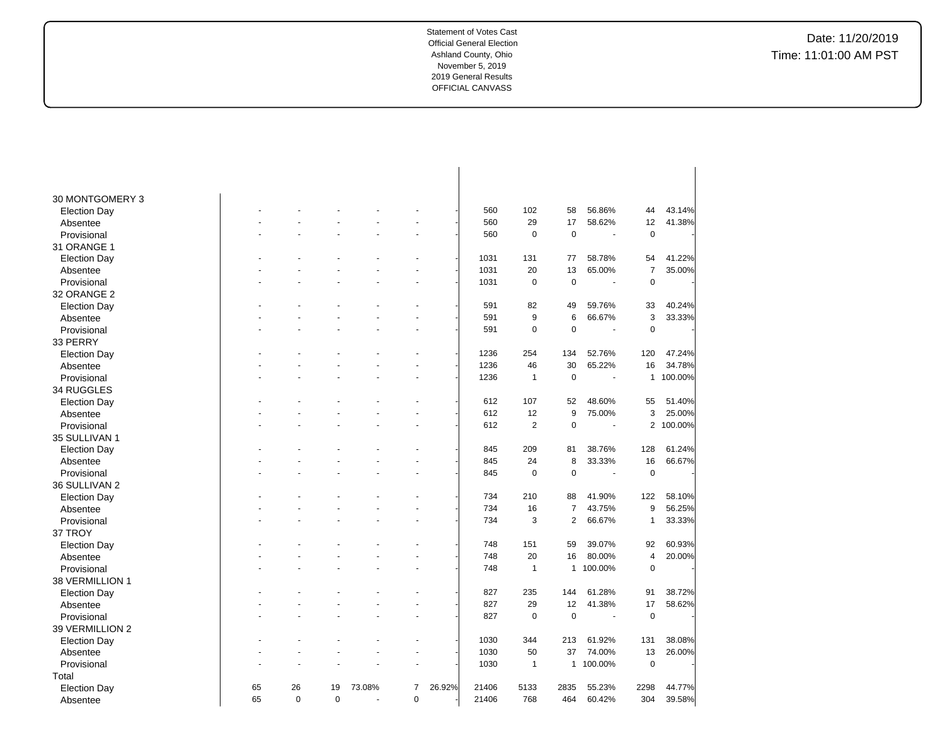| 30 MONTGOMERY 3         |    |             |          |        |                      |        |            |                |                |         |                |                  |
|-------------------------|----|-------------|----------|--------|----------------------|--------|------------|----------------|----------------|---------|----------------|------------------|
| <b>Election Day</b>     |    |             |          |        |                      |        | 560        | 102            | 58             | 56.86%  | 44             | 43.14%           |
| Absentee                |    |             |          |        |                      |        | 560        | 29             | 17             | 58.62%  | 12             | 41.38%           |
| Provisional             |    |             |          |        | $\ddot{\phantom{1}}$ |        | 560        | $\mathbf 0$    | $\pmb{0}$      | $\sim$  | $\mathbf 0$    |                  |
| 31 ORANGE 1             |    |             |          |        |                      |        |            |                |                |         |                |                  |
|                         |    |             |          |        | ä,                   |        | 1031       | 131            | 77             | 58.78%  | 54             | 41.22%           |
| <b>Election Day</b>     |    |             |          |        |                      |        | 1031       | 20             | 13             | 65.00%  | $\overline{7}$ | 35.00%           |
| Absentee<br>Provisional |    |             |          |        |                      |        | 1031       | $\mathbf 0$    | $\mathbf 0$    |         | $\mathbf 0$    |                  |
| 32 ORANGE 2             |    |             |          |        |                      |        |            |                |                |         |                |                  |
|                         |    |             |          |        |                      |        |            |                |                |         |                |                  |
| <b>Election Day</b>     |    |             |          |        |                      |        | 591<br>591 | 82<br>9        | 49             | 59.76%  | 33             | 40.24%<br>33.33% |
| Absentee                |    |             |          |        |                      |        |            |                | 6              | 66.67%  | 3              |                  |
| Provisional             |    |             |          |        | ÷.                   |        | 591        | $\mathbf 0$    | $\overline{0}$ | ÷.      | $\mathbf 0$    |                  |
| 33 PERRY                |    |             |          |        |                      |        |            |                |                |         |                |                  |
| <b>Election Day</b>     |    |             |          |        |                      |        | 1236       | 254            | 134            | 52.76%  | 120            | 47.24%           |
| Absentee                |    |             |          |        |                      |        | 1236       | 46             | 30             | 65.22%  | 16             | 34.78%           |
| Provisional             |    |             |          |        |                      |        | 1236       | $\mathbf{1}$   | $\mathbf 0$    |         | $\mathbf{1}$   | 100.00%          |
| 34 RUGGLES              |    |             |          |        |                      |        |            |                |                |         |                |                  |
| <b>Election Day</b>     |    |             |          |        | $\blacksquare$       |        | 612        | 107            | 52             | 48.60%  | 55             | 51.40%           |
| Absentee                |    |             |          |        |                      |        | 612        | 12             | 9              | 75.00%  | 3              | 25.00%           |
| Provisional             |    |             |          |        | L.                   |        | 612        | $\overline{2}$ | $\pmb{0}$      |         | $\overline{2}$ | 100.00%          |
| 35 SULLIVAN 1           |    |             |          |        |                      |        |            |                |                |         |                |                  |
| <b>Election Day</b>     |    |             |          |        | $\ddot{\phantom{1}}$ |        | 845        | 209            | 81             | 38.76%  | 128            | 61.24%           |
| Absentee                |    |             |          |        |                      |        | 845        | 24             | 8              | 33.33%  | 16             | 66.67%           |
| Provisional             |    |             |          |        |                      |        | 845        | $\mathbf 0$    | $\mathbf 0$    | $\sim$  | $\mathbf 0$    |                  |
| 36 SULLIVAN 2           |    |             |          |        |                      |        |            |                |                |         |                |                  |
| <b>Election Day</b>     |    |             |          |        |                      |        | 734        | 210            | 88             | 41.90%  | 122            | 58.10%           |
| Absentee                |    |             |          |        | $\ddot{\phantom{1}}$ |        | 734        | 16             | $\overline{7}$ | 43.75%  | 9              | 56.25%           |
| Provisional             |    |             |          |        |                      |        | 734        | 3              | $\overline{2}$ | 66.67%  | $\mathbf{1}$   | 33.33%           |
| 37 TROY                 |    |             |          |        |                      |        |            |                |                |         |                |                  |
| <b>Election Day</b>     |    |             |          |        |                      |        | 748        | 151            | 59             | 39.07%  | 92             | 60.93%           |
| Absentee                |    |             |          |        |                      |        | 748        | 20             | 16             | 80.00%  | 4              | 20.00%           |
| Provisional             |    |             |          |        | ÷.                   |        | 748        | $\mathbf{1}$   | 1              | 100.00% | $\mathbf 0$    |                  |
| 38 VERMILLION 1         |    |             |          |        |                      |        |            |                |                |         |                |                  |
| <b>Election Day</b>     |    |             |          |        |                      |        | 827        | 235            | 144            | 61.28%  | 91             | 38.72%           |
| Absentee                |    |             |          |        |                      |        | 827        | 29             | 12             | 41.38%  | 17             | 58.62%           |
| Provisional             |    |             |          |        |                      |        | 827        | $\mathbf 0$    | $\mathbf 0$    | ÷,      | $\mathbf 0$    |                  |
| 39 VERMILLION 2         |    |             |          |        |                      |        |            |                |                |         |                |                  |
| <b>Election Day</b>     |    |             |          |        |                      |        | 1030       | 344            | 213            | 61.92%  | 131            | 38.08%           |
| Absentee                |    |             |          |        | ä,                   |        | 1030       | 50             | 37             | 74.00%  | 13             | 26.00%           |
| Provisional             |    |             |          |        |                      |        | 1030       | $\mathbf{1}$   | 1              | 100.00% | $\mathbf 0$    |                  |
| Total                   |    |             |          |        |                      |        |            |                |                |         |                |                  |
| <b>Election Day</b>     | 65 | 26          | 19       | 73.08% | 7                    | 26.92% | 21406      | 5133           | 2835           | 55.23%  | 2298           | 44.77%           |
| Absentee                | 65 | $\mathbf 0$ | $\Omega$ | ä,     | $\mathbf 0$          |        | 21406      | 768            | 464            | 60.42%  | 304            | 39.58%           |
|                         |    |             |          |        |                      |        |            |                |                |         |                |                  |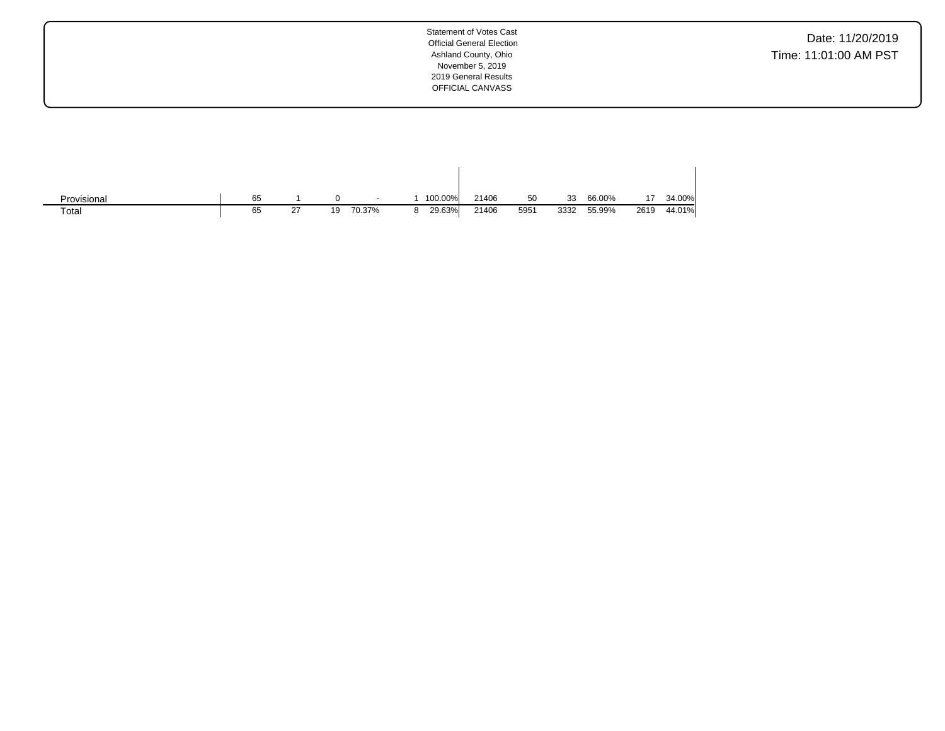Date: 11/20/2019 Time: 11:01:00 AM PST

| Provisional | 65 |     |    | $\sim$ |   | 100.00% | 21406 | 50   | 33   | 66.00% |      | 34.00% |
|-------------|----|-----|----|--------|---|---------|-------|------|------|--------|------|--------|
| Total       | 65 | -27 | 19 | 70.37% | 8 | 29.63%  | 21406 | 5951 | 3332 | 55.99% | 2619 | 44.01% |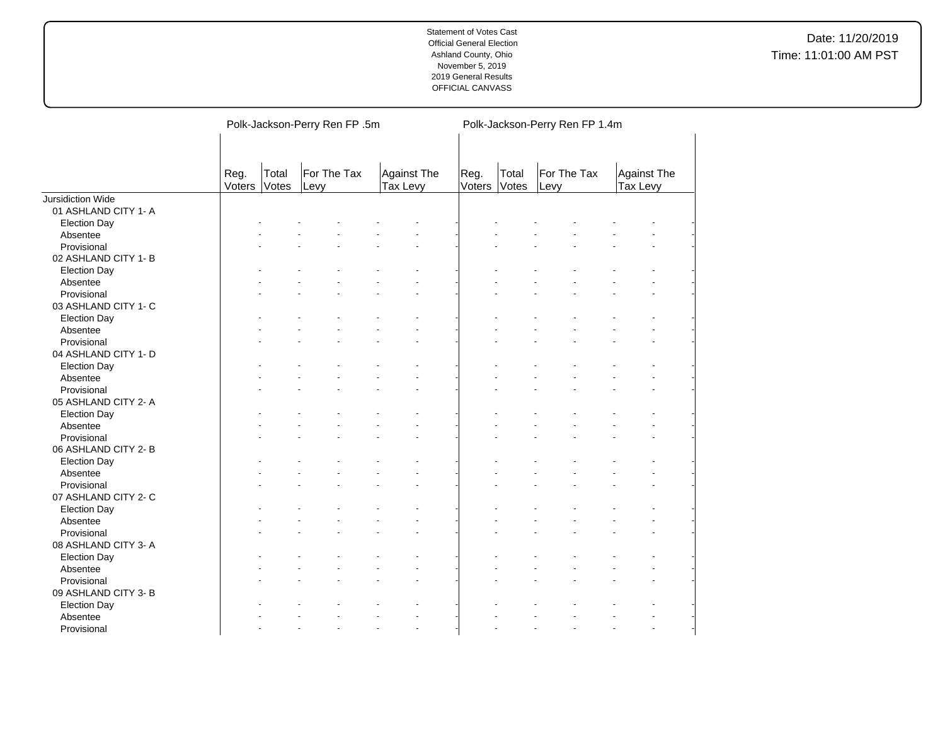|                          |                |                | Polk-Jackson-Perry Ren FP .5m |                         | Polk-Jackson-Perry Ren FP 1.4m |                |                     |                                |  |  |
|--------------------------|----------------|----------------|-------------------------------|-------------------------|--------------------------------|----------------|---------------------|--------------------------------|--|--|
|                          | Reg.<br>Voters | Total<br>Votes | For The Tax<br>Levy           | Against The<br>Tax Levy | Reg.<br>Voters                 | Total<br>Votes | For The Tax<br>Levy | <b>Against The</b><br>Tax Levy |  |  |
| <b>Jursidiction Wide</b> |                |                |                               |                         |                                |                |                     |                                |  |  |
| 01 ASHLAND CITY 1- A     |                |                |                               |                         |                                |                |                     |                                |  |  |
| <b>Election Day</b>      |                |                |                               |                         |                                |                |                     |                                |  |  |
| Absentee                 |                |                |                               |                         |                                |                |                     |                                |  |  |
| Provisional              |                |                |                               |                         |                                |                |                     |                                |  |  |
| 02 ASHLAND CITY 1-B      |                |                |                               |                         |                                |                |                     |                                |  |  |
| <b>Election Day</b>      |                |                |                               |                         |                                |                |                     |                                |  |  |
| Absentee                 |                |                |                               |                         |                                |                |                     |                                |  |  |
| Provisional              |                |                |                               |                         |                                |                |                     |                                |  |  |
| 03 ASHLAND CITY 1- C     |                |                |                               |                         |                                |                |                     |                                |  |  |
| <b>Election Day</b>      |                |                |                               |                         |                                |                |                     |                                |  |  |
| Absentee                 |                |                |                               |                         |                                |                |                     |                                |  |  |
| Provisional              |                |                |                               |                         |                                |                |                     |                                |  |  |
| 04 ASHLAND CITY 1- D     |                |                |                               |                         |                                |                |                     |                                |  |  |
| <b>Election Day</b>      |                |                |                               |                         |                                |                |                     |                                |  |  |
| Absentee                 |                |                |                               |                         |                                |                |                     |                                |  |  |
| Provisional              |                |                |                               |                         |                                |                |                     |                                |  |  |
| 05 ASHLAND CITY 2- A     |                |                |                               |                         |                                |                |                     |                                |  |  |
| <b>Election Day</b>      |                |                |                               |                         |                                |                |                     |                                |  |  |
| Absentee                 |                |                |                               |                         |                                |                |                     |                                |  |  |
| Provisional              |                |                |                               |                         |                                |                |                     |                                |  |  |
| 06 ASHLAND CITY 2-B      |                |                |                               |                         |                                |                |                     |                                |  |  |
| <b>Election Day</b>      |                |                |                               |                         |                                |                |                     |                                |  |  |
| Absentee                 |                |                |                               |                         |                                |                |                     |                                |  |  |
| Provisional              |                |                |                               |                         |                                |                |                     |                                |  |  |
| 07 ASHLAND CITY 2- C     |                |                |                               |                         |                                |                |                     |                                |  |  |
| <b>Election Day</b>      |                |                |                               |                         |                                |                |                     |                                |  |  |
| Absentee                 |                |                |                               |                         |                                |                |                     |                                |  |  |
| Provisional              |                |                |                               |                         |                                |                |                     |                                |  |  |
| 08 ASHLAND CITY 3-A      |                |                |                               |                         |                                |                |                     |                                |  |  |
| <b>Election Day</b>      |                |                |                               |                         |                                |                |                     |                                |  |  |
| Absentee                 |                |                |                               |                         |                                |                |                     |                                |  |  |
| Provisional              |                |                |                               |                         |                                |                |                     |                                |  |  |
| 09 ASHLAND CITY 3-B      |                |                |                               |                         |                                |                |                     |                                |  |  |
|                          |                |                |                               |                         |                                |                |                     |                                |  |  |
| <b>Election Day</b>      |                |                |                               |                         |                                |                |                     |                                |  |  |
| Absentee                 |                |                |                               |                         |                                |                |                     |                                |  |  |
| Provisional              |                |                |                               |                         |                                |                |                     |                                |  |  |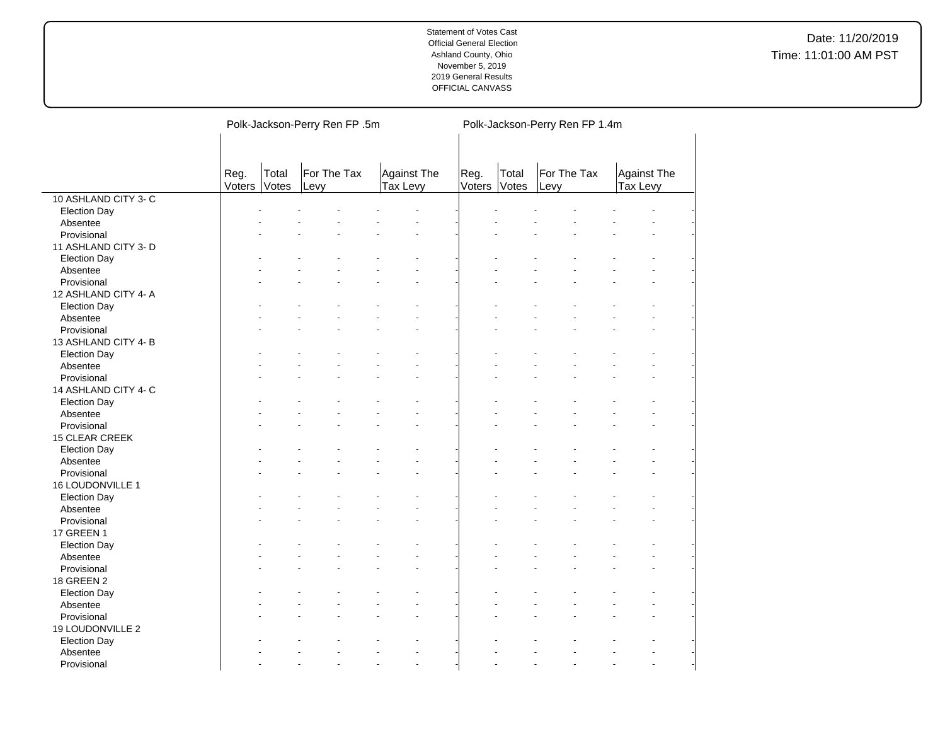|                      |                |                | Polk-Jackson-Perry Ren FP .5m |                         | Polk-Jackson-Perry Ren FP 1.4m |       |                     |                                |  |  |
|----------------------|----------------|----------------|-------------------------------|-------------------------|--------------------------------|-------|---------------------|--------------------------------|--|--|
|                      | Reg.<br>Voters | Total<br>Votes | For The Tax<br>Levy           | Against The<br>Tax Levy | Reg.<br>Voters Votes           | Total | For The Tax<br>Levy | Against The<br><b>Tax Levy</b> |  |  |
| 10 ASHLAND CITY 3- C |                |                |                               |                         |                                |       |                     |                                |  |  |
| <b>Election Day</b>  |                |                |                               |                         |                                |       |                     |                                |  |  |
| Absentee             |                |                |                               |                         |                                |       |                     |                                |  |  |
| Provisional          |                |                |                               |                         |                                |       |                     |                                |  |  |
| 11 ASHLAND CITY 3- D |                |                |                               |                         |                                |       |                     |                                |  |  |
| <b>Election Day</b>  |                |                |                               |                         |                                |       |                     |                                |  |  |
| Absentee             |                |                |                               |                         |                                |       |                     |                                |  |  |
| Provisional          |                |                |                               |                         |                                |       |                     |                                |  |  |
| 12 ASHLAND CITY 4- A |                |                |                               |                         |                                |       |                     |                                |  |  |
| <b>Election Day</b>  |                |                |                               |                         |                                |       |                     |                                |  |  |
| Absentee             |                |                |                               |                         |                                |       |                     |                                |  |  |
| Provisional          |                |                |                               |                         |                                |       |                     |                                |  |  |
| 13 ASHLAND CITY 4-B  |                |                |                               |                         |                                |       |                     |                                |  |  |
| <b>Election Day</b>  |                |                |                               |                         |                                |       |                     |                                |  |  |
| Absentee             |                |                |                               |                         |                                |       |                     |                                |  |  |
| Provisional          |                |                |                               |                         |                                |       |                     |                                |  |  |
| 14 ASHLAND CITY 4- C |                |                |                               |                         |                                |       |                     |                                |  |  |
| <b>Election Day</b>  |                |                |                               |                         |                                |       |                     |                                |  |  |
| Absentee             |                |                |                               |                         |                                |       |                     |                                |  |  |
| Provisional          |                |                |                               |                         |                                |       |                     |                                |  |  |
| 15 CLEAR CREEK       |                |                |                               |                         |                                |       |                     |                                |  |  |
| <b>Election Day</b>  |                |                |                               |                         |                                |       |                     |                                |  |  |
| Absentee             |                |                |                               |                         |                                |       |                     |                                |  |  |
| Provisional          |                |                |                               |                         |                                |       |                     |                                |  |  |
| 16 LOUDONVILLE 1     |                |                |                               |                         |                                |       |                     |                                |  |  |
| <b>Election Day</b>  |                |                |                               |                         |                                |       |                     |                                |  |  |
| Absentee             |                |                |                               |                         |                                |       |                     |                                |  |  |
| Provisional          |                |                |                               |                         |                                |       |                     |                                |  |  |
| <b>17 GREEN 1</b>    |                |                |                               |                         |                                |       |                     |                                |  |  |
| <b>Election Day</b>  |                |                |                               |                         |                                |       |                     |                                |  |  |
| Absentee             |                |                |                               |                         |                                |       |                     |                                |  |  |
| Provisional          |                |                |                               |                         |                                |       |                     |                                |  |  |
| 18 GREEN 2           |                |                |                               |                         |                                |       |                     |                                |  |  |
| <b>Election Day</b>  |                |                |                               |                         |                                |       |                     |                                |  |  |
| Absentee             |                |                |                               |                         |                                |       |                     |                                |  |  |
| Provisional          |                |                |                               |                         |                                |       |                     |                                |  |  |
| 19 LOUDONVILLE 2     |                |                |                               |                         |                                |       |                     |                                |  |  |
| <b>Election Day</b>  |                |                |                               |                         |                                |       |                     |                                |  |  |
| Absentee             |                |                |                               |                         |                                |       |                     |                                |  |  |
| Provisional          |                |                |                               | $\overline{a}$          |                                |       |                     | $\overline{a}$                 |  |  |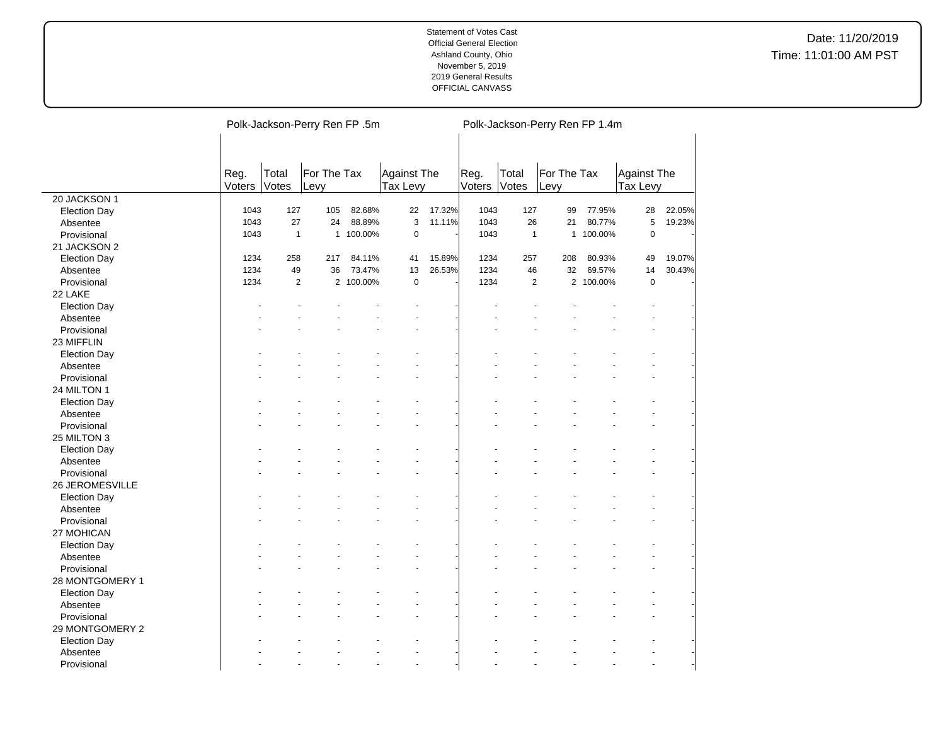# Date: 11/20/2019 Time: 11:01:00 AM PST

|                     |        | Polk-Jackson-Perry Ren FP .5m |              |           |             |        |        |                | Polk-Jackson-Perry Ren FP 1.4m |           |             |        |  |  |
|---------------------|--------|-------------------------------|--------------|-----------|-------------|--------|--------|----------------|--------------------------------|-----------|-------------|--------|--|--|
|                     |        |                               |              |           |             |        |        |                |                                |           |             |        |  |  |
|                     |        |                               |              |           |             |        |        |                |                                |           |             |        |  |  |
|                     | Reg.   | Total                         | For The Tax  |           | Against The |        | Reg.   | Total          | For The Tax                    |           | Against The |        |  |  |
|                     | Voters | Votes                         | Levy         |           | Tax Levy    |        | Voters | Votes          | Levy                           |           | Tax Levy    |        |  |  |
| 20 JACKSON 1        |        |                               |              |           |             |        |        |                |                                |           |             |        |  |  |
| <b>Election Day</b> | 1043   | 127                           | 105          | 82.68%    | 22          | 17.32% | 1043   | 127            | 99                             | 77.95%    | 28          | 22.05% |  |  |
| Absentee            | 1043   | 27                            | 24           | 88.89%    | 3           | 11.11% | 1043   | 26             | 21                             | 80.77%    | 5           | 19.23% |  |  |
| Provisional         | 1043   | $\mathbf{1}$                  | $\mathbf{1}$ | 100.00%   | $\mathbf 0$ |        | 1043   | $\mathbf{1}$   | $\mathbf{1}$                   | 100.00%   | $\mathbf 0$ |        |  |  |
| 21 JACKSON 2        |        |                               |              |           |             |        |        |                |                                |           |             |        |  |  |
| <b>Election Day</b> | 1234   | 258                           | 217          | 84.11%    | 41          | 15.89% | 1234   | 257            | 208                            | 80.93%    | 49          | 19.07% |  |  |
| Absentee            | 1234   | 49                            | 36           | 73.47%    | 13          | 26.53% | 1234   | 46             | 32                             | 69.57%    | 14          | 30.43% |  |  |
| Provisional         | 1234   | $\overline{2}$                |              | 2 100.00% | $\pmb{0}$   |        | 1234   | $\overline{2}$ |                                | 2 100.00% | $\mathbf 0$ |        |  |  |
| 22 LAKE             |        |                               |              |           |             |        |        |                |                                |           |             |        |  |  |
| <b>Election Day</b> |        |                               |              |           |             |        |        |                |                                |           |             |        |  |  |
| Absentee            |        |                               |              |           |             |        |        |                |                                |           |             |        |  |  |
| Provisional         |        |                               |              |           |             |        |        |                |                                |           |             |        |  |  |
| 23 MIFFLIN          |        |                               |              |           |             |        |        |                |                                |           |             |        |  |  |
| <b>Election Day</b> |        |                               |              |           |             |        |        |                |                                |           |             |        |  |  |
| Absentee            |        |                               |              |           |             |        |        |                |                                |           |             |        |  |  |
| Provisional         |        |                               |              |           |             |        |        |                |                                |           |             |        |  |  |
| 24 MILTON 1         |        |                               |              |           |             |        |        |                |                                |           |             |        |  |  |
| <b>Election Day</b> |        |                               |              |           |             |        |        |                |                                |           |             |        |  |  |
| Absentee            |        |                               |              |           |             |        |        |                |                                |           |             |        |  |  |
| Provisional         |        |                               |              |           |             |        |        |                |                                |           |             |        |  |  |
| 25 MILTON 3         |        |                               |              |           |             |        |        |                |                                |           |             |        |  |  |
|                     |        |                               |              |           |             |        |        |                |                                |           |             |        |  |  |
| <b>Election Day</b> |        |                               |              |           |             |        |        |                |                                |           |             |        |  |  |
| Absentee            |        |                               |              |           |             |        |        |                |                                |           |             |        |  |  |
| Provisional         |        |                               |              |           |             |        |        |                |                                |           |             |        |  |  |
| 26 JEROMESVILLE     |        |                               |              |           |             |        |        |                |                                |           |             |        |  |  |
| <b>Election Day</b> |        |                               |              |           |             |        |        |                |                                |           |             |        |  |  |
| Absentee            |        |                               |              |           |             |        |        |                |                                |           |             |        |  |  |
| Provisional         |        |                               |              |           |             |        |        |                |                                |           |             |        |  |  |
| 27 MOHICAN          |        |                               |              |           |             |        |        |                |                                |           |             |        |  |  |
| <b>Election Day</b> |        |                               |              |           |             |        |        |                |                                |           |             |        |  |  |
| Absentee            |        |                               |              |           |             |        |        |                |                                |           |             |        |  |  |
| Provisional         |        |                               |              |           |             |        |        |                |                                |           |             |        |  |  |
| 28 MONTGOMERY 1     |        |                               |              |           |             |        |        |                |                                |           |             |        |  |  |
| <b>Election Day</b> |        |                               |              |           |             |        |        |                |                                |           |             |        |  |  |
| Absentee            |        |                               |              |           |             |        |        |                |                                |           |             |        |  |  |
| Provisional         |        |                               |              |           |             |        |        |                |                                |           |             |        |  |  |
| 29 MONTGOMERY 2     |        |                               |              |           |             |        |        |                |                                |           |             |        |  |  |
| <b>Election Day</b> |        |                               |              |           |             |        |        |                |                                |           |             |        |  |  |
| Absentee            |        |                               |              |           |             |        |        |                |                                |           |             |        |  |  |
| Provisional         |        |                               |              |           |             |        |        |                |                                |           |             |        |  |  |

 $\overline{a}$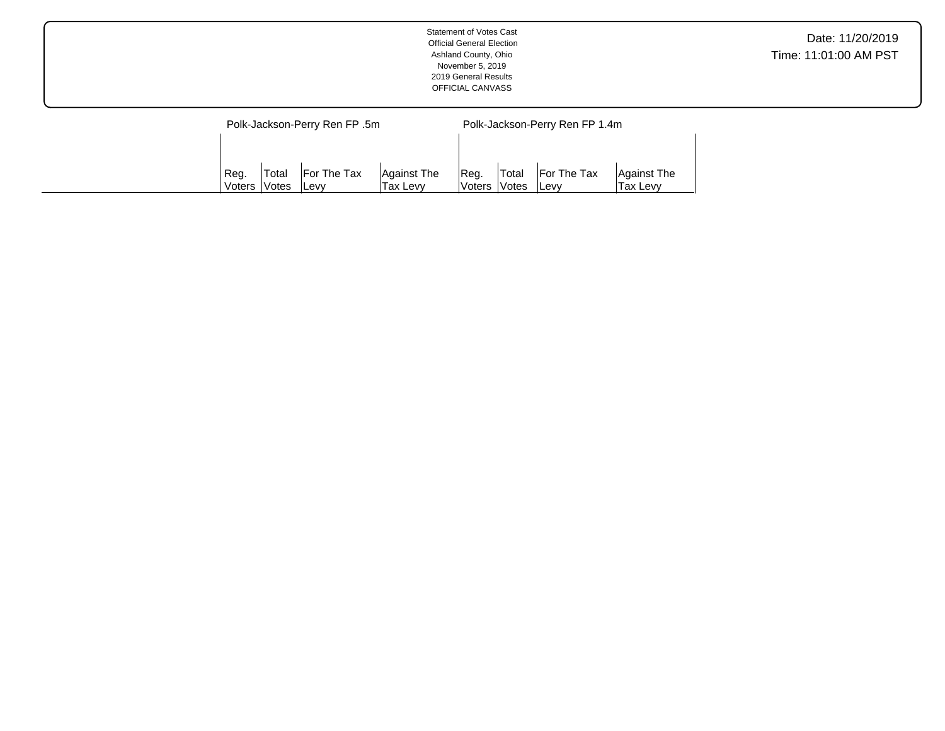|                               | <b>Statement of Votes Cast</b><br><b>Official General Election</b><br>Ashland County, Ohio<br>November 5, 2019<br>2019 General Results<br>OFFICIAL CANVASS | Date: 11/20/2019<br>Time: 11:01:00 AM PST |
|-------------------------------|------------------------------------------------------------------------------------------------------------------------------------------------------------|-------------------------------------------|
| Polk-Jackson-Perry Ren FP .5m | Polk-Jackson-Perry Ren FP 1.4m                                                                                                                             |                                           |

| `Req.   | 'Total       | <b>For The Tax</b> | Against The     | IReg.        | <b>Total</b> | For The Tax  | Against The |
|---------|--------------|--------------------|-----------------|--------------|--------------|--------------|-------------|
| Voters, | <b>Notes</b> | <b>Levv</b>        | <b>Tax Levy</b> | Voters Votes |              | <b>ILevv</b> | 'Tax Levy   |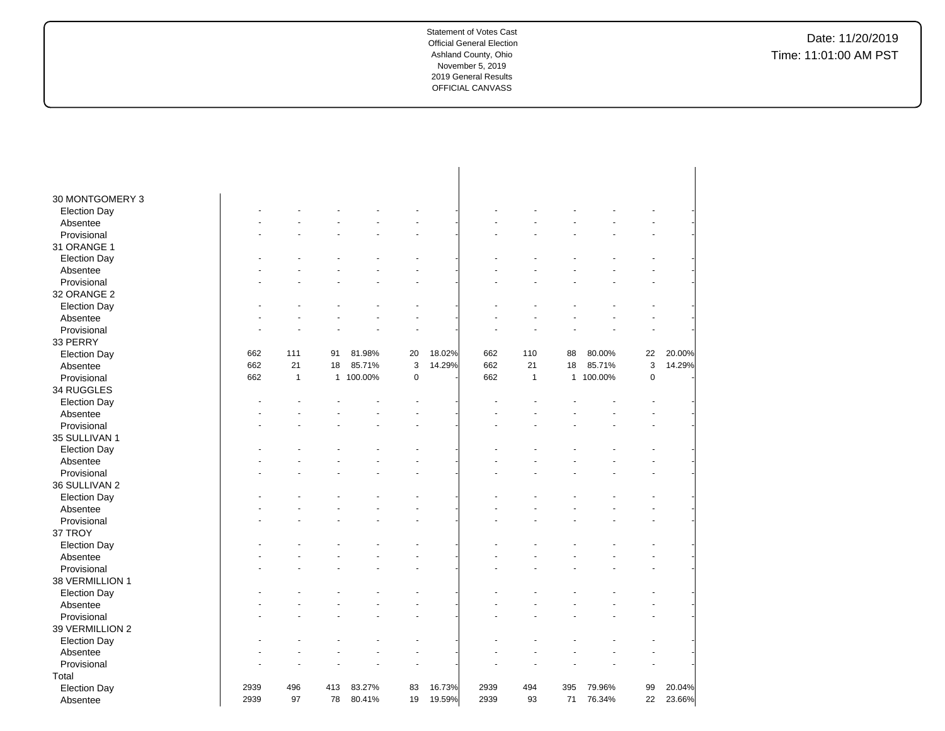| 30 MONTGOMERY 3                 |      |              |     |                  |           |        |      |              |     |           |                      |        |
|---------------------------------|------|--------------|-----|------------------|-----------|--------|------|--------------|-----|-----------|----------------------|--------|
| <b>Election Day</b>             |      |              |     |                  |           |        |      |              |     |           |                      |        |
| Absentee                        |      |              |     |                  |           |        |      |              |     |           |                      |        |
| Provisional                     |      |              |     |                  |           |        |      |              |     |           |                      |        |
| 31 ORANGE 1                     |      |              |     |                  |           |        |      |              |     |           |                      |        |
|                                 |      |              |     |                  |           |        |      |              |     |           |                      |        |
| <b>Election Day</b><br>Absentee |      |              |     |                  |           |        |      |              |     |           |                      |        |
| Provisional                     |      |              |     |                  |           |        |      |              |     |           |                      |        |
|                                 |      |              |     |                  |           |        |      |              |     |           |                      |        |
| 32 ORANGE 2                     |      |              |     |                  |           |        |      |              |     |           |                      |        |
| <b>Election Day</b>             |      |              |     |                  |           |        |      |              |     |           |                      |        |
| Absentee                        |      |              |     |                  |           |        |      |              |     |           |                      |        |
| Provisional                     |      |              |     |                  |           |        |      |              |     |           |                      |        |
| 33 PERRY                        |      |              |     |                  |           |        |      |              |     |           |                      |        |
| <b>Election Day</b>             | 662  | 111          | 91  | 81.98%<br>85.71% | 20        | 18.02% | 662  | 110          | 88  | 80.00%    | 22                   | 20.00% |
| Absentee                        | 662  | 21           | 18  |                  | 3         | 14.29% | 662  | 21           | 18  | 85.71%    | 3                    | 14.29% |
| Provisional                     | 662  | $\mathbf{1}$ |     | 1 100.00%        | $\pmb{0}$ |        | 662  | $\mathbf{1}$ |     | 1 100.00% | $\pmb{0}$            |        |
| 34 RUGGLES                      |      |              |     |                  |           |        |      |              |     |           |                      |        |
| <b>Election Day</b>             |      |              |     |                  |           |        |      |              |     |           |                      |        |
| Absentee                        |      |              |     |                  |           |        |      |              |     |           | ÷                    |        |
| Provisional                     |      |              |     |                  |           |        |      |              |     |           |                      |        |
| 35 SULLIVAN 1                   |      |              |     |                  |           |        |      |              |     |           |                      |        |
| <b>Election Day</b>             |      |              |     |                  |           |        |      |              |     |           |                      |        |
| Absentee                        |      |              |     |                  |           |        |      |              |     |           |                      |        |
| Provisional                     |      |              |     |                  |           |        |      |              |     |           |                      |        |
| 36 SULLIVAN 2                   |      |              |     |                  |           |        |      |              |     |           |                      |        |
| <b>Election Day</b>             |      |              |     |                  |           |        |      |              |     |           |                      |        |
| Absentee                        |      |              |     |                  |           |        |      |              |     |           |                      |        |
| Provisional                     |      |              |     |                  |           |        |      |              |     |           |                      |        |
| 37 TROY                         |      |              |     |                  |           |        |      |              |     |           |                      |        |
| <b>Election Day</b>             |      |              |     |                  |           |        |      |              |     |           |                      |        |
| Absentee                        |      |              |     |                  |           |        |      |              |     |           |                      |        |
| Provisional                     |      |              |     |                  |           |        |      |              |     |           | $\ddot{\phantom{1}}$ |        |
| 38 VERMILLION 1                 |      |              |     |                  |           |        |      |              |     |           |                      |        |
| <b>Election Day</b>             |      |              |     |                  |           |        |      |              |     |           |                      |        |
| Absentee                        |      |              |     |                  |           |        |      |              |     |           |                      |        |
| Provisional                     |      |              |     |                  |           |        |      |              |     |           |                      |        |
| 39 VERMILLION 2                 |      |              |     |                  |           |        |      |              |     |           |                      |        |
| <b>Election Day</b>             |      |              |     |                  |           |        |      |              |     |           |                      |        |
| Absentee                        |      |              |     |                  |           |        |      |              |     |           |                      |        |
| Provisional                     |      |              |     |                  |           |        |      |              |     |           |                      |        |
| Total                           |      |              |     |                  |           |        |      |              |     |           |                      |        |
| <b>Election Day</b>             | 2939 | 496          | 413 | 83.27%           | 83        | 16.73% | 2939 | 494          | 395 | 79.96%    | 99                   | 20.04% |
| Absentee                        | 2939 | 97           | 78  | 80.41%           | 19        | 19.59% | 2939 | 93           | 71  | 76.34%    | 22                   | 23.66% |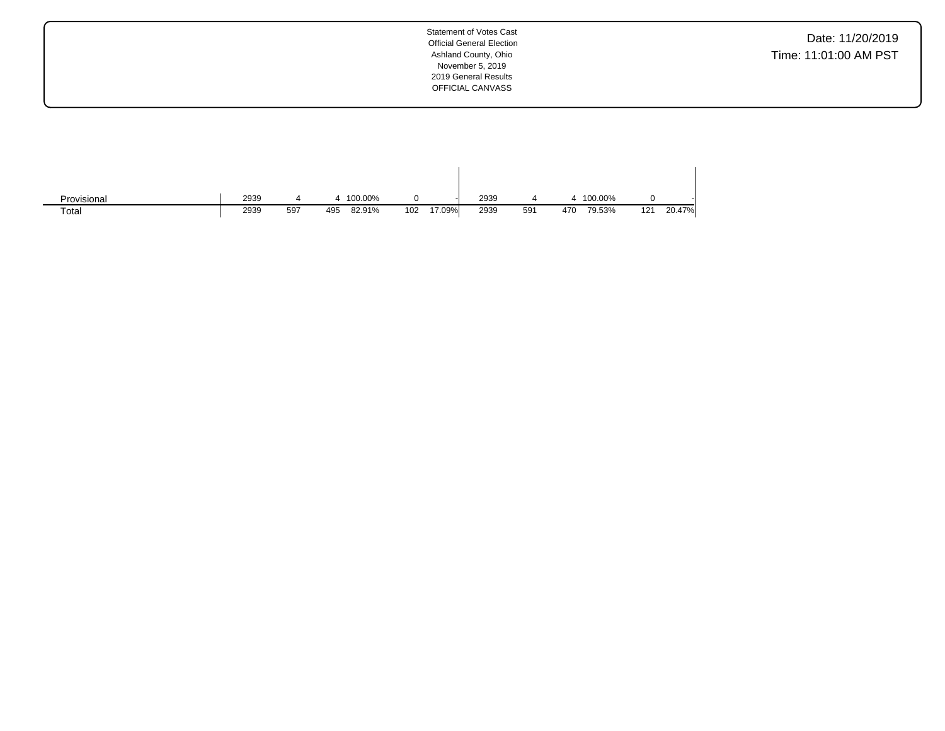Date: 11/20/2019 Time: 11:01:00 AM PST

| Provisional | 2939 |     | 100.00%       |               | 2939 |     |     | 100.00%       |        |
|-------------|------|-----|---------------|---------------|------|-----|-----|---------------|--------|
| Total       | 2939 | 597 | 82.91%<br>495 | 17.09%<br>102 | 2939 | 591 | 470 | 79.53%<br>121 | 20.47% |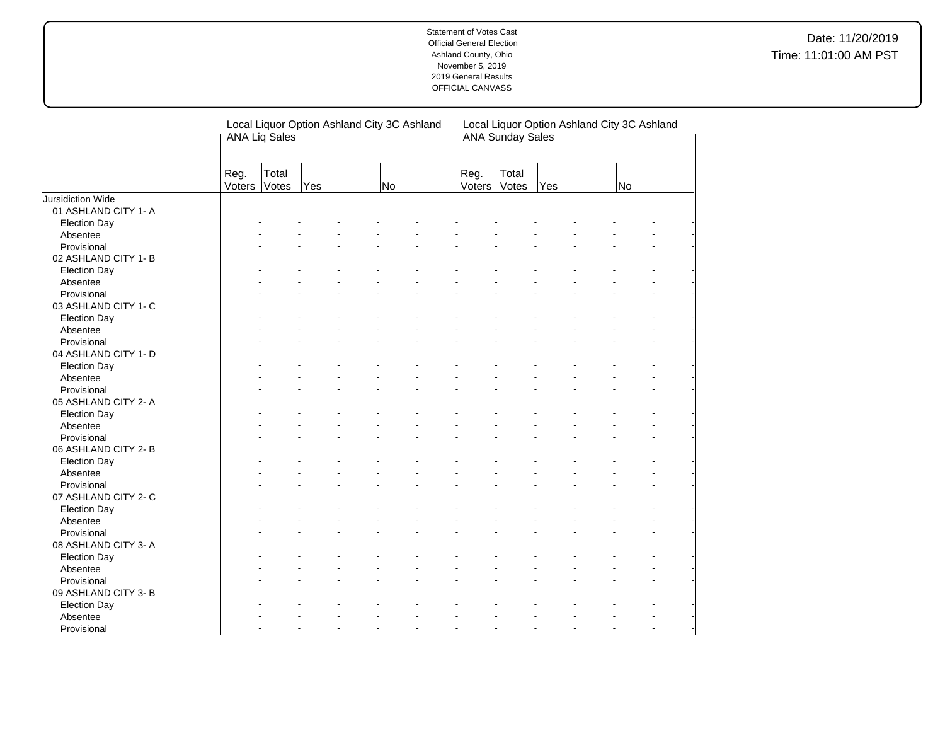| Total<br>Reg.<br>Total<br>Reg.<br>Voters<br>Votes<br>Voters<br>Votes<br><b>Yes</b><br>No.<br>Yes<br><b>No</b><br>Jursidiction Wide<br>01 ASHLAND CITY 1- A<br><b>Election Day</b><br>Absentee<br>Provisional<br>02 ASHLAND CITY 1-B<br><b>Election Day</b><br>Absentee<br>Provisional<br>03 ASHLAND CITY 1- C<br><b>Election Day</b><br>Absentee<br>Provisional<br>04 ASHLAND CITY 1- D<br><b>Election Day</b><br>Absentee<br>Provisional<br>05 ASHLAND CITY 2-A<br><b>Election Day</b><br>Absentee<br>Provisional<br>06 ASHLAND CITY 2-B<br><b>Election Day</b><br>Absentee<br>Provisional<br>07 ASHLAND CITY 2- C<br><b>Election Day</b><br>Absentee<br>Provisional<br>08 ASHLAND CITY 3-A<br><b>Election Day</b><br>Absentee<br>Provisional<br>09 ASHLAND CITY 3-B<br><b>Election Day</b><br>Absentee |  | <b>ANA Liq Sales</b> | Local Liquor Option Ashland City 3C Ashland |  | Local Liquor Option Ashland City 3C Ashland<br><b>ANA Sunday Sales</b> |  |  |  |  |  |
|----------------------------------------------------------------------------------------------------------------------------------------------------------------------------------------------------------------------------------------------------------------------------------------------------------------------------------------------------------------------------------------------------------------------------------------------------------------------------------------------------------------------------------------------------------------------------------------------------------------------------------------------------------------------------------------------------------------------------------------------------------------------------------------------------------|--|----------------------|---------------------------------------------|--|------------------------------------------------------------------------|--|--|--|--|--|
|                                                                                                                                                                                                                                                                                                                                                                                                                                                                                                                                                                                                                                                                                                                                                                                                          |  |                      |                                             |  |                                                                        |  |  |  |  |  |
|                                                                                                                                                                                                                                                                                                                                                                                                                                                                                                                                                                                                                                                                                                                                                                                                          |  |                      |                                             |  |                                                                        |  |  |  |  |  |
|                                                                                                                                                                                                                                                                                                                                                                                                                                                                                                                                                                                                                                                                                                                                                                                                          |  |                      |                                             |  |                                                                        |  |  |  |  |  |
|                                                                                                                                                                                                                                                                                                                                                                                                                                                                                                                                                                                                                                                                                                                                                                                                          |  |                      |                                             |  |                                                                        |  |  |  |  |  |
|                                                                                                                                                                                                                                                                                                                                                                                                                                                                                                                                                                                                                                                                                                                                                                                                          |  |                      |                                             |  |                                                                        |  |  |  |  |  |
|                                                                                                                                                                                                                                                                                                                                                                                                                                                                                                                                                                                                                                                                                                                                                                                                          |  |                      |                                             |  |                                                                        |  |  |  |  |  |
|                                                                                                                                                                                                                                                                                                                                                                                                                                                                                                                                                                                                                                                                                                                                                                                                          |  |                      |                                             |  |                                                                        |  |  |  |  |  |
|                                                                                                                                                                                                                                                                                                                                                                                                                                                                                                                                                                                                                                                                                                                                                                                                          |  |                      |                                             |  |                                                                        |  |  |  |  |  |
|                                                                                                                                                                                                                                                                                                                                                                                                                                                                                                                                                                                                                                                                                                                                                                                                          |  |                      |                                             |  |                                                                        |  |  |  |  |  |
|                                                                                                                                                                                                                                                                                                                                                                                                                                                                                                                                                                                                                                                                                                                                                                                                          |  |                      |                                             |  |                                                                        |  |  |  |  |  |
|                                                                                                                                                                                                                                                                                                                                                                                                                                                                                                                                                                                                                                                                                                                                                                                                          |  |                      |                                             |  |                                                                        |  |  |  |  |  |
|                                                                                                                                                                                                                                                                                                                                                                                                                                                                                                                                                                                                                                                                                                                                                                                                          |  |                      |                                             |  |                                                                        |  |  |  |  |  |
|                                                                                                                                                                                                                                                                                                                                                                                                                                                                                                                                                                                                                                                                                                                                                                                                          |  |                      |                                             |  |                                                                        |  |  |  |  |  |
|                                                                                                                                                                                                                                                                                                                                                                                                                                                                                                                                                                                                                                                                                                                                                                                                          |  |                      |                                             |  |                                                                        |  |  |  |  |  |
|                                                                                                                                                                                                                                                                                                                                                                                                                                                                                                                                                                                                                                                                                                                                                                                                          |  |                      |                                             |  |                                                                        |  |  |  |  |  |
|                                                                                                                                                                                                                                                                                                                                                                                                                                                                                                                                                                                                                                                                                                                                                                                                          |  |                      |                                             |  |                                                                        |  |  |  |  |  |
|                                                                                                                                                                                                                                                                                                                                                                                                                                                                                                                                                                                                                                                                                                                                                                                                          |  |                      |                                             |  |                                                                        |  |  |  |  |  |
|                                                                                                                                                                                                                                                                                                                                                                                                                                                                                                                                                                                                                                                                                                                                                                                                          |  |                      |                                             |  |                                                                        |  |  |  |  |  |
|                                                                                                                                                                                                                                                                                                                                                                                                                                                                                                                                                                                                                                                                                                                                                                                                          |  |                      |                                             |  |                                                                        |  |  |  |  |  |
|                                                                                                                                                                                                                                                                                                                                                                                                                                                                                                                                                                                                                                                                                                                                                                                                          |  |                      |                                             |  |                                                                        |  |  |  |  |  |
|                                                                                                                                                                                                                                                                                                                                                                                                                                                                                                                                                                                                                                                                                                                                                                                                          |  |                      |                                             |  |                                                                        |  |  |  |  |  |
|                                                                                                                                                                                                                                                                                                                                                                                                                                                                                                                                                                                                                                                                                                                                                                                                          |  |                      |                                             |  |                                                                        |  |  |  |  |  |
|                                                                                                                                                                                                                                                                                                                                                                                                                                                                                                                                                                                                                                                                                                                                                                                                          |  |                      |                                             |  |                                                                        |  |  |  |  |  |
|                                                                                                                                                                                                                                                                                                                                                                                                                                                                                                                                                                                                                                                                                                                                                                                                          |  |                      |                                             |  |                                                                        |  |  |  |  |  |
|                                                                                                                                                                                                                                                                                                                                                                                                                                                                                                                                                                                                                                                                                                                                                                                                          |  |                      |                                             |  |                                                                        |  |  |  |  |  |
|                                                                                                                                                                                                                                                                                                                                                                                                                                                                                                                                                                                                                                                                                                                                                                                                          |  |                      |                                             |  |                                                                        |  |  |  |  |  |
|                                                                                                                                                                                                                                                                                                                                                                                                                                                                                                                                                                                                                                                                                                                                                                                                          |  |                      |                                             |  |                                                                        |  |  |  |  |  |
|                                                                                                                                                                                                                                                                                                                                                                                                                                                                                                                                                                                                                                                                                                                                                                                                          |  |                      |                                             |  |                                                                        |  |  |  |  |  |
|                                                                                                                                                                                                                                                                                                                                                                                                                                                                                                                                                                                                                                                                                                                                                                                                          |  |                      |                                             |  |                                                                        |  |  |  |  |  |
|                                                                                                                                                                                                                                                                                                                                                                                                                                                                                                                                                                                                                                                                                                                                                                                                          |  |                      |                                             |  |                                                                        |  |  |  |  |  |
|                                                                                                                                                                                                                                                                                                                                                                                                                                                                                                                                                                                                                                                                                                                                                                                                          |  |                      |                                             |  |                                                                        |  |  |  |  |  |
|                                                                                                                                                                                                                                                                                                                                                                                                                                                                                                                                                                                                                                                                                                                                                                                                          |  |                      |                                             |  |                                                                        |  |  |  |  |  |
|                                                                                                                                                                                                                                                                                                                                                                                                                                                                                                                                                                                                                                                                                                                                                                                                          |  |                      |                                             |  |                                                                        |  |  |  |  |  |
|                                                                                                                                                                                                                                                                                                                                                                                                                                                                                                                                                                                                                                                                                                                                                                                                          |  |                      |                                             |  |                                                                        |  |  |  |  |  |
|                                                                                                                                                                                                                                                                                                                                                                                                                                                                                                                                                                                                                                                                                                                                                                                                          |  |                      |                                             |  |                                                                        |  |  |  |  |  |
|                                                                                                                                                                                                                                                                                                                                                                                                                                                                                                                                                                                                                                                                                                                                                                                                          |  |                      |                                             |  |                                                                        |  |  |  |  |  |
|                                                                                                                                                                                                                                                                                                                                                                                                                                                                                                                                                                                                                                                                                                                                                                                                          |  |                      |                                             |  |                                                                        |  |  |  |  |  |
| Provisional<br>L.<br>÷.                                                                                                                                                                                                                                                                                                                                                                                                                                                                                                                                                                                                                                                                                                                                                                                  |  |                      |                                             |  |                                                                        |  |  |  |  |  |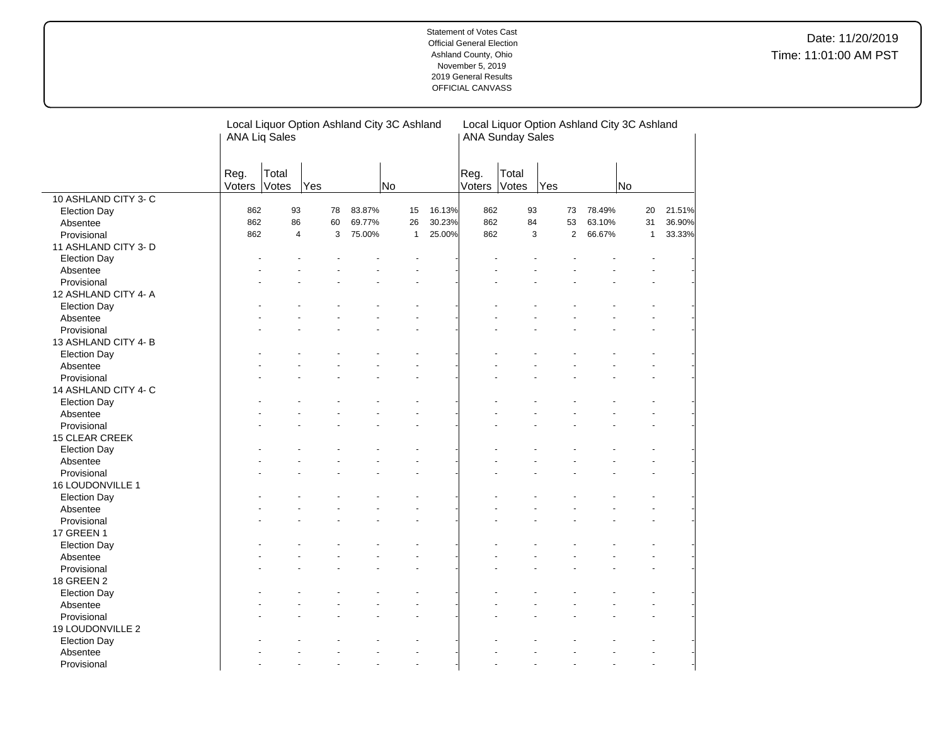|                       | <b>ANA Liq Sales</b> |                | Local Liquor Option Ashland City 3C Ashland |        |              |        |                | <b>ANA Sunday Sales</b> | Local Liquor Option Ashland City 3C Ashland |        |                |        |
|-----------------------|----------------------|----------------|---------------------------------------------|--------|--------------|--------|----------------|-------------------------|---------------------------------------------|--------|----------------|--------|
|                       | Reg.<br>Voters       | Total<br>Votes | Yes                                         |        | <b>No</b>    |        | Reg.<br>Voters | Total<br>Votes          | Yes                                         |        | No             |        |
| 10 ASHLAND CITY 3- C  |                      |                |                                             |        |              |        |                |                         |                                             |        |                |        |
| <b>Election Day</b>   | 862                  | 93             | 78                                          | 83.87% | 15           | 16.13% | 862            | 93                      | 73                                          | 78.49% | 20             | 21.51% |
| Absentee              | 862                  | 86             | 60                                          | 69.77% | 26           | 30.23% | 862            | 84                      | 53                                          | 63.10% | 31             | 36.90% |
| Provisional           | 862                  | $\overline{4}$ | 3                                           | 75.00% | $\mathbf{1}$ | 25.00% | 862            | 3                       | $\overline{2}$                              | 66.67% | $\mathbf{1}$   | 33.33% |
| 11 ASHLAND CITY 3-D   |                      |                |                                             |        |              |        |                |                         |                                             |        |                |        |
| <b>Election Day</b>   |                      |                |                                             |        |              |        |                |                         |                                             |        |                |        |
| Absentee              |                      |                |                                             |        |              |        |                |                         |                                             |        |                |        |
| Provisional           |                      |                |                                             |        |              |        |                |                         |                                             |        |                |        |
| 12 ASHLAND CITY 4- A  |                      |                |                                             |        |              |        |                |                         |                                             |        |                |        |
| <b>Election Day</b>   |                      |                |                                             |        |              |        |                |                         |                                             |        |                |        |
| Absentee              |                      |                |                                             |        |              |        |                |                         |                                             |        |                |        |
| Provisional           |                      |                |                                             |        |              |        |                |                         |                                             |        |                |        |
| 13 ASHLAND CITY 4-B   |                      |                |                                             |        |              |        |                |                         |                                             |        |                |        |
| <b>Election Day</b>   |                      |                |                                             |        |              |        |                |                         |                                             |        |                |        |
| Absentee              |                      |                |                                             |        |              |        |                |                         |                                             |        |                |        |
| Provisional           |                      |                |                                             |        |              |        |                |                         |                                             |        |                |        |
| 14 ASHLAND CITY 4- C  |                      |                |                                             |        |              |        |                |                         |                                             |        |                |        |
| <b>Election Day</b>   |                      |                |                                             |        |              |        |                |                         |                                             |        |                |        |
| Absentee              |                      |                |                                             |        |              |        |                |                         |                                             |        |                |        |
| Provisional           |                      |                |                                             |        |              |        |                |                         |                                             |        |                |        |
| <b>15 CLEAR CREEK</b> |                      |                |                                             |        |              |        |                |                         |                                             |        |                |        |
| <b>Election Day</b>   |                      |                |                                             |        |              |        |                |                         |                                             |        |                |        |
| Absentee              |                      |                |                                             |        |              |        |                |                         |                                             |        |                |        |
| Provisional           |                      |                |                                             |        |              |        |                |                         |                                             |        |                |        |
| 16 LOUDONVILLE 1      |                      |                |                                             |        |              |        |                |                         |                                             |        |                |        |
| <b>Election Day</b>   |                      |                |                                             |        |              |        |                |                         |                                             |        |                |        |
| Absentee              |                      |                |                                             |        |              |        |                |                         |                                             |        |                |        |
| Provisional           |                      |                |                                             |        |              |        |                |                         |                                             |        |                |        |
| <b>17 GREEN 1</b>     |                      |                |                                             |        |              |        |                |                         |                                             |        |                |        |
| <b>Election Day</b>   |                      |                |                                             |        |              |        |                |                         |                                             |        |                |        |
| Absentee              |                      |                |                                             |        |              |        |                |                         |                                             |        |                |        |
| Provisional           |                      |                |                                             |        |              |        |                |                         |                                             |        |                |        |
| 18 GREEN 2            |                      |                |                                             |        |              |        |                |                         |                                             |        |                |        |
| <b>Election Day</b>   |                      |                |                                             |        |              |        |                |                         |                                             |        |                |        |
| Absentee              |                      |                |                                             |        |              |        |                |                         |                                             |        |                |        |
| Provisional           |                      |                |                                             |        |              |        |                |                         |                                             |        |                |        |
| 19 LOUDONVILLE 2      |                      |                |                                             |        |              |        |                |                         |                                             |        |                |        |
| <b>Election Day</b>   |                      |                |                                             |        |              |        |                |                         |                                             |        |                |        |
| Absentee              |                      |                |                                             |        |              |        |                |                         |                                             |        |                |        |
| Provisional           |                      |                |                                             |        | ÷.           |        |                |                         |                                             |        | $\overline{a}$ |        |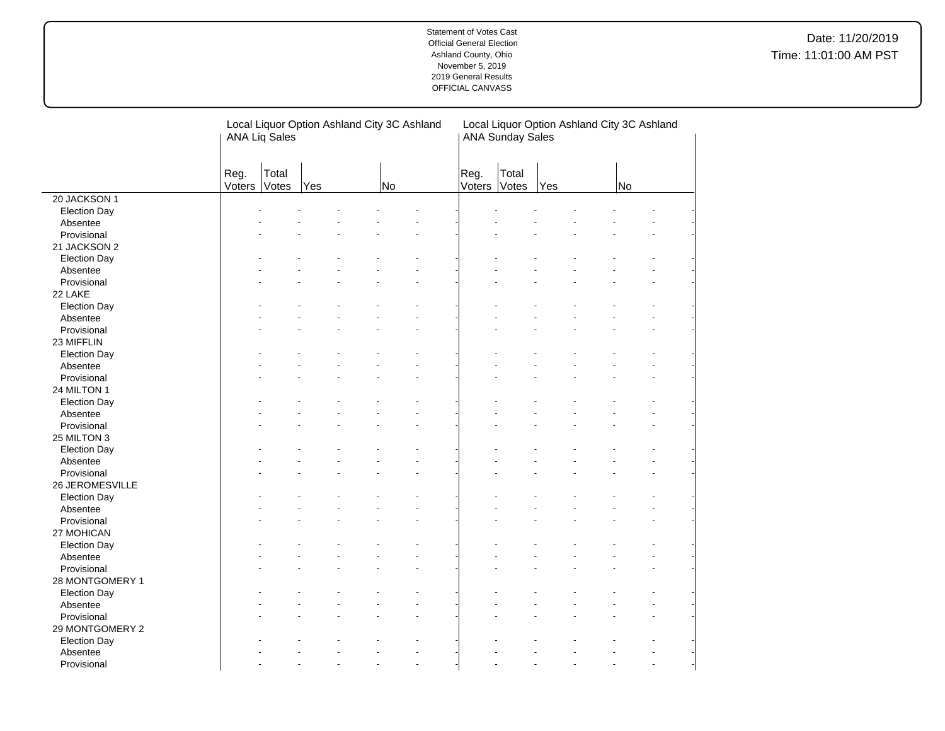|                     |                | <b>ANA Liq Sales</b> |     | Local Liquor Option Ashland City 3C Ashland |    |                      | Local Liquor Option Ashland City 3C Ashland<br><b>ANA Sunday Sales</b> |                |     |  |    |  |
|---------------------|----------------|----------------------|-----|---------------------------------------------|----|----------------------|------------------------------------------------------------------------|----------------|-----|--|----|--|
|                     | Reg.<br>Voters | Total<br>Votes       | Yes |                                             | No |                      | Reg.<br>Voters                                                         | Total<br>Votes | Yes |  | No |  |
| 20 JACKSON 1        |                |                      |     |                                             |    |                      |                                                                        |                |     |  |    |  |
| <b>Election Day</b> |                |                      |     |                                             |    |                      |                                                                        |                |     |  |    |  |
| Absentee            |                |                      |     |                                             |    |                      |                                                                        |                |     |  |    |  |
| Provisional         |                |                      |     |                                             |    |                      |                                                                        |                |     |  |    |  |
| 21 JACKSON 2        |                |                      |     |                                             |    |                      |                                                                        |                |     |  |    |  |
| <b>Election Day</b> |                |                      |     |                                             |    |                      |                                                                        |                |     |  |    |  |
| Absentee            |                |                      |     |                                             |    |                      |                                                                        |                |     |  |    |  |
| Provisional         |                |                      |     |                                             |    |                      |                                                                        |                |     |  |    |  |
| 22 LAKE             |                |                      |     |                                             |    |                      |                                                                        |                |     |  |    |  |
| <b>Election Day</b> |                |                      |     |                                             |    |                      |                                                                        |                |     |  |    |  |
| Absentee            |                |                      |     |                                             |    |                      |                                                                        |                |     |  |    |  |
| Provisional         |                |                      |     |                                             |    |                      |                                                                        |                |     |  |    |  |
| 23 MIFFLIN          |                |                      |     |                                             |    |                      |                                                                        |                |     |  |    |  |
| <b>Election Day</b> |                |                      |     |                                             |    |                      |                                                                        |                |     |  |    |  |
| Absentee            |                |                      |     |                                             |    |                      |                                                                        |                |     |  |    |  |
| Provisional         |                |                      |     |                                             |    |                      |                                                                        |                |     |  |    |  |
| 24 MILTON 1         |                |                      |     |                                             |    |                      |                                                                        |                |     |  |    |  |
| <b>Election Day</b> |                |                      |     |                                             |    |                      |                                                                        |                |     |  |    |  |
| Absentee            |                |                      |     |                                             |    |                      |                                                                        |                |     |  |    |  |
| Provisional         |                |                      |     |                                             |    |                      |                                                                        |                |     |  |    |  |
| 25 MILTON 3         |                |                      |     |                                             |    |                      |                                                                        |                |     |  |    |  |
| <b>Election Day</b> |                |                      |     |                                             |    |                      |                                                                        |                |     |  |    |  |
| Absentee            |                |                      |     |                                             |    |                      |                                                                        |                |     |  |    |  |
| Provisional         |                |                      |     |                                             |    |                      |                                                                        |                |     |  |    |  |
| 26 JEROMESVILLE     |                |                      |     |                                             |    |                      |                                                                        |                |     |  |    |  |
| <b>Election Day</b> |                |                      |     |                                             |    |                      |                                                                        |                |     |  |    |  |
| Absentee            |                |                      |     |                                             |    |                      |                                                                        |                |     |  |    |  |
| Provisional         |                |                      |     |                                             |    |                      |                                                                        |                |     |  |    |  |
| 27 MOHICAN          |                |                      |     |                                             |    |                      |                                                                        |                |     |  |    |  |
| <b>Election Day</b> |                |                      |     |                                             |    |                      |                                                                        |                |     |  |    |  |
| Absentee            |                |                      |     |                                             |    |                      |                                                                        |                |     |  |    |  |
| Provisional         |                |                      |     |                                             |    |                      |                                                                        |                |     |  |    |  |
| 28 MONTGOMERY 1     |                |                      |     |                                             |    |                      |                                                                        |                |     |  |    |  |
| <b>Election Day</b> |                |                      |     |                                             |    |                      |                                                                        |                |     |  |    |  |
| Absentee            |                |                      |     |                                             |    |                      |                                                                        |                |     |  |    |  |
| Provisional         |                |                      |     |                                             |    |                      |                                                                        |                |     |  |    |  |
| 29 MONTGOMERY 2     |                |                      |     |                                             |    |                      |                                                                        |                |     |  |    |  |
| <b>Election Day</b> |                |                      |     |                                             |    |                      |                                                                        |                |     |  |    |  |
| Absentee            |                |                      |     |                                             |    |                      |                                                                        |                |     |  |    |  |
| Provisional         |                |                      |     |                                             |    | $\ddot{\phantom{1}}$ |                                                                        |                |     |  |    |  |

 $\overline{a}$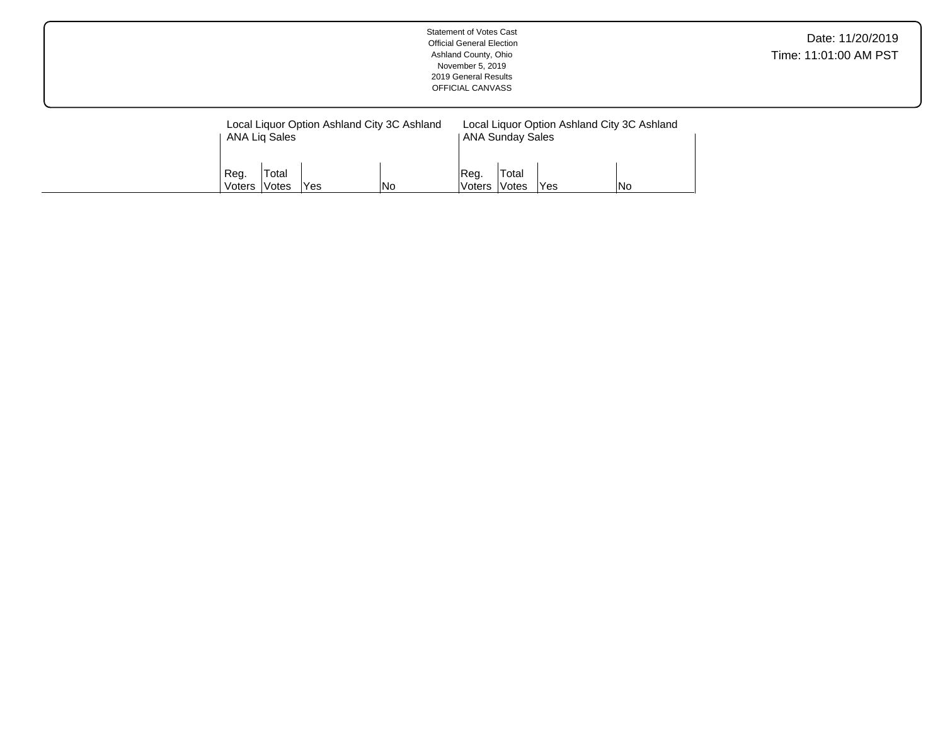|                |                                 |     |                                                    | <b>Statement of Votes Cast</b><br><b>Official General Election</b><br>Ashland County, Ohio<br>November 5, 2019<br>2019 General Results<br>OFFICIAL CANVASS |                                                         |     |                                                    | Date: 11/20/2019<br>Time: 11:01:00 AM PST |
|----------------|---------------------------------|-----|----------------------------------------------------|------------------------------------------------------------------------------------------------------------------------------------------------------------|---------------------------------------------------------|-----|----------------------------------------------------|-------------------------------------------|
| Reg.<br>Voters | ANA Liq Sales<br>Total<br>Votes | Yes | Local Liquor Option Ashland City 3C Ashland<br> No | Reg.<br> Voters                                                                                                                                            | <b>ANA Sunday Sales</b><br>Total<br><i><b>Votes</b></i> | Yes | Local Liquor Option Ashland City 3C Ashland<br> No |                                           |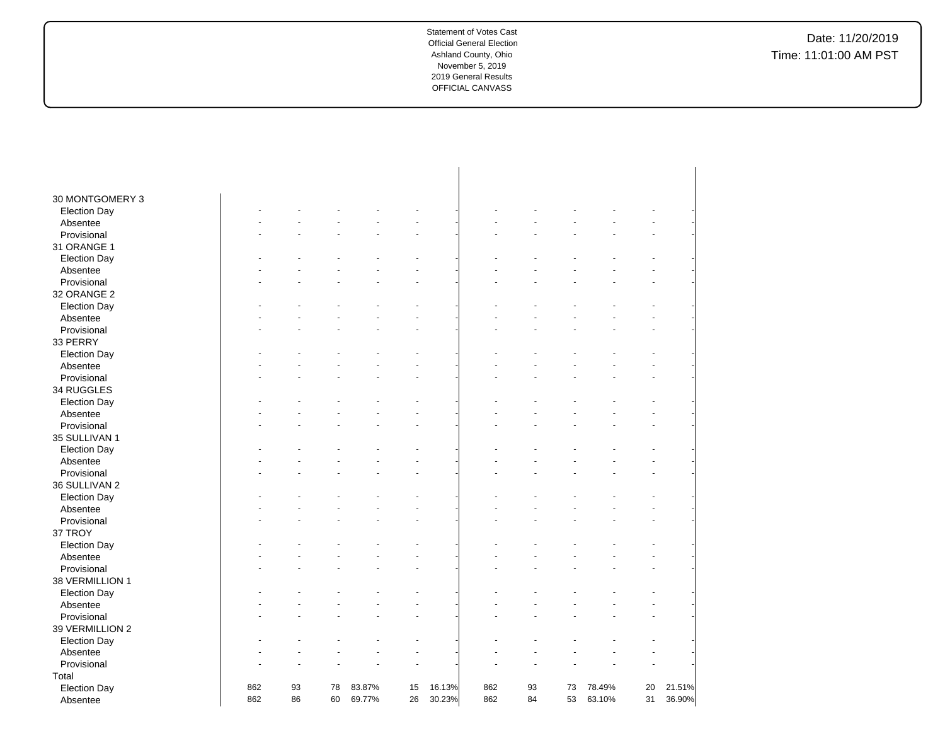| 30 MONTGOMERY 3     |     |    |    |        |    |        |     |    |    |        |    |        |
|---------------------|-----|----|----|--------|----|--------|-----|----|----|--------|----|--------|
| <b>Election Day</b> |     |    |    |        |    |        |     |    |    |        |    |        |
|                     |     |    |    |        |    |        |     |    |    |        |    |        |
| Absentee            |     |    |    |        |    |        |     |    |    |        |    |        |
| Provisional         |     |    |    |        |    |        |     |    |    |        |    |        |
| 31 ORANGE 1         |     |    |    |        |    |        |     |    |    |        |    |        |
| <b>Election Day</b> |     |    |    |        |    |        |     |    |    |        |    |        |
| Absentee            |     |    |    |        |    |        |     |    |    |        |    |        |
| Provisional         |     |    |    |        |    |        |     |    |    |        |    |        |
| 32 ORANGE 2         |     |    |    |        |    |        |     |    |    |        |    |        |
| <b>Election Day</b> |     |    |    |        |    |        |     |    |    |        |    |        |
| Absentee            |     |    |    |        |    |        |     |    |    |        |    |        |
| Provisional         |     |    |    |        |    |        |     |    |    |        |    |        |
| 33 PERRY            |     |    |    |        |    |        |     |    |    |        |    |        |
| <b>Election Day</b> |     |    |    |        |    |        |     |    |    |        |    |        |
| Absentee            |     |    |    |        |    |        |     |    |    |        |    |        |
| Provisional         |     |    |    |        |    |        |     |    |    |        |    |        |
| 34 RUGGLES          |     |    |    |        |    |        |     |    |    |        |    |        |
| <b>Election Day</b> |     |    |    |        |    |        |     |    |    |        |    |        |
| Absentee            |     |    |    |        |    |        |     |    |    |        |    |        |
| Provisional         |     |    |    |        |    |        |     |    |    |        |    |        |
| 35 SULLIVAN 1       |     |    |    |        |    |        |     |    |    |        |    |        |
| <b>Election Day</b> |     |    |    |        |    |        |     |    |    |        |    |        |
| Absentee            |     |    |    |        |    |        |     |    |    |        |    |        |
| Provisional         |     |    |    |        |    |        |     |    |    |        |    |        |
| 36 SULLIVAN 2       |     |    |    |        |    |        |     |    |    |        |    |        |
| <b>Election Day</b> |     |    |    |        |    |        |     |    |    |        |    |        |
| Absentee            |     |    |    |        |    |        |     |    |    |        |    |        |
| Provisional         |     |    |    |        |    |        |     |    |    |        |    |        |
| 37 TROY             |     |    |    |        |    |        |     |    |    |        |    |        |
| <b>Election Day</b> |     |    |    |        |    |        |     |    |    |        |    |        |
| Absentee            |     |    |    |        |    |        |     |    |    |        |    |        |
| Provisional         |     |    |    |        |    |        |     |    |    |        |    |        |
| 38 VERMILLION 1     |     |    |    |        |    |        |     |    |    |        |    |        |
| <b>Election Day</b> |     |    |    |        |    |        |     |    |    |        |    |        |
| Absentee            |     |    |    |        |    |        |     |    |    |        |    |        |
| Provisional         |     |    |    |        |    |        |     |    |    |        |    |        |
| 39 VERMILLION 2     |     |    |    |        |    |        |     |    |    |        |    |        |
| <b>Election Day</b> |     |    |    |        |    |        |     |    |    |        |    |        |
| Absentee            |     |    |    |        |    |        |     |    |    |        |    |        |
| Provisional         |     |    |    |        |    |        |     |    |    |        |    |        |
| Total               |     |    |    |        |    |        |     |    |    |        |    |        |
| <b>Election Day</b> | 862 | 93 | 78 | 83.87% | 15 | 16.13% | 862 | 93 | 73 | 78.49% | 20 | 21.51% |
| Absentee            | 862 | 86 | 60 | 69.77% | 26 | 30.23% | 862 | 84 | 53 | 63.10% | 31 | 36.90% |
|                     |     |    |    |        |    |        |     |    |    |        |    |        |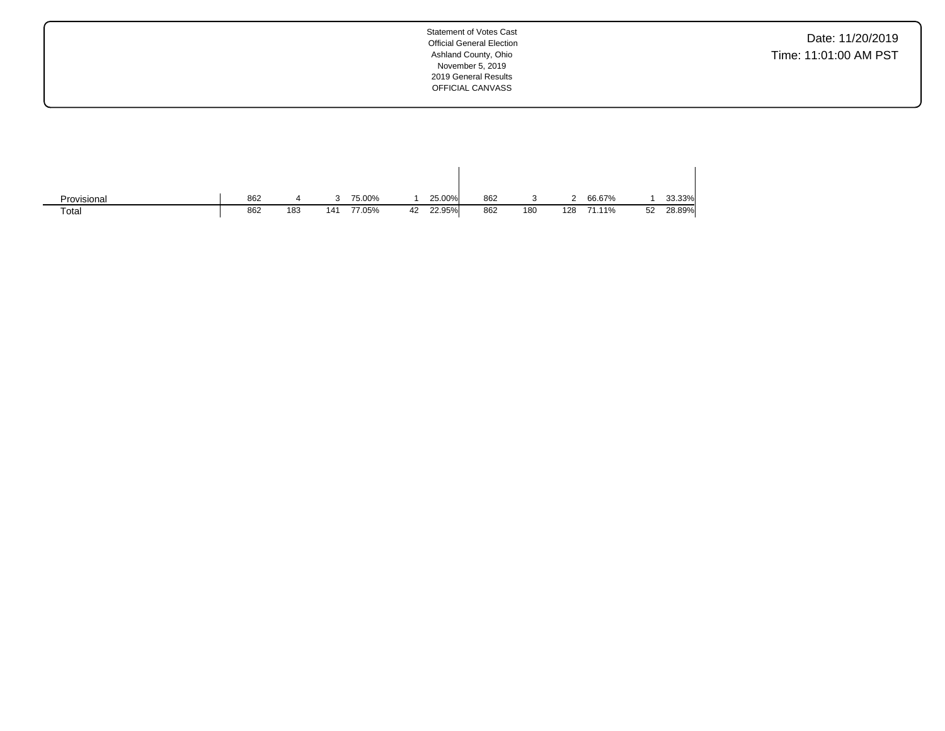Date: 11/20/2019 Time: 11:01:00 AM PST

| Provisional | 862 |     |     | 75.00% |    | 25.00% | 862 |     |     | 66.67% |    | 33.33% |
|-------------|-----|-----|-----|--------|----|--------|-----|-----|-----|--------|----|--------|
| Total       | 862 | 183 | 141 | 77.05% | 42 | 22.95% | 862 | 180 | 128 | 71.11% | 52 | 28.89% |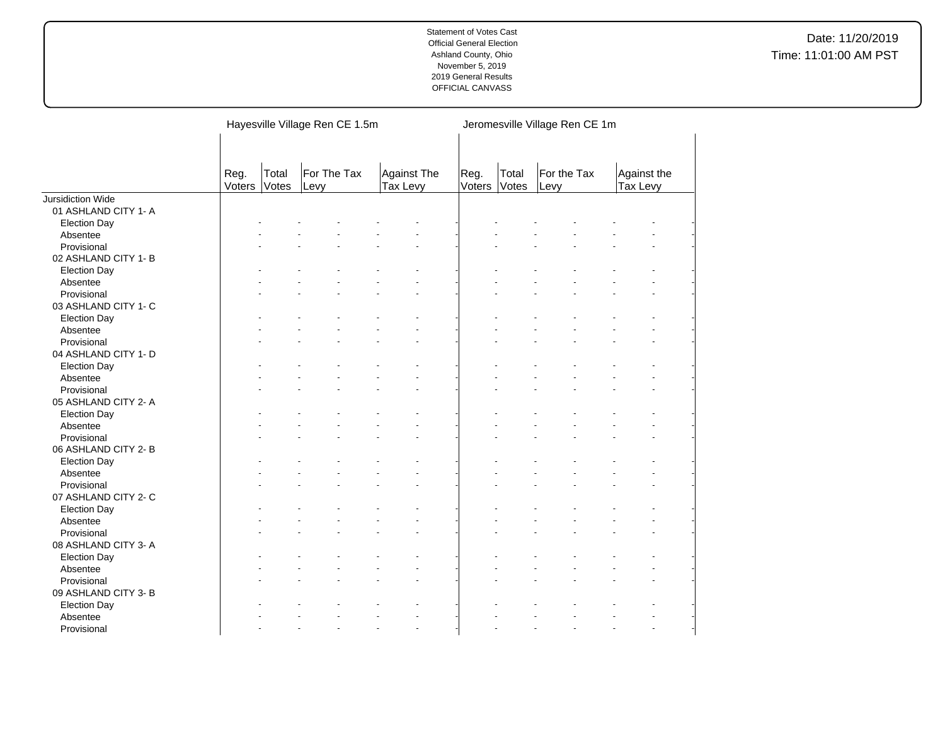|                          |                |                | Hayesville Village Ren CE 1.5m |                         | Jeromesville Village Ren CE 1m |                |                     |                         |  |  |  |
|--------------------------|----------------|----------------|--------------------------------|-------------------------|--------------------------------|----------------|---------------------|-------------------------|--|--|--|
|                          | Reg.<br>Voters | Total<br>Votes | For The Tax<br>Levy            | Against The<br>Tax Levy | Reg.<br>Voters                 | Total<br>Votes | For the Tax<br>Levy | Against the<br>Tax Levy |  |  |  |
| <b>Jursidiction Wide</b> |                |                |                                |                         |                                |                |                     |                         |  |  |  |
| 01 ASHLAND CITY 1- A     |                |                |                                |                         |                                |                |                     |                         |  |  |  |
| <b>Election Day</b>      |                |                |                                |                         |                                |                |                     |                         |  |  |  |
| Absentee                 |                |                |                                |                         |                                |                |                     |                         |  |  |  |
| Provisional              |                |                |                                |                         |                                |                |                     |                         |  |  |  |
| 02 ASHLAND CITY 1-B      |                |                |                                |                         |                                |                |                     |                         |  |  |  |
| <b>Election Day</b>      |                |                |                                |                         |                                |                |                     |                         |  |  |  |
| Absentee                 |                |                |                                |                         |                                |                |                     |                         |  |  |  |
| Provisional              |                |                |                                |                         |                                |                |                     |                         |  |  |  |
| 03 ASHLAND CITY 1- C     |                |                |                                |                         |                                |                |                     |                         |  |  |  |
| <b>Election Day</b>      |                |                |                                |                         |                                |                |                     |                         |  |  |  |
| Absentee                 |                |                |                                |                         |                                |                |                     |                         |  |  |  |
| Provisional              |                |                |                                |                         |                                |                |                     |                         |  |  |  |
| 04 ASHLAND CITY 1- D     |                |                |                                |                         |                                |                |                     |                         |  |  |  |
| <b>Election Day</b>      |                |                |                                |                         |                                |                |                     |                         |  |  |  |
| Absentee                 |                |                |                                |                         |                                |                |                     |                         |  |  |  |
| Provisional              |                |                |                                |                         |                                |                |                     |                         |  |  |  |
| 05 ASHLAND CITY 2-A      |                |                |                                |                         |                                |                |                     |                         |  |  |  |
| <b>Election Day</b>      |                |                |                                |                         |                                |                |                     |                         |  |  |  |
| Absentee                 |                |                |                                |                         |                                |                |                     |                         |  |  |  |
| Provisional              |                |                |                                |                         |                                |                |                     |                         |  |  |  |
| 06 ASHLAND CITY 2-B      |                |                |                                |                         |                                |                |                     |                         |  |  |  |
| <b>Election Day</b>      |                |                |                                |                         |                                |                |                     |                         |  |  |  |
| Absentee                 |                |                |                                |                         |                                |                |                     |                         |  |  |  |
| Provisional              |                |                |                                |                         |                                |                |                     |                         |  |  |  |
|                          |                |                |                                |                         |                                |                |                     |                         |  |  |  |
| 07 ASHLAND CITY 2- C     |                |                |                                |                         |                                |                |                     |                         |  |  |  |
| <b>Election Day</b>      |                |                |                                |                         |                                |                |                     |                         |  |  |  |
| Absentee                 |                |                |                                |                         |                                |                |                     |                         |  |  |  |
| Provisional              |                |                |                                |                         |                                |                |                     |                         |  |  |  |
| 08 ASHLAND CITY 3-A      |                |                |                                |                         |                                |                |                     |                         |  |  |  |
| <b>Election Day</b>      |                |                |                                |                         |                                |                |                     |                         |  |  |  |
| Absentee                 |                |                |                                |                         |                                |                |                     |                         |  |  |  |
| Provisional              |                |                |                                |                         |                                |                |                     |                         |  |  |  |
| 09 ASHLAND CITY 3- B     |                |                |                                |                         |                                |                |                     |                         |  |  |  |
| <b>Election Day</b>      |                |                |                                |                         |                                |                |                     |                         |  |  |  |
| Absentee                 |                |                |                                |                         |                                |                |                     |                         |  |  |  |
| Provisional              |                |                |                                |                         |                                |                |                     |                         |  |  |  |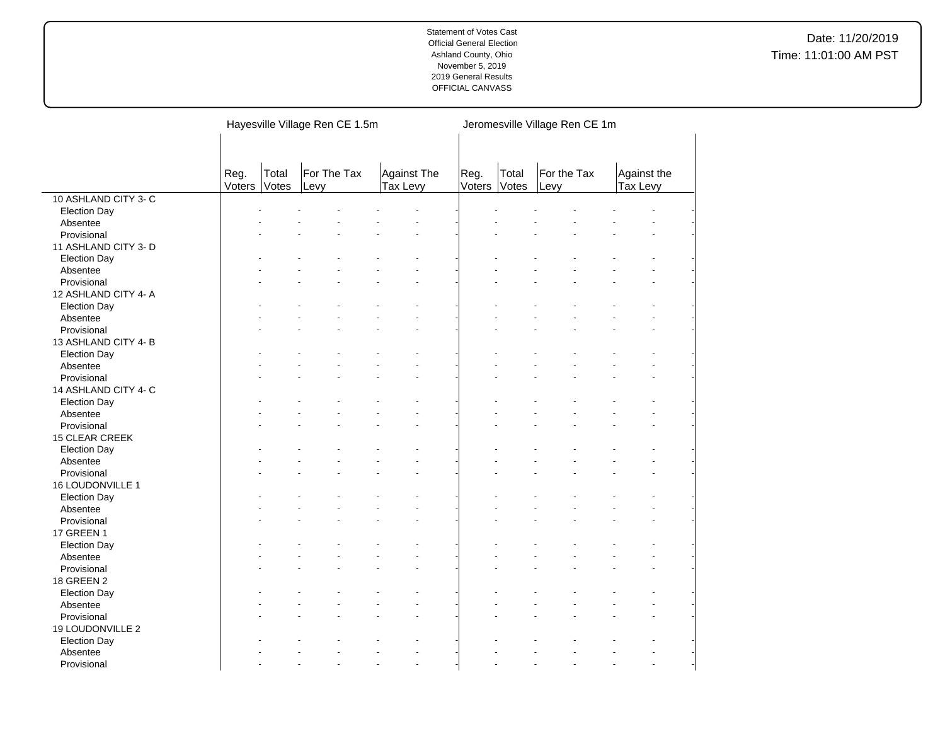|                      |                |                | Hayesville Village Ren CE 1.5m |                         | Jeromesville Village Ren CE 1m |       |                     |                         |  |  |
|----------------------|----------------|----------------|--------------------------------|-------------------------|--------------------------------|-------|---------------------|-------------------------|--|--|
|                      | Reg.<br>Voters | Total<br>Votes | For The Tax<br>Levy            | Against The<br>Tax Levy | Reg.<br>Voters Votes           | Total | For the Tax<br>Levy | Against the<br>Tax Levy |  |  |
| 10 ASHLAND CITY 3- C |                |                |                                |                         |                                |       |                     |                         |  |  |
| <b>Election Day</b>  |                |                |                                |                         |                                |       |                     |                         |  |  |
| Absentee             |                |                |                                |                         |                                |       |                     |                         |  |  |
| Provisional          |                |                |                                |                         |                                |       |                     |                         |  |  |
| 11 ASHLAND CITY 3- D |                |                |                                |                         |                                |       |                     |                         |  |  |
| <b>Election Day</b>  |                |                |                                |                         |                                |       |                     |                         |  |  |
| Absentee             |                |                |                                |                         |                                |       |                     |                         |  |  |
| Provisional          |                |                |                                |                         |                                |       |                     | ÷.                      |  |  |
| 12 ASHLAND CITY 4- A |                |                |                                |                         |                                |       |                     |                         |  |  |
| Election Day         |                |                |                                |                         |                                |       |                     |                         |  |  |
| Absentee             |                |                |                                |                         |                                |       |                     |                         |  |  |
| Provisional          |                |                |                                |                         |                                |       |                     |                         |  |  |
| 13 ASHLAND CITY 4-B  |                |                |                                |                         |                                |       |                     |                         |  |  |
| Election Day         |                |                |                                |                         |                                |       |                     |                         |  |  |
| Absentee             |                |                |                                |                         |                                |       |                     |                         |  |  |
| Provisional          |                |                |                                |                         |                                |       |                     |                         |  |  |
| 14 ASHLAND CITY 4- C |                |                |                                |                         |                                |       |                     |                         |  |  |
| <b>Election Day</b>  |                |                |                                |                         |                                |       |                     |                         |  |  |
| Absentee             |                |                |                                |                         |                                |       |                     |                         |  |  |
| Provisional          |                |                |                                |                         |                                |       |                     |                         |  |  |
| 15 CLEAR CREEK       |                |                |                                |                         |                                |       |                     |                         |  |  |
| <b>Election Day</b>  |                |                |                                |                         |                                |       |                     |                         |  |  |
| Absentee             |                |                |                                |                         |                                |       |                     | ÷.                      |  |  |
| Provisional          |                |                |                                |                         |                                |       |                     |                         |  |  |
| 16 LOUDONVILLE 1     |                |                |                                |                         |                                |       |                     |                         |  |  |
| <b>Election Day</b>  |                |                |                                |                         |                                |       |                     |                         |  |  |
| Absentee             |                |                |                                |                         |                                |       |                     |                         |  |  |
| Provisional          |                |                |                                |                         |                                |       |                     |                         |  |  |
| 17 GREEN 1           |                |                |                                |                         |                                |       |                     |                         |  |  |
| <b>Election Day</b>  |                |                |                                |                         |                                |       |                     |                         |  |  |
| Absentee             |                |                |                                |                         |                                |       |                     | $\overline{a}$          |  |  |
| Provisional          |                |                |                                |                         |                                |       |                     |                         |  |  |
| 18 GREEN 2           |                |                |                                |                         |                                |       |                     |                         |  |  |
| <b>Election Day</b>  |                |                |                                |                         |                                |       |                     |                         |  |  |
| Absentee             |                |                |                                |                         |                                |       |                     | ä,                      |  |  |
| Provisional          |                |                |                                |                         |                                |       |                     | ÷.                      |  |  |
| 19 LOUDONVILLE 2     |                |                |                                |                         |                                |       |                     |                         |  |  |
| <b>Election Day</b>  |                |                |                                |                         |                                |       |                     |                         |  |  |
| Absentee             |                |                |                                |                         |                                |       |                     |                         |  |  |
| Provisional          |                |                |                                |                         |                                |       |                     | ÷.                      |  |  |

 $\overline{a}$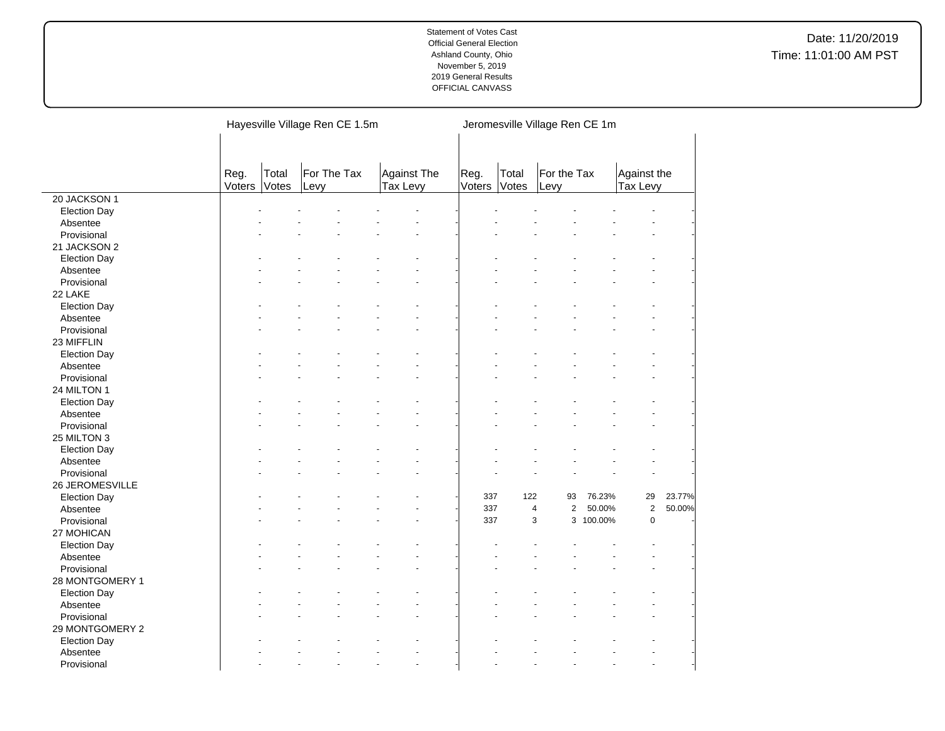|                                 |                |                | Hayesville Village Ren CE 1.5m |                         | Jeromesville Village Ren CE 1m |                |                                           |           |                         |        |  |
|---------------------------------|----------------|----------------|--------------------------------|-------------------------|--------------------------------|----------------|-------------------------------------------|-----------|-------------------------|--------|--|
|                                 | Reg.<br>Voters | Total<br>Votes | For The Tax<br>Levy            | Against The<br>Tax Levy | Reg.<br>Voters                 | Total<br>Votes | For the Tax<br>Levy                       |           | Against the<br>Tax Levy |        |  |
| 20 JACKSON 1                    |                |                |                                |                         |                                |                |                                           |           |                         |        |  |
| <b>Election Day</b>             |                |                |                                |                         |                                |                |                                           |           |                         |        |  |
| Absentee                        |                |                |                                |                         |                                |                |                                           |           |                         |        |  |
| Provisional                     |                |                |                                |                         |                                |                |                                           |           |                         |        |  |
| 21 JACKSON 2                    |                |                |                                |                         |                                |                |                                           |           |                         |        |  |
| <b>Election Day</b>             |                |                |                                |                         |                                |                |                                           |           |                         |        |  |
| Absentee                        |                |                |                                |                         |                                |                |                                           |           |                         |        |  |
| Provisional                     |                |                |                                |                         |                                |                |                                           |           |                         |        |  |
| 22 LAKE                         |                |                |                                |                         |                                |                |                                           |           |                         |        |  |
| <b>Election Day</b>             |                |                |                                |                         |                                |                |                                           |           |                         |        |  |
| Absentee                        |                |                |                                |                         |                                |                |                                           |           |                         |        |  |
| Provisional                     |                |                |                                |                         |                                |                |                                           |           |                         |        |  |
| 23 MIFFLIN                      |                |                |                                |                         |                                |                |                                           |           |                         |        |  |
| <b>Election Day</b>             |                |                |                                |                         |                                |                |                                           |           |                         |        |  |
| Absentee                        |                |                |                                |                         |                                |                |                                           |           |                         |        |  |
| Provisional                     |                |                |                                |                         |                                |                |                                           |           |                         |        |  |
| 24 MILTON 1                     |                |                |                                |                         |                                |                |                                           |           |                         |        |  |
| <b>Election Day</b>             |                |                |                                |                         |                                |                |                                           |           |                         |        |  |
| Absentee                        |                |                |                                |                         |                                |                |                                           |           |                         |        |  |
| Provisional                     |                |                |                                |                         |                                |                |                                           |           |                         |        |  |
| 25 MILTON 3                     |                |                |                                |                         |                                |                |                                           |           |                         |        |  |
| <b>Election Day</b>             |                |                |                                |                         |                                |                |                                           |           |                         |        |  |
| Absentee                        |                |                |                                |                         |                                |                |                                           |           |                         |        |  |
| Provisional                     |                |                |                                |                         |                                |                |                                           |           |                         |        |  |
| 26 JEROMESVILLE                 |                |                |                                |                         |                                |                |                                           |           |                         |        |  |
| <b>Election Day</b>             |                |                |                                |                         |                                | 337<br>122     | 93                                        | 76.23%    | 29                      | 23.77% |  |
| Absentee                        |                |                |                                |                         |                                | 337            | $\overline{2}$<br>$\overline{\mathbf{4}}$ | 50.00%    | $\mathbf 2$             | 50.00% |  |
| Provisional                     |                |                |                                |                         |                                | 337            | 3                                         | 3 100.00% | $\mathbf 0$             |        |  |
| 27 MOHICAN                      |                |                |                                |                         |                                |                |                                           |           |                         |        |  |
|                                 |                |                |                                |                         |                                |                |                                           |           |                         |        |  |
| <b>Election Day</b><br>Absentee |                |                |                                |                         |                                |                |                                           |           |                         |        |  |
|                                 |                |                |                                |                         |                                |                |                                           |           |                         |        |  |
| Provisional                     |                |                |                                |                         |                                |                |                                           |           |                         |        |  |
| 28 MONTGOMERY 1                 |                |                |                                |                         |                                |                |                                           |           |                         |        |  |
| <b>Election Day</b>             |                |                |                                |                         |                                |                |                                           |           |                         |        |  |
| Absentee                        |                |                |                                |                         |                                |                |                                           |           |                         |        |  |
| Provisional                     |                |                |                                |                         |                                |                |                                           |           |                         |        |  |
| 29 MONTGOMERY 2                 |                |                |                                |                         |                                |                |                                           |           |                         |        |  |
| <b>Election Day</b>             |                |                |                                |                         |                                |                |                                           |           |                         |        |  |
| Absentee                        |                |                |                                |                         |                                |                |                                           |           |                         |        |  |
| Provisional                     |                |                |                                |                         |                                |                |                                           |           |                         |        |  |

 $\overline{\phantom{a}}$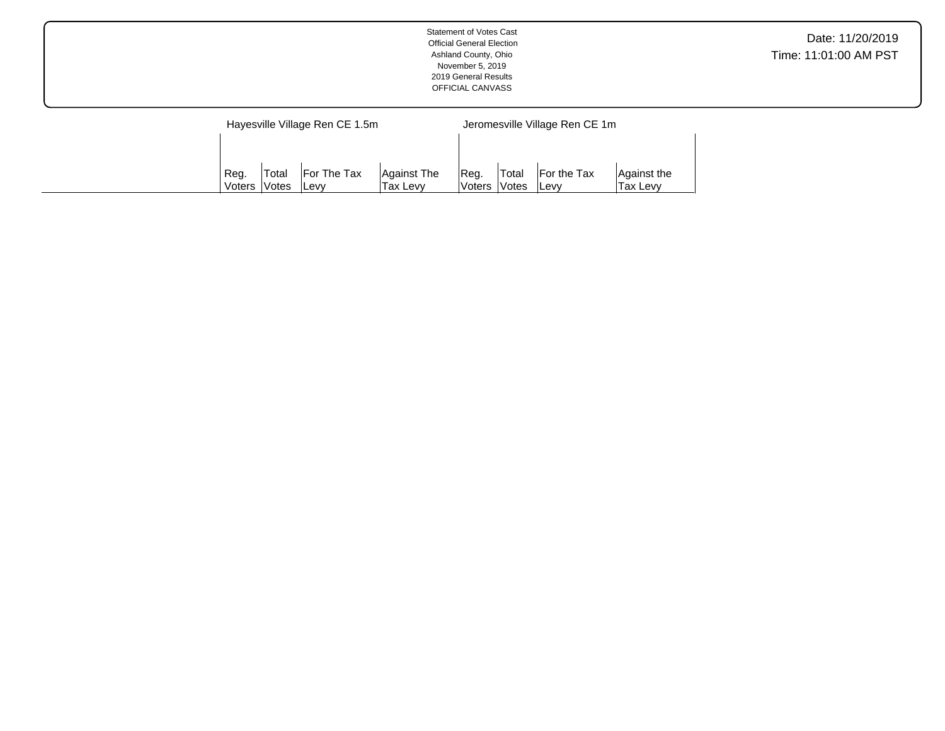| <b>Statement of Votes Cast</b><br><b>Official General Election</b><br>Ashland County, Ohio<br>November 5, 2019<br>2019 General Results<br>OFFICIAL CANVASS | Date: 11/20/2019<br>Time: 11:01:00 AM PST |
|------------------------------------------------------------------------------------------------------------------------------------------------------------|-------------------------------------------|
|                                                                                                                                                            |                                           |

|                                                   |        | Hayesville Village Ren CE 1.5m |             | Jeromesville Village Ren CE 1m |              |                    |             |  |  |
|---------------------------------------------------|--------|--------------------------------|-------------|--------------------------------|--------------|--------------------|-------------|--|--|
|                                                   |        |                                |             |                                |              |                    |             |  |  |
|                                                   |        |                                |             |                                |              |                    |             |  |  |
| Reg.                                              | ˈTotal | For The Tax                    | Against The | 'Rea.                          | 'Total       | <b>For the Tax</b> | Against the |  |  |
| <i><b>Notes</b></i><br>Voters<br>Tax Levv<br>Levy |        |                                |             |                                | Voters Votes | ∣Levv              | Tax Levv    |  |  |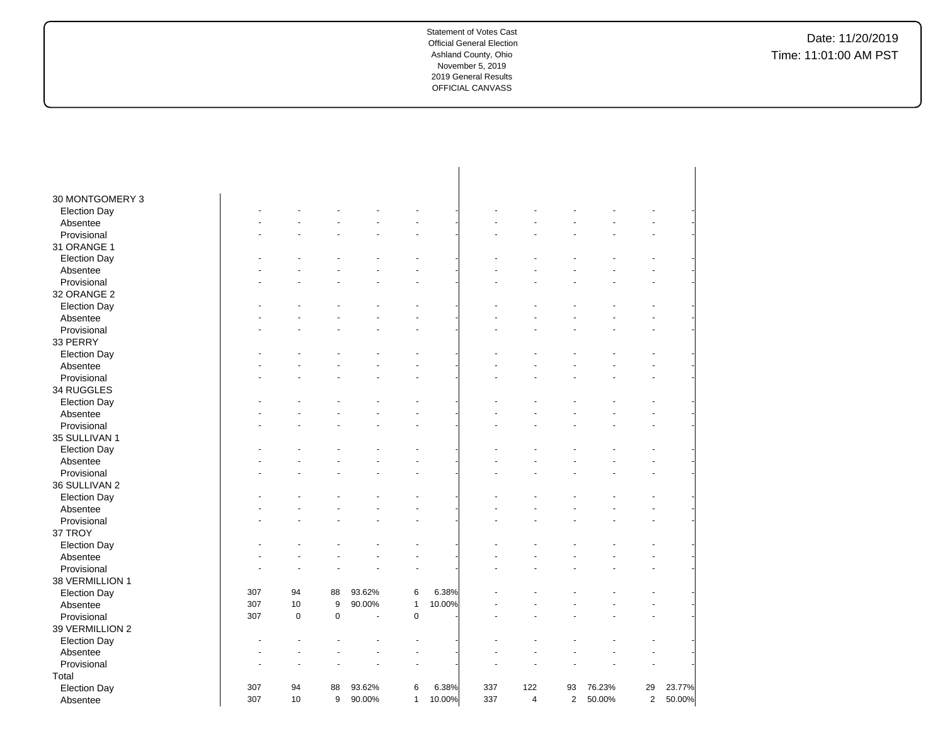| 30 MONTGOMERY 3<br><b>Election Day</b><br>Absentee<br>Provisional<br>31 ORANGE 1<br><b>Election Day</b><br>Absentee<br>Provisional<br>32 ORANGE 2<br><b>Election Day</b><br>Absentee<br>Provisional<br>33 PERRY<br><b>Election Day</b><br>Absentee<br>Provisional<br>34 RUGGLES<br><b>Election Day</b><br>Absentee<br>Provisional<br>35 SULLIVAN 1<br><b>Election Day</b><br>Absentee<br>Provisional<br>36 SULLIVAN 2<br><b>Election Day</b><br>Absentee<br>Provisional<br>37 TROY<br><b>Election Day</b><br>Absentee<br>Provisional<br>38 VERMILLION 1<br><b>Election Day</b><br>307<br>94<br>88<br>93.62%<br>6<br>6.38%<br>307<br>10<br>9<br>90.00%<br>$\mathbf{1}$<br>10.00%<br>Absentee<br>307<br>$\mathbf 0$<br>$\pmb{0}$<br>$\pmb{0}$<br>Provisional<br>÷,<br>39 VERMILLION 2<br><b>Election Day</b><br>Absentee<br>Provisional<br>Total<br>29<br>307<br>94<br>88<br>93.62%<br>6<br>6.38%<br>337<br>122<br>93<br>76.23%<br>23.77%<br><b>Election Day</b><br>9<br>307<br>10<br>90.00%<br>337<br>$\overline{4}$<br>$\mathbf{2}$<br>50.00%<br>$\mathbf{1}$ |          |  |  |        |  |  |                |        |
|---------------------------------------------------------------------------------------------------------------------------------------------------------------------------------------------------------------------------------------------------------------------------------------------------------------------------------------------------------------------------------------------------------------------------------------------------------------------------------------------------------------------------------------------------------------------------------------------------------------------------------------------------------------------------------------------------------------------------------------------------------------------------------------------------------------------------------------------------------------------------------------------------------------------------------------------------------------------------------------------------------------------------------------------------------------|----------|--|--|--------|--|--|----------------|--------|
|                                                                                                                                                                                                                                                                                                                                                                                                                                                                                                                                                                                                                                                                                                                                                                                                                                                                                                                                                                                                                                                               |          |  |  |        |  |  |                |        |
|                                                                                                                                                                                                                                                                                                                                                                                                                                                                                                                                                                                                                                                                                                                                                                                                                                                                                                                                                                                                                                                               |          |  |  |        |  |  |                |        |
|                                                                                                                                                                                                                                                                                                                                                                                                                                                                                                                                                                                                                                                                                                                                                                                                                                                                                                                                                                                                                                                               |          |  |  |        |  |  |                |        |
|                                                                                                                                                                                                                                                                                                                                                                                                                                                                                                                                                                                                                                                                                                                                                                                                                                                                                                                                                                                                                                                               |          |  |  |        |  |  |                |        |
|                                                                                                                                                                                                                                                                                                                                                                                                                                                                                                                                                                                                                                                                                                                                                                                                                                                                                                                                                                                                                                                               |          |  |  |        |  |  |                |        |
|                                                                                                                                                                                                                                                                                                                                                                                                                                                                                                                                                                                                                                                                                                                                                                                                                                                                                                                                                                                                                                                               |          |  |  |        |  |  |                |        |
|                                                                                                                                                                                                                                                                                                                                                                                                                                                                                                                                                                                                                                                                                                                                                                                                                                                                                                                                                                                                                                                               |          |  |  |        |  |  |                |        |
|                                                                                                                                                                                                                                                                                                                                                                                                                                                                                                                                                                                                                                                                                                                                                                                                                                                                                                                                                                                                                                                               |          |  |  |        |  |  |                |        |
|                                                                                                                                                                                                                                                                                                                                                                                                                                                                                                                                                                                                                                                                                                                                                                                                                                                                                                                                                                                                                                                               |          |  |  |        |  |  |                |        |
|                                                                                                                                                                                                                                                                                                                                                                                                                                                                                                                                                                                                                                                                                                                                                                                                                                                                                                                                                                                                                                                               |          |  |  |        |  |  |                |        |
|                                                                                                                                                                                                                                                                                                                                                                                                                                                                                                                                                                                                                                                                                                                                                                                                                                                                                                                                                                                                                                                               |          |  |  |        |  |  |                |        |
|                                                                                                                                                                                                                                                                                                                                                                                                                                                                                                                                                                                                                                                                                                                                                                                                                                                                                                                                                                                                                                                               |          |  |  |        |  |  |                |        |
|                                                                                                                                                                                                                                                                                                                                                                                                                                                                                                                                                                                                                                                                                                                                                                                                                                                                                                                                                                                                                                                               |          |  |  |        |  |  |                |        |
|                                                                                                                                                                                                                                                                                                                                                                                                                                                                                                                                                                                                                                                                                                                                                                                                                                                                                                                                                                                                                                                               |          |  |  |        |  |  |                |        |
|                                                                                                                                                                                                                                                                                                                                                                                                                                                                                                                                                                                                                                                                                                                                                                                                                                                                                                                                                                                                                                                               |          |  |  |        |  |  |                |        |
|                                                                                                                                                                                                                                                                                                                                                                                                                                                                                                                                                                                                                                                                                                                                                                                                                                                                                                                                                                                                                                                               |          |  |  |        |  |  |                |        |
|                                                                                                                                                                                                                                                                                                                                                                                                                                                                                                                                                                                                                                                                                                                                                                                                                                                                                                                                                                                                                                                               |          |  |  |        |  |  |                |        |
|                                                                                                                                                                                                                                                                                                                                                                                                                                                                                                                                                                                                                                                                                                                                                                                                                                                                                                                                                                                                                                                               |          |  |  |        |  |  |                |        |
|                                                                                                                                                                                                                                                                                                                                                                                                                                                                                                                                                                                                                                                                                                                                                                                                                                                                                                                                                                                                                                                               |          |  |  |        |  |  |                |        |
|                                                                                                                                                                                                                                                                                                                                                                                                                                                                                                                                                                                                                                                                                                                                                                                                                                                                                                                                                                                                                                                               |          |  |  |        |  |  |                |        |
|                                                                                                                                                                                                                                                                                                                                                                                                                                                                                                                                                                                                                                                                                                                                                                                                                                                                                                                                                                                                                                                               |          |  |  |        |  |  |                |        |
|                                                                                                                                                                                                                                                                                                                                                                                                                                                                                                                                                                                                                                                                                                                                                                                                                                                                                                                                                                                                                                                               |          |  |  |        |  |  |                |        |
|                                                                                                                                                                                                                                                                                                                                                                                                                                                                                                                                                                                                                                                                                                                                                                                                                                                                                                                                                                                                                                                               |          |  |  |        |  |  |                |        |
|                                                                                                                                                                                                                                                                                                                                                                                                                                                                                                                                                                                                                                                                                                                                                                                                                                                                                                                                                                                                                                                               |          |  |  |        |  |  |                |        |
|                                                                                                                                                                                                                                                                                                                                                                                                                                                                                                                                                                                                                                                                                                                                                                                                                                                                                                                                                                                                                                                               |          |  |  |        |  |  |                |        |
|                                                                                                                                                                                                                                                                                                                                                                                                                                                                                                                                                                                                                                                                                                                                                                                                                                                                                                                                                                                                                                                               |          |  |  |        |  |  |                |        |
|                                                                                                                                                                                                                                                                                                                                                                                                                                                                                                                                                                                                                                                                                                                                                                                                                                                                                                                                                                                                                                                               |          |  |  |        |  |  |                |        |
|                                                                                                                                                                                                                                                                                                                                                                                                                                                                                                                                                                                                                                                                                                                                                                                                                                                                                                                                                                                                                                                               |          |  |  |        |  |  |                |        |
|                                                                                                                                                                                                                                                                                                                                                                                                                                                                                                                                                                                                                                                                                                                                                                                                                                                                                                                                                                                                                                                               |          |  |  |        |  |  |                |        |
|                                                                                                                                                                                                                                                                                                                                                                                                                                                                                                                                                                                                                                                                                                                                                                                                                                                                                                                                                                                                                                                               |          |  |  |        |  |  |                |        |
|                                                                                                                                                                                                                                                                                                                                                                                                                                                                                                                                                                                                                                                                                                                                                                                                                                                                                                                                                                                                                                                               |          |  |  |        |  |  |                |        |
|                                                                                                                                                                                                                                                                                                                                                                                                                                                                                                                                                                                                                                                                                                                                                                                                                                                                                                                                                                                                                                                               |          |  |  |        |  |  |                |        |
|                                                                                                                                                                                                                                                                                                                                                                                                                                                                                                                                                                                                                                                                                                                                                                                                                                                                                                                                                                                                                                                               |          |  |  |        |  |  |                |        |
|                                                                                                                                                                                                                                                                                                                                                                                                                                                                                                                                                                                                                                                                                                                                                                                                                                                                                                                                                                                                                                                               |          |  |  |        |  |  |                |        |
|                                                                                                                                                                                                                                                                                                                                                                                                                                                                                                                                                                                                                                                                                                                                                                                                                                                                                                                                                                                                                                                               |          |  |  |        |  |  |                |        |
|                                                                                                                                                                                                                                                                                                                                                                                                                                                                                                                                                                                                                                                                                                                                                                                                                                                                                                                                                                                                                                                               |          |  |  |        |  |  |                |        |
|                                                                                                                                                                                                                                                                                                                                                                                                                                                                                                                                                                                                                                                                                                                                                                                                                                                                                                                                                                                                                                                               |          |  |  |        |  |  |                |        |
|                                                                                                                                                                                                                                                                                                                                                                                                                                                                                                                                                                                                                                                                                                                                                                                                                                                                                                                                                                                                                                                               |          |  |  |        |  |  |                |        |
|                                                                                                                                                                                                                                                                                                                                                                                                                                                                                                                                                                                                                                                                                                                                                                                                                                                                                                                                                                                                                                                               |          |  |  |        |  |  |                |        |
|                                                                                                                                                                                                                                                                                                                                                                                                                                                                                                                                                                                                                                                                                                                                                                                                                                                                                                                                                                                                                                                               |          |  |  |        |  |  |                |        |
|                                                                                                                                                                                                                                                                                                                                                                                                                                                                                                                                                                                                                                                                                                                                                                                                                                                                                                                                                                                                                                                               |          |  |  |        |  |  |                |        |
|                                                                                                                                                                                                                                                                                                                                                                                                                                                                                                                                                                                                                                                                                                                                                                                                                                                                                                                                                                                                                                                               |          |  |  |        |  |  |                |        |
|                                                                                                                                                                                                                                                                                                                                                                                                                                                                                                                                                                                                                                                                                                                                                                                                                                                                                                                                                                                                                                                               |          |  |  |        |  |  |                |        |
|                                                                                                                                                                                                                                                                                                                                                                                                                                                                                                                                                                                                                                                                                                                                                                                                                                                                                                                                                                                                                                                               | Absentee |  |  | 10.00% |  |  | $\overline{2}$ | 50.00% |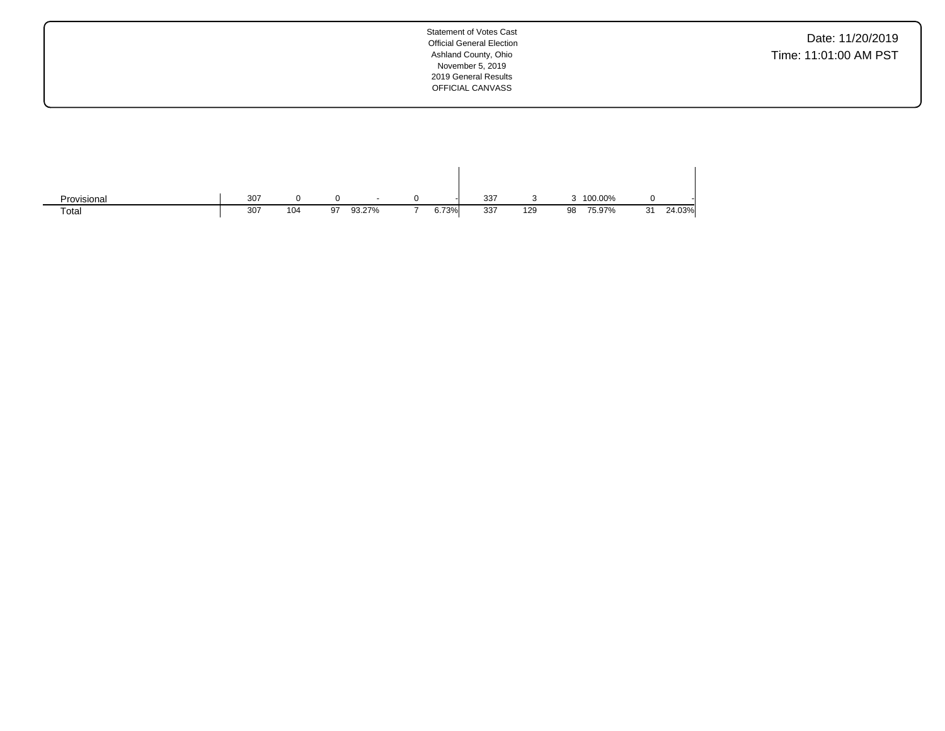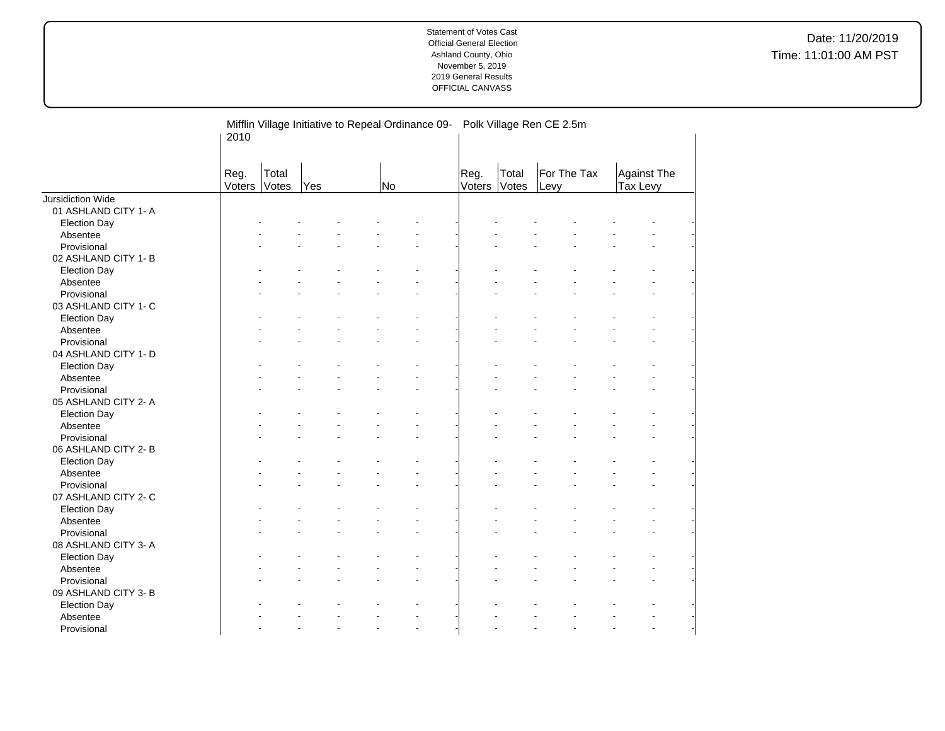Date: 11/20/2019 Time: 11:01:00 AM PST

| For The Tax<br>Total<br><b>Against The</b><br>Reg.<br>Reg.<br>Total<br>Voters<br>Votes<br>Voters<br>Votes<br>Tax Levy<br>Yes<br>No<br>Levy<br>Jursidiction Wide<br>01 ASHLAND CITY 1- A<br><b>Election Day</b><br>Absentee<br>Provisional<br>02 ASHLAND CITY 1-B<br><b>Election Day</b> |  |
|-----------------------------------------------------------------------------------------------------------------------------------------------------------------------------------------------------------------------------------------------------------------------------------------|--|
|                                                                                                                                                                                                                                                                                         |  |
|                                                                                                                                                                                                                                                                                         |  |
|                                                                                                                                                                                                                                                                                         |  |
|                                                                                                                                                                                                                                                                                         |  |
|                                                                                                                                                                                                                                                                                         |  |
|                                                                                                                                                                                                                                                                                         |  |
|                                                                                                                                                                                                                                                                                         |  |
|                                                                                                                                                                                                                                                                                         |  |
| Absentee                                                                                                                                                                                                                                                                                |  |
| Provisional                                                                                                                                                                                                                                                                             |  |
| 03 ASHLAND CITY 1- C                                                                                                                                                                                                                                                                    |  |
| <b>Election Day</b>                                                                                                                                                                                                                                                                     |  |
| Absentee                                                                                                                                                                                                                                                                                |  |
| Provisional                                                                                                                                                                                                                                                                             |  |
| 04 ASHLAND CITY 1- D                                                                                                                                                                                                                                                                    |  |
| <b>Election Day</b>                                                                                                                                                                                                                                                                     |  |
| Absentee                                                                                                                                                                                                                                                                                |  |
| Provisional<br>$\overline{a}$                                                                                                                                                                                                                                                           |  |
| 05 ASHLAND CITY 2- A                                                                                                                                                                                                                                                                    |  |
| <b>Election Day</b>                                                                                                                                                                                                                                                                     |  |
| Absentee                                                                                                                                                                                                                                                                                |  |
| Provisional<br>$\sim$                                                                                                                                                                                                                                                                   |  |
| 06 ASHLAND CITY 2- B                                                                                                                                                                                                                                                                    |  |
| <b>Election Day</b>                                                                                                                                                                                                                                                                     |  |
| Absentee                                                                                                                                                                                                                                                                                |  |
| Provisional                                                                                                                                                                                                                                                                             |  |
| 07 ASHLAND CITY 2- C                                                                                                                                                                                                                                                                    |  |
| <b>Election Day</b>                                                                                                                                                                                                                                                                     |  |
| Absentee                                                                                                                                                                                                                                                                                |  |
| Provisional                                                                                                                                                                                                                                                                             |  |
| 08 ASHLAND CITY 3- A                                                                                                                                                                                                                                                                    |  |
| <b>Election Day</b>                                                                                                                                                                                                                                                                     |  |
| Absentee                                                                                                                                                                                                                                                                                |  |
| Provisional                                                                                                                                                                                                                                                                             |  |
| 09 ASHLAND CITY 3-B                                                                                                                                                                                                                                                                     |  |
| <b>Election Day</b>                                                                                                                                                                                                                                                                     |  |
| Absentee                                                                                                                                                                                                                                                                                |  |
| Provisional                                                                                                                                                                                                                                                                             |  |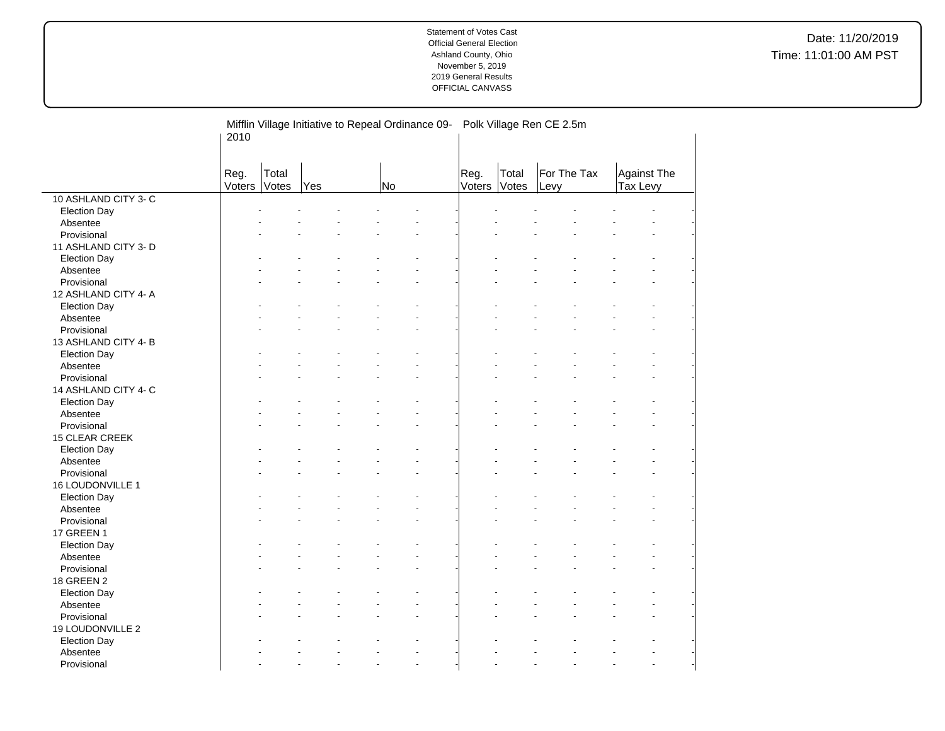Date: 11/20/2019 Time: 11:01:00 AM PST

|                      | Mifflin Village Initiative to Repeal Ordinance 09-<br>2010 |                |     |  |    |  |                       | Polk Village Ren CE 2.5m |                     |  |                                |  |  |  |  |  |
|----------------------|------------------------------------------------------------|----------------|-----|--|----|--|-----------------------|--------------------------|---------------------|--|--------------------------------|--|--|--|--|--|
|                      | Reg.<br>Voters                                             | Total<br>Votes | Yes |  | No |  | Reg.<br><b>Voters</b> | Total<br>Votes           | For The Tax<br>Levy |  | <b>Against The</b><br>Tax Levy |  |  |  |  |  |
| 10 ASHLAND CITY 3- C |                                                            |                |     |  |    |  |                       |                          |                     |  |                                |  |  |  |  |  |
| <b>Election Day</b>  |                                                            |                |     |  |    |  |                       |                          |                     |  |                                |  |  |  |  |  |
| Absentee             |                                                            |                |     |  |    |  |                       |                          |                     |  |                                |  |  |  |  |  |
| Provisional          |                                                            |                |     |  |    |  |                       |                          |                     |  |                                |  |  |  |  |  |
| 11 ASHLAND CITY 3- D |                                                            |                |     |  |    |  |                       |                          |                     |  |                                |  |  |  |  |  |
| <b>Election Day</b>  |                                                            |                |     |  |    |  |                       |                          |                     |  |                                |  |  |  |  |  |
| Absentee             |                                                            |                |     |  |    |  |                       |                          |                     |  |                                |  |  |  |  |  |
| Provisional          |                                                            |                |     |  |    |  |                       |                          |                     |  |                                |  |  |  |  |  |
| 12 ASHLAND CITY 4- A |                                                            |                |     |  |    |  |                       |                          |                     |  |                                |  |  |  |  |  |
| <b>Election Day</b>  |                                                            |                |     |  |    |  |                       |                          |                     |  |                                |  |  |  |  |  |
| Absentee             |                                                            |                |     |  |    |  |                       |                          |                     |  |                                |  |  |  |  |  |
| Provisional          |                                                            |                |     |  |    |  |                       |                          |                     |  |                                |  |  |  |  |  |
| 13 ASHLAND CITY 4-B  |                                                            |                |     |  |    |  |                       |                          |                     |  |                                |  |  |  |  |  |
| <b>Election Day</b>  |                                                            |                |     |  |    |  |                       |                          |                     |  |                                |  |  |  |  |  |
| Absentee             |                                                            |                |     |  |    |  |                       |                          |                     |  |                                |  |  |  |  |  |
| Provisional          |                                                            |                |     |  |    |  |                       |                          |                     |  |                                |  |  |  |  |  |
| 14 ASHLAND CITY 4- C |                                                            |                |     |  |    |  |                       |                          |                     |  |                                |  |  |  |  |  |
| <b>Election Day</b>  |                                                            |                |     |  |    |  |                       |                          |                     |  |                                |  |  |  |  |  |
| Absentee             |                                                            |                |     |  |    |  |                       |                          |                     |  |                                |  |  |  |  |  |
| Provisional          |                                                            |                |     |  |    |  |                       |                          |                     |  |                                |  |  |  |  |  |
| 15 CLEAR CREEK       |                                                            |                |     |  |    |  |                       |                          |                     |  |                                |  |  |  |  |  |
| <b>Election Day</b>  |                                                            |                |     |  |    |  |                       |                          |                     |  |                                |  |  |  |  |  |
| Absentee             |                                                            |                |     |  |    |  |                       |                          |                     |  |                                |  |  |  |  |  |
| Provisional          |                                                            |                |     |  |    |  |                       |                          |                     |  |                                |  |  |  |  |  |
| 16 LOUDONVILLE 1     |                                                            |                |     |  |    |  |                       |                          |                     |  |                                |  |  |  |  |  |
| <b>Election Day</b>  |                                                            |                |     |  |    |  |                       |                          |                     |  |                                |  |  |  |  |  |
| Absentee             |                                                            |                |     |  |    |  |                       |                          |                     |  |                                |  |  |  |  |  |
| Provisional          |                                                            |                |     |  |    |  |                       |                          |                     |  |                                |  |  |  |  |  |
| 17 GREEN 1           |                                                            |                |     |  |    |  |                       |                          |                     |  |                                |  |  |  |  |  |
| <b>Election Day</b>  |                                                            |                |     |  |    |  |                       |                          |                     |  |                                |  |  |  |  |  |
| Absentee             |                                                            |                |     |  |    |  |                       |                          |                     |  |                                |  |  |  |  |  |
| Provisional          |                                                            |                |     |  |    |  |                       |                          |                     |  |                                |  |  |  |  |  |
| 18 GREEN 2           |                                                            |                |     |  |    |  |                       |                          |                     |  |                                |  |  |  |  |  |
| <b>Election Day</b>  |                                                            |                |     |  |    |  |                       |                          |                     |  |                                |  |  |  |  |  |
| Absentee             |                                                            |                |     |  |    |  |                       |                          |                     |  |                                |  |  |  |  |  |
| Provisional          |                                                            |                |     |  |    |  |                       |                          |                     |  |                                |  |  |  |  |  |
| 19 LOUDONVILLE 2     |                                                            |                |     |  |    |  |                       |                          |                     |  |                                |  |  |  |  |  |
| <b>Election Day</b>  |                                                            |                |     |  |    |  |                       |                          |                     |  |                                |  |  |  |  |  |
| Absentee             |                                                            |                |     |  |    |  |                       |                          |                     |  |                                |  |  |  |  |  |
| Provisional          |                                                            |                |     |  |    |  |                       |                          |                     |  |                                |  |  |  |  |  |

 $\overline{a}$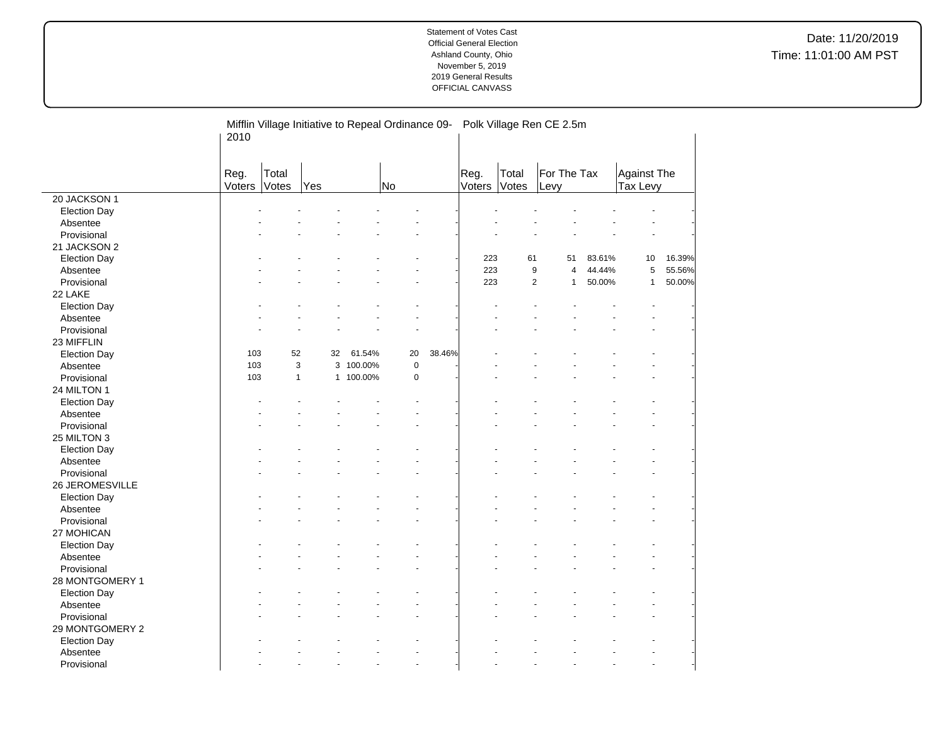Date: 11/20/2019 Time: 11:01:00 AM PST

|                     | Mifflin Village Initiative to Repeal Ordinance 09-<br>2010 |                |              |           |             |        |                | Polk Village Ren CE 2.5m |                     |        |                                |        |  |  |  |  |
|---------------------|------------------------------------------------------------|----------------|--------------|-----------|-------------|--------|----------------|--------------------------|---------------------|--------|--------------------------------|--------|--|--|--|--|
|                     | Reg.<br>Voters                                             | Total<br>Votes | Yes          |           | No          |        | Reg.<br>Voters | Total<br>Votes           | For The Tax<br>Levy |        | <b>Against The</b><br>Tax Levy |        |  |  |  |  |
| 20 JACKSON 1        |                                                            |                |              |           |             |        |                |                          |                     |        |                                |        |  |  |  |  |
| <b>Election Day</b> |                                                            |                |              |           |             |        |                |                          |                     |        |                                |        |  |  |  |  |
| Absentee            |                                                            |                |              |           |             |        |                |                          |                     |        |                                |        |  |  |  |  |
| Provisional         |                                                            |                |              |           |             |        |                |                          |                     |        |                                |        |  |  |  |  |
| 21 JACKSON 2        |                                                            |                |              |           |             |        |                |                          |                     |        |                                |        |  |  |  |  |
| <b>Election Day</b> |                                                            |                |              |           |             |        | 223            | 61                       | 51                  | 83.61% | 10                             | 16.39% |  |  |  |  |
| Absentee            |                                                            |                |              |           |             |        | 223            | 9                        | 4                   | 44.44% | 5                              | 55.56% |  |  |  |  |
| Provisional         |                                                            |                |              |           |             |        | 223            | $\mathbf{2}$             | $\mathbf{1}$        | 50.00% | $\mathbf{1}$                   | 50.00% |  |  |  |  |
| 22 LAKE             |                                                            |                |              |           |             |        |                |                          |                     |        |                                |        |  |  |  |  |
| <b>Election Day</b> |                                                            |                |              |           |             |        |                |                          |                     |        |                                |        |  |  |  |  |
| Absentee            |                                                            |                |              |           |             |        |                |                          |                     |        |                                |        |  |  |  |  |
| Provisional         |                                                            |                |              |           |             |        |                |                          |                     |        |                                |        |  |  |  |  |
| 23 MIFFLIN          |                                                            |                |              |           |             |        |                |                          |                     |        |                                |        |  |  |  |  |
| <b>Election Day</b> | 103                                                        | 52             | 32           | 61.54%    | 20          | 38.46% |                |                          |                     |        |                                |        |  |  |  |  |
| Absentee            | 103                                                        |                | 3            | 3 100.00% | $\mathbf 0$ |        |                |                          |                     |        |                                |        |  |  |  |  |
| Provisional         | 103                                                        |                | $\mathbf{1}$ | 1 100.00% | $\mathbf 0$ |        |                |                          |                     |        |                                |        |  |  |  |  |
| 24 MILTON 1         |                                                            |                |              |           |             |        |                |                          |                     |        |                                |        |  |  |  |  |
| <b>Election Day</b> |                                                            |                |              |           |             |        |                |                          |                     |        |                                |        |  |  |  |  |
| Absentee            |                                                            |                |              |           |             |        |                |                          |                     |        |                                |        |  |  |  |  |
| Provisional         |                                                            |                |              |           |             |        |                |                          |                     |        |                                |        |  |  |  |  |
| 25 MILTON 3         |                                                            |                |              |           |             |        |                |                          |                     |        |                                |        |  |  |  |  |
| <b>Election Day</b> |                                                            |                |              |           |             |        |                |                          |                     |        |                                |        |  |  |  |  |
| Absentee            |                                                            |                |              |           |             |        |                |                          |                     |        |                                |        |  |  |  |  |
| Provisional         |                                                            |                |              |           |             |        |                |                          |                     |        |                                |        |  |  |  |  |
| 26 JEROMESVILLE     |                                                            |                |              |           |             |        |                |                          |                     |        |                                |        |  |  |  |  |
| <b>Election Day</b> |                                                            |                |              |           |             |        |                |                          |                     |        |                                |        |  |  |  |  |
| Absentee            |                                                            |                |              |           |             |        |                |                          |                     |        |                                |        |  |  |  |  |
| Provisional         |                                                            |                |              |           |             |        |                |                          |                     |        |                                |        |  |  |  |  |
| 27 MOHICAN          |                                                            |                |              |           |             |        |                |                          |                     |        |                                |        |  |  |  |  |
| <b>Election Day</b> |                                                            |                |              |           |             |        |                |                          |                     |        |                                |        |  |  |  |  |
| Absentee            |                                                            |                |              |           |             |        |                |                          |                     |        |                                |        |  |  |  |  |
| Provisional         |                                                            |                |              |           |             |        |                |                          |                     |        |                                |        |  |  |  |  |
| 28 MONTGOMERY 1     |                                                            |                |              |           |             |        |                |                          |                     |        |                                |        |  |  |  |  |
| <b>Election Day</b> |                                                            |                |              |           |             |        |                |                          |                     |        |                                |        |  |  |  |  |
| Absentee            |                                                            |                |              |           |             |        |                |                          |                     |        |                                |        |  |  |  |  |
| Provisional         |                                                            |                |              |           |             |        |                |                          |                     |        |                                |        |  |  |  |  |
| 29 MONTGOMERY 2     |                                                            |                |              |           |             |        |                |                          |                     |        |                                |        |  |  |  |  |
| <b>Election Day</b> |                                                            |                |              |           |             |        |                |                          |                     |        |                                |        |  |  |  |  |
| Absentee            |                                                            |                |              |           |             |        |                |                          |                     |        |                                |        |  |  |  |  |
| Provisional         |                                                            |                |              |           |             |        |                |                          |                     |        |                                |        |  |  |  |  |

 $\overline{a}$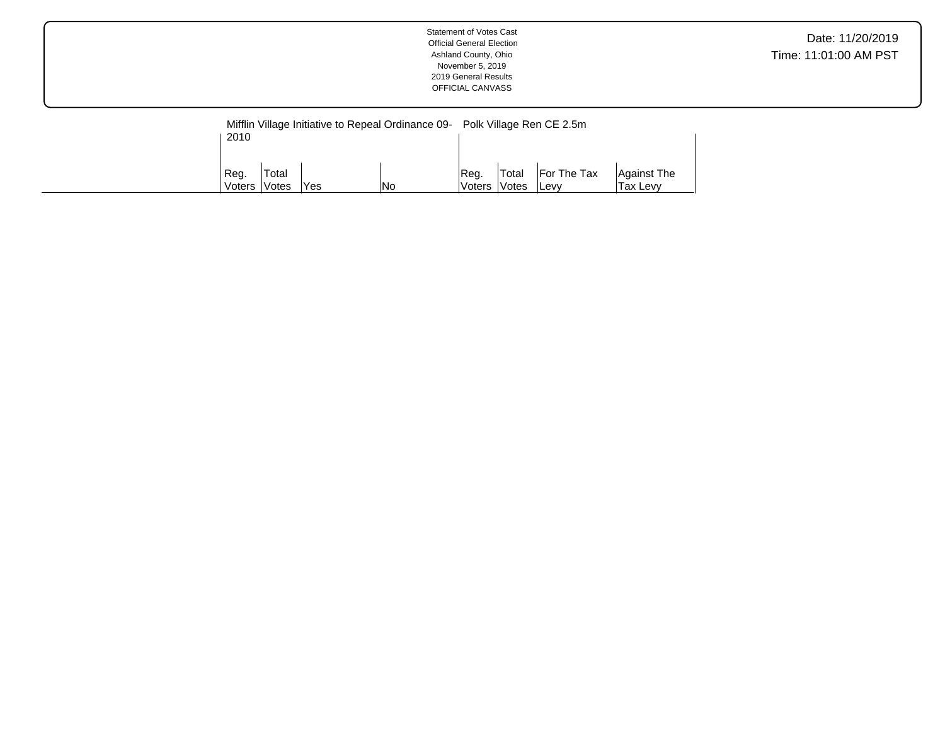|              |        |      |     | Mifflin Village Initiative to Repeal Ordinance 09- Polk Village Ren CE 2.5m |                     |              |             |  |  |  |  |
|--------------|--------|------|-----|-----------------------------------------------------------------------------|---------------------|--------------|-------------|--|--|--|--|
| 2010         |        |      |     |                                                                             |                     |              |             |  |  |  |  |
|              |        |      |     |                                                                             |                     |              |             |  |  |  |  |
| Reg.         | 'Total |      |     | IReq.                                                                       | <b>Total</b>        | For The Tax  | Against The |  |  |  |  |
| Voters Votes |        | 'Yes | lNo | lVoters l                                                                   | <i><b>Notes</b></i> | <b>ILevv</b> | Tax Levy    |  |  |  |  |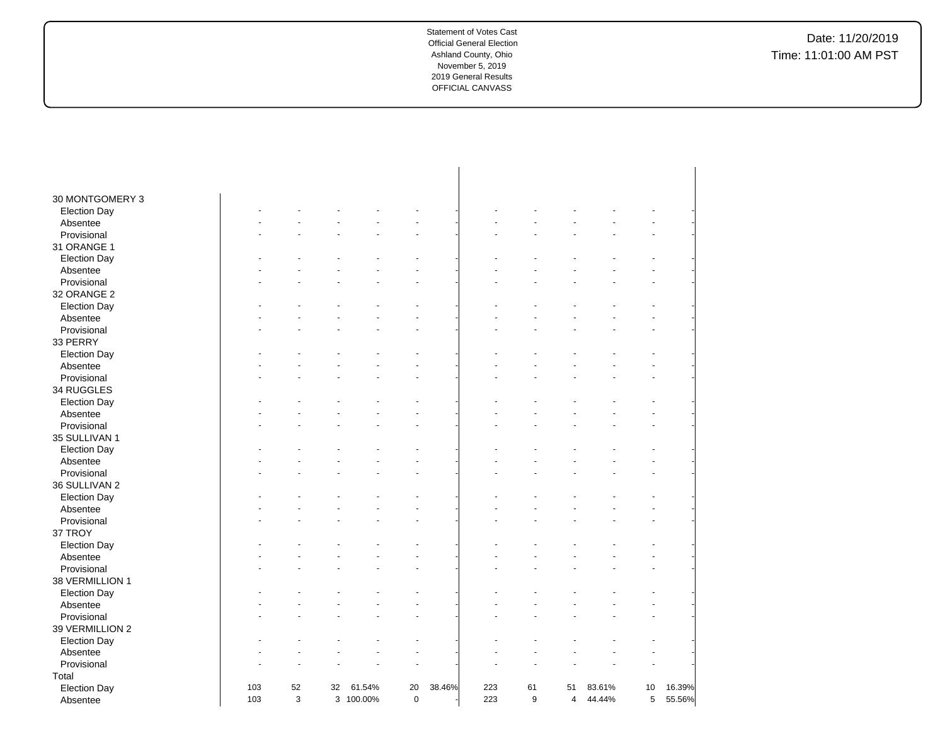# Date: 11/20/2019 Time: 11:01:00 AM PST

| 30 MONTGOMERY 3     |     |    |    |           |             |        |     |    |                |        |    |        |
|---------------------|-----|----|----|-----------|-------------|--------|-----|----|----------------|--------|----|--------|
| <b>Election Day</b> |     |    |    |           |             |        |     |    |                |        |    |        |
| Absentee            |     |    |    |           |             |        |     |    |                |        |    |        |
| Provisional         |     |    |    |           |             |        |     |    |                |        |    |        |
| 31 ORANGE 1         |     |    |    |           |             |        |     |    |                |        |    |        |
| <b>Election Day</b> |     |    |    |           |             |        |     |    |                |        |    |        |
| Absentee            |     |    |    |           |             |        |     |    |                |        |    |        |
| Provisional         |     |    |    |           |             |        |     |    |                |        |    |        |
| 32 ORANGE 2         |     |    |    |           |             |        |     |    |                |        |    |        |
| <b>Election Day</b> |     |    |    |           |             |        |     |    |                |        |    |        |
| Absentee            |     |    |    |           |             |        |     |    |                |        |    |        |
| Provisional         |     |    |    |           |             |        |     |    |                |        |    |        |
| 33 PERRY            |     |    |    |           |             |        |     |    |                |        |    |        |
| <b>Election Day</b> |     |    |    |           |             |        |     |    |                |        |    |        |
| Absentee            |     |    |    |           |             |        |     |    |                |        |    |        |
| Provisional         |     |    |    |           |             |        |     |    |                |        |    |        |
| 34 RUGGLES          |     |    |    |           |             |        |     |    |                |        |    |        |
| <b>Election Day</b> |     |    |    |           |             |        |     |    |                |        |    |        |
| Absentee            |     |    |    |           |             |        |     |    |                |        |    |        |
| Provisional         |     |    |    |           |             |        |     |    |                |        |    |        |
| 35 SULLIVAN 1       |     |    |    |           |             |        |     |    |                |        |    |        |
| <b>Election Day</b> |     |    |    |           |             |        |     |    |                |        |    |        |
| Absentee            |     |    |    |           |             |        |     |    |                |        |    |        |
| Provisional         |     |    |    |           |             |        |     |    |                |        |    |        |
| 36 SULLIVAN 2       |     |    |    |           |             |        |     |    |                |        |    |        |
| <b>Election Day</b> |     |    |    |           |             |        |     |    |                |        |    |        |
| Absentee            |     |    |    |           |             |        |     |    |                |        |    |        |
| Provisional         |     |    |    |           |             |        |     |    |                |        |    |        |
| 37 TROY             |     |    |    |           |             |        |     |    |                |        |    |        |
| <b>Election Day</b> |     |    |    |           |             |        |     |    |                |        |    |        |
| Absentee            |     |    |    |           |             |        |     |    |                |        |    |        |
| Provisional         |     |    |    |           |             |        |     |    |                |        |    |        |
| 38 VERMILLION 1     |     |    |    |           |             |        |     |    |                |        |    |        |
| <b>Election Day</b> |     |    |    |           |             |        |     |    |                |        |    |        |
| Absentee            |     |    |    |           |             |        |     |    |                |        |    |        |
| Provisional         |     |    |    |           |             |        |     |    |                |        |    |        |
| 39 VERMILLION 2     |     |    |    |           |             |        |     |    |                |        |    |        |
| <b>Election Day</b> |     |    |    |           |             |        |     |    |                |        |    |        |
| Absentee            |     |    |    |           |             |        |     |    |                |        |    |        |
| Provisional         |     |    |    |           |             |        |     |    |                |        |    |        |
| Total               |     |    |    |           |             |        |     |    |                |        |    |        |
| <b>Election Day</b> | 103 | 52 | 32 | 61.54%    | 20          | 38.46% | 223 | 61 | 51             | 83.61% | 10 | 16.39% |
| Absentee            | 103 | 3  |    | 3 100.00% | $\mathbf 0$ |        | 223 | 9  | $\overline{4}$ | 44.44% | 5  | 55.56% |
|                     |     |    |    |           |             |        |     |    |                |        |    |        |